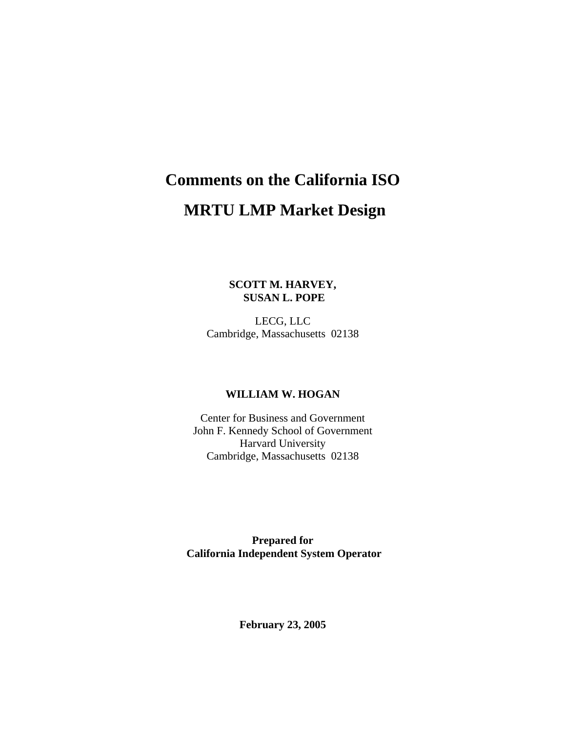# **Comments on the California ISO MRTU LMP Market Design**

**SCOTT M. HARVEY, SUSAN L. POPE** 

LECG, LLC Cambridge, Massachusetts 02138

#### **WILLIAM W. HOGAN**

Center for Business and Government John F. Kennedy School of Government Harvard University Cambridge, Massachusetts 02138

**Prepared for California Independent System Operator** 

**February 23, 2005**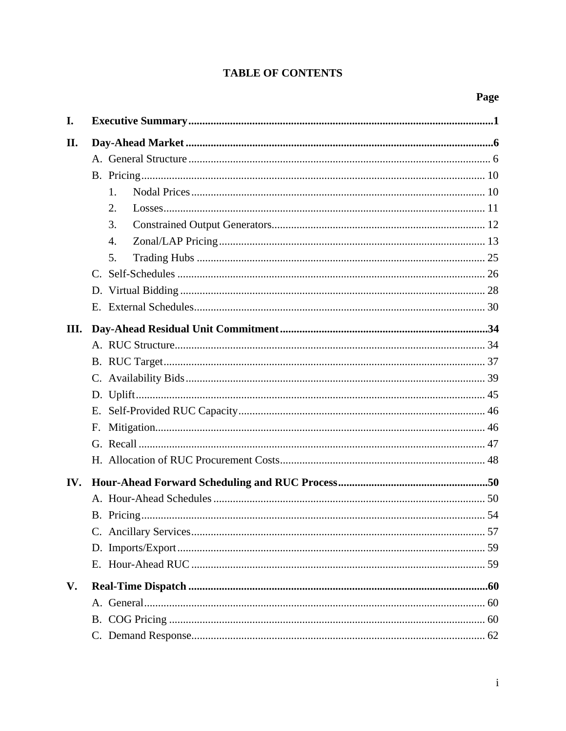# **TABLE OF CONTENTS**

| I.   |                |  |  |  |
|------|----------------|--|--|--|
| II.  |                |  |  |  |
|      |                |  |  |  |
|      |                |  |  |  |
|      | 1 <sub>1</sub> |  |  |  |
|      | 2.             |  |  |  |
|      | 3.             |  |  |  |
|      | 4.             |  |  |  |
|      | 5.             |  |  |  |
|      |                |  |  |  |
|      |                |  |  |  |
|      |                |  |  |  |
| III. |                |  |  |  |
|      |                |  |  |  |
|      |                |  |  |  |
|      |                |  |  |  |
|      |                |  |  |  |
|      |                |  |  |  |
|      |                |  |  |  |
|      |                |  |  |  |
|      |                |  |  |  |
| IV.  |                |  |  |  |
|      |                |  |  |  |
|      |                |  |  |  |
|      |                |  |  |  |
|      |                |  |  |  |
|      |                |  |  |  |
| V.   |                |  |  |  |
|      |                |  |  |  |
|      |                |  |  |  |
|      |                |  |  |  |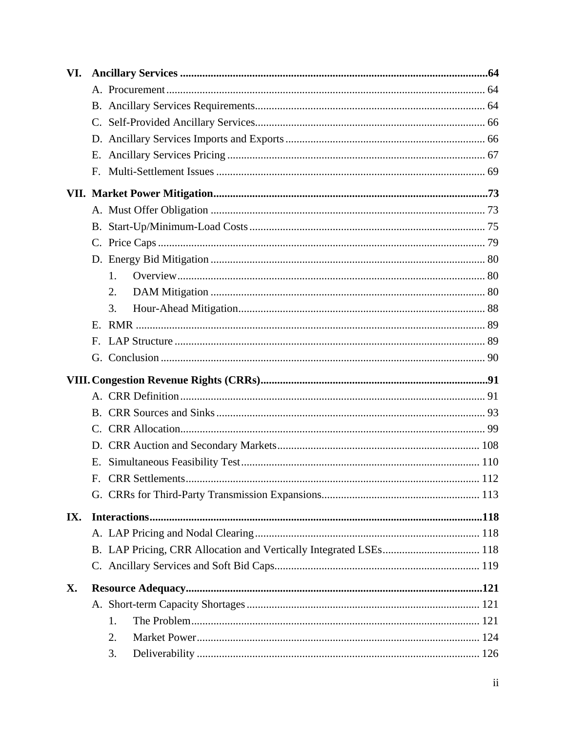| VI. |              |    |  |
|-----|--------------|----|--|
|     |              |    |  |
|     |              |    |  |
|     |              |    |  |
|     |              |    |  |
|     |              |    |  |
|     | F.           |    |  |
|     |              |    |  |
|     |              |    |  |
|     |              |    |  |
|     |              |    |  |
|     |              |    |  |
|     |              | 1. |  |
|     |              | 2. |  |
|     |              | 3. |  |
|     |              |    |  |
|     | $\mathbf{F}$ |    |  |
|     |              |    |  |
|     |              |    |  |
|     |              |    |  |
|     |              |    |  |
|     |              |    |  |
|     |              |    |  |
|     |              |    |  |
|     |              |    |  |
|     | Ε.           |    |  |
|     |              |    |  |
|     |              |    |  |
| IX. |              |    |  |
|     |              |    |  |
|     |              |    |  |
|     |              |    |  |
| X.  |              |    |  |
|     |              |    |  |
|     |              | 1. |  |
|     |              | 2. |  |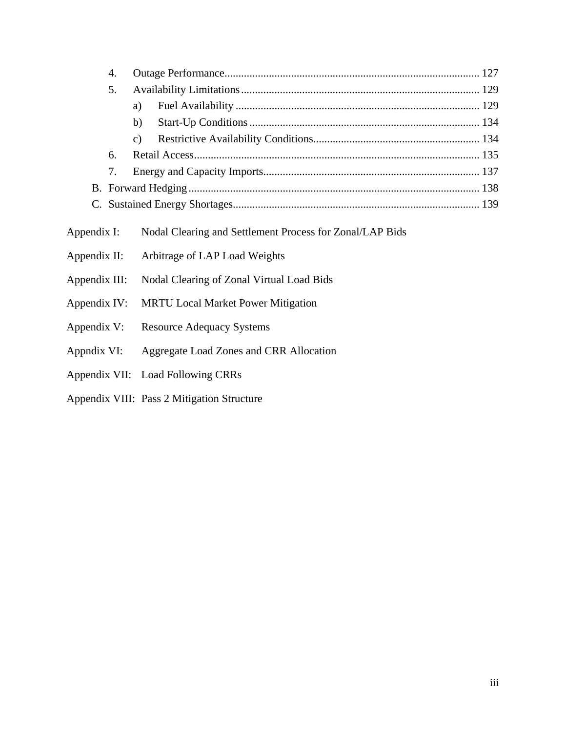| 4.            |                                                          |  |  |
|---------------|----------------------------------------------------------|--|--|
| 5.            |                                                          |  |  |
|               | a)                                                       |  |  |
|               | b)                                                       |  |  |
|               | $\mathbf{c})$                                            |  |  |
| 6.            |                                                          |  |  |
| 7.            |                                                          |  |  |
|               |                                                          |  |  |
|               |                                                          |  |  |
| Appendix I:   | Nodal Clearing and Settlement Process for Zonal/LAP Bids |  |  |
| Appendix II:  | Arbitrage of LAP Load Weights                            |  |  |
| Appendix III: | Nodal Clearing of Zonal Virtual Load Bids                |  |  |
| Appendix IV:  | <b>MRTU Local Market Power Mitigation</b>                |  |  |
| Appendix V:   | <b>Resource Adequacy Systems</b>                         |  |  |
| Appndix VI:   | Aggregate Load Zones and CRR Allocation                  |  |  |
|               | Appendix VII: Load Following CRRs                        |  |  |

Appendix VIII: Pass 2 Mitigation Structure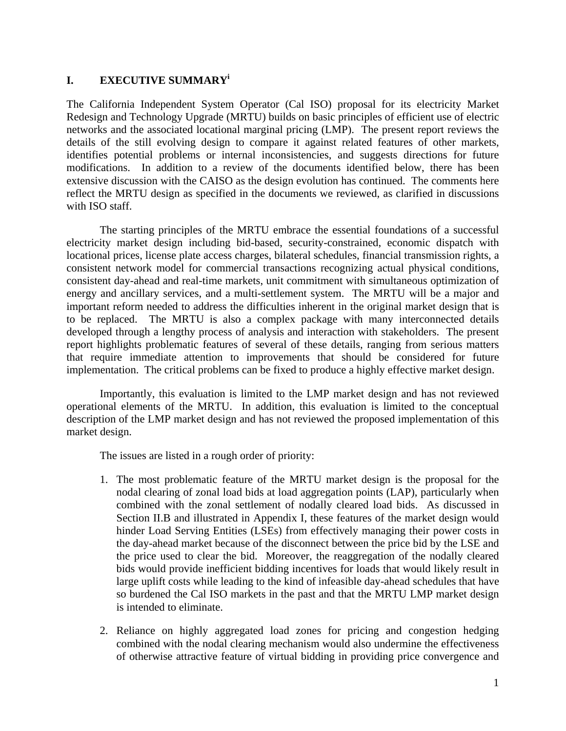# **I. EXECUTIVE SUMMARY<sup>i</sup>**

The California Independent System Operator (Cal ISO) proposal for its electricity Market Redesign and Technology Upgrade (MRTU) builds on basic principles of efficient use of electric networks and the associated locational marginal pricing (LMP). The present report reviews the details of the still evolving design to compare it against related features of other markets, identifies potential problems or internal inconsistencies, and suggests directions for future modifications. In addition to a review of the documents identified below, there has been extensive discussion with the CAISO as the design evolution has continued. The comments here reflect the MRTU design as specified in the documents we reviewed, as clarified in discussions with ISO staff.

 The starting principles of the MRTU embrace the essential foundations of a successful electricity market design including bid-based, security-constrained, economic dispatch with locational prices, license plate access charges, bilateral schedules, financial transmission rights, a consistent network model for commercial transactions recognizing actual physical conditions, consistent day-ahead and real-time markets, unit commitment with simultaneous optimization of energy and ancillary services, and a multi-settlement system. The MRTU will be a major and important reform needed to address the difficulties inherent in the original market design that is to be replaced. The MRTU is also a complex package with many interconnected details developed through a lengthy process of analysis and interaction with stakeholders. The present report highlights problematic features of several of these details, ranging from serious matters that require immediate attention to improvements that should be considered for future implementation. The critical problems can be fixed to produce a highly effective market design.

 Importantly, this evaluation is limited to the LMP market design and has not reviewed operational elements of the MRTU. In addition, this evaluation is limited to the conceptual description of the LMP market design and has not reviewed the proposed implementation of this market design.

The issues are listed in a rough order of priority:

- 1. The most problematic feature of the MRTU market design is the proposal for the nodal clearing of zonal load bids at load aggregation points (LAP), particularly when combined with the zonal settlement of nodally cleared load bids. As discussed in Section II.B and illustrated in Appendix I, these features of the market design would hinder Load Serving Entities (LSEs) from effectively managing their power costs in the day-ahead market because of the disconnect between the price bid by the LSE and the price used to clear the bid. Moreover, the reaggregation of the nodally cleared bids would provide inefficient bidding incentives for loads that would likely result in large uplift costs while leading to the kind of infeasible day-ahead schedules that have so burdened the Cal ISO markets in the past and that the MRTU LMP market design is intended to eliminate.
- 2. Reliance on highly aggregated load zones for pricing and congestion hedging combined with the nodal clearing mechanism would also undermine the effectiveness of otherwise attractive feature of virtual bidding in providing price convergence and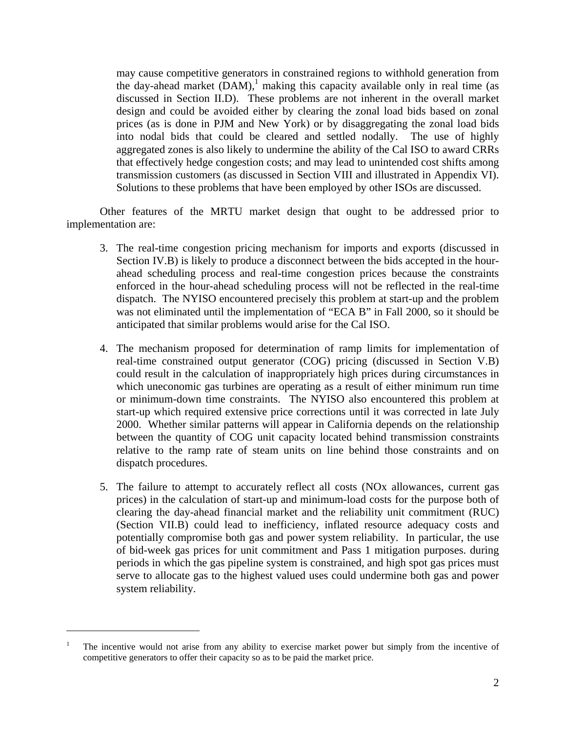may cause competitive generators in constrained regions to withhold generation from the day-ahead market  $(DAM)$ ,<sup>1</sup> making this capacity available only in real time (as discussed in Section II.D). These problems are not inherent in the overall market design and could be avoided either by clearing the zonal load bids based on zonal prices (as is done in PJM and New York) or by disaggregating the zonal load bids into nodal bids that could be cleared and settled nodally. The use of highly aggregated zones is also likely to undermine the ability of the Cal ISO to award CRRs that effectively hedge congestion costs; and may lead to unintended cost shifts among transmission customers (as discussed in Section VIII and illustrated in Appendix VI). Solutions to these problems that have been employed by other ISOs are discussed.

 Other features of the MRTU market design that ought to be addressed prior to implementation are:

- 3. The real-time congestion pricing mechanism for imports and exports (discussed in Section IV.B) is likely to produce a disconnect between the bids accepted in the hourahead scheduling process and real-time congestion prices because the constraints enforced in the hour-ahead scheduling process will not be reflected in the real-time dispatch. The NYISO encountered precisely this problem at start-up and the problem was not eliminated until the implementation of "ECA B" in Fall 2000, so it should be anticipated that similar problems would arise for the Cal ISO.
- 4. The mechanism proposed for determination of ramp limits for implementation of real-time constrained output generator (COG) pricing (discussed in Section V.B) could result in the calculation of inappropriately high prices during circumstances in which uneconomic gas turbines are operating as a result of either minimum run time or minimum-down time constraints. The NYISO also encountered this problem at start-up which required extensive price corrections until it was corrected in late July 2000. Whether similar patterns will appear in California depends on the relationship between the quantity of COG unit capacity located behind transmission constraints relative to the ramp rate of steam units on line behind those constraints and on dispatch procedures.
- 5. The failure to attempt to accurately reflect all costs (NOx allowances, current gas prices) in the calculation of start-up and minimum-load costs for the purpose both of clearing the day-ahead financial market and the reliability unit commitment (RUC) (Section VII.B) could lead to inefficiency, inflated resource adequacy costs and potentially compromise both gas and power system reliability. In particular, the use of bid-week gas prices for unit commitment and Pass 1 mitigation purposes. during periods in which the gas pipeline system is constrained, and high spot gas prices must serve to allocate gas to the highest valued uses could undermine both gas and power system reliability.

<u>.</u>

<sup>1</sup> The incentive would not arise from any ability to exercise market power but simply from the incentive of competitive generators to offer their capacity so as to be paid the market price.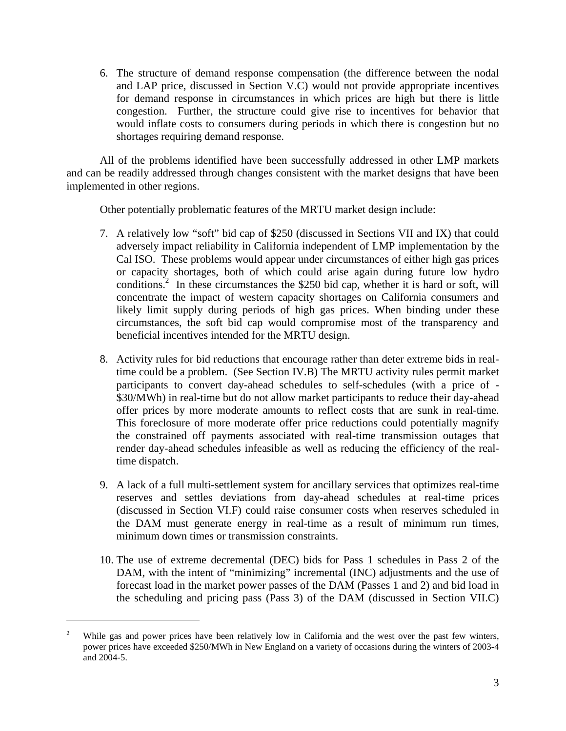6. The structure of demand response compensation (the difference between the nodal and LAP price, discussed in Section V.C) would not provide appropriate incentives for demand response in circumstances in which prices are high but there is little congestion. Further, the structure could give rise to incentives for behavior that would inflate costs to consumers during periods in which there is congestion but no shortages requiring demand response.

 All of the problems identified have been successfully addressed in other LMP markets and can be readily addressed through changes consistent with the market designs that have been implemented in other regions.

Other potentially problematic features of the MRTU market design include:

- 7. A relatively low "soft" bid cap of \$250 (discussed in Sections VII and IX) that could adversely impact reliability in California independent of LMP implementation by the Cal ISO. These problems would appear under circumstances of either high gas prices or capacity shortages, both of which could arise again during future low hydro conditions.<sup>2</sup> In these circumstances the \$250 bid cap, whether it is hard or soft, will concentrate the impact of western capacity shortages on California consumers and likely limit supply during periods of high gas prices. When binding under these circumstances, the soft bid cap would compromise most of the transparency and beneficial incentives intended for the MRTU design.
- 8. Activity rules for bid reductions that encourage rather than deter extreme bids in realtime could be a problem. (See Section IV.B) The MRTU activity rules permit market participants to convert day-ahead schedules to self-schedules (with a price of - \$30/MWh) in real-time but do not allow market participants to reduce their day-ahead offer prices by more moderate amounts to reflect costs that are sunk in real-time. This foreclosure of more moderate offer price reductions could potentially magnify the constrained off payments associated with real-time transmission outages that render day-ahead schedules infeasible as well as reducing the efficiency of the realtime dispatch.
- 9. A lack of a full multi-settlement system for ancillary services that optimizes real-time reserves and settles deviations from day-ahead schedules at real-time prices (discussed in Section VI.F) could raise consumer costs when reserves scheduled in the DAM must generate energy in real-time as a result of minimum run times, minimum down times or transmission constraints.
- 10. The use of extreme decremental (DEC) bids for Pass 1 schedules in Pass 2 of the DAM, with the intent of "minimizing" incremental (INC) adjustments and the use of forecast load in the market power passes of the DAM (Passes 1 and 2) and bid load in the scheduling and pricing pass (Pass 3) of the DAM (discussed in Section VII.C)

<sup>2</sup> While gas and power prices have been relatively low in California and the west over the past few winters, power prices have exceeded \$250/MWh in New England on a variety of occasions during the winters of 2003-4 and 2004-5.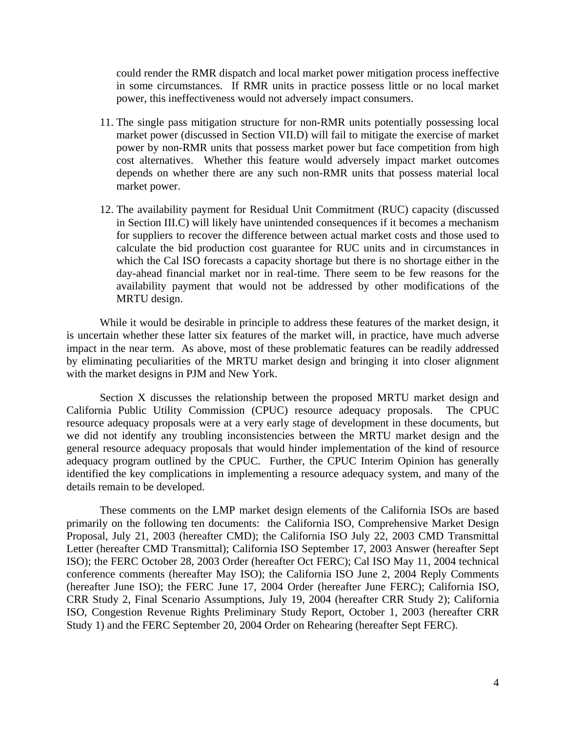could render the RMR dispatch and local market power mitigation process ineffective in some circumstances. If RMR units in practice possess little or no local market power, this ineffectiveness would not adversely impact consumers.

- 11. The single pass mitigation structure for non-RMR units potentially possessing local market power (discussed in Section VII.D) will fail to mitigate the exercise of market power by non-RMR units that possess market power but face competition from high cost alternatives. Whether this feature would adversely impact market outcomes depends on whether there are any such non-RMR units that possess material local market power.
- 12. The availability payment for Residual Unit Commitment (RUC) capacity (discussed in Section III.C) will likely have unintended consequences if it becomes a mechanism for suppliers to recover the difference between actual market costs and those used to calculate the bid production cost guarantee for RUC units and in circumstances in which the Cal ISO forecasts a capacity shortage but there is no shortage either in the day-ahead financial market nor in real-time. There seem to be few reasons for the availability payment that would not be addressed by other modifications of the MRTU design.

 While it would be desirable in principle to address these features of the market design, it is uncertain whether these latter six features of the market will, in practice, have much adverse impact in the near term. As above, most of these problematic features can be readily addressed by eliminating peculiarities of the MRTU market design and bringing it into closer alignment with the market designs in PJM and New York.

 Section X discusses the relationship between the proposed MRTU market design and California Public Utility Commission (CPUC) resource adequacy proposals. The CPUC resource adequacy proposals were at a very early stage of development in these documents, but we did not identify any troubling inconsistencies between the MRTU market design and the general resource adequacy proposals that would hinder implementation of the kind of resource adequacy program outlined by the CPUC. Further, the CPUC Interim Opinion has generally identified the key complications in implementing a resource adequacy system, and many of the details remain to be developed.

 These comments on the LMP market design elements of the California ISOs are based primarily on the following ten documents: the California ISO, Comprehensive Market Design Proposal, July 21, 2003 (hereafter CMD); the California ISO July 22, 2003 CMD Transmittal Letter (hereafter CMD Transmittal); California ISO September 17, 2003 Answer (hereafter Sept ISO); the FERC October 28, 2003 Order (hereafter Oct FERC); Cal ISO May 11, 2004 technical conference comments (hereafter May ISO); the California ISO June 2, 2004 Reply Comments (hereafter June ISO); the FERC June 17, 2004 Order (hereafter June FERC); California ISO, CRR Study 2, Final Scenario Assumptions, July 19, 2004 (hereafter CRR Study 2); California ISO, Congestion Revenue Rights Preliminary Study Report, October 1, 2003 (hereafter CRR Study 1) and the FERC September 20, 2004 Order on Rehearing (hereafter Sept FERC).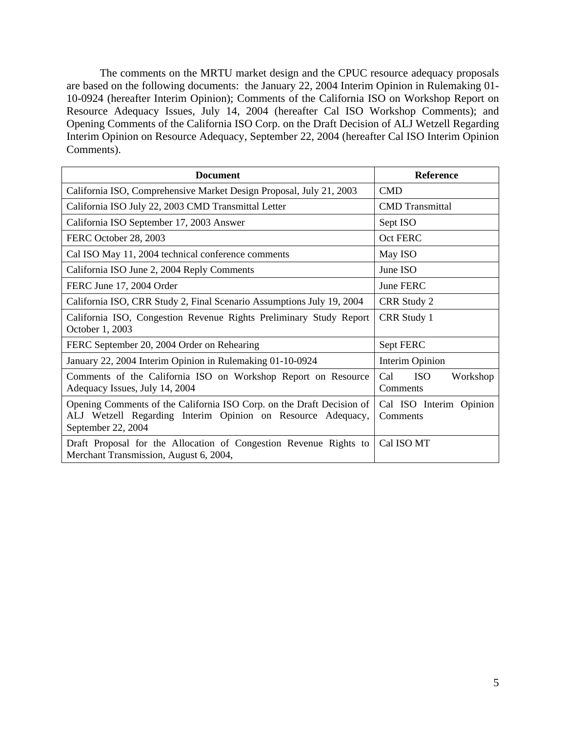The comments on the MRTU market design and the CPUC resource adequacy proposals are based on the following documents: the January 22, 2004 Interim Opinion in Rulemaking 01- 10-0924 (hereafter Interim Opinion); Comments of the California ISO on Workshop Report on Resource Adequacy Issues, July 14, 2004 (hereafter Cal ISO Workshop Comments); and Opening Comments of the California ISO Corp. on the Draft Decision of ALJ Wetzell Regarding Interim Opinion on Resource Adequacy, September 22, 2004 (hereafter Cal ISO Interim Opinion Comments).

| <b>Document</b>                                                                                                                                            | <b>Reference</b>                          |  |
|------------------------------------------------------------------------------------------------------------------------------------------------------------|-------------------------------------------|--|
| California ISO, Comprehensive Market Design Proposal, July 21, 2003                                                                                        | <b>CMD</b>                                |  |
| California ISO July 22, 2003 CMD Transmittal Letter                                                                                                        | <b>CMD</b> Transmittal                    |  |
| California ISO September 17, 2003 Answer                                                                                                                   | Sept ISO                                  |  |
| FERC October 28, 2003                                                                                                                                      | Oct FERC                                  |  |
| Cal ISO May 11, 2004 technical conference comments                                                                                                         | May ISO                                   |  |
| California ISO June 2, 2004 Reply Comments                                                                                                                 | June ISO                                  |  |
| FERC June 17, 2004 Order                                                                                                                                   | June FERC                                 |  |
| California ISO, CRR Study 2, Final Scenario Assumptions July 19, 2004                                                                                      | CRR Study 2                               |  |
| California ISO, Congestion Revenue Rights Preliminary Study Report<br>October 1, 2003                                                                      | CRR Study 1                               |  |
| FERC September 20, 2004 Order on Rehearing                                                                                                                 | Sept FERC                                 |  |
| January 22, 2004 Interim Opinion in Rulemaking 01-10-0924                                                                                                  | Interim Opinion                           |  |
| Comments of the California ISO on Workshop Report on Resource<br>Adequacy Issues, July 14, 2004                                                            | Cal<br><b>ISO</b><br>Workshop<br>Comments |  |
| Opening Comments of the California ISO Corp. on the Draft Decision of<br>ALJ Wetzell Regarding Interim Opinion on Resource Adequacy,<br>September 22, 2004 | Cal ISO Interim Opinion<br>Comments       |  |
| Draft Proposal for the Allocation of Congestion Revenue Rights to<br>Merchant Transmission, August 6, 2004,                                                | Cal ISO MT                                |  |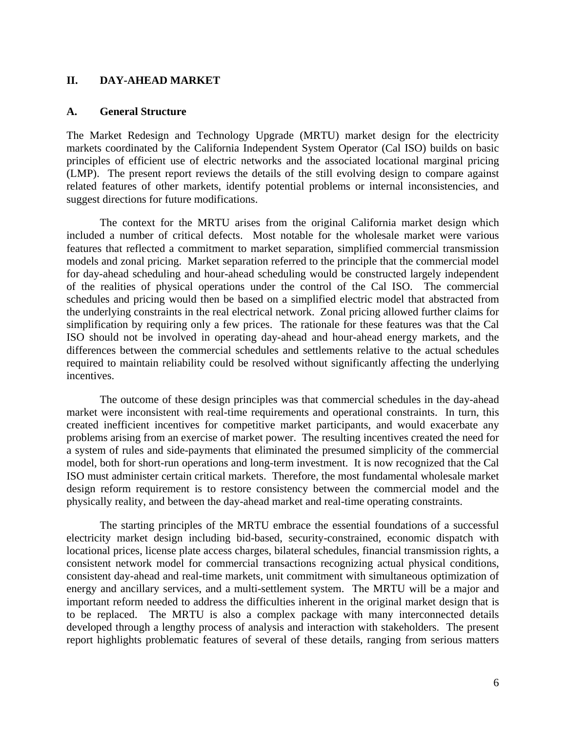#### **II. DAY-AHEAD MARKET**

#### **A. General Structure**

The Market Redesign and Technology Upgrade (MRTU) market design for the electricity markets coordinated by the California Independent System Operator (Cal ISO) builds on basic principles of efficient use of electric networks and the associated locational marginal pricing (LMP). The present report reviews the details of the still evolving design to compare against related features of other markets, identify potential problems or internal inconsistencies, and suggest directions for future modifications.

 The context for the MRTU arises from the original California market design which included a number of critical defects. Most notable for the wholesale market were various features that reflected a commitment to market separation, simplified commercial transmission models and zonal pricing. Market separation referred to the principle that the commercial model for day-ahead scheduling and hour-ahead scheduling would be constructed largely independent of the realities of physical operations under the control of the Cal ISO. The commercial schedules and pricing would then be based on a simplified electric model that abstracted from the underlying constraints in the real electrical network. Zonal pricing allowed further claims for simplification by requiring only a few prices. The rationale for these features was that the Cal ISO should not be involved in operating day-ahead and hour-ahead energy markets, and the differences between the commercial schedules and settlements relative to the actual schedules required to maintain reliability could be resolved without significantly affecting the underlying incentives.

 The outcome of these design principles was that commercial schedules in the day-ahead market were inconsistent with real-time requirements and operational constraints. In turn, this created inefficient incentives for competitive market participants, and would exacerbate any problems arising from an exercise of market power. The resulting incentives created the need for a system of rules and side-payments that eliminated the presumed simplicity of the commercial model, both for short-run operations and long-term investment. It is now recognized that the Cal ISO must administer certain critical markets. Therefore, the most fundamental wholesale market design reform requirement is to restore consistency between the commercial model and the physically reality, and between the day-ahead market and real-time operating constraints.

 The starting principles of the MRTU embrace the essential foundations of a successful electricity market design including bid-based, security-constrained, economic dispatch with locational prices, license plate access charges, bilateral schedules, financial transmission rights, a consistent network model for commercial transactions recognizing actual physical conditions, consistent day-ahead and real-time markets, unit commitment with simultaneous optimization of energy and ancillary services, and a multi-settlement system. The MRTU will be a major and important reform needed to address the difficulties inherent in the original market design that is to be replaced. The MRTU is also a complex package with many interconnected details developed through a lengthy process of analysis and interaction with stakeholders. The present report highlights problematic features of several of these details, ranging from serious matters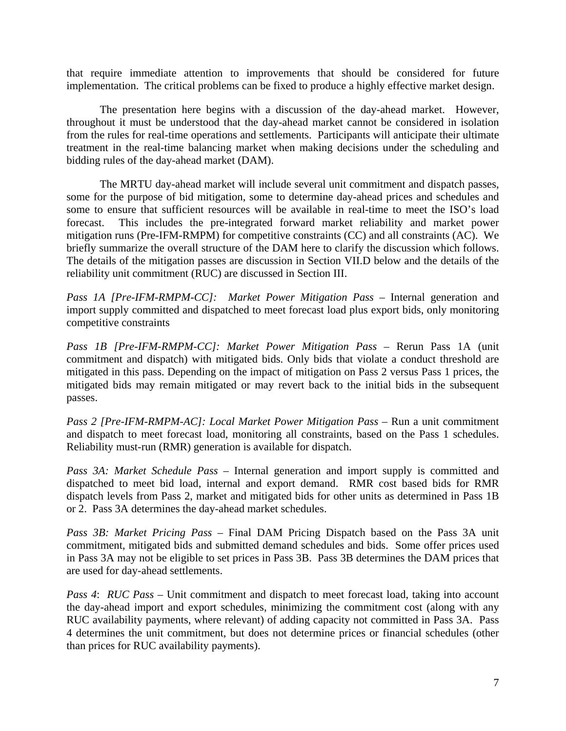that require immediate attention to improvements that should be considered for future implementation. The critical problems can be fixed to produce a highly effective market design.

The presentation here begins with a discussion of the day-ahead market. However, throughout it must be understood that the day-ahead market cannot be considered in isolation from the rules for real-time operations and settlements. Participants will anticipate their ultimate treatment in the real-time balancing market when making decisions under the scheduling and bidding rules of the day-ahead market (DAM).

 The MRTU day-ahead market will include several unit commitment and dispatch passes, some for the purpose of bid mitigation, some to determine day-ahead prices and schedules and some to ensure that sufficient resources will be available in real-time to meet the ISO's load forecast. This includes the pre-integrated forward market reliability and market power mitigation runs (Pre-IFM-RMPM) for competitive constraints (CC) and all constraints (AC). We briefly summarize the overall structure of the DAM here to clarify the discussion which follows. The details of the mitigation passes are discussion in Section VII.D below and the details of the reliability unit commitment (RUC) are discussed in Section III.

*Pass 1A [Pre-IFM-RMPM-CC]: Market Power Mitigation Pass –* Internal generation and import supply committed and dispatched to meet forecast load plus export bids, only monitoring competitive constraints

*Pass 1B [Pre-IFM-RMPM-CC]: Market Power Mitigation Pass –* Rerun Pass 1A (unit commitment and dispatch) with mitigated bids. Only bids that violate a conduct threshold are mitigated in this pass. Depending on the impact of mitigation on Pass 2 versus Pass 1 prices, the mitigated bids may remain mitigated or may revert back to the initial bids in the subsequent passes.

*Pass 2 [Pre-IFM-RMPM-AC]: Local Market Power Mitigation Pass –* Run a unit commitment and dispatch to meet forecast load, monitoring all constraints, based on the Pass 1 schedules. Reliability must-run (RMR) generation is available for dispatch.

*Pass 3A: Market Schedule Pass –* Internal generation and import supply is committed and dispatched to meet bid load, internal and export demand. RMR cost based bids for RMR dispatch levels from Pass 2, market and mitigated bids for other units as determined in Pass 1B or 2. Pass 3A determines the day-ahead market schedules.

*Pass 3B: Market Pricing Pass –* Final DAM Pricing Dispatch based on the Pass 3A unit commitment, mitigated bids and submitted demand schedules and bids. Some offer prices used in Pass 3A may not be eligible to set prices in Pass 3B. Pass 3B determines the DAM prices that are used for day-ahead settlements.

*Pass 4: RUC Pass – Unit commitment and dispatch to meet forecast load, taking into account* the day-ahead import and export schedules, minimizing the commitment cost (along with any RUC availability payments, where relevant) of adding capacity not committed in Pass 3A. Pass 4 determines the unit commitment, but does not determine prices or financial schedules (other than prices for RUC availability payments).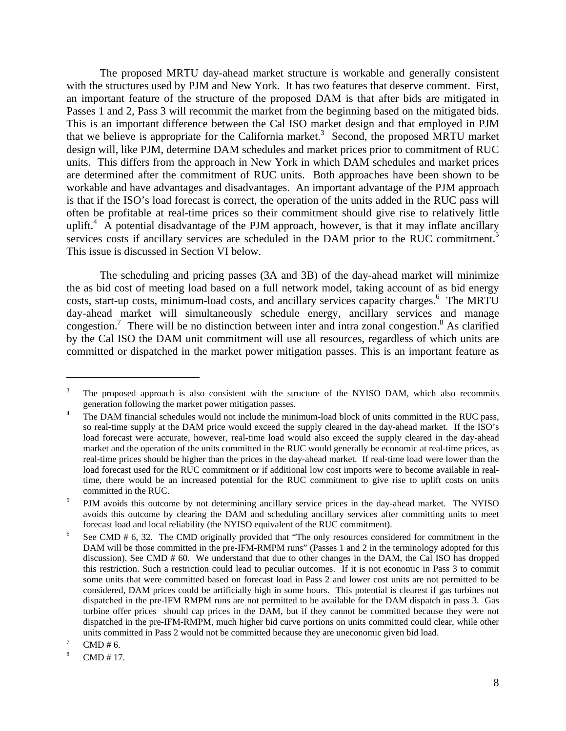The proposed MRTU day-ahead market structure is workable and generally consistent with the structures used by PJM and New York. It has two features that deserve comment. First, an important feature of the structure of the proposed DAM is that after bids are mitigated in Passes 1 and 2, Pass 3 will recommit the market from the beginning based on the mitigated bids. This is an important difference between the Cal ISO market design and that employed in PJM that we believe is appropriate for the California market.<sup>3</sup> Second, the proposed MRTU market design will, like PJM, determine DAM schedules and market prices prior to commitment of RUC units. This differs from the approach in New York in which DAM schedules and market prices are determined after the commitment of RUC units. Both approaches have been shown to be workable and have advantages and disadvantages. An important advantage of the PJM approach is that if the ISO's load forecast is correct, the operation of the units added in the RUC pass will often be profitable at real-time prices so their commitment should give rise to relatively little uplift.<sup>4</sup> A potential disadvantage of the PJM approach, however, is that it may inflate ancillary services costs if ancillary services are scheduled in the DAM prior to the RUC commitment.<sup>5</sup> This issue is discussed in Section VI below.

 The scheduling and pricing passes (3A and 3B) of the day-ahead market will minimize the as bid cost of meeting load based on a full network model, taking account of as bid energy costs, start-up costs, minimum-load costs, and ancillary services capacity charges.<sup>6</sup> The MRTU day-ahead market will simultaneously schedule energy, ancillary services and manage congestion.<sup>7</sup> There will be no distinction between inter and intra zonal congestion.<sup>8</sup> As clarified by the Cal ISO the DAM unit commitment will use all resources, regardless of which units are committed or dispatched in the market power mitigation passes. This is an important feature as

1

<sup>3</sup> The proposed approach is also consistent with the structure of the NYISO DAM, which also recommits generation following the market power mitigation passes.

The DAM financial schedules would not include the minimum-load block of units committed in the RUC pass, so real-time supply at the DAM price would exceed the supply cleared in the day-ahead market. If the ISO's load forecast were accurate, however, real-time load would also exceed the supply cleared in the day-ahead market and the operation of the units committed in the RUC would generally be economic at real-time prices, as real-time prices should be higher than the prices in the day-ahead market. If real-time load were lower than the load forecast used for the RUC commitment or if additional low cost imports were to become available in realtime, there would be an increased potential for the RUC commitment to give rise to uplift costs on units committed in the RUC.<br> $\frac{5}{2}$  DIM excite this extent

PJM avoids this outcome by not determining ancillary service prices in the day-ahead market. The NYISO avoids this outcome by clearing the DAM and scheduling ancillary services after committing units to meet forecast load and local reliability (the NYISO equivalent of the RUC commitment). 6

See CMD # 6, 32. The CMD originally provided that "The only resources considered for commitment in the DAM will be those committed in the pre-IFM-RMPM runs" (Passes 1 and 2 in the terminology adopted for this discussion). See CMD # 60. We understand that due to other changes in the DAM, the Cal ISO has dropped this restriction. Such a restriction could lead to peculiar outcomes. If it is not economic in Pass 3 to commit some units that were committed based on forecast load in Pass 2 and lower cost units are not permitted to be considered, DAM prices could be artificially high in some hours. This potential is clearest if gas turbines not dispatched in the pre-IFM RMPM runs are not permitted to be available for the DAM dispatch in pass 3. Gas turbine offer prices should cap prices in the DAM, but if they cannot be committed because they were not dispatched in the pre-IFM-RMPM, much higher bid curve portions on units committed could clear, while other units committed in Pass 2 would not be committed because they are uneconomic given bid load.

CMD # 6.

<sup>8</sup> CMD # 17.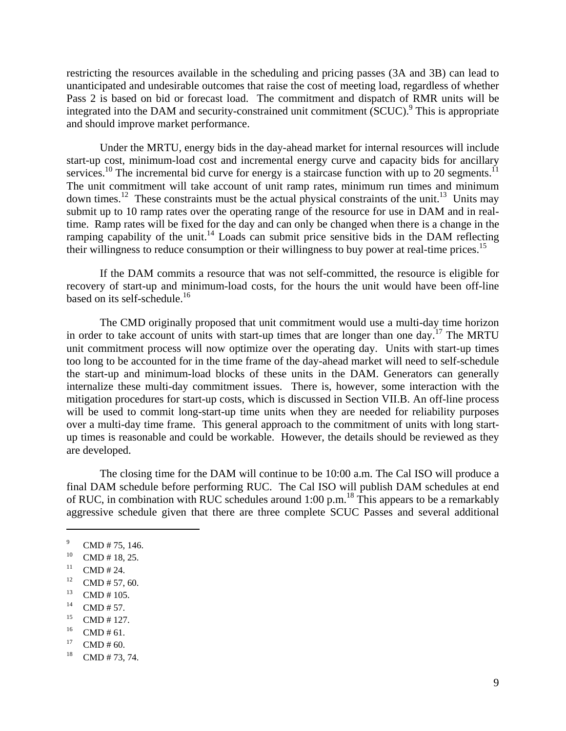restricting the resources available in the scheduling and pricing passes (3A and 3B) can lead to unanticipated and undesirable outcomes that raise the cost of meeting load, regardless of whether Pass 2 is based on bid or forecast load. The commitment and dispatch of RMR units will be integrated into the DAM and security-constrained unit commitment (SCUC).<sup>9</sup> This is appropriate and should improve market performance.

 Under the MRTU, energy bids in the day-ahead market for internal resources will include start-up cost, minimum-load cost and incremental energy curve and capacity bids for ancillary services.<sup>10</sup> The incremental bid curve for energy is a staircase function with up to 20 segments.<sup>11</sup> The unit commitment will take account of unit ramp rates, minimum run times and minimum down times.<sup>12</sup> These constraints must be the actual physical constraints of the unit.<sup>13</sup> Units may submit up to 10 ramp rates over the operating range of the resource for use in DAM and in realtime. Ramp rates will be fixed for the day and can only be changed when there is a change in the ramping capability of the unit.<sup>14</sup> Loads can submit price sensitive bids in the DAM reflecting their willingness to reduce consumption or their willingness to buy power at real-time prices.15

 If the DAM commits a resource that was not self-committed, the resource is eligible for recovery of start-up and minimum-load costs, for the hours the unit would have been off-line based on its self-schedule.<sup>16</sup>

 The CMD originally proposed that unit commitment would use a multi-day time horizon in order to take account of units with start-up times that are longer than one day.<sup>17</sup> The MRTU unit commitment process will now optimize over the operating day. Units with start-up times too long to be accounted for in the time frame of the day-ahead market will need to self-schedule the start-up and minimum-load blocks of these units in the DAM. Generators can generally internalize these multi-day commitment issues. There is, however, some interaction with the mitigation procedures for start-up costs, which is discussed in Section VII.B. An off-line process will be used to commit long-start-up time units when they are needed for reliability purposes over a multi-day time frame. This general approach to the commitment of units with long startup times is reasonable and could be workable. However, the details should be reviewed as they are developed.

 The closing time for the DAM will continue to be 10:00 a.m. The Cal ISO will produce a final DAM schedule before performing RUC. The Cal ISO will publish DAM schedules at end of RUC, in combination with RUC schedules around 1:00 p.m.18 This appears to be a remarkably aggressive schedule given that there are three complete SCUC Passes and several additional

- $13$  CMD # 105.
- $^{14}$  CMD # 57.
- $^{15}$  CMD # 127.
- $^{16}$  CMD # 61.
- $17$  CMD # 60.
- $18$  CMD # 73, 74.

<sup>9</sup> CMD # 75, 146.

 $^{10}$  CMD # 18, 25.

 $11$  CMD # 24.

<sup>&</sup>lt;sup>12</sup> CMD # 57, 60.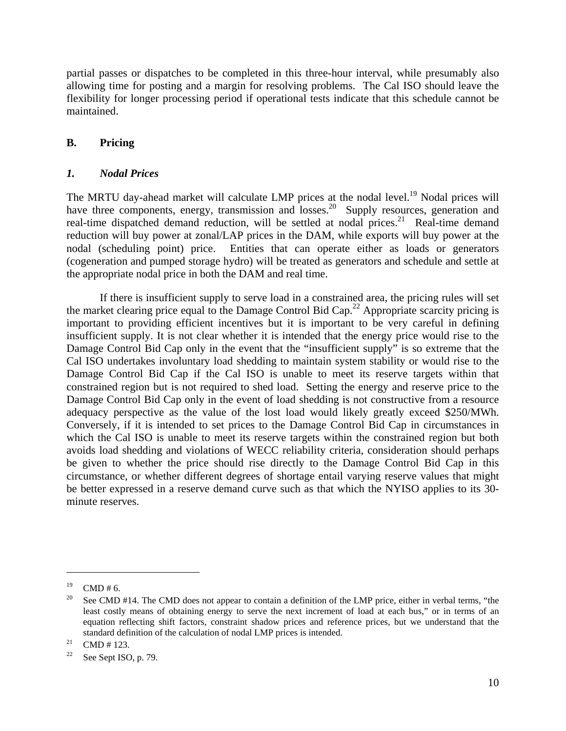partial passes or dispatches to be completed in this three-hour interval, while presumably also allowing time for posting and a margin for resolving problems. The Cal ISO should leave the flexibility for longer processing period if operational tests indicate that this schedule cannot be maintained.

## **B. Pricing**

## *1. Nodal Prices*

The MRTU day-ahead market will calculate LMP prices at the nodal level.<sup>19</sup> Nodal prices will have three components, energy, transmission and losses.<sup>20</sup> Supply resources, generation and real-time dispatched demand reduction, will be settled at nodal prices.<sup>21</sup> Real-time demand reduction will buy power at zonal/LAP prices in the DAM, while exports will buy power at the nodal (scheduling point) price. Entities that can operate either as loads or generators (cogeneration and pumped storage hydro) will be treated as generators and schedule and settle at the appropriate nodal price in both the DAM and real time.

 If there is insufficient supply to serve load in a constrained area, the pricing rules will set the market clearing price equal to the Damage Control Bid Cap.<sup>22</sup> Appropriate scarcity pricing is important to providing efficient incentives but it is important to be very careful in defining insufficient supply. It is not clear whether it is intended that the energy price would rise to the Damage Control Bid Cap only in the event that the "insufficient supply" is so extreme that the Cal ISO undertakes involuntary load shedding to maintain system stability or would rise to the Damage Control Bid Cap if the Cal ISO is unable to meet its reserve targets within that constrained region but is not required to shed load. Setting the energy and reserve price to the Damage Control Bid Cap only in the event of load shedding is not constructive from a resource adequacy perspective as the value of the lost load would likely greatly exceed \$250/MWh. Conversely, if it is intended to set prices to the Damage Control Bid Cap in circumstances in which the Cal ISO is unable to meet its reserve targets within the constrained region but both avoids load shedding and violations of WECC reliability criteria, consideration should perhaps be given to whether the price should rise directly to the Damage Control Bid Cap in this circumstance, or whether different degrees of shortage entail varying reserve values that might be better expressed in a reserve demand curve such as that which the NYISO applies to its 30 minute reserves.

 $19$  CMD # 6.

<sup>&</sup>lt;sup>20</sup> See CMD #14. The CMD does not appear to contain a definition of the LMP price, either in verbal terms, "the least costly means of obtaining energy to serve the next increment of load at each bus," or in terms of an equation reflecting shift factors, constraint shadow prices and reference prices, but we understand that the standard definition of the calculation of nodal LMP prices is intended.<br><sup>21</sup> CMD # 123.

<sup>&</sup>lt;sup>22</sup> See Sept ISO, p. 79.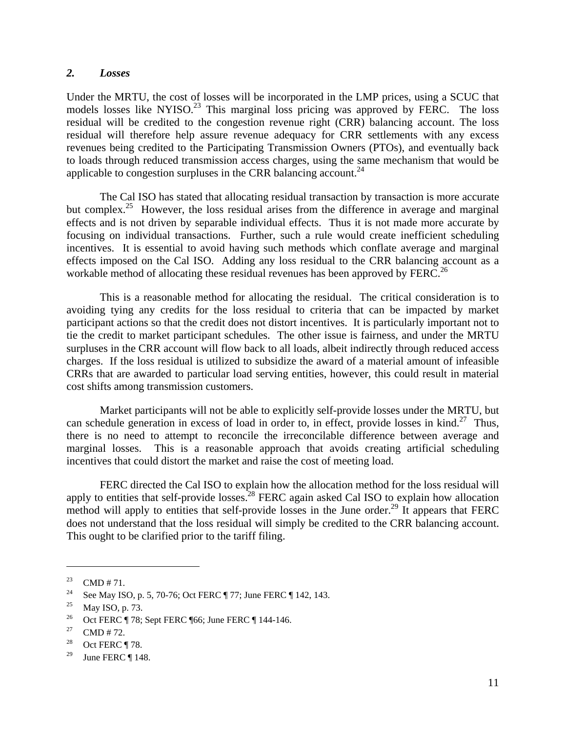#### *2. Losses*

Under the MRTU, the cost of losses will be incorporated in the LMP prices, using a SCUC that models losses like NYISO.<sup>23</sup> This marginal loss pricing was approved by FERC. The loss residual will be credited to the congestion revenue right (CRR) balancing account. The loss residual will therefore help assure revenue adequacy for CRR settlements with any excess revenues being credited to the Participating Transmission Owners (PTOs), and eventually back to loads through reduced transmission access charges, using the same mechanism that would be applicable to congestion surpluses in the CRR balancing account.<sup>24</sup>

The Cal ISO has stated that allocating residual transaction by transaction is more accurate but complex.<sup>25</sup> However, the loss residual arises from the difference in average and marginal effects and is not driven by separable individual effects. Thus it is not made more accurate by focusing on individual transactions. Further, such a rule would create inefficient scheduling incentives. It is essential to avoid having such methods which conflate average and marginal effects imposed on the Cal ISO. Adding any loss residual to the CRR balancing account as a workable method of allocating these residual revenues has been approved by FERC.<sup>26</sup>

 This is a reasonable method for allocating the residual. The critical consideration is to avoiding tying any credits for the loss residual to criteria that can be impacted by market participant actions so that the credit does not distort incentives. It is particularly important not to tie the credit to market participant schedules. The other issue is fairness, and under the MRTU surpluses in the CRR account will flow back to all loads, albeit indirectly through reduced access charges. If the loss residual is utilized to subsidize the award of a material amount of infeasible CRRs that are awarded to particular load serving entities, however, this could result in material cost shifts among transmission customers.

 Market participants will not be able to explicitly self-provide losses under the MRTU, but can schedule generation in excess of load in order to, in effect, provide losses in kind.<sup>27</sup> Thus, there is no need to attempt to reconcile the irreconcilable difference between average and marginal losses. This is a reasonable approach that avoids creating artificial scheduling incentives that could distort the market and raise the cost of meeting load.

 FERC directed the Cal ISO to explain how the allocation method for the loss residual will apply to entities that self-provide losses.<sup>28</sup> FERC again asked Cal ISO to explain how allocation method will apply to entities that self-provide losses in the June order.<sup>29</sup> It appears that FERC does not understand that the loss residual will simply be credited to the CRR balancing account. This ought to be clarified prior to the tariff filing.

<sup>&</sup>lt;sup>23</sup> CMD # 71.

<sup>24</sup> See May ISO, p. 5, 70-76; Oct FERC ¶ 77; June FERC ¶ 142, 143.

<sup>&</sup>lt;sup>25</sup> May ISO, p. 73.

<sup>&</sup>lt;sup>26</sup> Oct FERC ¶ 78; Sept FERC ¶ 66; June FERC ¶ 144-146.

<sup>&</sup>lt;sup>27</sup> CMD # 72.

<sup>&</sup>lt;sup>28</sup> Oct FERC ¶ 78.

<sup>&</sup>lt;sup>29</sup> June FERC ¶ 148.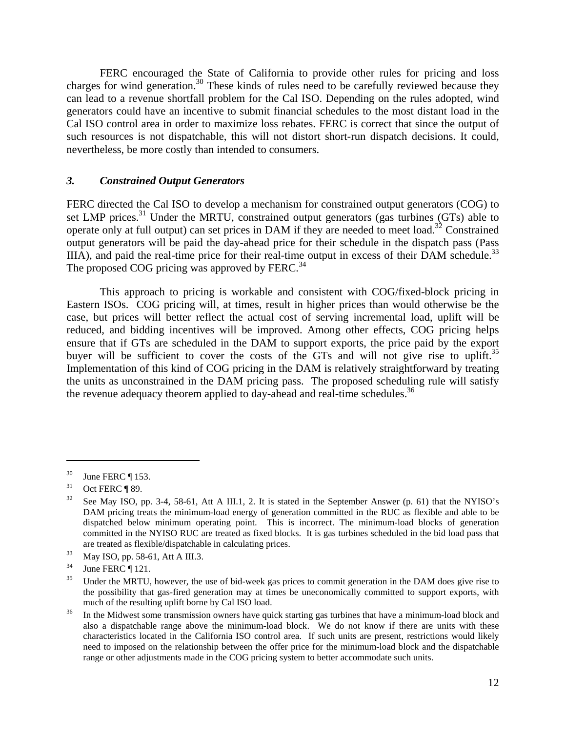FERC encouraged the State of California to provide other rules for pricing and loss charges for wind generation.<sup>30</sup> These kinds of rules need to be carefully reviewed because they can lead to a revenue shortfall problem for the Cal ISO. Depending on the rules adopted, wind generators could have an incentive to submit financial schedules to the most distant load in the Cal ISO control area in order to maximize loss rebates. FERC is correct that since the output of such resources is not dispatchable, this will not distort short-run dispatch decisions. It could, nevertheless, be more costly than intended to consumers.

#### *3. Constrained Output Generators*

FERC directed the Cal ISO to develop a mechanism for constrained output generators (COG) to set LMP prices.<sup>31</sup> Under the MRTU, constrained output generators (gas turbines (GTs) able to operate only at full output) can set prices in DAM if they are needed to meet load.<sup>32</sup> Constrained output generators will be paid the day-ahead price for their schedule in the dispatch pass (Pass IIIA), and paid the real-time price for their real-time output in excess of their DAM schedule.<sup>33</sup> The proposed COG pricing was approved by FERC.<sup>34</sup>

 This approach to pricing is workable and consistent with COG/fixed-block pricing in Eastern ISOs. COG pricing will, at times, result in higher prices than would otherwise be the case, but prices will better reflect the actual cost of serving incremental load, uplift will be reduced, and bidding incentives will be improved. Among other effects, COG pricing helps ensure that if GTs are scheduled in the DAM to support exports, the price paid by the export buyer will be sufficient to cover the costs of the GTs and will not give rise to uplift.<sup>35</sup> Implementation of this kind of COG pricing in the DAM is relatively straightforward by treating the units as unconstrained in the DAM pricing pass. The proposed scheduling rule will satisfy the revenue adequacy theorem applied to day-ahead and real-time schedules.<sup>36</sup>

 $30$  June FERC ¶ 153.

 $31$  Oct FERC ¶ 89.

 $32$  See May ISO, pp. 3-4, 58-61, Att A III.1, 2. It is stated in the September Answer (p. 61) that the NYISO's DAM pricing treats the minimum-load energy of generation committed in the RUC as flexible and able to be dispatched below minimum operating point. This is incorrect. The minimum-load blocks of generation committed in the NYISO RUC are treated as fixed blocks. It is gas turbines scheduled in the bid load pass that are treated as flexible/dispatchable in calculating prices.<br><sup>33</sup> May ISO, pp. 58-61, Att A III.3.

 $34$  June FERC ¶ 121.

<sup>&</sup>lt;sup>35</sup> Under the MRTU, however, the use of bid-week gas prices to commit generation in the DAM does give rise to the possibility that gas-fired generation may at times be uneconomically committed to support exports, with

much of the resulting uplift borne by Cal ISO load.<br><sup>36</sup> In the Midwest some transmission owners have quick starting gas turbines that have a minimum-load block and also a dispatchable range above the minimum-load block. We do not know if there are units with these characteristics located in the California ISO control area. If such units are present, restrictions would likely need to imposed on the relationship between the offer price for the minimum-load block and the dispatchable range or other adjustments made in the COG pricing system to better accommodate such units.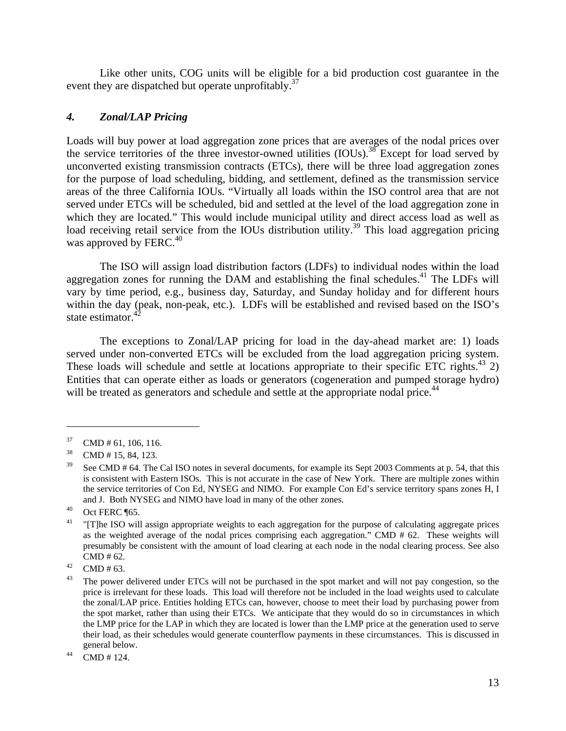Like other units, COG units will be eligible for a bid production cost guarantee in the event they are dispatched but operate unprofitably.<sup>37</sup>

## *4. Zonal/LAP Pricing*

Loads will buy power at load aggregation zone prices that are averages of the nodal prices over the service territories of the three investor-owned utilities (IOUs).<sup>38</sup> Except for load served by unconverted existing transmission contracts (ETCs), there will be three load aggregation zones for the purpose of load scheduling, bidding, and settlement, defined as the transmission service areas of the three California IOUs. "Virtually all loads within the ISO control area that are not served under ETCs will be scheduled, bid and settled at the level of the load aggregation zone in which they are located." This would include municipal utility and direct access load as well as load receiving retail service from the IOUs distribution utility.<sup>39</sup> This load aggregation pricing was approved by FERC. $40$ 

 The ISO will assign load distribution factors (LDFs) to individual nodes within the load aggregation zones for running the DAM and establishing the final schedules. $^{41}$  The LDFs will vary by time period, e.g., business day, Saturday, and Sunday holiday and for different hours within the day (peak, non-peak, etc.). LDFs will be established and revised based on the ISO's state estimator.<sup>4</sup>

 The exceptions to Zonal/LAP pricing for load in the day-ahead market are: 1) loads served under non-converted ETCs will be excluded from the load aggregation pricing system. These loads will schedule and settle at locations appropriate to their specific ETC rights.<sup>43</sup> 2) Entities that can operate either as loads or generators (cogeneration and pumped storage hydro) will be treated as generators and schedule and settle at the appropriate nodal price.<sup>44</sup>

 $37$  CMD # 61, 106, 116.

<sup>38</sup> CMD # 15, 84, 123.

 $39$  See CMD # 64. The Cal ISO notes in several documents, for example its Sept 2003 Comments at p. 54, that this is consistent with Eastern ISOs. This is not accurate in the case of New York. There are multiple zones within the service territories of Con Ed, NYSEG and NIMO. For example Con Ed's service territory spans zones H, I and J. Both NYSEG and NIMO have load in many of the other zones.<br>40 Oct FERC ¶65.

 $41$  "[T]he ISO will assign appropriate weights to each aggregation for the purpose of calculating aggregate prices as the weighted average of the nodal prices comprising each aggregation." CMD # 62. These weights will presumably be consistent with the amount of load clearing at each node in the nodal clearing process. See also CMD # 62.<br>  $^{42}$  CMD # 63.

<sup>&</sup>lt;sup>43</sup> The power delivered under ETCs will not be purchased in the spot market and will not pay congestion, so the price is irrelevant for these loads. This load will therefore not be included in the load weights used to calculate the zonal/LAP price. Entities holding ETCs can, however, choose to meet their load by purchasing power from the spot market, rather than using their ETCs. We anticipate that they would do so in circumstances in which the LMP price for the LAP in which they are located is lower than the LMP price at the generation used to serve their load, as their schedules would generate counterflow payments in these circumstances. This is discussed in general below.<br> $^{44}$  CMD # 124.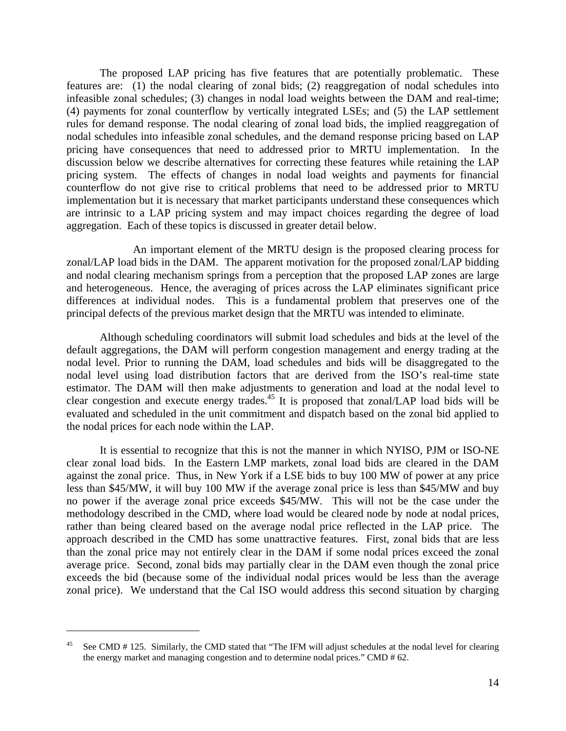The proposed LAP pricing has five features that are potentially problematic. These features are: (1) the nodal clearing of zonal bids; (2) reaggregation of nodal schedules into infeasible zonal schedules; (3) changes in nodal load weights between the DAM and real-time; (4) payments for zonal counterflow by vertically integrated LSEs; and (5) the LAP settlement rules for demand response. The nodal clearing of zonal load bids, the implied reaggregation of nodal schedules into infeasible zonal schedules, and the demand response pricing based on LAP pricing have consequences that need to addressed prior to MRTU implementation. In the discussion below we describe alternatives for correcting these features while retaining the LAP pricing system. The effects of changes in nodal load weights and payments for financial counterflow do not give rise to critical problems that need to be addressed prior to MRTU implementation but it is necessary that market participants understand these consequences which are intrinsic to a LAP pricing system and may impact choices regarding the degree of load aggregation. Each of these topics is discussed in greater detail below.

 An important element of the MRTU design is the proposed clearing process for zonal/LAP load bids in the DAM. The apparent motivation for the proposed zonal/LAP bidding and nodal clearing mechanism springs from a perception that the proposed LAP zones are large and heterogeneous. Hence, the averaging of prices across the LAP eliminates significant price differences at individual nodes. This is a fundamental problem that preserves one of the principal defects of the previous market design that the MRTU was intended to eliminate.

Although scheduling coordinators will submit load schedules and bids at the level of the default aggregations, the DAM will perform congestion management and energy trading at the nodal level. Prior to running the DAM, load schedules and bids will be disaggregated to the nodal level using load distribution factors that are derived from the ISO's real-time state estimator. The DAM will then make adjustments to generation and load at the nodal level to clear congestion and execute energy trades.45 It is proposed that zonal/LAP load bids will be evaluated and scheduled in the unit commitment and dispatch based on the zonal bid applied to the nodal prices for each node within the LAP.

 It is essential to recognize that this is not the manner in which NYISO, PJM or ISO-NE clear zonal load bids. In the Eastern LMP markets, zonal load bids are cleared in the DAM against the zonal price. Thus, in New York if a LSE bids to buy 100 MW of power at any price less than \$45/MW, it will buy 100 MW if the average zonal price is less than \$45/MW and buy no power if the average zonal price exceeds \$45/MW. This will not be the case under the methodology described in the CMD, where load would be cleared node by node at nodal prices, rather than being cleared based on the average nodal price reflected in the LAP price. The approach described in the CMD has some unattractive features. First, zonal bids that are less than the zonal price may not entirely clear in the DAM if some nodal prices exceed the zonal average price. Second, zonal bids may partially clear in the DAM even though the zonal price exceeds the bid (because some of the individual nodal prices would be less than the average zonal price). We understand that the Cal ISO would address this second situation by charging

<sup>&</sup>lt;sup>45</sup> See CMD  $# 125$ . Similarly, the CMD stated that "The IFM will adjust schedules at the nodal level for clearing the energy market and managing congestion and to determine nodal prices." CMD # 62.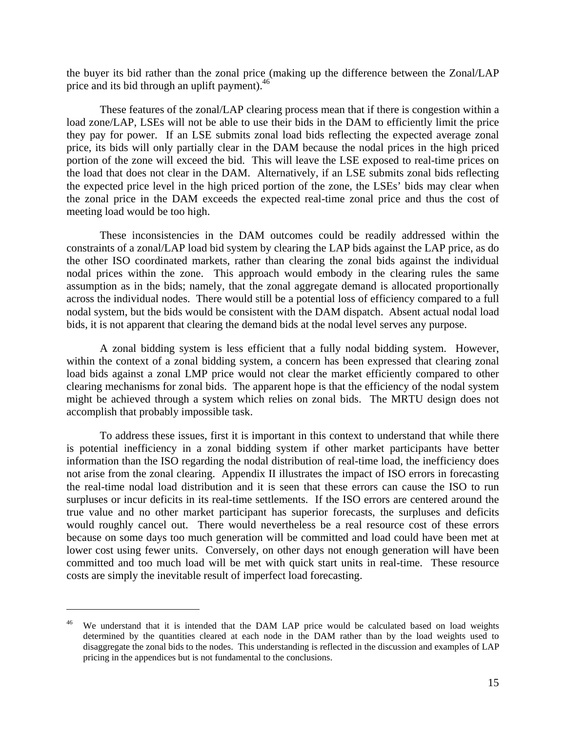the buyer its bid rather than the zonal price (making up the difference between the Zonal/LAP price and its bid through an uplift payment).<sup>46</sup>

 These features of the zonal/LAP clearing process mean that if there is congestion within a load zone/LAP, LSEs will not be able to use their bids in the DAM to efficiently limit the price they pay for power. If an LSE submits zonal load bids reflecting the expected average zonal price, its bids will only partially clear in the DAM because the nodal prices in the high priced portion of the zone will exceed the bid. This will leave the LSE exposed to real-time prices on the load that does not clear in the DAM. Alternatively, if an LSE submits zonal bids reflecting the expected price level in the high priced portion of the zone, the LSEs' bids may clear when the zonal price in the DAM exceeds the expected real-time zonal price and thus the cost of meeting load would be too high.

 These inconsistencies in the DAM outcomes could be readily addressed within the constraints of a zonal/LAP load bid system by clearing the LAP bids against the LAP price, as do the other ISO coordinated markets, rather than clearing the zonal bids against the individual nodal prices within the zone. This approach would embody in the clearing rules the same assumption as in the bids; namely, that the zonal aggregate demand is allocated proportionally across the individual nodes. There would still be a potential loss of efficiency compared to a full nodal system, but the bids would be consistent with the DAM dispatch. Absent actual nodal load bids, it is not apparent that clearing the demand bids at the nodal level serves any purpose.

 A zonal bidding system is less efficient that a fully nodal bidding system. However, within the context of a zonal bidding system, a concern has been expressed that clearing zonal load bids against a zonal LMP price would not clear the market efficiently compared to other clearing mechanisms for zonal bids. The apparent hope is that the efficiency of the nodal system might be achieved through a system which relies on zonal bids. The MRTU design does not accomplish that probably impossible task.

 To address these issues, first it is important in this context to understand that while there is potential inefficiency in a zonal bidding system if other market participants have better information than the ISO regarding the nodal distribution of real-time load, the inefficiency does not arise from the zonal clearing. Appendix II illustrates the impact of ISO errors in forecasting the real-time nodal load distribution and it is seen that these errors can cause the ISO to run surpluses or incur deficits in its real-time settlements. If the ISO errors are centered around the true value and no other market participant has superior forecasts, the surpluses and deficits would roughly cancel out. There would nevertheless be a real resource cost of these errors because on some days too much generation will be committed and load could have been met at lower cost using fewer units. Conversely, on other days not enough generation will have been committed and too much load will be met with quick start units in real-time. These resource costs are simply the inevitable result of imperfect load forecasting.

We understand that it is intended that the DAM LAP price would be calculated based on load weights determined by the quantities cleared at each node in the DAM rather than by the load weights used to disaggregate the zonal bids to the nodes. This understanding is reflected in the discussion and examples of LAP pricing in the appendices but is not fundamental to the conclusions.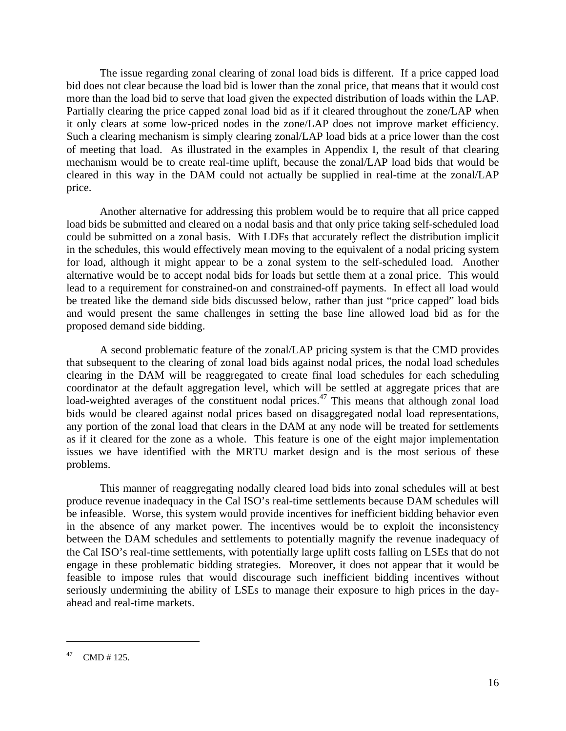The issue regarding zonal clearing of zonal load bids is different. If a price capped load bid does not clear because the load bid is lower than the zonal price, that means that it would cost more than the load bid to serve that load given the expected distribution of loads within the LAP. Partially clearing the price capped zonal load bid as if it cleared throughout the zone/LAP when it only clears at some low-priced nodes in the zone/LAP does not improve market efficiency. Such a clearing mechanism is simply clearing zonal/LAP load bids at a price lower than the cost of meeting that load. As illustrated in the examples in Appendix I, the result of that clearing mechanism would be to create real-time uplift, because the zonal/LAP load bids that would be cleared in this way in the DAM could not actually be supplied in real-time at the zonal/LAP price.

 Another alternative for addressing this problem would be to require that all price capped load bids be submitted and cleared on a nodal basis and that only price taking self-scheduled load could be submitted on a zonal basis. With LDFs that accurately reflect the distribution implicit in the schedules, this would effectively mean moving to the equivalent of a nodal pricing system for load, although it might appear to be a zonal system to the self-scheduled load. Another alternative would be to accept nodal bids for loads but settle them at a zonal price. This would lead to a requirement for constrained-on and constrained-off payments. In effect all load would be treated like the demand side bids discussed below, rather than just "price capped" load bids and would present the same challenges in setting the base line allowed load bid as for the proposed demand side bidding.

 A second problematic feature of the zonal/LAP pricing system is that the CMD provides that subsequent to the clearing of zonal load bids against nodal prices, the nodal load schedules clearing in the DAM will be reaggregated to create final load schedules for each scheduling coordinator at the default aggregation level, which will be settled at aggregate prices that are load-weighted averages of the constituent nodal prices.<sup>47</sup> This means that although zonal load bids would be cleared against nodal prices based on disaggregated nodal load representations, any portion of the zonal load that clears in the DAM at any node will be treated for settlements as if it cleared for the zone as a whole. This feature is one of the eight major implementation issues we have identified with the MRTU market design and is the most serious of these problems.

 This manner of reaggregating nodally cleared load bids into zonal schedules will at best produce revenue inadequacy in the Cal ISO's real-time settlements because DAM schedules will be infeasible. Worse, this system would provide incentives for inefficient bidding behavior even in the absence of any market power. The incentives would be to exploit the inconsistency between the DAM schedules and settlements to potentially magnify the revenue inadequacy of the Cal ISO's real-time settlements, with potentially large uplift costs falling on LSEs that do not engage in these problematic bidding strategies. Moreover, it does not appear that it would be feasible to impose rules that would discourage such inefficient bidding incentives without seriously undermining the ability of LSEs to manage their exposure to high prices in the dayahead and real-time markets.

 $47$  CMD # 125.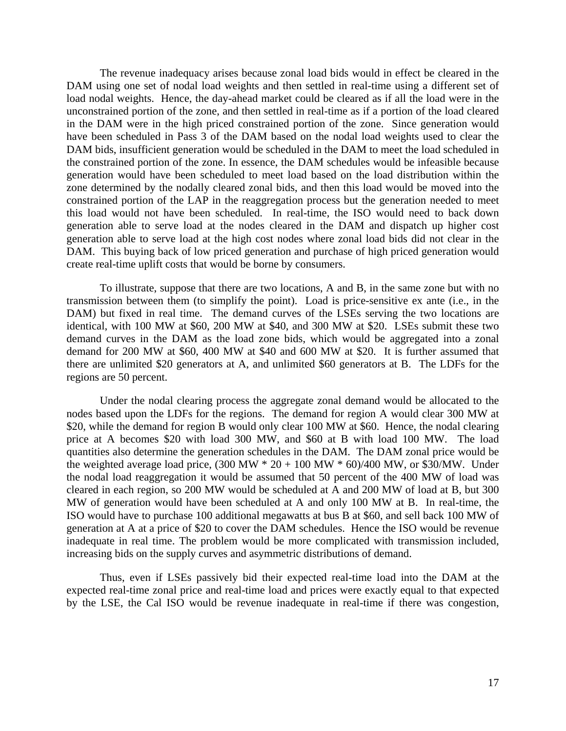The revenue inadequacy arises because zonal load bids would in effect be cleared in the DAM using one set of nodal load weights and then settled in real-time using a different set of load nodal weights. Hence, the day-ahead market could be cleared as if all the load were in the unconstrained portion of the zone, and then settled in real-time as if a portion of the load cleared in the DAM were in the high priced constrained portion of the zone. Since generation would have been scheduled in Pass 3 of the DAM based on the nodal load weights used to clear the DAM bids, insufficient generation would be scheduled in the DAM to meet the load scheduled in the constrained portion of the zone. In essence, the DAM schedules would be infeasible because generation would have been scheduled to meet load based on the load distribution within the zone determined by the nodally cleared zonal bids, and then this load would be moved into the constrained portion of the LAP in the reaggregation process but the generation needed to meet this load would not have been scheduled. In real-time, the ISO would need to back down generation able to serve load at the nodes cleared in the DAM and dispatch up higher cost generation able to serve load at the high cost nodes where zonal load bids did not clear in the DAM. This buying back of low priced generation and purchase of high priced generation would create real-time uplift costs that would be borne by consumers.

 To illustrate, suppose that there are two locations, A and B, in the same zone but with no transmission between them (to simplify the point). Load is price-sensitive ex ante (i.e., in the DAM) but fixed in real time. The demand curves of the LSEs serving the two locations are identical, with 100 MW at \$60, 200 MW at \$40, and 300 MW at \$20. LSEs submit these two demand curves in the DAM as the load zone bids, which would be aggregated into a zonal demand for 200 MW at \$60, 400 MW at \$40 and 600 MW at \$20. It is further assumed that there are unlimited \$20 generators at A, and unlimited \$60 generators at B. The LDFs for the regions are 50 percent.

 Under the nodal clearing process the aggregate zonal demand would be allocated to the nodes based upon the LDFs for the regions. The demand for region A would clear 300 MW at \$20, while the demand for region B would only clear 100 MW at \$60. Hence, the nodal clearing price at A becomes \$20 with load 300 MW, and \$60 at B with load 100 MW. The load quantities also determine the generation schedules in the DAM. The DAM zonal price would be the weighted average load price,  $(300 \text{ MW} * 20 + 100 \text{ MW} * 60)/400 \text{ MW}$ , or \$30/MW. Under the nodal load reaggregation it would be assumed that 50 percent of the 400 MW of load was cleared in each region, so 200 MW would be scheduled at  $\overline{A}$  and 200 MW of load at B, but 300 MW of generation would have been scheduled at A and only 100 MW at B. In real-time, the ISO would have to purchase 100 additional megawatts at bus B at \$60, and sell back 100 MW of generation at A at a price of \$20 to cover the DAM schedules. Hence the ISO would be revenue inadequate in real time. The problem would be more complicated with transmission included, increasing bids on the supply curves and asymmetric distributions of demand.

 Thus, even if LSEs passively bid their expected real-time load into the DAM at the expected real-time zonal price and real-time load and prices were exactly equal to that expected by the LSE, the Cal ISO would be revenue inadequate in real-time if there was congestion,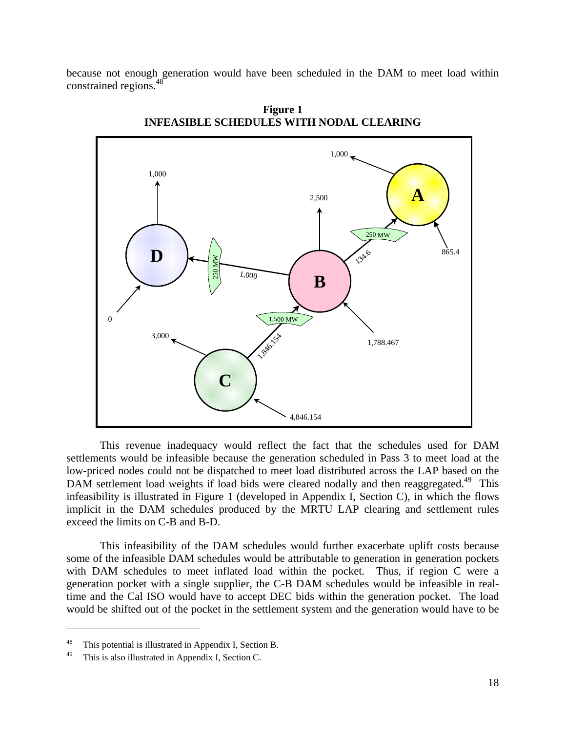because not enough generation would have been scheduled in the DAM to meet load within constrained regions.48



**Figure 1 INFEASIBLE SCHEDULES WITH NODAL CLEARING** 

 This revenue inadequacy would reflect the fact that the schedules used for DAM settlements would be infeasible because the generation scheduled in Pass 3 to meet load at the low-priced nodes could not be dispatched to meet load distributed across the LAP based on the DAM settlement load weights if load bids were cleared nodally and then reaggregated.<sup>49</sup> This infeasibility is illustrated in Figure 1 (developed in Appendix I, Section C), in which the flows implicit in the DAM schedules produced by the MRTU LAP clearing and settlement rules exceed the limits on C-B and B-D.

 This infeasibility of the DAM schedules would further exacerbate uplift costs because some of the infeasible DAM schedules would be attributable to generation in generation pockets with DAM schedules to meet inflated load within the pocket. Thus, if region C were a generation pocket with a single supplier, the C-B DAM schedules would be infeasible in realtime and the Cal ISO would have to accept DEC bids within the generation pocket. The load would be shifted out of the pocket in the settlement system and the generation would have to be

1

<sup>48</sup> This potential is illustrated in Appendix I, Section B.

<sup>49</sup> This is also illustrated in Appendix I, Section C.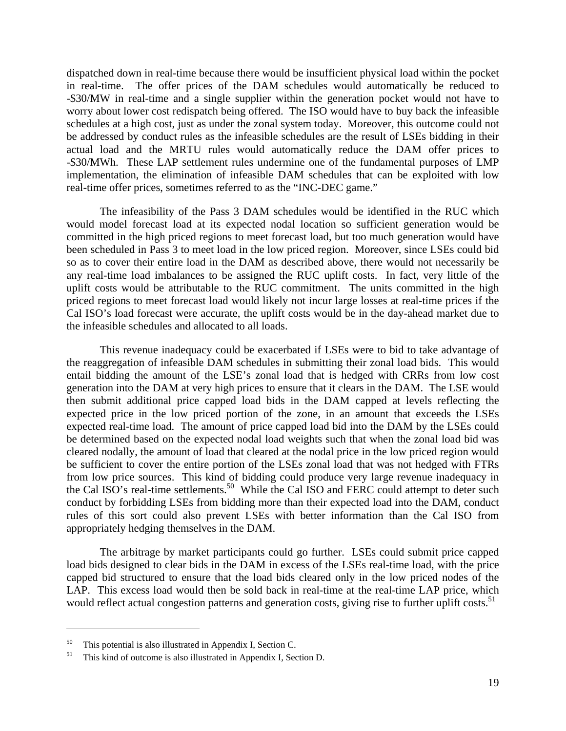dispatched down in real-time because there would be insufficient physical load within the pocket in real-time. The offer prices of the DAM schedules would automatically be reduced to -\$30/MW in real-time and a single supplier within the generation pocket would not have to worry about lower cost redispatch being offered. The ISO would have to buy back the infeasible schedules at a high cost, just as under the zonal system today. Moreover, this outcome could not be addressed by conduct rules as the infeasible schedules are the result of LSEs bidding in their actual load and the MRTU rules would automatically reduce the DAM offer prices to -\$30/MWh. These LAP settlement rules undermine one of the fundamental purposes of LMP implementation, the elimination of infeasible DAM schedules that can be exploited with low real-time offer prices, sometimes referred to as the "INC-DEC game."

 The infeasibility of the Pass 3 DAM schedules would be identified in the RUC which would model forecast load at its expected nodal location so sufficient generation would be committed in the high priced regions to meet forecast load, but too much generation would have been scheduled in Pass 3 to meet load in the low priced region. Moreover, since LSEs could bid so as to cover their entire load in the DAM as described above, there would not necessarily be any real-time load imbalances to be assigned the RUC uplift costs. In fact, very little of the uplift costs would be attributable to the RUC commitment. The units committed in the high priced regions to meet forecast load would likely not incur large losses at real-time prices if the Cal ISO's load forecast were accurate, the uplift costs would be in the day-ahead market due to the infeasible schedules and allocated to all loads.

 This revenue inadequacy could be exacerbated if LSEs were to bid to take advantage of the reaggregation of infeasible DAM schedules in submitting their zonal load bids. This would entail bidding the amount of the LSE's zonal load that is hedged with CRRs from low cost generation into the DAM at very high prices to ensure that it clears in the DAM. The LSE would then submit additional price capped load bids in the DAM capped at levels reflecting the expected price in the low priced portion of the zone, in an amount that exceeds the LSEs expected real-time load. The amount of price capped load bid into the DAM by the LSEs could be determined based on the expected nodal load weights such that when the zonal load bid was cleared nodally, the amount of load that cleared at the nodal price in the low priced region would be sufficient to cover the entire portion of the LSEs zonal load that was not hedged with FTRs from low price sources. This kind of bidding could produce very large revenue inadequacy in the Cal ISO's real-time settlements.<sup>50</sup> While the Cal ISO and FERC could attempt to deter such conduct by forbidding LSEs from bidding more than their expected load into the DAM, conduct rules of this sort could also prevent LSEs with better information than the Cal ISO from appropriately hedging themselves in the DAM.

 The arbitrage by market participants could go further. LSEs could submit price capped load bids designed to clear bids in the DAM in excess of the LSEs real-time load, with the price capped bid structured to ensure that the load bids cleared only in the low priced nodes of the LAP. This excess load would then be sold back in real-time at the real-time LAP price, which would reflect actual congestion patterns and generation costs, giving rise to further uplift costs.<sup>51</sup>

<sup>&</sup>lt;sup>50</sup> This potential is also illustrated in Appendix I, Section C.<br><sup>51</sup> This kind of outcome is also illustrated in Appendix I, Sec

This kind of outcome is also illustrated in Appendix I, Section D.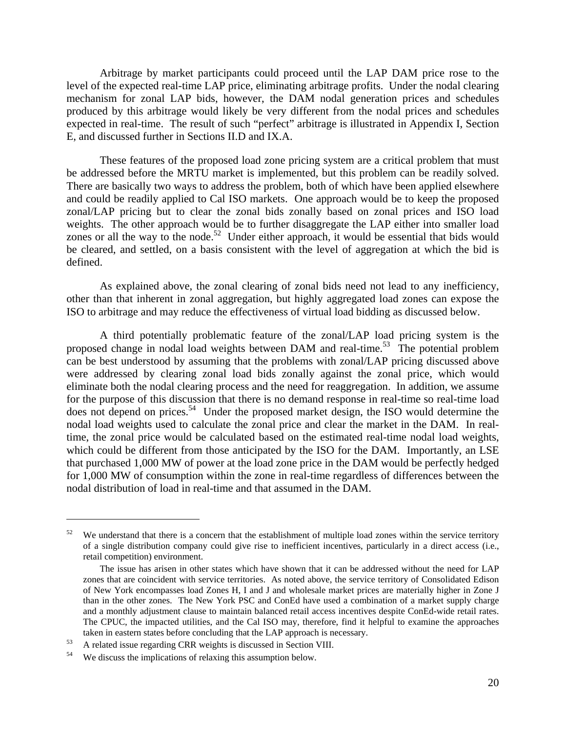Arbitrage by market participants could proceed until the LAP DAM price rose to the level of the expected real-time LAP price, eliminating arbitrage profits. Under the nodal clearing mechanism for zonal LAP bids, however, the DAM nodal generation prices and schedules produced by this arbitrage would likely be very different from the nodal prices and schedules expected in real-time. The result of such "perfect" arbitrage is illustrated in Appendix I, Section E, and discussed further in Sections II.D and IX.A.

 These features of the proposed load zone pricing system are a critical problem that must be addressed before the MRTU market is implemented, but this problem can be readily solved. There are basically two ways to address the problem, both of which have been applied elsewhere and could be readily applied to Cal ISO markets. One approach would be to keep the proposed zonal/LAP pricing but to clear the zonal bids zonally based on zonal prices and ISO load weights. The other approach would be to further disaggregate the LAP either into smaller load zones or all the way to the node.<sup>52</sup> Under either approach, it would be essential that bids would be cleared, and settled, on a basis consistent with the level of aggregation at which the bid is defined.

 As explained above, the zonal clearing of zonal bids need not lead to any inefficiency, other than that inherent in zonal aggregation, but highly aggregated load zones can expose the ISO to arbitrage and may reduce the effectiveness of virtual load bidding as discussed below.

 A third potentially problematic feature of the zonal/LAP load pricing system is the proposed change in nodal load weights between  $DAM$  and real-time.<sup>53</sup> The potential problem can be best understood by assuming that the problems with zonal/LAP pricing discussed above were addressed by clearing zonal load bids zonally against the zonal price, which would eliminate both the nodal clearing process and the need for reaggregation. In addition, we assume for the purpose of this discussion that there is no demand response in real-time so real-time load does not depend on prices.<sup>54</sup> Under the proposed market design, the ISO would determine the nodal load weights used to calculate the zonal price and clear the market in the DAM. In realtime, the zonal price would be calculated based on the estimated real-time nodal load weights, which could be different from those anticipated by the ISO for the DAM. Importantly, an LSE that purchased 1,000 MW of power at the load zone price in the DAM would be perfectly hedged for 1,000 MW of consumption within the zone in real-time regardless of differences between the nodal distribution of load in real-time and that assumed in the DAM.

 $52$  We understand that there is a concern that the establishment of multiple load zones within the service territory of a single distribution company could give rise to inefficient incentives, particularly in a direct access (i.e., retail competition) environment.

The issue has arisen in other states which have shown that it can be addressed without the need for LAP zones that are coincident with service territories. As noted above, the service territory of Consolidated Edison of New York encompasses load Zones H, I and J and wholesale market prices are materially higher in Zone J than in the other zones. The New York PSC and ConEd have used a combination of a market supply charge and a monthly adjustment clause to maintain balanced retail access incentives despite ConEd-wide retail rates. The CPUC, the impacted utilities, and the Cal ISO may, therefore, find it helpful to examine the approaches taken in eastern states before concluding that the LAP approach is necessary.<br>
<sup>53</sup> A related issue regarding CRR weights is discussed in Section VIII.<br>
<sup>54</sup> We discuss the implications of relaxing this assumption below.

We discuss the implications of relaxing this assumption below.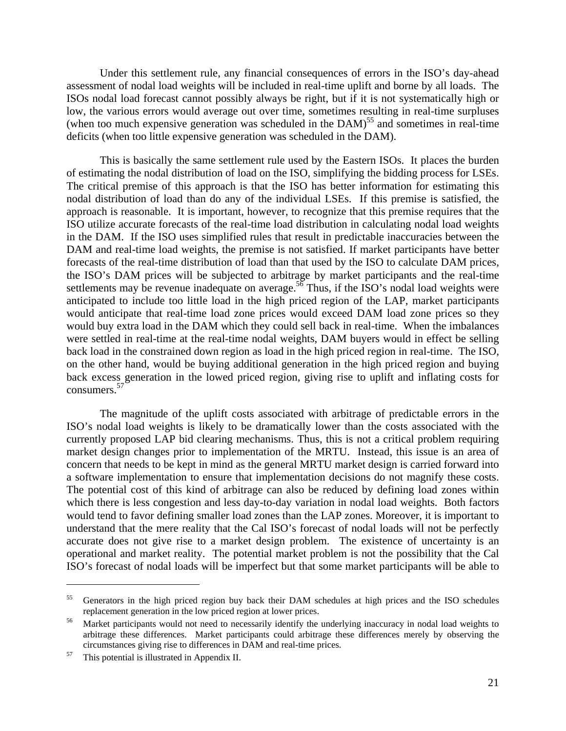Under this settlement rule, any financial consequences of errors in the ISO's day-ahead assessment of nodal load weights will be included in real-time uplift and borne by all loads. The ISOs nodal load forecast cannot possibly always be right, but if it is not systematically high or low, the various errors would average out over time, sometimes resulting in real-time surpluses (when too much expensive generation was scheduled in the  $DAM$ )<sup>55</sup> and sometimes in real-time deficits (when too little expensive generation was scheduled in the DAM).

 This is basically the same settlement rule used by the Eastern ISOs. It places the burden of estimating the nodal distribution of load on the ISO, simplifying the bidding process for LSEs. The critical premise of this approach is that the ISO has better information for estimating this nodal distribution of load than do any of the individual LSEs. If this premise is satisfied, the approach is reasonable. It is important, however, to recognize that this premise requires that the ISO utilize accurate forecasts of the real-time load distribution in calculating nodal load weights in the DAM. If the ISO uses simplified rules that result in predictable inaccuracies between the DAM and real-time load weights, the premise is not satisfied. If market participants have better forecasts of the real-time distribution of load than that used by the ISO to calculate DAM prices, the ISO's DAM prices will be subjected to arbitrage by market participants and the real-time settlements may be revenue inadequate on average.<sup>56</sup> Thus, if the ISO's nodal load weights were anticipated to include too little load in the high priced region of the LAP, market participants would anticipate that real-time load zone prices would exceed DAM load zone prices so they would buy extra load in the DAM which they could sell back in real-time. When the imbalances were settled in real-time at the real-time nodal weights, DAM buyers would in effect be selling back load in the constrained down region as load in the high priced region in real-time. The ISO, on the other hand, would be buying additional generation in the high priced region and buying back excess generation in the lowed priced region, giving rise to uplift and inflating costs for consumers.<sup>57</sup>

 The magnitude of the uplift costs associated with arbitrage of predictable errors in the ISO's nodal load weights is likely to be dramatically lower than the costs associated with the currently proposed LAP bid clearing mechanisms. Thus, this is not a critical problem requiring market design changes prior to implementation of the MRTU. Instead, this issue is an area of concern that needs to be kept in mind as the general MRTU market design is carried forward into a software implementation to ensure that implementation decisions do not magnify these costs. The potential cost of this kind of arbitrage can also be reduced by defining load zones within which there is less congestion and less day-to-day variation in nodal load weights. Both factors would tend to favor defining smaller load zones than the LAP zones. Moreover, it is important to understand that the mere reality that the Cal ISO's forecast of nodal loads will not be perfectly accurate does not give rise to a market design problem. The existence of uncertainty is an operational and market reality. The potential market problem is not the possibility that the Cal ISO's forecast of nodal loads will be imperfect but that some market participants will be able to

<sup>&</sup>lt;sup>55</sup> Generators in the high priced region buy back their DAM schedules at high prices and the ISO schedules replacement generation in the low priced region at lower prices.<br>Market participants would not need to necessarily identify the underlying inaccuracy in nodal load weights to

arbitrage these differences. Market participants could arbitrage these differences merely by observing the circumstances giving rise to differences in DAM and real-time prices. 57 This potential is illustrated in Appendix II.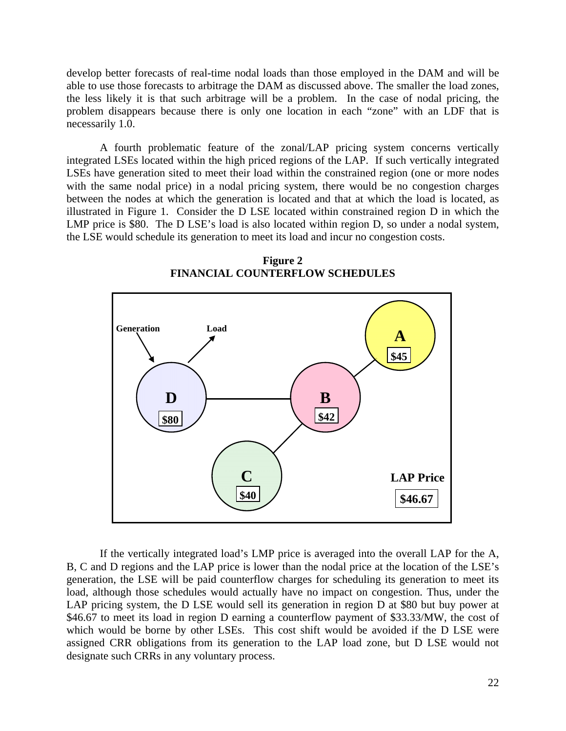develop better forecasts of real-time nodal loads than those employed in the DAM and will be able to use those forecasts to arbitrage the DAM as discussed above. The smaller the load zones, the less likely it is that such arbitrage will be a problem. In the case of nodal pricing, the problem disappears because there is only one location in each "zone" with an LDF that is necessarily 1.0.

 A fourth problematic feature of the zonal/LAP pricing system concerns vertically integrated LSEs located within the high priced regions of the LAP. If such vertically integrated LSEs have generation sited to meet their load within the constrained region (one or more nodes with the same nodal price) in a nodal pricing system, there would be no congestion charges between the nodes at which the generation is located and that at which the load is located, as illustrated in Figure 1. Consider the D LSE located within constrained region D in which the LMP price is \$80. The D LSE's load is also located within region D, so under a nodal system, the LSE would schedule its generation to meet its load and incur no congestion costs.



**Figure 2 FINANCIAL COUNTERFLOW SCHEDULES** 

 If the vertically integrated load's LMP price is averaged into the overall LAP for the A, B, C and D regions and the LAP price is lower than the nodal price at the location of the LSE's generation, the LSE will be paid counterflow charges for scheduling its generation to meet its load, although those schedules would actually have no impact on congestion. Thus, under the LAP pricing system, the D LSE would sell its generation in region D at \$80 but buy power at \$46.67 to meet its load in region D earning a counterflow payment of \$33.33/MW, the cost of which would be borne by other LSEs. This cost shift would be avoided if the D LSE were assigned CRR obligations from its generation to the LAP load zone, but D LSE would not designate such CRRs in any voluntary process.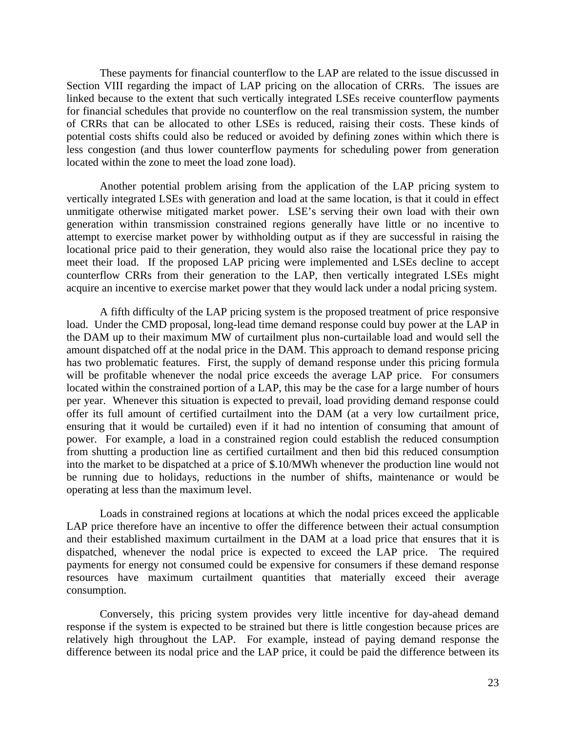These payments for financial counterflow to the LAP are related to the issue discussed in Section VIII regarding the impact of LAP pricing on the allocation of CRRs. The issues are linked because to the extent that such vertically integrated LSEs receive counterflow payments for financial schedules that provide no counterflow on the real transmission system, the number of CRRs that can be allocated to other LSEs is reduced, raising their costs. These kinds of potential costs shifts could also be reduced or avoided by defining zones within which there is less congestion (and thus lower counterflow payments for scheduling power from generation located within the zone to meet the load zone load).

 Another potential problem arising from the application of the LAP pricing system to vertically integrated LSEs with generation and load at the same location, is that it could in effect unmitigate otherwise mitigated market power. LSE's serving their own load with their own generation within transmission constrained regions generally have little or no incentive to attempt to exercise market power by withholding output as if they are successful in raising the locational price paid to their generation, they would also raise the locational price they pay to meet their load. If the proposed LAP pricing were implemented and LSEs decline to accept counterflow CRRs from their generation to the LAP, then vertically integrated LSEs might acquire an incentive to exercise market power that they would lack under a nodal pricing system.

 A fifth difficulty of the LAP pricing system is the proposed treatment of price responsive load. Under the CMD proposal, long-lead time demand response could buy power at the LAP in the DAM up to their maximum MW of curtailment plus non-curtailable load and would sell the amount dispatched off at the nodal price in the DAM. This approach to demand response pricing has two problematic features. First, the supply of demand response under this pricing formula will be profitable whenever the nodal price exceeds the average LAP price. For consumers located within the constrained portion of a LAP, this may be the case for a large number of hours per year. Whenever this situation is expected to prevail, load providing demand response could offer its full amount of certified curtailment into the DAM (at a very low curtailment price, ensuring that it would be curtailed) even if it had no intention of consuming that amount of power. For example, a load in a constrained region could establish the reduced consumption from shutting a production line as certified curtailment and then bid this reduced consumption into the market to be dispatched at a price of \$.10/MWh whenever the production line would not be running due to holidays, reductions in the number of shifts, maintenance or would be operating at less than the maximum level.

 Loads in constrained regions at locations at which the nodal prices exceed the applicable LAP price therefore have an incentive to offer the difference between their actual consumption and their established maximum curtailment in the DAM at a load price that ensures that it is dispatched, whenever the nodal price is expected to exceed the LAP price. The required payments for energy not consumed could be expensive for consumers if these demand response resources have maximum curtailment quantities that materially exceed their average consumption.

 Conversely, this pricing system provides very little incentive for day-ahead demand response if the system is expected to be strained but there is little congestion because prices are relatively high throughout the LAP. For example, instead of paying demand response the difference between its nodal price and the LAP price, it could be paid the difference between its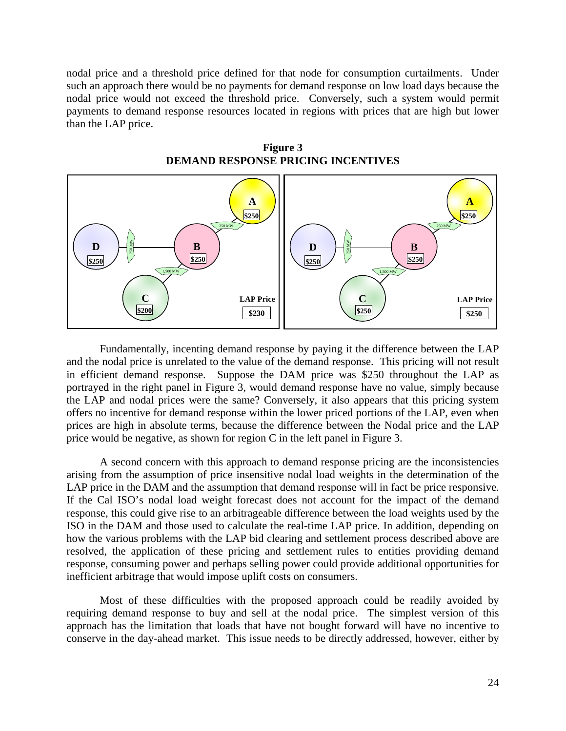nodal price and a threshold price defined for that node for consumption curtailments. Under such an approach there would be no payments for demand response on low load days because the nodal price would not exceed the threshold price. Conversely, such a system would permit payments to demand response resources located in regions with prices that are high but lower than the LAP price.





 Fundamentally, incenting demand response by paying it the difference between the LAP and the nodal price is unrelated to the value of the demand response. This pricing will not result in efficient demand response. Suppose the DAM price was \$250 throughout the LAP as portrayed in the right panel in Figure 3, would demand response have no value, simply because the LAP and nodal prices were the same? Conversely, it also appears that this pricing system offers no incentive for demand response within the lower priced portions of the LAP, even when prices are high in absolute terms, because the difference between the Nodal price and the LAP price would be negative, as shown for region C in the left panel in Figure 3.

 A second concern with this approach to demand response pricing are the inconsistencies arising from the assumption of price insensitive nodal load weights in the determination of the LAP price in the DAM and the assumption that demand response will in fact be price responsive. If the Cal ISO's nodal load weight forecast does not account for the impact of the demand response, this could give rise to an arbitrageable difference between the load weights used by the ISO in the DAM and those used to calculate the real-time LAP price. In addition, depending on how the various problems with the LAP bid clearing and settlement process described above are resolved, the application of these pricing and settlement rules to entities providing demand response, consuming power and perhaps selling power could provide additional opportunities for inefficient arbitrage that would impose uplift costs on consumers.

 Most of these difficulties with the proposed approach could be readily avoided by requiring demand response to buy and sell at the nodal price. The simplest version of this approach has the limitation that loads that have not bought forward will have no incentive to conserve in the day-ahead market. This issue needs to be directly addressed, however, either by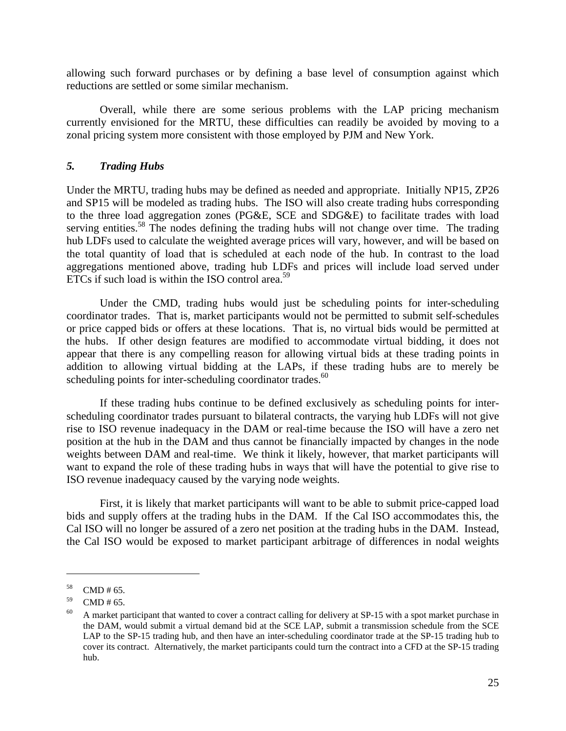allowing such forward purchases or by defining a base level of consumption against which reductions are settled or some similar mechanism.

 Overall, while there are some serious problems with the LAP pricing mechanism currently envisioned for the MRTU, these difficulties can readily be avoided by moving to a zonal pricing system more consistent with those employed by PJM and New York.

## *5. Trading Hubs*

Under the MRTU, trading hubs may be defined as needed and appropriate. Initially NP15, ZP26 and SP15 will be modeled as trading hubs. The ISO will also create trading hubs corresponding to the three load aggregation zones (PG&E, SCE and SDG&E) to facilitate trades with load serving entities.<sup>58</sup> The nodes defining the trading hubs will not change over time. The trading hub LDFs used to calculate the weighted average prices will vary, however, and will be based on the total quantity of load that is scheduled at each node of the hub. In contrast to the load aggregations mentioned above, trading hub LDFs and prices will include load served under ETCs if such load is within the ISO control area. $59$ 

 Under the CMD, trading hubs would just be scheduling points for inter-scheduling coordinator trades. That is, market participants would not be permitted to submit self-schedules or price capped bids or offers at these locations. That is, no virtual bids would be permitted at the hubs. If other design features are modified to accommodate virtual bidding, it does not appear that there is any compelling reason for allowing virtual bids at these trading points in addition to allowing virtual bidding at the LAPs, if these trading hubs are to merely be scheduling points for inter-scheduling coordinator trades. $60$ 

 If these trading hubs continue to be defined exclusively as scheduling points for interscheduling coordinator trades pursuant to bilateral contracts, the varying hub LDFs will not give rise to ISO revenue inadequacy in the DAM or real-time because the ISO will have a zero net position at the hub in the DAM and thus cannot be financially impacted by changes in the node weights between DAM and real-time. We think it likely, however, that market participants will want to expand the role of these trading hubs in ways that will have the potential to give rise to ISO revenue inadequacy caused by the varying node weights.

 First, it is likely that market participants will want to be able to submit price-capped load bids and supply offers at the trading hubs in the DAM. If the Cal ISO accommodates this, the Cal ISO will no longer be assured of a zero net position at the trading hubs in the DAM. Instead, the Cal ISO would be exposed to market participant arbitrage of differences in nodal weights

<u>.</u>

 $58$  CMD # 65.

 $59$  CMD # 65.

 $60$  A market participant that wanted to cover a contract calling for delivery at SP-15 with a spot market purchase in the DAM, would submit a virtual demand bid at the SCE LAP, submit a transmission schedule from the SCE LAP to the SP-15 trading hub, and then have an inter-scheduling coordinator trade at the SP-15 trading hub to cover its contract. Alternatively, the market participants could turn the contract into a CFD at the SP-15 trading hub.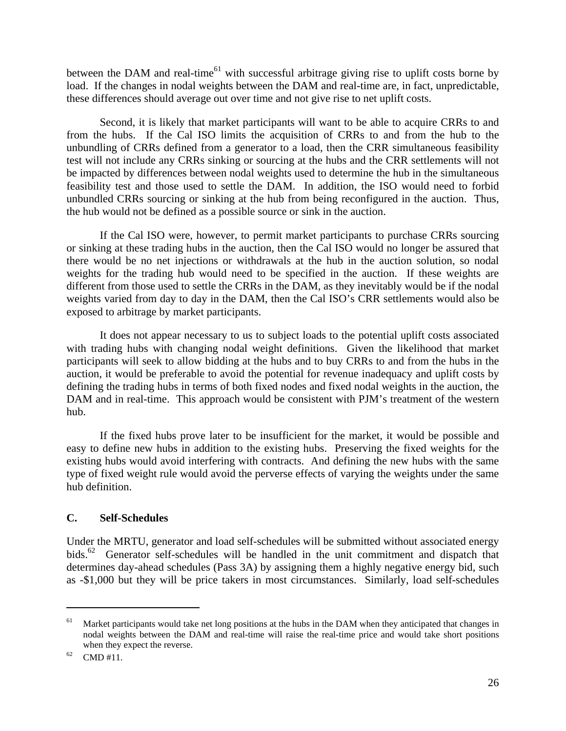between the DAM and real-time<sup>61</sup> with successful arbitrage giving rise to uplift costs borne by load. If the changes in nodal weights between the DAM and real-time are, in fact, unpredictable, these differences should average out over time and not give rise to net uplift costs.

 Second, it is likely that market participants will want to be able to acquire CRRs to and from the hubs. If the Cal ISO limits the acquisition of CRRs to and from the hub to the unbundling of CRRs defined from a generator to a load, then the CRR simultaneous feasibility test will not include any CRRs sinking or sourcing at the hubs and the CRR settlements will not be impacted by differences between nodal weights used to determine the hub in the simultaneous feasibility test and those used to settle the DAM. In addition, the ISO would need to forbid unbundled CRRs sourcing or sinking at the hub from being reconfigured in the auction. Thus, the hub would not be defined as a possible source or sink in the auction.

 If the Cal ISO were, however, to permit market participants to purchase CRRs sourcing or sinking at these trading hubs in the auction, then the Cal ISO would no longer be assured that there would be no net injections or withdrawals at the hub in the auction solution, so nodal weights for the trading hub would need to be specified in the auction. If these weights are different from those used to settle the CRRs in the DAM, as they inevitably would be if the nodal weights varied from day to day in the DAM, then the Cal ISO's CRR settlements would also be exposed to arbitrage by market participants.

 It does not appear necessary to us to subject loads to the potential uplift costs associated with trading hubs with changing nodal weight definitions. Given the likelihood that market participants will seek to allow bidding at the hubs and to buy CRRs to and from the hubs in the auction, it would be preferable to avoid the potential for revenue inadequacy and uplift costs by defining the trading hubs in terms of both fixed nodes and fixed nodal weights in the auction, the DAM and in real-time. This approach would be consistent with PJM's treatment of the western hub.

 If the fixed hubs prove later to be insufficient for the market, it would be possible and easy to define new hubs in addition to the existing hubs. Preserving the fixed weights for the existing hubs would avoid interfering with contracts. And defining the new hubs with the same type of fixed weight rule would avoid the perverse effects of varying the weights under the same hub definition.

## **C. Self-Schedules**

Under the MRTU, generator and load self-schedules will be submitted without associated energy bids.<sup>62</sup> Generator self-schedules will be handled in the unit commitment and dispatch that determines day-ahead schedules (Pass 3A) by assigning them a highly negative energy bid, such as -\$1,000 but they will be price takers in most circumstances. Similarly, load self-schedules

1

<sup>&</sup>lt;sup>61</sup> Market participants would take net long positions at the hubs in the DAM when they anticipated that changes in nodal weights between the DAM and real-time will raise the real-time price and would take short positions when they expect the reverse.<br>  $62$  CMD #11.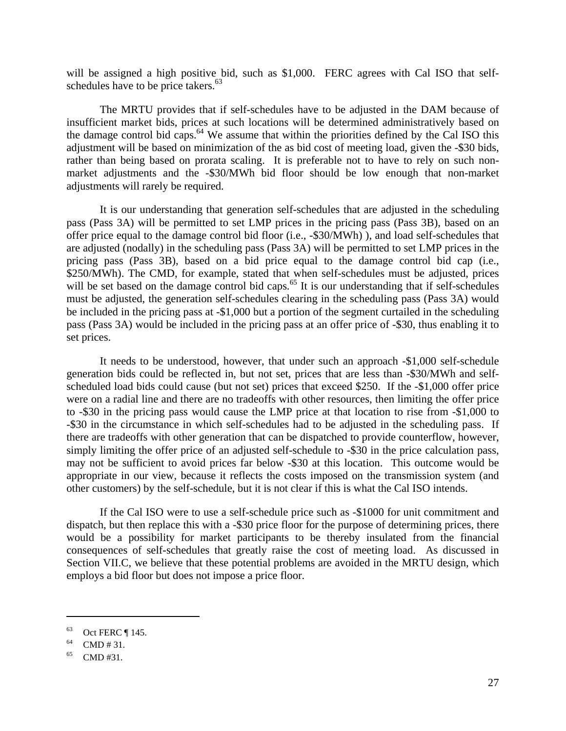will be assigned a high positive bid, such as \$1,000. FERC agrees with Cal ISO that selfschedules have to be price takers. $63$ 

 The MRTU provides that if self-schedules have to be adjusted in the DAM because of insufficient market bids, prices at such locations will be determined administratively based on the damage control bid caps.<sup>64</sup> We assume that within the priorities defined by the Cal ISO this adjustment will be based on minimization of the as bid cost of meeting load, given the -\$30 bids, rather than being based on prorata scaling. It is preferable not to have to rely on such nonmarket adjustments and the -\$30/MWh bid floor should be low enough that non-market adjustments will rarely be required.

 It is our understanding that generation self-schedules that are adjusted in the scheduling pass (Pass 3A) will be permitted to set LMP prices in the pricing pass (Pass 3B), based on an offer price equal to the damage control bid floor (i.e., -\$30/MWh) ), and load self-schedules that are adjusted (nodally) in the scheduling pass (Pass 3A) will be permitted to set LMP prices in the pricing pass (Pass 3B), based on a bid price equal to the damage control bid cap (i.e., \$250/MWh). The CMD, for example, stated that when self-schedules must be adjusted, prices will be set based on the damage control bid caps.<sup>65</sup> It is our understanding that if self-schedules must be adjusted, the generation self-schedules clearing in the scheduling pass (Pass 3A) would be included in the pricing pass at -\$1,000 but a portion of the segment curtailed in the scheduling pass (Pass 3A) would be included in the pricing pass at an offer price of -\$30, thus enabling it to set prices.

 It needs to be understood, however, that under such an approach -\$1,000 self-schedule generation bids could be reflected in, but not set, prices that are less than -\$30/MWh and selfscheduled load bids could cause (but not set) prices that exceed \$250. If the -\$1,000 offer price were on a radial line and there are no tradeoffs with other resources, then limiting the offer price to -\$30 in the pricing pass would cause the LMP price at that location to rise from -\$1,000 to -\$30 in the circumstance in which self-schedules had to be adjusted in the scheduling pass. If there are tradeoffs with other generation that can be dispatched to provide counterflow, however, simply limiting the offer price of an adjusted self-schedule to -\$30 in the price calculation pass, may not be sufficient to avoid prices far below -\$30 at this location. This outcome would be appropriate in our view, because it reflects the costs imposed on the transmission system (and other customers) by the self-schedule, but it is not clear if this is what the Cal ISO intends.

 If the Cal ISO were to use a self-schedule price such as -\$1000 for unit commitment and dispatch, but then replace this with a -\$30 price floor for the purpose of determining prices, there would be a possibility for market participants to be thereby insulated from the financial consequences of self-schedules that greatly raise the cost of meeting load. As discussed in Section VII.C, we believe that these potential problems are avoided in the MRTU design, which employs a bid floor but does not impose a price floor.

 $63$  Oct FERC ¶ 145.

 $^{64}$  CMD # 31.

 $^{65}$  CMD #31.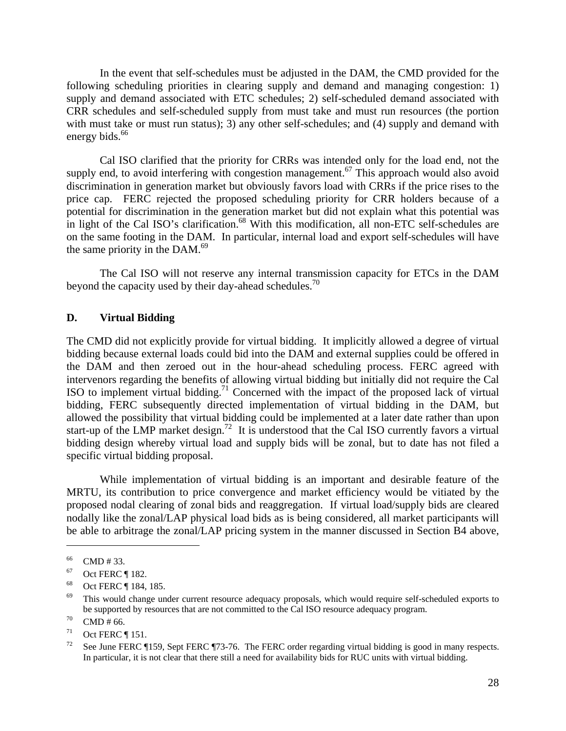In the event that self-schedules must be adjusted in the DAM, the CMD provided for the following scheduling priorities in clearing supply and demand and managing congestion: 1) supply and demand associated with ETC schedules; 2) self-scheduled demand associated with CRR schedules and self-scheduled supply from must take and must run resources (the portion with must take or must run status); 3) any other self-schedules; and (4) supply and demand with energy bids.<sup>66</sup>

 Cal ISO clarified that the priority for CRRs was intended only for the load end, not the supply end, to avoid interfering with congestion management.<sup>67</sup> This approach would also avoid discrimination in generation market but obviously favors load with CRRs if the price rises to the price cap. FERC rejected the proposed scheduling priority for CRR holders because of a potential for discrimination in the generation market but did not explain what this potential was in light of the Cal ISO's clarification.<sup>68</sup> With this modification, all non-ETC self-schedules are on the same footing in the DAM. In particular, internal load and export self-schedules will have the same priority in the  $DAM.<sup>69</sup>$ 

 The Cal ISO will not reserve any internal transmission capacity for ETCs in the DAM beyond the capacity used by their day-ahead schedules.<sup>70</sup>

#### **D. Virtual Bidding**

The CMD did not explicitly provide for virtual bidding. It implicitly allowed a degree of virtual bidding because external loads could bid into the DAM and external supplies could be offered in the DAM and then zeroed out in the hour-ahead scheduling process. FERC agreed with intervenors regarding the benefits of allowing virtual bidding but initially did not require the Cal ISO to implement virtual bidding.<sup>71</sup> Concerned with the impact of the proposed lack of virtual bidding, FERC subsequently directed implementation of virtual bidding in the DAM, but allowed the possibility that virtual bidding could be implemented at a later date rather than upon start-up of the LMP market design.<sup>72</sup> It is understood that the Cal ISO currently favors a virtual bidding design whereby virtual load and supply bids will be zonal, but to date has not filed a specific virtual bidding proposal.

 While implementation of virtual bidding is an important and desirable feature of the MRTU, its contribution to price convergence and market efficiency would be vitiated by the proposed nodal clearing of zonal bids and reaggregation. If virtual load/supply bids are cleared nodally like the zonal/LAP physical load bids as is being considered, all market participants will be able to arbitrage the zonal/LAP pricing system in the manner discussed in Section B4 above,

<sup>66</sup> CMD # 33.

 $67$  Oct FERC ¶ 182.

<sup>68</sup> Oct FERC ¶ 184, 185.

 $69$  This would change under current resource adequacy proposals, which would require self-scheduled exports to be supported by resources that are not committed to the Cal ISO resource adequacy program.<br>
<sup>70</sup> CMD # 66.

 $^{71}$  Oct FERC | 151.

See June FERC ¶159, Sept FERC ¶73-76. The FERC order regarding virtual bidding is good in many respects. In particular, it is not clear that there still a need for availability bids for RUC units with virtual bidding.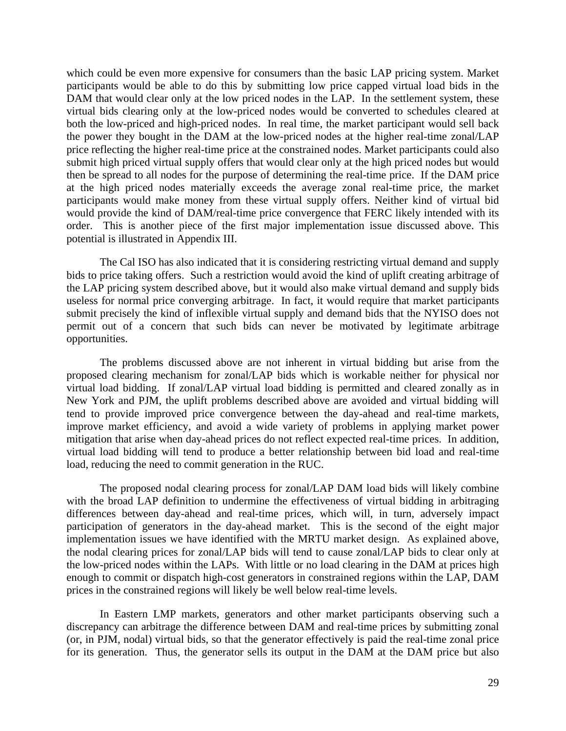which could be even more expensive for consumers than the basic LAP pricing system. Market participants would be able to do this by submitting low price capped virtual load bids in the DAM that would clear only at the low priced nodes in the LAP. In the settlement system, these virtual bids clearing only at the low-priced nodes would be converted to schedules cleared at both the low-priced and high-priced nodes. In real time, the market participant would sell back the power they bought in the DAM at the low-priced nodes at the higher real-time zonal/LAP price reflecting the higher real-time price at the constrained nodes. Market participants could also submit high priced virtual supply offers that would clear only at the high priced nodes but would then be spread to all nodes for the purpose of determining the real-time price. If the DAM price at the high priced nodes materially exceeds the average zonal real-time price, the market participants would make money from these virtual supply offers. Neither kind of virtual bid would provide the kind of DAM/real-time price convergence that FERC likely intended with its order. This is another piece of the first major implementation issue discussed above. This potential is illustrated in Appendix III.

 The Cal ISO has also indicated that it is considering restricting virtual demand and supply bids to price taking offers. Such a restriction would avoid the kind of uplift creating arbitrage of the LAP pricing system described above, but it would also make virtual demand and supply bids useless for normal price converging arbitrage. In fact, it would require that market participants submit precisely the kind of inflexible virtual supply and demand bids that the NYISO does not permit out of a concern that such bids can never be motivated by legitimate arbitrage opportunities.

 The problems discussed above are not inherent in virtual bidding but arise from the proposed clearing mechanism for zonal/LAP bids which is workable neither for physical nor virtual load bidding. If zonal/LAP virtual load bidding is permitted and cleared zonally as in New York and PJM, the uplift problems described above are avoided and virtual bidding will tend to provide improved price convergence between the day-ahead and real-time markets, improve market efficiency, and avoid a wide variety of problems in applying market power mitigation that arise when day-ahead prices do not reflect expected real-time prices. In addition, virtual load bidding will tend to produce a better relationship between bid load and real-time load, reducing the need to commit generation in the RUC.

 The proposed nodal clearing process for zonal/LAP DAM load bids will likely combine with the broad LAP definition to undermine the effectiveness of virtual bidding in arbitraging differences between day-ahead and real-time prices, which will, in turn, adversely impact participation of generators in the day-ahead market. This is the second of the eight major implementation issues we have identified with the MRTU market design. As explained above, the nodal clearing prices for zonal/LAP bids will tend to cause zonal/LAP bids to clear only at the low-priced nodes within the LAPs. With little or no load clearing in the DAM at prices high enough to commit or dispatch high-cost generators in constrained regions within the LAP, DAM prices in the constrained regions will likely be well below real-time levels.

 In Eastern LMP markets, generators and other market participants observing such a discrepancy can arbitrage the difference between DAM and real-time prices by submitting zonal (or, in PJM, nodal) virtual bids, so that the generator effectively is paid the real-time zonal price for its generation. Thus, the generator sells its output in the DAM at the DAM price but also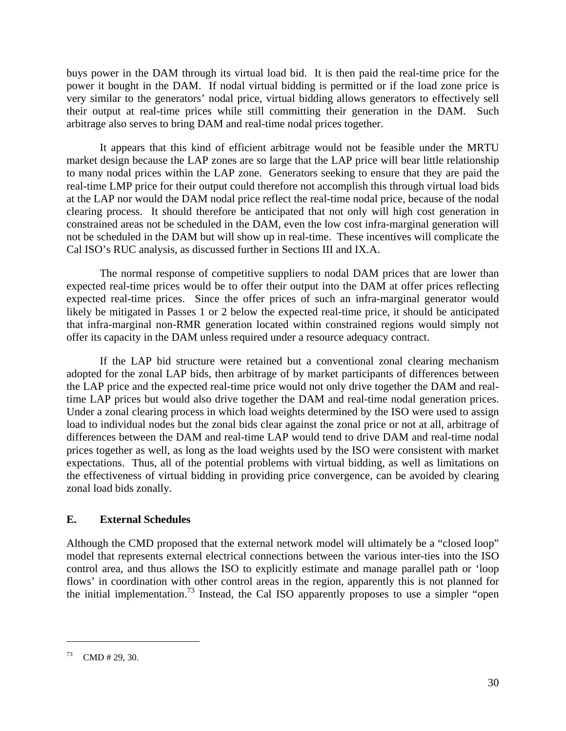buys power in the DAM through its virtual load bid. It is then paid the real-time price for the power it bought in the DAM. If nodal virtual bidding is permitted or if the load zone price is very similar to the generators' nodal price, virtual bidding allows generators to effectively sell their output at real-time prices while still committing their generation in the DAM. Such arbitrage also serves to bring DAM and real-time nodal prices together.

 It appears that this kind of efficient arbitrage would not be feasible under the MRTU market design because the LAP zones are so large that the LAP price will bear little relationship to many nodal prices within the LAP zone. Generators seeking to ensure that they are paid the real-time LMP price for their output could therefore not accomplish this through virtual load bids at the LAP nor would the DAM nodal price reflect the real-time nodal price, because of the nodal clearing process. It should therefore be anticipated that not only will high cost generation in constrained areas not be scheduled in the DAM, even the low cost infra-marginal generation will not be scheduled in the DAM but will show up in real-time. These incentives will complicate the Cal ISO's RUC analysis, as discussed further in Sections III and IX.A.

 The normal response of competitive suppliers to nodal DAM prices that are lower than expected real-time prices would be to offer their output into the DAM at offer prices reflecting expected real-time prices. Since the offer prices of such an infra-marginal generator would likely be mitigated in Passes 1 or 2 below the expected real-time price, it should be anticipated that infra-marginal non-RMR generation located within constrained regions would simply not offer its capacity in the DAM unless required under a resource adequacy contract.

 If the LAP bid structure were retained but a conventional zonal clearing mechanism adopted for the zonal LAP bids, then arbitrage of by market participants of differences between the LAP price and the expected real-time price would not only drive together the DAM and realtime LAP prices but would also drive together the DAM and real-time nodal generation prices. Under a zonal clearing process in which load weights determined by the ISO were used to assign load to individual nodes but the zonal bids clear against the zonal price or not at all, arbitrage of differences between the DAM and real-time LAP would tend to drive DAM and real-time nodal prices together as well, as long as the load weights used by the ISO were consistent with market expectations. Thus, all of the potential problems with virtual bidding, as well as limitations on the effectiveness of virtual bidding in providing price convergence, can be avoided by clearing zonal load bids zonally.

## **E. External Schedules**

Although the CMD proposed that the external network model will ultimately be a "closed loop" model that represents external electrical connections between the various inter-ties into the ISO control area, and thus allows the ISO to explicitly estimate and manage parallel path or 'loop flows' in coordination with other control areas in the region, apparently this is not planned for the initial implementation.<sup>73</sup> Instead, the Cal ISO apparently proposes to use a simpler "open"

 $73$  CMD # 29, 30.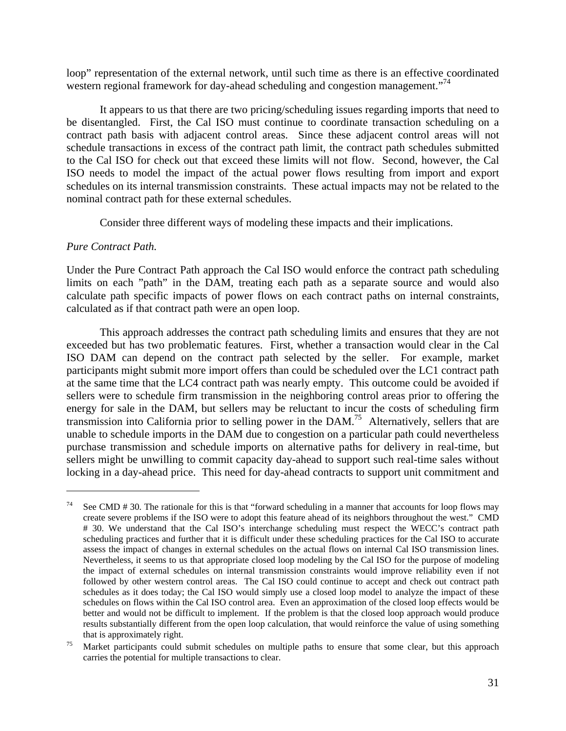loop" representation of the external network, until such time as there is an effective coordinated western regional framework for day-ahead scheduling and congestion management."<sup>74</sup>

 It appears to us that there are two pricing/scheduling issues regarding imports that need to be disentangled. First, the Cal ISO must continue to coordinate transaction scheduling on a contract path basis with adjacent control areas. Since these adjacent control areas will not schedule transactions in excess of the contract path limit, the contract path schedules submitted to the Cal ISO for check out that exceed these limits will not flow. Second, however, the Cal ISO needs to model the impact of the actual power flows resulting from import and export schedules on its internal transmission constraints. These actual impacts may not be related to the nominal contract path for these external schedules.

Consider three different ways of modeling these impacts and their implications.

#### *Pure Contract Path.*

 $\overline{a}$ 

Under the Pure Contract Path approach the Cal ISO would enforce the contract path scheduling limits on each "path" in the DAM, treating each path as a separate source and would also calculate path specific impacts of power flows on each contract paths on internal constraints, calculated as if that contract path were an open loop.

 This approach addresses the contract path scheduling limits and ensures that they are not exceeded but has two problematic features. First, whether a transaction would clear in the Cal ISO DAM can depend on the contract path selected by the seller. For example, market participants might submit more import offers than could be scheduled over the LC1 contract path at the same time that the LC4 contract path was nearly empty. This outcome could be avoided if sellers were to schedule firm transmission in the neighboring control areas prior to offering the energy for sale in the DAM, but sellers may be reluctant to incur the costs of scheduling firm transmission into California prior to selling power in the DAM.75 Alternatively, sellers that are unable to schedule imports in the DAM due to congestion on a particular path could nevertheless purchase transmission and schedule imports on alternative paths for delivery in real-time, but sellers might be unwilling to commit capacity day-ahead to support such real-time sales without locking in a day-ahead price. This need for day-ahead contracts to support unit commitment and

<sup>&</sup>lt;sup>74</sup> See CMD # 30. The rationale for this is that "forward scheduling in a manner that accounts for loop flows may create severe problems if the ISO were to adopt this feature ahead of its neighbors throughout the west." CMD # 30. We understand that the Cal ISO's interchange scheduling must respect the WECC's contract path scheduling practices and further that it is difficult under these scheduling practices for the Cal ISO to accurate assess the impact of changes in external schedules on the actual flows on internal Cal ISO transmission lines. Nevertheless, it seems to us that appropriate closed loop modeling by the Cal ISO for the purpose of modeling the impact of external schedules on internal transmission constraints would improve reliability even if not followed by other western control areas. The Cal ISO could continue to accept and check out contract path schedules as it does today; the Cal ISO would simply use a closed loop model to analyze the impact of these schedules on flows within the Cal ISO control area. Even an approximation of the closed loop effects would be better and would not be difficult to implement. If the problem is that the closed loop approach would produce results substantially different from the open loop calculation, that would reinforce the value of using something that is approximately right.<br><sup>75</sup> Market participants could submit schedules on multiple paths to ensure that some clear, but this approach

carries the potential for multiple transactions to clear.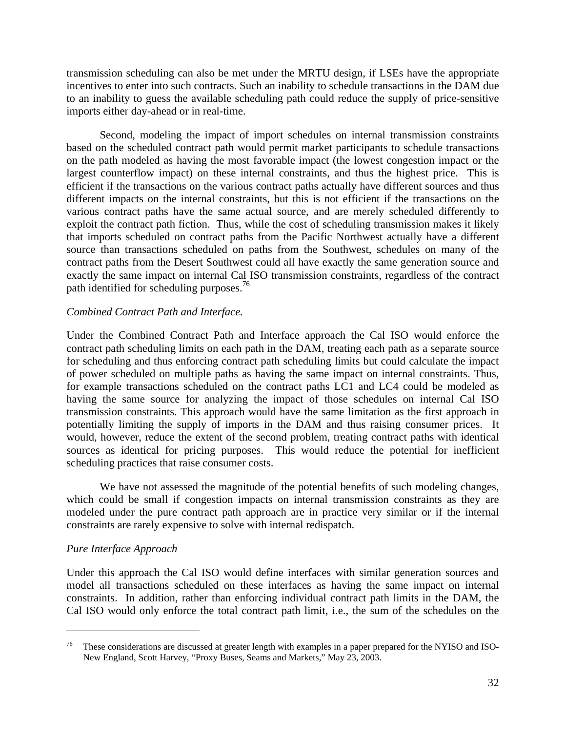transmission scheduling can also be met under the MRTU design, if LSEs have the appropriate incentives to enter into such contracts. Such an inability to schedule transactions in the DAM due to an inability to guess the available scheduling path could reduce the supply of price-sensitive imports either day-ahead or in real-time.

 Second, modeling the impact of import schedules on internal transmission constraints based on the scheduled contract path would permit market participants to schedule transactions on the path modeled as having the most favorable impact (the lowest congestion impact or the largest counterflow impact) on these internal constraints, and thus the highest price. This is efficient if the transactions on the various contract paths actually have different sources and thus different impacts on the internal constraints, but this is not efficient if the transactions on the various contract paths have the same actual source, and are merely scheduled differently to exploit the contract path fiction. Thus, while the cost of scheduling transmission makes it likely that imports scheduled on contract paths from the Pacific Northwest actually have a different source than transactions scheduled on paths from the Southwest, schedules on many of the contract paths from the Desert Southwest could all have exactly the same generation source and exactly the same impact on internal Cal ISO transmission constraints, regardless of the contract path identified for scheduling purposes.<sup>76</sup>

## *Combined Contract Path and Interface.*

Under the Combined Contract Path and Interface approach the Cal ISO would enforce the contract path scheduling limits on each path in the DAM, treating each path as a separate source for scheduling and thus enforcing contract path scheduling limits but could calculate the impact of power scheduled on multiple paths as having the same impact on internal constraints. Thus, for example transactions scheduled on the contract paths LC1 and LC4 could be modeled as having the same source for analyzing the impact of those schedules on internal Cal ISO transmission constraints. This approach would have the same limitation as the first approach in potentially limiting the supply of imports in the DAM and thus raising consumer prices. It would, however, reduce the extent of the second problem, treating contract paths with identical sources as identical for pricing purposes. This would reduce the potential for inefficient scheduling practices that raise consumer costs.

 We have not assessed the magnitude of the potential benefits of such modeling changes, which could be small if congestion impacts on internal transmission constraints as they are modeled under the pure contract path approach are in practice very similar or if the internal constraints are rarely expensive to solve with internal redispatch.

## *Pure Interface Approach*

<u>.</u>

Under this approach the Cal ISO would define interfaces with similar generation sources and model all transactions scheduled on these interfaces as having the same impact on internal constraints. In addition, rather than enforcing individual contract path limits in the DAM, the Cal ISO would only enforce the total contract path limit, i.e., the sum of the schedules on the

<sup>&</sup>lt;sup>76</sup> These considerations are discussed at greater length with examples in a paper prepared for the NYISO and ISO-New England, Scott Harvey, "Proxy Buses, Seams and Markets," May 23, 2003.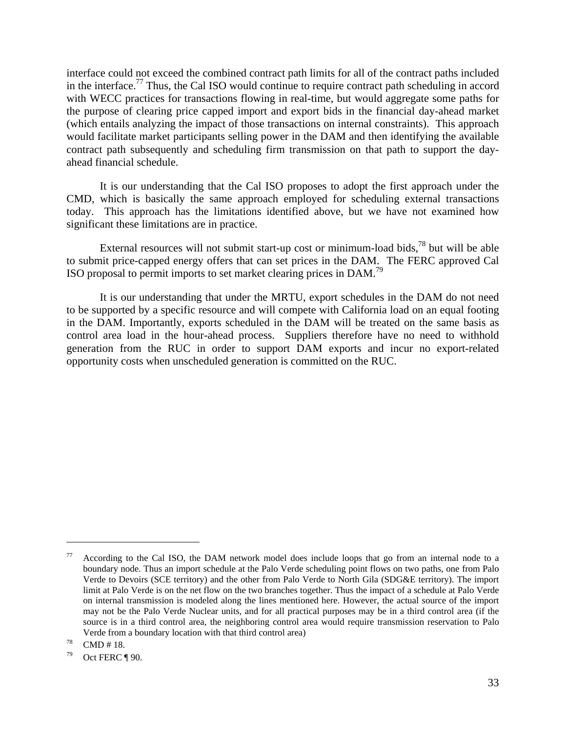interface could not exceed the combined contract path limits for all of the contract paths included in the interface.77 Thus, the Cal ISO would continue to require contract path scheduling in accord with WECC practices for transactions flowing in real-time, but would aggregate some paths for the purpose of clearing price capped import and export bids in the financial day-ahead market (which entails analyzing the impact of those transactions on internal constraints). This approach would facilitate market participants selling power in the DAM and then identifying the available contract path subsequently and scheduling firm transmission on that path to support the dayahead financial schedule.

 It is our understanding that the Cal ISO proposes to adopt the first approach under the CMD, which is basically the same approach employed for scheduling external transactions today. This approach has the limitations identified above, but we have not examined how significant these limitations are in practice.

External resources will not submit start-up cost or minimum-load bids, $^{78}$  but will be able to submit price-capped energy offers that can set prices in the DAM. The FERC approved Cal ISO proposal to permit imports to set market clearing prices in DAM.79

 It is our understanding that under the MRTU, export schedules in the DAM do not need to be supported by a specific resource and will compete with California load on an equal footing in the DAM. Importantly, exports scheduled in the DAM will be treated on the same basis as control area load in the hour-ahead process. Suppliers therefore have no need to withhold generation from the RUC in order to support DAM exports and incur no export-related opportunity costs when unscheduled generation is committed on the RUC.

According to the Cal ISO, the DAM network model does include loops that go from an internal node to a boundary node. Thus an import schedule at the Palo Verde scheduling point flows on two paths, one from Palo Verde to Devoirs (SCE territory) and the other from Palo Verde to North Gila (SDG&E territory). The import limit at Palo Verde is on the net flow on the two branches together. Thus the impact of a schedule at Palo Verde on internal transmission is modeled along the lines mentioned here. However, the actual source of the import may not be the Palo Verde Nuclear units, and for all practical purposes may be in a third control area (if the source is in a third control area, the neighboring control area would require transmission reservation to Palo Verde from a boundary location with that third control area)<br>
T<sup>8</sup> CMD # 18.

 $79$  Oct FERC ¶ 90.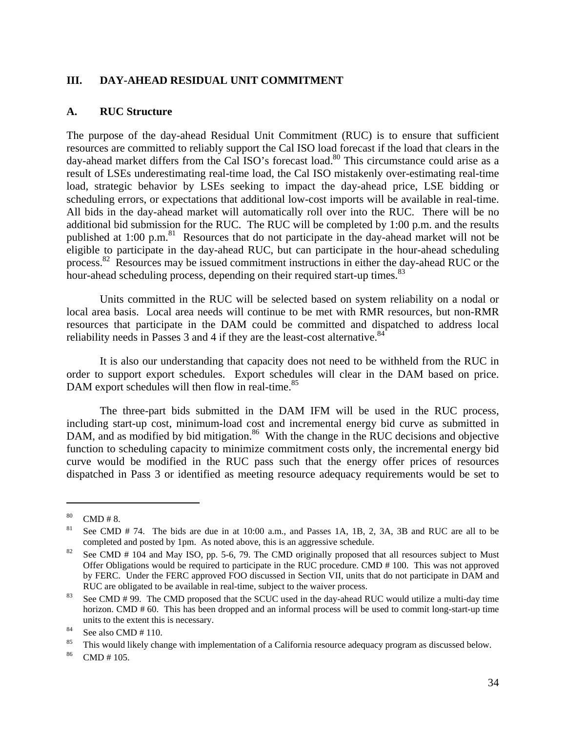# **III. DAY-AHEAD RESIDUAL UNIT COMMITMENT**

## **A. RUC Structure**

The purpose of the day-ahead Residual Unit Commitment (RUC) is to ensure that sufficient resources are committed to reliably support the Cal ISO load forecast if the load that clears in the day-ahead market differs from the Cal ISO's forecast load.<sup>80</sup> This circumstance could arise as a result of LSEs underestimating real-time load, the Cal ISO mistakenly over-estimating real-time load, strategic behavior by LSEs seeking to impact the day-ahead price, LSE bidding or scheduling errors, or expectations that additional low-cost imports will be available in real-time. All bids in the day-ahead market will automatically roll over into the RUC. There will be no additional bid submission for the RUC. The RUC will be completed by 1:00 p.m. and the results published at 1:00 p.m.<sup>81</sup> Resources that do not participate in the day-ahead market will not be eligible to participate in the day-ahead RUC, but can participate in the hour-ahead scheduling process.<sup>82</sup> Resources may be issued commitment instructions in either the day-ahead RUC or the hour-ahead scheduling process, depending on their required start-up times.<sup>83</sup>

 Units committed in the RUC will be selected based on system reliability on a nodal or local area basis. Local area needs will continue to be met with RMR resources, but non-RMR resources that participate in the DAM could be committed and dispatched to address local reliability needs in Passes 3 and 4 if they are the least-cost alternative.  $84$ 

 It is also our understanding that capacity does not need to be withheld from the RUC in order to support export schedules. Export schedules will clear in the DAM based on price. DAM export schedules will then flow in real-time.<sup>85</sup>

 The three-part bids submitted in the DAM IFM will be used in the RUC process, including start-up cost, minimum-load cost and incremental energy bid curve as submitted in DAM, and as modified by bid mitigation.<sup>86</sup> With the change in the RUC decisions and objective function to scheduling capacity to minimize commitment costs only, the incremental energy bid curve would be modified in the RUC pass such that the energy offer prices of resources dispatched in Pass 3 or identified as meeting resource adequacy requirements would be set to

 $80$  CMD # 8.

See CMD # 74. The bids are due in at 10:00 a.m., and Passes 1A, 1B, 2, 3A, 3B and RUC are all to be completed and posted by 1pm. As noted above, this is an aggressive schedule.<br><sup>82</sup> See CMD # 104 and May ISO, pp. 5-6, 79. The CMD originally proposed that all resources subject to Must

Offer Obligations would be required to participate in the RUC procedure. CMD # 100. This was not approved by FERC. Under the FERC approved FOO discussed in Section VII, units that do not participate in DAM and RUC are obligated to be available in real-time, subject to the waiver process.<br><sup>83</sup> See CMD # 99. The CMD proposed that the SCUC used in the day-ahead RUC would utilize a multi-day time

horizon. CMD # 60. This has been dropped and an informal process will be used to commit long-start-up time units to the extent this is necessary.<br>
See also CMD  $\#$  110.

<sup>&</sup>lt;sup>85</sup> This would likely change with implementation of a California resource adequacy program as discussed below.

 $86$  CMD # 105.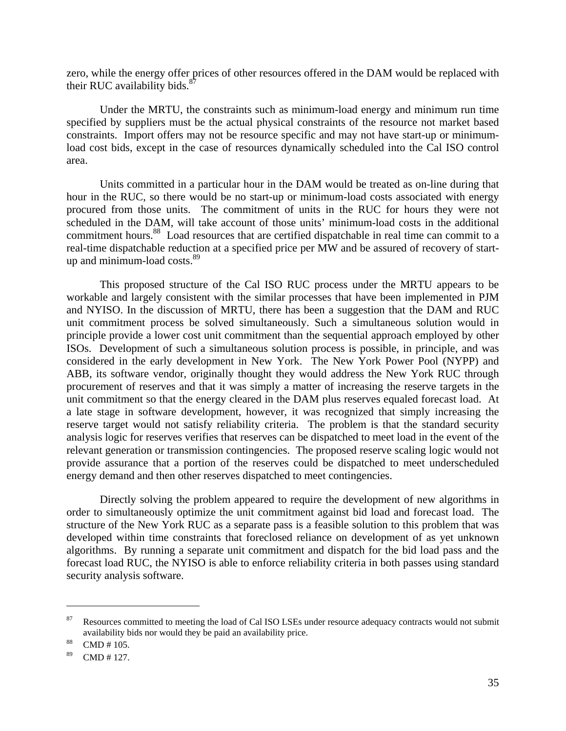zero, while the energy offer prices of other resources offered in the DAM would be replaced with their RUC availability bids. $8^{\circ}$ 

 Under the MRTU, the constraints such as minimum-load energy and minimum run time specified by suppliers must be the actual physical constraints of the resource not market based constraints. Import offers may not be resource specific and may not have start-up or minimumload cost bids, except in the case of resources dynamically scheduled into the Cal ISO control area.

 Units committed in a particular hour in the DAM would be treated as on-line during that hour in the RUC, so there would be no start-up or minimum-load costs associated with energy procured from those units. The commitment of units in the RUC for hours they were not scheduled in the DAM, will take account of those units' minimum-load costs in the additional commitment hours.<sup>88</sup> Load resources that are certified dispatchable in real time can commit to a real-time dispatchable reduction at a specified price per MW and be assured of recovery of startup and minimum-load costs.<sup>89</sup>

 This proposed structure of the Cal ISO RUC process under the MRTU appears to be workable and largely consistent with the similar processes that have been implemented in PJM and NYISO. In the discussion of MRTU, there has been a suggestion that the DAM and RUC unit commitment process be solved simultaneously. Such a simultaneous solution would in principle provide a lower cost unit commitment than the sequential approach employed by other ISOs. Development of such a simultaneous solution process is possible, in principle, and was considered in the early development in New York. The New York Power Pool (NYPP) and ABB, its software vendor, originally thought they would address the New York RUC through procurement of reserves and that it was simply a matter of increasing the reserve targets in the unit commitment so that the energy cleared in the DAM plus reserves equaled forecast load. At a late stage in software development, however, it was recognized that simply increasing the reserve target would not satisfy reliability criteria. The problem is that the standard security analysis logic for reserves verifies that reserves can be dispatched to meet load in the event of the relevant generation or transmission contingencies. The proposed reserve scaling logic would not provide assurance that a portion of the reserves could be dispatched to meet underscheduled energy demand and then other reserves dispatched to meet contingencies.

 Directly solving the problem appeared to require the development of new algorithms in order to simultaneously optimize the unit commitment against bid load and forecast load. The structure of the New York RUC as a separate pass is a feasible solution to this problem that was developed within time constraints that foreclosed reliance on development of as yet unknown algorithms. By running a separate unit commitment and dispatch for the bid load pass and the forecast load RUC, the NYISO is able to enforce reliability criteria in both passes using standard security analysis software.

<u>.</u>

Resources committed to meeting the load of Cal ISO LSEs under resource adequacy contracts would not submit availability bids nor would they be paid an availability price. 88 CMD # 105.

 $89$  CMD # 127.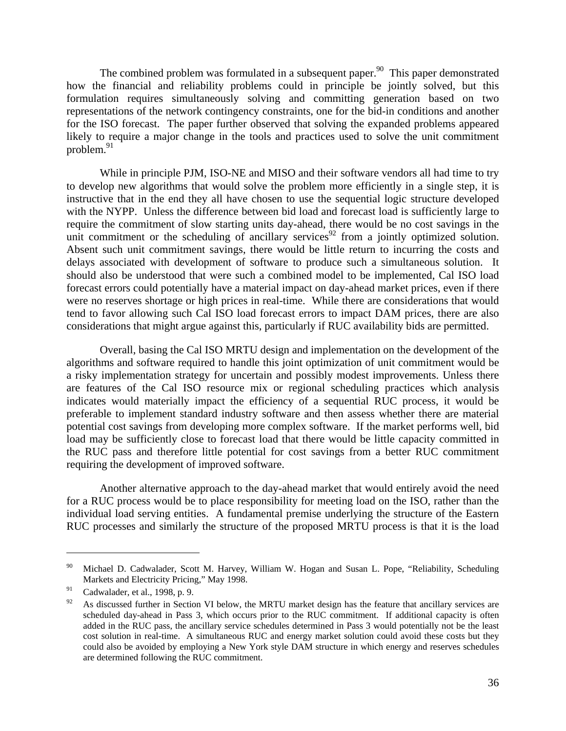The combined problem was formulated in a subsequent paper.<sup>90</sup> This paper demonstrated how the financial and reliability problems could in principle be jointly solved, but this formulation requires simultaneously solving and committing generation based on two representations of the network contingency constraints, one for the bid-in conditions and another for the ISO forecast. The paper further observed that solving the expanded problems appeared likely to require a major change in the tools and practices used to solve the unit commitment problem. $91$ 

 While in principle PJM, ISO-NE and MISO and their software vendors all had time to try to develop new algorithms that would solve the problem more efficiently in a single step, it is instructive that in the end they all have chosen to use the sequential logic structure developed with the NYPP. Unless the difference between bid load and forecast load is sufficiently large to require the commitment of slow starting units day-ahead, there would be no cost savings in the unit commitment or the scheduling of ancillary services<sup>92</sup> from a jointly optimized solution. Absent such unit commitment savings, there would be little return to incurring the costs and delays associated with development of software to produce such a simultaneous solution. It should also be understood that were such a combined model to be implemented, Cal ISO load forecast errors could potentially have a material impact on day-ahead market prices, even if there were no reserves shortage or high prices in real-time. While there are considerations that would tend to favor allowing such Cal ISO load forecast errors to impact DAM prices, there are also considerations that might argue against this, particularly if RUC availability bids are permitted.

 Overall, basing the Cal ISO MRTU design and implementation on the development of the algorithms and software required to handle this joint optimization of unit commitment would be a risky implementation strategy for uncertain and possibly modest improvements. Unless there are features of the Cal ISO resource mix or regional scheduling practices which analysis indicates would materially impact the efficiency of a sequential RUC process, it would be preferable to implement standard industry software and then assess whether there are material potential cost savings from developing more complex software. If the market performs well, bid load may be sufficiently close to forecast load that there would be little capacity committed in the RUC pass and therefore little potential for cost savings from a better RUC commitment requiring the development of improved software.

 Another alternative approach to the day-ahead market that would entirely avoid the need for a RUC process would be to place responsibility for meeting load on the ISO, rather than the individual load serving entities. A fundamental premise underlying the structure of the Eastern RUC processes and similarly the structure of the proposed MRTU process is that it is the load

1

<sup>&</sup>lt;sup>90</sup> Michael D. Cadwalader, Scott M. Harvey, William W. Hogan and Susan L. Pope, "Reliability, Scheduling Markets and Electricity Pricing," May 1998.

 $91$  Cadwalader, et al., 1998, p. 9.

 $92$  As discussed further in Section VI below, the MRTU market design has the feature that ancillary services are scheduled day-ahead in Pass 3, which occurs prior to the RUC commitment. If additional capacity is often added in the RUC pass, the ancillary service schedules determined in Pass 3 would potentially not be the least cost solution in real-time. A simultaneous RUC and energy market solution could avoid these costs but they could also be avoided by employing a New York style DAM structure in which energy and reserves schedules are determined following the RUC commitment.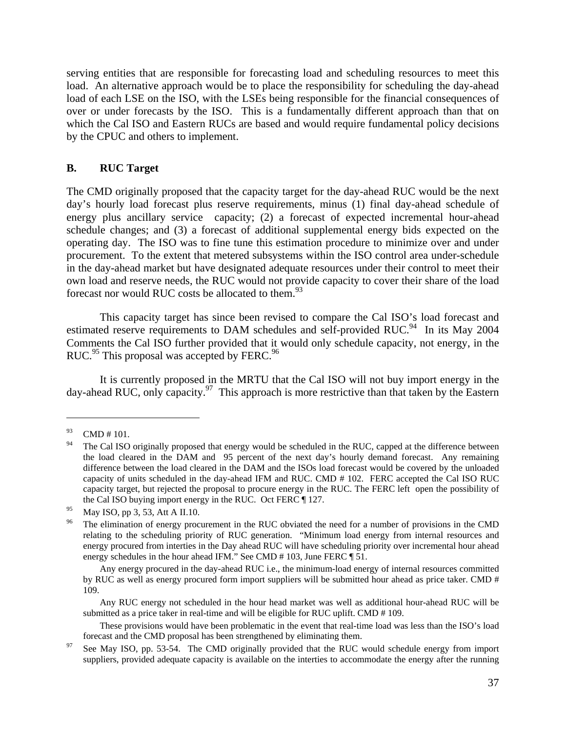serving entities that are responsible for forecasting load and scheduling resources to meet this load. An alternative approach would be to place the responsibility for scheduling the day-ahead load of each LSE on the ISO, with the LSEs being responsible for the financial consequences of over or under forecasts by the ISO. This is a fundamentally different approach than that on which the Cal ISO and Eastern RUCs are based and would require fundamental policy decisions by the CPUC and others to implement.

## **B. RUC Target**

The CMD originally proposed that the capacity target for the day-ahead RUC would be the next day's hourly load forecast plus reserve requirements, minus (1) final day-ahead schedule of energy plus ancillary service capacity; (2) a forecast of expected incremental hour-ahead schedule changes; and (3) a forecast of additional supplemental energy bids expected on the operating day. The ISO was to fine tune this estimation procedure to minimize over and under procurement. To the extent that metered subsystems within the ISO control area under-schedule in the day-ahead market but have designated adequate resources under their control to meet their own load and reserve needs, the RUC would not provide capacity to cover their share of the load forecast nor would RUC costs be allocated to them. $93$ 

 This capacity target has since been revised to compare the Cal ISO's load forecast and estimated reserve requirements to DAM schedules and self-provided RUC.<sup>94</sup> In its May 2004 Comments the Cal ISO further provided that it would only schedule capacity, not energy, in the RUC.<sup>95</sup> This proposal was accepted by FERC.<sup>96</sup>

 It is currently proposed in the MRTU that the Cal ISO will not buy import energy in the day-ahead RUC, only capacity.<sup>97</sup> This approach is more restrictive than that taken by the Eastern

 $\overline{a}$ 

 Any RUC energy not scheduled in the hour head market was well as additional hour-ahead RUC will be submitted as a price taker in real-time and will be eligible for RUC uplift. CMD # 109.

 These provisions would have been problematic in the event that real-time load was less than the ISO's load forecast and the CMD proposal has been strengthened by eliminating them.<br>See May ISO, pp. 53-54. The CMD originally provided that the RUC would schedule energy from import

 $^{93}$  CMD # 101.

<sup>&</sup>lt;sup>94</sup> The Cal ISO originally proposed that energy would be scheduled in the RUC, capped at the difference between the load cleared in the DAM and 95 percent of the next day's hourly demand forecast. Any remaining difference between the load cleared in the DAM and the ISOs load forecast would be covered by the unloaded capacity of units scheduled in the day-ahead IFM and RUC. CMD # 102. FERC accepted the Cal ISO RUC capacity target, but rejected the proposal to procure energy in the RUC. The FERC left open the possibility of the Cal ISO buying import energy in the RUC. Oct FERC ¶ 127.

<sup>&</sup>lt;sup>95</sup> May ISO, pp 3, 53, Att A II.10.

The elimination of energy procurement in the RUC obviated the need for a number of provisions in the CMD relating to the scheduling priority of RUC generation. "Minimum load energy from internal resources and energy procured from interties in the Day ahead RUC will have scheduling priority over incremental hour ahead energy schedules in the hour ahead IFM." See CMD # 103, June FERC ¶ 51.

Any energy procured in the day-ahead RUC i.e., the minimum-load energy of internal resources committed by RUC as well as energy procured form import suppliers will be submitted hour ahead as price taker. CMD # 109.

suppliers, provided adequate capacity is available on the interties to accommodate the energy after the running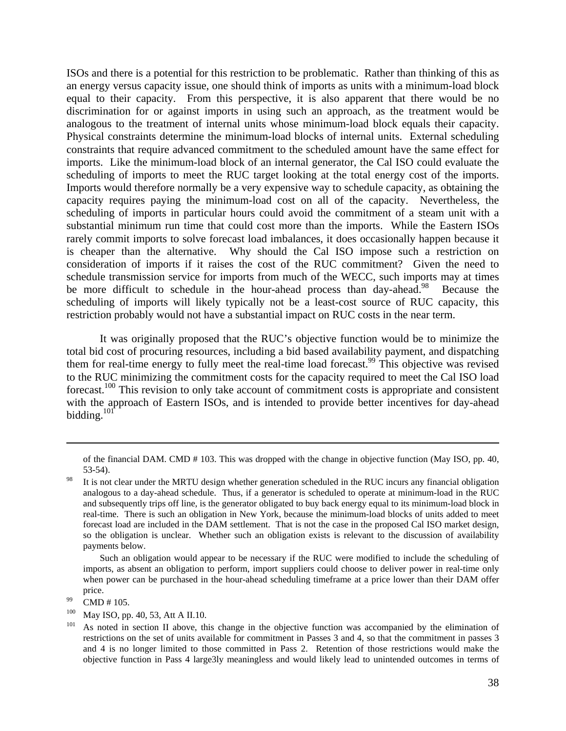ISOs and there is a potential for this restriction to be problematic. Rather than thinking of this as an energy versus capacity issue, one should think of imports as units with a minimum-load block equal to their capacity. From this perspective, it is also apparent that there would be no discrimination for or against imports in using such an approach, as the treatment would be analogous to the treatment of internal units whose minimum-load block equals their capacity. Physical constraints determine the minimum-load blocks of internal units. External scheduling constraints that require advanced commitment to the scheduled amount have the same effect for imports. Like the minimum-load block of an internal generator, the Cal ISO could evaluate the scheduling of imports to meet the RUC target looking at the total energy cost of the imports. Imports would therefore normally be a very expensive way to schedule capacity, as obtaining the capacity requires paying the minimum-load cost on all of the capacity. Nevertheless, the scheduling of imports in particular hours could avoid the commitment of a steam unit with a substantial minimum run time that could cost more than the imports. While the Eastern ISOs rarely commit imports to solve forecast load imbalances, it does occasionally happen because it is cheaper than the alternative. Why should the Cal ISO impose such a restriction on consideration of imports if it raises the cost of the RUC commitment? Given the need to schedule transmission service for imports from much of the WECC, such imports may at times be more difficult to schedule in the hour-ahead process than day-ahead.<sup>98</sup> Because the scheduling of imports will likely typically not be a least-cost source of RUC capacity, this restriction probably would not have a substantial impact on RUC costs in the near term.

 It was originally proposed that the RUC's objective function would be to minimize the total bid cost of procuring resources, including a bid based availability payment, and dispatching them for real-time energy to fully meet the real-time load forecast.<sup>99</sup> This objective was revised to the RUC minimizing the commitment costs for the capacity required to meet the Cal ISO load forecast.<sup>100</sup> This revision to only take account of commitment costs is appropriate and consistent with the approach of Eastern ISOs, and is intended to provide better incentives for day-ahead bidding. $101$ 

 Such an obligation would appear to be necessary if the RUC were modified to include the scheduling of imports, as absent an obligation to perform, import suppliers could choose to deliver power in real-time only when power can be purchased in the hour-ahead scheduling timeframe at a price lower than their DAM offer price.<br>CMD # 105.

1

of the financial DAM. CMD # 103. This was dropped with the change in objective function (May ISO, pp. 40, 53-54).

<sup>&</sup>lt;sup>98</sup> It is not clear under the MRTU design whether generation scheduled in the RUC incurs any financial obligation analogous to a day-ahead schedule. Thus, if a generator is scheduled to operate at minimum-load in the RUC and subsequently trips off line, is the generator obligated to buy back energy equal to its minimum-load block in real-time. There is such an obligation in New York, because the minimum-load blocks of units added to meet forecast load are included in the DAM settlement. That is not the case in the proposed Cal ISO market design, so the obligation is unclear. Whether such an obligation exists is relevant to the discussion of availability payments below.

<sup>&</sup>lt;sup>100</sup> May ISO, pp. 40, 53, Att A II.10.<br><sup>101</sup> As noted in section II above, this change in the objective function was accompanied by the elimination of restrictions on the set of units available for commitment in Passes 3 and 4, so that the commitment in passes 3 and 4 is no longer limited to those committed in Pass 2. Retention of those restrictions would make the objective function in Pass 4 large3ly meaningless and would likely lead to unintended outcomes in terms of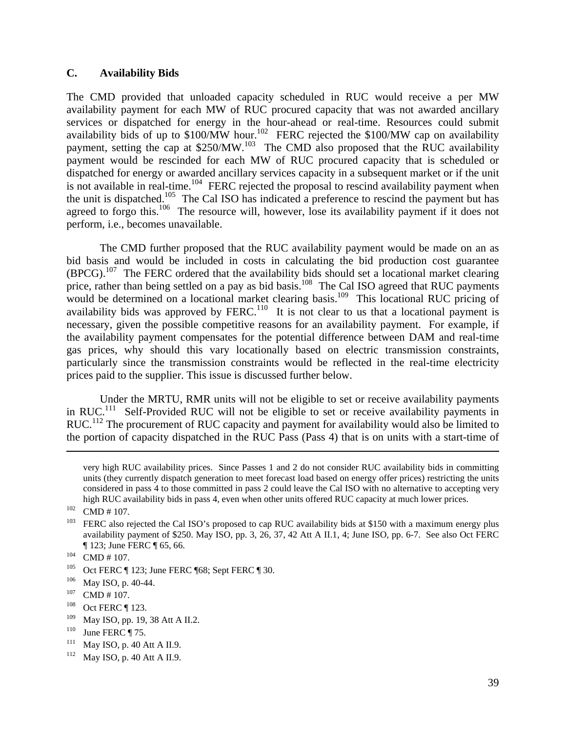## **C. Availability Bids**

The CMD provided that unloaded capacity scheduled in RUC would receive a per MW availability payment for each MW of RUC procured capacity that was not awarded ancillary services or dispatched for energy in the hour-ahead or real-time. Resources could submit availability bids of up to \$100/MW hour.<sup>102</sup> FERC rejected the \$100/MW cap on availability payment, setting the cap at \$250/MW.<sup>103</sup> The CMD also proposed that the RUC availability payment would be rescinded for each MW of RUC procured capacity that is scheduled or dispatched for energy or awarded ancillary services capacity in a subsequent market or if the unit is not available in real-time.<sup>104</sup> FERC rejected the proposal to rescind availability payment when the unit is dispatched.<sup>105</sup> The Cal ISO has indicated a preference to rescind the payment but has agreed to forgo this.<sup>106</sup> The resource will, however, lose its availability payment if it does not perform, i.e., becomes unavailable.

 The CMD further proposed that the RUC availability payment would be made on an as bid basis and would be included in costs in calculating the bid production cost guarantee  $(BPCG)$ .<sup>107</sup> The FERC ordered that the availability bids should set a locational market clearing price, rather than being settled on a pay as bid basis.<sup>108</sup> The Cal ISO agreed that RUC payments would be determined on a locational market clearing basis.<sup>109</sup> This locational RUC pricing of availability bids was approved by FERC.<sup>110</sup> It is not clear to us that a locational payment is necessary, given the possible competitive reasons for an availability payment. For example, if the availability payment compensates for the potential difference between DAM and real-time gas prices, why should this vary locationally based on electric transmission constraints, particularly since the transmission constraints would be reflected in the real-time electricity prices paid to the supplier. This issue is discussed further below.

 Under the MRTU, RMR units will not be eligible to set or receive availability payments in RUC.<sup>111</sup> Self-Provided RUC will not be eligible to set or receive availability payments in RUC.<sup>112</sup> The procurement of RUC capacity and payment for availability would also be limited to the portion of capacity dispatched in the RUC Pass (Pass 4) that is on units with a start-time of

very high RUC availability prices. Since Passes 1 and 2 do not consider RUC availability bids in committing units (they currently dispatch generation to meet forecast load based on energy offer prices) restricting the units considered in pass 4 to those committed in pass 2 could leave the Cal ISO with no alternative to accepting very

high RUC availability bids in pass 4, even when other units offered RUC capacity at much lower prices.<br>
CMD # 107.<br>
FERC also rejected the Cal ISO's proposed to cap RUC availability bids at \$150 with a maximum energy plus availability payment of \$250. May ISO, pp. 3, 26, 37, 42 Att A II.1, 4; June ISO, pp. 6-7. See also Oct FERC

<sup>|| 123;</sup> June FERC || 65, 66.<br>
104 CMD # 107.<br>
105 Oct FERC || 123; June FERC || 68; Sept FERC || 30.<br>
106 May ISO, p. 40-44.<br>
107 CMD # 107.<br>
108 Oct FERC || 123.

<sup>109</sup> May ISO, pp. 19, 38 Att A II.2.<br>
<sup>110</sup> June FERC ¶ 75.<br>
<sup>111</sup> May ISO, p. 40 Att A II.9.<br>
<sup>112</sup> May ISO, p. 40 Att A II.9.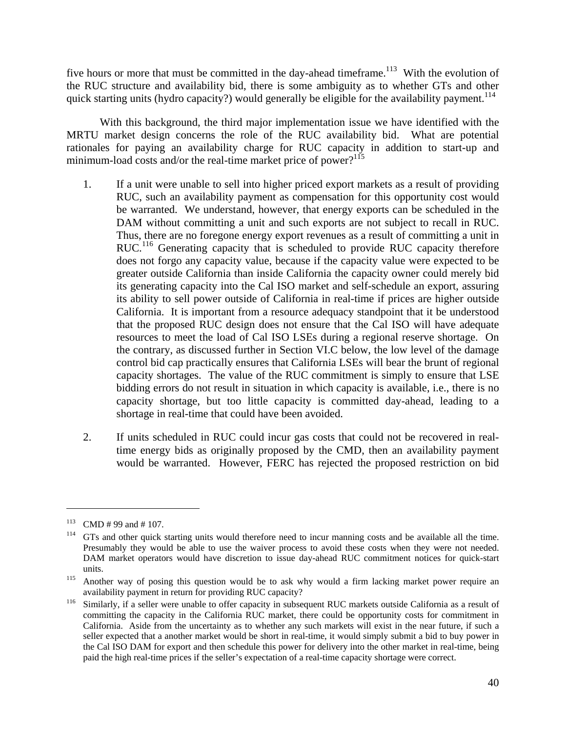five hours or more that must be committed in the day-ahead timeframe.<sup>113</sup> With the evolution of the RUC structure and availability bid, there is some ambiguity as to whether GTs and other quick starting units (hydro capacity?) would generally be eligible for the availability payment.<sup>114</sup>

 With this background, the third major implementation issue we have identified with the MRTU market design concerns the role of the RUC availability bid. What are potential rationales for paying an availability charge for RUC capacity in addition to start-up and minimum-load costs and/or the real-time market price of power? $115$ 

- 1. If a unit were unable to sell into higher priced export markets as a result of providing RUC, such an availability payment as compensation for this opportunity cost would be warranted. We understand, however, that energy exports can be scheduled in the DAM without committing a unit and such exports are not subject to recall in RUC. Thus, there are no foregone energy export revenues as a result of committing a unit in RUC.<sup>116</sup> Generating capacity that is scheduled to provide RUC capacity therefore does not forgo any capacity value, because if the capacity value were expected to be greater outside California than inside California the capacity owner could merely bid its generating capacity into the Cal ISO market and self-schedule an export, assuring its ability to sell power outside of California in real-time if prices are higher outside California. It is important from a resource adequacy standpoint that it be understood that the proposed RUC design does not ensure that the Cal ISO will have adequate resources to meet the load of Cal ISO LSEs during a regional reserve shortage. On the contrary, as discussed further in Section VI.C below, the low level of the damage control bid cap practically ensures that California LSEs will bear the brunt of regional capacity shortages. The value of the RUC commitment is simply to ensure that LSE bidding errors do not result in situation in which capacity is available, i.e., there is no capacity shortage, but too little capacity is committed day-ahead, leading to a shortage in real-time that could have been avoided.
- 2. If units scheduled in RUC could incur gas costs that could not be recovered in realtime energy bids as originally proposed by the CMD, then an availability payment would be warranted. However, FERC has rejected the proposed restriction on bid

<sup>&</sup>lt;sup>113</sup> CMD # 99 and # 107.<br><sup>114</sup> GTs and other quick starting units would therefore need to incur manning costs and be available all the time. Presumably they would be able to use the waiver process to avoid these costs when they were not needed. DAM market operators would have discretion to issue day-ahead RUC commitment notices for quick-start

units. 115 Another way of posing this question would be to ask why would a firm lacking market power require an

availability payment in return for providing RUC capacity?<br><sup>116</sup> Similarly, if a seller were unable to offer capacity in subsequent RUC markets outside California as a result of committing the capacity in the California RUC market, there could be opportunity costs for commitment in California. Aside from the uncertainty as to whether any such markets will exist in the near future, if such a seller expected that a another market would be short in real-time, it would simply submit a bid to buy power in the Cal ISO DAM for export and then schedule this power for delivery into the other market in real-time, being paid the high real-time prices if the seller's expectation of a real-time capacity shortage were correct.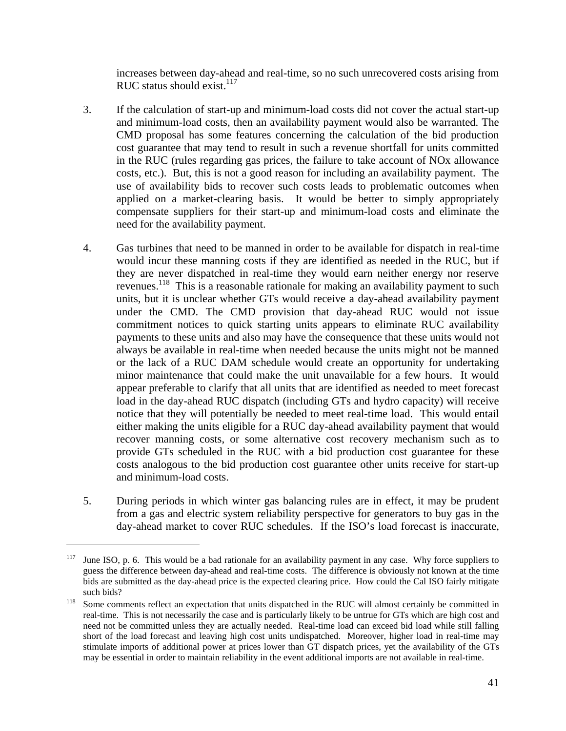increases between day-ahead and real-time, so no such unrecovered costs arising from RUC status should exist. $117$ 

- 3. If the calculation of start-up and minimum-load costs did not cover the actual start-up and minimum-load costs, then an availability payment would also be warranted. The CMD proposal has some features concerning the calculation of the bid production cost guarantee that may tend to result in such a revenue shortfall for units committed in the RUC (rules regarding gas prices, the failure to take account of NOx allowance costs, etc.). But, this is not a good reason for including an availability payment. The use of availability bids to recover such costs leads to problematic outcomes when applied on a market-clearing basis. It would be better to simply appropriately compensate suppliers for their start-up and minimum-load costs and eliminate the need for the availability payment.
- 4. Gas turbines that need to be manned in order to be available for dispatch in real-time would incur these manning costs if they are identified as needed in the RUC, but if they are never dispatched in real-time they would earn neither energy nor reserve revenues.118 This is a reasonable rationale for making an availability payment to such units, but it is unclear whether GTs would receive a day-ahead availability payment under the CMD. The CMD provision that day-ahead RUC would not issue commitment notices to quick starting units appears to eliminate RUC availability payments to these units and also may have the consequence that these units would not always be available in real-time when needed because the units might not be manned or the lack of a RUC DAM schedule would create an opportunity for undertaking minor maintenance that could make the unit unavailable for a few hours. It would appear preferable to clarify that all units that are identified as needed to meet forecast load in the day-ahead RUC dispatch (including GTs and hydro capacity) will receive notice that they will potentially be needed to meet real-time load. This would entail either making the units eligible for a RUC day-ahead availability payment that would recover manning costs, or some alternative cost recovery mechanism such as to provide GTs scheduled in the RUC with a bid production cost guarantee for these costs analogous to the bid production cost guarantee other units receive for start-up and minimum-load costs.
- 5. During periods in which winter gas balancing rules are in effect, it may be prudent from a gas and electric system reliability perspective for generators to buy gas in the day-ahead market to cover RUC schedules. If the ISO's load forecast is inaccurate,

<sup>&</sup>lt;sup>117</sup> June ISO, p. 6. This would be a bad rationale for an availability payment in any case. Why force suppliers to guess the difference between day-ahead and real-time costs. The difference is obviously not known at the time bids are submitted as the day-ahead price is the expected clearing price. How could the Cal ISO fairly mitigate such bids?<br><sup>118</sup> Some comments reflect an expectation that units dispatched in the RUC will almost certainly be committed in

real-time. This is not necessarily the case and is particularly likely to be untrue for GTs which are high cost and need not be committed unless they are actually needed. Real-time load can exceed bid load while still falling short of the load forecast and leaving high cost units undispatched. Moreover, higher load in real-time may stimulate imports of additional power at prices lower than GT dispatch prices, yet the availability of the GTs may be essential in order to maintain reliability in the event additional imports are not available in real-time.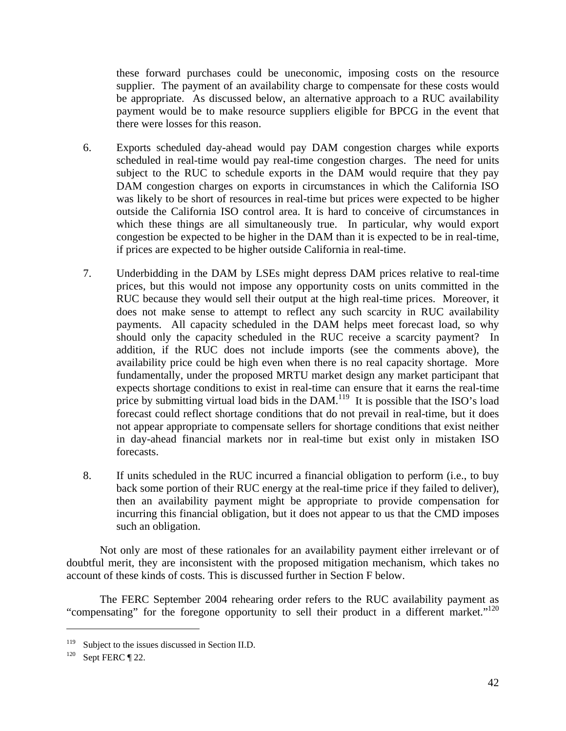these forward purchases could be uneconomic, imposing costs on the resource supplier. The payment of an availability charge to compensate for these costs would be appropriate. As discussed below, an alternative approach to a RUC availability payment would be to make resource suppliers eligible for BPCG in the event that there were losses for this reason.

- 6. Exports scheduled day-ahead would pay DAM congestion charges while exports scheduled in real-time would pay real-time congestion charges. The need for units subject to the RUC to schedule exports in the DAM would require that they pay DAM congestion charges on exports in circumstances in which the California ISO was likely to be short of resources in real-time but prices were expected to be higher outside the California ISO control area. It is hard to conceive of circumstances in which these things are all simultaneously true. In particular, why would export congestion be expected to be higher in the DAM than it is expected to be in real-time, if prices are expected to be higher outside California in real-time.
- 7. Underbidding in the DAM by LSEs might depress DAM prices relative to real-time prices, but this would not impose any opportunity costs on units committed in the RUC because they would sell their output at the high real-time prices. Moreover, it does not make sense to attempt to reflect any such scarcity in RUC availability payments. All capacity scheduled in the DAM helps meet forecast load, so why should only the capacity scheduled in the RUC receive a scarcity payment? In addition, if the RUC does not include imports (see the comments above), the availability price could be high even when there is no real capacity shortage. More fundamentally, under the proposed MRTU market design any market participant that expects shortage conditions to exist in real-time can ensure that it earns the real-time price by submitting virtual load bids in the DAM.<sup>119</sup> It is possible that the ISO's load forecast could reflect shortage conditions that do not prevail in real-time, but it does not appear appropriate to compensate sellers for shortage conditions that exist neither in day-ahead financial markets nor in real-time but exist only in mistaken ISO forecasts.
- 8. If units scheduled in the RUC incurred a financial obligation to perform (i.e., to buy back some portion of their RUC energy at the real-time price if they failed to deliver), then an availability payment might be appropriate to provide compensation for incurring this financial obligation, but it does not appear to us that the CMD imposes such an obligation.

 Not only are most of these rationales for an availability payment either irrelevant or of doubtful merit, they are inconsistent with the proposed mitigation mechanism, which takes no account of these kinds of costs. This is discussed further in Section F below.

 The FERC September 2004 rehearing order refers to the RUC availability payment as "compensating" for the foregone opportunity to sell their product in a different market."<sup>120</sup>

1

<sup>&</sup>lt;sup>119</sup> Subject to the issues discussed in Section II.D.<br><sup>120</sup> Sept FERC  $\parallel$  22.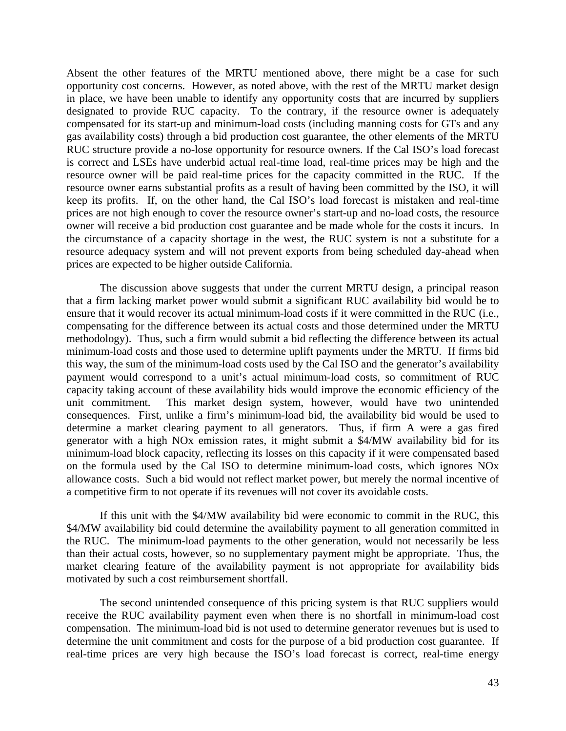Absent the other features of the MRTU mentioned above, there might be a case for such opportunity cost concerns. However, as noted above, with the rest of the MRTU market design in place, we have been unable to identify any opportunity costs that are incurred by suppliers designated to provide RUC capacity. To the contrary, if the resource owner is adequately compensated for its start-up and minimum-load costs (including manning costs for GTs and any gas availability costs) through a bid production cost guarantee, the other elements of the MRTU RUC structure provide a no-lose opportunity for resource owners. If the Cal ISO's load forecast is correct and LSEs have underbid actual real-time load, real-time prices may be high and the resource owner will be paid real-time prices for the capacity committed in the RUC. If the resource owner earns substantial profits as a result of having been committed by the ISO, it will keep its profits. If, on the other hand, the Cal ISO's load forecast is mistaken and real-time prices are not high enough to cover the resource owner's start-up and no-load costs, the resource owner will receive a bid production cost guarantee and be made whole for the costs it incurs. In the circumstance of a capacity shortage in the west, the RUC system is not a substitute for a resource adequacy system and will not prevent exports from being scheduled day-ahead when prices are expected to be higher outside California.

 The discussion above suggests that under the current MRTU design, a principal reason that a firm lacking market power would submit a significant RUC availability bid would be to ensure that it would recover its actual minimum-load costs if it were committed in the RUC (i.e., compensating for the difference between its actual costs and those determined under the MRTU methodology). Thus, such a firm would submit a bid reflecting the difference between its actual minimum-load costs and those used to determine uplift payments under the MRTU. If firms bid this way, the sum of the minimum-load costs used by the Cal ISO and the generator's availability payment would correspond to a unit's actual minimum-load costs, so commitment of RUC capacity taking account of these availability bids would improve the economic efficiency of the unit commitment. This market design system, however, would have two unintended consequences. First, unlike a firm's minimum-load bid, the availability bid would be used to determine a market clearing payment to all generators. Thus, if firm A were a gas fired generator with a high NOx emission rates, it might submit a \$4/MW availability bid for its minimum-load block capacity, reflecting its losses on this capacity if it were compensated based on the formula used by the Cal ISO to determine minimum-load costs, which ignores NOx allowance costs. Such a bid would not reflect market power, but merely the normal incentive of a competitive firm to not operate if its revenues will not cover its avoidable costs.

 If this unit with the \$4/MW availability bid were economic to commit in the RUC, this \$4/MW availability bid could determine the availability payment to all generation committed in the RUC. The minimum-load payments to the other generation, would not necessarily be less than their actual costs, however, so no supplementary payment might be appropriate. Thus, the market clearing feature of the availability payment is not appropriate for availability bids motivated by such a cost reimbursement shortfall.

 The second unintended consequence of this pricing system is that RUC suppliers would receive the RUC availability payment even when there is no shortfall in minimum-load cost compensation. The minimum-load bid is not used to determine generator revenues but is used to determine the unit commitment and costs for the purpose of a bid production cost guarantee. If real-time prices are very high because the ISO's load forecast is correct, real-time energy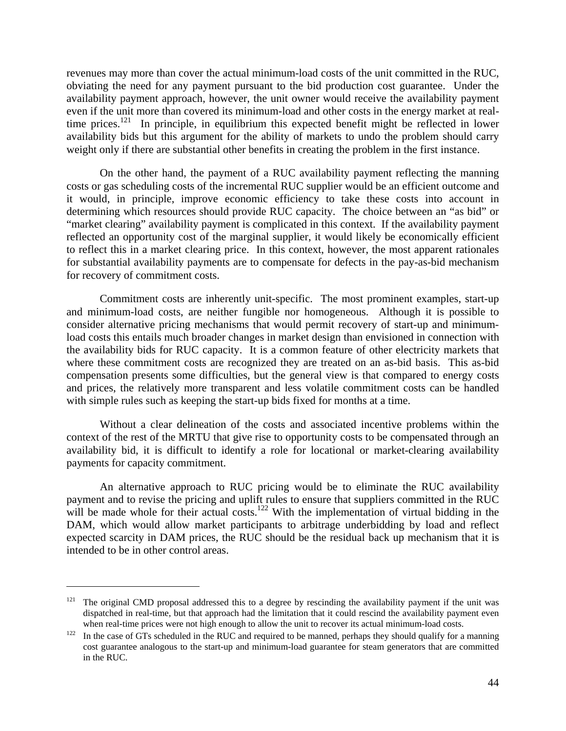revenues may more than cover the actual minimum-load costs of the unit committed in the RUC, obviating the need for any payment pursuant to the bid production cost guarantee. Under the availability payment approach, however, the unit owner would receive the availability payment even if the unit more than covered its minimum-load and other costs in the energy market at realtime prices.<sup>121</sup> In principle, in equilibrium this expected benefit might be reflected in lower availability bids but this argument for the ability of markets to undo the problem should carry weight only if there are substantial other benefits in creating the problem in the first instance.

 On the other hand, the payment of a RUC availability payment reflecting the manning costs or gas scheduling costs of the incremental RUC supplier would be an efficient outcome and it would, in principle, improve economic efficiency to take these costs into account in determining which resources should provide RUC capacity. The choice between an "as bid" or "market clearing" availability payment is complicated in this context. If the availability payment reflected an opportunity cost of the marginal supplier, it would likely be economically efficient to reflect this in a market clearing price. In this context, however, the most apparent rationales for substantial availability payments are to compensate for defects in the pay-as-bid mechanism for recovery of commitment costs.

Commitment costs are inherently unit-specific. The most prominent examples, start-up and minimum-load costs, are neither fungible nor homogeneous. Although it is possible to consider alternative pricing mechanisms that would permit recovery of start-up and minimumload costs this entails much broader changes in market design than envisioned in connection with the availability bids for RUC capacity. It is a common feature of other electricity markets that where these commitment costs are recognized they are treated on an as-bid basis. This as-bid compensation presents some difficulties, but the general view is that compared to energy costs and prices, the relatively more transparent and less volatile commitment costs can be handled with simple rules such as keeping the start-up bids fixed for months at a time.

Without a clear delineation of the costs and associated incentive problems within the context of the rest of the MRTU that give rise to opportunity costs to be compensated through an availability bid, it is difficult to identify a role for locational or market-clearing availability payments for capacity commitment.

 An alternative approach to RUC pricing would be to eliminate the RUC availability payment and to revise the pricing and uplift rules to ensure that suppliers committed in the RUC will be made whole for their actual costs.<sup>122</sup> With the implementation of virtual bidding in the DAM, which would allow market participants to arbitrage underbidding by load and reflect expected scarcity in DAM prices, the RUC should be the residual back up mechanism that it is intended to be in other control areas.

<u>.</u>

 $121$  The original CMD proposal addressed this to a degree by rescinding the availability payment if the unit was dispatched in real-time, but that approach had the limitation that it could rescind the availability payment even when real-time prices were not high enough to allow the unit to recover its actual minimum-load costs.<br><sup>122</sup> In the case of GTs scheduled in the RUC and required to be manned, perhaps they should qualify for a manning

cost guarantee analogous to the start-up and minimum-load guarantee for steam generators that are committed in the RUC.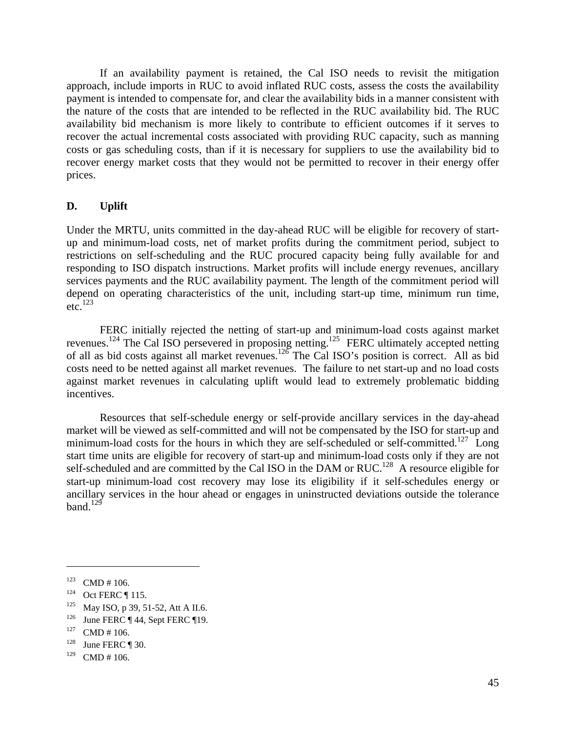If an availability payment is retained, the Cal ISO needs to revisit the mitigation approach, include imports in RUC to avoid inflated RUC costs, assess the costs the availability payment is intended to compensate for, and clear the availability bids in a manner consistent with the nature of the costs that are intended to be reflected in the RUC availability bid. The RUC availability bid mechanism is more likely to contribute to efficient outcomes if it serves to recover the actual incremental costs associated with providing RUC capacity, such as manning costs or gas scheduling costs, than if it is necessary for suppliers to use the availability bid to recover energy market costs that they would not be permitted to recover in their energy offer prices.

## **D. Uplift**

Under the MRTU, units committed in the day-ahead RUC will be eligible for recovery of startup and minimum-load costs, net of market profits during the commitment period, subject to restrictions on self-scheduling and the RUC procured capacity being fully available for and responding to ISO dispatch instructions. Market profits will include energy revenues, ancillary services payments and the RUC availability payment. The length of the commitment period will depend on operating characteristics of the unit, including start-up time, minimum run time,  $etc.<sup>123</sup>$ 

 FERC initially rejected the netting of start-up and minimum-load costs against market revenues.<sup>124</sup> The Cal ISO persevered in proposing netting.<sup>125</sup> FERC ultimately accepted netting of all as bid costs against all market revenues.126 The Cal ISO's position is correct. All as bid costs need to be netted against all market revenues. The failure to net start-up and no load costs against market revenues in calculating uplift would lead to extremely problematic bidding incentives.

 Resources that self-schedule energy or self-provide ancillary services in the day-ahead market will be viewed as self-committed and will not be compensated by the ISO for start-up and minimum-load costs for the hours in which they are self-scheduled or self-committed.<sup>127</sup> Long start time units are eligible for recovery of start-up and minimum-load costs only if they are not self-scheduled and are committed by the Cal ISO in the DAM or RUC.<sup>128</sup> A resource eligible for start-up minimum-load cost recovery may lose its eligibility if it self-schedules energy or ancillary services in the hour ahead or engages in uninstructed deviations outside the tolerance band. $129$ 

<sup>123</sup> CMD # 106.<br>
124 Oct FERC ¶ 115.<br>
125 May ISO, p 39, 51-52, Att A II.6.<br>
126 June FERC ¶ 44, Sept FERC ¶ 19.<br>
127 CMD # 106.<br>
128 June FERC ¶ 30.

 $129$  CMD # 106.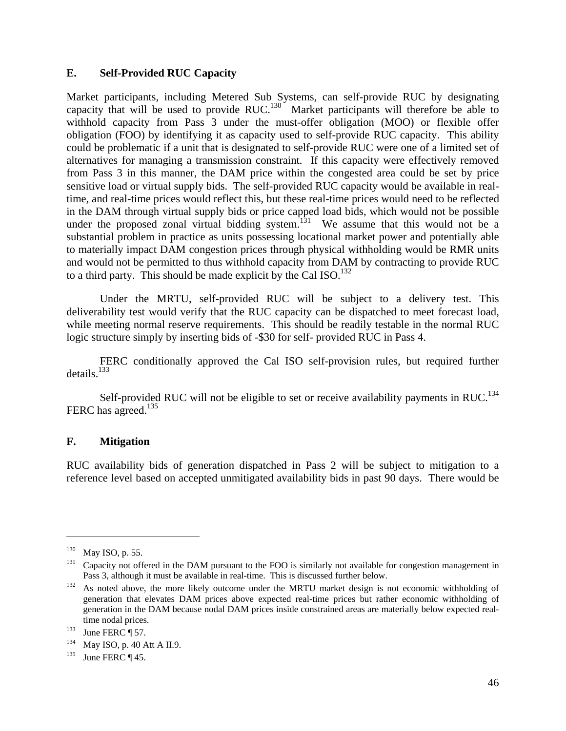## **E. Self-Provided RUC Capacity**

Market participants, including Metered Sub Systems, can self-provide RUC by designating capacity that will be used to provide RUC.<sup>130</sup> Market participants will therefore be able to withhold capacity from Pass 3 under the must-offer obligation (MOO) or flexible offer obligation (FOO) by identifying it as capacity used to self-provide RUC capacity. This ability could be problematic if a unit that is designated to self-provide RUC were one of a limited set of alternatives for managing a transmission constraint. If this capacity were effectively removed from Pass 3 in this manner, the DAM price within the congested area could be set by price sensitive load or virtual supply bids. The self-provided RUC capacity would be available in realtime, and real-time prices would reflect this, but these real-time prices would need to be reflected in the DAM through virtual supply bids or price capped load bids, which would not be possible under the proposed zonal virtual bidding system.<sup>131</sup> We assume that this would not be a substantial problem in practice as units possessing locational market power and potentially able to materially impact DAM congestion prices through physical withholding would be RMR units and would not be permitted to thus withhold capacity from DAM by contracting to provide RUC to a third party. This should be made explicit by the Cal ISO.<sup>132</sup>

 Under the MRTU, self-provided RUC will be subject to a delivery test. This deliverability test would verify that the RUC capacity can be dispatched to meet forecast load, while meeting normal reserve requirements. This should be readily testable in the normal RUC logic structure simply by inserting bids of -\$30 for self- provided RUC in Pass 4.

 FERC conditionally approved the Cal ISO self-provision rules, but required further  $details.<sup>133</sup>$ 

Self-provided RUC will not be eligible to set or receive availability payments in RUC.<sup>134</sup> FERC has agreed.<sup>135</sup>

## **F. Mitigation**

RUC availability bids of generation dispatched in Pass 2 will be subject to mitigation to a reference level based on accepted unmitigated availability bids in past 90 days. There would be

<sup>&</sup>lt;sup>130</sup> May ISO, p. 55.<br><sup>131</sup> Capacity not offered in the DAM pursuant to the FOO is similarly not available for congestion management in<br>Pass 3, although it must be available in real-time. This is discussed further below.

 $P<sup>132</sup>$  As noted above, the more likely outcome under the MRTU market design is not economic withholding of generation that elevates DAM prices above expected real-time prices but rather economic withholding of generation in the DAM because nodal DAM prices inside constrained areas are materially below expected realtime nodal prices.<br>
<sup>133</sup> June FERC ¶ 57.<br>
<sup>134</sup> May ISO, p. 40 Att A II.9.<br>
<sup>135</sup> June FERC ¶ 45.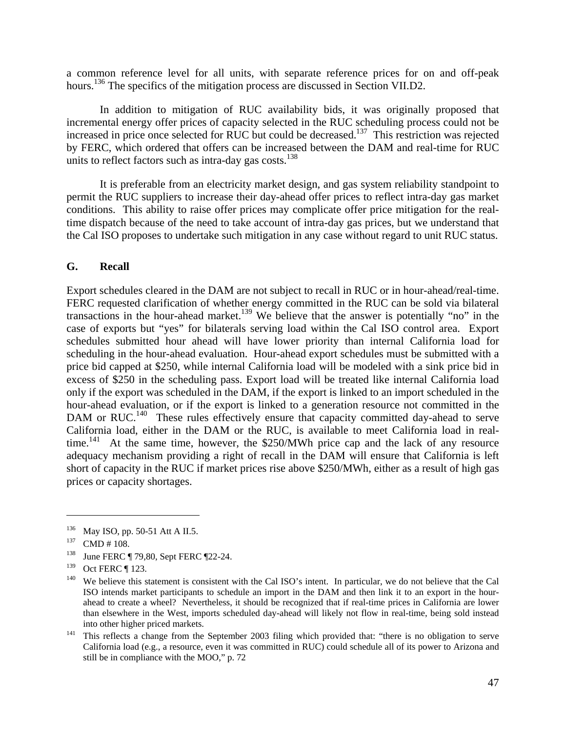a common reference level for all units, with separate reference prices for on and off-peak hours.<sup>136</sup> The specifics of the mitigation process are discussed in Section VII.D2.

 In addition to mitigation of RUC availability bids, it was originally proposed that incremental energy offer prices of capacity selected in the RUC scheduling process could not be increased in price once selected for RUC but could be decreased.<sup>137</sup> This restriction was rejected by FERC, which ordered that offers can be increased between the DAM and real-time for RUC units to reflect factors such as intra-day gas costs. $138$ 

 It is preferable from an electricity market design, and gas system reliability standpoint to permit the RUC suppliers to increase their day-ahead offer prices to reflect intra-day gas market conditions. This ability to raise offer prices may complicate offer price mitigation for the realtime dispatch because of the need to take account of intra-day gas prices, but we understand that the Cal ISO proposes to undertake such mitigation in any case without regard to unit RUC status.

### **G. Recall**

Export schedules cleared in the DAM are not subject to recall in RUC or in hour-ahead/real-time. FERC requested clarification of whether energy committed in the RUC can be sold via bilateral transactions in the hour-ahead market.<sup>139</sup> We believe that the answer is potentially "no" in the case of exports but "yes" for bilaterals serving load within the Cal ISO control area. Export schedules submitted hour ahead will have lower priority than internal California load for scheduling in the hour-ahead evaluation. Hour-ahead export schedules must be submitted with a price bid capped at \$250, while internal California load will be modeled with a sink price bid in excess of \$250 in the scheduling pass. Export load will be treated like internal California load only if the export was scheduled in the DAM, if the export is linked to an import scheduled in the hour-ahead evaluation, or if the export is linked to a generation resource not committed in the DAM or RUC.<sup>140</sup> These rules effectively ensure that capacity committed day-ahead to serve California load, either in the DAM or the RUC, is available to meet California load in realtime.<sup>141</sup> At the same time, however, the \$250/MWh price cap and the lack of any resource adequacy mechanism providing a right of recall in the DAM will ensure that California is left short of capacity in the RUC if market prices rise above \$250/MWh, either as a result of high gas prices or capacity shortages.

1

<sup>&</sup>lt;sup>136</sup> May ISO, pp. 50-51 Att A II.5.<br><sup>137</sup> CMD # 108. **138** June FERC ¶ 79,80, Sept FERC ¶ 22-24.

<sup>&</sup>lt;sup>139</sup> Oct FERC  $\P$  123.<br><sup>140</sup> We believe this statement is consistent with the Cal ISO's intent. In particular, we do not believe that the Cal ISO intends market participants to schedule an import in the DAM and then link it to an export in the hourahead to create a wheel? Nevertheless, it should be recognized that if real-time prices in California are lower than elsewhere in the West, imports scheduled day-ahead will likely not flow in real-time, being sold instead into other higher priced markets. 141 This reflects a change from the September 2003 filing which provided that: "there is no obligation to serve

California load (e.g., a resource, even it was committed in RUC) could schedule all of its power to Arizona and still be in compliance with the MOO," p. 72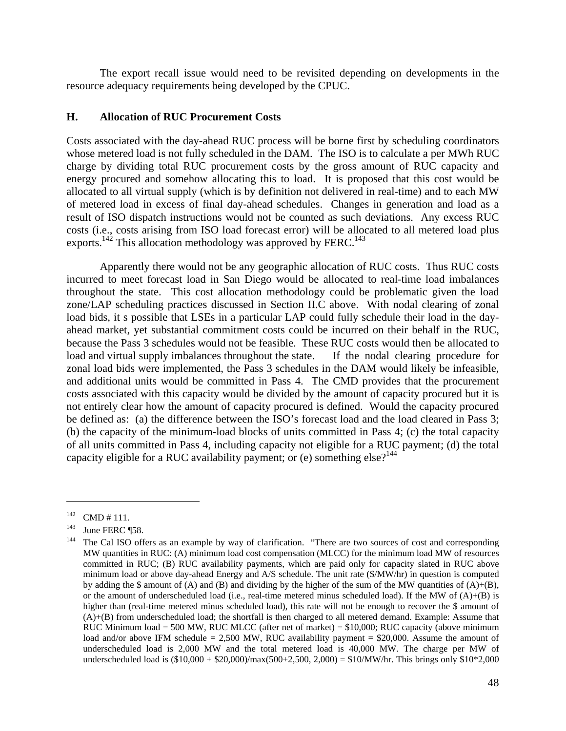The export recall issue would need to be revisited depending on developments in the resource adequacy requirements being developed by the CPUC.

## **H. Allocation of RUC Procurement Costs**

Costs associated with the day-ahead RUC process will be borne first by scheduling coordinators whose metered load is not fully scheduled in the DAM. The ISO is to calculate a per MWh RUC charge by dividing total RUC procurement costs by the gross amount of RUC capacity and energy procured and somehow allocating this to load. It is proposed that this cost would be allocated to all virtual supply (which is by definition not delivered in real-time) and to each MW of metered load in excess of final day-ahead schedules. Changes in generation and load as a result of ISO dispatch instructions would not be counted as such deviations. Any excess RUC costs (i.e., costs arising from ISO load forecast error) will be allocated to all metered load plus exports.<sup>142</sup> This allocation methodology was approved by FERC.<sup>143</sup>

 Apparently there would not be any geographic allocation of RUC costs. Thus RUC costs incurred to meet forecast load in San Diego would be allocated to real-time load imbalances throughout the state. This cost allocation methodology could be problematic given the load zone/LAP scheduling practices discussed in Section II.C above. With nodal clearing of zonal load bids, it s possible that LSEs in a particular LAP could fully schedule their load in the dayahead market, yet substantial commitment costs could be incurred on their behalf in the RUC, because the Pass 3 schedules would not be feasible. These RUC costs would then be allocated to load and virtual supply imbalances throughout the state. If the nodal clearing procedure for zonal load bids were implemented, the Pass 3 schedules in the DAM would likely be infeasible, and additional units would be committed in Pass 4. The CMD provides that the procurement costs associated with this capacity would be divided by the amount of capacity procured but it is not entirely clear how the amount of capacity procured is defined. Would the capacity procured be defined as: (a) the difference between the ISO's forecast load and the load cleared in Pass 3; (b) the capacity of the minimum-load blocks of units committed in Pass 4; (c) the total capacity of all units committed in Pass 4, including capacity not eligible for a RUC payment; (d) the total capacity eligible for a RUC availability payment; or (e) something else?<sup>144</sup>

<sup>&</sup>lt;sup>142</sup> CMD # 111.<br><sup>143</sup> June FERC ¶58.<br><sup>144</sup> The Cal ISO offers as an example by way of clarification. "There are two sources of cost and corresponding MW quantities in RUC: (A) minimum load cost compensation (MLCC) for the minimum load MW of resources committed in RUC; (B) RUC availability payments, which are paid only for capacity slated in RUC above minimum load or above day-ahead Energy and A/S schedule. The unit rate (\$/MW/hr) in question is computed by adding the \$ amount of (A) and (B) and dividing by the higher of the sum of the MW quantities of  $(A)+(B)$ , or the amount of underscheduled load (i.e., real-time metered minus scheduled load). If the MW of  $(A)+(B)$  is higher than (real-time metered minus scheduled load), this rate will not be enough to recover the \$ amount of (A)+(B) from underscheduled load; the shortfall is then charged to all metered demand. Example: Assume that RUC Minimum load = 500 MW, RUC MLCC (after net of market) =  $$10,000$ ; RUC capacity (above minimum load and/or above IFM schedule = 2,500 MW, RUC availability payment = \$20,000. Assume the amount of underscheduled load is 2,000 MW and the total metered load is 40,000 MW. The charge per MW of underscheduled load is  $(\$10,000 + \$20,000$ /max $(500+2,500, 2,000) = \$10/MW/hr$ . This brings only  $\$10*2,000$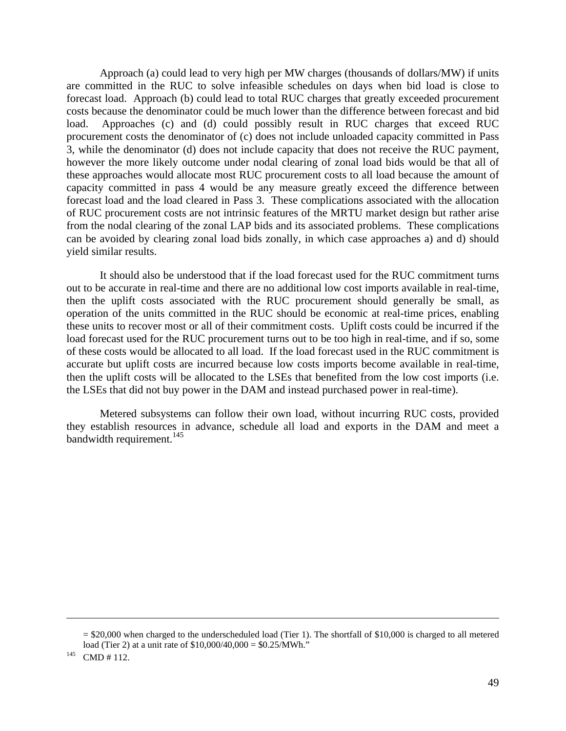Approach (a) could lead to very high per MW charges (thousands of dollars/MW) if units are committed in the RUC to solve infeasible schedules on days when bid load is close to forecast load. Approach (b) could lead to total RUC charges that greatly exceeded procurement costs because the denominator could be much lower than the difference between forecast and bid load. Approaches (c) and (d) could possibly result in RUC charges that exceed RUC procurement costs the denominator of (c) does not include unloaded capacity committed in Pass 3, while the denominator (d) does not include capacity that does not receive the RUC payment, however the more likely outcome under nodal clearing of zonal load bids would be that all of these approaches would allocate most RUC procurement costs to all load because the amount of capacity committed in pass 4 would be any measure greatly exceed the difference between forecast load and the load cleared in Pass 3. These complications associated with the allocation of RUC procurement costs are not intrinsic features of the MRTU market design but rather arise from the nodal clearing of the zonal LAP bids and its associated problems. These complications can be avoided by clearing zonal load bids zonally, in which case approaches a) and d) should yield similar results.

It should also be understood that if the load forecast used for the RUC commitment turns out to be accurate in real-time and there are no additional low cost imports available in real-time, then the uplift costs associated with the RUC procurement should generally be small, as operation of the units committed in the RUC should be economic at real-time prices, enabling these units to recover most or all of their commitment costs. Uplift costs could be incurred if the load forecast used for the RUC procurement turns out to be too high in real-time, and if so, some of these costs would be allocated to all load. If the load forecast used in the RUC commitment is accurate but uplift costs are incurred because low costs imports become available in real-time, then the uplift costs will be allocated to the LSEs that benefited from the low cost imports (i.e. the LSEs that did not buy power in the DAM and instead purchased power in real-time).

 Metered subsystems can follow their own load, without incurring RUC costs, provided they establish resources in advance, schedule all load and exports in the DAM and meet a bandwidth requirement. $145$ 

<sup>= \$20,000</sup> when charged to the underscheduled load (Tier 1). The shortfall of \$10,000 is charged to all metered load (Tier 2) at a unit rate of  $$10,000/40,000 = $0.25/MWh.$ <sup>145</sup> CMD # 112.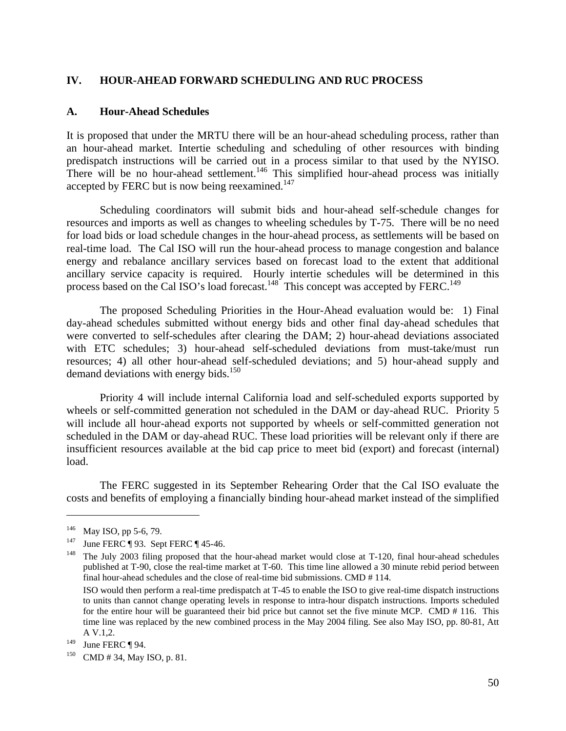## **IV. HOUR-AHEAD FORWARD SCHEDULING AND RUC PROCESS**

#### **A. Hour-Ahead Schedules**

It is proposed that under the MRTU there will be an hour-ahead scheduling process, rather than an hour-ahead market. Intertie scheduling and scheduling of other resources with binding predispatch instructions will be carried out in a process similar to that used by the NYISO. There will be no hour-ahead settlement.<sup>146</sup> This simplified hour-ahead process was initially accepted by FERC but is now being reexamined.<sup>147</sup>

 Scheduling coordinators will submit bids and hour-ahead self-schedule changes for resources and imports as well as changes to wheeling schedules by T-75. There will be no need for load bids or load schedule changes in the hour-ahead process, as settlements will be based on real-time load. The Cal ISO will run the hour-ahead process to manage congestion and balance energy and rebalance ancillary services based on forecast load to the extent that additional ancillary service capacity is required. Hourly intertie schedules will be determined in this process based on the Cal ISO's load forecast.<sup>148</sup> This concept was accepted by FERC.<sup>149</sup>

 The proposed Scheduling Priorities in the Hour-Ahead evaluation would be: 1) Final day-ahead schedules submitted without energy bids and other final day-ahead schedules that were converted to self-schedules after clearing the DAM; 2) hour-ahead deviations associated with ETC schedules; 3) hour-ahead self-scheduled deviations from must-take/must run resources; 4) all other hour-ahead self-scheduled deviations; and 5) hour-ahead supply and demand deviations with energy bids.<sup>150</sup>

 Priority 4 will include internal California load and self-scheduled exports supported by wheels or self-committed generation not scheduled in the DAM or day-ahead RUC. Priority 5 will include all hour-ahead exports not supported by wheels or self-committed generation not scheduled in the DAM or day-ahead RUC. These load priorities will be relevant only if there are insufficient resources available at the bid cap price to meet bid (export) and forecast (internal) load.

 The FERC suggested in its September Rehearing Order that the Cal ISO evaluate the costs and benefits of employing a financially binding hour-ahead market instead of the simplified

1

<sup>&</sup>lt;sup>146</sup> May ISO, pp 5-6, 79.<br><sup>147</sup> June FERC ¶ 93. Sept FERC ¶ 45-46.<br><sup>148</sup> The July 2003 filing proposed that the hour-ahead market would close at T-120, final hour-ahead schedules published at T-90, close the real-time market at T-60. This time line allowed a 30 minute rebid period between final hour-ahead schedules and the close of real-time bid submissions. CMD # 114.

ISO would then perform a real-time predispatch at T-45 to enable the ISO to give real-time dispatch instructions to units than cannot change operating levels in response to intra-hour dispatch instructions. Imports scheduled for the entire hour will be guaranteed their bid price but cannot set the five minute MCP. CMD # 116. This time line was replaced by the new combined process in the May 2004 filing. See also May ISO, pp. 80-81, Att A V.1,2.

<sup>&</sup>lt;sup>149</sup> June FERC ¶ 94.<br><sup>150</sup> CMD # 34, May ISO, p. 81.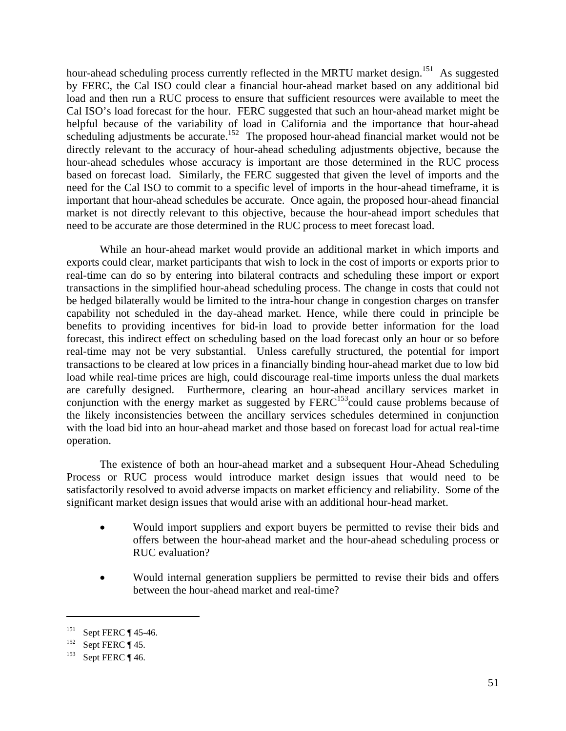hour-ahead scheduling process currently reflected in the MRTU market design.<sup>151</sup> As suggested by FERC, the Cal ISO could clear a financial hour-ahead market based on any additional bid load and then run a RUC process to ensure that sufficient resources were available to meet the Cal ISO's load forecast for the hour. FERC suggested that such an hour-ahead market might be helpful because of the variability of load in California and the importance that hour-ahead scheduling adjustments be accurate.<sup>152</sup> The proposed hour-ahead financial market would not be directly relevant to the accuracy of hour-ahead scheduling adjustments objective, because the hour-ahead schedules whose accuracy is important are those determined in the RUC process based on forecast load. Similarly, the FERC suggested that given the level of imports and the need for the Cal ISO to commit to a specific level of imports in the hour-ahead timeframe, it is important that hour-ahead schedules be accurate. Once again, the proposed hour-ahead financial market is not directly relevant to this objective, because the hour-ahead import schedules that need to be accurate are those determined in the RUC process to meet forecast load.

 While an hour-ahead market would provide an additional market in which imports and exports could clear, market participants that wish to lock in the cost of imports or exports prior to real-time can do so by entering into bilateral contracts and scheduling these import or export transactions in the simplified hour-ahead scheduling process. The change in costs that could not be hedged bilaterally would be limited to the intra-hour change in congestion charges on transfer capability not scheduled in the day-ahead market. Hence, while there could in principle be benefits to providing incentives for bid-in load to provide better information for the load forecast, this indirect effect on scheduling based on the load forecast only an hour or so before real-time may not be very substantial. Unless carefully structured, the potential for import transactions to be cleared at low prices in a financially binding hour-ahead market due to low bid load while real-time prices are high, could discourage real-time imports unless the dual markets are carefully designed. Furthermore, clearing an hour-ahead ancillary services market in conjunction with the energy market as suggested by FERC<sup>153</sup>could cause problems because of the likely inconsistencies between the ancillary services schedules determined in conjunction with the load bid into an hour-ahead market and those based on forecast load for actual real-time operation.

 The existence of both an hour-ahead market and a subsequent Hour-Ahead Scheduling Process or RUC process would introduce market design issues that would need to be satisfactorily resolved to avoid adverse impacts on market efficiency and reliability. Some of the significant market design issues that would arise with an additional hour-head market.

- Would import suppliers and export buyers be permitted to revise their bids and offers between the hour-ahead market and the hour-ahead scheduling process or RUC evaluation?
- Would internal generation suppliers be permitted to revise their bids and offers between the hour-ahead market and real-time?

1

<sup>&</sup>lt;sup>151</sup> Sept FERC ¶ 45-46.<br><sup>152</sup> Sept FERC ¶ 45.<br><sup>153</sup> Sept FERC ¶ 46.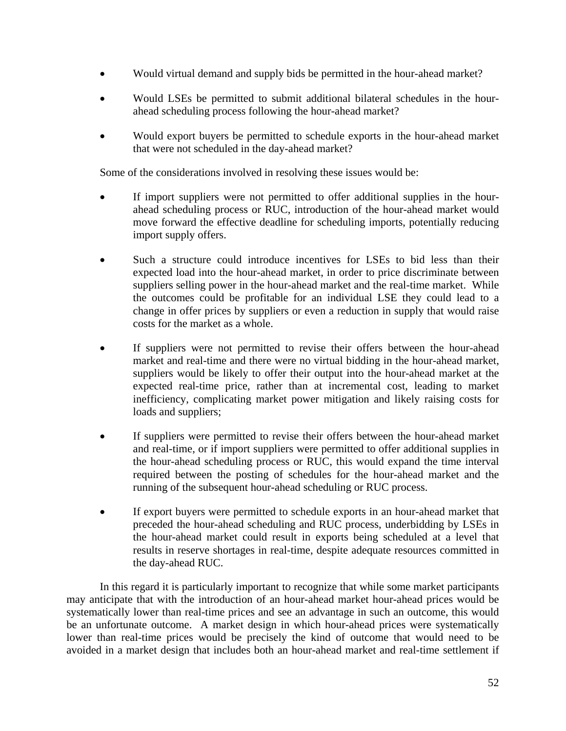- Would virtual demand and supply bids be permitted in the hour-ahead market?
- Would LSEs be permitted to submit additional bilateral schedules in the hourahead scheduling process following the hour-ahead market?
- Would export buyers be permitted to schedule exports in the hour-ahead market that were not scheduled in the day-ahead market?

Some of the considerations involved in resolving these issues would be:

- If import suppliers were not permitted to offer additional supplies in the hourahead scheduling process or RUC, introduction of the hour-ahead market would move forward the effective deadline for scheduling imports, potentially reducing import supply offers.
- Such a structure could introduce incentives for LSEs to bid less than their expected load into the hour-ahead market, in order to price discriminate between suppliers selling power in the hour-ahead market and the real-time market. While the outcomes could be profitable for an individual LSE they could lead to a change in offer prices by suppliers or even a reduction in supply that would raise costs for the market as a whole.
- If suppliers were not permitted to revise their offers between the hour-ahead market and real-time and there were no virtual bidding in the hour-ahead market, suppliers would be likely to offer their output into the hour-ahead market at the expected real-time price, rather than at incremental cost, leading to market inefficiency, complicating market power mitigation and likely raising costs for loads and suppliers;
- If suppliers were permitted to revise their offers between the hour-ahead market and real-time, or if import suppliers were permitted to offer additional supplies in the hour-ahead scheduling process or RUC, this would expand the time interval required between the posting of schedules for the hour-ahead market and the running of the subsequent hour-ahead scheduling or RUC process.
- If export buyers were permitted to schedule exports in an hour-ahead market that preceded the hour-ahead scheduling and RUC process, underbidding by LSEs in the hour-ahead market could result in exports being scheduled at a level that results in reserve shortages in real-time, despite adequate resources committed in the day-ahead RUC.

 In this regard it is particularly important to recognize that while some market participants may anticipate that with the introduction of an hour-ahead market hour-ahead prices would be systematically lower than real-time prices and see an advantage in such an outcome, this would be an unfortunate outcome. A market design in which hour-ahead prices were systematically lower than real-time prices would be precisely the kind of outcome that would need to be avoided in a market design that includes both an hour-ahead market and real-time settlement if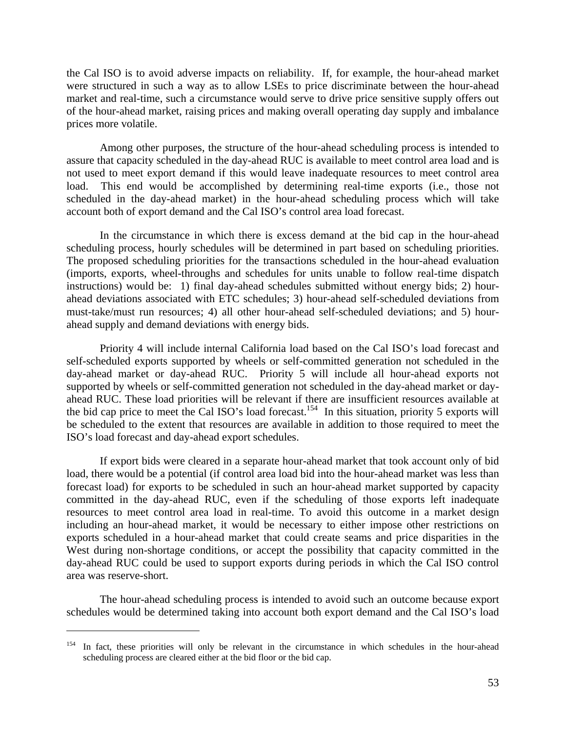the Cal ISO is to avoid adverse impacts on reliability. If, for example, the hour-ahead market were structured in such a way as to allow LSEs to price discriminate between the hour-ahead market and real-time, such a circumstance would serve to drive price sensitive supply offers out of the hour-ahead market, raising prices and making overall operating day supply and imbalance prices more volatile.

 Among other purposes, the structure of the hour-ahead scheduling process is intended to assure that capacity scheduled in the day-ahead RUC is available to meet control area load and is not used to meet export demand if this would leave inadequate resources to meet control area load. This end would be accomplished by determining real-time exports (i.e., those not scheduled in the day-ahead market) in the hour-ahead scheduling process which will take account both of export demand and the Cal ISO's control area load forecast.

 In the circumstance in which there is excess demand at the bid cap in the hour-ahead scheduling process, hourly schedules will be determined in part based on scheduling priorities. The proposed scheduling priorities for the transactions scheduled in the hour-ahead evaluation (imports, exports, wheel-throughs and schedules for units unable to follow real-time dispatch instructions) would be: 1) final day-ahead schedules submitted without energy bids; 2) hourahead deviations associated with ETC schedules; 3) hour-ahead self-scheduled deviations from must-take/must run resources; 4) all other hour-ahead self-scheduled deviations; and 5) hourahead supply and demand deviations with energy bids.

 Priority 4 will include internal California load based on the Cal ISO's load forecast and self-scheduled exports supported by wheels or self-committed generation not scheduled in the day-ahead market or day-ahead RUC. Priority 5 will include all hour-ahead exports not supported by wheels or self-committed generation not scheduled in the day-ahead market or dayahead RUC. These load priorities will be relevant if there are insufficient resources available at the bid cap price to meet the Cal ISO's load forecast.<sup>154</sup> In this situation, priority 5 exports will be scheduled to the extent that resources are available in addition to those required to meet the ISO's load forecast and day-ahead export schedules.

 If export bids were cleared in a separate hour-ahead market that took account only of bid load, there would be a potential (if control area load bid into the hour-ahead market was less than forecast load) for exports to be scheduled in such an hour-ahead market supported by capacity committed in the day-ahead RUC, even if the scheduling of those exports left inadequate resources to meet control area load in real-time. To avoid this outcome in a market design including an hour-ahead market, it would be necessary to either impose other restrictions on exports scheduled in a hour-ahead market that could create seams and price disparities in the West during non-shortage conditions, or accept the possibility that capacity committed in the day-ahead RUC could be used to support exports during periods in which the Cal ISO control area was reserve-short.

 The hour-ahead scheduling process is intended to avoid such an outcome because export schedules would be determined taking into account both export demand and the Cal ISO's load

<sup>&</sup>lt;sup>154</sup> In fact, these priorities will only be relevant in the circumstance in which schedules in the hour-ahead scheduling process are cleared either at the bid floor or the bid cap.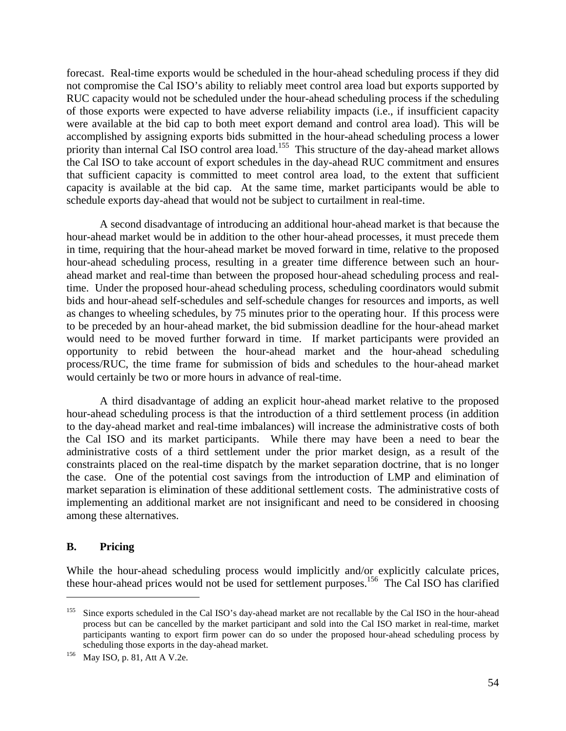forecast. Real-time exports would be scheduled in the hour-ahead scheduling process if they did not compromise the Cal ISO's ability to reliably meet control area load but exports supported by RUC capacity would not be scheduled under the hour-ahead scheduling process if the scheduling of those exports were expected to have adverse reliability impacts (i.e., if insufficient capacity were available at the bid cap to both meet export demand and control area load). This will be accomplished by assigning exports bids submitted in the hour-ahead scheduling process a lower priority than internal Cal ISO control area load.<sup>155</sup> This structure of the day-ahead market allows the Cal ISO to take account of export schedules in the day-ahead RUC commitment and ensures that sufficient capacity is committed to meet control area load, to the extent that sufficient capacity is available at the bid cap. At the same time, market participants would be able to schedule exports day-ahead that would not be subject to curtailment in real-time.

 A second disadvantage of introducing an additional hour-ahead market is that because the hour-ahead market would be in addition to the other hour-ahead processes, it must precede them in time, requiring that the hour-ahead market be moved forward in time, relative to the proposed hour-ahead scheduling process, resulting in a greater time difference between such an hourahead market and real-time than between the proposed hour-ahead scheduling process and realtime. Under the proposed hour-ahead scheduling process, scheduling coordinators would submit bids and hour-ahead self-schedules and self-schedule changes for resources and imports, as well as changes to wheeling schedules, by 75 minutes prior to the operating hour. If this process were to be preceded by an hour-ahead market, the bid submission deadline for the hour-ahead market would need to be moved further forward in time. If market participants were provided an opportunity to rebid between the hour-ahead market and the hour-ahead scheduling process/RUC, the time frame for submission of bids and schedules to the hour-ahead market would certainly be two or more hours in advance of real-time.

 A third disadvantage of adding an explicit hour-ahead market relative to the proposed hour-ahead scheduling process is that the introduction of a third settlement process (in addition to the day-ahead market and real-time imbalances) will increase the administrative costs of both the Cal ISO and its market participants. While there may have been a need to bear the administrative costs of a third settlement under the prior market design, as a result of the constraints placed on the real-time dispatch by the market separation doctrine, that is no longer the case. One of the potential cost savings from the introduction of LMP and elimination of market separation is elimination of these additional settlement costs. The administrative costs of implementing an additional market are not insignificant and need to be considered in choosing among these alternatives.

## **B. Pricing**

 $\overline{a}$ 

While the hour-ahead scheduling process would implicitly and/or explicitly calculate prices, these hour-ahead prices would not be used for settlement purposes.<sup>156</sup> The Cal ISO has clarified

<sup>&</sup>lt;sup>155</sup> Since exports scheduled in the Cal ISO's day-ahead market are not recallable by the Cal ISO in the hour-ahead process but can be cancelled by the market participant and sold into the Cal ISO market in real-time, market participants wanting to export firm power can do so under the proposed hour-ahead scheduling process by scheduling those exports in the day-ahead market.<br><sup>156</sup> May ISO, p. 81, Att A V.2e.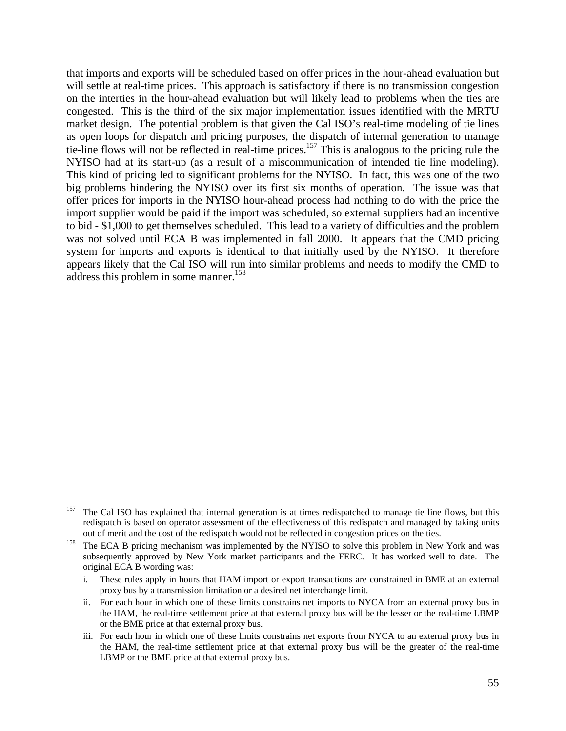that imports and exports will be scheduled based on offer prices in the hour-ahead evaluation but will settle at real-time prices. This approach is satisfactory if there is no transmission congestion on the interties in the hour-ahead evaluation but will likely lead to problems when the ties are congested. This is the third of the six major implementation issues identified with the MRTU market design. The potential problem is that given the Cal ISO's real-time modeling of tie lines as open loops for dispatch and pricing purposes, the dispatch of internal generation to manage tie-line flows will not be reflected in real-time prices.157 This is analogous to the pricing rule the NYISO had at its start-up (as a result of a miscommunication of intended tie line modeling). This kind of pricing led to significant problems for the NYISO. In fact, this was one of the two big problems hindering the NYISO over its first six months of operation. The issue was that offer prices for imports in the NYISO hour-ahead process had nothing to do with the price the import supplier would be paid if the import was scheduled, so external suppliers had an incentive to bid - \$1,000 to get themselves scheduled. This lead to a variety of difficulties and the problem was not solved until ECA B was implemented in fall 2000. It appears that the CMD pricing system for imports and exports is identical to that initially used by the NYISO. It therefore appears likely that the Cal ISO will run into similar problems and needs to modify the CMD to address this problem in some manner.<sup>158</sup>

<sup>&</sup>lt;sup>157</sup> The Cal ISO has explained that internal generation is at times redispatched to manage tie line flows, but this redispatch is based on operator assessment of the effectiveness of this redispatch and managed by taking units out of merit and the cost of the redispatch would not be reflected in congestion prices on the ties.<br>The ECA B pricing mechanism was implemented by the NYISO to solve this problem in New York and was

subsequently approved by New York market participants and the FERC. It has worked well to date. The original ECA B wording was:

i. These rules apply in hours that HAM import or export transactions are constrained in BME at an external proxy bus by a transmission limitation or a desired net interchange limit.

ii. For each hour in which one of these limits constrains net imports to NYCA from an external proxy bus in the HAM, the real-time settlement price at that external proxy bus will be the lesser or the real-time LBMP or the BME price at that external proxy bus.

iii. For each hour in which one of these limits constrains net exports from NYCA to an external proxy bus in the HAM, the real-time settlement price at that external proxy bus will be the greater of the real-time LBMP or the BME price at that external proxy bus.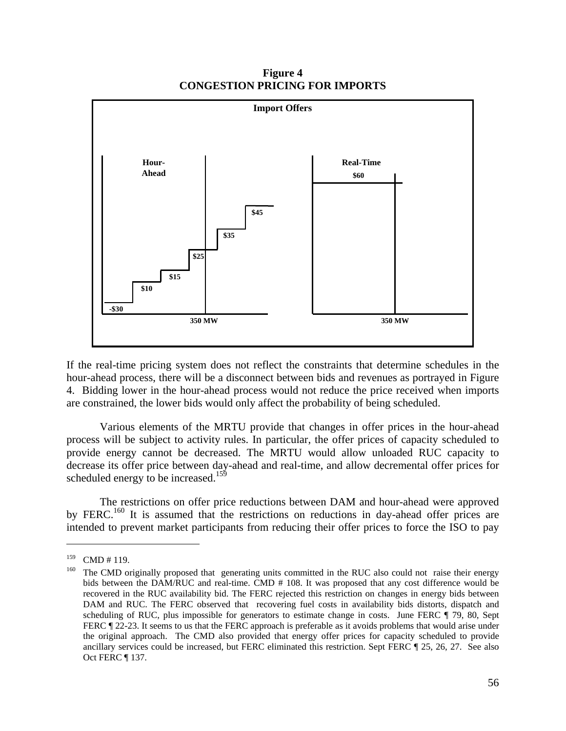

**Figure 4 CONGESTION PRICING FOR IMPORTS** 

If the real-time pricing system does not reflect the constraints that determine schedules in the hour-ahead process, there will be a disconnect between bids and revenues as portrayed in Figure 4. Bidding lower in the hour-ahead process would not reduce the price received when imports are constrained, the lower bids would only affect the probability of being scheduled.

 Various elements of the MRTU provide that changes in offer prices in the hour-ahead process will be subject to activity rules. In particular, the offer prices of capacity scheduled to provide energy cannot be decreased. The MRTU would allow unloaded RUC capacity to decrease its offer price between day-ahead and real-time, and allow decremental offer prices for scheduled energy to be increased.<sup>159</sup>

 The restrictions on offer price reductions between DAM and hour-ahead were approved by FERC.<sup>160</sup> It is assumed that the restrictions on reductions in day-ahead offer prices are intended to prevent market participants from reducing their offer prices to force the ISO to pay

<sup>&</sup>lt;sup>159</sup> CMD # 119.<br><sup>160</sup> The CMD originally proposed that generating units committed in the RUC also could not raise their energy bids between the DAM/RUC and real-time. CMD # 108. It was proposed that any cost difference would be recovered in the RUC availability bid. The FERC rejected this restriction on changes in energy bids between DAM and RUC. The FERC observed that recovering fuel costs in availability bids distorts, dispatch and scheduling of RUC, plus impossible for generators to estimate change in costs. June FERC  $\parallel$  79, 80, Sept FERC  $\parallel$  22-23. It seems to us that the FERC approach is preferable as it avoids problems that would arise under the original approach. The CMD also provided that energy offer prices for capacity scheduled to provide ancillary services could be increased, but FERC eliminated this restriction. Sept FERC ¶ 25, 26, 27. See also Oct FERC ¶ 137.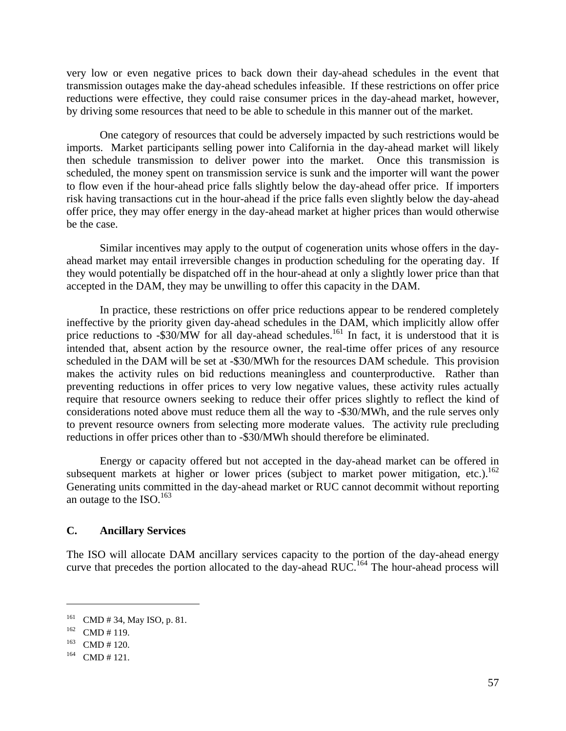very low or even negative prices to back down their day-ahead schedules in the event that transmission outages make the day-ahead schedules infeasible. If these restrictions on offer price reductions were effective, they could raise consumer prices in the day-ahead market, however, by driving some resources that need to be able to schedule in this manner out of the market.

 One category of resources that could be adversely impacted by such restrictions would be imports. Market participants selling power into California in the day-ahead market will likely then schedule transmission to deliver power into the market. Once this transmission is scheduled, the money spent on transmission service is sunk and the importer will want the power to flow even if the hour-ahead price falls slightly below the day-ahead offer price. If importers risk having transactions cut in the hour-ahead if the price falls even slightly below the day-ahead offer price, they may offer energy in the day-ahead market at higher prices than would otherwise be the case.

 Similar incentives may apply to the output of cogeneration units whose offers in the dayahead market may entail irreversible changes in production scheduling for the operating day. If they would potentially be dispatched off in the hour-ahead at only a slightly lower price than that accepted in the DAM, they may be unwilling to offer this capacity in the DAM.

 In practice, these restrictions on offer price reductions appear to be rendered completely ineffective by the priority given day-ahead schedules in the DAM, which implicitly allow offer price reductions to  $-$ \$30/MW for all day-ahead schedules.<sup>161</sup> In fact, it is understood that it is intended that, absent action by the resource owner, the real-time offer prices of any resource scheduled in the DAM will be set at -\$30/MWh for the resources DAM schedule. This provision makes the activity rules on bid reductions meaningless and counterproductive. Rather than preventing reductions in offer prices to very low negative values, these activity rules actually require that resource owners seeking to reduce their offer prices slightly to reflect the kind of considerations noted above must reduce them all the way to -\$30/MWh, and the rule serves only to prevent resource owners from selecting more moderate values. The activity rule precluding reductions in offer prices other than to -\$30/MWh should therefore be eliminated.

 Energy or capacity offered but not accepted in the day-ahead market can be offered in subsequent markets at higher or lower prices (subject to market power mitigation, etc.).<sup>162</sup> Generating units committed in the day-ahead market or RUC cannot decommit without reporting an outage to the ISO.<sup>163</sup>

## **C. Ancillary Services**

The ISO will allocate DAM ancillary services capacity to the portion of the day-ahead energy curve that precedes the portion allocated to the day-ahead RUC.<sup>164</sup> The hour-ahead process will

<sup>&</sup>lt;sup>161</sup> CMD # 34, May ISO, p. 81.<br><sup>162</sup> CMD # 119.<br><sup>164</sup> CMD # 121.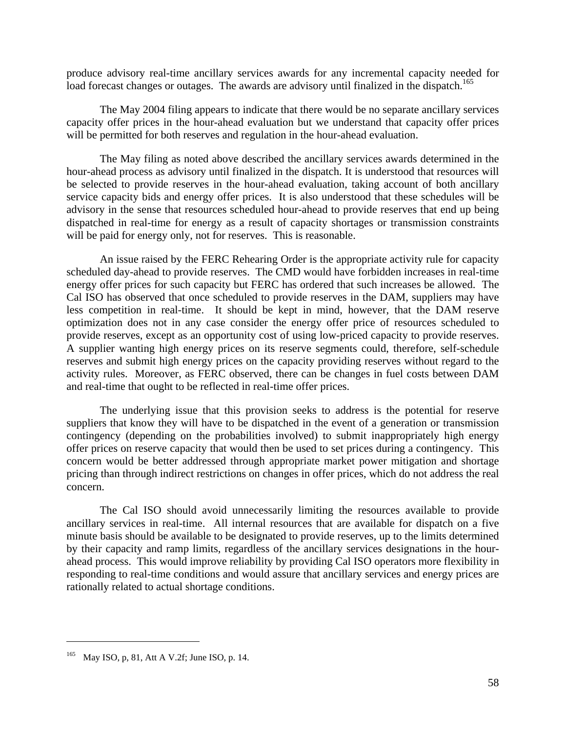produce advisory real-time ancillary services awards for any incremental capacity needed for load forecast changes or outages. The awards are advisory until finalized in the dispatch.<sup>165</sup>

 The May 2004 filing appears to indicate that there would be no separate ancillary services capacity offer prices in the hour-ahead evaluation but we understand that capacity offer prices will be permitted for both reserves and regulation in the hour-ahead evaluation.

 The May filing as noted above described the ancillary services awards determined in the hour-ahead process as advisory until finalized in the dispatch. It is understood that resources will be selected to provide reserves in the hour-ahead evaluation, taking account of both ancillary service capacity bids and energy offer prices. It is also understood that these schedules will be advisory in the sense that resources scheduled hour-ahead to provide reserves that end up being dispatched in real-time for energy as a result of capacity shortages or transmission constraints will be paid for energy only, not for reserves. This is reasonable.

 An issue raised by the FERC Rehearing Order is the appropriate activity rule for capacity scheduled day-ahead to provide reserves. The CMD would have forbidden increases in real-time energy offer prices for such capacity but FERC has ordered that such increases be allowed. The Cal ISO has observed that once scheduled to provide reserves in the DAM, suppliers may have less competition in real-time. It should be kept in mind, however, that the DAM reserve optimization does not in any case consider the energy offer price of resources scheduled to provide reserves, except as an opportunity cost of using low-priced capacity to provide reserves. A supplier wanting high energy prices on its reserve segments could, therefore, self-schedule reserves and submit high energy prices on the capacity providing reserves without regard to the activity rules. Moreover, as FERC observed, there can be changes in fuel costs between DAM and real-time that ought to be reflected in real-time offer prices.

 The underlying issue that this provision seeks to address is the potential for reserve suppliers that know they will have to be dispatched in the event of a generation or transmission contingency (depending on the probabilities involved) to submit inappropriately high energy offer prices on reserve capacity that would then be used to set prices during a contingency. This concern would be better addressed through appropriate market power mitigation and shortage pricing than through indirect restrictions on changes in offer prices, which do not address the real concern.

 The Cal ISO should avoid unnecessarily limiting the resources available to provide ancillary services in real-time. All internal resources that are available for dispatch on a five minute basis should be available to be designated to provide reserves, up to the limits determined by their capacity and ramp limits, regardless of the ancillary services designations in the hourahead process. This would improve reliability by providing Cal ISO operators more flexibility in responding to real-time conditions and would assure that ancillary services and energy prices are rationally related to actual shortage conditions.

<sup>165</sup> May ISO, p, 81, Att A V.2f; June ISO, p. 14.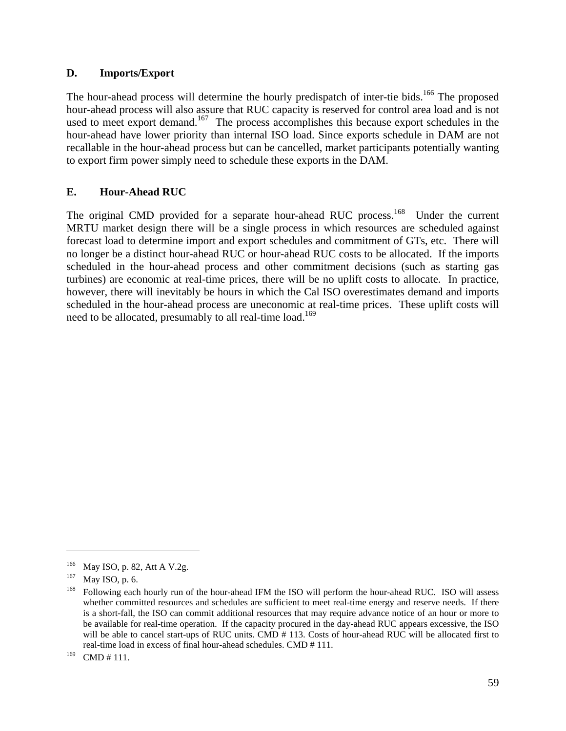## **D. Imports/Export**

The hour-ahead process will determine the hourly predispatch of inter-tie bids.<sup>166</sup> The proposed hour-ahead process will also assure that RUC capacity is reserved for control area load and is not used to meet export demand.<sup>167</sup> The process accomplishes this because export schedules in the hour-ahead have lower priority than internal ISO load. Since exports schedule in DAM are not recallable in the hour-ahead process but can be cancelled, market participants potentially wanting to export firm power simply need to schedule these exports in the DAM.

# **E. Hour-Ahead RUC**

The original CMD provided for a separate hour-ahead RUC process.<sup>168</sup> Under the current MRTU market design there will be a single process in which resources are scheduled against forecast load to determine import and export schedules and commitment of GTs, etc. There will no longer be a distinct hour-ahead RUC or hour-ahead RUC costs to be allocated. If the imports scheduled in the hour-ahead process and other commitment decisions (such as starting gas turbines) are economic at real-time prices, there will be no uplift costs to allocate. In practice, however, there will inevitably be hours in which the Cal ISO overestimates demand and imports scheduled in the hour-ahead process are uneconomic at real-time prices. These uplift costs will need to be allocated, presumably to all real-time load.<sup>169</sup>

<sup>166</sup> May ISO, p. 82, Att A V.2g.<br>
167 May ISO, p. 6.<br>
168 Following each hourly run of the hour-ahead IFM the ISO will perform the hour-ahead RUC. ISO will assess whether committed resources and schedules are sufficient to meet real-time energy and reserve needs. If there is a short-fall, the ISO can commit additional resources that may require advance notice of an hour or more to be available for real-time operation. If the capacity procured in the day-ahead RUC appears excessive, the ISO will be able to cancel start-ups of RUC units. CMD # 113. Costs of hour-ahead RUC will be allocated first to real-time load in excess of final hour-ahead schedules. CMD # 111.

 $169$  CMD # 111.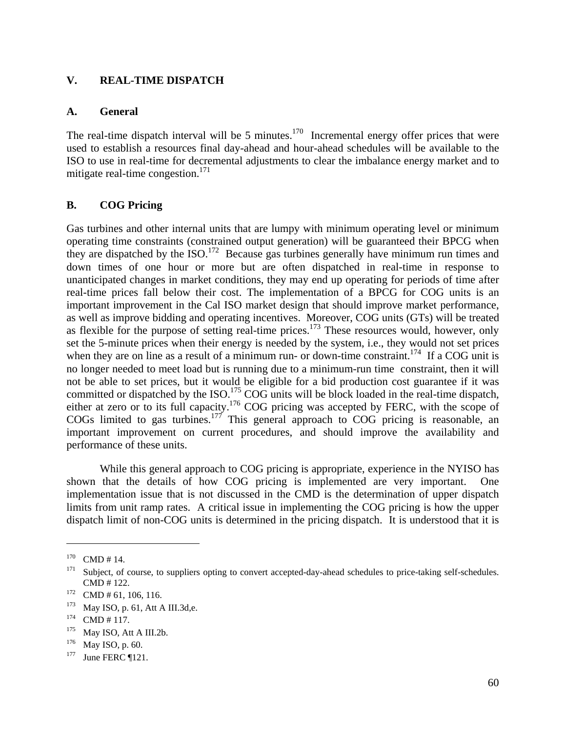### **V. REAL-TIME DISPATCH**

#### **A. General**

The real-time dispatch interval will be 5 minutes. $170$  Incremental energy offer prices that were used to establish a resources final day-ahead and hour-ahead schedules will be available to the ISO to use in real-time for decremental adjustments to clear the imbalance energy market and to mitigate real-time congestion. $^{171}$ 

## **B. COG Pricing**

Gas turbines and other internal units that are lumpy with minimum operating level or minimum operating time constraints (constrained output generation) will be guaranteed their BPCG when they are dispatched by the ISO.<sup>172</sup> Because gas turbines generally have minimum run times and down times of one hour or more but are often dispatched in real-time in response to unanticipated changes in market conditions, they may end up operating for periods of time after real-time prices fall below their cost. The implementation of a BPCG for COG units is an important improvement in the Cal ISO market design that should improve market performance, as well as improve bidding and operating incentives. Moreover, COG units (GTs) will be treated as went as improve exacting the option of  $\frac{1}{2}$  as the prices.<sup>173</sup> These resources would, however, only set the 5-minute prices when their energy is needed by the system, i.e., they would not set prices when they are on line as a result of a minimum run- or down-time constraint.<sup>174</sup> If a COG unit is no longer needed to meet load but is running due to a minimum-run time constraint, then it will not be able to set prices, but it would be eligible for a bid production cost guarantee if it was committed or dispatched by the ISO.<sup>175</sup> COG units will be block loaded in the real-time dispatch, either at zero or to its full capacity.<sup>176</sup> COG pricing was accepted by FERC, with the scope of COGs limited to gas turbines.<sup>177</sup> This general approach to  $COG$  pricing is reasonable, an important improvement on current procedures, and should improve the availability and performance of these units.

 While this general approach to COG pricing is appropriate, experience in the NYISO has shown that the details of how COG pricing is implemented are very important. One implementation issue that is not discussed in the CMD is the determination of upper dispatch limits from unit ramp rates. A critical issue in implementing the COG pricing is how the upper dispatch limit of non-COG units is determined in the pricing dispatch. It is understood that it is

<sup>&</sup>lt;sup>170</sup> CMD # 14.<br><sup>171</sup> Subject, of course, to suppliers opting to convert accepted-day-ahead schedules to price-taking self-schedules. CMD # 122.<br>
<sup>172</sup> CMD # 61, 106, 116.<br>
<sup>173</sup> May ISO, p. 61, Att A III.3d,e.<br>
<sup>174</sup> CMD # 117.<br>
<sup>175</sup> May ISO, Att A III.2b.<br>
<sup>176</sup> May ISO, p. 60.<br>
<sup>177</sup> June FERC ¶121.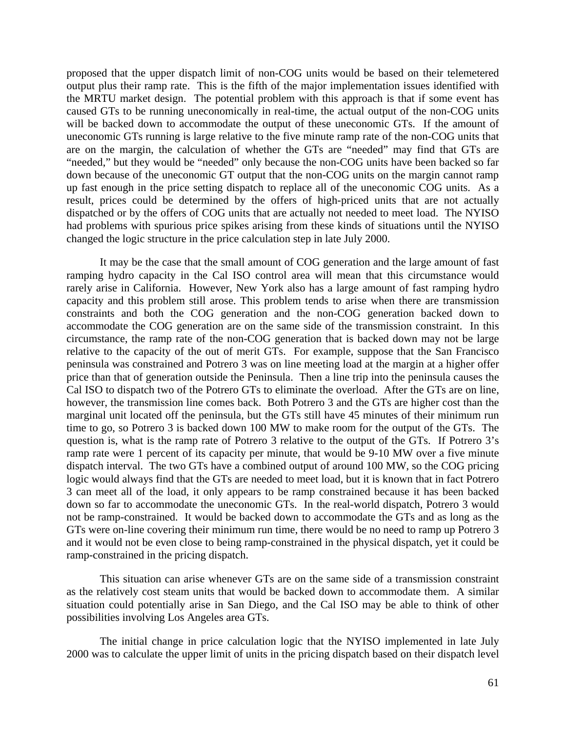proposed that the upper dispatch limit of non-COG units would be based on their telemetered output plus their ramp rate. This is the fifth of the major implementation issues identified with the MRTU market design. The potential problem with this approach is that if some event has caused GTs to be running uneconomically in real-time, the actual output of the non-COG units will be backed down to accommodate the output of these uneconomic GTs. If the amount of uneconomic GTs running is large relative to the five minute ramp rate of the non-COG units that are on the margin, the calculation of whether the GTs are "needed" may find that GTs are "needed," but they would be "needed" only because the non-COG units have been backed so far down because of the uneconomic GT output that the non-COG units on the margin cannot ramp up fast enough in the price setting dispatch to replace all of the uneconomic COG units. As a result, prices could be determined by the offers of high-priced units that are not actually dispatched or by the offers of COG units that are actually not needed to meet load. The NYISO had problems with spurious price spikes arising from these kinds of situations until the NYISO changed the logic structure in the price calculation step in late July 2000.

 It may be the case that the small amount of COG generation and the large amount of fast ramping hydro capacity in the Cal ISO control area will mean that this circumstance would rarely arise in California. However, New York also has a large amount of fast ramping hydro capacity and this problem still arose. This problem tends to arise when there are transmission constraints and both the COG generation and the non-COG generation backed down to accommodate the COG generation are on the same side of the transmission constraint. In this circumstance, the ramp rate of the non-COG generation that is backed down may not be large relative to the capacity of the out of merit GTs. For example, suppose that the San Francisco peninsula was constrained and Potrero 3 was on line meeting load at the margin at a higher offer price than that of generation outside the Peninsula. Then a line trip into the peninsula causes the Cal ISO to dispatch two of the Potrero GTs to eliminate the overload. After the GTs are on line, however, the transmission line comes back. Both Potrero 3 and the GTs are higher cost than the marginal unit located off the peninsula, but the GTs still have 45 minutes of their minimum run time to go, so Potrero 3 is backed down 100 MW to make room for the output of the GTs. The question is, what is the ramp rate of Potrero 3 relative to the output of the GTs. If Potrero 3's ramp rate were 1 percent of its capacity per minute, that would be 9-10 MW over a five minute dispatch interval. The two GTs have a combined output of around 100 MW, so the COG pricing logic would always find that the GTs are needed to meet load, but it is known that in fact Potrero 3 can meet all of the load, it only appears to be ramp constrained because it has been backed down so far to accommodate the uneconomic GTs. In the real-world dispatch, Potrero 3 would not be ramp-constrained. It would be backed down to accommodate the GTs and as long as the GTs were on-line covering their minimum run time, there would be no need to ramp up Potrero 3 and it would not be even close to being ramp-constrained in the physical dispatch, yet it could be ramp-constrained in the pricing dispatch.

 This situation can arise whenever GTs are on the same side of a transmission constraint as the relatively cost steam units that would be backed down to accommodate them. A similar situation could potentially arise in San Diego, and the Cal ISO may be able to think of other possibilities involving Los Angeles area GTs.

 The initial change in price calculation logic that the NYISO implemented in late July 2000 was to calculate the upper limit of units in the pricing dispatch based on their dispatch level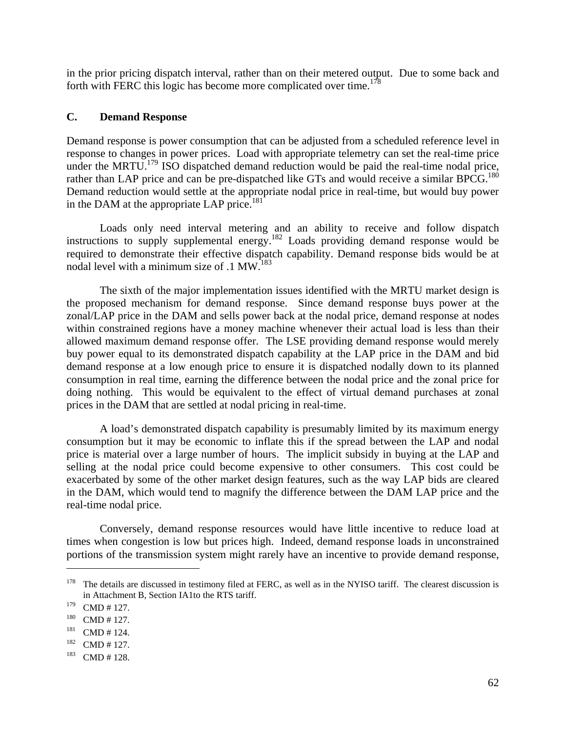in the prior pricing dispatch interval, rather than on their metered output. Due to some back and forth with FERC this logic has become more complicated over time.<sup>178</sup>

## **C. Demand Response**

Demand response is power consumption that can be adjusted from a scheduled reference level in response to changes in power prices. Load with appropriate telemetry can set the real-time price under the MRTU.<sup>179</sup> ISO dispatched demand reduction would be paid the real-time nodal price, rather than LAP price and can be pre-dispatched like GTs and would receive a similar BPCG.<sup>180</sup> Demand reduction would settle at the appropriate nodal price in real-time, but would buy power in the DAM at the appropriate LAP price.<sup>181</sup>

 Loads only need interval metering and an ability to receive and follow dispatch instructions to supply supplemental energy.<sup>182</sup> Loads providing demand response would be required to demonstrate their effective dispatch capability. Demand response bids would be at nodal level with a minimum size of  $.1 \text{ MW}^{183}$ 

 The sixth of the major implementation issues identified with the MRTU market design is the proposed mechanism for demand response. Since demand response buys power at the zonal/LAP price in the DAM and sells power back at the nodal price, demand response at nodes within constrained regions have a money machine whenever their actual load is less than their allowed maximum demand response offer. The LSE providing demand response would merely buy power equal to its demonstrated dispatch capability at the LAP price in the DAM and bid demand response at a low enough price to ensure it is dispatched nodally down to its planned consumption in real time, earning the difference between the nodal price and the zonal price for doing nothing. This would be equivalent to the effect of virtual demand purchases at zonal prices in the DAM that are settled at nodal pricing in real-time.

 A load's demonstrated dispatch capability is presumably limited by its maximum energy consumption but it may be economic to inflate this if the spread between the LAP and nodal price is material over a large number of hours. The implicit subsidy in buying at the LAP and selling at the nodal price could become expensive to other consumers. This cost could be exacerbated by some of the other market design features, such as the way LAP bids are cleared in the DAM, which would tend to magnify the difference between the DAM LAP price and the real-time nodal price.

 Conversely, demand response resources would have little incentive to reduce load at times when congestion is low but prices high. Indeed, demand response loads in unconstrained portions of the transmission system might rarely have an incentive to provide demand response,

 $178$  The details are discussed in testimony filed at FERC, as well as in the NYISO tariff. The clearest discussion is in Attachment B, Section IA1to the RTS tariff.

<sup>179</sup> CMD # 127.<br>
180 CMD # 127.<br>
181 CMD # 124.<br>
182 CMD # 127.<br>
CMD # 128.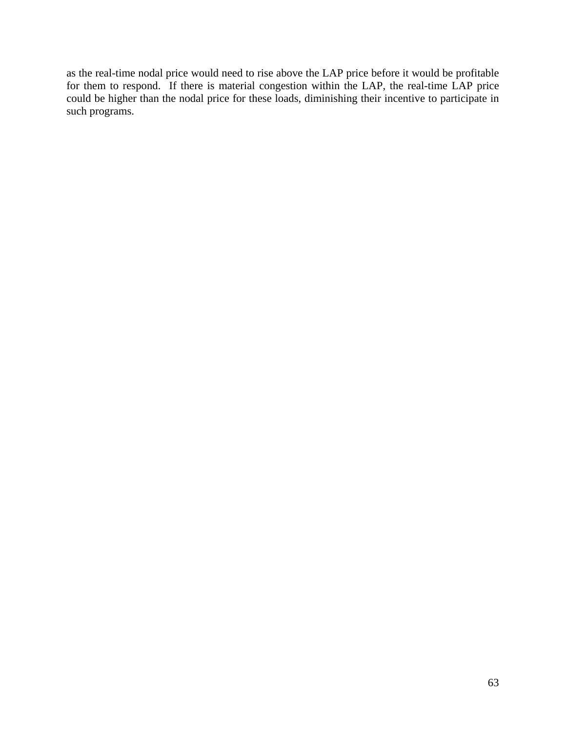as the real-time nodal price would need to rise above the LAP price before it would be profitable for them to respond. If there is material congestion within the LAP, the real-time LAP price could be higher than the nodal price for these loads, diminishing their incentive to participate in such programs.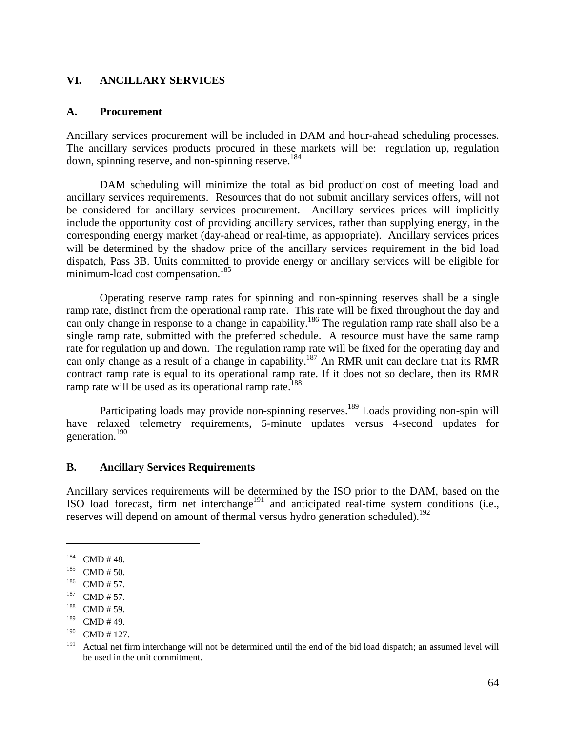## **VI. ANCILLARY SERVICES**

#### **A. Procurement**

Ancillary services procurement will be included in DAM and hour-ahead scheduling processes. The ancillary services products procured in these markets will be: regulation up, regulation down, spinning reserve, and non-spinning reserve.<sup>184</sup>

DAM scheduling will minimize the total as bid production cost of meeting load and ancillary services requirements. Resources that do not submit ancillary services offers, will not be considered for ancillary services procurement. Ancillary services prices will implicitly include the opportunity cost of providing ancillary services, rather than supplying energy, in the corresponding energy market (day-ahead or real-time, as appropriate). Ancillary services prices will be determined by the shadow price of the ancillary services requirement in the bid load dispatch, Pass 3B. Units committed to provide energy or ancillary services will be eligible for minimum-load cost compensation.<sup>185</sup>

 Operating reserve ramp rates for spinning and non-spinning reserves shall be a single ramp rate, distinct from the operational ramp rate. This rate will be fixed throughout the day and can only change in response to a change in capability.<sup>186</sup> The regulation ramp rate shall also be a single ramp rate, submitted with the preferred schedule. A resource must have the same ramp rate for regulation up and down. The regulation ramp rate will be fixed for the operating day and can only change as a result of a change in capability.<sup>187</sup> An RMR unit can declare that its RMR contract ramp rate is equal to its operational ramp rate. If it does not so declare, then its RMR ramp rate will be used as its operational ramp rate.<sup>188</sup>

Participating loads may provide non-spinning reserves.<sup>189</sup> Loads providing non-spin will have relaxed telemetry requirements, 5-minute updates versus 4-second updates for generation.<sup>190</sup>

## **B. Ancillary Services Requirements**

Ancillary services requirements will be determined by the ISO prior to the DAM, based on the ISO load forecast, firm net interchange<sup>191</sup> and anticipated real-time system conditions (i.e., reserves will depend on amount of thermal versus hydro generation scheduled).<sup>192</sup>

<sup>184</sup> CMD # 48.<br>
185 CMD # 50.<br>
186 CMD # 57.<br>
187 CMD # 57.<br>
188 CMD # 59.

 $189$  CMD # 49.

 $190$  CMD # 127.

 $191$  Actual net firm interchange will not be determined until the end of the bid load dispatch; an assumed level will be used in the unit commitment.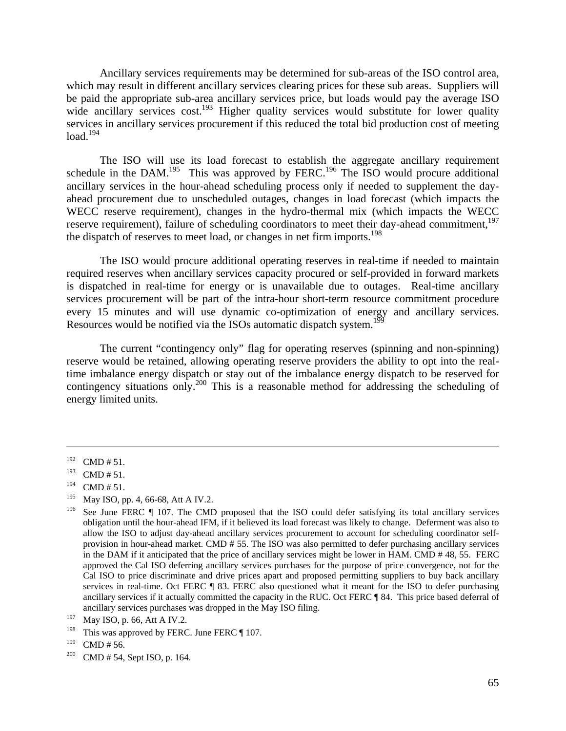Ancillary services requirements may be determined for sub-areas of the ISO control area, which may result in different ancillary services clearing prices for these sub areas. Suppliers will be paid the appropriate sub-area ancillary services price, but loads would pay the average ISO wide ancillary services cost.<sup>193</sup> Higher quality services would substitute for lower quality services in ancillary services procurement if this reduced the total bid production cost of meeting  $load.<sup>194</sup>$ 

 The ISO will use its load forecast to establish the aggregate ancillary requirement schedule in the DAM.<sup>195</sup> This was approved by FERC.<sup>196</sup> The ISO would procure additional ancillary services in the hour-ahead scheduling process only if needed to supplement the dayahead procurement due to unscheduled outages, changes in load forecast (which impacts the WECC reserve requirement), changes in the hydro-thermal mix (which impacts the WECC reserve requirement), failure of scheduling coordinators to meet their day-ahead commitment.<sup>197</sup> the dispatch of reserves to meet load, or changes in net firm imports.<sup>198</sup>

 The ISO would procure additional operating reserves in real-time if needed to maintain required reserves when ancillary services capacity procured or self-provided in forward markets is dispatched in real-time for energy or is unavailable due to outages. Real-time ancillary services procurement will be part of the intra-hour short-term resource commitment procedure every 15 minutes and will use dynamic co-optimization of energy and ancillary services. Resources would be notified via the ISOs automatic dispatch system.<sup>199</sup>

 The current "contingency only" flag for operating reserves (spinning and non-spinning) reserve would be retained, allowing operating reserve providers the ability to opt into the realtime imbalance energy dispatch or stay out of the imbalance energy dispatch to be reserved for contingency situations only.<sup>200</sup> This is a reasonable method for addressing the scheduling of energy limited units.

 $\overline{a}$ 

<sup>198</sup> This was approved by FERC. June FERC  $\P$  107.

<sup>199</sup> CMD # 56.<br><sup>200</sup> CMD # 54, Sept ISO, p. 164.

 $192$  CMD # 51.

 $193$  CMD # 51.

 $194$  CMD # 51.

<sup>195</sup> May ISO, pp. 4, 66-68, Att A IV.2.

<sup>&</sup>lt;sup>196</sup> See June FERC  $\P$  107. The CMD proposed that the ISO could defer satisfying its total ancillary services obligation until the hour-ahead IFM, if it believed its load forecast was likely to change. Deferment was also to allow the ISO to adjust day-ahead ancillary services procurement to account for scheduling coordinator selfprovision in hour-ahead market. CMD # 55. The ISO was also permitted to defer purchasing ancillary services in the DAM if it anticipated that the price of ancillary services might be lower in HAM. CMD # 48, 55. FERC approved the Cal ISO deferring ancillary services purchases for the purpose of price convergence, not for the Cal ISO to price discriminate and drive prices apart and proposed permitting suppliers to buy back ancillary services in real-time. Oct FERC ¶ 83. FERC also questioned what it meant for the ISO to defer purchasing ancillary services if it actually committed the capacity in the RUC. Oct FERC ¶ 84. This price based deferral of ancillary services purchases was dropped in the May ISO filing.

<sup>197</sup> May ISO, p. 66, Att A IV.2.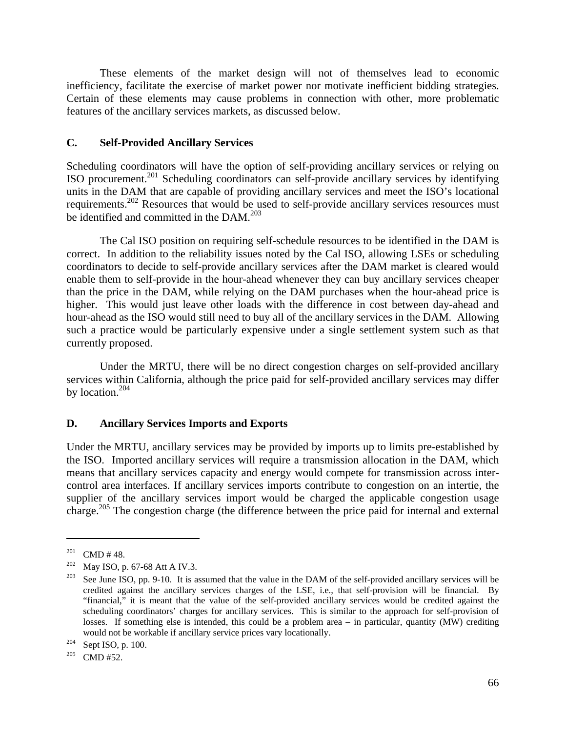These elements of the market design will not of themselves lead to economic inefficiency, facilitate the exercise of market power nor motivate inefficient bidding strategies. Certain of these elements may cause problems in connection with other, more problematic features of the ancillary services markets, as discussed below.

## **C. Self-Provided Ancillary Services**

Scheduling coordinators will have the option of self-providing ancillary services or relying on ISO procurement.201 Scheduling coordinators can self-provide ancillary services by identifying units in the DAM that are capable of providing ancillary services and meet the ISO's locational requirements.202 Resources that would be used to self-provide ancillary services resources must be identified and committed in the DAM.<sup>203</sup>

 The Cal ISO position on requiring self-schedule resources to be identified in the DAM is correct. In addition to the reliability issues noted by the Cal ISO, allowing LSEs or scheduling coordinators to decide to self-provide ancillary services after the DAM market is cleared would enable them to self-provide in the hour-ahead whenever they can buy ancillary services cheaper than the price in the DAM, while relying on the DAM purchases when the hour-ahead price is higher. This would just leave other loads with the difference in cost between day-ahead and hour-ahead as the ISO would still need to buy all of the ancillary services in the DAM. Allowing such a practice would be particularly expensive under a single settlement system such as that currently proposed.

 Under the MRTU, there will be no direct congestion charges on self-provided ancillary services within California, although the price paid for self-provided ancillary services may differ by location.<sup>204</sup>

#### **D. Ancillary Services Imports and Exports**

Under the MRTU, ancillary services may be provided by imports up to limits pre-established by the ISO. Imported ancillary services will require a transmission allocation in the DAM, which means that ancillary services capacity and energy would compete for transmission across intercontrol area interfaces. If ancillary services imports contribute to congestion on an intertie, the supplier of the ancillary services import would be charged the applicable congestion usage charge.205 The congestion charge (the difference between the price paid for internal and external

<sup>201</sup> CMD # 48.<br><sup>202</sup> May ISO, p. 67-68 Att A IV.3.<br><sup>203</sup> See June ISO, pp. 9-10. It is assumed that the value in the DAM of the self-provided ancillary services will be credited against the ancillary services charges of the LSE, i.e., that self-provision will be financial. By "financial," it is meant that the value of the self-provided ancillary services would be credited against the scheduling coordinators' charges for ancillary services. This is similar to the approach for self-provision of losses. If something else is intended, this could be a problem area – in particular, quantity (MW) crediting would not be workable if ancillary service prices vary locationally.<br><sup>204</sup> Sept ISO, p. 100.<br><sup>205</sup> CMD #52.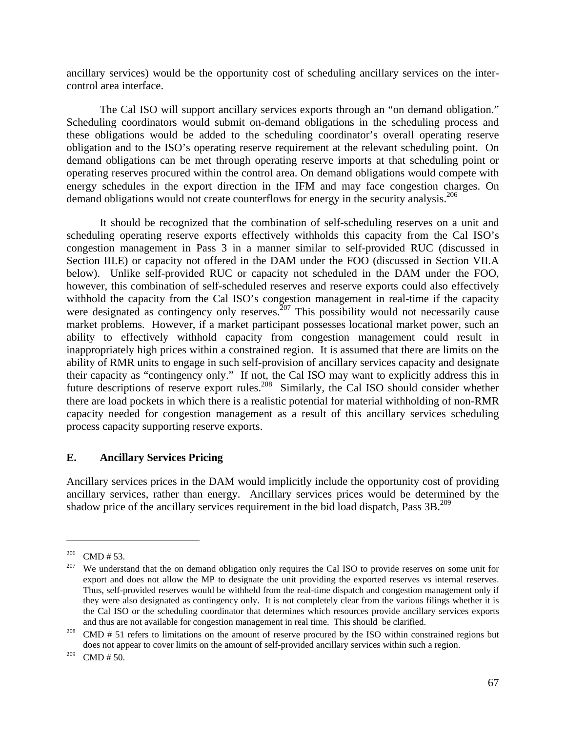ancillary services) would be the opportunity cost of scheduling ancillary services on the intercontrol area interface.

 The Cal ISO will support ancillary services exports through an "on demand obligation." Scheduling coordinators would submit on-demand obligations in the scheduling process and these obligations would be added to the scheduling coordinator's overall operating reserve obligation and to the ISO's operating reserve requirement at the relevant scheduling point. On demand obligations can be met through operating reserve imports at that scheduling point or operating reserves procured within the control area. On demand obligations would compete with energy schedules in the export direction in the IFM and may face congestion charges. On demand obligations would not create counterflows for energy in the security analysis.<sup>206</sup>

 It should be recognized that the combination of self-scheduling reserves on a unit and scheduling operating reserve exports effectively withholds this capacity from the Cal ISO's congestion management in Pass 3 in a manner similar to self-provided RUC (discussed in Section III.E) or capacity not offered in the DAM under the FOO (discussed in Section VII.A below). Unlike self-provided RUC or capacity not scheduled in the DAM under the FOO, however, this combination of self-scheduled reserves and reserve exports could also effectively withhold the capacity from the Cal ISO's congestion management in real-time if the capacity were designated as contingency only reserves.<sup>207</sup> This possibility would not necessarily cause market problems. However, if a market participant possesses locational market power, such an ability to effectively withhold capacity from congestion management could result in inappropriately high prices within a constrained region. It is assumed that there are limits on the ability of RMR units to engage in such self-provision of ancillary services capacity and designate their capacity as "contingency only." If not, the Cal ISO may want to explicitly address this in future descriptions of reserve export rules.<sup>208</sup> Similarly, the Cal ISO should consider whether there are load pockets in which there is a realistic potential for material withholding of non-RMR capacity needed for congestion management as a result of this ancillary services scheduling process capacity supporting reserve exports.

# **E. Ancillary Services Pricing**

Ancillary services prices in the DAM would implicitly include the opportunity cost of providing ancillary services, rather than energy. Ancillary services prices would be determined by the shadow price of the ancillary services requirement in the bid load dispatch, Pass  $3B$ <sup>209</sup>

<sup>&</sup>lt;sup>206</sup> CMD # 53.<br><sup>207</sup> We understand that the on demand obligation only requires the Cal ISO to provide reserves on some unit for export and does not allow the MP to designate the unit providing the exported reserves vs internal reserves. Thus, self-provided reserves would be withheld from the real-time dispatch and congestion management only if they were also designated as contingency only. It is not completely clear from the various filings whether it is the Cal ISO or the scheduling coordinator that determines which resources provide ancillary services exports

and thus are not available for congestion management in real time. This should be clarified.<br><sup>208</sup> CMD # 51 refers to limitations on the amount of reserve procured by the ISO within constrained regions but does not appear to cover limits on the amount of self-provided ancillary services within such a region.

 $209$  CMD # 50.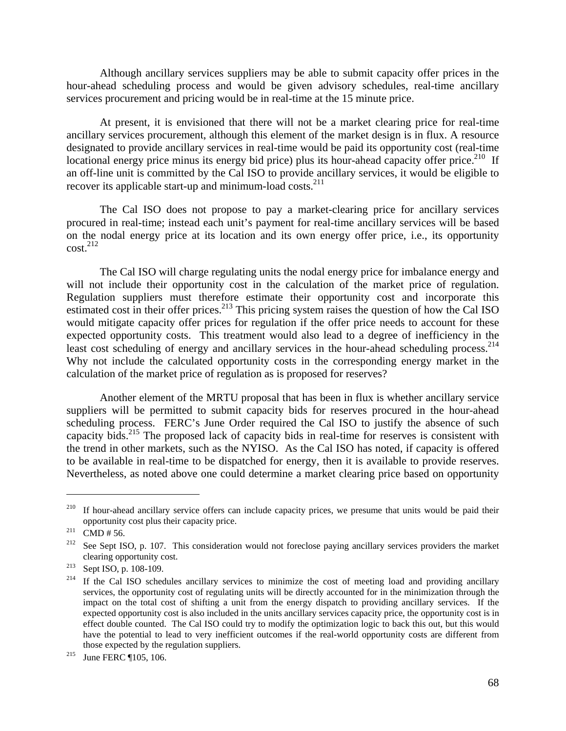Although ancillary services suppliers may be able to submit capacity offer prices in the hour-ahead scheduling process and would be given advisory schedules, real-time ancillary services procurement and pricing would be in real-time at the 15 minute price.

 At present, it is envisioned that there will not be a market clearing price for real-time ancillary services procurement, although this element of the market design is in flux. A resource designated to provide ancillary services in real-time would be paid its opportunity cost (real-time locational energy price minus its energy bid price) plus its hour-ahead capacity offer price.<sup>210</sup> If an off-line unit is committed by the Cal ISO to provide ancillary services, it would be eligible to recover its applicable start-up and minimum-load costs. $^{211}$ 

 The Cal ISO does not propose to pay a market-clearing price for ancillary services procured in real-time; instead each unit's payment for real-time ancillary services will be based on the nodal energy price at its location and its own energy offer price, i.e., its opportunity  $cost.<sup>212</sup>$ 

 The Cal ISO will charge regulating units the nodal energy price for imbalance energy and will not include their opportunity cost in the calculation of the market price of regulation. Regulation suppliers must therefore estimate their opportunity cost and incorporate this estimated cost in their offer prices.<sup>213</sup> This pricing system raises the question of how the Cal ISO would mitigate capacity offer prices for regulation if the offer price needs to account for these expected opportunity costs. This treatment would also lead to a degree of inefficiency in the least cost scheduling of energy and ancillary services in the hour-ahead scheduling process.<sup>214</sup> Why not include the calculated opportunity costs in the corresponding energy market in the calculation of the market price of regulation as is proposed for reserves?

 Another element of the MRTU proposal that has been in flux is whether ancillary service suppliers will be permitted to submit capacity bids for reserves procured in the hour-ahead scheduling process. FERC's June Order required the Cal ISO to justify the absence of such capacity bids.215 The proposed lack of capacity bids in real-time for reserves is consistent with the trend in other markets, such as the NYISO. As the Cal ISO has noted, if capacity is offered to be available in real-time to be dispatched for energy, then it is available to provide reserves. Nevertheless, as noted above one could determine a market clearing price based on opportunity

1

 $210$  If hour-ahead ancillary service offers can include capacity prices, we presume that units would be paid their opportunity cost plus their capacity price.<br><sup>211</sup> CMD # 56. 212 See Sept ISO, p. 107. This consideration would not foreclose paying ancillary services providers the market

clearing opportunity cost.<br><sup>213</sup> Sept ISO, p. 108-109.<br><sup>214</sup> If the Cal ISO schedules ancillary services to minimize the cost of meeting load and providing ancillary

services, the opportunity cost of regulating units will be directly accounted for in the minimization through the impact on the total cost of shifting a unit from the energy dispatch to providing ancillary services. If the expected opportunity cost is also included in the units ancillary services capacity price, the opportunity cost is in effect double counted. The Cal ISO could try to modify the optimization logic to back this out, but this would have the potential to lead to very inefficient outcomes if the real-world opportunity costs are different from those expected by the regulation suppliers.<br><sup>215</sup> June FERC ¶105, 106.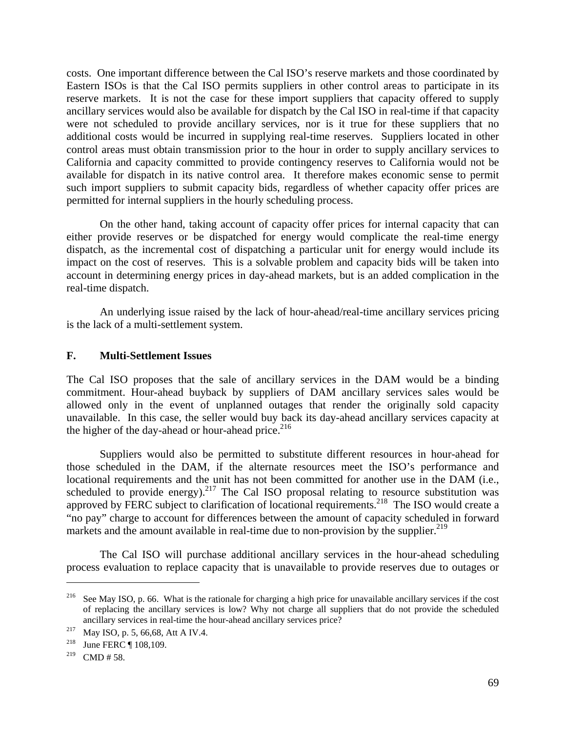costs. One important difference between the Cal ISO's reserve markets and those coordinated by Eastern ISOs is that the Cal ISO permits suppliers in other control areas to participate in its reserve markets. It is not the case for these import suppliers that capacity offered to supply ancillary services would also be available for dispatch by the Cal ISO in real-time if that capacity were not scheduled to provide ancillary services, nor is it true for these suppliers that no additional costs would be incurred in supplying real-time reserves. Suppliers located in other control areas must obtain transmission prior to the hour in order to supply ancillary services to California and capacity committed to provide contingency reserves to California would not be available for dispatch in its native control area. It therefore makes economic sense to permit such import suppliers to submit capacity bids, regardless of whether capacity offer prices are permitted for internal suppliers in the hourly scheduling process.

 On the other hand, taking account of capacity offer prices for internal capacity that can either provide reserves or be dispatched for energy would complicate the real-time energy dispatch, as the incremental cost of dispatching a particular unit for energy would include its impact on the cost of reserves. This is a solvable problem and capacity bids will be taken into account in determining energy prices in day-ahead markets, but is an added complication in the real-time dispatch.

 An underlying issue raised by the lack of hour-ahead/real-time ancillary services pricing is the lack of a multi-settlement system.

## **F. Multi-Settlement Issues**

The Cal ISO proposes that the sale of ancillary services in the DAM would be a binding commitment. Hour-ahead buyback by suppliers of DAM ancillary services sales would be allowed only in the event of unplanned outages that render the originally sold capacity unavailable. In this case, the seller would buy back its day-ahead ancillary services capacity at the higher of the day-ahead or hour-ahead price.<sup>216</sup>

 Suppliers would also be permitted to substitute different resources in hour-ahead for those scheduled in the DAM, if the alternate resources meet the ISO's performance and locational requirements and the unit has not been committed for another use in the DAM (i.e., scheduled to provide energy).<sup>217</sup> The Cal ISO proposal relating to resource substitution was approved by FERC subject to clarification of locational requirements.<sup>218</sup> The ISO would create a "no pay" charge to account for differences between the amount of capacity scheduled in forward markets and the amount available in real-time due to non-provision by the supplier.<sup>219</sup>

 The Cal ISO will purchase additional ancillary services in the hour-ahead scheduling process evaluation to replace capacity that is unavailable to provide reserves due to outages or

<sup>&</sup>lt;sup>216</sup> See May ISO, p. 66. What is the rationale for charging a high price for unavailable ancillary services if the cost of replacing the ancillary services is low? Why not charge all suppliers that do not provide the scheduled ancillary services in real-time the hour-ahead ancillary services price?<br><sup>217</sup> May ISO, p. 5, 66,68, Att A IV.4.<br><sup>218</sup> June FERC ¶ 108,109.

<sup>&</sup>lt;sup>219</sup> CMD # 58.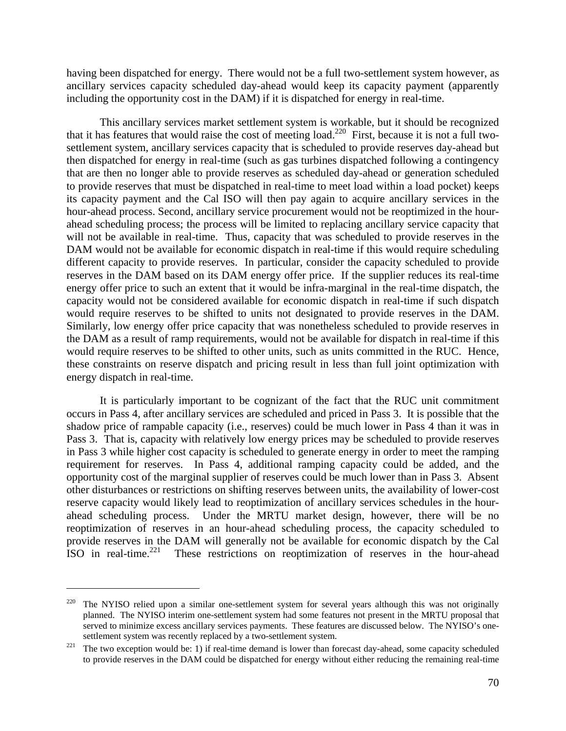having been dispatched for energy. There would not be a full two-settlement system however, as ancillary services capacity scheduled day-ahead would keep its capacity payment (apparently including the opportunity cost in the DAM) if it is dispatched for energy in real-time.

 This ancillary services market settlement system is workable, but it should be recognized that it has features that would raise the cost of meeting load.<sup>220</sup> First, because it is not a full twosettlement system, ancillary services capacity that is scheduled to provide reserves day-ahead but then dispatched for energy in real-time (such as gas turbines dispatched following a contingency that are then no longer able to provide reserves as scheduled day-ahead or generation scheduled to provide reserves that must be dispatched in real-time to meet load within a load pocket) keeps its capacity payment and the Cal ISO will then pay again to acquire ancillary services in the hour-ahead process. Second, ancillary service procurement would not be reoptimized in the hourahead scheduling process; the process will be limited to replacing ancillary service capacity that will not be available in real-time. Thus, capacity that was scheduled to provide reserves in the DAM would not be available for economic dispatch in real-time if this would require scheduling different capacity to provide reserves. In particular, consider the capacity scheduled to provide reserves in the DAM based on its DAM energy offer price. If the supplier reduces its real-time energy offer price to such an extent that it would be infra-marginal in the real-time dispatch, the capacity would not be considered available for economic dispatch in real-time if such dispatch would require reserves to be shifted to units not designated to provide reserves in the DAM. Similarly, low energy offer price capacity that was nonetheless scheduled to provide reserves in the DAM as a result of ramp requirements, would not be available for dispatch in real-time if this would require reserves to be shifted to other units, such as units committed in the RUC. Hence, these constraints on reserve dispatch and pricing result in less than full joint optimization with energy dispatch in real-time.

 It is particularly important to be cognizant of the fact that the RUC unit commitment occurs in Pass 4, after ancillary services are scheduled and priced in Pass 3. It is possible that the shadow price of rampable capacity (i.e., reserves) could be much lower in Pass 4 than it was in Pass 3. That is, capacity with relatively low energy prices may be scheduled to provide reserves in Pass 3 while higher cost capacity is scheduled to generate energy in order to meet the ramping requirement for reserves. In Pass 4, additional ramping capacity could be added, and the opportunity cost of the marginal supplier of reserves could be much lower than in Pass 3. Absent other disturbances or restrictions on shifting reserves between units, the availability of lower-cost reserve capacity would likely lead to reoptimization of ancillary services schedules in the hourahead scheduling process. Under the MRTU market design, however, there will be no reoptimization of reserves in an hour-ahead scheduling process, the capacity scheduled to provide reserves in the DAM will generally not be available for economic dispatch by the Cal ISO in real-time.221 These restrictions on reoptimization of reserves in the hour-ahead

<sup>&</sup>lt;sup>220</sup> The NYISO relied upon a similar one-settlement system for several years although this was not originally planned. The NYISO interim one-settlement system had some features not present in the MRTU proposal that served to minimize excess ancillary services payments. These features are discussed below. The NYISO's onesettlement system was recently replaced by a two-settlement system.<br><sup>221</sup> The two exception would be: 1) if real-time demand is lower than forecast day-ahead, some capacity scheduled

to provide reserves in the DAM could be dispatched for energy without either reducing the remaining real-time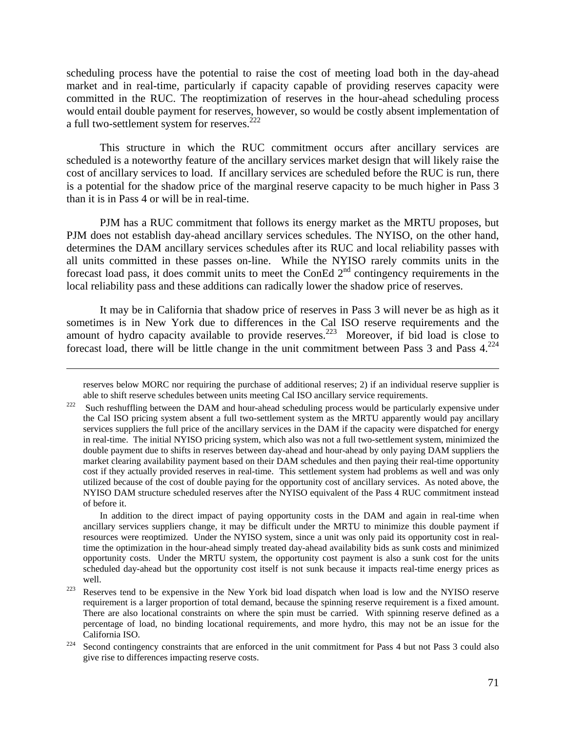scheduling process have the potential to raise the cost of meeting load both in the day-ahead market and in real-time, particularly if capacity capable of providing reserves capacity were committed in the RUC. The reoptimization of reserves in the hour-ahead scheduling process would entail double payment for reserves, however, so would be costly absent implementation of a full two-settlement system for reserves.<sup>222</sup>

 This structure in which the RUC commitment occurs after ancillary services are scheduled is a noteworthy feature of the ancillary services market design that will likely raise the cost of ancillary services to load. If ancillary services are scheduled before the RUC is run, there is a potential for the shadow price of the marginal reserve capacity to be much higher in Pass 3 than it is in Pass 4 or will be in real-time.

 PJM has a RUC commitment that follows its energy market as the MRTU proposes, but PJM does not establish day-ahead ancillary services schedules. The NYISO, on the other hand, determines the DAM ancillary services schedules after its RUC and local reliability passes with all units committed in these passes on-line. While the NYISO rarely commits units in the forecast load pass, it does commit units to meet the ConEd  $2<sup>nd</sup>$  contingency requirements in the local reliability pass and these additions can radically lower the shadow price of reserves.

 It may be in California that shadow price of reserves in Pass 3 will never be as high as it sometimes is in New York due to differences in the Cal ISO reserve requirements and the amount of hydro capacity available to provide reserves.<sup>223</sup> Moreover, if bid load is close to forecast load, there will be little change in the unit commitment between Pass 3 and Pass  $4.224$ 

1

 In addition to the direct impact of paying opportunity costs in the DAM and again in real-time when ancillary services suppliers change, it may be difficult under the MRTU to minimize this double payment if resources were reoptimized. Under the NYISO system, since a unit was only paid its opportunity cost in realtime the optimization in the hour-ahead simply treated day-ahead availability bids as sunk costs and minimized opportunity costs. Under the MRTU system, the opportunity cost payment is also a sunk cost for the units scheduled day-ahead but the opportunity cost itself is not sunk because it impacts real-time energy prices as well.<br><sup>223</sup> Reserves tend to be expensive in the New York bid load dispatch when load is low and the NYISO reserve

reserves below MORC nor requiring the purchase of additional reserves; 2) if an individual reserve supplier is able to shift reserve schedules between units meeting Cal ISO ancillary service requirements.<br><sup>222</sup> Such reshuffling between the DAM and hour-ahead scheduling process would be particularly expensive under

the Cal ISO pricing system absent a full two-settlement system as the MRTU apparently would pay ancillary services suppliers the full price of the ancillary services in the DAM if the capacity were dispatched for energy in real-time. The initial NYISO pricing system, which also was not a full two-settlement system, minimized the double payment due to shifts in reserves between day-ahead and hour-ahead by only paying DAM suppliers the market clearing availability payment based on their DAM schedules and then paying their real-time opportunity cost if they actually provided reserves in real-time. This settlement system had problems as well and was only utilized because of the cost of double paying for the opportunity cost of ancillary services. As noted above, the NYISO DAM structure scheduled reserves after the NYISO equivalent of the Pass 4 RUC commitment instead of before it.

requirement is a larger proportion of total demand, because the spinning reserve requirement is a fixed amount. There are also locational constraints on where the spin must be carried. With spinning reserve defined as a percentage of load, no binding locational requirements, and more hydro, this may not be an issue for the California ISO.<br><sup>224</sup> Second contingency constraints that are enforced in the unit commitment for Pass 4 but not Pass 3 could also

give rise to differences impacting reserve costs.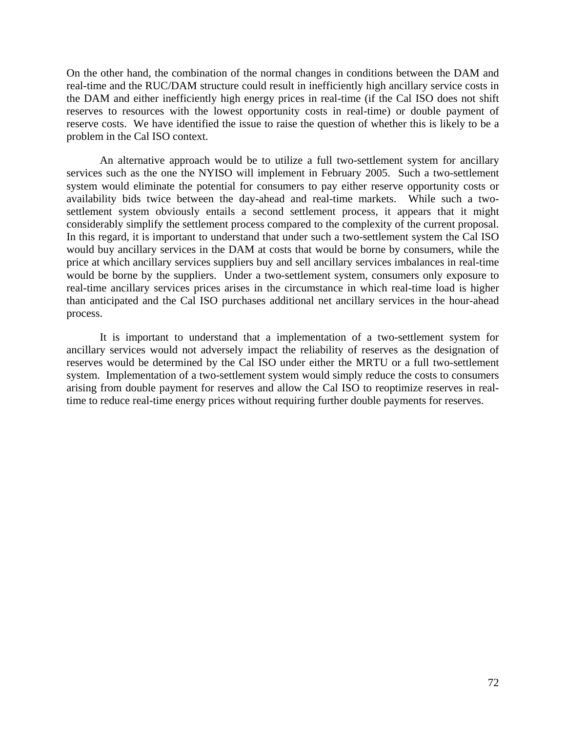On the other hand, the combination of the normal changes in conditions between the DAM and real-time and the RUC/DAM structure could result in inefficiently high ancillary service costs in the DAM and either inefficiently high energy prices in real-time (if the Cal ISO does not shift reserves to resources with the lowest opportunity costs in real-time) or double payment of reserve costs. We have identified the issue to raise the question of whether this is likely to be a problem in the Cal ISO context.

 An alternative approach would be to utilize a full two-settlement system for ancillary services such as the one the NYISO will implement in February 2005. Such a two-settlement system would eliminate the potential for consumers to pay either reserve opportunity costs or availability bids twice between the day-ahead and real-time markets. While such a twosettlement system obviously entails a second settlement process, it appears that it might considerably simplify the settlement process compared to the complexity of the current proposal. In this regard, it is important to understand that under such a two-settlement system the Cal ISO would buy ancillary services in the DAM at costs that would be borne by consumers, while the price at which ancillary services suppliers buy and sell ancillary services imbalances in real-time would be borne by the suppliers. Under a two-settlement system, consumers only exposure to real-time ancillary services prices arises in the circumstance in which real-time load is higher than anticipated and the Cal ISO purchases additional net ancillary services in the hour-ahead process.

 It is important to understand that a implementation of a two-settlement system for ancillary services would not adversely impact the reliability of reserves as the designation of reserves would be determined by the Cal ISO under either the MRTU or a full two-settlement system. Implementation of a two-settlement system would simply reduce the costs to consumers arising from double payment for reserves and allow the Cal ISO to reoptimize reserves in realtime to reduce real-time energy prices without requiring further double payments for reserves.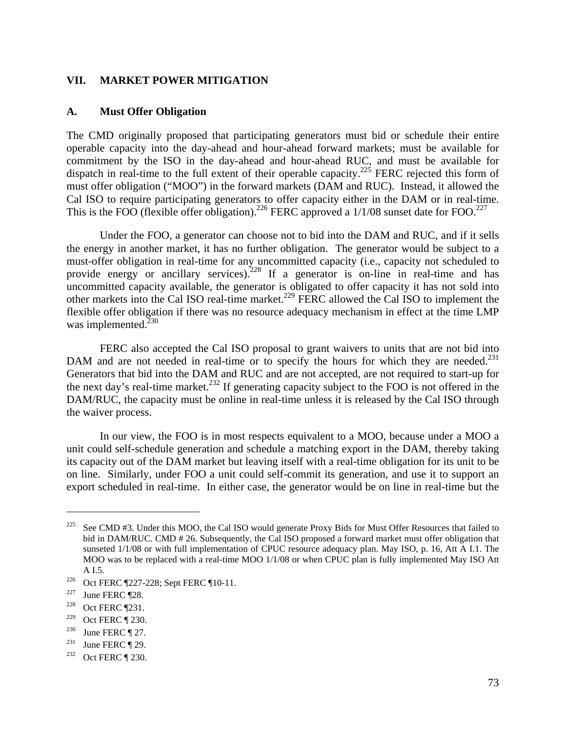### **VII. MARKET POWER MITIGATION**

#### **A. Must Offer Obligation**

The CMD originally proposed that participating generators must bid or schedule their entire operable capacity into the day-ahead and hour-ahead forward markets; must be available for commitment by the ISO in the day-ahead and hour-ahead RUC, and must be available for dispatch in real-time to the full extent of their operable capacity.<sup>225</sup> FERC rejected this form of must offer obligation ("MOO") in the forward markets (DAM and RUC). Instead, it allowed the Cal ISO to require participating generators to offer capacity either in the DAM or in real-time. This is the FOO (flexible offer obligation).<sup>226</sup> FERC approved a  $1/1/08$  sunset date for FOO.<sup>227</sup>

 Under the FOO, a generator can choose not to bid into the DAM and RUC, and if it sells the energy in another market, it has no further obligation. The generator would be subject to a must-offer obligation in real-time for any uncommitted capacity (i.e., capacity not scheduled to provide energy or ancillary services).<sup>228</sup> If a generator is on-line in real-time and has uncommitted capacity available, the generator is obligated to offer capacity it has not sold into other markets into the Cal ISO real-time market.<sup>229</sup> FERC allowed the Cal ISO to implement the flexible offer obligation if there was no resource adequacy mechanism in effect at the time LMP was implemented.<sup>230</sup>

 FERC also accepted the Cal ISO proposal to grant waivers to units that are not bid into DAM and are not needed in real-time or to specify the hours for which they are needed.<sup>231</sup> Generators that bid into the DAM and RUC and are not accepted, are not required to start-up for the next day's real-time market.<sup>232</sup> If generating capacity subject to the FOO is not offered in the DAM/RUC, the capacity must be online in real-time unless it is released by the Cal ISO through the waiver process.

 In our view, the FOO is in most respects equivalent to a MOO, because under a MOO a unit could self-schedule generation and schedule a matching export in the DAM, thereby taking its capacity out of the DAM market but leaving itself with a real-time obligation for its unit to be on line. Similarly, under FOO a unit could self-commit its generation, and use it to support an export scheduled in real-time. In either case, the generator would be on line in real-time but the

<sup>&</sup>lt;sup>225</sup> See CMD #3. Under this MOO, the Cal ISO would generate Proxy Bids for Must Offer Resources that failed to bid in DAM/RUC. CMD # 26. Subsequently, the Cal ISO proposed a forward market must offer obligation that sunseted 1/1/08 or with full implementation of CPUC resource adequacy plan. May ISO, p. 16, Att A I.1. The MOO was to be replaced with a real-time MOO 1/1/08 or when CPUC plan is fully implemented May ISO Att

A I.5.<br>
<sup>226</sup> Oct FERC ¶227-228; Sept FERC ¶10-11.<br>
<sup>227</sup> June FERC ¶28.<br>
<sup>228</sup> Oct FERC ¶231.

<sup>&</sup>lt;sup>229</sup> Oct FERC ¶ 230.<br><sup>230</sup> June FERC ¶ 27.<br><sup>231</sup> June FERC ¶ 29.<br><sup>232</sup> Oct FERC ¶ 230.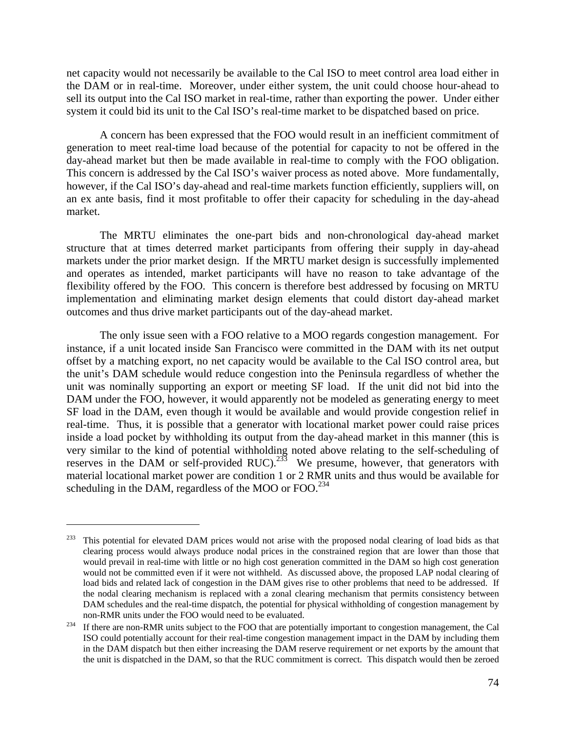net capacity would not necessarily be available to the Cal ISO to meet control area load either in the DAM or in real-time. Moreover, under either system, the unit could choose hour-ahead to sell its output into the Cal ISO market in real-time, rather than exporting the power. Under either system it could bid its unit to the Cal ISO's real-time market to be dispatched based on price.

 A concern has been expressed that the FOO would result in an inefficient commitment of generation to meet real-time load because of the potential for capacity to not be offered in the day-ahead market but then be made available in real-time to comply with the FOO obligation. This concern is addressed by the Cal ISO's waiver process as noted above. More fundamentally, however, if the Cal ISO's day-ahead and real-time markets function efficiently, suppliers will, on an ex ante basis, find it most profitable to offer their capacity for scheduling in the day-ahead market.

 The MRTU eliminates the one-part bids and non-chronological day-ahead market structure that at times deterred market participants from offering their supply in day-ahead markets under the prior market design. If the MRTU market design is successfully implemented and operates as intended, market participants will have no reason to take advantage of the flexibility offered by the FOO. This concern is therefore best addressed by focusing on MRTU implementation and eliminating market design elements that could distort day-ahead market outcomes and thus drive market participants out of the day-ahead market.

 The only issue seen with a FOO relative to a MOO regards congestion management. For instance, if a unit located inside San Francisco were committed in the DAM with its net output offset by a matching export, no net capacity would be available to the Cal ISO control area, but the unit's DAM schedule would reduce congestion into the Peninsula regardless of whether the unit was nominally supporting an export or meeting SF load. If the unit did not bid into the DAM under the FOO, however, it would apparently not be modeled as generating energy to meet SF load in the DAM, even though it would be available and would provide congestion relief in real-time. Thus, it is possible that a generator with locational market power could raise prices inside a load pocket by withholding its output from the day-ahead market in this manner (this is very similar to the kind of potential withholding noted above relating to the self-scheduling of reserves in the DAM or self-provided RUC).<sup>233</sup> We presume, however, that generators with material locational market power are condition 1 or 2 RMR units and thus would be available for scheduling in the DAM, regardless of the MOO or FOO.<sup>234</sup>

<sup>&</sup>lt;sup>233</sup> This potential for elevated DAM prices would not arise with the proposed nodal clearing of load bids as that clearing process would always produce nodal prices in the constrained region that are lower than those that would prevail in real-time with little or no high cost generation committed in the DAM so high cost generation would not be committed even if it were not withheld. As discussed above, the proposed LAP nodal clearing of load bids and related lack of congestion in the DAM gives rise to other problems that need to be addressed. If the nodal clearing mechanism is replaced with a zonal clearing mechanism that permits consistency between DAM schedules and the real-time dispatch, the potential for physical withholding of congestion management by non-RMR units under the FOO would need to be evaluated.<br><sup>234</sup> If there are non-RMR units subject to the FOO that are potentially important to congestion management, the Cal

ISO could potentially account for their real-time congestion management impact in the DAM by including them in the DAM dispatch but then either increasing the DAM reserve requirement or net exports by the amount that the unit is dispatched in the DAM, so that the RUC commitment is correct. This dispatch would then be zeroed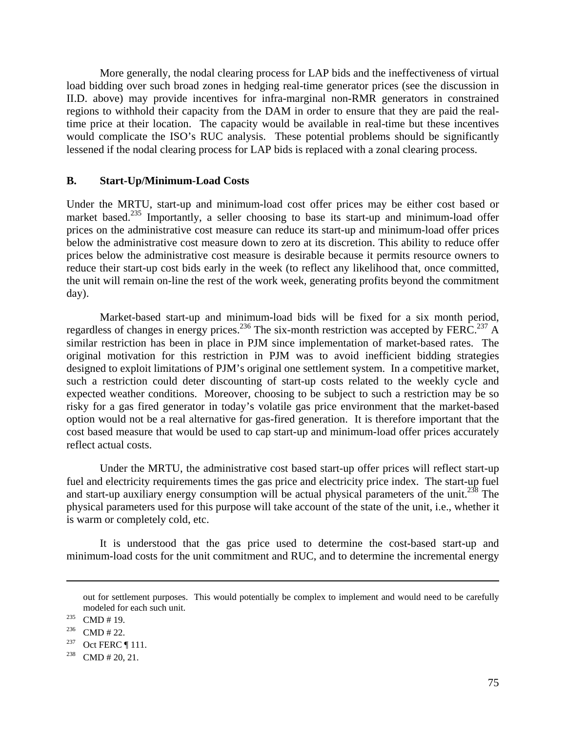More generally, the nodal clearing process for LAP bids and the ineffectiveness of virtual load bidding over such broad zones in hedging real-time generator prices (see the discussion in II.D. above) may provide incentives for infra-marginal non-RMR generators in constrained regions to withhold their capacity from the DAM in order to ensure that they are paid the realtime price at their location. The capacity would be available in real-time but these incentives would complicate the ISO's RUC analysis. These potential problems should be significantly lessened if the nodal clearing process for LAP bids is replaced with a zonal clearing process.

#### **B. Start-Up/Minimum-Load Costs**

Under the MRTU, start-up and minimum-load cost offer prices may be either cost based or market based.<sup>235</sup> Importantly, a seller choosing to base its start-up and minimum-load offer prices on the administrative cost measure can reduce its start-up and minimum-load offer prices below the administrative cost measure down to zero at its discretion. This ability to reduce offer prices below the administrative cost measure is desirable because it permits resource owners to reduce their start-up cost bids early in the week (to reflect any likelihood that, once committed, the unit will remain on-line the rest of the work week, generating profits beyond the commitment day).

 Market-based start-up and minimum-load bids will be fixed for a six month period, regardless of changes in energy prices.<sup>236</sup> The six-month restriction was accepted by FERC.<sup>237</sup> A similar restriction has been in place in PJM since implementation of market-based rates. The original motivation for this restriction in PJM was to avoid inefficient bidding strategies designed to exploit limitations of PJM's original one settlement system. In a competitive market, such a restriction could deter discounting of start-up costs related to the weekly cycle and expected weather conditions. Moreover, choosing to be subject to such a restriction may be so risky for a gas fired generator in today's volatile gas price environment that the market-based option would not be a real alternative for gas-fired generation. It is therefore important that the cost based measure that would be used to cap start-up and minimum-load offer prices accurately reflect actual costs.

 Under the MRTU, the administrative cost based start-up offer prices will reflect start-up fuel and electricity requirements times the gas price and electricity price index. The start-up fuel and start-up auxiliary energy consumption will be actual physical parameters of the unit.<sup>238</sup> The physical parameters used for this purpose will take account of the state of the unit, i.e., whether it is warm or completely cold, etc.

 It is understood that the gas price used to determine the cost-based start-up and minimum-load costs for the unit commitment and RUC, and to determine the incremental energy

<u>.</u>

out for settlement purposes. This would potentially be complex to implement and would need to be carefully modeled for each such unit.<br>
<sup>235</sup> CMD # 19.<br>
<sup>236</sup> CMD # 22.<br>
<sup>237</sup> Oct FERC ¶ 111.<br>
<sup>238</sup> CMD # 20, 21.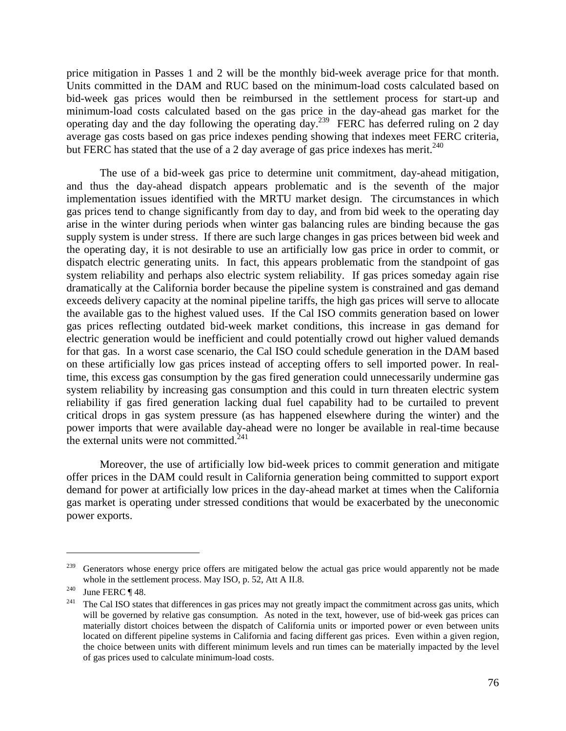price mitigation in Passes 1 and 2 will be the monthly bid-week average price for that month. Units committed in the DAM and RUC based on the minimum-load costs calculated based on bid-week gas prices would then be reimbursed in the settlement process for start-up and minimum-load costs calculated based on the gas price in the day-ahead gas market for the operating day and the day following the operating  $\frac{1}{2}$  FERC has deferred ruling on 2 day average gas costs based on gas price indexes pending showing that indexes meet FERC criteria, but FERC has stated that the use of a 2 day average of gas price indexes has merit.<sup>240</sup>

 The use of a bid-week gas price to determine unit commitment, day-ahead mitigation, and thus the day-ahead dispatch appears problematic and is the seventh of the major implementation issues identified with the MRTU market design. The circumstances in which gas prices tend to change significantly from day to day, and from bid week to the operating day arise in the winter during periods when winter gas balancing rules are binding because the gas supply system is under stress. If there are such large changes in gas prices between bid week and the operating day, it is not desirable to use an artificially low gas price in order to commit, or dispatch electric generating units. In fact, this appears problematic from the standpoint of gas system reliability and perhaps also electric system reliability. If gas prices someday again rise dramatically at the California border because the pipeline system is constrained and gas demand exceeds delivery capacity at the nominal pipeline tariffs, the high gas prices will serve to allocate the available gas to the highest valued uses. If the Cal ISO commits generation based on lower gas prices reflecting outdated bid-week market conditions, this increase in gas demand for electric generation would be inefficient and could potentially crowd out higher valued demands for that gas. In a worst case scenario, the Cal ISO could schedule generation in the DAM based on these artificially low gas prices instead of accepting offers to sell imported power. In realtime, this excess gas consumption by the gas fired generation could unnecessarily undermine gas system reliability by increasing gas consumption and this could in turn threaten electric system reliability if gas fired generation lacking dual fuel capability had to be curtailed to prevent critical drops in gas system pressure (as has happened elsewhere during the winter) and the power imports that were available day-ahead were no longer be available in real-time because the external units were not committed.<sup>241</sup>

 Moreover, the use of artificially low bid-week prices to commit generation and mitigate offer prices in the DAM could result in California generation being committed to support export demand for power at artificially low prices in the day-ahead market at times when the California gas market is operating under stressed conditions that would be exacerbated by the uneconomic power exports.

<sup>&</sup>lt;sup>239</sup> Generators whose energy price offers are mitigated below the actual gas price would apparently not be made whole in the settlement process. May ISO, p. 52, Att A II.8.<br><sup>240</sup> June FERC ¶ 48.<br><sup>241</sup> The Cal ISO states that differences in gas prices may not greatly impact the commitment across gas units, which

will be governed by relative gas consumption. As noted in the text, however, use of bid-week gas prices can materially distort choices between the dispatch of California units or imported power or even between units located on different pipeline systems in California and facing different gas prices. Even within a given region, the choice between units with different minimum levels and run times can be materially impacted by the level of gas prices used to calculate minimum-load costs.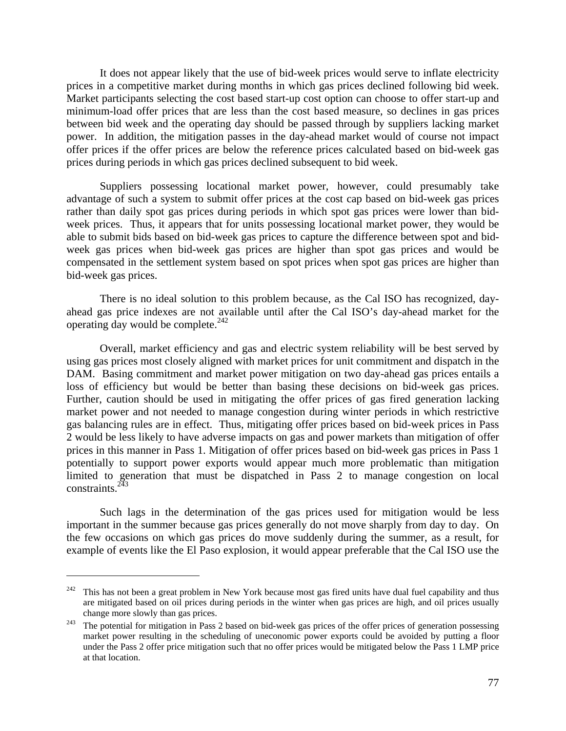It does not appear likely that the use of bid-week prices would serve to inflate electricity prices in a competitive market during months in which gas prices declined following bid week. Market participants selecting the cost based start-up cost option can choose to offer start-up and minimum-load offer prices that are less than the cost based measure, so declines in gas prices between bid week and the operating day should be passed through by suppliers lacking market power. In addition, the mitigation passes in the day-ahead market would of course not impact offer prices if the offer prices are below the reference prices calculated based on bid-week gas prices during periods in which gas prices declined subsequent to bid week.

 Suppliers possessing locational market power, however, could presumably take advantage of such a system to submit offer prices at the cost cap based on bid-week gas prices rather than daily spot gas prices during periods in which spot gas prices were lower than bidweek prices. Thus, it appears that for units possessing locational market power, they would be able to submit bids based on bid-week gas prices to capture the difference between spot and bidweek gas prices when bid-week gas prices are higher than spot gas prices and would be compensated in the settlement system based on spot prices when spot gas prices are higher than bid-week gas prices.

 There is no ideal solution to this problem because, as the Cal ISO has recognized, dayahead gas price indexes are not available until after the Cal ISO's day-ahead market for the operating day would be complete.<sup>242</sup>

 Overall, market efficiency and gas and electric system reliability will be best served by using gas prices most closely aligned with market prices for unit commitment and dispatch in the DAM. Basing commitment and market power mitigation on two day-ahead gas prices entails a loss of efficiency but would be better than basing these decisions on bid-week gas prices. Further, caution should be used in mitigating the offer prices of gas fired generation lacking market power and not needed to manage congestion during winter periods in which restrictive gas balancing rules are in effect. Thus, mitigating offer prices based on bid-week prices in Pass 2 would be less likely to have adverse impacts on gas and power markets than mitigation of offer prices in this manner in Pass 1. Mitigation of offer prices based on bid-week gas prices in Pass 1 potentially to support power exports would appear much more problematic than mitigation limited to generation that must be dispatched in Pass 2 to manage congestion on local constraints. $^{2\bar{4}3}$ 

 Such lags in the determination of the gas prices used for mitigation would be less important in the summer because gas prices generally do not move sharply from day to day. On the few occasions on which gas prices do move suddenly during the summer, as a result, for example of events like the El Paso explosion, it would appear preferable that the Cal ISO use the

 $242$  This has not been a great problem in New York because most gas fired units have dual fuel capability and thus are mitigated based on oil prices during periods in the winter when gas prices are high, and oil prices usually change more slowly than gas prices.<br><sup>243</sup> The potential for mitigation in Pass 2 based on bid-week gas prices of the offer prices of generation possessing

market power resulting in the scheduling of uneconomic power exports could be avoided by putting a floor under the Pass 2 offer price mitigation such that no offer prices would be mitigated below the Pass 1 LMP price at that location.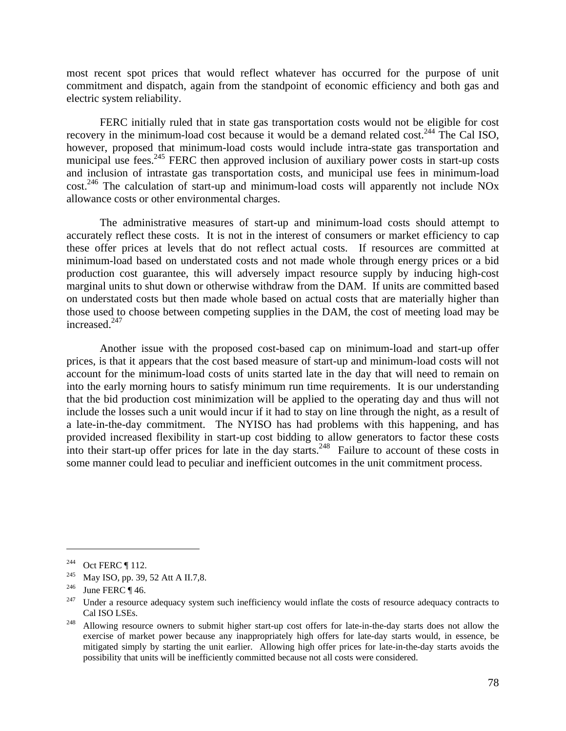most recent spot prices that would reflect whatever has occurred for the purpose of unit commitment and dispatch, again from the standpoint of economic efficiency and both gas and electric system reliability.

FERC initially ruled that in state gas transportation costs would not be eligible for cost recovery in the minimum-load cost because it would be a demand related cost.<sup>244</sup> The Cal ISO, however, proposed that minimum-load costs would include intra-state gas transportation and municipal use fees.<sup>245</sup> FERC then approved inclusion of auxiliary power costs in start-up costs and inclusion of intrastate gas transportation costs, and municipal use fees in minimum-load  $\cot^{246}$  The calculation of start-up and minimum-load costs will apparently not include NOx allowance costs or other environmental charges.

 The administrative measures of start-up and minimum-load costs should attempt to accurately reflect these costs. It is not in the interest of consumers or market efficiency to cap these offer prices at levels that do not reflect actual costs. If resources are committed at minimum-load based on understated costs and not made whole through energy prices or a bid production cost guarantee, this will adversely impact resource supply by inducing high-cost marginal units to shut down or otherwise withdraw from the DAM. If units are committed based on understated costs but then made whole based on actual costs that are materially higher than those used to choose between competing supplies in the DAM, the cost of meeting load may be increased.<sup>247</sup>

 Another issue with the proposed cost-based cap on minimum-load and start-up offer prices, is that it appears that the cost based measure of start-up and minimum-load costs will not account for the minimum-load costs of units started late in the day that will need to remain on into the early morning hours to satisfy minimum run time requirements. It is our understanding that the bid production cost minimization will be applied to the operating day and thus will not include the losses such a unit would incur if it had to stay on line through the night, as a result of a late-in-the-day commitment. The NYISO has had problems with this happening, and has provided increased flexibility in start-up cost bidding to allow generators to factor these costs into their start-up offer prices for late in the day starts.<sup>248</sup> Failure to account of these costs in some manner could lead to peculiar and inefficient outcomes in the unit commitment process.

<sup>244</sup> Oct FERC ¶ 112.<br>
<sup>245</sup> May ISO, pp. 39, 52 Att A II.7,8.<br>
<sup>246</sup> June FERC ¶ 46.<br>
<sup>247</sup> Under a resource adequacy system such inefficiency would inflate the costs of resource adequacy contracts to Cal ISO LSEs. 248 Allowing resource owners to submit higher start-up cost offers for late-in-the-day starts does not allow the

exercise of market power because any inappropriately high offers for late-day starts would, in essence, be mitigated simply by starting the unit earlier. Allowing high offer prices for late-in-the-day starts avoids the possibility that units will be inefficiently committed because not all costs were considered.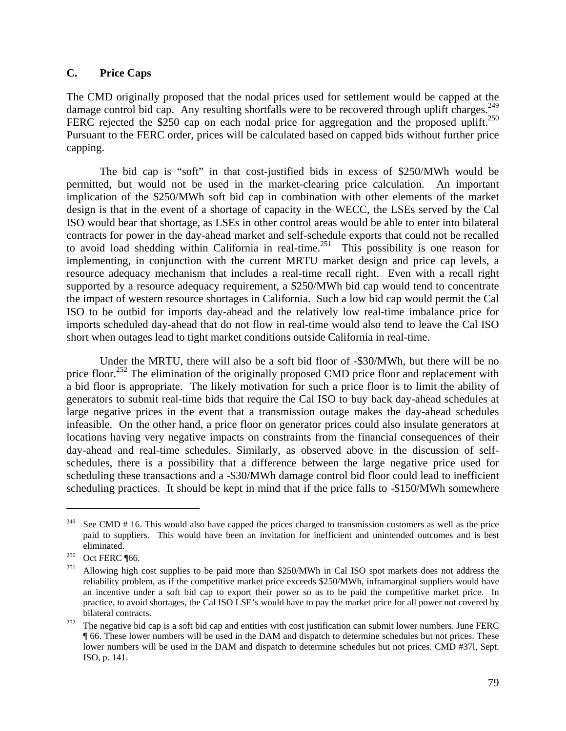## **C. Price Caps**

The CMD originally proposed that the nodal prices used for settlement would be capped at the damage control bid cap. Any resulting shortfalls were to be recovered through uplift charges.<sup>249</sup> FERC rejected the \$250 cap on each nodal price for aggregation and the proposed uplift.<sup>250</sup> Pursuant to the FERC order, prices will be calculated based on capped bids without further price capping.

 The bid cap is "soft" in that cost-justified bids in excess of \$250/MWh would be permitted, but would not be used in the market-clearing price calculation. An important implication of the \$250/MWh soft bid cap in combination with other elements of the market design is that in the event of a shortage of capacity in the WECC, the LSEs served by the Cal ISO would bear that shortage, as LSEs in other control areas would be able to enter into bilateral contracts for power in the day-ahead market and self-schedule exports that could not be recalled to avoid load shedding within California in real-time.<sup>251</sup> This possibility is one reason for implementing, in conjunction with the current MRTU market design and price cap levels, a resource adequacy mechanism that includes a real-time recall right. Even with a recall right supported by a resource adequacy requirement, a \$250/MWh bid cap would tend to concentrate the impact of western resource shortages in California. Such a low bid cap would permit the Cal ISO to be outbid for imports day-ahead and the relatively low real-time imbalance price for imports scheduled day-ahead that do not flow in real-time would also tend to leave the Cal ISO short when outages lead to tight market conditions outside California in real-time.

 Under the MRTU, there will also be a soft bid floor of -\$30/MWh, but there will be no price floor.<sup>252</sup> The elimination of the originally proposed CMD price floor and replacement with a bid floor is appropriate. The likely motivation for such a price floor is to limit the ability of generators to submit real-time bids that require the Cal ISO to buy back day-ahead schedules at large negative prices in the event that a transmission outage makes the day-ahead schedules infeasible. On the other hand, a price floor on generator prices could also insulate generators at locations having very negative impacts on constraints from the financial consequences of their day-ahead and real-time schedules. Similarly, as observed above in the discussion of selfschedules, there is a possibility that a difference between the large negative price used for scheduling these transactions and a -\$30/MWh damage control bid floor could lead to inefficient scheduling practices. It should be kept in mind that if the price falls to -\$150/MWh somewhere

<sup>&</sup>lt;sup>249</sup> See CMD # 16. This would also have capped the prices charged to transmission customers as well as the price paid to suppliers. This would have been an invitation for inefficient and unintended outcomes and is best eliminated.<br><sup>250</sup> Oct FERC ¶66.<br><sup>251</sup> Allowing high cost supplies to be paid more than \$250/MWh in Cal ISO spot markets does not address the

reliability problem, as if the competitive market price exceeds \$250/MWh, inframarginal suppliers would have an incentive under a soft bid cap to export their power so as to be paid the competitive market price. In practice, to avoid shortages, the Cal ISO LSE's would have to pay the market price for all power not covered by bilateral contracts.<br><sup>252</sup> The negative bid cap is a soft bid cap and entities with cost justification can submit lower numbers. June FERC

<sup>¶ 66.</sup> These lower numbers will be used in the DAM and dispatch to determine schedules but not prices. These lower numbers will be used in the DAM and dispatch to determine schedules but not prices. CMD #37l, Sept. ISO, p. 141.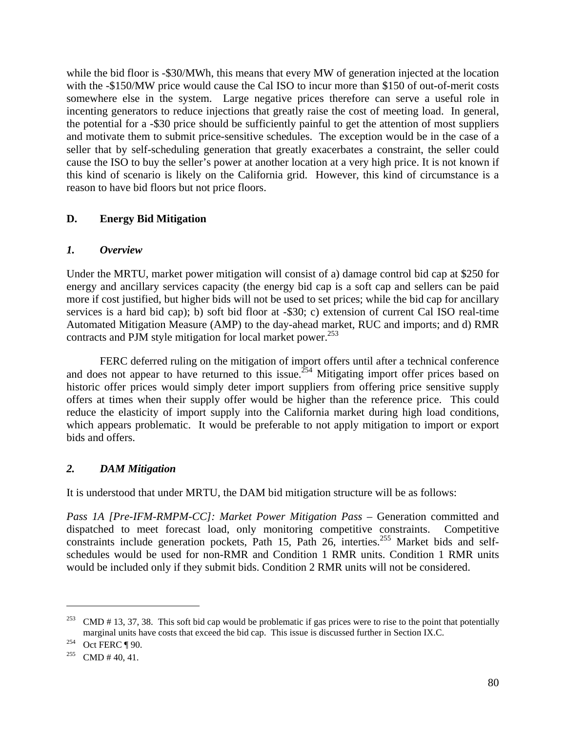while the bid floor is -\$30/MWh, this means that every MW of generation injected at the location with the -\$150/MW price would cause the Cal ISO to incur more than \$150 of out-of-merit costs somewhere else in the system. Large negative prices therefore can serve a useful role in incenting generators to reduce injections that greatly raise the cost of meeting load. In general, the potential for a -\$30 price should be sufficiently painful to get the attention of most suppliers and motivate them to submit price-sensitive schedules. The exception would be in the case of a seller that by self-scheduling generation that greatly exacerbates a constraint, the seller could cause the ISO to buy the seller's power at another location at a very high price. It is not known if this kind of scenario is likely on the California grid. However, this kind of circumstance is a reason to have bid floors but not price floors.

# **D. Energy Bid Mitigation**

# *1. Overview*

Under the MRTU, market power mitigation will consist of a) damage control bid cap at \$250 for energy and ancillary services capacity (the energy bid cap is a soft cap and sellers can be paid more if cost justified, but higher bids will not be used to set prices; while the bid cap for ancillary services is a hard bid cap); b) soft bid floor at -\$30; c) extension of current Cal ISO real-time Automated Mitigation Measure (AMP) to the day-ahead market, RUC and imports; and d) RMR contracts and PJM style mitigation for local market power.<sup>253</sup>

 FERC deferred ruling on the mitigation of import offers until after a technical conference and does not appear to have returned to this issue.<sup>254</sup> Mitigating import offer prices based on historic offer prices would simply deter import suppliers from offering price sensitive supply offers at times when their supply offer would be higher than the reference price. This could reduce the elasticity of import supply into the California market during high load conditions, which appears problematic. It would be preferable to not apply mitigation to import or export bids and offers.

# *2. DAM Mitigation*

It is understood that under MRTU, the DAM bid mitigation structure will be as follows:

*Pass 1A [Pre-IFM-RMPM-CC]: Market Power Mitigation Pass –* Generation committed and dispatched to meet forecast load, only monitoring competitive constraints. Competitive constraints include generation pockets, Path 15, Path 26, interties.<sup>255</sup> Market bids and selfschedules would be used for non-RMR and Condition 1 RMR units. Condition 1 RMR units would be included only if they submit bids. Condition 2 RMR units will not be considered.

<u>.</u>

<sup>&</sup>lt;sup>253</sup> CMD # 13, 37, 38. This soft bid cap would be problematic if gas prices were to rise to the point that potentially marginal units have costs that exceed the bid cap. This issue is discussed further in Section IX.C. <br>
<sup>254</sup> Oct FERC ¶ 90.<br>
<sup>255</sup> CMD # 40, 41.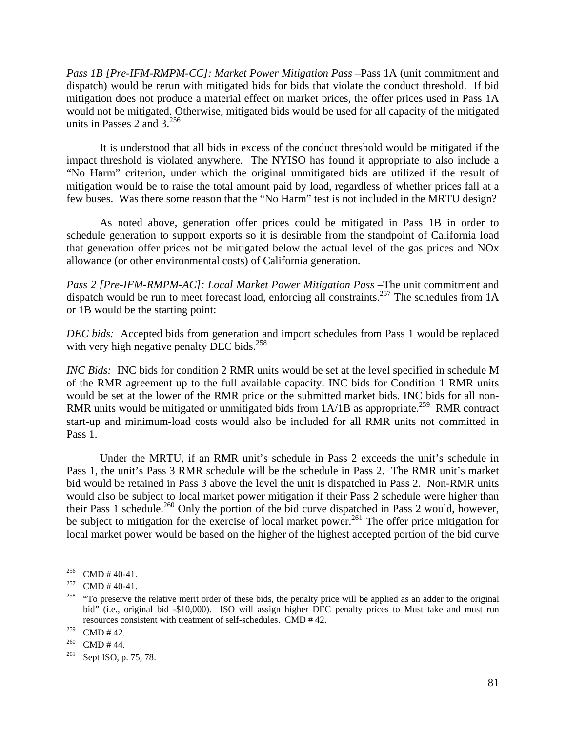*Pass 1B [Pre-IFM-RMPM-CC]: Market Power Mitigation Pass –*Pass 1A (unit commitment and dispatch) would be rerun with mitigated bids for bids that violate the conduct threshold. If bid mitigation does not produce a material effect on market prices, the offer prices used in Pass 1A would not be mitigated. Otherwise, mitigated bids would be used for all capacity of the mitigated units in Passes 2 and  $3^{256}$ 

 It is understood that all bids in excess of the conduct threshold would be mitigated if the impact threshold is violated anywhere. The NYISO has found it appropriate to also include a "No Harm" criterion, under which the original unmitigated bids are utilized if the result of mitigation would be to raise the total amount paid by load, regardless of whether prices fall at a few buses. Was there some reason that the "No Harm" test is not included in the MRTU design?

 As noted above, generation offer prices could be mitigated in Pass 1B in order to schedule generation to support exports so it is desirable from the standpoint of California load that generation offer prices not be mitigated below the actual level of the gas prices and NOx allowance (or other environmental costs) of California generation.

*Pass 2 [Pre-IFM-RMPM-AC]: Local Market Power Mitigation Pass –*The unit commitment and dispatch would be run to meet forecast load, enforcing all constraints.<sup>257</sup> The schedules from 1A or 1B would be the starting point:

*DEC bids:* Accepted bids from generation and import schedules from Pass 1 would be replaced with very high negative penalty DEC bids.<sup>258</sup>

*INC Bids:* INC bids for condition 2 RMR units would be set at the level specified in schedule M of the RMR agreement up to the full available capacity. INC bids for Condition 1 RMR units would be set at the lower of the RMR price or the submitted market bids. INC bids for all non-RMR units would be mitigated or unmitigated bids from  $1A/1B$  as appropriate.<sup>259</sup> RMR contract start-up and minimum-load costs would also be included for all RMR units not committed in Pass 1.

 Under the MRTU, if an RMR unit's schedule in Pass 2 exceeds the unit's schedule in Pass 1, the unit's Pass 3 RMR schedule will be the schedule in Pass 2. The RMR unit's market bid would be retained in Pass 3 above the level the unit is dispatched in Pass 2. Non-RMR units would also be subject to local market power mitigation if their Pass 2 schedule were higher than their Pass 1 schedule.<sup>260</sup> Only the portion of the bid curve dispatched in Pass 2 would, however, be subject to mitigation for the exercise of local market power.<sup>261</sup> The offer price mitigation for local market power would be based on the higher of the highest accepted portion of the bid curve

<sup>256</sup> CMD # 40-41.<br>257 CMD # 40-41.<br><sup>258</sup> "To preserve the relative merit order of these bids, the penalty price will be applied as an adder to the original bid" (i.e., original bid -\$10,000). ISO will assign higher DEC penalty prices to Must take and must run resources consistent with treatment of self-schedules. CMD # 42.

<sup>&</sup>lt;sup>259</sup> CMD # 42.<br><sup>260</sup> CMD # 44.<br><sup>261</sup> Sept ISO, p. 75, 78.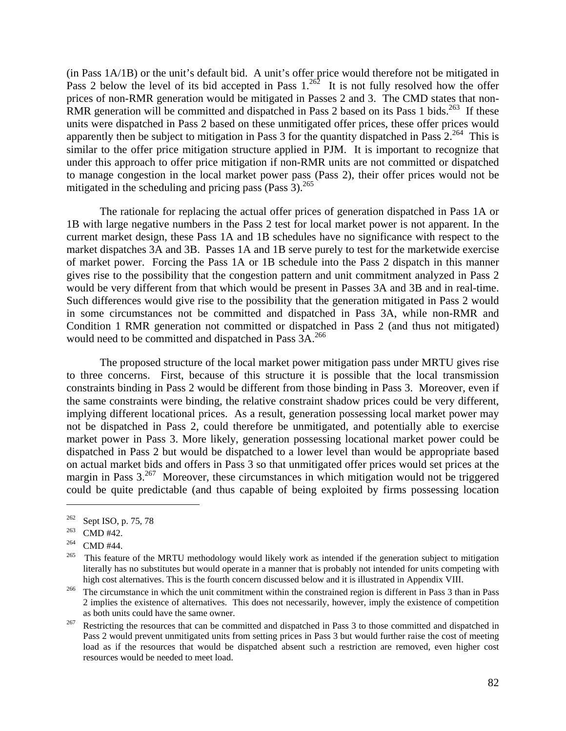(in Pass 1A/1B) or the unit's default bid. A unit's offer price would therefore not be mitigated in Pass 2 below the level of its bid accepted in Pass  $1.^{262}$  It is not fully resolved how the offer prices of non-RMR generation would be mitigated in Passes 2 and 3. The CMD states that non-RMR generation will be committed and dispatched in Pass 2 based on its Pass 1 bids.<sup>263</sup> If these units were dispatched in Pass 2 based on these unmitigated offer prices, these offer prices would apparently then be subject to mitigation in Pass 3 for the quantity dispatched in Pass  $2^{264}$  This is similar to the offer price mitigation structure applied in PJM. It is important to recognize that under this approach to offer price mitigation if non-RMR units are not committed or dispatched to manage congestion in the local market power pass (Pass 2), their offer prices would not be mitigated in the scheduling and pricing pass  $(Pass 3)$ .<sup>265</sup>

 The rationale for replacing the actual offer prices of generation dispatched in Pass 1A or 1B with large negative numbers in the Pass 2 test for local market power is not apparent. In the current market design, these Pass 1A and 1B schedules have no significance with respect to the market dispatches 3A and 3B. Passes 1A and 1B serve purely to test for the marketwide exercise of market power. Forcing the Pass 1A or 1B schedule into the Pass 2 dispatch in this manner gives rise to the possibility that the congestion pattern and unit commitment analyzed in Pass 2 would be very different from that which would be present in Passes 3A and 3B and in real-time. Such differences would give rise to the possibility that the generation mitigated in Pass 2 would in some circumstances not be committed and dispatched in Pass 3A, while non-RMR and Condition 1 RMR generation not committed or dispatched in Pass 2 (and thus not mitigated) would need to be committed and dispatched in Pass  $3A.<sup>266</sup>$ 

 The proposed structure of the local market power mitigation pass under MRTU gives rise to three concerns. First, because of this structure it is possible that the local transmission constraints binding in Pass 2 would be different from those binding in Pass 3. Moreover, even if the same constraints were binding, the relative constraint shadow prices could be very different, implying different locational prices. As a result, generation possessing local market power may not be dispatched in Pass 2, could therefore be unmitigated, and potentially able to exercise market power in Pass 3. More likely, generation possessing locational market power could be dispatched in Pass 2 but would be dispatched to a lower level than would be appropriate based on actual market bids and offers in Pass 3 so that unmitigated offer prices would set prices at the margin in Pass  $3^{267}$  Moreover, these circumstances in which mitigation would not be triggered could be quite predictable (and thus capable of being exploited by firms possessing location

<sup>&</sup>lt;sup>262</sup> Sept ISO, p. 75, 78<br><sup>263</sup> CMD #42.<br><sup>264</sup> CMD #44.<br><sup>265</sup> This feature of the MRTU methodology would likely work as intended if the generation subject to mitigation literally has no substitutes but would operate in a manner that is probably not intended for units competing with high cost alternatives. This is the fourth concern discussed below and it is illustrated in Appendix VIII.<br><sup>266</sup> The circumstance in which the unit commitment within the constrained region is different in Pass 3 than in Pa

<sup>2</sup> implies the existence of alternatives. This does not necessarily, however, imply the existence of competition as both units could have the same owner.<br><sup>267</sup> Restricting the resources that can be committed and dispatched in Pass 3 to those committed and dispatched in

Pass 2 would prevent unmitigated units from setting prices in Pass 3 but would further raise the cost of meeting load as if the resources that would be dispatched absent such a restriction are removed, even higher cost resources would be needed to meet load.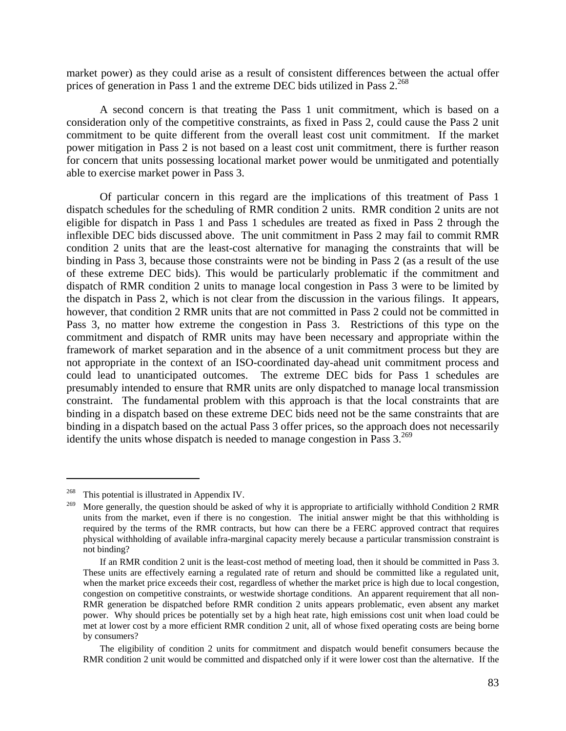market power) as they could arise as a result of consistent differences between the actual offer prices of generation in Pass 1 and the extreme DEC bids utilized in Pass  $2^{268}$ 

 A second concern is that treating the Pass 1 unit commitment, which is based on a consideration only of the competitive constraints, as fixed in Pass 2, could cause the Pass 2 unit commitment to be quite different from the overall least cost unit commitment. If the market power mitigation in Pass 2 is not based on a least cost unit commitment, there is further reason for concern that units possessing locational market power would be unmitigated and potentially able to exercise market power in Pass 3.

 Of particular concern in this regard are the implications of this treatment of Pass 1 dispatch schedules for the scheduling of RMR condition 2 units. RMR condition 2 units are not eligible for dispatch in Pass 1 and Pass 1 schedules are treated as fixed in Pass 2 through the inflexible DEC bids discussed above. The unit commitment in Pass 2 may fail to commit RMR condition 2 units that are the least-cost alternative for managing the constraints that will be binding in Pass 3, because those constraints were not be binding in Pass 2 (as a result of the use of these extreme DEC bids). This would be particularly problematic if the commitment and dispatch of RMR condition 2 units to manage local congestion in Pass 3 were to be limited by the dispatch in Pass 2, which is not clear from the discussion in the various filings. It appears, however, that condition 2 RMR units that are not committed in Pass 2 could not be committed in Pass 3, no matter how extreme the congestion in Pass 3. Restrictions of this type on the commitment and dispatch of RMR units may have been necessary and appropriate within the framework of market separation and in the absence of a unit commitment process but they are not appropriate in the context of an ISO-coordinated day-ahead unit commitment process and could lead to unanticipated outcomes. The extreme DEC bids for Pass 1 schedules are presumably intended to ensure that RMR units are only dispatched to manage local transmission constraint. The fundamental problem with this approach is that the local constraints that are binding in a dispatch based on these extreme DEC bids need not be the same constraints that are binding in a dispatch based on the actual Pass 3 offer prices, so the approach does not necessarily identify the units whose dispatch is needed to manage congestion in Pass  $3.^{269}$ 

<sup>&</sup>lt;sup>268</sup> This potential is illustrated in Appendix IV.

<sup>&</sup>lt;sup>269</sup> More generally, the question should be asked of why it is appropriate to artificially withhold Condition 2 RMR units from the market, even if there is no congestion. The initial answer might be that this withholding is required by the terms of the RMR contracts, but how can there be a FERC approved contract that requires physical withholding of available infra-marginal capacity merely because a particular transmission constraint is not binding?

If an RMR condition 2 unit is the least-cost method of meeting load, then it should be committed in Pass 3. These units are effectively earning a regulated rate of return and should be committed like a regulated unit, when the market price exceeds their cost, regardless of whether the market price is high due to local congestion, congestion on competitive constraints, or westwide shortage conditions. An apparent requirement that all non-RMR generation be dispatched before RMR condition 2 units appears problematic, even absent any market power. Why should prices be potentially set by a high heat rate, high emissions cost unit when load could be met at lower cost by a more efficient RMR condition 2 unit, all of whose fixed operating costs are being borne by consumers?

The eligibility of condition 2 units for commitment and dispatch would benefit consumers because the RMR condition 2 unit would be committed and dispatched only if it were lower cost than the alternative. If the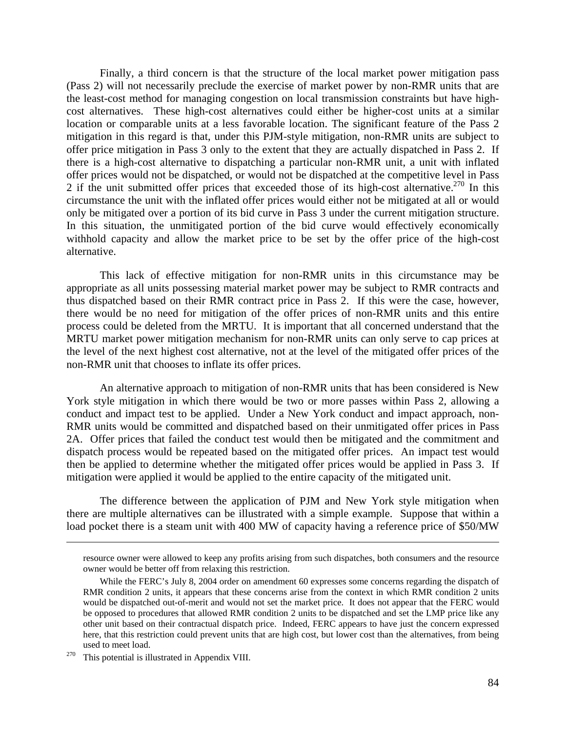Finally, a third concern is that the structure of the local market power mitigation pass (Pass 2) will not necessarily preclude the exercise of market power by non-RMR units that are the least-cost method for managing congestion on local transmission constraints but have highcost alternatives. These high-cost alternatives could either be higher-cost units at a similar location or comparable units at a less favorable location. The significant feature of the Pass 2 mitigation in this regard is that, under this PJM-style mitigation, non-RMR units are subject to offer price mitigation in Pass 3 only to the extent that they are actually dispatched in Pass 2. If there is a high-cost alternative to dispatching a particular non-RMR unit, a unit with inflated offer prices would not be dispatched, or would not be dispatched at the competitive level in Pass 2 if the unit submitted offer prices that exceeded those of its high-cost alternative.<sup>270</sup> In this circumstance the unit with the inflated offer prices would either not be mitigated at all or would only be mitigated over a portion of its bid curve in Pass 3 under the current mitigation structure. In this situation, the unmitigated portion of the bid curve would effectively economically withhold capacity and allow the market price to be set by the offer price of the high-cost alternative.

 This lack of effective mitigation for non-RMR units in this circumstance may be appropriate as all units possessing material market power may be subject to RMR contracts and thus dispatched based on their RMR contract price in Pass 2. If this were the case, however, there would be no need for mitigation of the offer prices of non-RMR units and this entire process could be deleted from the MRTU. It is important that all concerned understand that the MRTU market power mitigation mechanism for non-RMR units can only serve to cap prices at the level of the next highest cost alternative, not at the level of the mitigated offer prices of the non-RMR unit that chooses to inflate its offer prices.

 An alternative approach to mitigation of non-RMR units that has been considered is New York style mitigation in which there would be two or more passes within Pass 2, allowing a conduct and impact test to be applied. Under a New York conduct and impact approach, non-RMR units would be committed and dispatched based on their unmitigated offer prices in Pass 2A. Offer prices that failed the conduct test would then be mitigated and the commitment and dispatch process would be repeated based on the mitigated offer prices. An impact test would then be applied to determine whether the mitigated offer prices would be applied in Pass 3. If mitigation were applied it would be applied to the entire capacity of the mitigated unit.

 The difference between the application of PJM and New York style mitigation when there are multiple alternatives can be illustrated with a simple example. Suppose that within a load pocket there is a steam unit with 400 MW of capacity having a reference price of \$50/MW

resource owner were allowed to keep any profits arising from such dispatches, both consumers and the resource owner would be better off from relaxing this restriction.

While the FERC's July 8, 2004 order on amendment 60 expresses some concerns regarding the dispatch of RMR condition 2 units, it appears that these concerns arise from the context in which RMR condition 2 units would be dispatched out-of-merit and would not set the market price. It does not appear that the FERC would be opposed to procedures that allowed RMR condition 2 units to be dispatched and set the LMP price like any other unit based on their contractual dispatch price. Indeed, FERC appears to have just the concern expressed here, that this restriction could prevent units that are high cost, but lower cost than the alternatives, from being used to meet load.<br><sup>270</sup> This potential is illustrated in Appendix VIII.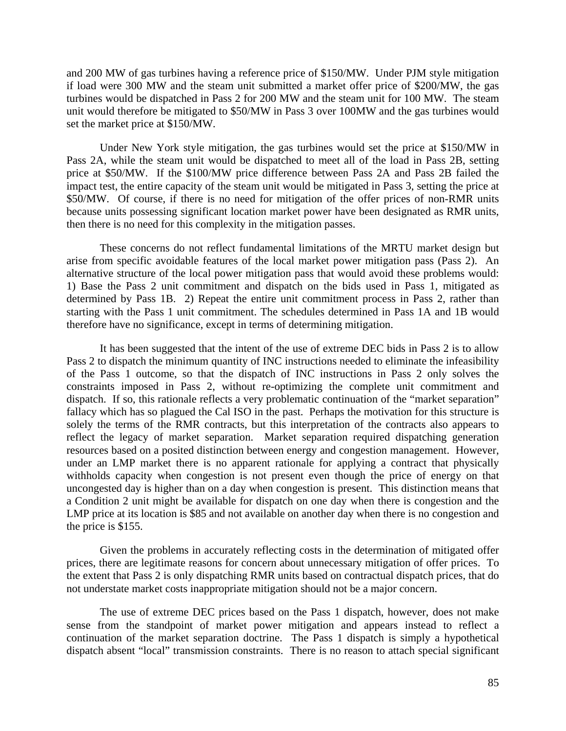and 200 MW of gas turbines having a reference price of \$150/MW. Under PJM style mitigation if load were 300 MW and the steam unit submitted a market offer price of \$200/MW, the gas turbines would be dispatched in Pass 2 for 200 MW and the steam unit for 100 MW. The steam unit would therefore be mitigated to \$50/MW in Pass 3 over 100MW and the gas turbines would set the market price at \$150/MW.

 Under New York style mitigation, the gas turbines would set the price at \$150/MW in Pass 2A, while the steam unit would be dispatched to meet all of the load in Pass 2B, setting price at \$50/MW. If the \$100/MW price difference between Pass 2A and Pass 2B failed the impact test, the entire capacity of the steam unit would be mitigated in Pass 3, setting the price at \$50/MW. Of course, if there is no need for mitigation of the offer prices of non-RMR units because units possessing significant location market power have been designated as RMR units, then there is no need for this complexity in the mitigation passes.

 These concerns do not reflect fundamental limitations of the MRTU market design but arise from specific avoidable features of the local market power mitigation pass (Pass 2). An alternative structure of the local power mitigation pass that would avoid these problems would: 1) Base the Pass 2 unit commitment and dispatch on the bids used in Pass 1, mitigated as determined by Pass 1B. 2) Repeat the entire unit commitment process in Pass 2, rather than starting with the Pass 1 unit commitment. The schedules determined in Pass 1A and 1B would therefore have no significance, except in terms of determining mitigation.

 It has been suggested that the intent of the use of extreme DEC bids in Pass 2 is to allow Pass 2 to dispatch the minimum quantity of INC instructions needed to eliminate the infeasibility of the Pass 1 outcome, so that the dispatch of INC instructions in Pass 2 only solves the constraints imposed in Pass 2, without re-optimizing the complete unit commitment and dispatch. If so, this rationale reflects a very problematic continuation of the "market separation" fallacy which has so plagued the Cal ISO in the past. Perhaps the motivation for this structure is solely the terms of the RMR contracts, but this interpretation of the contracts also appears to reflect the legacy of market separation. Market separation required dispatching generation resources based on a posited distinction between energy and congestion management. However, under an LMP market there is no apparent rationale for applying a contract that physically withholds capacity when congestion is not present even though the price of energy on that uncongested day is higher than on a day when congestion is present. This distinction means that a Condition 2 unit might be available for dispatch on one day when there is congestion and the LMP price at its location is \$85 and not available on another day when there is no congestion and the price is \$155.

 Given the problems in accurately reflecting costs in the determination of mitigated offer prices, there are legitimate reasons for concern about unnecessary mitigation of offer prices. To the extent that Pass 2 is only dispatching RMR units based on contractual dispatch prices, that do not understate market costs inappropriate mitigation should not be a major concern.

The use of extreme DEC prices based on the Pass 1 dispatch, however, does not make sense from the standpoint of market power mitigation and appears instead to reflect a continuation of the market separation doctrine. The Pass 1 dispatch is simply a hypothetical dispatch absent "local" transmission constraints. There is no reason to attach special significant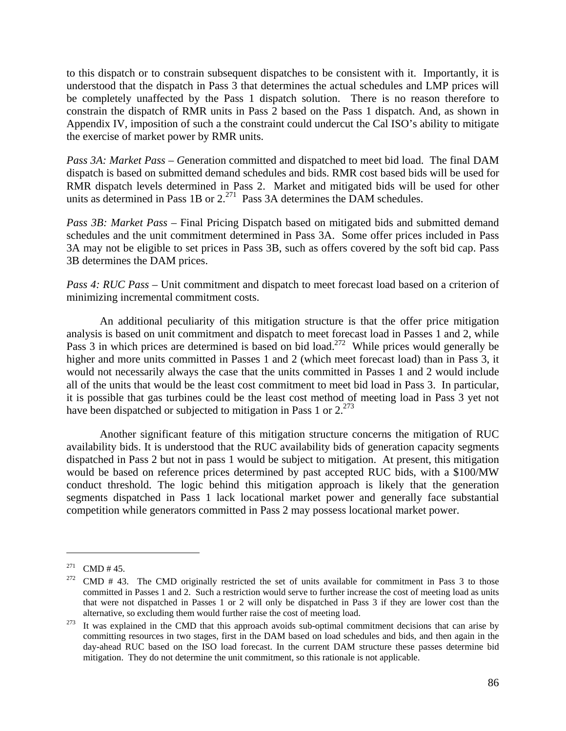to this dispatch or to constrain subsequent dispatches to be consistent with it. Importantly, it is understood that the dispatch in Pass 3 that determines the actual schedules and LMP prices will be completely unaffected by the Pass 1 dispatch solution. There is no reason therefore to constrain the dispatch of RMR units in Pass 2 based on the Pass 1 dispatch. And, as shown in Appendix IV, imposition of such a the constraint could undercut the Cal ISO's ability to mitigate the exercise of market power by RMR units.

*Pass 3A: Market Pass – G*eneration committed and dispatched to meet bid load. The final DAM dispatch is based on submitted demand schedules and bids. RMR cost based bids will be used for RMR dispatch levels determined in Pass 2. Market and mitigated bids will be used for other units as determined in Pass 1B or  $2^{271}$  Pass 3A determines the DAM schedules.

*Pass 3B: Market Pass –* Final Pricing Dispatch based on mitigated bids and submitted demand schedules and the unit commitment determined in Pass 3A. Some offer prices included in Pass 3A may not be eligible to set prices in Pass 3B, such as offers covered by the soft bid cap. Pass 3B determines the DAM prices.

*Pass 4: RUC Pass* – Unit commitment and dispatch to meet forecast load based on a criterion of minimizing incremental commitment costs.

 An additional peculiarity of this mitigation structure is that the offer price mitigation analysis is based on unit commitment and dispatch to meet forecast load in Passes 1 and 2, while Pass 3 in which prices are determined is based on bid load.<sup>272</sup> While prices would generally be higher and more units committed in Passes 1 and 2 (which meet forecast load) than in Pass 3, it would not necessarily always the case that the units committed in Passes 1 and 2 would include all of the units that would be the least cost commitment to meet bid load in Pass 3. In particular, it is possible that gas turbines could be the least cost method of meeting load in Pass 3 yet not have been dispatched or subjected to mitigation in Pass 1 or  $2^{273}$ 

 Another significant feature of this mitigation structure concerns the mitigation of RUC availability bids. It is understood that the RUC availability bids of generation capacity segments dispatched in Pass 2 but not in pass 1 would be subject to mitigation. At present, this mitigation would be based on reference prices determined by past accepted RUC bids, with a \$100/MW conduct threshold. The logic behind this mitigation approach is likely that the generation segments dispatched in Pass 1 lack locational market power and generally face substantial competition while generators committed in Pass 2 may possess locational market power.

<sup>&</sup>lt;sup>271</sup> CMD # 45.<br><sup>272</sup> CMD # 43. The CMD originally restricted the set of units available for commitment in Pass 3 to those committed in Passes 1 and 2. Such a restriction would serve to further increase the cost of meeting load as units that were not dispatched in Passes 1 or 2 will only be dispatched in Pass 3 if they are lower cost than the

alternative, so excluding them would further raise the cost of meeting load.<br><sup>273</sup> It was explained in the CMD that this approach avoids sub-optimal commitment decisions that can arise by committing resources in two stages, first in the DAM based on load schedules and bids, and then again in the day-ahead RUC based on the ISO load forecast. In the current DAM structure these passes determine bid mitigation. They do not determine the unit commitment, so this rationale is not applicable.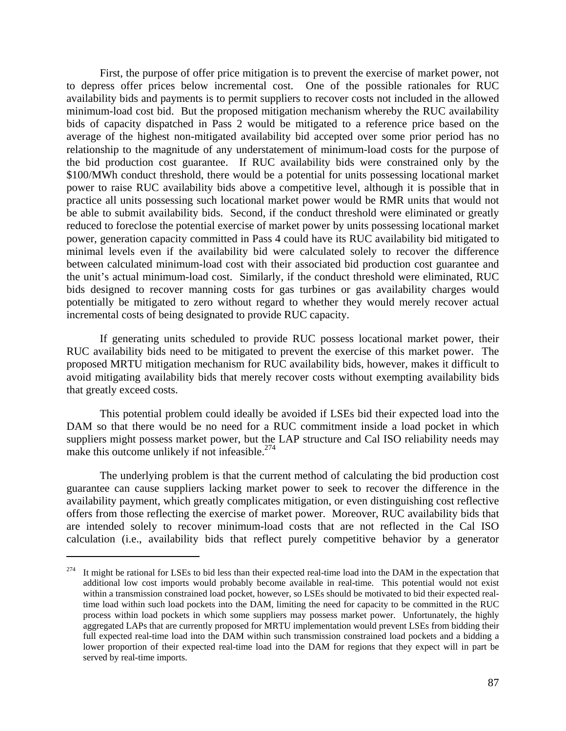First, the purpose of offer price mitigation is to prevent the exercise of market power, not to depress offer prices below incremental cost. One of the possible rationales for RUC availability bids and payments is to permit suppliers to recover costs not included in the allowed minimum-load cost bid. But the proposed mitigation mechanism whereby the RUC availability bids of capacity dispatched in Pass 2 would be mitigated to a reference price based on the average of the highest non-mitigated availability bid accepted over some prior period has no relationship to the magnitude of any understatement of minimum-load costs for the purpose of the bid production cost guarantee. If RUC availability bids were constrained only by the \$100/MWh conduct threshold, there would be a potential for units possessing locational market power to raise RUC availability bids above a competitive level, although it is possible that in practice all units possessing such locational market power would be RMR units that would not be able to submit availability bids. Second, if the conduct threshold were eliminated or greatly reduced to foreclose the potential exercise of market power by units possessing locational market power, generation capacity committed in Pass 4 could have its RUC availability bid mitigated to minimal levels even if the availability bid were calculated solely to recover the difference between calculated minimum-load cost with their associated bid production cost guarantee and the unit's actual minimum-load cost. Similarly, if the conduct threshold were eliminated, RUC bids designed to recover manning costs for gas turbines or gas availability charges would potentially be mitigated to zero without regard to whether they would merely recover actual incremental costs of being designated to provide RUC capacity.

 If generating units scheduled to provide RUC possess locational market power, their RUC availability bids need to be mitigated to prevent the exercise of this market power. The proposed MRTU mitigation mechanism for RUC availability bids, however, makes it difficult to avoid mitigating availability bids that merely recover costs without exempting availability bids that greatly exceed costs.

 This potential problem could ideally be avoided if LSEs bid their expected load into the DAM so that there would be no need for a RUC commitment inside a load pocket in which suppliers might possess market power, but the LAP structure and Cal ISO reliability needs may make this outcome unlikely if not infeasible. $274$ 

 The underlying problem is that the current method of calculating the bid production cost guarantee can cause suppliers lacking market power to seek to recover the difference in the availability payment, which greatly complicates mitigation, or even distinguishing cost reflective offers from those reflecting the exercise of market power. Moreover, RUC availability bids that are intended solely to recover minimum-load costs that are not reflected in the Cal ISO calculation (i.e., availability bids that reflect purely competitive behavior by a generator

 $274$  It might be rational for LSEs to bid less than their expected real-time load into the DAM in the expectation that additional low cost imports would probably become available in real-time. This potential would not exist within a transmission constrained load pocket, however, so LSEs should be motivated to bid their expected realtime load within such load pockets into the DAM, limiting the need for capacity to be committed in the RUC process within load pockets in which some suppliers may possess market power. Unfortunately, the highly aggregated LAPs that are currently proposed for MRTU implementation would prevent LSEs from bidding their full expected real-time load into the DAM within such transmission constrained load pockets and a bidding a lower proportion of their expected real-time load into the DAM for regions that they expect will in part be served by real-time imports.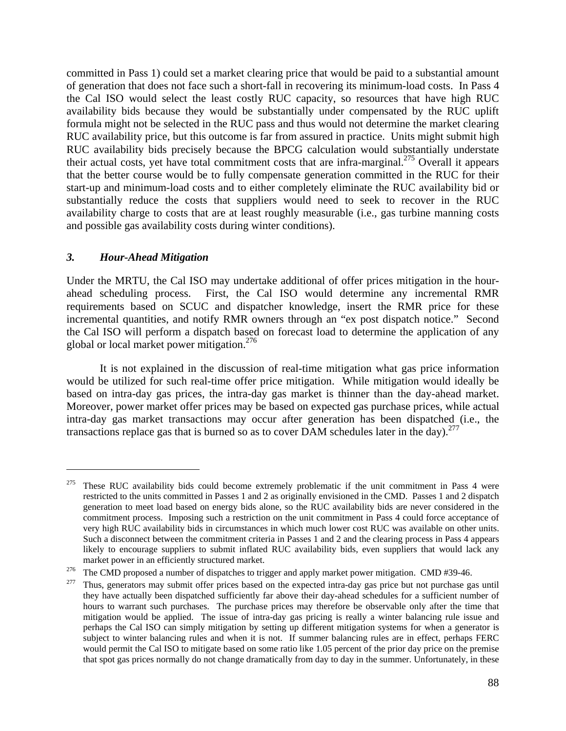committed in Pass 1) could set a market clearing price that would be paid to a substantial amount of generation that does not face such a short-fall in recovering its minimum-load costs. In Pass 4 the Cal ISO would select the least costly RUC capacity, so resources that have high RUC availability bids because they would be substantially under compensated by the RUC uplift formula might not be selected in the RUC pass and thus would not determine the market clearing RUC availability price, but this outcome is far from assured in practice. Units might submit high RUC availability bids precisely because the BPCG calculation would substantially understate their actual costs, yet have total commitment costs that are infra-marginal.<sup>275</sup> Overall it appears that the better course would be to fully compensate generation committed in the RUC for their start-up and minimum-load costs and to either completely eliminate the RUC availability bid or substantially reduce the costs that suppliers would need to seek to recover in the RUC availability charge to costs that are at least roughly measurable (i.e., gas turbine manning costs and possible gas availability costs during winter conditions).

# *3. Hour-Ahead Mitigation*

1

Under the MRTU, the Cal ISO may undertake additional of offer prices mitigation in the hourahead scheduling process. First, the Cal ISO would determine any incremental RMR requirements based on SCUC and dispatcher knowledge, insert the RMR price for these incremental quantities, and notify RMR owners through an "ex post dispatch notice." Second the Cal ISO will perform a dispatch based on forecast load to determine the application of any global or local market power mitigation.<sup>276</sup>

 It is not explained in the discussion of real-time mitigation what gas price information would be utilized for such real-time offer price mitigation. While mitigation would ideally be based on intra-day gas prices, the intra-day gas market is thinner than the day-ahead market. Moreover, power market offer prices may be based on expected gas purchase prices, while actual intra-day gas market transactions may occur after generation has been dispatched (i.e., the transactions replace gas that is burned so as to cover DAM schedules later in the day).<sup>277</sup>

 $275$  These RUC availability bids could become extremely problematic if the unit commitment in Pass 4 were restricted to the units committed in Passes 1 and 2 as originally envisioned in the CMD. Passes 1 and 2 dispatch generation to meet load based on energy bids alone, so the RUC availability bids are never considered in the commitment process. Imposing such a restriction on the unit commitment in Pass 4 could force acceptance of very high RUC availability bids in circumstances in which much lower cost RUC was available on other units. Such a disconnect between the commitment criteria in Passes 1 and 2 and the clearing process in Pass 4 appears likely to encourage suppliers to submit inflated RUC availability bids, even suppliers that would lack any

market power in an efficiently structured market.<br><sup>276</sup> The CMD proposed a number of dispatches to trigger and apply market power mitigation. CMD #39-46.<br><sup>277</sup> Thus, generators may submit offer prices based on the expected

they have actually been dispatched sufficiently far above their day-ahead schedules for a sufficient number of hours to warrant such purchases. The purchase prices may therefore be observable only after the time that mitigation would be applied. The issue of intra-day gas pricing is really a winter balancing rule issue and perhaps the Cal ISO can simply mitigation by setting up different mitigation systems for when a generator is subject to winter balancing rules and when it is not. If summer balancing rules are in effect, perhaps FERC would permit the Cal ISO to mitigate based on some ratio like 1.05 percent of the prior day price on the premise that spot gas prices normally do not change dramatically from day to day in the summer. Unfortunately, in these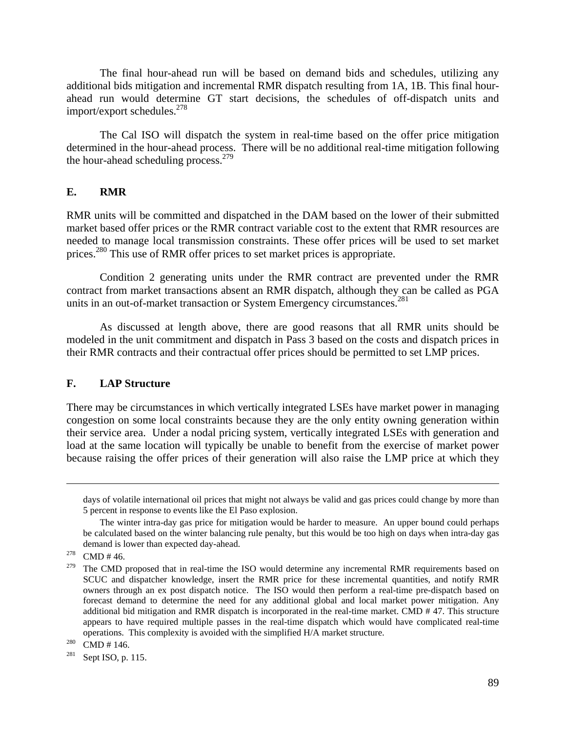The final hour-ahead run will be based on demand bids and schedules, utilizing any additional bids mitigation and incremental RMR dispatch resulting from 1A, 1B. This final hourahead run would determine GT start decisions, the schedules of off-dispatch units and import/export schedules.278

 The Cal ISO will dispatch the system in real-time based on the offer price mitigation determined in the hour-ahead process. There will be no additional real-time mitigation following the hour-ahead scheduling process.  $279$ 

## **E. RMR**

RMR units will be committed and dispatched in the DAM based on the lower of their submitted market based offer prices or the RMR contract variable cost to the extent that RMR resources are needed to manage local transmission constraints. These offer prices will be used to set market prices.<sup>280</sup> This use of RMR offer prices to set market prices is appropriate.

 Condition 2 generating units under the RMR contract are prevented under the RMR contract from market transactions absent an RMR dispatch, although they can be called as PGA units in an out-of-market transaction or System Emergency circumstances.<sup>281</sup>

 As discussed at length above, there are good reasons that all RMR units should be modeled in the unit commitment and dispatch in Pass 3 based on the costs and dispatch prices in their RMR contracts and their contractual offer prices should be permitted to set LMP prices.

#### **F. LAP Structure**

There may be circumstances in which vertically integrated LSEs have market power in managing congestion on some local constraints because they are the only entity owning generation within their service area. Under a nodal pricing system, vertically integrated LSEs with generation and load at the same location will typically be unable to benefit from the exercise of market power because raising the offer prices of their generation will also raise the LMP price at which they

days of volatile international oil prices that might not always be valid and gas prices could change by more than 5 percent in response to events like the El Paso explosion.

The winter intra-day gas price for mitigation would be harder to measure. An upper bound could perhaps be calculated based on the winter balancing rule penalty, but this would be too high on days when intra-day gas demand is lower than expected day-ahead.<br><sup>278</sup> CMD # 46.

 $279$  The CMD proposed that in real-time the ISO would determine any incremental RMR requirements based on SCUC and dispatcher knowledge, insert the RMR price for these incremental quantities, and notify RMR owners through an ex post dispatch notice. The ISO would then perform a real-time pre-dispatch based on forecast demand to determine the need for any additional global and local market power mitigation. Any additional bid mitigation and RMR dispatch is incorporated in the real-time market. CMD # 47. This structure appears to have required multiple passes in the real-time dispatch which would have complicated real-time operations. This complexity is avoided with the simplified H/A market structure.<br>
<sup>280</sup> CMD # 146.<br>
<sup>281</sup> Sept ISO, p. 115.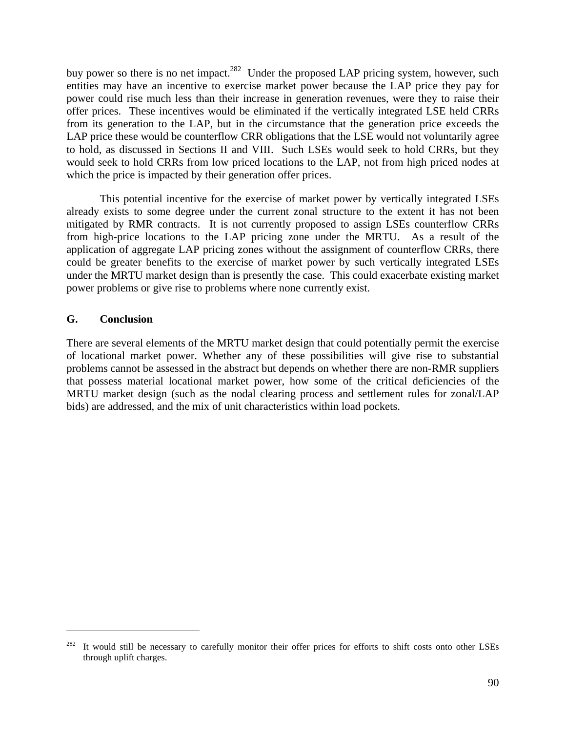buy power so there is no net impact.<sup>282</sup> Under the proposed LAP pricing system, however, such entities may have an incentive to exercise market power because the LAP price they pay for power could rise much less than their increase in generation revenues, were they to raise their offer prices. These incentives would be eliminated if the vertically integrated LSE held CRRs from its generation to the LAP, but in the circumstance that the generation price exceeds the LAP price these would be counterflow CRR obligations that the LSE would not voluntarily agree to hold, as discussed in Sections II and VIII. Such LSEs would seek to hold CRRs, but they would seek to hold CRRs from low priced locations to the LAP, not from high priced nodes at which the price is impacted by their generation offer prices.

 This potential incentive for the exercise of market power by vertically integrated LSEs already exists to some degree under the current zonal structure to the extent it has not been mitigated by RMR contracts. It is not currently proposed to assign LSEs counterflow CRRs from high-price locations to the LAP pricing zone under the MRTU. As a result of the application of aggregate LAP pricing zones without the assignment of counterflow CRRs, there could be greater benefits to the exercise of market power by such vertically integrated LSEs under the MRTU market design than is presently the case. This could exacerbate existing market power problems or give rise to problems where none currently exist.

## **G. Conclusion**

 $\overline{a}$ 

There are several elements of the MRTU market design that could potentially permit the exercise of locational market power. Whether any of these possibilities will give rise to substantial problems cannot be assessed in the abstract but depends on whether there are non-RMR suppliers that possess material locational market power, how some of the critical deficiencies of the MRTU market design (such as the nodal clearing process and settlement rules for zonal/LAP bids) are addressed, and the mix of unit characteristics within load pockets.

<sup>282</sup> It would still be necessary to carefully monitor their offer prices for efforts to shift costs onto other LSEs through uplift charges.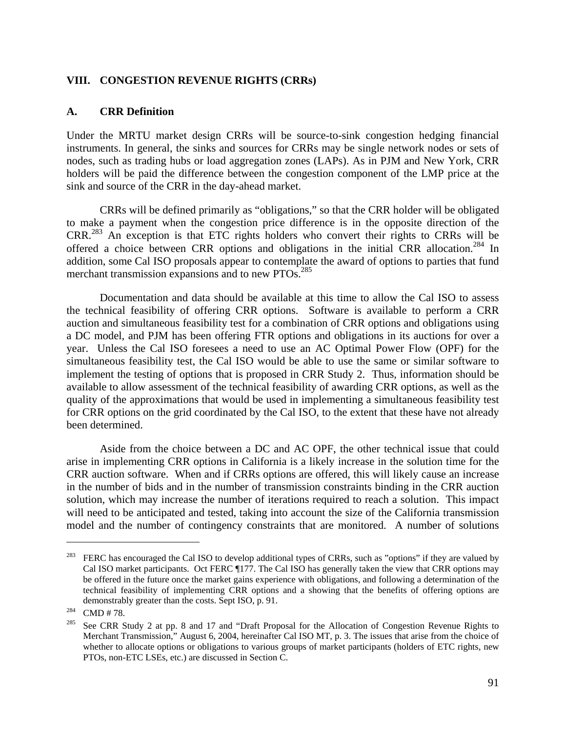#### **VIII. CONGESTION REVENUE RIGHTS (CRRs)**

### **A. CRR Definition**

Under the MRTU market design CRRs will be source-to-sink congestion hedging financial instruments. In general, the sinks and sources for CRRs may be single network nodes or sets of nodes, such as trading hubs or load aggregation zones (LAPs). As in PJM and New York, CRR holders will be paid the difference between the congestion component of the LMP price at the sink and source of the CRR in the day-ahead market.

 CRRs will be defined primarily as "obligations," so that the CRR holder will be obligated to make a payment when the congestion price difference is in the opposite direction of the CRR.283 An exception is that ETC rights holders who convert their rights to CRRs will be offered a choice between CRR options and obligations in the initial CRR allocation.<sup>284</sup> In addition, some Cal ISO proposals appear to contemplate the award of options to parties that fund merchant transmission expansions and to new PTOs.<sup>285</sup>

 Documentation and data should be available at this time to allow the Cal ISO to assess the technical feasibility of offering CRR options. Software is available to perform a CRR auction and simultaneous feasibility test for a combination of CRR options and obligations using a DC model, and PJM has been offering FTR options and obligations in its auctions for over a year. Unless the Cal ISO foresees a need to use an AC Optimal Power Flow (OPF) for the simultaneous feasibility test, the Cal ISO would be able to use the same or similar software to implement the testing of options that is proposed in CRR Study 2. Thus, information should be available to allow assessment of the technical feasibility of awarding CRR options, as well as the quality of the approximations that would be used in implementing a simultaneous feasibility test for CRR options on the grid coordinated by the Cal ISO, to the extent that these have not already been determined.

Aside from the choice between a DC and AC OPF, the other technical issue that could arise in implementing CRR options in California is a likely increase in the solution time for the CRR auction software. When and if CRRs options are offered, this will likely cause an increase in the number of bids and in the number of transmission constraints binding in the CRR auction solution, which may increase the number of iterations required to reach a solution. This impact will need to be anticipated and tested, taking into account the size of the California transmission model and the number of contingency constraints that are monitored. A number of solutions

<sup>&</sup>lt;sup>283</sup> FERC has encouraged the Cal ISO to develop additional types of CRRs, such as "options" if they are valued by Cal ISO market participants. Oct FERC ¶177. The Cal ISO has generally taken the view that CRR options may be offered in the future once the market gains experience with obligations, and following a determination of the technical feasibility of implementing CRR options and a showing that the benefits of offering options are demonstrably greater than the costs. Sept ISO, p. 91.<br><sup>284</sup> CMD # 78.<br><sup>285</sup> See CRR Study 2 at pp. 8 and 17 and "Draft Proposal for the Allocation of Congestion Revenue Rights to

Merchant Transmission," August 6, 2004, hereinafter Cal ISO MT, p. 3. The issues that arise from the choice of whether to allocate options or obligations to various groups of market participants (holders of ETC rights, new PTOs, non-ETC LSEs, etc.) are discussed in Section C.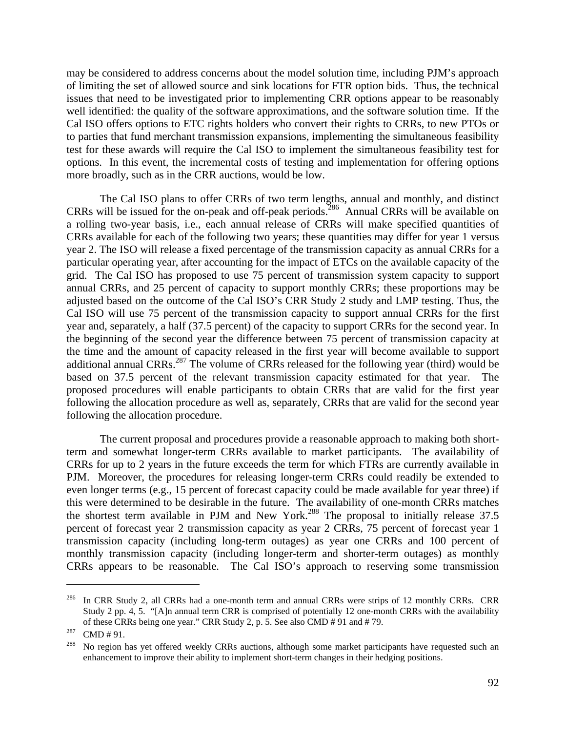may be considered to address concerns about the model solution time, including PJM's approach of limiting the set of allowed source and sink locations for FTR option bids. Thus, the technical issues that need to be investigated prior to implementing CRR options appear to be reasonably well identified: the quality of the software approximations, and the software solution time. If the Cal ISO offers options to ETC rights holders who convert their rights to CRRs, to new PTOs or to parties that fund merchant transmission expansions, implementing the simultaneous feasibility test for these awards will require the Cal ISO to implement the simultaneous feasibility test for options. In this event, the incremental costs of testing and implementation for offering options more broadly, such as in the CRR auctions, would be low.

 The Cal ISO plans to offer CRRs of two term lengths, annual and monthly, and distinct CRRs will be issued for the on-peak and off-peak periods.286 Annual CRRs will be available on a rolling two-year basis, i.e., each annual release of CRRs will make specified quantities of CRRs available for each of the following two years; these quantities may differ for year 1 versus year 2. The ISO will release a fixed percentage of the transmission capacity as annual CRRs for a particular operating year, after accounting for the impact of ETCs on the available capacity of the grid. The Cal ISO has proposed to use 75 percent of transmission system capacity to support annual CRRs, and 25 percent of capacity to support monthly CRRs; these proportions may be adjusted based on the outcome of the Cal ISO's CRR Study 2 study and LMP testing. Thus, the Cal ISO will use 75 percent of the transmission capacity to support annual CRRs for the first year and, separately, a half (37.5 percent) of the capacity to support CRRs for the second year. In the beginning of the second year the difference between 75 percent of transmission capacity at the time and the amount of capacity released in the first year will become available to support additional annual CRRs.<sup>287</sup> The volume of CRRs released for the following year (third) would be based on 37.5 percent of the relevant transmission capacity estimated for that year. The proposed procedures will enable participants to obtain CRRs that are valid for the first year following the allocation procedure as well as, separately, CRRs that are valid for the second year following the allocation procedure.

The current proposal and procedures provide a reasonable approach to making both shortterm and somewhat longer-term CRRs available to market participants. The availability of CRRs for up to 2 years in the future exceeds the term for which FTRs are currently available in PJM. Moreover, the procedures for releasing longer-term CRRs could readily be extended to even longer terms (e.g., 15 percent of forecast capacity could be made available for year three) if this were determined to be desirable in the future. The availability of one-month CRRs matches the shortest term available in PJM and New York.<sup>288</sup> The proposal to initially release 37.5 percent of forecast year 2 transmission capacity as year 2 CRRs, 75 percent of forecast year 1 transmission capacity (including long-term outages) as year one CRRs and 100 percent of monthly transmission capacity (including longer-term and shorter-term outages) as monthly CRRs appears to be reasonable. The Cal ISO's approach to reserving some transmission

<sup>&</sup>lt;sup>286</sup> In CRR Study 2, all CRRs had a one-month term and annual CRRs were strips of 12 monthly CRRs. CRR Study 2 pp. 4, 5. "[A]n annual term CRR is comprised of potentially 12 one-month CRRs with the availability % of these CRRs being one year." CRR Study 2, p. 5. See also CMD # 91 and # 79.<br><sup>287</sup> CMD # 91.<br><sup>288</sup> No region has yet offered weekly CRRs auctions, although some market participants have requested such an

enhancement to improve their ability to implement short-term changes in their hedging positions.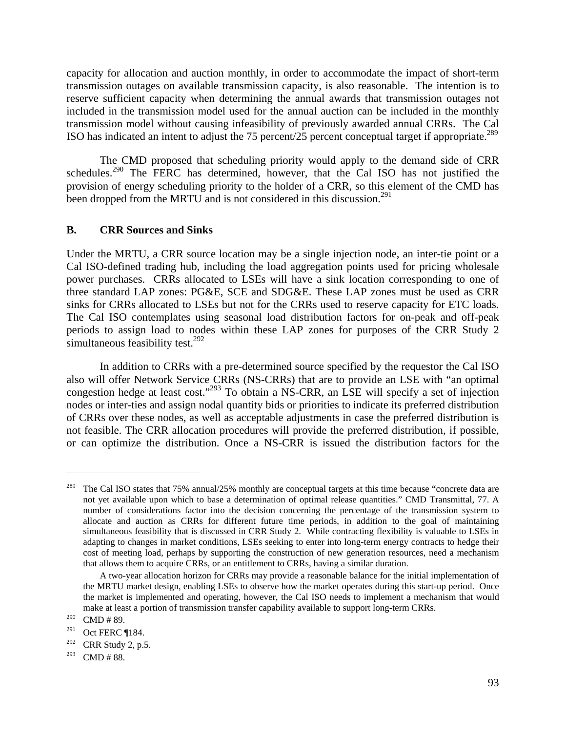capacity for allocation and auction monthly, in order to accommodate the impact of short-term transmission outages on available transmission capacity, is also reasonable. The intention is to reserve sufficient capacity when determining the annual awards that transmission outages not included in the transmission model used for the annual auction can be included in the monthly transmission model without causing infeasibility of previously awarded annual CRRs. The Cal ISO has indicated an intent to adjust the 75 percent/25 percent conceptual target if appropriate.<sup>289</sup>

The CMD proposed that scheduling priority would apply to the demand side of CRR schedules.<sup>290</sup> The FERC has determined, however, that the Cal ISO has not justified the provision of energy scheduling priority to the holder of a CRR, so this element of the CMD has been dropped from the MRTU and is not considered in this discussion.<sup>291</sup>

### **B. CRR Sources and Sinks**

Under the MRTU, a CRR source location may be a single injection node, an inter-tie point or a Cal ISO-defined trading hub, including the load aggregation points used for pricing wholesale power purchases. CRRs allocated to LSEs will have a sink location corresponding to one of three standard LAP zones: PG&E, SCE and SDG&E. These LAP zones must be used as CRR sinks for CRRs allocated to LSEs but not for the CRRs used to reserve capacity for ETC loads. The Cal ISO contemplates using seasonal load distribution factors for on-peak and off-peak periods to assign load to nodes within these LAP zones for purposes of the CRR Study 2 simultaneous feasibility test.<sup>292</sup>

 In addition to CRRs with a pre-determined source specified by the requestor the Cal ISO also will offer Network Service CRRs (NS-CRRs) that are to provide an LSE with "an optimal congestion hedge at least cost."<sup>293</sup> To obtain a NS-CRR, an LSE will specify a set of injection nodes or inter-ties and assign nodal quantity bids or priorities to indicate its preferred distribution of CRRs over these nodes, as well as acceptable adjustments in case the preferred distribution is not feasible. The CRR allocation procedures will provide the preferred distribution, if possible, or can optimize the distribution. Once a NS-CRR is issued the distribution factors for the

<sup>289</sup> The Cal ISO states that 75% annual/25% monthly are conceptual targets at this time because "concrete data are not yet available upon which to base a determination of optimal release quantities." CMD Transmittal, 77. A number of considerations factor into the decision concerning the percentage of the transmission system to allocate and auction as CRRs for different future time periods, in addition to the goal of maintaining simultaneous feasibility that is discussed in CRR Study 2. While contracting flexibility is valuable to LSEs in adapting to changes in market conditions, LSEs seeking to enter into long-term energy contracts to hedge their cost of meeting load, perhaps by supporting the construction of new generation resources, need a mechanism that allows them to acquire CRRs, or an entitlement to CRRs, having a similar duration.

A two-year allocation horizon for CRRs may provide a reasonable balance for the initial implementation of the MRTU market design, enabling LSEs to observe how the market operates during this start-up period. Once the market is implemented and operating, however, the Cal ISO needs to implement a mechanism that would make at least a portion of transmission transfer capability available to support long-term CRRs.

 $290$  CMD # 89.

 $291$  Oct FERC ¶184.

 $292$  CRR Study 2, p.5.

 $293$  CMD # 88.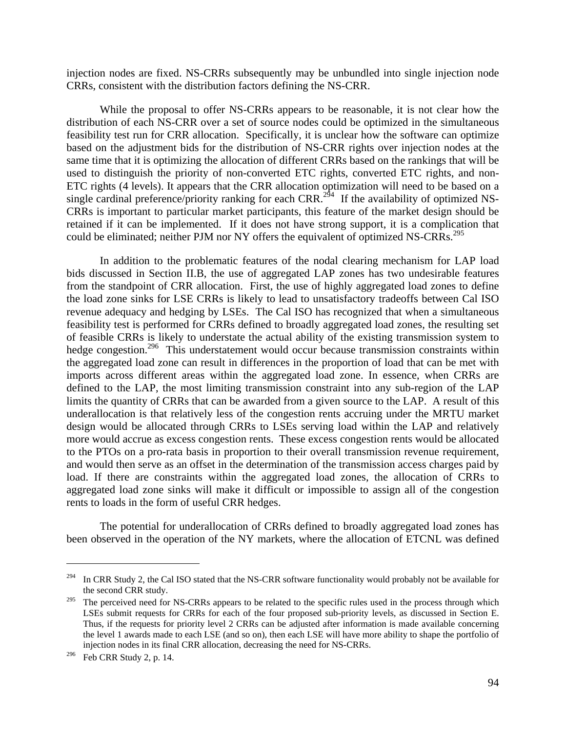injection nodes are fixed. NS-CRRs subsequently may be unbundled into single injection node CRRs, consistent with the distribution factors defining the NS-CRR.

While the proposal to offer NS-CRRs appears to be reasonable, it is not clear how the distribution of each NS-CRR over a set of source nodes could be optimized in the simultaneous feasibility test run for CRR allocation. Specifically, it is unclear how the software can optimize based on the adjustment bids for the distribution of NS-CRR rights over injection nodes at the same time that it is optimizing the allocation of different CRRs based on the rankings that will be used to distinguish the priority of non-converted ETC rights, converted ETC rights, and non-ETC rights (4 levels). It appears that the CRR allocation optimization will need to be based on a single cardinal preference/priority ranking for each CRR.<sup>294</sup> If the availability of optimized NS-CRRs is important to particular market participants, this feature of the market design should be retained if it can be implemented. If it does not have strong support, it is a complication that could be eliminated; neither PJM nor NY offers the equivalent of optimized NS-CRRs.<sup>295</sup>

 In addition to the problematic features of the nodal clearing mechanism for LAP load bids discussed in Section II.B, the use of aggregated LAP zones has two undesirable features from the standpoint of CRR allocation. First, the use of highly aggregated load zones to define the load zone sinks for LSE CRRs is likely to lead to unsatisfactory tradeoffs between Cal ISO revenue adequacy and hedging by LSEs. The Cal ISO has recognized that when a simultaneous feasibility test is performed for CRRs defined to broadly aggregated load zones, the resulting set of feasible CRRs is likely to understate the actual ability of the existing transmission system to hedge congestion.<sup>296</sup> This understatement would occur because transmission constraints within the aggregated load zone can result in differences in the proportion of load that can be met with imports across different areas within the aggregated load zone. In essence, when CRRs are defined to the LAP, the most limiting transmission constraint into any sub-region of the LAP limits the quantity of CRRs that can be awarded from a given source to the LAP. A result of this underallocation is that relatively less of the congestion rents accruing under the MRTU market design would be allocated through CRRs to LSEs serving load within the LAP and relatively more would accrue as excess congestion rents. These excess congestion rents would be allocated to the PTOs on a pro-rata basis in proportion to their overall transmission revenue requirement, and would then serve as an offset in the determination of the transmission access charges paid by load. If there are constraints within the aggregated load zones, the allocation of CRRs to aggregated load zone sinks will make it difficult or impossible to assign all of the congestion rents to loads in the form of useful CRR hedges.

The potential for underallocation of CRRs defined to broadly aggregated load zones has been observed in the operation of the NY markets, where the allocation of ETCNL was defined

<sup>&</sup>lt;sup>294</sup> In CRR Study 2, the Cal ISO stated that the NS-CRR software functionality would probably not be available for the second CRR study.

<sup>&</sup>lt;sup>295</sup> The perceived need for NS-CRRs appears to be related to the specific rules used in the process through which LSEs submit requests for CRRs for each of the four proposed sub-priority levels, as discussed in Section E. Thus, if the requests for priority level 2 CRRs can be adjusted after information is made available concerning the level 1 awards made to each LSE (and so on), then each LSE will have more ability to shape the portfolio of injection nodes in its final CRR allocation, decreasing the need for NS-CRRs.

 $296$  Feb CRR Study 2, p. 14.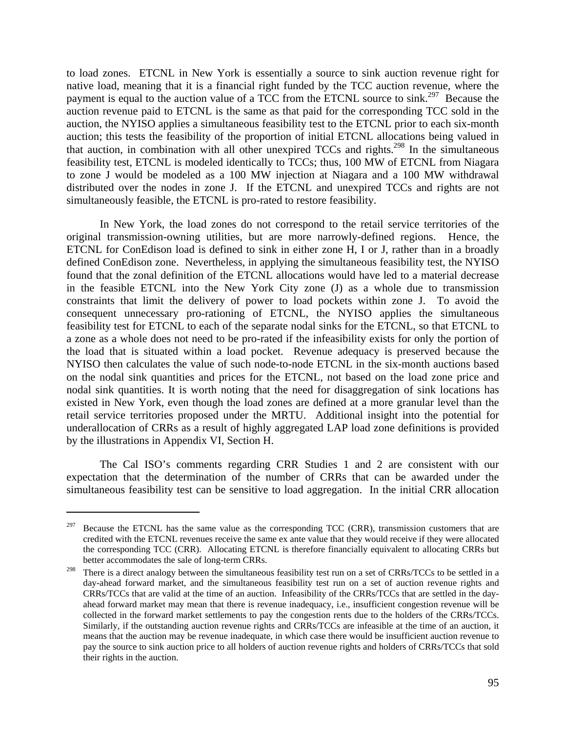to load zones. ETCNL in New York is essentially a source to sink auction revenue right for native load, meaning that it is a financial right funded by the TCC auction revenue, where the payment is equal to the auction value of a TCC from the ETCNL source to sink.<sup>297</sup> Because the auction revenue paid to ETCNL is the same as that paid for the corresponding TCC sold in the auction, the NYISO applies a simultaneous feasibility test to the ETCNL prior to each six-month auction; this tests the feasibility of the proportion of initial ETCNL allocations being valued in that auction, in combination with all other unexpired TCCs and rights.298 In the simultaneous feasibility test, ETCNL is modeled identically to TCCs; thus, 100 MW of ETCNL from Niagara to zone J would be modeled as a 100 MW injection at Niagara and a 100 MW withdrawal distributed over the nodes in zone J. If the ETCNL and unexpired TCCs and rights are not simultaneously feasible, the ETCNL is pro-rated to restore feasibility.

 In New York, the load zones do not correspond to the retail service territories of the original transmission-owning utilities, but are more narrowly-defined regions. Hence, the ETCNL for ConEdison load is defined to sink in either zone H, I or J, rather than in a broadly defined ConEdison zone. Nevertheless, in applying the simultaneous feasibility test, the NYISO found that the zonal definition of the ETCNL allocations would have led to a material decrease in the feasible ETCNL into the New York City zone (J) as a whole due to transmission constraints that limit the delivery of power to load pockets within zone J. To avoid the consequent unnecessary pro-rationing of ETCNL, the NYISO applies the simultaneous feasibility test for ETCNL to each of the separate nodal sinks for the ETCNL, so that ETCNL to a zone as a whole does not need to be pro-rated if the infeasibility exists for only the portion of the load that is situated within a load pocket. Revenue adequacy is preserved because the NYISO then calculates the value of such node-to-node ETCNL in the six-month auctions based on the nodal sink quantities and prices for the ETCNL, not based on the load zone price and nodal sink quantities. It is worth noting that the need for disaggregation of sink locations has existed in New York, even though the load zones are defined at a more granular level than the retail service territories proposed under the MRTU. Additional insight into the potential for underallocation of CRRs as a result of highly aggregated LAP load zone definitions is provided by the illustrations in Appendix VI, Section H.

The Cal ISO's comments regarding CRR Studies 1 and 2 are consistent with our expectation that the determination of the number of CRRs that can be awarded under the simultaneous feasibility test can be sensitive to load aggregation. In the initial CRR allocation

Because the ETCNL has the same value as the corresponding TCC (CRR), transmission customers that are credited with the ETCNL revenues receive the same ex ante value that they would receive if they were allocated the corresponding TCC (CRR). Allocating ETCNL is therefore financially equivalent to allocating CRRs but better accommodates the sale of long-term CRRs.

<sup>&</sup>lt;sup>298</sup> There is a direct analogy between the simultaneous feasibility test run on a set of CRRs/TCCs to be settled in a day-ahead forward market, and the simultaneous feasibility test run on a set of auction revenue rights and CRRs/TCCs that are valid at the time of an auction. Infeasibility of the CRRs/TCCs that are settled in the dayahead forward market may mean that there is revenue inadequacy, i.e., insufficient congestion revenue will be collected in the forward market settlements to pay the congestion rents due to the holders of the CRRs/TCCs. Similarly, if the outstanding auction revenue rights and CRRs/TCCs are infeasible at the time of an auction, it means that the auction may be revenue inadequate, in which case there would be insufficient auction revenue to pay the source to sink auction price to all holders of auction revenue rights and holders of CRRs/TCCs that sold their rights in the auction.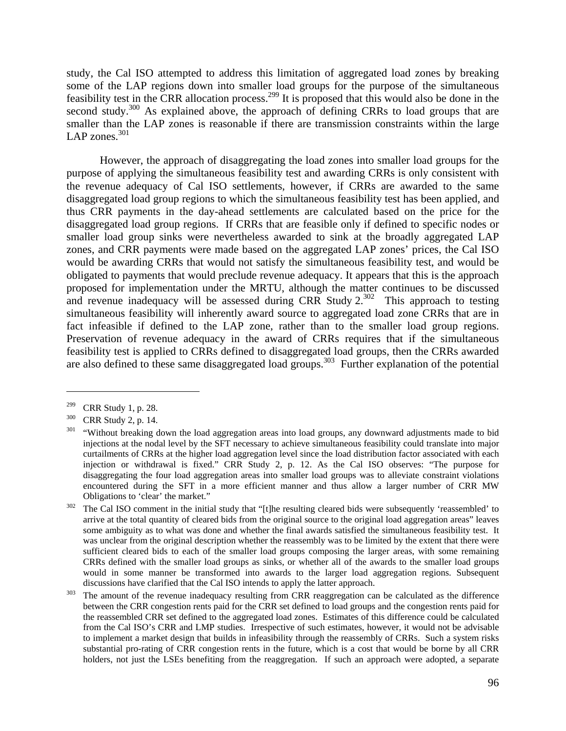study, the Cal ISO attempted to address this limitation of aggregated load zones by breaking some of the LAP regions down into smaller load groups for the purpose of the simultaneous feasibility test in the CRR allocation process.299 It is proposed that this would also be done in the second study.<sup>300</sup> As explained above, the approach of defining CRRs to load groups that are smaller than the LAP zones is reasonable if there are transmission constraints within the large LAP zones. $301$ 

However, the approach of disaggregating the load zones into smaller load groups for the purpose of applying the simultaneous feasibility test and awarding CRRs is only consistent with the revenue adequacy of Cal ISO settlements, however, if CRRs are awarded to the same disaggregated load group regions to which the simultaneous feasibility test has been applied, and thus CRR payments in the day-ahead settlements are calculated based on the price for the disaggregated load group regions. If CRRs that are feasible only if defined to specific nodes or smaller load group sinks were nevertheless awarded to sink at the broadly aggregated LAP zones, and CRR payments were made based on the aggregated LAP zones' prices, the Cal ISO would be awarding CRRs that would not satisfy the simultaneous feasibility test, and would be obligated to payments that would preclude revenue adequacy. It appears that this is the approach proposed for implementation under the MRTU, although the matter continues to be discussed and revenue inadequacy will be assessed during CRR Study  $2^{302}$  This approach to testing simultaneous feasibility will inherently award source to aggregated load zone CRRs that are in fact infeasible if defined to the LAP zone, rather than to the smaller load group regions. Preservation of revenue adequacy in the award of CRRs requires that if the simultaneous feasibility test is applied to CRRs defined to disaggregated load groups, then the CRRs awarded are also defined to these same disaggregated load groups.<sup>303</sup> Further explanation of the potential

<sup>&</sup>lt;sup>299</sup> CRR Study 1, p. 28.<br><sup>300</sup> CRR Study 2, p. 14.<br><sup>301</sup> "Without breaking down the load aggregation areas into load groups, any downward adjustments made to bid injections at the nodal level by the SFT necessary to achieve simultaneous feasibility could translate into major curtailments of CRRs at the higher load aggregation level since the load distribution factor associated with each injection or withdrawal is fixed." CRR Study 2, p. 12. As the Cal ISO observes: "The purpose for disaggregating the four load aggregation areas into smaller load groups was to alleviate constraint violations encountered during the SFT in a more efficient manner and thus allow a larger number of CRR MW Obligations to 'clear' the market."<br><sup>302</sup> The Cal ISO comment in the initial study that "[t]he resulting cleared bids were subsequently 'reassembled' to

arrive at the total quantity of cleared bids from the original source to the original load aggregation areas" leaves some ambiguity as to what was done and whether the final awards satisfied the simultaneous feasibility test. It was unclear from the original description whether the reassembly was to be limited by the extent that there were sufficient cleared bids to each of the smaller load groups composing the larger areas, with some remaining CRRs defined with the smaller load groups as sinks, or whether all of the awards to the smaller load groups would in some manner be transformed into awards to the larger load aggregation regions. Subsequent discussions have clarified that the Cal ISO intends to apply the latter approach.<br><sup>303</sup> The amount of the revenue inadequacy resulting from CRR reaggregation can be calculated as the difference

between the CRR congestion rents paid for the CRR set defined to load groups and the congestion rents paid for the reassembled CRR set defined to the aggregated load zones. Estimates of this difference could be calculated from the Cal ISO's CRR and LMP studies. Irrespective of such estimates, however, it would not be advisable to implement a market design that builds in infeasibility through the reassembly of CRRs. Such a system risks substantial pro-rating of CRR congestion rents in the future, which is a cost that would be borne by all CRR holders, not just the LSEs benefiting from the reaggregation. If such an approach were adopted, a separate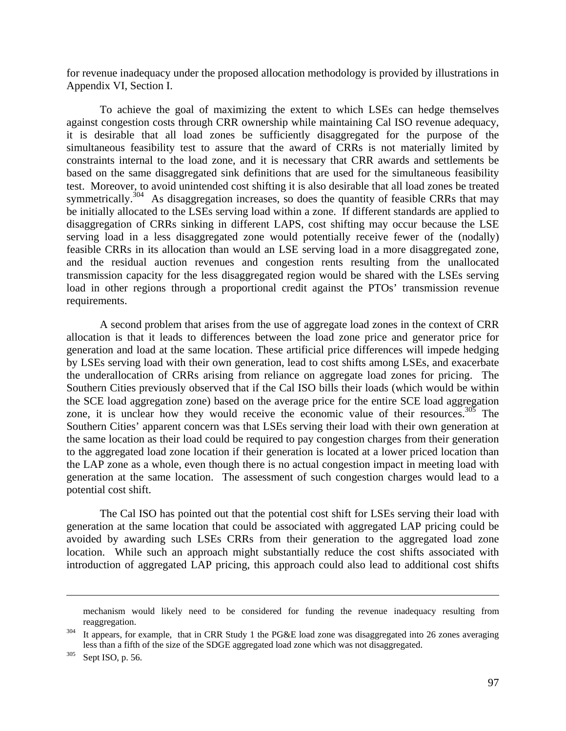for revenue inadequacy under the proposed allocation methodology is provided by illustrations in Appendix VI, Section I.

 To achieve the goal of maximizing the extent to which LSEs can hedge themselves against congestion costs through CRR ownership while maintaining Cal ISO revenue adequacy, it is desirable that all load zones be sufficiently disaggregated for the purpose of the simultaneous feasibility test to assure that the award of CRRs is not materially limited by constraints internal to the load zone, and it is necessary that CRR awards and settlements be based on the same disaggregated sink definitions that are used for the simultaneous feasibility test. Moreover, to avoid unintended cost shifting it is also desirable that all load zones be treated symmetrically.<sup>304</sup> As disaggregation increases, so does the quantity of feasible CRRs that may be initially allocated to the LSEs serving load within a zone. If different standards are applied to disaggregation of CRRs sinking in different LAPS, cost shifting may occur because the LSE serving load in a less disaggregated zone would potentially receive fewer of the (nodally) feasible CRRs in its allocation than would an LSE serving load in a more disaggregated zone, and the residual auction revenues and congestion rents resulting from the unallocated transmission capacity for the less disaggregated region would be shared with the LSEs serving load in other regions through a proportional credit against the PTOs' transmission revenue requirements.

 A second problem that arises from the use of aggregate load zones in the context of CRR allocation is that it leads to differences between the load zone price and generator price for generation and load at the same location. These artificial price differences will impede hedging by LSEs serving load with their own generation, lead to cost shifts among LSEs, and exacerbate the underallocation of CRRs arising from reliance on aggregate load zones for pricing. The Southern Cities previously observed that if the Cal ISO bills their loads (which would be within the SCE load aggregation zone) based on the average price for the entire SCE load aggregation zone, it is unclear how they would receive the economic value of their resources. $305$  The Southern Cities' apparent concern was that LSEs serving their load with their own generation at the same location as their load could be required to pay congestion charges from their generation to the aggregated load zone location if their generation is located at a lower priced location than the LAP zone as a whole, even though there is no actual congestion impact in meeting load with generation at the same location. The assessment of such congestion charges would lead to a potential cost shift.

 The Cal ISO has pointed out that the potential cost shift for LSEs serving their load with generation at the same location that could be associated with aggregated LAP pricing could be avoided by awarding such LSEs CRRs from their generation to the aggregated load zone location. While such an approach might substantially reduce the cost shifts associated with introduction of aggregated LAP pricing, this approach could also lead to additional cost shifts

mechanism would likely need to be considered for funding the revenue inadequacy resulting from reaggregation.<br><sup>304</sup> It appears, for example, that in CRR Study 1 the PG&E load zone was disaggregated into 26 zones averaging

less than a fifth of the size of the SDGE aggregated load zone which was not disaggregated.<br><sup>305</sup> Sept ISO, p. 56.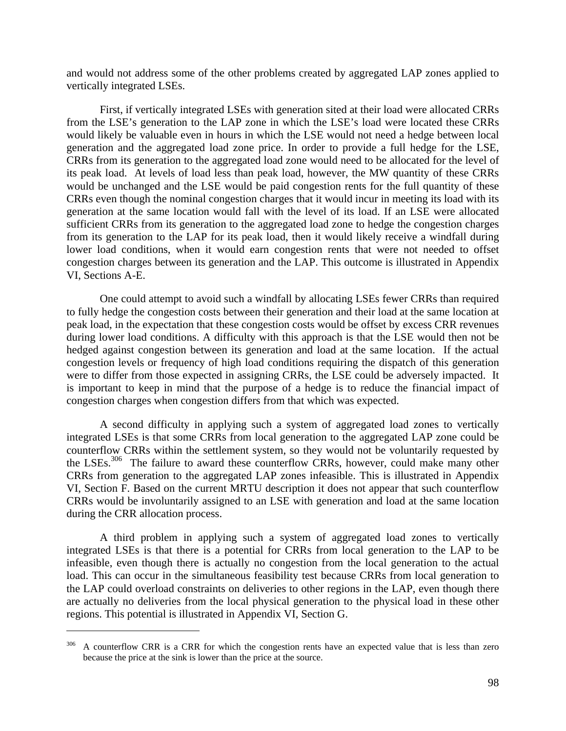and would not address some of the other problems created by aggregated LAP zones applied to vertically integrated LSEs.

First, if vertically integrated LSEs with generation sited at their load were allocated CRRs from the LSE's generation to the LAP zone in which the LSE's load were located these CRRs would likely be valuable even in hours in which the LSE would not need a hedge between local generation and the aggregated load zone price. In order to provide a full hedge for the LSE, CRRs from its generation to the aggregated load zone would need to be allocated for the level of its peak load. At levels of load less than peak load, however, the MW quantity of these CRRs would be unchanged and the LSE would be paid congestion rents for the full quantity of these CRRs even though the nominal congestion charges that it would incur in meeting its load with its generation at the same location would fall with the level of its load. If an LSE were allocated sufficient CRRs from its generation to the aggregated load zone to hedge the congestion charges from its generation to the LAP for its peak load, then it would likely receive a windfall during lower load conditions, when it would earn congestion rents that were not needed to offset congestion charges between its generation and the LAP. This outcome is illustrated in Appendix VI, Sections A-E.

One could attempt to avoid such a windfall by allocating LSEs fewer CRRs than required to fully hedge the congestion costs between their generation and their load at the same location at peak load, in the expectation that these congestion costs would be offset by excess CRR revenues during lower load conditions. A difficulty with this approach is that the LSE would then not be hedged against congestion between its generation and load at the same location. If the actual congestion levels or frequency of high load conditions requiring the dispatch of this generation were to differ from those expected in assigning CRRs, the LSE could be adversely impacted. It is important to keep in mind that the purpose of a hedge is to reduce the financial impact of congestion charges when congestion differs from that which was expected.

 A second difficulty in applying such a system of aggregated load zones to vertically integrated LSEs is that some CRRs from local generation to the aggregated LAP zone could be counterflow CRRs within the settlement system, so they would not be voluntarily requested by the LSEs.<sup>306</sup> The failure to award these counterflow CRRs, however, could make many other CRRs from generation to the aggregated LAP zones infeasible. This is illustrated in Appendix VI, Section F. Based on the current MRTU description it does not appear that such counterflow CRRs would be involuntarily assigned to an LSE with generation and load at the same location during the CRR allocation process.

A third problem in applying such a system of aggregated load zones to vertically integrated LSEs is that there is a potential for CRRs from local generation to the LAP to be infeasible, even though there is actually no congestion from the local generation to the actual load. This can occur in the simultaneous feasibility test because CRRs from local generation to the LAP could overload constraints on deliveries to other regions in the LAP, even though there are actually no deliveries from the local physical generation to the physical load in these other regions. This potential is illustrated in Appendix VI, Section G.

<sup>&</sup>lt;sup>306</sup> A counterflow CRR is a CRR for which the congestion rents have an expected value that is less than zero because the price at the sink is lower than the price at the source.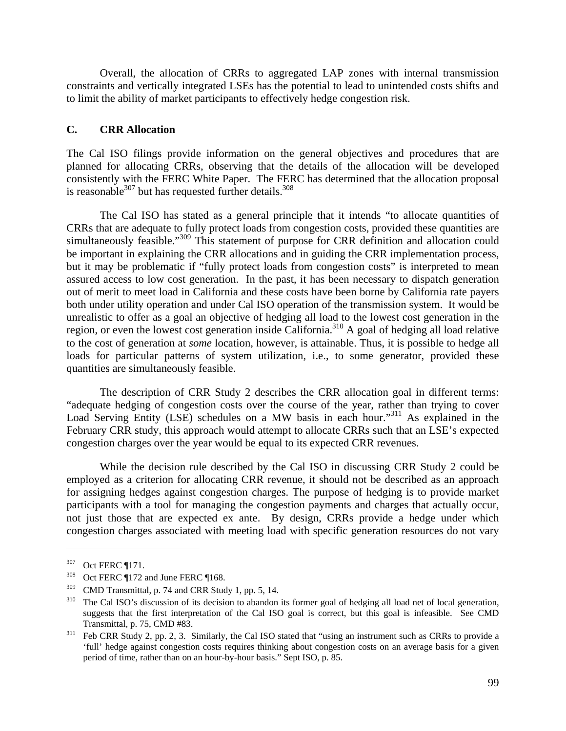Overall, the allocation of CRRs to aggregated LAP zones with internal transmission constraints and vertically integrated LSEs has the potential to lead to unintended costs shifts and to limit the ability of market participants to effectively hedge congestion risk.

## **C. CRR Allocation**

The Cal ISO filings provide information on the general objectives and procedures that are planned for allocating CRRs, observing that the details of the allocation will be developed consistently with the FERC White Paper. The FERC has determined that the allocation proposal is reasonable $^{307}$  but has requested further details.<sup>308</sup>

 The Cal ISO has stated as a general principle that it intends "to allocate quantities of CRRs that are adequate to fully protect loads from congestion costs, provided these quantities are simultaneously feasible."<sup>309</sup> This statement of purpose for CRR definition and allocation could be important in explaining the CRR allocations and in guiding the CRR implementation process, but it may be problematic if "fully protect loads from congestion costs" is interpreted to mean assured access to low cost generation. In the past, it has been necessary to dispatch generation out of merit to meet load in California and these costs have been borne by California rate payers both under utility operation and under Cal ISO operation of the transmission system. It would be unrealistic to offer as a goal an objective of hedging all load to the lowest cost generation in the region, or even the lowest cost generation inside California.310 A goal of hedging all load relative to the cost of generation at *some* location, however, is attainable. Thus, it is possible to hedge all loads for particular patterns of system utilization, i.e., to some generator, provided these quantities are simultaneously feasible.

 The description of CRR Study 2 describes the CRR allocation goal in different terms: "adequate hedging of congestion costs over the course of the year, rather than trying to cover Load Serving Entity (LSE) schedules on a MW basis in each hour."<sup>311</sup> As explained in the February CRR study, this approach would attempt to allocate CRRs such that an LSE's expected congestion charges over the year would be equal to its expected CRR revenues.

 While the decision rule described by the Cal ISO in discussing CRR Study 2 could be employed as a criterion for allocating CRR revenue, it should not be described as an approach for assigning hedges against congestion charges. The purpose of hedging is to provide market participants with a tool for managing the congestion payments and charges that actually occur, not just those that are expected ex ante. By design, CRRs provide a hedge under which congestion charges associated with meeting load with specific generation resources do not vary

<u>.</u>

 $307$  Oct FERC ¶171.<br>
308 Oct FERC ¶172 and June FERC ¶168.

 $309$  CMD Transmittal, p. 74 and CRR Study 1, pp. 5, 14.<br> $310$  The Cal ISO's discussion of its decision to abandon its former goal of hedging all load net of local generation, suggests that the first interpretation of the Cal ISO goal is correct, but this goal is infeasible. See CMD Transmittal, p. 75, CMD #83.<br><sup>311</sup> Feb CRR Study 2, pp. 2, 3. Similarly, the Cal ISO stated that "using an instrument such as CRRs to provide a

<sup>&#</sup>x27;full' hedge against congestion costs requires thinking about congestion costs on an average basis for a given period of time, rather than on an hour-by-hour basis." Sept ISO, p. 85.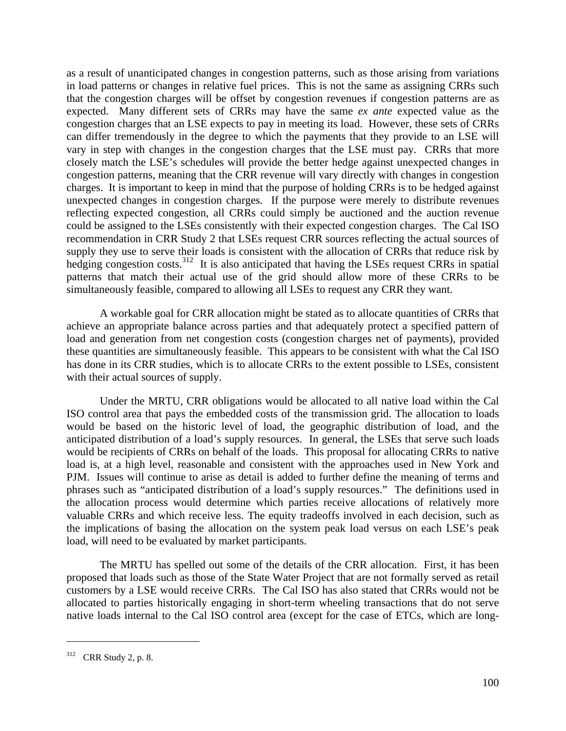as a result of unanticipated changes in congestion patterns, such as those arising from variations in load patterns or changes in relative fuel prices. This is not the same as assigning CRRs such that the congestion charges will be offset by congestion revenues if congestion patterns are as expected. Many different sets of CRRs may have the same *ex ante* expected value as the congestion charges that an LSE expects to pay in meeting its load. However, these sets of CRRs can differ tremendously in the degree to which the payments that they provide to an LSE will vary in step with changes in the congestion charges that the LSE must pay. CRRs that more closely match the LSE's schedules will provide the better hedge against unexpected changes in congestion patterns, meaning that the CRR revenue will vary directly with changes in congestion charges. It is important to keep in mind that the purpose of holding CRRs is to be hedged against unexpected changes in congestion charges. If the purpose were merely to distribute revenues reflecting expected congestion, all CRRs could simply be auctioned and the auction revenue could be assigned to the LSEs consistently with their expected congestion charges. The Cal ISO recommendation in CRR Study 2 that LSEs request CRR sources reflecting the actual sources of supply they use to serve their loads is consistent with the allocation of CRRs that reduce risk by hedging congestion costs.<sup>312</sup> It is also anticipated that having the LSEs request CRRs in spatial patterns that match their actual use of the grid should allow more of these CRRs to be simultaneously feasible, compared to allowing all LSEs to request any CRR they want.

 A workable goal for CRR allocation might be stated as to allocate quantities of CRRs that achieve an appropriate balance across parties and that adequately protect a specified pattern of load and generation from net congestion costs (congestion charges net of payments), provided these quantities are simultaneously feasible. This appears to be consistent with what the Cal ISO has done in its CRR studies, which is to allocate CRRs to the extent possible to LSEs, consistent with their actual sources of supply.

 Under the MRTU, CRR obligations would be allocated to all native load within the Cal ISO control area that pays the embedded costs of the transmission grid. The allocation to loads would be based on the historic level of load, the geographic distribution of load, and the anticipated distribution of a load's supply resources. In general, the LSEs that serve such loads would be recipients of CRRs on behalf of the loads. This proposal for allocating CRRs to native load is, at a high level, reasonable and consistent with the approaches used in New York and PJM. Issues will continue to arise as detail is added to further define the meaning of terms and phrases such as "anticipated distribution of a load's supply resources." The definitions used in the allocation process would determine which parties receive allocations of relatively more valuable CRRs and which receive less. The equity tradeoffs involved in each decision, such as the implications of basing the allocation on the system peak load versus on each LSE's peak load, will need to be evaluated by market participants.

 The MRTU has spelled out some of the details of the CRR allocation. First, it has been proposed that loads such as those of the State Water Project that are not formally served as retail customers by a LSE would receive CRRs. The Cal ISO has also stated that CRRs would not be allocated to parties historically engaging in short-term wheeling transactions that do not serve native loads internal to the Cal ISO control area (except for the case of ETCs, which are long-

<sup>312</sup> CRR Study 2, p. 8.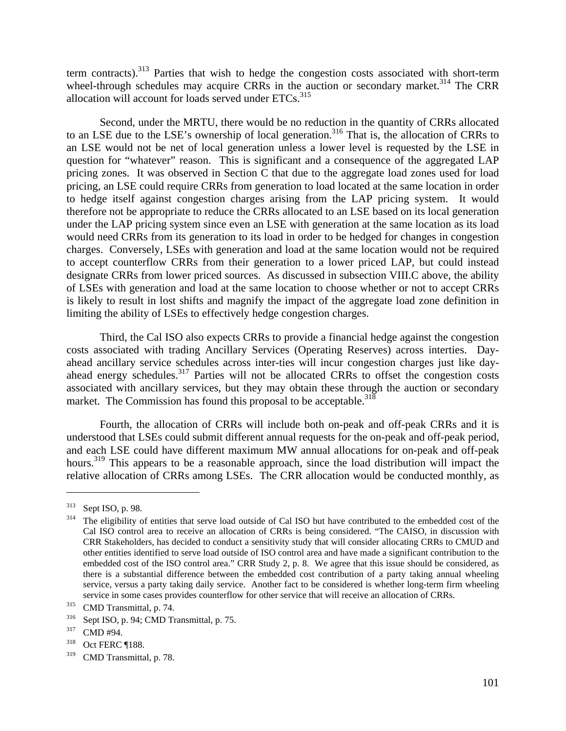term contracts).<sup>313</sup> Parties that wish to hedge the congestion costs associated with short-term wheel-through schedules may acquire CRRs in the auction or secondary market.<sup>314</sup> The CRR allocation will account for loads served under ETCs.<sup>315</sup>

 Second, under the MRTU, there would be no reduction in the quantity of CRRs allocated to an LSE due to the LSE's ownership of local generation.<sup>316</sup> That is, the allocation of CRRs to an LSE would not be net of local generation unless a lower level is requested by the LSE in question for "whatever" reason. This is significant and a consequence of the aggregated LAP pricing zones. It was observed in Section C that due to the aggregate load zones used for load pricing, an LSE could require CRRs from generation to load located at the same location in order to hedge itself against congestion charges arising from the LAP pricing system. It would therefore not be appropriate to reduce the CRRs allocated to an LSE based on its local generation under the LAP pricing system since even an LSE with generation at the same location as its load would need CRRs from its generation to its load in order to be hedged for changes in congestion charges. Conversely, LSEs with generation and load at the same location would not be required to accept counterflow CRRs from their generation to a lower priced LAP, but could instead designate CRRs from lower priced sources. As discussed in subsection VIII.C above, the ability of LSEs with generation and load at the same location to choose whether or not to accept CRRs is likely to result in lost shifts and magnify the impact of the aggregate load zone definition in limiting the ability of LSEs to effectively hedge congestion charges.

 Third, the Cal ISO also expects CRRs to provide a financial hedge against the congestion costs associated with trading Ancillary Services (Operating Reserves) across interties. Dayahead ancillary service schedules across inter-ties will incur congestion charges just like dayahead energy schedules.<sup>317</sup> Parties will not be allocated CRRs to offset the congestion costs associated with ancillary services, but they may obtain these through the auction or secondary market. The Commission has found this proposal to be acceptable.<sup>318</sup>

Fourth, the allocation of CRRs will include both on-peak and off-peak CRRs and it is understood that LSEs could submit different annual requests for the on-peak and off-peak period, and each LSE could have different maximum MW annual allocations for on-peak and off-peak hours.<sup>319</sup> This appears to be a reasonable approach, since the load distribution will impact the relative allocation of CRRs among LSEs. The CRR allocation would be conducted monthly, as

 $313$  Sept ISO, p. 98.<br><sup>314</sup> The eligibility of entities that serve load outside of Cal ISO but have contributed to the embedded cost of the Cal ISO control area to receive an allocation of CRRs is being considered. "The CAISO, in discussion with CRR Stakeholders, has decided to conduct a sensitivity study that will consider allocating CRRs to CMUD and other entities identified to serve load outside of ISO control area and have made a significant contribution to the embedded cost of the ISO control area." CRR Study 2, p. 8. We agree that this issue should be considered, as there is a substantial difference between the embedded cost contribution of a party taking annual wheeling service, versus a party taking daily service. Another fact to be considered is whether long-term firm wheeling service in some cases provides counterflow for other service that will receive an allocation of CRRs.<br>
315 CMD Transmittal, p. 74.<br>
316 Sept ISO, p. 94; CMD Transmittal, p. 75.<br>
317 CMD #94.<br>
318 Oct FERC ¶188.

<sup>319</sup> CMD Transmittal, p. 78.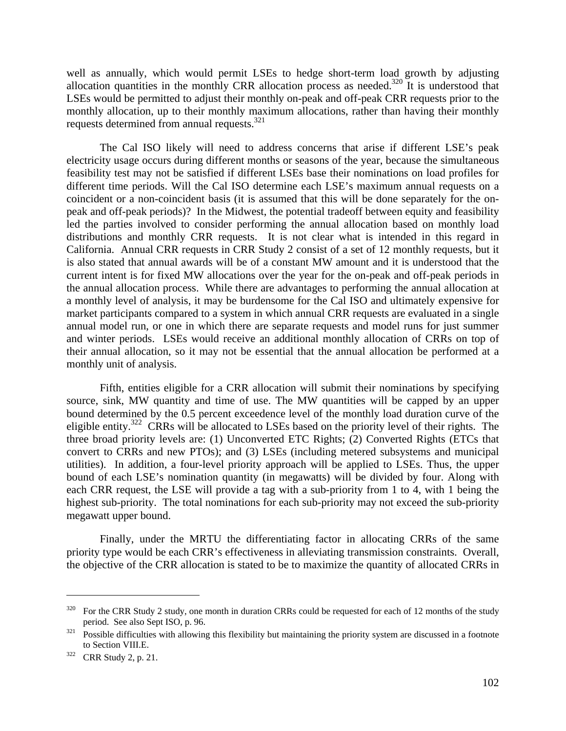well as annually, which would permit LSEs to hedge short-term load growth by adjusting allocation quantities in the monthly CRR allocation process as needed.<sup>320</sup> It is understood that LSEs would be permitted to adjust their monthly on-peak and off-peak CRR requests prior to the monthly allocation, up to their monthly maximum allocations, rather than having their monthly requests determined from annual requests.321

The Cal ISO likely will need to address concerns that arise if different LSE's peak electricity usage occurs during different months or seasons of the year, because the simultaneous feasibility test may not be satisfied if different LSEs base their nominations on load profiles for different time periods. Will the Cal ISO determine each LSE's maximum annual requests on a coincident or a non-coincident basis (it is assumed that this will be done separately for the onpeak and off-peak periods)? In the Midwest, the potential tradeoff between equity and feasibility led the parties involved to consider performing the annual allocation based on monthly load distributions and monthly CRR requests. It is not clear what is intended in this regard in California. Annual CRR requests in CRR Study 2 consist of a set of 12 monthly requests, but it is also stated that annual awards will be of a constant MW amount and it is understood that the current intent is for fixed MW allocations over the year for the on-peak and off-peak periods in the annual allocation process. While there are advantages to performing the annual allocation at a monthly level of analysis, it may be burdensome for the Cal ISO and ultimately expensive for market participants compared to a system in which annual CRR requests are evaluated in a single annual model run, or one in which there are separate requests and model runs for just summer and winter periods. LSEs would receive an additional monthly allocation of CRRs on top of their annual allocation, so it may not be essential that the annual allocation be performed at a monthly unit of analysis.

Fifth, entities eligible for a CRR allocation will submit their nominations by specifying source, sink, MW quantity and time of use. The MW quantities will be capped by an upper bound determined by the 0.5 percent exceedence level of the monthly load duration curve of the eligible entity.<sup>322</sup> CRRs will be allocated to LSEs based on the priority level of their rights. The three broad priority levels are: (1) Unconverted ETC Rights; (2) Converted Rights (ETCs that convert to CRRs and new PTOs); and (3) LSEs (including metered subsystems and municipal utilities). In addition, a four-level priority approach will be applied to LSEs. Thus, the upper bound of each LSE's nomination quantity (in megawatts) will be divided by four. Along with each CRR request, the LSE will provide a tag with a sub-priority from 1 to 4, with 1 being the highest sub-priority. The total nominations for each sub-priority may not exceed the sub-priority megawatt upper bound.

Finally, under the MRTU the differentiating factor in allocating CRRs of the same priority type would be each CRR's effectiveness in alleviating transmission constraints. Overall, the objective of the CRR allocation is stated to be to maximize the quantity of allocated CRRs in

<sup>320</sup> For the CRR Study 2 study, one month in duration CRRs could be requested for each of 12 months of the study period. See also Sept ISO, p. 96.<br><sup>321</sup> Possible difficulties with allowing this flexibility but maintaining the priority system are discussed in a footnote

to Section VIII.E.<br> $322$  CRR Study 2, p. 21.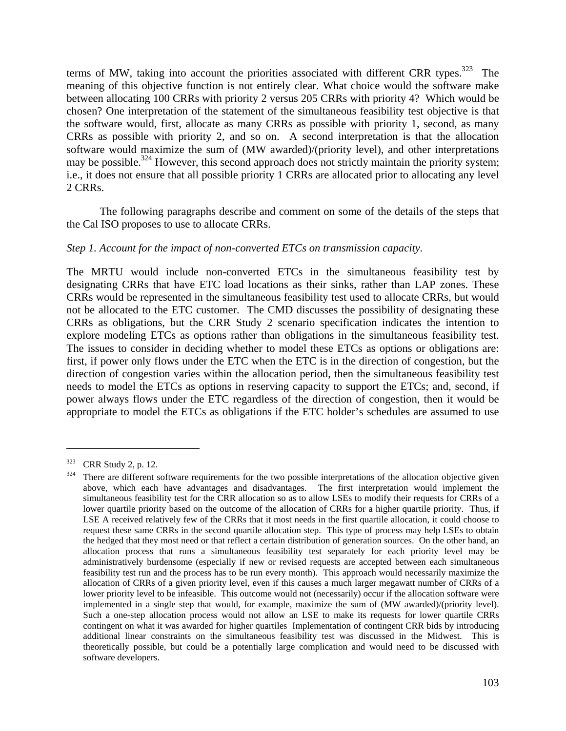terms of MW, taking into account the priorities associated with different CRR types.<sup>323</sup> The meaning of this objective function is not entirely clear. What choice would the software make between allocating 100 CRRs with priority 2 versus 205 CRRs with priority 4? Which would be chosen? One interpretation of the statement of the simultaneous feasibility test objective is that the software would, first, allocate as many CRRs as possible with priority 1, second, as many CRRs as possible with priority 2, and so on. A second interpretation is that the allocation software would maximize the sum of (MW awarded)/(priority level), and other interpretations may be possible.<sup>324</sup> However, this second approach does not strictly maintain the priority system; i.e., it does not ensure that all possible priority 1 CRRs are allocated prior to allocating any level 2 CRRs.

 The following paragraphs describe and comment on some of the details of the steps that the Cal ISO proposes to use to allocate CRRs.

## *Step 1. Account for the impact of non-converted ETCs on transmission capacity.*

The MRTU would include non-converted ETCs in the simultaneous feasibility test by designating CRRs that have ETC load locations as their sinks, rather than LAP zones. These CRRs would be represented in the simultaneous feasibility test used to allocate CRRs, but would not be allocated to the ETC customer. The CMD discusses the possibility of designating these CRRs as obligations, but the CRR Study 2 scenario specification indicates the intention to explore modeling ETCs as options rather than obligations in the simultaneous feasibility test. The issues to consider in deciding whether to model these ETCs as options or obligations are: first, if power only flows under the ETC when the ETC is in the direction of congestion, but the direction of congestion varies within the allocation period, then the simultaneous feasibility test needs to model the ETCs as options in reserving capacity to support the ETCs; and, second, if power always flows under the ETC regardless of the direction of congestion, then it would be appropriate to model the ETCs as obligations if the ETC holder's schedules are assumed to use

 $323$  CRR Study 2, p. 12.<br> $324$  There are different software requirements for the two possible interpretations of the allocation objective given above, which each have advantages and disadvantages. The first interpretation would implement the simultaneous feasibility test for the CRR allocation so as to allow LSEs to modify their requests for CRRs of a lower quartile priority based on the outcome of the allocation of CRRs for a higher quartile priority. Thus, if LSE A received relatively few of the CRRs that it most needs in the first quartile allocation, it could choose to request these same CRRs in the second quartile allocation step. This type of process may help LSEs to obtain the hedged that they most need or that reflect a certain distribution of generation sources. On the other hand, an allocation process that runs a simultaneous feasibility test separately for each priority level may be administratively burdensome (especially if new or revised requests are accepted between each simultaneous feasibility test run and the process has to be run every month). This approach would necessarily maximize the allocation of CRRs of a given priority level, even if this causes a much larger megawatt number of CRRs of a lower priority level to be infeasible. This outcome would not (necessarily) occur if the allocation software were implemented in a single step that would, for example, maximize the sum of (MW awarded)/(priority level). Such a one-step allocation process would not allow an LSE to make its requests for lower quartile CRRs contingent on what it was awarded for higher quartiles Implementation of contingent CRR bids by introducing additional linear constraints on the simultaneous feasibility test was discussed in the Midwest. This is theoretically possible, but could be a potentially large complication and would need to be discussed with software developers.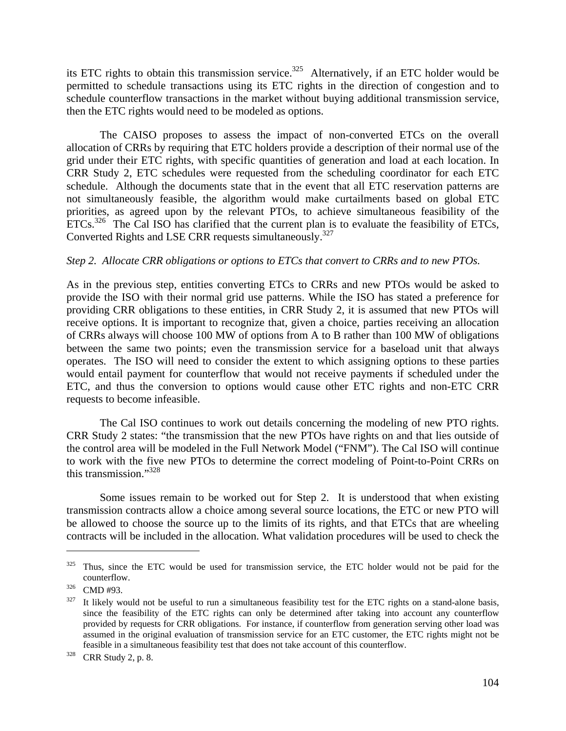its ETC rights to obtain this transmission service.<sup>325</sup> Alternatively, if an ETC holder would be permitted to schedule transactions using its ETC rights in the direction of congestion and to schedule counterflow transactions in the market without buying additional transmission service, then the ETC rights would need to be modeled as options.

 The CAISO proposes to assess the impact of non-converted ETCs on the overall allocation of CRRs by requiring that ETC holders provide a description of their normal use of the grid under their ETC rights, with specific quantities of generation and load at each location. In CRR Study 2, ETC schedules were requested from the scheduling coordinator for each ETC schedule. Although the documents state that in the event that all ETC reservation patterns are not simultaneously feasible, the algorithm would make curtailments based on global ETC priorities, as agreed upon by the relevant PTOs, to achieve simultaneous feasibility of the ETCs.<sup>326</sup> The Cal ISO has clarified that the current plan is to evaluate the feasibility of ETCs, Converted Rights and LSE CRR requests simultaneously.<sup>327</sup>

### *Step 2. Allocate CRR obligations or options to ETCs that convert to CRRs and to new PTOs.*

As in the previous step, entities converting ETCs to CRRs and new PTOs would be asked to provide the ISO with their normal grid use patterns. While the ISO has stated a preference for providing CRR obligations to these entities, in CRR Study 2, it is assumed that new PTOs will receive options. It is important to recognize that, given a choice, parties receiving an allocation of CRRs always will choose 100 MW of options from A to B rather than 100 MW of obligations between the same two points; even the transmission service for a baseload unit that always operates. The ISO will need to consider the extent to which assigning options to these parties would entail payment for counterflow that would not receive payments if scheduled under the ETC, and thus the conversion to options would cause other ETC rights and non-ETC CRR requests to become infeasible.

 The Cal ISO continues to work out details concerning the modeling of new PTO rights. CRR Study 2 states: "the transmission that the new PTOs have rights on and that lies outside of the control area will be modeled in the Full Network Model ("FNM"). The Cal ISO will continue to work with the five new PTOs to determine the correct modeling of Point-to-Point CRRs on this transmission."328

 Some issues remain to be worked out for Step 2. It is understood that when existing transmission contracts allow a choice among several source locations, the ETC or new PTO will be allowed to choose the source up to the limits of its rights, and that ETCs that are wheeling contracts will be included in the allocation. What validation procedures will be used to check the

<sup>&</sup>lt;sup>325</sup> Thus, since the ETC would be used for transmission service, the ETC holder would not be paid for the counterflow.<br><sup>326</sup> CMD #93.<br><sup>327</sup> It likely would not be useful to run a simultaneous feasibility test for the ETC rights on a stand-alone basis,

since the feasibility of the ETC rights can only be determined after taking into account any counterflow provided by requests for CRR obligations. For instance, if counterflow from generation serving other load was assumed in the original evaluation of transmission service for an ETC customer, the ETC rights might not be feasible in a simultaneous feasibility test that does not take account of this counterflow. 328 CRR Study 2, p. 8.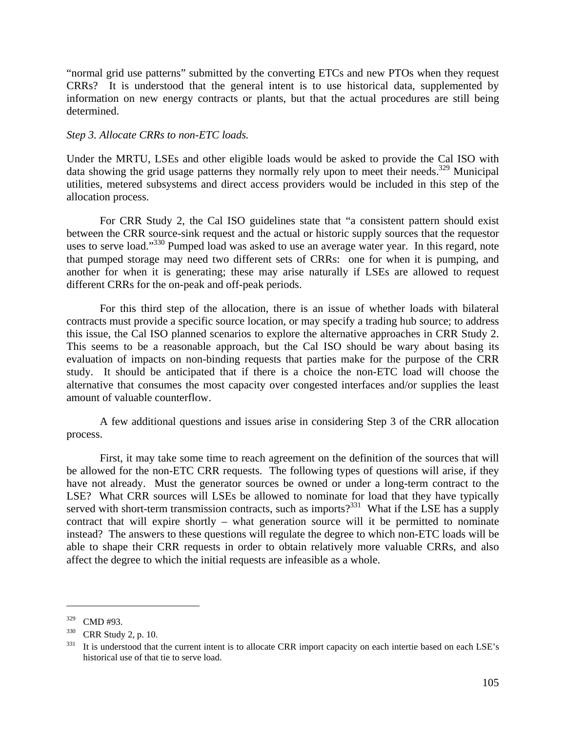"normal grid use patterns" submitted by the converting ETCs and new PTOs when they request CRRs? It is understood that the general intent is to use historical data, supplemented by information on new energy contracts or plants, but that the actual procedures are still being determined.

#### *Step 3. Allocate CRRs to non-ETC loads.*

Under the MRTU, LSEs and other eligible loads would be asked to provide the Cal ISO with data showing the grid usage patterns they normally rely upon to meet their needs.<sup>329</sup> Municipal utilities, metered subsystems and direct access providers would be included in this step of the allocation process.

 For CRR Study 2, the Cal ISO guidelines state that "a consistent pattern should exist between the CRR source-sink request and the actual or historic supply sources that the requestor uses to serve load."<sup>330</sup> Pumped load was asked to use an average water year. In this regard, note that pumped storage may need two different sets of CRRs: one for when it is pumping, and another for when it is generating; these may arise naturally if LSEs are allowed to request different CRRs for the on-peak and off-peak periods.

 For this third step of the allocation, there is an issue of whether loads with bilateral contracts must provide a specific source location, or may specify a trading hub source; to address this issue, the Cal ISO planned scenarios to explore the alternative approaches in CRR Study 2. This seems to be a reasonable approach, but the Cal ISO should be wary about basing its evaluation of impacts on non-binding requests that parties make for the purpose of the CRR study. It should be anticipated that if there is a choice the non-ETC load will choose the alternative that consumes the most capacity over congested interfaces and/or supplies the least amount of valuable counterflow.

 A few additional questions and issues arise in considering Step 3 of the CRR allocation process.

 First, it may take some time to reach agreement on the definition of the sources that will be allowed for the non-ETC CRR requests. The following types of questions will arise, if they have not already. Must the generator sources be owned or under a long-term contract to the LSE? What CRR sources will LSEs be allowed to nominate for load that they have typically served with short-term transmission contracts, such as imports?<sup>331</sup> What if the LSE has a supply contract that will expire shortly – what generation source will it be permitted to nominate instead? The answers to these questions will regulate the degree to which non-ETC loads will be able to shape their CRR requests in order to obtain relatively more valuable CRRs, and also affect the degree to which the initial requests are infeasible as a whole.

 $\frac{329}{330}$  CMD #93.<br>  $\frac{330}{11}$  CRR Study 2, p. 10.<br>
It is understood that the current intent is to allocate CRR import capacity on each intertie based on each LSE's historical use of that tie to serve load.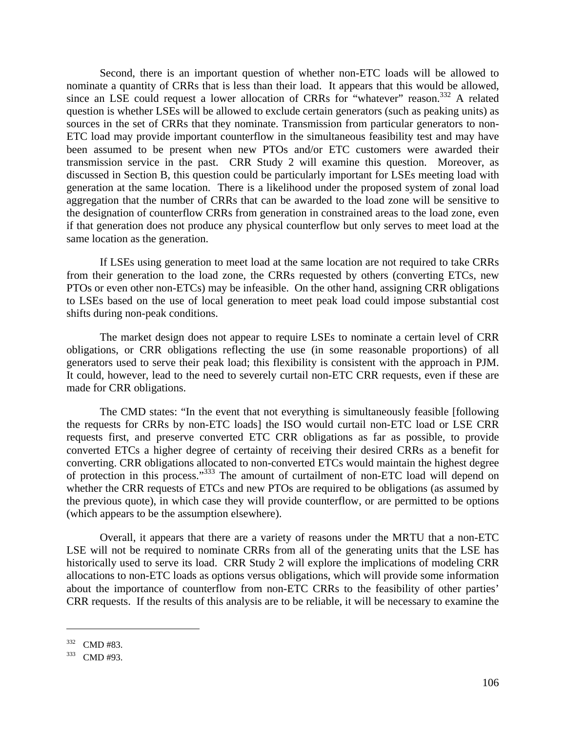Second, there is an important question of whether non-ETC loads will be allowed to nominate a quantity of CRRs that is less than their load. It appears that this would be allowed, since an LSE could request a lower allocation of CRRs for "whatever" reason.<sup>332</sup> A related question is whether LSEs will be allowed to exclude certain generators (such as peaking units) as sources in the set of CRRs that they nominate. Transmission from particular generators to non-ETC load may provide important counterflow in the simultaneous feasibility test and may have been assumed to be present when new PTOs and/or ETC customers were awarded their transmission service in the past. CRR Study 2 will examine this question. Moreover, as discussed in Section B, this question could be particularly important for LSEs meeting load with generation at the same location. There is a likelihood under the proposed system of zonal load aggregation that the number of CRRs that can be awarded to the load zone will be sensitive to the designation of counterflow CRRs from generation in constrained areas to the load zone, even if that generation does not produce any physical counterflow but only serves to meet load at the same location as the generation.

 If LSEs using generation to meet load at the same location are not required to take CRRs from their generation to the load zone, the CRRs requested by others (converting ETCs, new PTOs or even other non-ETCs) may be infeasible. On the other hand, assigning CRR obligations to LSEs based on the use of local generation to meet peak load could impose substantial cost shifts during non-peak conditions.

 The market design does not appear to require LSEs to nominate a certain level of CRR obligations, or CRR obligations reflecting the use (in some reasonable proportions) of all generators used to serve their peak load; this flexibility is consistent with the approach in PJM. It could, however, lead to the need to severely curtail non-ETC CRR requests, even if these are made for CRR obligations.

 The CMD states: "In the event that not everything is simultaneously feasible [following the requests for CRRs by non-ETC loads] the ISO would curtail non-ETC load or LSE CRR requests first, and preserve converted ETC CRR obligations as far as possible, to provide converted ETCs a higher degree of certainty of receiving their desired CRRs as a benefit for converting. CRR obligations allocated to non-converted ETCs would maintain the highest degree of protection in this process."333 The amount of curtailment of non-ETC load will depend on whether the CRR requests of ETCs and new PTOs are required to be obligations (as assumed by the previous quote), in which case they will provide counterflow, or are permitted to be options (which appears to be the assumption elsewhere).

 Overall, it appears that there are a variety of reasons under the MRTU that a non-ETC LSE will not be required to nominate CRRs from all of the generating units that the LSE has historically used to serve its load. CRR Study 2 will explore the implications of modeling CRR allocations to non-ETC loads as options versus obligations, which will provide some information about the importance of counterflow from non-ETC CRRs to the feasibility of other parties' CRR requests. If the results of this analysis are to be reliable, it will be necessary to examine the

 $\frac{332}{333}$  CMD #83.<br>CMD #93.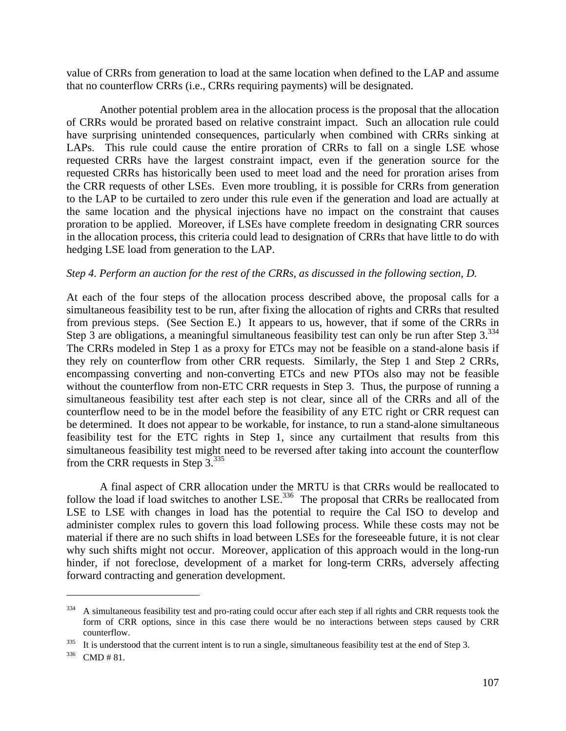value of CRRs from generation to load at the same location when defined to the LAP and assume that no counterflow CRRs (i.e., CRRs requiring payments) will be designated.

 Another potential problem area in the allocation process is the proposal that the allocation of CRRs would be prorated based on relative constraint impact. Such an allocation rule could have surprising unintended consequences, particularly when combined with CRRs sinking at LAPs. This rule could cause the entire proration of CRRs to fall on a single LSE whose requested CRRs have the largest constraint impact, even if the generation source for the requested CRRs has historically been used to meet load and the need for proration arises from the CRR requests of other LSEs. Even more troubling, it is possible for CRRs from generation to the LAP to be curtailed to zero under this rule even if the generation and load are actually at the same location and the physical injections have no impact on the constraint that causes proration to be applied. Moreover, if LSEs have complete freedom in designating CRR sources in the allocation process, this criteria could lead to designation of CRRs that have little to do with hedging LSE load from generation to the LAP.

#### *Step 4. Perform an auction for the rest of the CRRs, as discussed in the following section, D.*

At each of the four steps of the allocation process described above, the proposal calls for a simultaneous feasibility test to be run, after fixing the allocation of rights and CRRs that resulted from previous steps. (See Section E.) It appears to us, however, that if some of the CRRs in Step 3 are obligations, a meaningful simultaneous feasibility test can only be run after Step  $3^{334}$ . The CRRs modeled in Step 1 as a proxy for ETCs may not be feasible on a stand-alone basis if they rely on counterflow from other CRR requests. Similarly, the Step 1 and Step 2 CRRs, encompassing converting and non-converting ETCs and new PTOs also may not be feasible without the counterflow from non-ETC CRR requests in Step 3. Thus, the purpose of running a simultaneous feasibility test after each step is not clear, since all of the CRRs and all of the counterflow need to be in the model before the feasibility of any ETC right or CRR request can be determined. It does not appear to be workable, for instance, to run a stand-alone simultaneous feasibility test for the ETC rights in Step 1, since any curtailment that results from this simultaneous feasibility test might need to be reversed after taking into account the counterflow from the CRR requests in Step 3.<sup>335</sup>

A final aspect of CRR allocation under the MRTU is that CRRs would be reallocated to follow the load if load switches to another LSE.<sup>336</sup> The proposal that CRRs be reallocated from LSE to LSE with changes in load has the potential to require the Cal ISO to develop and administer complex rules to govern this load following process. While these costs may not be material if there are no such shifts in load between LSEs for the foreseeable future, it is not clear why such shifts might not occur. Moreover, application of this approach would in the long-run hinder, if not foreclose, development of a market for long-term CRRs, adversely affecting forward contracting and generation development.

 $334$  A simultaneous feasibility test and pro-rating could occur after each step if all rights and CRR requests took the form of CRR options, since in this case there would be no interactions between steps caused by CRR

counterflow.<br><sup>335</sup> It is understood that the current intent is to run a single, simultaneous feasibility test at the end of Step 3.<br><sup>336</sup> CMD # 81.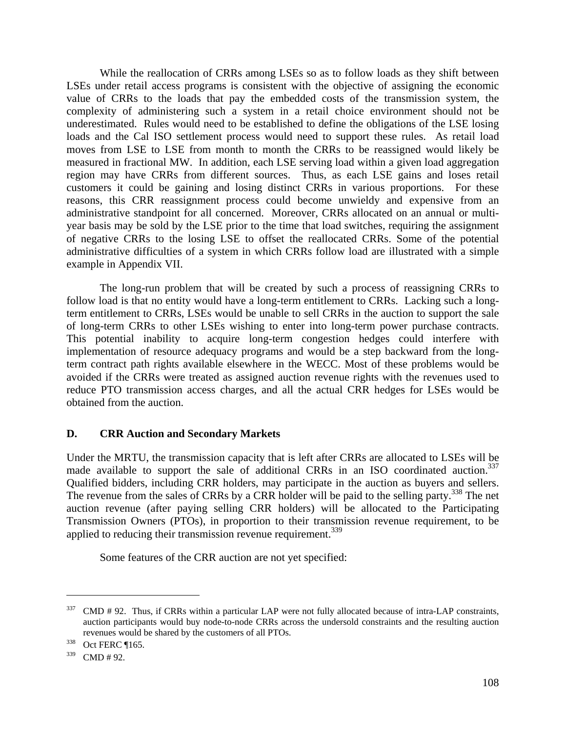While the reallocation of CRRs among LSEs so as to follow loads as they shift between LSEs under retail access programs is consistent with the objective of assigning the economic value of CRRs to the loads that pay the embedded costs of the transmission system, the complexity of administering such a system in a retail choice environment should not be underestimated. Rules would need to be established to define the obligations of the LSE losing loads and the Cal ISO settlement process would need to support these rules. As retail load moves from LSE to LSE from month to month the CRRs to be reassigned would likely be measured in fractional MW. In addition, each LSE serving load within a given load aggregation region may have CRRs from different sources. Thus, as each LSE gains and loses retail customers it could be gaining and losing distinct CRRs in various proportions. For these reasons, this CRR reassignment process could become unwieldy and expensive from an administrative standpoint for all concerned. Moreover, CRRs allocated on an annual or multiyear basis may be sold by the LSE prior to the time that load switches, requiring the assignment of negative CRRs to the losing LSE to offset the reallocated CRRs. Some of the potential administrative difficulties of a system in which CRRs follow load are illustrated with a simple example in Appendix VII.

 The long-run problem that will be created by such a process of reassigning CRRs to follow load is that no entity would have a long-term entitlement to CRRs. Lacking such a longterm entitlement to CRRs, LSEs would be unable to sell CRRs in the auction to support the sale of long-term CRRs to other LSEs wishing to enter into long-term power purchase contracts. This potential inability to acquire long-term congestion hedges could interfere with implementation of resource adequacy programs and would be a step backward from the longterm contract path rights available elsewhere in the WECC. Most of these problems would be avoided if the CRRs were treated as assigned auction revenue rights with the revenues used to reduce PTO transmission access charges, and all the actual CRR hedges for LSEs would be obtained from the auction.

# **D. CRR Auction and Secondary Markets**

Under the MRTU, the transmission capacity that is left after CRRs are allocated to LSEs will be made available to support the sale of additional CRRs in an ISO coordinated auction.<sup>337</sup> Qualified bidders, including CRR holders, may participate in the auction as buyers and sellers. The revenue from the sales of CRRs by a CRR holder will be paid to the selling party.<sup>338</sup> The net auction revenue (after paying selling CRR holders) will be allocated to the Participating Transmission Owners (PTOs), in proportion to their transmission revenue requirement, to be applied to reducing their transmission revenue requirement.<sup>339</sup>

Some features of the CRR auction are not yet specified:

 $337$  CMD # 92. Thus, if CRRs within a particular LAP were not fully allocated because of intra-LAP constraints, auction participants would buy node-to-node CRRs across the undersold constraints and the resulting auction revenues would be shared by the customers of all PTOs.<br>338 Oct FERC ¶165.

<sup>339</sup> CMD # 92.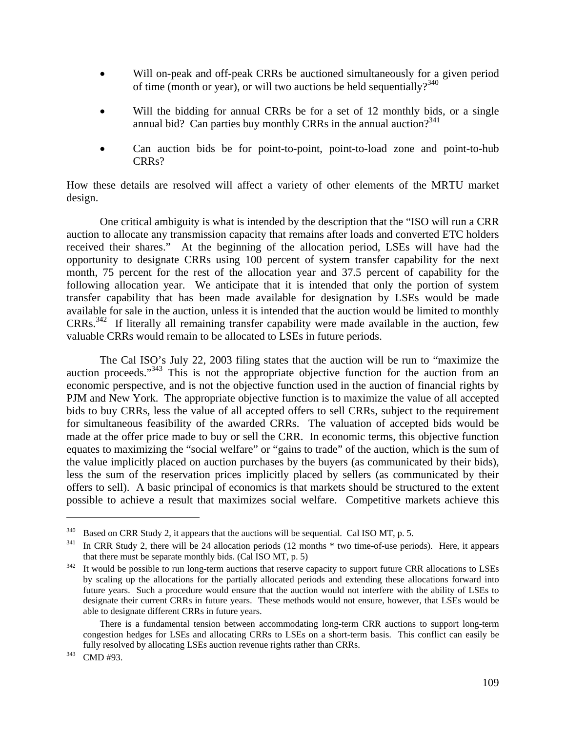- Will on-peak and off-peak CRRs be auctioned simultaneously for a given period of time (month or year), or will two auctions be held sequentially? $340$
- Will the bidding for annual CRRs be for a set of 12 monthly bids, or a single annual bid? Can parties buy monthly CRRs in the annual auction? $341$
- Can auction bids be for point-to-point, point-to-load zone and point-to-hub CRRs?

How these details are resolved will affect a variety of other elements of the MRTU market design.

 One critical ambiguity is what is intended by the description that the "ISO will run a CRR auction to allocate any transmission capacity that remains after loads and converted ETC holders received their shares." At the beginning of the allocation period, LSEs will have had the opportunity to designate CRRs using 100 percent of system transfer capability for the next month, 75 percent for the rest of the allocation year and 37.5 percent of capability for the following allocation year. We anticipate that it is intended that only the portion of system transfer capability that has been made available for designation by LSEs would be made available for sale in the auction, unless it is intended that the auction would be limited to monthly CRRs.342 If literally all remaining transfer capability were made available in the auction, few valuable CRRs would remain to be allocated to LSEs in future periods.

 The Cal ISO's July 22, 2003 filing states that the auction will be run to "maximize the auction proceeds."343 This is not the appropriate objective function for the auction from an economic perspective, and is not the objective function used in the auction of financial rights by PJM and New York. The appropriate objective function is to maximize the value of all accepted bids to buy CRRs, less the value of all accepted offers to sell CRRs, subject to the requirement for simultaneous feasibility of the awarded CRRs. The valuation of accepted bids would be made at the offer price made to buy or sell the CRR. In economic terms, this objective function equates to maximizing the "social welfare" or "gains to trade" of the auction, which is the sum of the value implicitly placed on auction purchases by the buyers (as communicated by their bids), less the sum of the reservation prices implicitly placed by sellers (as communicated by their offers to sell). A basic principal of economics is that markets should be structured to the extent possible to achieve a result that maximizes social welfare. Competitive markets achieve this

<sup>&</sup>lt;sup>340</sup> Based on CRR Study 2, it appears that the auctions will be sequential. Cal ISO MT, p. 5.<br><sup>341</sup> In CRR Study 2, there will be 24 allocation periods (12 months \* two time-of-use periods). Here, it appears that there must be separate monthly bids. (Cal ISO MT, p. 5)<br><sup>342</sup> It would be possible to run long-term auctions that reserve capacity to support future CRR allocations to LSEs

by scaling up the allocations for the partially allocated periods and extending these allocations forward into future years. Such a procedure would ensure that the auction would not interfere with the ability of LSEs to designate their current CRRs in future years. These methods would not ensure, however, that LSEs would be able to designate different CRRs in future years.

There is a fundamental tension between accommodating long-term CRR auctions to support long-term congestion hedges for LSEs and allocating CRRs to LSEs on a short-term basis. This conflict can easily be fully resolved by allocating LSEs auction revenue rights rather than CRRs. 343 CMD #93.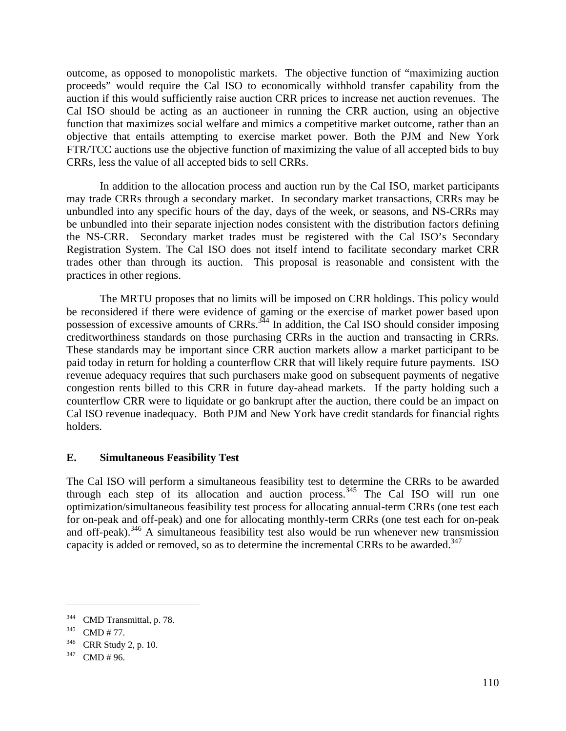outcome, as opposed to monopolistic markets. The objective function of "maximizing auction proceeds" would require the Cal ISO to economically withhold transfer capability from the auction if this would sufficiently raise auction CRR prices to increase net auction revenues. The Cal ISO should be acting as an auctioneer in running the CRR auction, using an objective function that maximizes social welfare and mimics a competitive market outcome, rather than an objective that entails attempting to exercise market power. Both the PJM and New York FTR/TCC auctions use the objective function of maximizing the value of all accepted bids to buy CRRs, less the value of all accepted bids to sell CRRs.

 In addition to the allocation process and auction run by the Cal ISO, market participants may trade CRRs through a secondary market. In secondary market transactions, CRRs may be unbundled into any specific hours of the day, days of the week, or seasons, and NS-CRRs may be unbundled into their separate injection nodes consistent with the distribution factors defining the NS-CRR. Secondary market trades must be registered with the Cal ISO's Secondary Registration System. The Cal ISO does not itself intend to facilitate secondary market CRR trades other than through its auction. This proposal is reasonable and consistent with the practices in other regions.

 The MRTU proposes that no limits will be imposed on CRR holdings. This policy would be reconsidered if there were evidence of gaming or the exercise of market power based upon possession of excessive amounts of CRRs. $344$  In addition, the Cal ISO should consider imposing creditworthiness standards on those purchasing CRRs in the auction and transacting in CRRs. These standards may be important since CRR auction markets allow a market participant to be paid today in return for holding a counterflow CRR that will likely require future payments. ISO revenue adequacy requires that such purchasers make good on subsequent payments of negative congestion rents billed to this CRR in future day-ahead markets. If the party holding such a counterflow CRR were to liquidate or go bankrupt after the auction, there could be an impact on Cal ISO revenue inadequacy. Both PJM and New York have credit standards for financial rights holders.

# **E. Simultaneous Feasibility Test**

The Cal ISO will perform a simultaneous feasibility test to determine the CRRs to be awarded through each step of its allocation and auction process.<sup>345</sup> The Cal ISO will run one optimization/simultaneous feasibility test process for allocating annual-term CRRs (one test each for on-peak and off-peak) and one for allocating monthly-term CRRs (one test each for on-peak and off-peak).<sup>346</sup> A simultaneous feasibility test also would be run whenever new transmission capacity is added or removed, so as to determine the incremental CRRs to be awarded.<sup>347</sup>

<sup>&</sup>lt;sup>344</sup> CMD Transmittal, p. 78.<br><sup>345</sup> CMD # 77.<br><sup>346</sup> CRR Study 2, p. 10.<br><sup>347</sup> CMD # 96.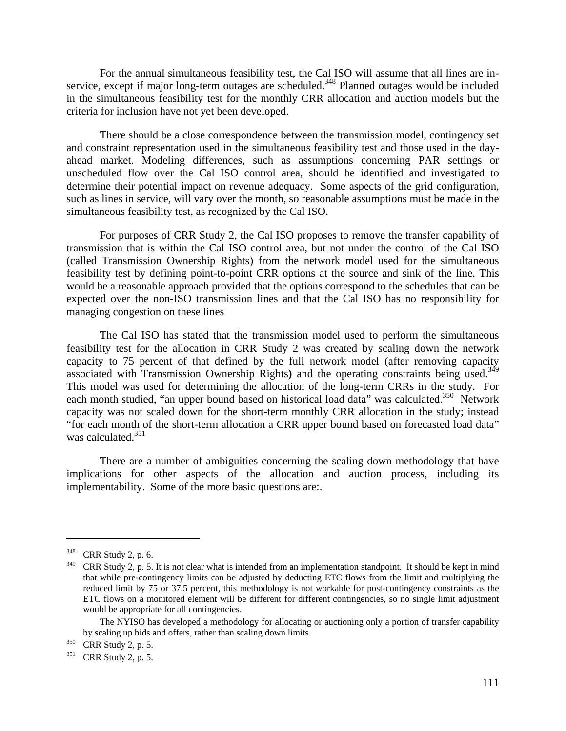For the annual simultaneous feasibility test, the Cal ISO will assume that all lines are inservice, except if major long-term outages are scheduled.<sup>348</sup> Planned outages would be included in the simultaneous feasibility test for the monthly CRR allocation and auction models but the criteria for inclusion have not yet been developed.

 There should be a close correspondence between the transmission model, contingency set and constraint representation used in the simultaneous feasibility test and those used in the dayahead market. Modeling differences, such as assumptions concerning PAR settings or unscheduled flow over the Cal ISO control area, should be identified and investigated to determine their potential impact on revenue adequacy. Some aspects of the grid configuration, such as lines in service, will vary over the month, so reasonable assumptions must be made in the simultaneous feasibility test, as recognized by the Cal ISO.

For purposes of CRR Study 2, the Cal ISO proposes to remove the transfer capability of transmission that is within the Cal ISO control area, but not under the control of the Cal ISO (called Transmission Ownership Rights) from the network model used for the simultaneous feasibility test by defining point-to-point CRR options at the source and sink of the line. This would be a reasonable approach provided that the options correspond to the schedules that can be expected over the non-ISO transmission lines and that the Cal ISO has no responsibility for managing congestion on these lines

The Cal ISO has stated that the transmission model used to perform the simultaneous feasibility test for the allocation in CRR Study 2 was created by scaling down the network capacity to 75 percent of that defined by the full network model (after removing capacity associated with Transmission Ownership Rights**)** and the operating constraints being used.349 This model was used for determining the allocation of the long-term CRRs in the study. For each month studied, "an upper bound based on historical load data" was calculated.<sup>350</sup> Network capacity was not scaled down for the short-term monthly CRR allocation in the study; instead "for each month of the short-term allocation a CRR upper bound based on forecasted load data" was calculated.<sup>351</sup>

There are a number of ambiguities concerning the scaling down methodology that have implications for other aspects of the allocation and auction process, including its implementability. Some of the more basic questions are:.

<sup>348</sup> CRR Study 2, p. 6.

 $349$  CRR Study 2, p. 5. It is not clear what is intended from an implementation standpoint. It should be kept in mind that while pre-contingency limits can be adjusted by deducting ETC flows from the limit and multiplying the reduced limit by 75 or 37.5 percent, this methodology is not workable for post-contingency constraints as the ETC flows on a monitored element will be different for different contingencies, so no single limit adjustment would be appropriate for all contingencies.

The NYISO has developed a methodology for allocating or auctioning only a portion of transfer capability by scaling up bids and offers, rather than scaling down limits.

 $^{350}$  CRR Study 2, p. 5.<br> $^{351}$  CRR Study 2, p. 5.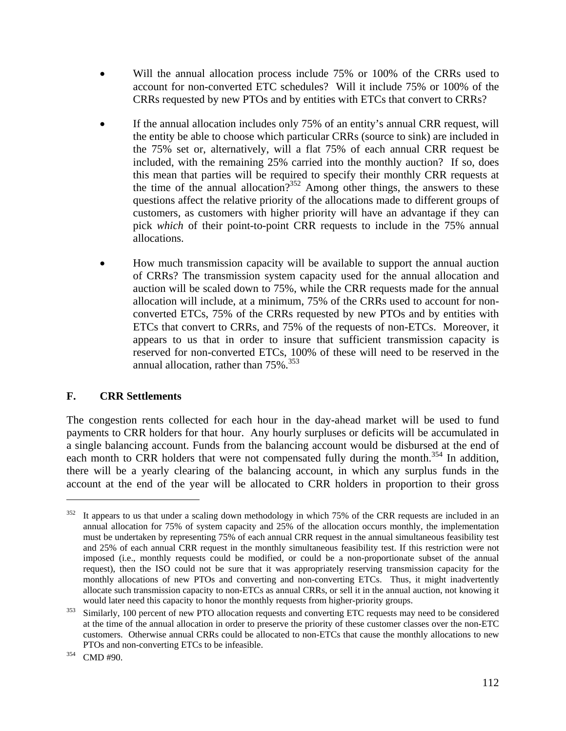- Will the annual allocation process include 75% or 100% of the CRRs used to account for non-converted ETC schedules? Will it include 75% or 100% of the CRRs requested by new PTOs and by entities with ETCs that convert to CRRs?
- If the annual allocation includes only 75% of an entity's annual CRR request, will the entity be able to choose which particular CRRs (source to sink) are included in the 75% set or, alternatively, will a flat 75% of each annual CRR request be included, with the remaining 25% carried into the monthly auction? If so, does this mean that parties will be required to specify their monthly CRR requests at the time of the annual allocation?<sup>352</sup> Among other things, the answers to these questions affect the relative priority of the allocations made to different groups of customers, as customers with higher priority will have an advantage if they can pick *which* of their point-to-point CRR requests to include in the 75% annual allocations.
- How much transmission capacity will be available to support the annual auction of CRRs? The transmission system capacity used for the annual allocation and auction will be scaled down to 75%, while the CRR requests made for the annual allocation will include, at a minimum, 75% of the CRRs used to account for nonconverted ETCs, 75% of the CRRs requested by new PTOs and by entities with ETCs that convert to CRRs, and 75% of the requests of non-ETCs. Moreover, it appears to us that in order to insure that sufficient transmission capacity is reserved for non-converted ETCs, 100% of these will need to be reserved in the annual allocation, rather than  $75\%$ .<sup>353</sup>

# **F. CRR Settlements**

The congestion rents collected for each hour in the day-ahead market will be used to fund payments to CRR holders for that hour. Any hourly surpluses or deficits will be accumulated in a single balancing account. Funds from the balancing account would be disbursed at the end of each month to CRR holders that were not compensated fully during the month.<sup>354</sup> In addition, there will be a yearly clearing of the balancing account, in which any surplus funds in the account at the end of the year will be allocated to CRR holders in proportion to their gross

 $352$  It appears to us that under a scaling down methodology in which 75% of the CRR requests are included in an annual allocation for 75% of system capacity and 25% of the allocation occurs monthly, the implementation must be undertaken by representing 75% of each annual CRR request in the annual simultaneous feasibility test and 25% of each annual CRR request in the monthly simultaneous feasibility test. If this restriction were not imposed (i.e., monthly requests could be modified, or could be a non-proportionate subset of the annual request), then the ISO could not be sure that it was appropriately reserving transmission capacity for the monthly allocations of new PTOs and converting and non-converting ETCs. Thus, it might inadvertently allocate such transmission capacity to non-ETCs as annual CRRs, or sell it in the annual auction, not knowing it

would later need this capacity to honor the monthly requests from higher-priority groups.<br><sup>353</sup> Similarly, 100 percent of new PTO allocation requests and converting ETC requests may need to be considered at the time of the annual allocation in order to preserve the priority of these customer classes over the non-ETC customers. Otherwise annual CRRs could be allocated to non-ETCs that cause the monthly allocations to new PTOs and non-converting ETCs to be infeasible.<br><sup>354</sup> CMD #90.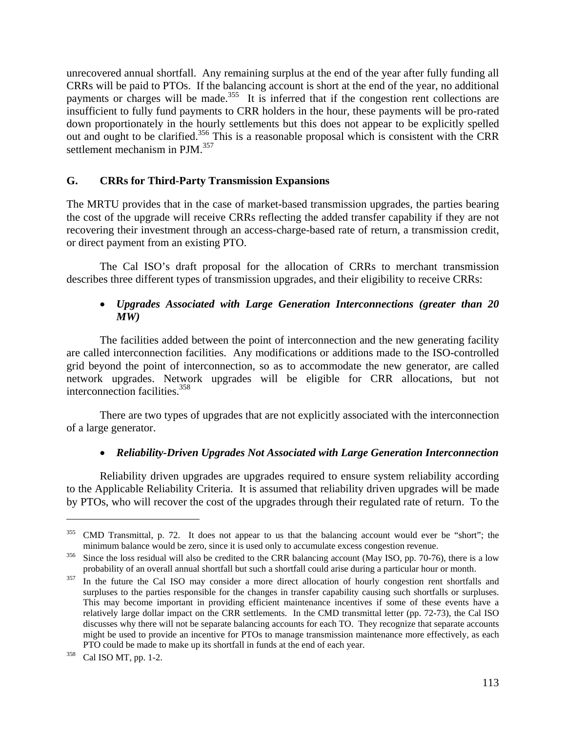unrecovered annual shortfall. Any remaining surplus at the end of the year after fully funding all CRRs will be paid to PTOs. If the balancing account is short at the end of the year, no additional payments or charges will be made.<sup>355</sup> It is inferred that if the congestion rent collections are insufficient to fully fund payments to CRR holders in the hour, these payments will be pro-rated down proportionately in the hourly settlements but this does not appear to be explicitly spelled out and ought to be clarified.356 This is a reasonable proposal which is consistent with the CRR settlement mechanism in PJM.<sup>357</sup>

### **G. CRRs for Third-Party Transmission Expansions**

The MRTU provides that in the case of market-based transmission upgrades, the parties bearing the cost of the upgrade will receive CRRs reflecting the added transfer capability if they are not recovering their investment through an access-charge-based rate of return, a transmission credit, or direct payment from an existing PTO.

 The Cal ISO's draft proposal for the allocation of CRRs to merchant transmission describes three different types of transmission upgrades, and their eligibility to receive CRRs:

## • *Upgrades Associated with Large Generation Interconnections (greater than 20 MW)*

 The facilities added between the point of interconnection and the new generating facility are called interconnection facilities. Any modifications or additions made to the ISO-controlled grid beyond the point of interconnection, so as to accommodate the new generator, are called network upgrades. Network upgrades will be eligible for CRR allocations, but not interconnection facilities.358

 There are two types of upgrades that are not explicitly associated with the interconnection of a large generator.

### • *Reliability-Driven Upgrades Not Associated with Large Generation Interconnection*

 Reliability driven upgrades are upgrades required to ensure system reliability according to the Applicable Reliability Criteria. It is assumed that reliability driven upgrades will be made by PTOs, who will recover the cost of the upgrades through their regulated rate of return. To the

1

<sup>&</sup>lt;sup>355</sup> CMD Transmittal, p. 72. It does not appear to us that the balancing account would ever be "short"; the minimum balance would be zero, since it is used only to accumulate excess congestion revenue.<br><sup>356</sup> Since the loss residual will also be credited to the CRR balancing account (May ISO, pp. 70-76), there is a low

probability of an overall annual shortfall but such a shortfall could arise during a particular hour or month.<br><sup>357</sup> In the future the Cal ISO may consider a more direct allocation of hourly congestion rent shortfalls and

surpluses to the parties responsible for the changes in transfer capability causing such shortfalls or surpluses. This may become important in providing efficient maintenance incentives if some of these events have a relatively large dollar impact on the CRR settlements. In the CMD transmittal letter (pp. 72-73), the Cal ISO discusses why there will not be separate balancing accounts for each TO. They recognize that separate accounts might be used to provide an incentive for PTOs to manage transmission maintenance more effectively, as each PTO could be made to make up its shortfall in funds at the end of each year. 358 Cal ISO MT, pp. 1-2.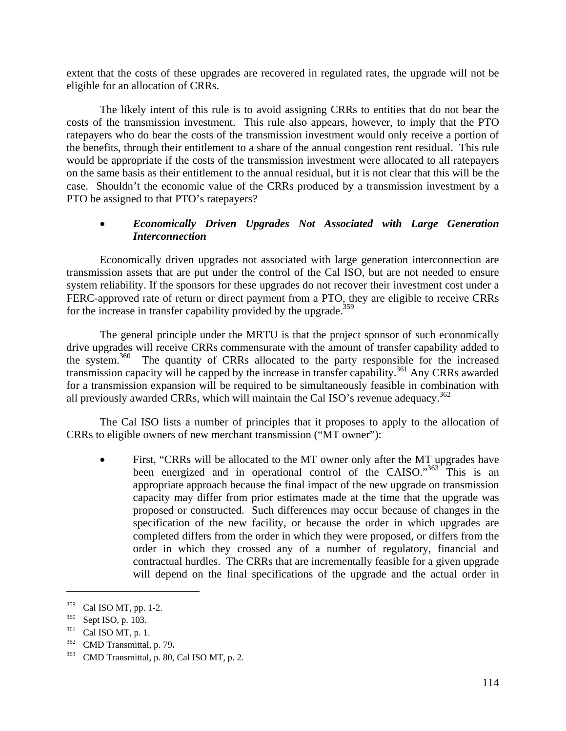extent that the costs of these upgrades are recovered in regulated rates, the upgrade will not be eligible for an allocation of CRRs.

 The likely intent of this rule is to avoid assigning CRRs to entities that do not bear the costs of the transmission investment. This rule also appears, however, to imply that the PTO ratepayers who do bear the costs of the transmission investment would only receive a portion of the benefits, through their entitlement to a share of the annual congestion rent residual. This rule would be appropriate if the costs of the transmission investment were allocated to all ratepayers on the same basis as their entitlement to the annual residual, but it is not clear that this will be the case. Shouldn't the economic value of the CRRs produced by a transmission investment by a PTO be assigned to that PTO's ratepayers?

## • *Economically Driven Upgrades Not Associated with Large Generation Interconnection*

 Economically driven upgrades not associated with large generation interconnection are transmission assets that are put under the control of the Cal ISO, but are not needed to ensure system reliability. If the sponsors for these upgrades do not recover their investment cost under a FERC-approved rate of return or direct payment from a PTO, they are eligible to receive CRRs for the increase in transfer capability provided by the upgrade.<sup>359</sup>

The general principle under the MRTU is that the project sponsor of such economically drive upgrades will receive CRRs commensurate with the amount of transfer capability added to the system.<sup>360</sup> The quantity of CRRs allocated to the party responsible for the increased transmission capacity will be capped by the increase in transfer capability.<sup>361</sup> Any CRRs awarded for a transmission expansion will be required to be simultaneously feasible in combination with all previously awarded CRRs, which will maintain the Cal ISO's revenue adequacy.<sup>362</sup>

The Cal ISO lists a number of principles that it proposes to apply to the allocation of CRRs to eligible owners of new merchant transmission ("MT owner"):

First, "CRRs will be allocated to the MT owner only after the MT upgrades have been energized and in operational control of the CAISO."<sup>363</sup> This is an appropriate approach because the final impact of the new upgrade on transmission capacity may differ from prior estimates made at the time that the upgrade was proposed or constructed. Such differences may occur because of changes in the specification of the new facility, or because the order in which upgrades are completed differs from the order in which they were proposed, or differs from the order in which they crossed any of a number of regulatory, financial and contractual hurdles. The CRRs that are incrementally feasible for a given upgrade will depend on the final specifications of the upgrade and the actual order in

<sup>&</sup>lt;sup>359</sup> Cal ISO MT, pp. 1-2.<br><sup>360</sup> Sept ISO, p. 103.<br><sup>361</sup> Cal ISO MT, p. 1.<br><sup>362</sup> CMD Transmittal, p. 79.

<sup>363</sup> CMD Transmittal, p. 80, Cal ISO MT, p. 2.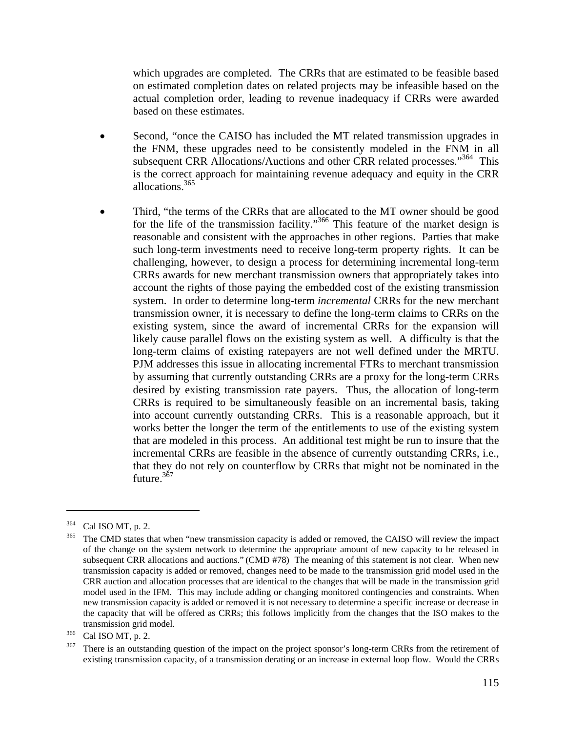which upgrades are completed. The CRRs that are estimated to be feasible based on estimated completion dates on related projects may be infeasible based on the actual completion order, leading to revenue inadequacy if CRRs were awarded based on these estimates.

- Second, "once the CAISO has included the MT related transmission upgrades in the FNM, these upgrades need to be consistently modeled in the FNM in all subsequent CRR Allocations/Auctions and other CRR related processes."<sup>364</sup> This is the correct approach for maintaining revenue adequacy and equity in the CRR allocations.365
- Third, "the terms of the CRRs that are allocated to the MT owner should be good for the life of the transmission facility."366 This feature of the market design is reasonable and consistent with the approaches in other regions. Parties that make such long-term investments need to receive long-term property rights. It can be challenging, however, to design a process for determining incremental long-term CRRs awards for new merchant transmission owners that appropriately takes into account the rights of those paying the embedded cost of the existing transmission system. In order to determine long-term *incremental* CRRs for the new merchant transmission owner, it is necessary to define the long-term claims to CRRs on the existing system, since the award of incremental CRRs for the expansion will likely cause parallel flows on the existing system as well. A difficulty is that the long-term claims of existing ratepayers are not well defined under the MRTU. PJM addresses this issue in allocating incremental FTRs to merchant transmission by assuming that currently outstanding CRRs are a proxy for the long-term CRRs desired by existing transmission rate payers. Thus, the allocation of long-term CRRs is required to be simultaneously feasible on an incremental basis, taking into account currently outstanding CRRs. This is a reasonable approach, but it works better the longer the term of the entitlements to use of the existing system that are modeled in this process. An additional test might be run to insure that the incremental CRRs are feasible in the absence of currently outstanding CRRs, i.e., that they do not rely on counterflow by CRRs that might not be nominated in the future.<sup>367</sup>

1

Cal ISO MT, p. 2.<br>The CMD states that when "new transmission capacity is added or removed, the CAISO will review the impact of the change on the system network to determine the appropriate amount of new capacity to be released in subsequent CRR allocations and auctions." (CMD #78) The meaning of this statement is not clear. When new transmission capacity is added or removed, changes need to be made to the transmission grid model used in the CRR auction and allocation processes that are identical to the changes that will be made in the transmission grid model used in the IFM. This may include adding or changing monitored contingencies and constraints. When new transmission capacity is added or removed it is not necessary to determine a specific increase or decrease in the capacity that will be offered as CRRs; this follows implicitly from the changes that the ISO makes to the transmission grid model.<br><sup>366</sup> Cal ISO MT, p. 2.<br><sup>367</sup> There is an outstanding question of the impact on the project sponsor's long-term CRRs from the retirement of

existing transmission capacity, of a transmission derating or an increase in external loop flow. Would the CRRs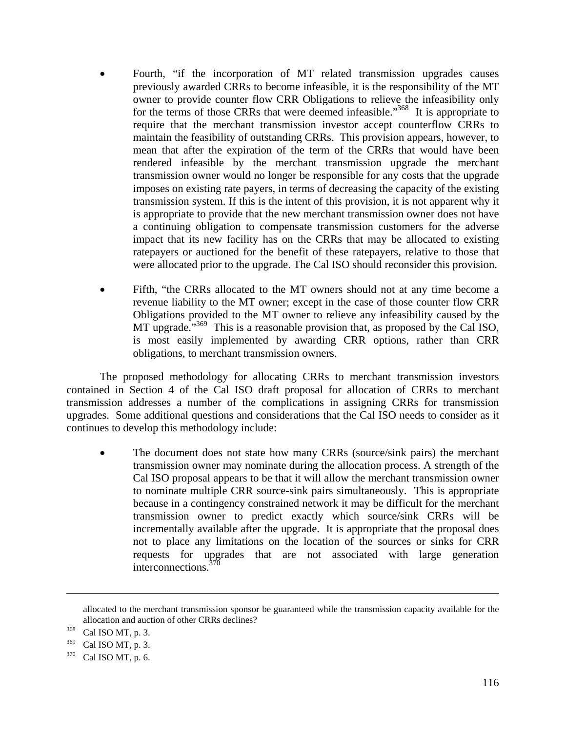- Fourth, "if the incorporation of MT related transmission upgrades causes previously awarded CRRs to become infeasible, it is the responsibility of the MT owner to provide counter flow CRR Obligations to relieve the infeasibility only for the terms of those CRRs that were deemed infeasible."<sup>368</sup> It is appropriate to require that the merchant transmission investor accept counterflow CRRs to maintain the feasibility of outstanding CRRs. This provision appears, however, to mean that after the expiration of the term of the CRRs that would have been rendered infeasible by the merchant transmission upgrade the merchant transmission owner would no longer be responsible for any costs that the upgrade imposes on existing rate payers, in terms of decreasing the capacity of the existing transmission system. If this is the intent of this provision, it is not apparent why it is appropriate to provide that the new merchant transmission owner does not have a continuing obligation to compensate transmission customers for the adverse impact that its new facility has on the CRRs that may be allocated to existing ratepayers or auctioned for the benefit of these ratepayers, relative to those that were allocated prior to the upgrade. The Cal ISO should reconsider this provision.
- Fifth, "the CRRs allocated to the MT owners should not at any time become a revenue liability to the MT owner; except in the case of those counter flow CRR Obligations provided to the MT owner to relieve any infeasibility caused by the MT upgrade."<sup>369</sup> This is a reasonable provision that, as proposed by the Cal ISO, is most easily implemented by awarding CRR options, rather than CRR obligations, to merchant transmission owners.

 The proposed methodology for allocating CRRs to merchant transmission investors contained in Section 4 of the Cal ISO draft proposal for allocation of CRRs to merchant transmission addresses a number of the complications in assigning CRRs for transmission upgrades. Some additional questions and considerations that the Cal ISO needs to consider as it continues to develop this methodology include:

The document does not state how many CRRs (source/sink pairs) the merchant transmission owner may nominate during the allocation process. A strength of the Cal ISO proposal appears to be that it will allow the merchant transmission owner to nominate multiple CRR source-sink pairs simultaneously. This is appropriate because in a contingency constrained network it may be difficult for the merchant transmission owner to predict exactly which source/sink CRRs will be incrementally available after the upgrade. It is appropriate that the proposal does not to place any limitations on the location of the sources or sinks for CRR requests for upgrades that are not associated with large generation interconnections.<sup>370</sup>

allocated to the merchant transmission sponsor be guaranteed while the transmission capacity available for the allocation and auction of other CRRs declines? 368 Cal ISO MT, p. 3.

 $^{369}$  Cal ISO MT, p. 3.<br> $^{370}$  Cal ISO MT, p. 6.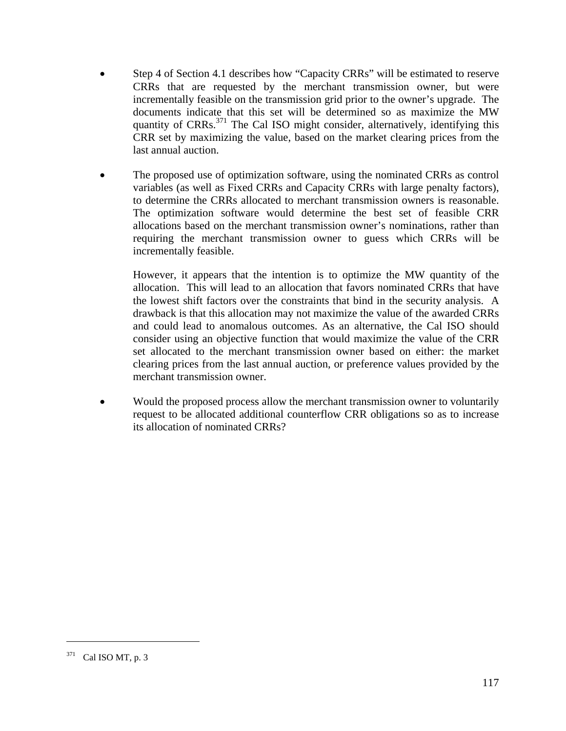- Step 4 of Section 4.1 describes how "Capacity CRRs" will be estimated to reserve CRRs that are requested by the merchant transmission owner, but were incrementally feasible on the transmission grid prior to the owner's upgrade. The documents indicate that this set will be determined so as maximize the MW quantity of  $CRRs$ <sup>371</sup>. The Cal ISO might consider, alternatively, identifying this CRR set by maximizing the value, based on the market clearing prices from the last annual auction.
- The proposed use of optimization software, using the nominated CRRs as control variables (as well as Fixed CRRs and Capacity CRRs with large penalty factors), to determine the CRRs allocated to merchant transmission owners is reasonable. The optimization software would determine the best set of feasible CRR allocations based on the merchant transmission owner's nominations, rather than requiring the merchant transmission owner to guess which CRRs will be incrementally feasible.

However, it appears that the intention is to optimize the MW quantity of the allocation. This will lead to an allocation that favors nominated CRRs that have the lowest shift factors over the constraints that bind in the security analysis. A drawback is that this allocation may not maximize the value of the awarded CRRs and could lead to anomalous outcomes. As an alternative, the Cal ISO should consider using an objective function that would maximize the value of the CRR set allocated to the merchant transmission owner based on either: the market clearing prices from the last annual auction, or preference values provided by the merchant transmission owner.

• Would the proposed process allow the merchant transmission owner to voluntarily request to be allocated additional counterflow CRR obligations so as to increase its allocation of nominated CRRs?

<sup>371</sup> Cal ISO MT, p. 3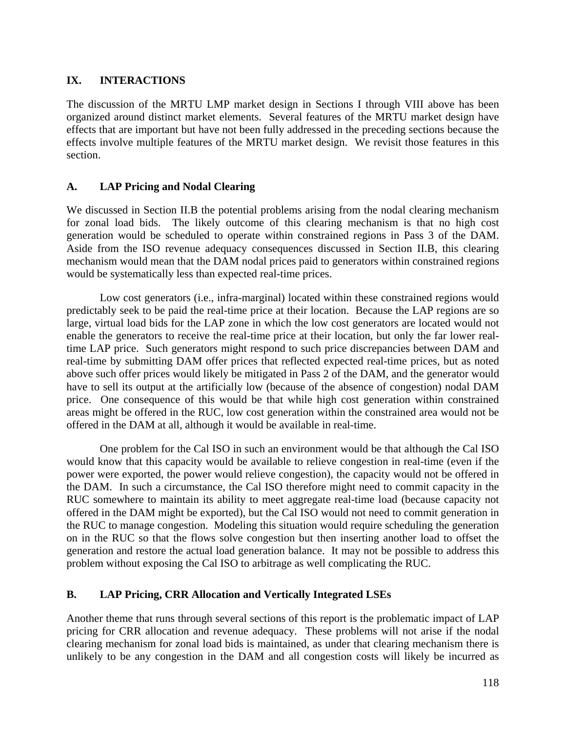# **IX. INTERACTIONS**

The discussion of the MRTU LMP market design in Sections I through VIII above has been organized around distinct market elements. Several features of the MRTU market design have effects that are important but have not been fully addressed in the preceding sections because the effects involve multiple features of the MRTU market design. We revisit those features in this section.

# **A. LAP Pricing and Nodal Clearing**

We discussed in Section II.B the potential problems arising from the nodal clearing mechanism for zonal load bids. The likely outcome of this clearing mechanism is that no high cost generation would be scheduled to operate within constrained regions in Pass 3 of the DAM. Aside from the ISO revenue adequacy consequences discussed in Section II.B, this clearing mechanism would mean that the DAM nodal prices paid to generators within constrained regions would be systematically less than expected real-time prices.

 Low cost generators (i.e., infra-marginal) located within these constrained regions would predictably seek to be paid the real-time price at their location. Because the LAP regions are so large, virtual load bids for the LAP zone in which the low cost generators are located would not enable the generators to receive the real-time price at their location, but only the far lower realtime LAP price. Such generators might respond to such price discrepancies between DAM and real-time by submitting DAM offer prices that reflected expected real-time prices, but as noted above such offer prices would likely be mitigated in Pass 2 of the DAM, and the generator would have to sell its output at the artificially low (because of the absence of congestion) nodal DAM price. One consequence of this would be that while high cost generation within constrained areas might be offered in the RUC, low cost generation within the constrained area would not be offered in the DAM at all, although it would be available in real-time.

 One problem for the Cal ISO in such an environment would be that although the Cal ISO would know that this capacity would be available to relieve congestion in real-time (even if the power were exported, the power would relieve congestion), the capacity would not be offered in the DAM. In such a circumstance, the Cal ISO therefore might need to commit capacity in the RUC somewhere to maintain its ability to meet aggregate real-time load (because capacity not offered in the DAM might be exported), but the Cal ISO would not need to commit generation in the RUC to manage congestion. Modeling this situation would require scheduling the generation on in the RUC so that the flows solve congestion but then inserting another load to offset the generation and restore the actual load generation balance. It may not be possible to address this problem without exposing the Cal ISO to arbitrage as well complicating the RUC.

# **B. LAP Pricing, CRR Allocation and Vertically Integrated LSEs**

Another theme that runs through several sections of this report is the problematic impact of LAP pricing for CRR allocation and revenue adequacy. These problems will not arise if the nodal clearing mechanism for zonal load bids is maintained, as under that clearing mechanism there is unlikely to be any congestion in the DAM and all congestion costs will likely be incurred as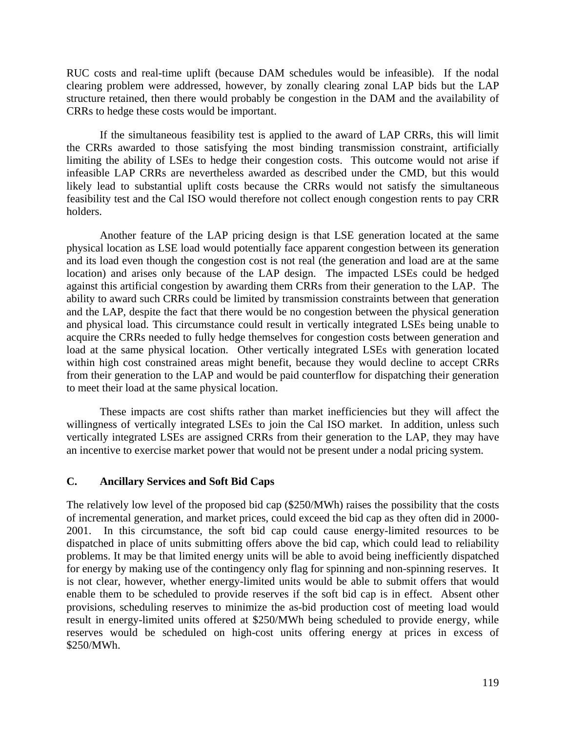RUC costs and real-time uplift (because DAM schedules would be infeasible). If the nodal clearing problem were addressed, however, by zonally clearing zonal LAP bids but the LAP structure retained, then there would probably be congestion in the DAM and the availability of CRRs to hedge these costs would be important.

 If the simultaneous feasibility test is applied to the award of LAP CRRs, this will limit the CRRs awarded to those satisfying the most binding transmission constraint, artificially limiting the ability of LSEs to hedge their congestion costs. This outcome would not arise if infeasible LAP CRRs are nevertheless awarded as described under the CMD, but this would likely lead to substantial uplift costs because the CRRs would not satisfy the simultaneous feasibility test and the Cal ISO would therefore not collect enough congestion rents to pay CRR holders.

 Another feature of the LAP pricing design is that LSE generation located at the same physical location as LSE load would potentially face apparent congestion between its generation and its load even though the congestion cost is not real (the generation and load are at the same location) and arises only because of the LAP design. The impacted LSEs could be hedged against this artificial congestion by awarding them CRRs from their generation to the LAP. The ability to award such CRRs could be limited by transmission constraints between that generation and the LAP, despite the fact that there would be no congestion between the physical generation and physical load. This circumstance could result in vertically integrated LSEs being unable to acquire the CRRs needed to fully hedge themselves for congestion costs between generation and load at the same physical location. Other vertically integrated LSEs with generation located within high cost constrained areas might benefit, because they would decline to accept CRRs from their generation to the LAP and would be paid counterflow for dispatching their generation to meet their load at the same physical location.

 These impacts are cost shifts rather than market inefficiencies but they will affect the willingness of vertically integrated LSEs to join the Cal ISO market. In addition, unless such vertically integrated LSEs are assigned CRRs from their generation to the LAP, they may have an incentive to exercise market power that would not be present under a nodal pricing system.

### **C. Ancillary Services and Soft Bid Caps**

The relatively low level of the proposed bid cap (\$250/MWh) raises the possibility that the costs of incremental generation, and market prices, could exceed the bid cap as they often did in 2000- 2001. In this circumstance, the soft bid cap could cause energy-limited resources to be dispatched in place of units submitting offers above the bid cap, which could lead to reliability problems. It may be that limited energy units will be able to avoid being inefficiently dispatched for energy by making use of the contingency only flag for spinning and non-spinning reserves. It is not clear, however, whether energy-limited units would be able to submit offers that would enable them to be scheduled to provide reserves if the soft bid cap is in effect. Absent other provisions, scheduling reserves to minimize the as-bid production cost of meeting load would result in energy-limited units offered at \$250/MWh being scheduled to provide energy, while reserves would be scheduled on high-cost units offering energy at prices in excess of \$250/MWh.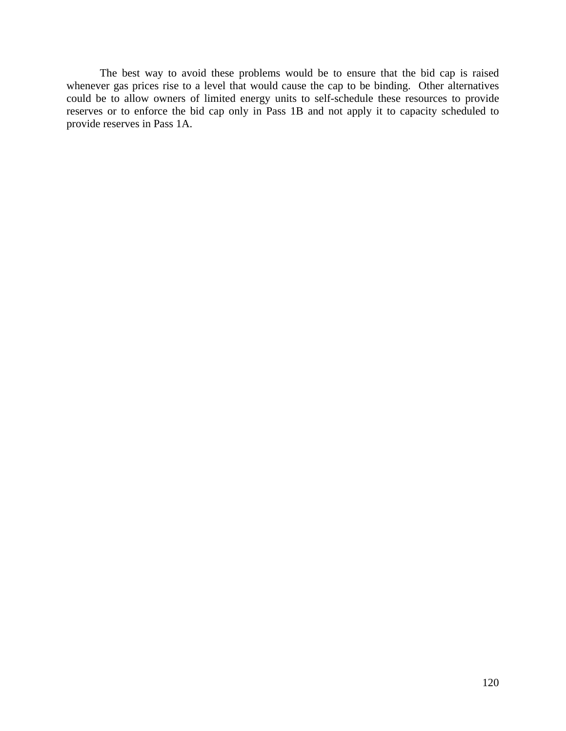The best way to avoid these problems would be to ensure that the bid cap is raised whenever gas prices rise to a level that would cause the cap to be binding. Other alternatives could be to allow owners of limited energy units to self-schedule these resources to provide reserves or to enforce the bid cap only in Pass 1B and not apply it to capacity scheduled to provide reserves in Pass 1A.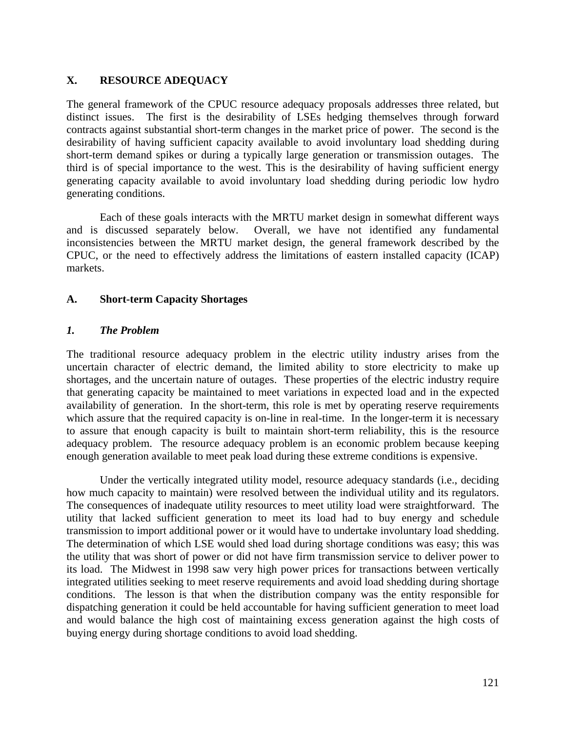# **X. RESOURCE ADEQUACY**

The general framework of the CPUC resource adequacy proposals addresses three related, but distinct issues. The first is the desirability of LSEs hedging themselves through forward contracts against substantial short-term changes in the market price of power. The second is the desirability of having sufficient capacity available to avoid involuntary load shedding during short-term demand spikes or during a typically large generation or transmission outages. The third is of special importance to the west. This is the desirability of having sufficient energy generating capacity available to avoid involuntary load shedding during periodic low hydro generating conditions.

 Each of these goals interacts with the MRTU market design in somewhat different ways and is discussed separately below. Overall, we have not identified any fundamental inconsistencies between the MRTU market design, the general framework described by the CPUC, or the need to effectively address the limitations of eastern installed capacity (ICAP) markets.

### **A. Short-term Capacity Shortages**

### *1. The Problem*

The traditional resource adequacy problem in the electric utility industry arises from the uncertain character of electric demand, the limited ability to store electricity to make up shortages, and the uncertain nature of outages. These properties of the electric industry require that generating capacity be maintained to meet variations in expected load and in the expected availability of generation. In the short-term, this role is met by operating reserve requirements which assure that the required capacity is on-line in real-time. In the longer-term it is necessary to assure that enough capacity is built to maintain short-term reliability, this is the resource adequacy problem. The resource adequacy problem is an economic problem because keeping enough generation available to meet peak load during these extreme conditions is expensive.

 Under the vertically integrated utility model, resource adequacy standards (i.e., deciding how much capacity to maintain) were resolved between the individual utility and its regulators. The consequences of inadequate utility resources to meet utility load were straightforward. The utility that lacked sufficient generation to meet its load had to buy energy and schedule transmission to import additional power or it would have to undertake involuntary load shedding. The determination of which LSE would shed load during shortage conditions was easy; this was the utility that was short of power or did not have firm transmission service to deliver power to its load. The Midwest in 1998 saw very high power prices for transactions between vertically integrated utilities seeking to meet reserve requirements and avoid load shedding during shortage conditions. The lesson is that when the distribution company was the entity responsible for dispatching generation it could be held accountable for having sufficient generation to meet load and would balance the high cost of maintaining excess generation against the high costs of buying energy during shortage conditions to avoid load shedding.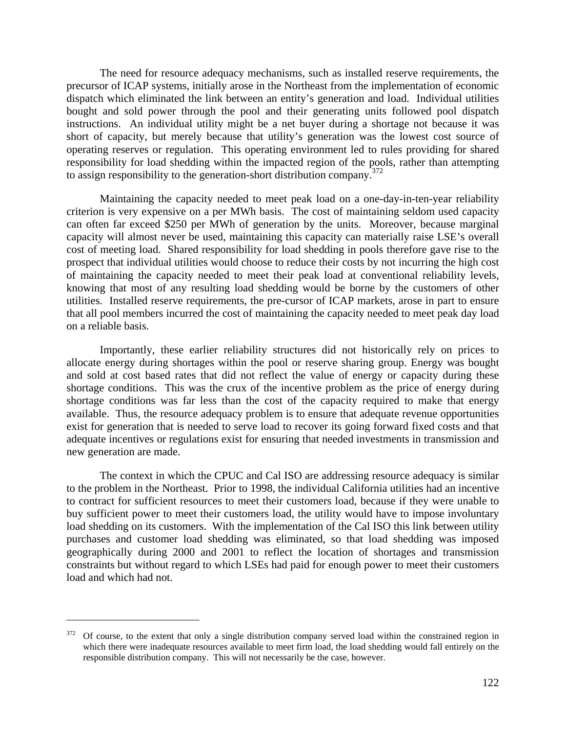The need for resource adequacy mechanisms, such as installed reserve requirements, the precursor of ICAP systems, initially arose in the Northeast from the implementation of economic dispatch which eliminated the link between an entity's generation and load. Individual utilities bought and sold power through the pool and their generating units followed pool dispatch instructions. An individual utility might be a net buyer during a shortage not because it was short of capacity, but merely because that utility's generation was the lowest cost source of operating reserves or regulation. This operating environment led to rules providing for shared responsibility for load shedding within the impacted region of the pools, rather than attempting to assign responsibility to the generation-short distribution company.<sup>372</sup>

 Maintaining the capacity needed to meet peak load on a one-day-in-ten-year reliability criterion is very expensive on a per MWh basis. The cost of maintaining seldom used capacity can often far exceed \$250 per MWh of generation by the units. Moreover, because marginal capacity will almost never be used, maintaining this capacity can materially raise LSE's overall cost of meeting load. Shared responsibility for load shedding in pools therefore gave rise to the prospect that individual utilities would choose to reduce their costs by not incurring the high cost of maintaining the capacity needed to meet their peak load at conventional reliability levels, knowing that most of any resulting load shedding would be borne by the customers of other utilities. Installed reserve requirements, the pre-cursor of ICAP markets, arose in part to ensure that all pool members incurred the cost of maintaining the capacity needed to meet peak day load on a reliable basis.

 Importantly, these earlier reliability structures did not historically rely on prices to allocate energy during shortages within the pool or reserve sharing group. Energy was bought and sold at cost based rates that did not reflect the value of energy or capacity during these shortage conditions. This was the crux of the incentive problem as the price of energy during shortage conditions was far less than the cost of the capacity required to make that energy available. Thus, the resource adequacy problem is to ensure that adequate revenue opportunities exist for generation that is needed to serve load to recover its going forward fixed costs and that adequate incentives or regulations exist for ensuring that needed investments in transmission and new generation are made.

 The context in which the CPUC and Cal ISO are addressing resource adequacy is similar to the problem in the Northeast. Prior to 1998, the individual California utilities had an incentive to contract for sufficient resources to meet their customers load, because if they were unable to buy sufficient power to meet their customers load, the utility would have to impose involuntary load shedding on its customers. With the implementation of the Cal ISO this link between utility purchases and customer load shedding was eliminated, so that load shedding was imposed geographically during 2000 and 2001 to reflect the location of shortages and transmission constraints but without regard to which LSEs had paid for enough power to meet their customers load and which had not.

<sup>372</sup> Of course, to the extent that only a single distribution company served load within the constrained region in which there were inadequate resources available to meet firm load, the load shedding would fall entirely on the responsible distribution company. This will not necessarily be the case, however.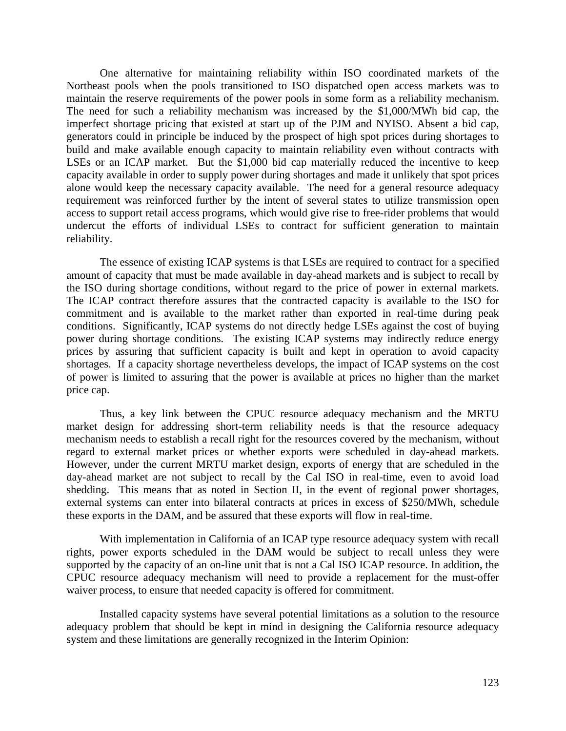One alternative for maintaining reliability within ISO coordinated markets of the Northeast pools when the pools transitioned to ISO dispatched open access markets was to maintain the reserve requirements of the power pools in some form as a reliability mechanism. The need for such a reliability mechanism was increased by the \$1,000/MWh bid cap, the imperfect shortage pricing that existed at start up of the PJM and NYISO. Absent a bid cap, generators could in principle be induced by the prospect of high spot prices during shortages to build and make available enough capacity to maintain reliability even without contracts with LSEs or an ICAP market. But the \$1,000 bid cap materially reduced the incentive to keep capacity available in order to supply power during shortages and made it unlikely that spot prices alone would keep the necessary capacity available. The need for a general resource adequacy requirement was reinforced further by the intent of several states to utilize transmission open access to support retail access programs, which would give rise to free-rider problems that would undercut the efforts of individual LSEs to contract for sufficient generation to maintain reliability.

 The essence of existing ICAP systems is that LSEs are required to contract for a specified amount of capacity that must be made available in day-ahead markets and is subject to recall by the ISO during shortage conditions, without regard to the price of power in external markets. The ICAP contract therefore assures that the contracted capacity is available to the ISO for commitment and is available to the market rather than exported in real-time during peak conditions. Significantly, ICAP systems do not directly hedge LSEs against the cost of buying power during shortage conditions. The existing ICAP systems may indirectly reduce energy prices by assuring that sufficient capacity is built and kept in operation to avoid capacity shortages. If a capacity shortage nevertheless develops, the impact of ICAP systems on the cost of power is limited to assuring that the power is available at prices no higher than the market price cap.

 Thus, a key link between the CPUC resource adequacy mechanism and the MRTU market design for addressing short-term reliability needs is that the resource adequacy mechanism needs to establish a recall right for the resources covered by the mechanism, without regard to external market prices or whether exports were scheduled in day-ahead markets. However, under the current MRTU market design, exports of energy that are scheduled in the day-ahead market are not subject to recall by the Cal ISO in real-time, even to avoid load shedding. This means that as noted in Section II, in the event of regional power shortages, external systems can enter into bilateral contracts at prices in excess of \$250/MWh, schedule these exports in the DAM, and be assured that these exports will flow in real-time.

 With implementation in California of an ICAP type resource adequacy system with recall rights, power exports scheduled in the DAM would be subject to recall unless they were supported by the capacity of an on-line unit that is not a Cal ISO ICAP resource. In addition, the CPUC resource adequacy mechanism will need to provide a replacement for the must-offer waiver process, to ensure that needed capacity is offered for commitment.

 Installed capacity systems have several potential limitations as a solution to the resource adequacy problem that should be kept in mind in designing the California resource adequacy system and these limitations are generally recognized in the Interim Opinion: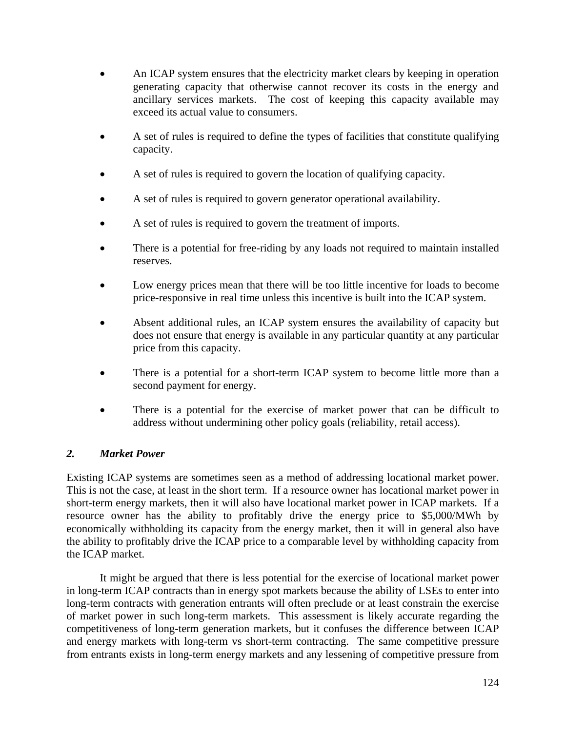- An ICAP system ensures that the electricity market clears by keeping in operation generating capacity that otherwise cannot recover its costs in the energy and ancillary services markets. The cost of keeping this capacity available may exceed its actual value to consumers.
- A set of rules is required to define the types of facilities that constitute qualifying capacity.
- A set of rules is required to govern the location of qualifying capacity.
- A set of rules is required to govern generator operational availability.
- A set of rules is required to govern the treatment of imports.
- There is a potential for free-riding by any loads not required to maintain installed reserves.
- Low energy prices mean that there will be too little incentive for loads to become price-responsive in real time unless this incentive is built into the ICAP system.
- Absent additional rules, an ICAP system ensures the availability of capacity but does not ensure that energy is available in any particular quantity at any particular price from this capacity.
- There is a potential for a short-term ICAP system to become little more than a second payment for energy.
- There is a potential for the exercise of market power that can be difficult to address without undermining other policy goals (reliability, retail access).

# *2. Market Power*

Existing ICAP systems are sometimes seen as a method of addressing locational market power. This is not the case, at least in the short term. If a resource owner has locational market power in short-term energy markets, then it will also have locational market power in ICAP markets. If a resource owner has the ability to profitably drive the energy price to \$5,000/MWh by economically withholding its capacity from the energy market, then it will in general also have the ability to profitably drive the ICAP price to a comparable level by withholding capacity from the ICAP market.

 It might be argued that there is less potential for the exercise of locational market power in long-term ICAP contracts than in energy spot markets because the ability of LSEs to enter into long-term contracts with generation entrants will often preclude or at least constrain the exercise of market power in such long-term markets. This assessment is likely accurate regarding the competitiveness of long-term generation markets, but it confuses the difference between ICAP and energy markets with long-term vs short-term contracting. The same competitive pressure from entrants exists in long-term energy markets and any lessening of competitive pressure from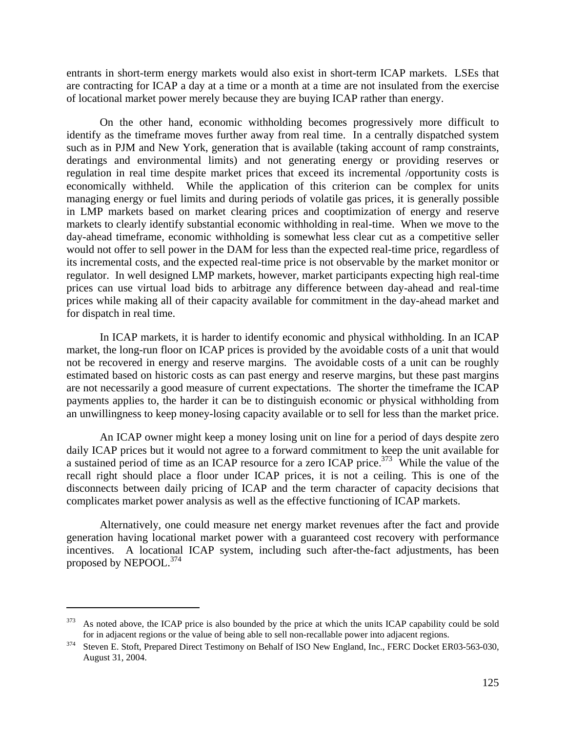entrants in short-term energy markets would also exist in short-term ICAP markets. LSEs that are contracting for ICAP a day at a time or a month at a time are not insulated from the exercise of locational market power merely because they are buying ICAP rather than energy.

 On the other hand, economic withholding becomes progressively more difficult to identify as the timeframe moves further away from real time. In a centrally dispatched system such as in PJM and New York, generation that is available (taking account of ramp constraints, deratings and environmental limits) and not generating energy or providing reserves or regulation in real time despite market prices that exceed its incremental /opportunity costs is economically withheld. While the application of this criterion can be complex for units managing energy or fuel limits and during periods of volatile gas prices, it is generally possible in LMP markets based on market clearing prices and cooptimization of energy and reserve markets to clearly identify substantial economic withholding in real-time. When we move to the day-ahead timeframe, economic withholding is somewhat less clear cut as a competitive seller would not offer to sell power in the DAM for less than the expected real-time price, regardless of its incremental costs, and the expected real-time price is not observable by the market monitor or regulator. In well designed LMP markets, however, market participants expecting high real-time prices can use virtual load bids to arbitrage any difference between day-ahead and real-time prices while making all of their capacity available for commitment in the day-ahead market and for dispatch in real time.

 In ICAP markets, it is harder to identify economic and physical withholding. In an ICAP market, the long-run floor on ICAP prices is provided by the avoidable costs of a unit that would not be recovered in energy and reserve margins. The avoidable costs of a unit can be roughly estimated based on historic costs as can past energy and reserve margins, but these past margins are not necessarily a good measure of current expectations. The shorter the timeframe the ICAP payments applies to, the harder it can be to distinguish economic or physical withholding from an unwillingness to keep money-losing capacity available or to sell for less than the market price.

 An ICAP owner might keep a money losing unit on line for a period of days despite zero daily ICAP prices but it would not agree to a forward commitment to keep the unit available for a sustained period of time as an ICAP resource for a zero ICAP price.<sup>373</sup> While the value of the recall right should place a floor under ICAP prices, it is not a ceiling. This is one of the disconnects between daily pricing of ICAP and the term character of capacity decisions that complicates market power analysis as well as the effective functioning of ICAP markets.

 Alternatively, one could measure net energy market revenues after the fact and provide generation having locational market power with a guaranteed cost recovery with performance incentives. A locational ICAP system, including such after-the-fact adjustments, has been proposed by NEPOOL.<sup>374</sup>

As noted above, the ICAP price is also bounded by the price at which the units ICAP capability could be sold for in adjacent regions or the value of being able to sell non-recallable power into adjacent regions.

 $\frac{374}{100}$  Steven E. Stoft, Prepared Direct Testimony on Behalf of ISO New England, Inc., FERC Docket ER03-563-030, August 31, 2004.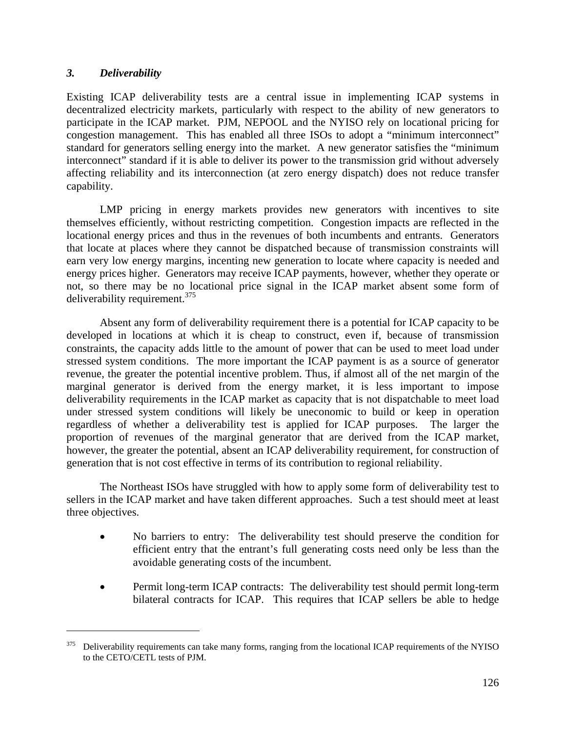## *3. Deliverability*

<u>.</u>

Existing ICAP deliverability tests are a central issue in implementing ICAP systems in decentralized electricity markets, particularly with respect to the ability of new generators to participate in the ICAP market. PJM, NEPOOL and the NYISO rely on locational pricing for congestion management. This has enabled all three ISOs to adopt a "minimum interconnect" standard for generators selling energy into the market. A new generator satisfies the "minimum interconnect" standard if it is able to deliver its power to the transmission grid without adversely affecting reliability and its interconnection (at zero energy dispatch) does not reduce transfer capability.

 LMP pricing in energy markets provides new generators with incentives to site themselves efficiently, without restricting competition. Congestion impacts are reflected in the locational energy prices and thus in the revenues of both incumbents and entrants. Generators that locate at places where they cannot be dispatched because of transmission constraints will earn very low energy margins, incenting new generation to locate where capacity is needed and energy prices higher. Generators may receive ICAP payments, however, whether they operate or not, so there may be no locational price signal in the ICAP market absent some form of deliverability requirement.375

 Absent any form of deliverability requirement there is a potential for ICAP capacity to be developed in locations at which it is cheap to construct, even if, because of transmission constraints, the capacity adds little to the amount of power that can be used to meet load under stressed system conditions. The more important the ICAP payment is as a source of generator revenue, the greater the potential incentive problem. Thus, if almost all of the net margin of the marginal generator is derived from the energy market, it is less important to impose deliverability requirements in the ICAP market as capacity that is not dispatchable to meet load under stressed system conditions will likely be uneconomic to build or keep in operation regardless of whether a deliverability test is applied for ICAP purposes. The larger the proportion of revenues of the marginal generator that are derived from the ICAP market, however, the greater the potential, absent an ICAP deliverability requirement, for construction of generation that is not cost effective in terms of its contribution to regional reliability.

 The Northeast ISOs have struggled with how to apply some form of deliverability test to sellers in the ICAP market and have taken different approaches. Such a test should meet at least three objectives.

- No barriers to entry: The deliverability test should preserve the condition for efficient entry that the entrant's full generating costs need only be less than the avoidable generating costs of the incumbent.
- Permit long-term ICAP contracts: The deliverability test should permit long-term bilateral contracts for ICAP. This requires that ICAP sellers be able to hedge

<sup>&</sup>lt;sup>375</sup> Deliverability requirements can take many forms, ranging from the locational ICAP requirements of the NYISO to the CETO/CETL tests of PJM.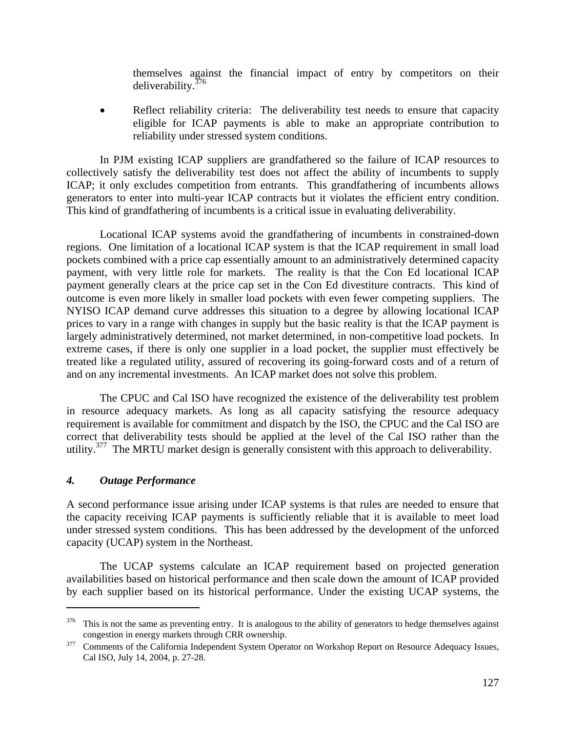themselves against the financial impact of entry by competitors on their deliverability.376

Reflect reliability criteria: The deliverability test needs to ensure that capacity eligible for ICAP payments is able to make an appropriate contribution to reliability under stressed system conditions.

 In PJM existing ICAP suppliers are grandfathered so the failure of ICAP resources to collectively satisfy the deliverability test does not affect the ability of incumbents to supply ICAP; it only excludes competition from entrants. This grandfathering of incumbents allows generators to enter into multi-year ICAP contracts but it violates the efficient entry condition. This kind of grandfathering of incumbents is a critical issue in evaluating deliverability.

 Locational ICAP systems avoid the grandfathering of incumbents in constrained-down regions. One limitation of a locational ICAP system is that the ICAP requirement in small load pockets combined with a price cap essentially amount to an administratively determined capacity payment, with very little role for markets. The reality is that the Con Ed locational ICAP payment generally clears at the price cap set in the Con Ed divestiture contracts. This kind of outcome is even more likely in smaller load pockets with even fewer competing suppliers. The NYISO ICAP demand curve addresses this situation to a degree by allowing locational ICAP prices to vary in a range with changes in supply but the basic reality is that the ICAP payment is largely administratively determined, not market determined, in non-competitive load pockets. In extreme cases, if there is only one supplier in a load pocket, the supplier must effectively be treated like a regulated utility, assured of recovering its going-forward costs and of a return of and on any incremental investments. An ICAP market does not solve this problem.

 The CPUC and Cal ISO have recognized the existence of the deliverability test problem in resource adequacy markets. As long as all capacity satisfying the resource adequacy requirement is available for commitment and dispatch by the ISO, the CPUC and the Cal ISO are correct that deliverability tests should be applied at the level of the Cal ISO rather than the utility.<sup>377</sup> The MRTU market design is generally consistent with this approach to deliverability.

### *4. Outage Performance*

1

A second performance issue arising under ICAP systems is that rules are needed to ensure that the capacity receiving ICAP payments is sufficiently reliable that it is available to meet load under stressed system conditions. This has been addressed by the development of the unforced capacity (UCAP) system in the Northeast.

 The UCAP systems calculate an ICAP requirement based on projected generation availabilities based on historical performance and then scale down the amount of ICAP provided by each supplier based on its historical performance. Under the existing UCAP systems, the

<sup>&</sup>lt;sup>376</sup> This is not the same as preventing entry. It is analogous to the ability of generators to hedge themselves against congestion in energy markets through CRR ownership. 377 Comments of the California Independent System Operator on Workshop Report on Resource Adequacy Issues,

Cal ISO, July 14, 2004, p. 27-28.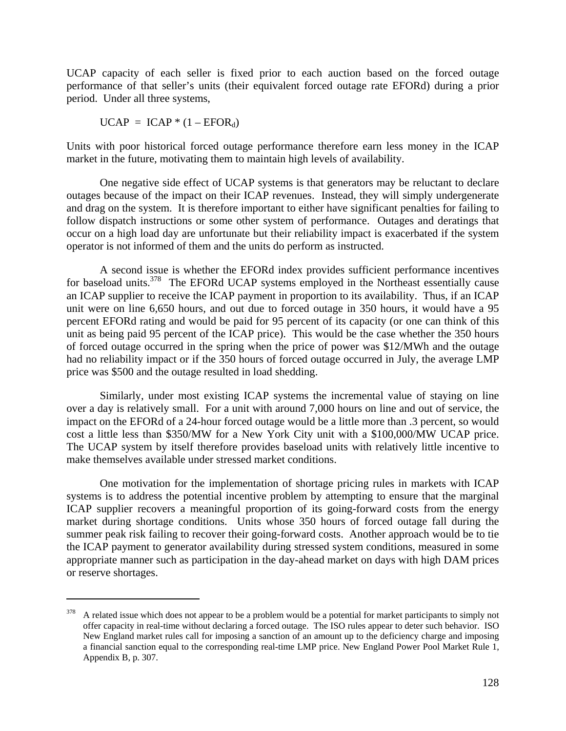UCAP capacity of each seller is fixed prior to each auction based on the forced outage performance of that seller's units (their equivalent forced outage rate EFORd) during a prior period. Under all three systems,

$$
UCAP = ICAP * (1 - EFORd)
$$

 $\overline{a}$ 

Units with poor historical forced outage performance therefore earn less money in the ICAP market in the future, motivating them to maintain high levels of availability.

 One negative side effect of UCAP systems is that generators may be reluctant to declare outages because of the impact on their ICAP revenues. Instead, they will simply undergenerate and drag on the system. It is therefore important to either have significant penalties for failing to follow dispatch instructions or some other system of performance. Outages and deratings that occur on a high load day are unfortunate but their reliability impact is exacerbated if the system operator is not informed of them and the units do perform as instructed.

 A second issue is whether the EFORd index provides sufficient performance incentives for baseload units.<sup>378</sup> The EFORd UCAP systems employed in the Northeast essentially cause an ICAP supplier to receive the ICAP payment in proportion to its availability. Thus, if an ICAP unit were on line 6,650 hours, and out due to forced outage in 350 hours, it would have a 95 percent EFORd rating and would be paid for 95 percent of its capacity (or one can think of this unit as being paid 95 percent of the ICAP price). This would be the case whether the 350 hours of forced outage occurred in the spring when the price of power was \$12/MWh and the outage had no reliability impact or if the 350 hours of forced outage occurred in July, the average LMP price was \$500 and the outage resulted in load shedding.

 Similarly, under most existing ICAP systems the incremental value of staying on line over a day is relatively small. For a unit with around 7,000 hours on line and out of service, the impact on the EFORd of a 24-hour forced outage would be a little more than .3 percent, so would cost a little less than \$350/MW for a New York City unit with a \$100,000/MW UCAP price. The UCAP system by itself therefore provides baseload units with relatively little incentive to make themselves available under stressed market conditions.

 One motivation for the implementation of shortage pricing rules in markets with ICAP systems is to address the potential incentive problem by attempting to ensure that the marginal ICAP supplier recovers a meaningful proportion of its going-forward costs from the energy market during shortage conditions. Units whose 350 hours of forced outage fall during the summer peak risk failing to recover their going-forward costs. Another approach would be to tie the ICAP payment to generator availability during stressed system conditions, measured in some appropriate manner such as participation in the day-ahead market on days with high DAM prices or reserve shortages.

 $378$  A related issue which does not appear to be a problem would be a potential for market participants to simply not offer capacity in real-time without declaring a forced outage. The ISO rules appear to deter such behavior. ISO New England market rules call for imposing a sanction of an amount up to the deficiency charge and imposing a financial sanction equal to the corresponding real-time LMP price. New England Power Pool Market Rule 1, Appendix B, p. 307.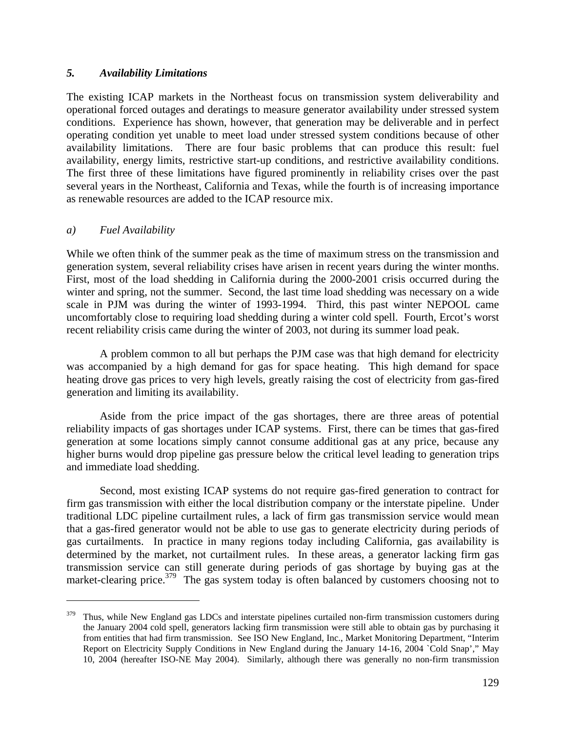### *5. Availability Limitations*

The existing ICAP markets in the Northeast focus on transmission system deliverability and operational forced outages and deratings to measure generator availability under stressed system conditions. Experience has shown, however, that generation may be deliverable and in perfect operating condition yet unable to meet load under stressed system conditions because of other availability limitations. There are four basic problems that can produce this result: fuel availability, energy limits, restrictive start-up conditions, and restrictive availability conditions. The first three of these limitations have figured prominently in reliability crises over the past several years in the Northeast, California and Texas, while the fourth is of increasing importance as renewable resources are added to the ICAP resource mix.

### *a) Fuel Availability*

 $\overline{a}$ 

While we often think of the summer peak as the time of maximum stress on the transmission and generation system, several reliability crises have arisen in recent years during the winter months. First, most of the load shedding in California during the 2000-2001 crisis occurred during the winter and spring, not the summer. Second, the last time load shedding was necessary on a wide scale in PJM was during the winter of 1993-1994. Third, this past winter NEPOOL came uncomfortably close to requiring load shedding during a winter cold spell. Fourth, Ercot's worst recent reliability crisis came during the winter of 2003, not during its summer load peak.

 A problem common to all but perhaps the PJM case was that high demand for electricity was accompanied by a high demand for gas for space heating. This high demand for space heating drove gas prices to very high levels, greatly raising the cost of electricity from gas-fired generation and limiting its availability.

 Aside from the price impact of the gas shortages, there are three areas of potential reliability impacts of gas shortages under ICAP systems. First, there can be times that gas-fired generation at some locations simply cannot consume additional gas at any price, because any higher burns would drop pipeline gas pressure below the critical level leading to generation trips and immediate load shedding.

 Second, most existing ICAP systems do not require gas-fired generation to contract for firm gas transmission with either the local distribution company or the interstate pipeline. Under traditional LDC pipeline curtailment rules, a lack of firm gas transmission service would mean that a gas-fired generator would not be able to use gas to generate electricity during periods of gas curtailments. In practice in many regions today including California, gas availability is determined by the market, not curtailment rules. In these areas, a generator lacking firm gas transmission service can still generate during periods of gas shortage by buying gas at the market-clearing price. $379$  The gas system today is often balanced by customers choosing not to

<sup>&</sup>lt;sup>379</sup> Thus, while New England gas LDCs and interstate pipelines curtailed non-firm transmission customers during the January 2004 cold spell, generators lacking firm transmission were still able to obtain gas by purchasing it from entities that had firm transmission. See ISO New England, Inc., Market Monitoring Department, "Interim Report on Electricity Supply Conditions in New England during the January 14-16, 2004 `Cold Snap'," May 10, 2004 (hereafter ISO-NE May 2004). Similarly, although there was generally no non-firm transmission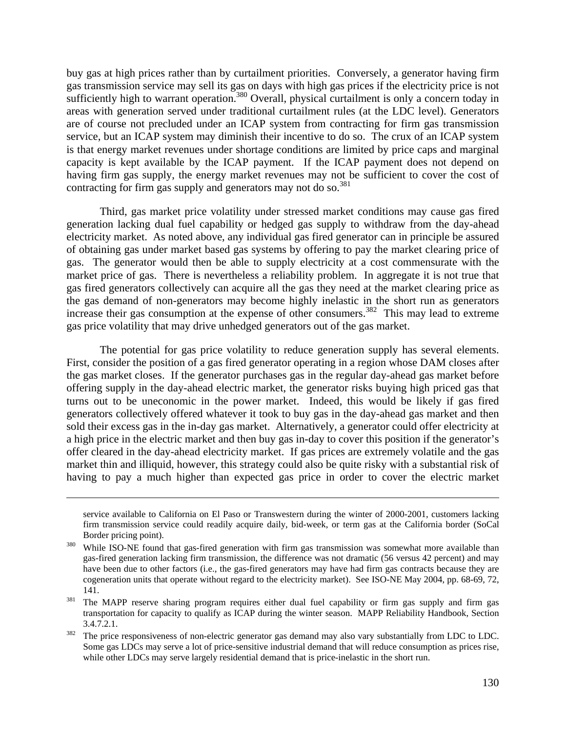buy gas at high prices rather than by curtailment priorities. Conversely, a generator having firm gas transmission service may sell its gas on days with high gas prices if the electricity price is not sufficiently high to warrant operation.<sup>380</sup> Overall, physical curtailment is only a concern today in areas with generation served under traditional curtailment rules (at the LDC level). Generators are of course not precluded under an ICAP system from contracting for firm gas transmission service, but an ICAP system may diminish their incentive to do so. The crux of an ICAP system is that energy market revenues under shortage conditions are limited by price caps and marginal capacity is kept available by the ICAP payment. If the ICAP payment does not depend on having firm gas supply, the energy market revenues may not be sufficient to cover the cost of contracting for firm gas supply and generators may not do so. $^{381}$ 

 Third, gas market price volatility under stressed market conditions may cause gas fired generation lacking dual fuel capability or hedged gas supply to withdraw from the day-ahead electricity market. As noted above, any individual gas fired generator can in principle be assured of obtaining gas under market based gas systems by offering to pay the market clearing price of gas. The generator would then be able to supply electricity at a cost commensurate with the market price of gas. There is nevertheless a reliability problem. In aggregate it is not true that gas fired generators collectively can acquire all the gas they need at the market clearing price as the gas demand of non-generators may become highly inelastic in the short run as generators increase their gas consumption at the expense of other consumers.<sup>382</sup> This may lead to extreme gas price volatility that may drive unhedged generators out of the gas market.

 The potential for gas price volatility to reduce generation supply has several elements. First, consider the position of a gas fired generator operating in a region whose DAM closes after the gas market closes. If the generator purchases gas in the regular day-ahead gas market before offering supply in the day-ahead electric market, the generator risks buying high priced gas that turns out to be uneconomic in the power market. Indeed, this would be likely if gas fired generators collectively offered whatever it took to buy gas in the day-ahead gas market and then sold their excess gas in the in-day gas market. Alternatively, a generator could offer electricity at a high price in the electric market and then buy gas in-day to cover this position if the generator's offer cleared in the day-ahead electricity market. If gas prices are extremely volatile and the gas market thin and illiquid, however, this strategy could also be quite risky with a substantial risk of having to pay a much higher than expected gas price in order to cover the electric market

1

service available to California on El Paso or Transwestern during the winter of 2000-2001, customers lacking firm transmission service could readily acquire daily, bid-week, or term gas at the California border (SoCal Border pricing point).<br><sup>380</sup> While ISO-NE found that gas-fired generation with firm gas transmission was somewhat more available than

gas-fired generation lacking firm transmission, the difference was not dramatic (56 versus 42 percent) and may have been due to other factors (i.e., the gas-fired generators may have had firm gas contracts because they are cogeneration units that operate without regard to the electricity market). See ISO-NE May 2004, pp. 68-69, 72, 141.<br><sup>381</sup> The MAPP reserve sharing program requires either dual fuel capability or firm gas supply and firm gas

transportation for capacity to qualify as ICAP during the winter season. MAPP Reliability Handbook, Section 3.4.7.2.1.<br><sup>382</sup> The price responsiveness of non-electric generator gas demand may also vary substantially from LDC to LDC.

Some gas LDCs may serve a lot of price-sensitive industrial demand that will reduce consumption as prices rise, while other LDCs may serve largely residential demand that is price-inelastic in the short run.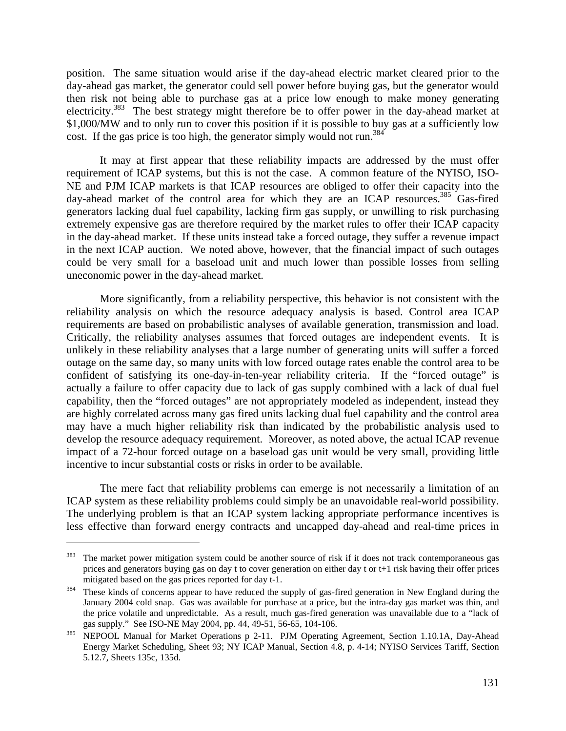position. The same situation would arise if the day-ahead electric market cleared prior to the day-ahead gas market, the generator could sell power before buying gas, but the generator would then risk not being able to purchase gas at a price low enough to make money generating electricity.<sup>383</sup> The best strategy might therefore be to offer power in the day-ahead market at \$1,000/MW and to only run to cover this position if it is possible to buy gas at a sufficiently low cost. If the gas price is too high, the generator simply would not run.<sup>384</sup>

 It may at first appear that these reliability impacts are addressed by the must offer requirement of ICAP systems, but this is not the case. A common feature of the NYISO, ISO-NE and PJM ICAP markets is that ICAP resources are obliged to offer their capacity into the day-ahead market of the control area for which they are an ICAP resources.<sup>385</sup> Gas-fired generators lacking dual fuel capability, lacking firm gas supply, or unwilling to risk purchasing extremely expensive gas are therefore required by the market rules to offer their ICAP capacity in the day-ahead market. If these units instead take a forced outage, they suffer a revenue impact in the next ICAP auction. We noted above, however, that the financial impact of such outages could be very small for a baseload unit and much lower than possible losses from selling uneconomic power in the day-ahead market.

 More significantly, from a reliability perspective, this behavior is not consistent with the reliability analysis on which the resource adequacy analysis is based. Control area ICAP requirements are based on probabilistic analyses of available generation, transmission and load. Critically, the reliability analyses assumes that forced outages are independent events. It is unlikely in these reliability analyses that a large number of generating units will suffer a forced outage on the same day, so many units with low forced outage rates enable the control area to be confident of satisfying its one-day-in-ten-year reliability criteria. If the "forced outage" is actually a failure to offer capacity due to lack of gas supply combined with a lack of dual fuel capability, then the "forced outages" are not appropriately modeled as independent, instead they are highly correlated across many gas fired units lacking dual fuel capability and the control area may have a much higher reliability risk than indicated by the probabilistic analysis used to develop the resource adequacy requirement. Moreover, as noted above, the actual ICAP revenue impact of a 72-hour forced outage on a baseload gas unit would be very small, providing little incentive to incur substantial costs or risks in order to be available.

 The mere fact that reliability problems can emerge is not necessarily a limitation of an ICAP system as these reliability problems could simply be an unavoidable real-world possibility. The underlying problem is that an ICAP system lacking appropriate performance incentives is less effective than forward energy contracts and uncapped day-ahead and real-time prices in

<sup>&</sup>lt;sup>383</sup> The market power mitigation system could be another source of risk if it does not track contemporaneous gas prices and generators buying gas on day t to cover generation on either day t or t+1 risk having their offer prices mitigated based on the gas prices reported for day t-1.<br><sup>384</sup> These kinds of concerns appear to have reduced the supply of gas-fired generation in New England during the

January 2004 cold snap. Gas was available for purchase at a price, but the intra-day gas market was thin, and the price volatile and unpredictable. As a result, much gas-fired generation was unavailable due to a "lack of gas supply." See ISO-NE May 2004, pp. 44, 49-51, 56-65, 104-106.<br><sup>385</sup> NEPOOL Manual for Market Operations p 2-11. PJM Operating Agreement, Section 1.10.1A, Day-Ahead

Energy Market Scheduling, Sheet 93; NY ICAP Manual, Section 4.8, p. 4-14; NYISO Services Tariff, Section 5.12.7, Sheets 135c, 135d.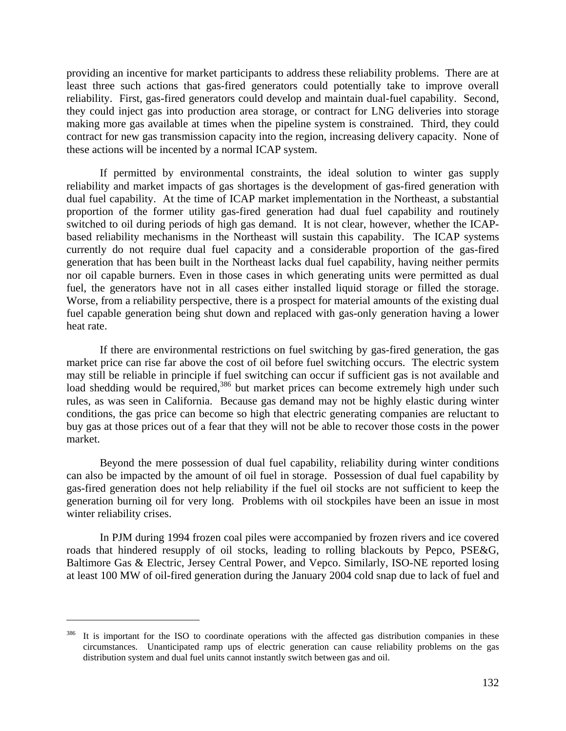providing an incentive for market participants to address these reliability problems. There are at least three such actions that gas-fired generators could potentially take to improve overall reliability. First, gas-fired generators could develop and maintain dual-fuel capability. Second, they could inject gas into production area storage, or contract for LNG deliveries into storage making more gas available at times when the pipeline system is constrained. Third, they could contract for new gas transmission capacity into the region, increasing delivery capacity. None of these actions will be incented by a normal ICAP system.

 If permitted by environmental constraints, the ideal solution to winter gas supply reliability and market impacts of gas shortages is the development of gas-fired generation with dual fuel capability. At the time of ICAP market implementation in the Northeast, a substantial proportion of the former utility gas-fired generation had dual fuel capability and routinely switched to oil during periods of high gas demand. It is not clear, however, whether the ICAPbased reliability mechanisms in the Northeast will sustain this capability. The ICAP systems currently do not require dual fuel capacity and a considerable proportion of the gas-fired generation that has been built in the Northeast lacks dual fuel capability, having neither permits nor oil capable burners. Even in those cases in which generating units were permitted as dual fuel, the generators have not in all cases either installed liquid storage or filled the storage. Worse, from a reliability perspective, there is a prospect for material amounts of the existing dual fuel capable generation being shut down and replaced with gas-only generation having a lower heat rate.

 If there are environmental restrictions on fuel switching by gas-fired generation, the gas market price can rise far above the cost of oil before fuel switching occurs. The electric system may still be reliable in principle if fuel switching can occur if sufficient gas is not available and load shedding would be required,<sup>386</sup> but market prices can become extremely high under such rules, as was seen in California. Because gas demand may not be highly elastic during winter conditions, the gas price can become so high that electric generating companies are reluctant to buy gas at those prices out of a fear that they will not be able to recover those costs in the power market.

 Beyond the mere possession of dual fuel capability, reliability during winter conditions can also be impacted by the amount of oil fuel in storage. Possession of dual fuel capability by gas-fired generation does not help reliability if the fuel oil stocks are not sufficient to keep the generation burning oil for very long. Problems with oil stockpiles have been an issue in most winter reliability crises.

 In PJM during 1994 frozen coal piles were accompanied by frozen rivers and ice covered roads that hindered resupply of oil stocks, leading to rolling blackouts by Pepco, PSE&G, Baltimore Gas & Electric, Jersey Central Power, and Vepco. Similarly, ISO-NE reported losing at least 100 MW of oil-fired generation during the January 2004 cold snap due to lack of fuel and

It is important for the ISO to coordinate operations with the affected gas distribution companies in these circumstances. Unanticipated ramp ups of electric generation can cause reliability problems on the gas distribution system and dual fuel units cannot instantly switch between gas and oil.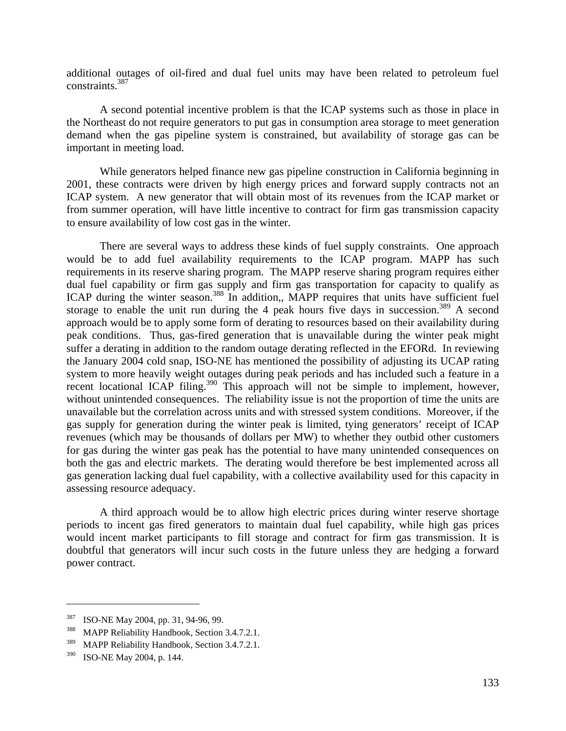additional outages of oil-fired and dual fuel units may have been related to petroleum fuel constraints.387

 A second potential incentive problem is that the ICAP systems such as those in place in the Northeast do not require generators to put gas in consumption area storage to meet generation demand when the gas pipeline system is constrained, but availability of storage gas can be important in meeting load.

 While generators helped finance new gas pipeline construction in California beginning in 2001, these contracts were driven by high energy prices and forward supply contracts not an ICAP system. A new generator that will obtain most of its revenues from the ICAP market or from summer operation, will have little incentive to contract for firm gas transmission capacity to ensure availability of low cost gas in the winter.

 There are several ways to address these kinds of fuel supply constraints. One approach would be to add fuel availability requirements to the ICAP program. MAPP has such requirements in its reserve sharing program. The MAPP reserve sharing program requires either dual fuel capability or firm gas supply and firm gas transportation for capacity to qualify as ICAP during the winter season.<sup>388</sup> In addition,, MAPP requires that units have sufficient fuel storage to enable the unit run during the 4 peak hours five days in succession.<sup>389</sup> A second approach would be to apply some form of derating to resources based on their availability during peak conditions. Thus, gas-fired generation that is unavailable during the winter peak might suffer a derating in addition to the random outage derating reflected in the EFORd. In reviewing the January 2004 cold snap, ISO-NE has mentioned the possibility of adjusting its UCAP rating system to more heavily weight outages during peak periods and has included such a feature in a recent locational ICAP filing.<sup>390</sup> This approach will not be simple to implement, however, without unintended consequences. The reliability issue is not the proportion of time the units are unavailable but the correlation across units and with stressed system conditions. Moreover, if the gas supply for generation during the winter peak is limited, tying generators' receipt of ICAP revenues (which may be thousands of dollars per MW) to whether they outbid other customers for gas during the winter gas peak has the potential to have many unintended consequences on both the gas and electric markets. The derating would therefore be best implemented across all gas generation lacking dual fuel capability, with a collective availability used for this capacity in assessing resource adequacy.

 A third approach would be to allow high electric prices during winter reserve shortage periods to incent gas fired generators to maintain dual fuel capability, while high gas prices would incent market participants to fill storage and contract for firm gas transmission. It is doubtful that generators will incur such costs in the future unless they are hedging a forward power contract.

<sup>&</sup>lt;sup>387</sup> ISO-NE May 2004, pp. 31, 94-96, 99.<br><sup>388</sup> MAPP Reliability Handbook, Section 3.4.7.2.1.

<sup>&</sup>lt;sup>389</sup> MAPP Reliability Handbook, Section 3.4.7.2.1.

<sup>390</sup> ISO-NE May 2004, p. 144.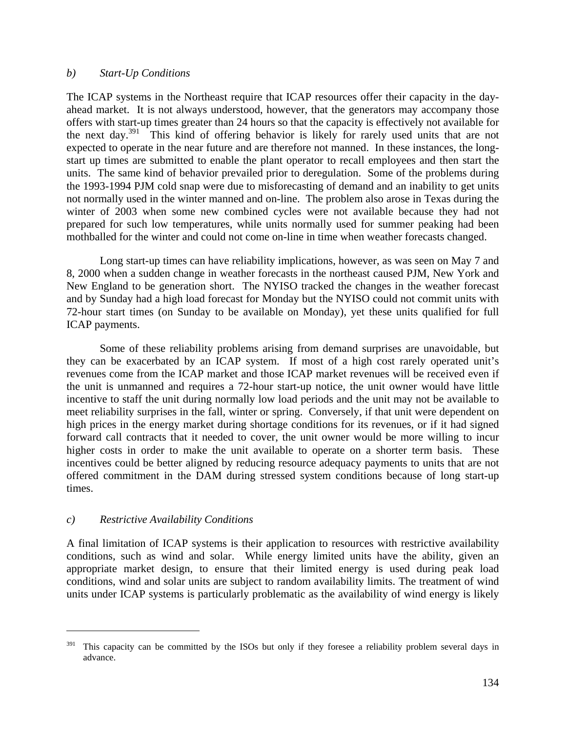#### *b) Start-Up Conditions*

The ICAP systems in the Northeast require that ICAP resources offer their capacity in the dayahead market. It is not always understood, however, that the generators may accompany those offers with start-up times greater than 24 hours so that the capacity is effectively not available for the next day.391 This kind of offering behavior is likely for rarely used units that are not expected to operate in the near future and are therefore not manned. In these instances, the longstart up times are submitted to enable the plant operator to recall employees and then start the units. The same kind of behavior prevailed prior to deregulation. Some of the problems during the 1993-1994 PJM cold snap were due to misforecasting of demand and an inability to get units not normally used in the winter manned and on-line. The problem also arose in Texas during the winter of 2003 when some new combined cycles were not available because they had not prepared for such low temperatures, while units normally used for summer peaking had been mothballed for the winter and could not come on-line in time when weather forecasts changed.

 Long start-up times can have reliability implications, however, as was seen on May 7 and 8, 2000 when a sudden change in weather forecasts in the northeast caused PJM, New York and New England to be generation short. The NYISO tracked the changes in the weather forecast and by Sunday had a high load forecast for Monday but the NYISO could not commit units with 72-hour start times (on Sunday to be available on Monday), yet these units qualified for full ICAP payments.

 Some of these reliability problems arising from demand surprises are unavoidable, but they can be exacerbated by an ICAP system. If most of a high cost rarely operated unit's revenues come from the ICAP market and those ICAP market revenues will be received even if the unit is unmanned and requires a 72-hour start-up notice, the unit owner would have little incentive to staff the unit during normally low load periods and the unit may not be available to meet reliability surprises in the fall, winter or spring. Conversely, if that unit were dependent on high prices in the energy market during shortage conditions for its revenues, or if it had signed forward call contracts that it needed to cover, the unit owner would be more willing to incur higher costs in order to make the unit available to operate on a shorter term basis. These incentives could be better aligned by reducing resource adequacy payments to units that are not offered commitment in the DAM during stressed system conditions because of long start-up times.

### *c) Restrictive Availability Conditions*

 $\overline{a}$ 

A final limitation of ICAP systems is their application to resources with restrictive availability conditions, such as wind and solar. While energy limited units have the ability, given an appropriate market design, to ensure that their limited energy is used during peak load conditions, wind and solar units are subject to random availability limits. The treatment of wind units under ICAP systems is particularly problematic as the availability of wind energy is likely

This capacity can be committed by the ISOs but only if they foresee a reliability problem several days in advance.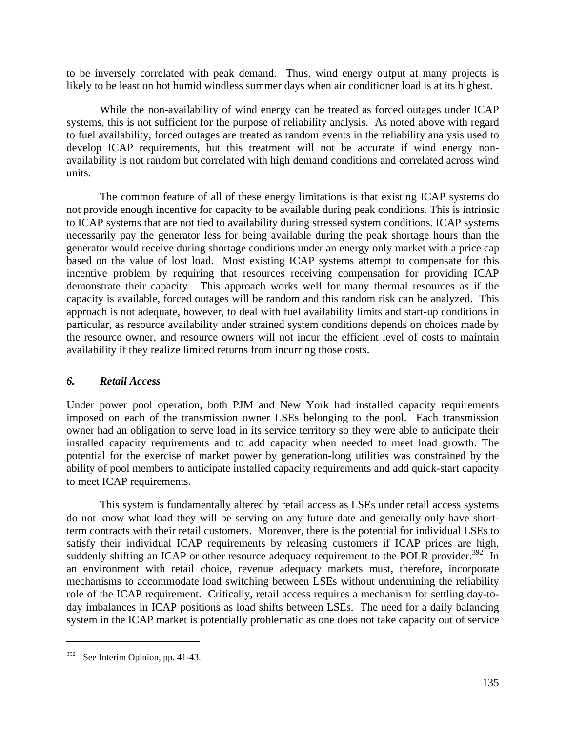to be inversely correlated with peak demand. Thus, wind energy output at many projects is likely to be least on hot humid windless summer days when air conditioner load is at its highest.

 While the non-availability of wind energy can be treated as forced outages under ICAP systems, this is not sufficient for the purpose of reliability analysis. As noted above with regard to fuel availability, forced outages are treated as random events in the reliability analysis used to develop ICAP requirements, but this treatment will not be accurate if wind energy nonavailability is not random but correlated with high demand conditions and correlated across wind units.

 The common feature of all of these energy limitations is that existing ICAP systems do not provide enough incentive for capacity to be available during peak conditions. This is intrinsic to ICAP systems that are not tied to availability during stressed system conditions. ICAP systems necessarily pay the generator less for being available during the peak shortage hours than the generator would receive during shortage conditions under an energy only market with a price cap based on the value of lost load. Most existing ICAP systems attempt to compensate for this incentive problem by requiring that resources receiving compensation for providing ICAP demonstrate their capacity. This approach works well for many thermal resources as if the capacity is available, forced outages will be random and this random risk can be analyzed. This approach is not adequate, however, to deal with fuel availability limits and start-up conditions in particular, as resource availability under strained system conditions depends on choices made by the resource owner, and resource owners will not incur the efficient level of costs to maintain availability if they realize limited returns from incurring those costs.

# *6. Retail Access*

Under power pool operation, both PJM and New York had installed capacity requirements imposed on each of the transmission owner LSEs belonging to the pool. Each transmission owner had an obligation to serve load in its service territory so they were able to anticipate their installed capacity requirements and to add capacity when needed to meet load growth. The potential for the exercise of market power by generation-long utilities was constrained by the ability of pool members to anticipate installed capacity requirements and add quick-start capacity to meet ICAP requirements.

 This system is fundamentally altered by retail access as LSEs under retail access systems do not know what load they will be serving on any future date and generally only have shortterm contracts with their retail customers. Moreover, there is the potential for individual LSEs to satisfy their individual ICAP requirements by releasing customers if ICAP prices are high, suddenly shifting an ICAP or other resource adequacy requirement to the POLR provider.<sup>392</sup> In an environment with retail choice, revenue adequacy markets must, therefore, incorporate mechanisms to accommodate load switching between LSEs without undermining the reliability role of the ICAP requirement. Critically, retail access requires a mechanism for settling day-today imbalances in ICAP positions as load shifts between LSEs. The need for a daily balancing system in the ICAP market is potentially problematic as one does not take capacity out of service

<sup>&</sup>lt;sup>392</sup> See Interim Opinion, pp. 41-43.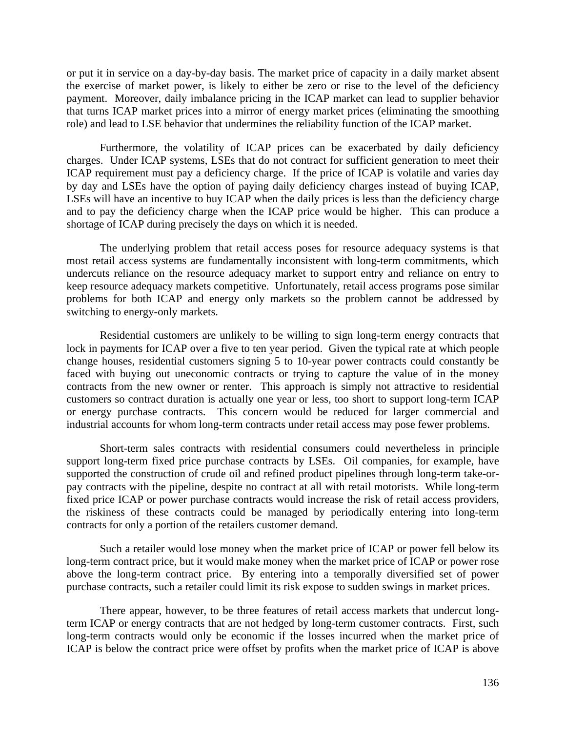or put it in service on a day-by-day basis. The market price of capacity in a daily market absent the exercise of market power, is likely to either be zero or rise to the level of the deficiency payment. Moreover, daily imbalance pricing in the ICAP market can lead to supplier behavior that turns ICAP market prices into a mirror of energy market prices (eliminating the smoothing role) and lead to LSE behavior that undermines the reliability function of the ICAP market.

 Furthermore, the volatility of ICAP prices can be exacerbated by daily deficiency charges. Under ICAP systems, LSEs that do not contract for sufficient generation to meet their ICAP requirement must pay a deficiency charge. If the price of ICAP is volatile and varies day by day and LSEs have the option of paying daily deficiency charges instead of buying ICAP, LSEs will have an incentive to buy ICAP when the daily prices is less than the deficiency charge and to pay the deficiency charge when the ICAP price would be higher. This can produce a shortage of ICAP during precisely the days on which it is needed.

 The underlying problem that retail access poses for resource adequacy systems is that most retail access systems are fundamentally inconsistent with long-term commitments, which undercuts reliance on the resource adequacy market to support entry and reliance on entry to keep resource adequacy markets competitive. Unfortunately, retail access programs pose similar problems for both ICAP and energy only markets so the problem cannot be addressed by switching to energy-only markets.

 Residential customers are unlikely to be willing to sign long-term energy contracts that lock in payments for ICAP over a five to ten year period. Given the typical rate at which people change houses, residential customers signing 5 to 10-year power contracts could constantly be faced with buying out uneconomic contracts or trying to capture the value of in the money contracts from the new owner or renter. This approach is simply not attractive to residential customers so contract duration is actually one year or less, too short to support long-term ICAP or energy purchase contracts. This concern would be reduced for larger commercial and industrial accounts for whom long-term contracts under retail access may pose fewer problems.

 Short-term sales contracts with residential consumers could nevertheless in principle support long-term fixed price purchase contracts by LSEs. Oil companies, for example, have supported the construction of crude oil and refined product pipelines through long-term take-orpay contracts with the pipeline, despite no contract at all with retail motorists. While long-term fixed price ICAP or power purchase contracts would increase the risk of retail access providers, the riskiness of these contracts could be managed by periodically entering into long-term contracts for only a portion of the retailers customer demand.

 Such a retailer would lose money when the market price of ICAP or power fell below its long-term contract price, but it would make money when the market price of ICAP or power rose above the long-term contract price. By entering into a temporally diversified set of power purchase contracts, such a retailer could limit its risk expose to sudden swings in market prices.

 There appear, however, to be three features of retail access markets that undercut longterm ICAP or energy contracts that are not hedged by long-term customer contracts. First, such long-term contracts would only be economic if the losses incurred when the market price of ICAP is below the contract price were offset by profits when the market price of ICAP is above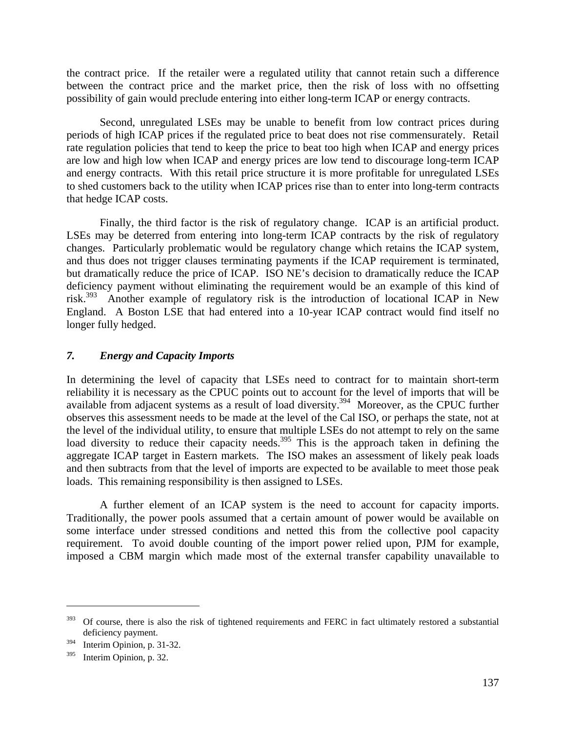the contract price. If the retailer were a regulated utility that cannot retain such a difference between the contract price and the market price, then the risk of loss with no offsetting possibility of gain would preclude entering into either long-term ICAP or energy contracts.

 Second, unregulated LSEs may be unable to benefit from low contract prices during periods of high ICAP prices if the regulated price to beat does not rise commensurately. Retail rate regulation policies that tend to keep the price to beat too high when ICAP and energy prices are low and high low when ICAP and energy prices are low tend to discourage long-term ICAP and energy contracts. With this retail price structure it is more profitable for unregulated LSEs to shed customers back to the utility when ICAP prices rise than to enter into long-term contracts that hedge ICAP costs.

 Finally, the third factor is the risk of regulatory change. ICAP is an artificial product. LSEs may be deterred from entering into long-term ICAP contracts by the risk of regulatory changes. Particularly problematic would be regulatory change which retains the ICAP system, and thus does not trigger clauses terminating payments if the ICAP requirement is terminated, but dramatically reduce the price of ICAP. ISO NE's decision to dramatically reduce the ICAP deficiency payment without eliminating the requirement would be an example of this kind of risk.<sup>393</sup> Another example of regulatory risk is the introduction of locational ICAP in New England. A Boston LSE that had entered into a 10-year ICAP contract would find itself no longer fully hedged.

### *7. Energy and Capacity Imports*

In determining the level of capacity that LSEs need to contract for to maintain short-term reliability it is necessary as the CPUC points out to account for the level of imports that will be available from adjacent systems as a result of load diversity.<sup>394</sup> Moreover, as the CPUC further observes this assessment needs to be made at the level of the Cal ISO, or perhaps the state, not at the level of the individual utility, to ensure that multiple LSEs do not attempt to rely on the same load diversity to reduce their capacity needs.<sup>395</sup> This is the approach taken in defining the aggregate ICAP target in Eastern markets. The ISO makes an assessment of likely peak loads and then subtracts from that the level of imports are expected to be available to meet those peak loads. This remaining responsibility is then assigned to LSEs.

 A further element of an ICAP system is the need to account for capacity imports. Traditionally, the power pools assumed that a certain amount of power would be available on some interface under stressed conditions and netted this from the collective pool capacity requirement. To avoid double counting of the import power relied upon, PJM for example, imposed a CBM margin which made most of the external transfer capability unavailable to

<u>.</u>

 $393$  Of course, there is also the risk of tightened requirements and FERC in fact ultimately restored a substantial deficiency payment.

<sup>394</sup> Interim Opinion, p. 31-32.

<sup>395</sup> Interim Opinion, p. 32.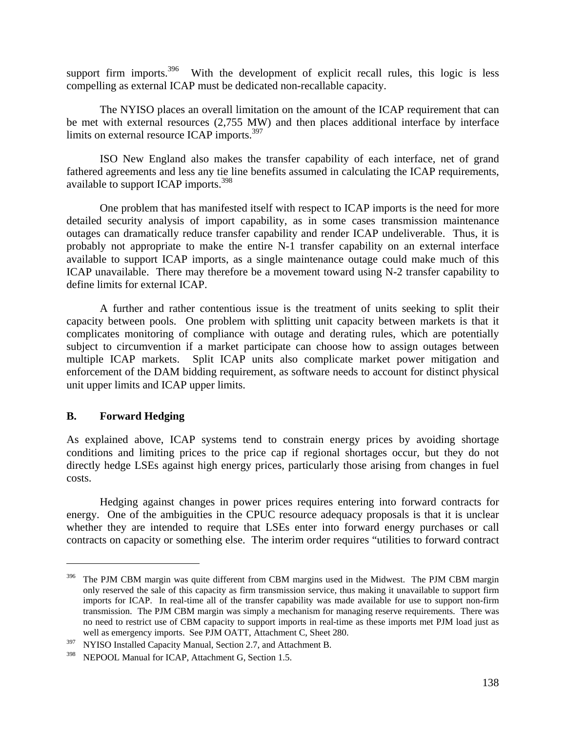support firm imports.<sup>396</sup> With the development of explicit recall rules, this logic is less compelling as external ICAP must be dedicated non-recallable capacity.

 The NYISO places an overall limitation on the amount of the ICAP requirement that can be met with external resources (2,755 MW) and then places additional interface by interface limits on external resource ICAP imports.<sup>397</sup>

 ISO New England also makes the transfer capability of each interface, net of grand fathered agreements and less any tie line benefits assumed in calculating the ICAP requirements, available to support ICAP imports.<sup>398</sup>

 One problem that has manifested itself with respect to ICAP imports is the need for more detailed security analysis of import capability, as in some cases transmission maintenance outages can dramatically reduce transfer capability and render ICAP undeliverable. Thus, it is probably not appropriate to make the entire N-1 transfer capability on an external interface available to support ICAP imports, as a single maintenance outage could make much of this ICAP unavailable. There may therefore be a movement toward using N-2 transfer capability to define limits for external ICAP.

 A further and rather contentious issue is the treatment of units seeking to split their capacity between pools. One problem with splitting unit capacity between markets is that it complicates monitoring of compliance with outage and derating rules, which are potentially subject to circumvention if a market participate can choose how to assign outages between multiple ICAP markets. Split ICAP units also complicate market power mitigation and enforcement of the DAM bidding requirement, as software needs to account for distinct physical unit upper limits and ICAP upper limits.

### **B. Forward Hedging**

 $\overline{a}$ 

As explained above, ICAP systems tend to constrain energy prices by avoiding shortage conditions and limiting prices to the price cap if regional shortages occur, but they do not directly hedge LSEs against high energy prices, particularly those arising from changes in fuel costs.

 Hedging against changes in power prices requires entering into forward contracts for energy. One of the ambiguities in the CPUC resource adequacy proposals is that it is unclear whether they are intended to require that LSEs enter into forward energy purchases or call contracts on capacity or something else. The interim order requires "utilities to forward contract

<sup>&</sup>lt;sup>396</sup> The PJM CBM margin was quite different from CBM margins used in the Midwest. The PJM CBM margin only reserved the sale of this capacity as firm transmission service, thus making it unavailable to support firm imports for ICAP. In real-time all of the transfer capability was made available for use to support non-firm transmission. The PJM CBM margin was simply a mechanism for managing reserve requirements. There was no need to restrict use of CBM capacity to support imports in real-time as these imports met PJM load just as well as emergency imports. See PJM OATT, Attachment C, Sheet 280.

<sup>&</sup>lt;sup>397</sup> NYISO Installed Capacity Manual, Section 2.7, and Attachment B.

<sup>398</sup> NEPOOL Manual for ICAP, Attachment G, Section 1.5.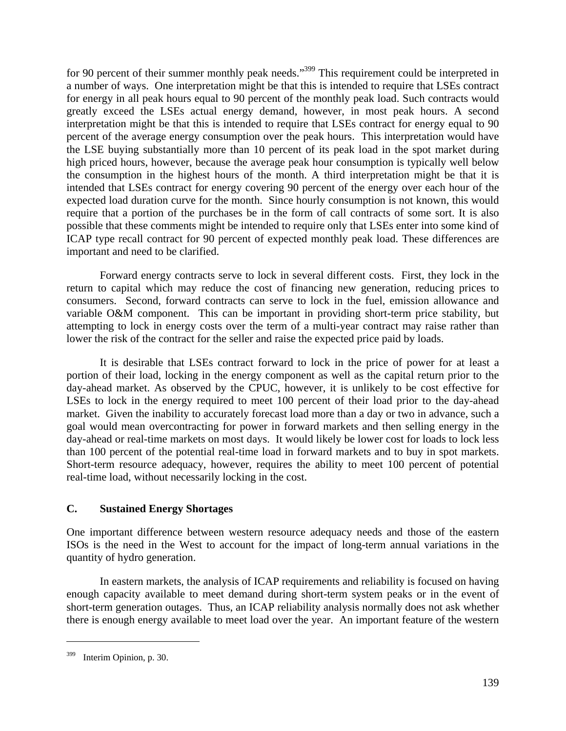for 90 percent of their summer monthly peak needs."<sup>399</sup> This requirement could be interpreted in a number of ways. One interpretation might be that this is intended to require that LSEs contract for energy in all peak hours equal to 90 percent of the monthly peak load. Such contracts would greatly exceed the LSEs actual energy demand, however, in most peak hours. A second interpretation might be that this is intended to require that LSEs contract for energy equal to 90 percent of the average energy consumption over the peak hours. This interpretation would have the LSE buying substantially more than 10 percent of its peak load in the spot market during high priced hours, however, because the average peak hour consumption is typically well below the consumption in the highest hours of the month. A third interpretation might be that it is intended that LSEs contract for energy covering 90 percent of the energy over each hour of the expected load duration curve for the month. Since hourly consumption is not known, this would require that a portion of the purchases be in the form of call contracts of some sort. It is also possible that these comments might be intended to require only that LSEs enter into some kind of ICAP type recall contract for 90 percent of expected monthly peak load. These differences are important and need to be clarified.

 Forward energy contracts serve to lock in several different costs. First, they lock in the return to capital which may reduce the cost of financing new generation, reducing prices to consumers. Second, forward contracts can serve to lock in the fuel, emission allowance and variable O&M component. This can be important in providing short-term price stability, but attempting to lock in energy costs over the term of a multi-year contract may raise rather than lower the risk of the contract for the seller and raise the expected price paid by loads.

 It is desirable that LSEs contract forward to lock in the price of power for at least a portion of their load, locking in the energy component as well as the capital return prior to the day-ahead market. As observed by the CPUC, however, it is unlikely to be cost effective for LSEs to lock in the energy required to meet 100 percent of their load prior to the day-ahead market. Given the inability to accurately forecast load more than a day or two in advance, such a goal would mean overcontracting for power in forward markets and then selling energy in the day-ahead or real-time markets on most days. It would likely be lower cost for loads to lock less than 100 percent of the potential real-time load in forward markets and to buy in spot markets. Short-term resource adequacy, however, requires the ability to meet 100 percent of potential real-time load, without necessarily locking in the cost.

# **C. Sustained Energy Shortages**

One important difference between western resource adequacy needs and those of the eastern ISOs is the need in the West to account for the impact of long-term annual variations in the quantity of hydro generation.

 In eastern markets, the analysis of ICAP requirements and reliability is focused on having enough capacity available to meet demand during short-term system peaks or in the event of short-term generation outages. Thus, an ICAP reliability analysis normally does not ask whether there is enough energy available to meet load over the year. An important feature of the western

<sup>399</sup> Interim Opinion, p. 30.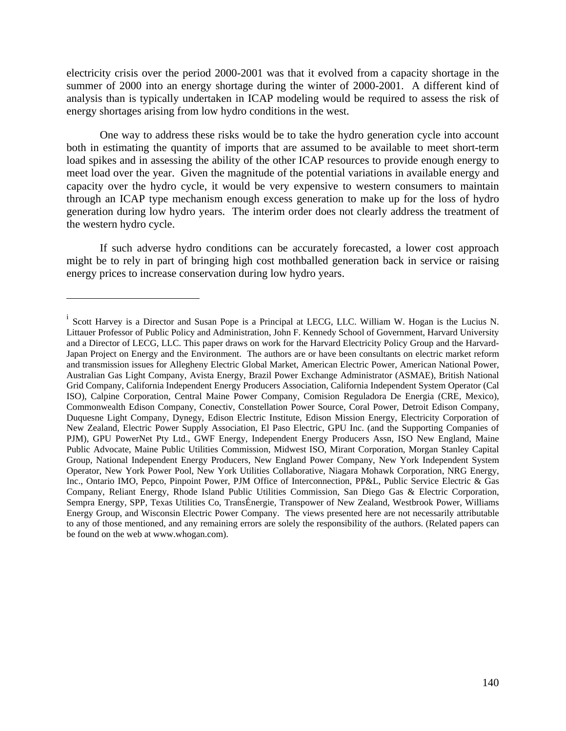electricity crisis over the period 2000-2001 was that it evolved from a capacity shortage in the summer of 2000 into an energy shortage during the winter of 2000-2001. A different kind of analysis than is typically undertaken in ICAP modeling would be required to assess the risk of energy shortages arising from low hydro conditions in the west.

 One way to address these risks would be to take the hydro generation cycle into account both in estimating the quantity of imports that are assumed to be available to meet short-term load spikes and in assessing the ability of the other ICAP resources to provide enough energy to meet load over the year. Given the magnitude of the potential variations in available energy and capacity over the hydro cycle, it would be very expensive to western consumers to maintain through an ICAP type mechanism enough excess generation to make up for the loss of hydro generation during low hydro years. The interim order does not clearly address the treatment of the western hydro cycle.

 If such adverse hydro conditions can be accurately forecasted, a lower cost approach might be to rely in part of bringing high cost mothballed generation back in service or raising energy prices to increase conservation during low hydro years.

<sup>&</sup>lt;sup>i</sup> Scott Harvey is a Director and Susan Pope is a Principal at LECG, LLC. William W. Hogan is the Lucius N. Littauer Professor of Public Policy and Administration, John F. Kennedy School of Government, Harvard University and a Director of LECG, LLC. This paper draws on work for the Harvard Electricity Policy Group and the Harvard-Japan Project on Energy and the Environment. The authors are or have been consultants on electric market reform and transmission issues for Allegheny Electric Global Market, American Electric Power, American National Power, Australian Gas Light Company, Avista Energy, Brazil Power Exchange Administrator (ASMAE), British National Grid Company, California Independent Energy Producers Association, California Independent System Operator (Cal ISO), Calpine Corporation, Central Maine Power Company, Comision Reguladora De Energia (CRE, Mexico), Commonwealth Edison Company, Conectiv, Constellation Power Source, Coral Power, Detroit Edison Company, Duquesne Light Company, Dynegy, Edison Electric Institute, Edison Mission Energy, Electricity Corporation of New Zealand, Electric Power Supply Association, El Paso Electric, GPU Inc. (and the Supporting Companies of PJM), GPU PowerNet Pty Ltd., GWF Energy, Independent Energy Producers Assn, ISO New England, Maine Public Advocate, Maine Public Utilities Commission, Midwest ISO, Mirant Corporation, Morgan Stanley Capital Group, National Independent Energy Producers, New England Power Company, New York Independent System Operator, New York Power Pool, New York Utilities Collaborative, Niagara Mohawk Corporation, NRG Energy, Inc., Ontario IMO, Pepco, Pinpoint Power, PJM Office of Interconnection, PP&L, Public Service Electric & Gas Company, Reliant Energy, Rhode Island Public Utilities Commission, San Diego Gas & Electric Corporation, Sempra Energy, SPP, Texas Utilities Co, TransÉnergie, Transpower of New Zealand, Westbrook Power, Williams Energy Group, and Wisconsin Electric Power Company. The views presented here are not necessarily attributable to any of those mentioned, and any remaining errors are solely the responsibility of the authors. (Related papers can be found on the web at www.whogan.com).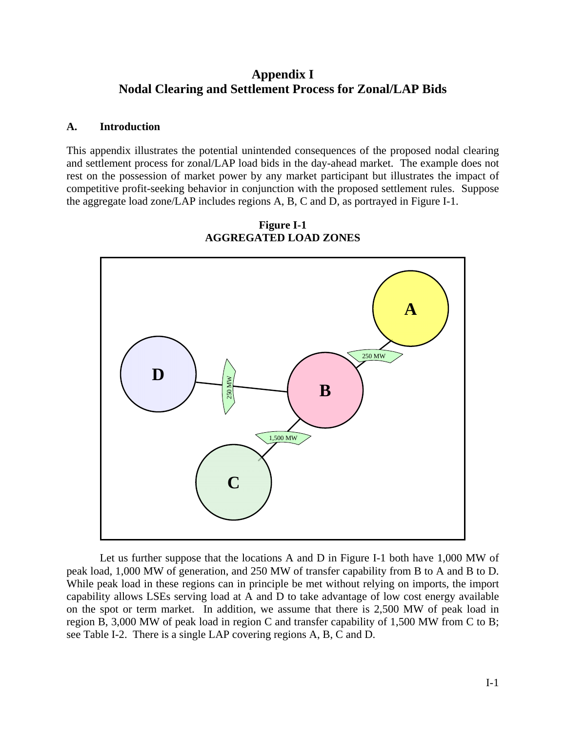# **Appendix I Nodal Clearing and Settlement Process for Zonal/LAP Bids**

### **A. Introduction**

This appendix illustrates the potential unintended consequences of the proposed nodal clearing and settlement process for zonal/LAP load bids in the day-ahead market. The example does not rest on the possession of market power by any market participant but illustrates the impact of competitive profit-seeking behavior in conjunction with the proposed settlement rules. Suppose the aggregate load zone/LAP includes regions A, B, C and D, as portrayed in Figure I-1.



**Figure I-1 AGGREGATED LOAD ZONES** 

 Let us further suppose that the locations A and D in Figure I-1 both have 1,000 MW of peak load, 1,000 MW of generation, and 250 MW of transfer capability from B to A and B to D. While peak load in these regions can in principle be met without relying on imports, the import capability allows LSEs serving load at A and D to take advantage of low cost energy available on the spot or term market. In addition, we assume that there is 2,500 MW of peak load in region B, 3,000 MW of peak load in region C and transfer capability of 1,500 MW from C to B; see Table I-2. There is a single LAP covering regions A, B, C and D.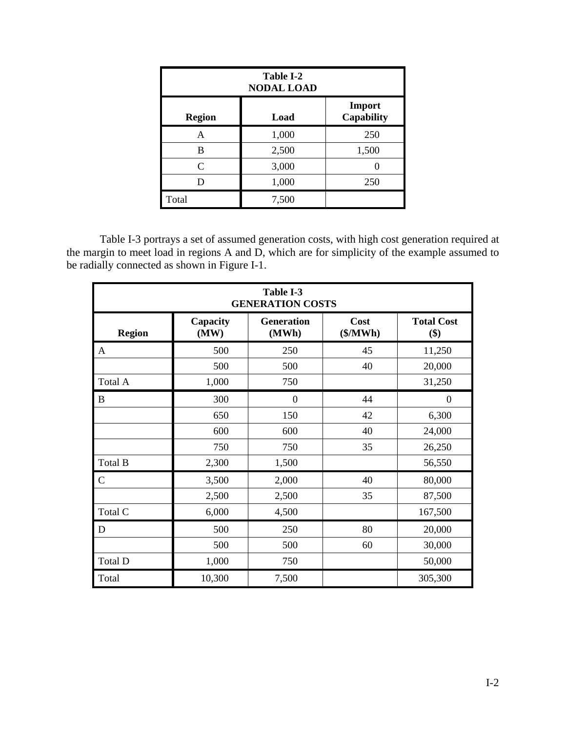| Table I-2<br><b>NODAL LOAD</b> |       |                             |  |  |  |  |
|--------------------------------|-------|-----------------------------|--|--|--|--|
| <b>Region</b>                  | Load  | Import<br><b>Capability</b> |  |  |  |  |
| А                              | 1,000 | 250                         |  |  |  |  |
| B                              | 2,500 | 1,500                       |  |  |  |  |
| $\mathsf{C}$                   | 3,000 |                             |  |  |  |  |
|                                | 1,000 | 250                         |  |  |  |  |
| Total                          | 7,500 |                             |  |  |  |  |

 Table I-3 portrays a set of assumed generation costs, with high cost generation required at the margin to meet load in regions A and D, which are for simplicity of the example assumed to be radially connected as shown in Figure I-1.

| Table I-3<br><b>GENERATION COSTS</b> |                  |                            |                  |                          |  |  |  |  |  |
|--------------------------------------|------------------|----------------------------|------------------|--------------------------|--|--|--|--|--|
| <b>Region</b>                        | Capacity<br>(MW) | <b>Generation</b><br>(MWh) | Cost<br>(\$/MWh) | <b>Total Cost</b><br>\$) |  |  |  |  |  |
| A                                    | 500              | 250                        | 45               | 11,250                   |  |  |  |  |  |
|                                      | 500              | 500                        | 40               | 20,000                   |  |  |  |  |  |
| Total A                              | 1,000            | 750                        |                  | 31,250                   |  |  |  |  |  |
| B                                    | 300              | $\boldsymbol{0}$           | 44               | $\boldsymbol{0}$         |  |  |  |  |  |
|                                      | 650              | 150                        | 42               | 6,300                    |  |  |  |  |  |
|                                      | 600              | 600                        | 40               | 24,000                   |  |  |  |  |  |
|                                      | 750              | 750                        | 35               | 26,250                   |  |  |  |  |  |
| Total B                              | 2,300            | 1,500                      |                  | 56,550                   |  |  |  |  |  |
| $\mathsf{C}$                         | 3,500            | 2,000                      | 40               | 80,000                   |  |  |  |  |  |
|                                      | 2,500            | 2,500                      | 35               | 87,500                   |  |  |  |  |  |
| Total C                              | 6,000            | 4,500                      |                  | 167,500                  |  |  |  |  |  |
| D                                    | 500              | 250                        | 80               | 20,000                   |  |  |  |  |  |
|                                      | 500              | 500                        | 60               | 30,000                   |  |  |  |  |  |
| Total D                              | 1,000            | 750                        |                  | 50,000                   |  |  |  |  |  |
| Total                                | 10,300           | 7,500                      |                  | 305,300                  |  |  |  |  |  |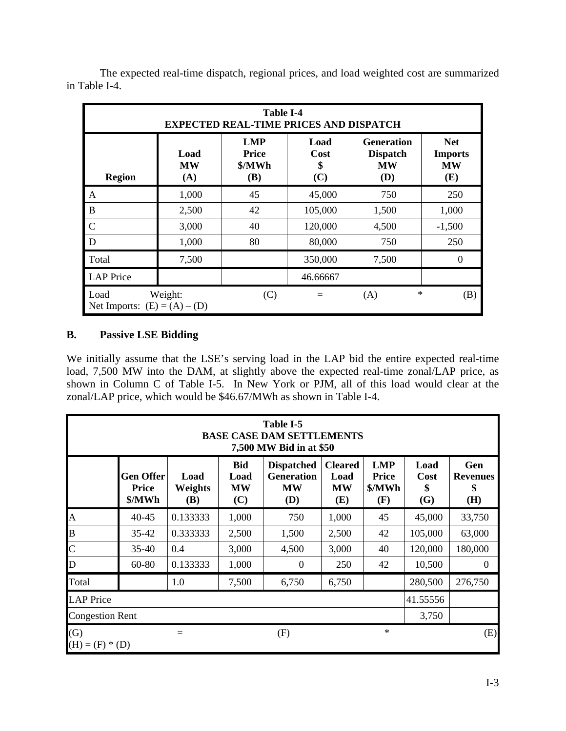| <b>Table I-4</b><br><b>EXPECTED REAL-TIME PRICES AND DISPATCH</b> |                                                                                 |                                                    |                           |                                                   |                                                  |  |  |  |  |  |
|-------------------------------------------------------------------|---------------------------------------------------------------------------------|----------------------------------------------------|---------------------------|---------------------------------------------------|--------------------------------------------------|--|--|--|--|--|
| <b>Region</b>                                                     | Load<br><b>MW</b><br>(A)                                                        | <b>LMP</b><br><b>Price</b><br>\$/MWh<br><b>(B)</b> | Load<br>Cost<br>\$<br>(C) | <b>Generation</b><br><b>Dispatch</b><br>MW<br>(D) | <b>Net</b><br><b>Imports</b><br><b>MW</b><br>(E) |  |  |  |  |  |
| $\mathbf{A}$                                                      | 1,000                                                                           | 45                                                 | 45,000                    | 750                                               | 250                                              |  |  |  |  |  |
| $\bf{B}$                                                          | 2,500                                                                           | 42                                                 | 105,000                   | 1,500                                             | 1,000                                            |  |  |  |  |  |
| $\mathcal{C}$                                                     | 3,000                                                                           | 40                                                 | 120,000                   | 4,500                                             | $-1,500$                                         |  |  |  |  |  |
| D                                                                 | 1,000                                                                           | 80                                                 | 80,000                    | 750                                               | 250                                              |  |  |  |  |  |
| Total                                                             | 7,500                                                                           |                                                    | 350,000                   | 7,500                                             |                                                  |  |  |  |  |  |
| <b>LAP</b> Price                                                  |                                                                                 |                                                    | 46.66667                  |                                                   |                                                  |  |  |  |  |  |
| Load                                                              | $\ast$<br>Weight:<br>(C)<br>(B)<br>(A)<br>$=$<br>Net Imports: $(E) = (A) - (D)$ |                                                    |                           |                                                   |                                                  |  |  |  |  |  |

 The expected real-time dispatch, regional prices, and load weighted cost are summarized in Table I-4.

# **B. Passive LSE Bidding**

We initially assume that the LSE's serving load in the LAP bid the entire expected real-time load, 7,500 MW into the DAM, at slightly above the expected real-time zonal/LAP price, as shown in Column C of Table I-5. In New York or PJM, all of this load would clear at the zonal/LAP price, which would be \$46.67/MWh as shown in Table I-4.

|                          | Table I-5<br><b>BASE CASE DAM SETTLEMENTS</b><br>7,500 MW Bid in at \$50 |                               |                                        |                                                            |                                            |                                             |                           |                                     |  |  |  |
|--------------------------|--------------------------------------------------------------------------|-------------------------------|----------------------------------------|------------------------------------------------------------|--------------------------------------------|---------------------------------------------|---------------------------|-------------------------------------|--|--|--|
|                          | <b>Gen Offer</b><br><b>Price</b><br>\$/MWh                               | Load<br>Weights<br><b>(B)</b> | <b>Bid</b><br>Load<br><b>MW</b><br>(C) | <b>Dispatched</b><br><b>Generation</b><br><b>MW</b><br>(D) | <b>Cleared</b><br>Load<br><b>MW</b><br>(E) | <b>LMP</b><br><b>Price</b><br>\$/MWh<br>(F) | Load<br>Cost<br>\$<br>(G) | Gen<br><b>Revenues</b><br>\$<br>(H) |  |  |  |
| $\overline{A}$           | 40-45                                                                    | 0.133333                      | 1,000                                  | 750                                                        | 1,000                                      | 45                                          | 45,000                    | 33,750                              |  |  |  |
| B                        | $35 - 42$                                                                | 0.333333                      | 2,500                                  | 1,500                                                      | 2,500                                      | 42                                          | 105,000                   | 63,000                              |  |  |  |
| $\mathbf C$              | $35 - 40$                                                                | 0.4                           | 3,000                                  | 4,500                                                      | 3,000                                      | 40                                          | 120,000                   | 180,000                             |  |  |  |
| D                        | 60-80                                                                    | 0.133333                      | 1,000                                  | $\theta$                                                   | 250                                        | 42                                          | 10,500                    | $\overline{0}$                      |  |  |  |
| Total                    |                                                                          | 1.0                           | 7,500                                  | 6,750                                                      | 6,750                                      |                                             | 280,500                   | 276,750                             |  |  |  |
| <b>LAP</b> Price         |                                                                          |                               |                                        |                                                            |                                            |                                             | 41.55556                  |                                     |  |  |  |
| <b>Congestion Rent</b>   |                                                                          |                               |                                        |                                                            |                                            |                                             | 3,750                     |                                     |  |  |  |
| (G)<br>$(H) = (F) * (D)$ |                                                                          |                               |                                        | (F)                                                        |                                            | $\ast$                                      |                           | (E)                                 |  |  |  |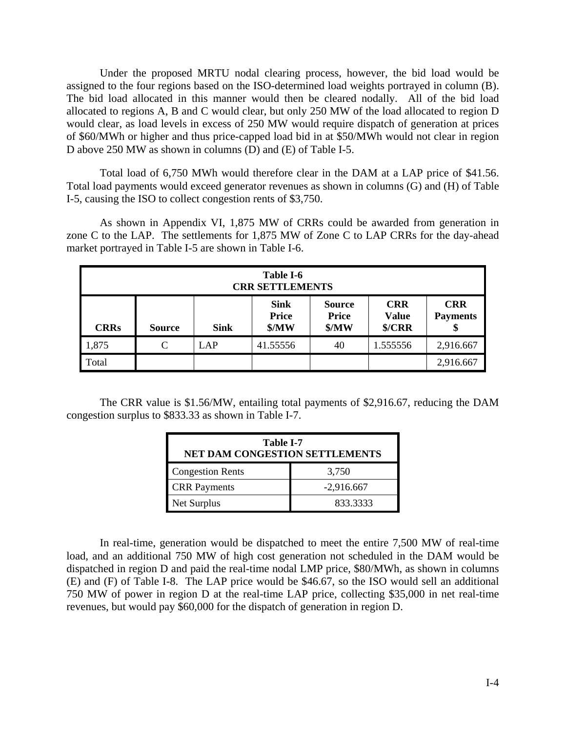Under the proposed MRTU nodal clearing process, however, the bid load would be assigned to the four regions based on the ISO-determined load weights portrayed in column (B). The bid load allocated in this manner would then be cleared nodally. All of the bid load allocated to regions A, B and C would clear, but only 250 MW of the load allocated to region D would clear, as load levels in excess of 250 MW would require dispatch of generation at prices of \$60/MWh or higher and thus price-capped load bid in at \$50/MWh would not clear in region D above 250 MW as shown in columns (D) and (E) of Table I-5.

 Total load of 6,750 MWh would therefore clear in the DAM at a LAP price of \$41.56. Total load payments would exceed generator revenues as shown in columns (G) and (H) of Table I-5, causing the ISO to collect congestion rents of \$3,750.

 As shown in Appendix VI, 1,875 MW of CRRs could be awarded from generation in zone C to the LAP. The settlements for 1,875 MW of Zone C to LAP CRRs for the day-ahead market portrayed in Table I-5 are shown in Table I-6.

| Table I-6<br><b>CRR SETTLEMENTS</b> |                                                                                                                                                                                   |     |          |    |          |           |  |  |
|-------------------------------------|-----------------------------------------------------------------------------------------------------------------------------------------------------------------------------------|-----|----------|----|----------|-----------|--|--|
| <b>CRRs</b>                         | <b>CRR</b><br><b>Sink</b><br><b>CRR</b><br><b>Source</b><br><b>Price</b><br><b>Price</b><br><b>Payments</b><br><b>Value</b><br>MW<br>\$/CRR<br>MW<br><b>Sink</b><br><b>Source</b> |     |          |    |          |           |  |  |
| 1,875                               | C                                                                                                                                                                                 | LAP | 41.55556 | 40 | 1.555556 | 2,916.667 |  |  |
| Total                               |                                                                                                                                                                                   |     |          |    |          | 2,916.667 |  |  |

 The CRR value is \$1.56/MW, entailing total payments of \$2,916.67, reducing the DAM congestion surplus to \$833.33 as shown in Table I-7.

| Table I-7<br><b>NET DAM CONGESTION SETTLEMENTS</b> |              |  |  |  |  |  |
|----------------------------------------------------|--------------|--|--|--|--|--|
| <b>Congestion Rents</b>                            | 3,750        |  |  |  |  |  |
| <b>CRR</b> Payments                                | $-2,916.667$ |  |  |  |  |  |
| Net Surplus                                        | 833.3333     |  |  |  |  |  |

 In real-time, generation would be dispatched to meet the entire 7,500 MW of real-time load, and an additional 750 MW of high cost generation not scheduled in the DAM would be dispatched in region D and paid the real-time nodal LMP price, \$80/MWh, as shown in columns (E) and (F) of Table I-8. The LAP price would be \$46.67, so the ISO would sell an additional 750 MW of power in region D at the real-time LAP price, collecting \$35,000 in net real-time revenues, but would pay \$60,000 for the dispatch of generation in region D.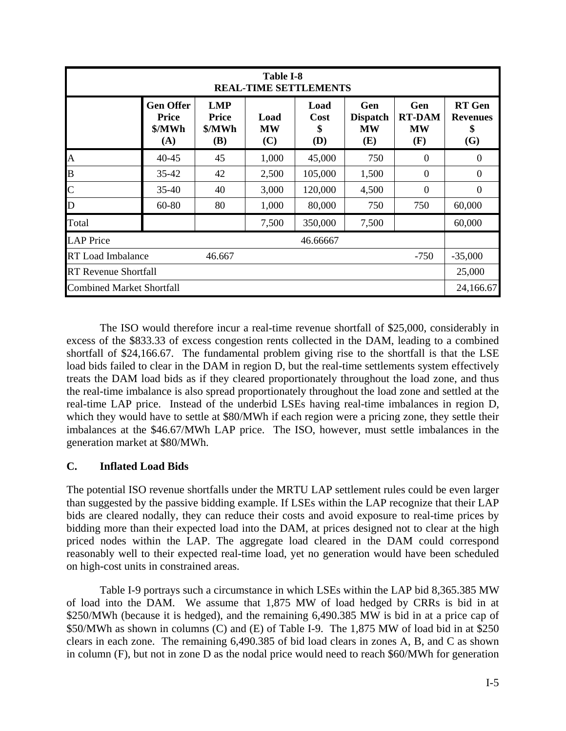|                                              | <b>Table I-8</b><br><b>REAL-TIME SETTLEMENTS</b>  |                                             |                          |                                  |                                            |                                          |                                               |  |  |  |  |  |
|----------------------------------------------|---------------------------------------------------|---------------------------------------------|--------------------------|----------------------------------|--------------------------------------------|------------------------------------------|-----------------------------------------------|--|--|--|--|--|
|                                              | <b>Gen Offer</b><br><b>Price</b><br>\$/MWh<br>(A) | <b>LMP</b><br><b>Price</b><br>\$/MWh<br>(B) | Load<br><b>MW</b><br>(C) | Load<br><b>Cost</b><br>\$<br>(D) | Gen<br><b>Dispatch</b><br><b>MW</b><br>(E) | Gen<br><b>RT-DAM</b><br><b>MW</b><br>(F) | <b>RT</b> Gen<br><b>Revenues</b><br>\$<br>(G) |  |  |  |  |  |
| A                                            | 40-45                                             | 45                                          | 1,000                    | 45,000                           | 750                                        | $\Omega$                                 | $\theta$                                      |  |  |  |  |  |
| B                                            | $35 - 42$                                         | 42                                          | 2,500                    | 105,000                          | 1,500                                      | $\Omega$                                 | $\Omega$                                      |  |  |  |  |  |
| $\mathsf{C}$                                 | $35 - 40$                                         | 40                                          | 3,000                    | 120,000                          | 4,500                                      | $\theta$                                 | 0                                             |  |  |  |  |  |
| D                                            | 60-80                                             | 80                                          | 1,000                    | 80,000                           | 750                                        | 750                                      | 60,000                                        |  |  |  |  |  |
| Total                                        |                                                   |                                             | 7,500                    | 350,000                          | 7,500                                      |                                          | 60,000                                        |  |  |  |  |  |
| <b>LAP</b> Price                             |                                                   |                                             |                          | 46.66667                         |                                            |                                          |                                               |  |  |  |  |  |
| <b>RT</b> Load Imbalance<br>$-750$<br>46.667 |                                                   |                                             |                          |                                  |                                            |                                          |                                               |  |  |  |  |  |
| <b>RT</b> Revenue Shortfall                  |                                                   |                                             |                          |                                  |                                            |                                          |                                               |  |  |  |  |  |
| <b>Combined Market Shortfall</b>             |                                                   |                                             |                          |                                  |                                            |                                          | 24,166.67                                     |  |  |  |  |  |

 The ISO would therefore incur a real-time revenue shortfall of \$25,000, considerably in excess of the \$833.33 of excess congestion rents collected in the DAM, leading to a combined shortfall of \$24,166.67. The fundamental problem giving rise to the shortfall is that the LSE load bids failed to clear in the DAM in region D, but the real-time settlements system effectively treats the DAM load bids as if they cleared proportionately throughout the load zone, and thus the real-time imbalance is also spread proportionately throughout the load zone and settled at the real-time LAP price. Instead of the underbid LSEs having real-time imbalances in region D, which they would have to settle at \$80/MWh if each region were a pricing zone, they settle their imbalances at the \$46.67/MWh LAP price. The ISO, however, must settle imbalances in the generation market at \$80/MWh.

## **C. Inflated Load Bids**

The potential ISO revenue shortfalls under the MRTU LAP settlement rules could be even larger than suggested by the passive bidding example. If LSEs within the LAP recognize that their LAP bids are cleared nodally, they can reduce their costs and avoid exposure to real-time prices by bidding more than their expected load into the DAM, at prices designed not to clear at the high priced nodes within the LAP. The aggregate load cleared in the DAM could correspond reasonably well to their expected real-time load, yet no generation would have been scheduled on high-cost units in constrained areas.

 Table I-9 portrays such a circumstance in which LSEs within the LAP bid 8,365.385 MW of load into the DAM. We assume that 1,875 MW of load hedged by CRRs is bid in at \$250/MWh (because it is hedged), and the remaining 6,490.385 MW is bid in at a price cap of \$50/MWh as shown in columns (C) and (E) of Table I-9. The 1,875 MW of load bid in at \$250 clears in each zone. The remaining 6,490.385 of bid load clears in zones A, B, and C as shown in column (F), but not in zone D as the nodal price would need to reach \$60/MWh for generation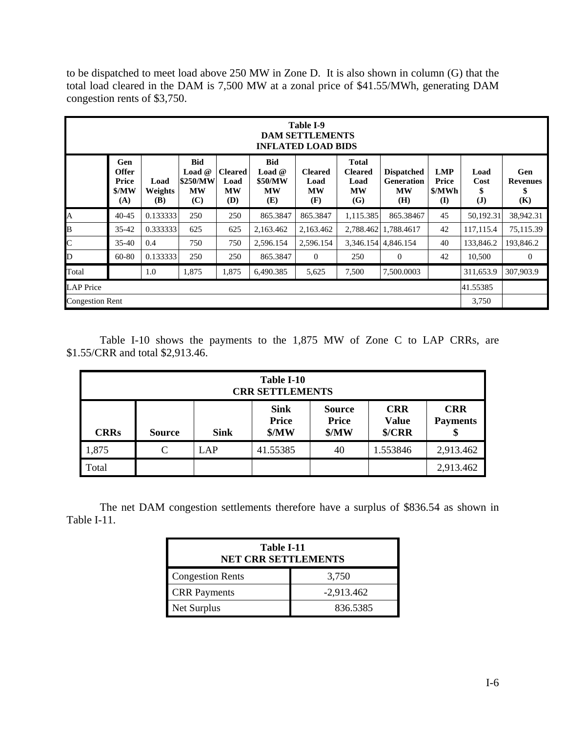to be dispatched to meet load above 250 MW in Zone D. It is also shown in column (G) that the total load cleared in the DAM is 7,500 MW at a zonal price of \$41.55/MWh, generating DAM congestion rents of \$3,750.

|                        | Table I-9<br><b>DAM SETTLEMENTS</b><br><b>INFLATED LOAD BIDS</b> |                               |                                                 |                                            |                                                              |                                     |                                                            |                                                            |                                           |                                    |                                     |
|------------------------|------------------------------------------------------------------|-------------------------------|-------------------------------------------------|--------------------------------------------|--------------------------------------------------------------|-------------------------------------|------------------------------------------------------------|------------------------------------------------------------|-------------------------------------------|------------------------------------|-------------------------------------|
|                        | Gen<br><b>Offer</b><br>Price<br>\$/MW<br>(A)                     | Load<br>Weights<br><b>(B)</b> | <b>Bid</b><br>Load $@$<br>\$250/MW<br>MW<br>(C) | <b>Cleared</b><br>Load<br><b>MW</b><br>(D) | <b>Bid</b><br><b>Load</b> $@$<br>\$50/MW<br><b>MW</b><br>(E) | <b>Cleared</b><br>Load<br>MW<br>(F) | <b>Total</b><br><b>Cleared</b><br>Load<br><b>MW</b><br>(G) | <b>Dispatched</b><br><b>Generation</b><br><b>MW</b><br>(H) | <b>LMP</b><br>Price<br>\$/MWh<br>$\bf(I)$ | Load<br>Cost<br>\$<br>$\mathbf{J}$ | Gen<br><b>Revenues</b><br>\$<br>(K) |
| $\overline{A}$         | $40 - 45$                                                        | 0.133333                      | 250                                             | 250                                        | 865.3847                                                     | 865.3847                            | 1,115.385                                                  | 865.38467                                                  | 45                                        | 50,192.31                          | 38,942.31                           |
| B                      | 35-42                                                            | 0.333333                      | 625                                             | 625                                        | 2,163.462                                                    | 2.163.462                           |                                                            | 2.788.462 1.788.4617                                       | 42                                        | 117,115.4                          | 75,115.39                           |
| $\mathsf{C}$           | $35 - 40$                                                        | 0.4                           | 750                                             | 750                                        | 2,596.154                                                    | 2,596.154                           |                                                            | 3,346.154 4,846.154                                        | 40                                        | 133,846.2                          | 193,846.2                           |
| D                      | 60-80                                                            | 0.133333                      | 250                                             | 250                                        | 865.3847                                                     | $\theta$                            | 250                                                        | $\theta$                                                   | 42                                        | 10,500                             | $\overline{0}$                      |
| Total                  |                                                                  | 1.0                           | 1,875                                           | 1,875                                      | 6,490.385                                                    | 5,625                               | 7,500                                                      | 7,500.0003                                                 |                                           | 311,653.9                          | 307,903.9                           |
| <b>LAP</b> Price       |                                                                  |                               |                                                 |                                            |                                                              |                                     |                                                            |                                                            |                                           | 41.55385                           |                                     |
| <b>Congestion Rent</b> |                                                                  |                               |                                                 |                                            |                                                              |                                     |                                                            |                                                            |                                           | 3,750                              |                                     |

 Table I-10 shows the payments to the 1,875 MW of Zone C to LAP CRRs, are \$1.55/CRR and total \$2,913.46.

|             | Table I-10<br><b>CRR SETTLEMENTS</b>                                                                                                                                             |     |          |    |          |           |  |  |  |
|-------------|----------------------------------------------------------------------------------------------------------------------------------------------------------------------------------|-----|----------|----|----------|-----------|--|--|--|
| <b>CRRs</b> | <b>CRR</b><br><b>Sink</b><br><b>CRR</b><br><b>Source</b><br><b>Price</b><br><b>Price</b><br><b>Value</b><br><b>Payments</b><br>MW<br>MW<br>\$/CRR<br><b>Sink</b><br>Source<br>\$ |     |          |    |          |           |  |  |  |
| 1,875       | C                                                                                                                                                                                | LAP | 41.55385 | 40 | 1.553846 | 2,913.462 |  |  |  |
| Total       |                                                                                                                                                                                  |     |          |    |          | 2,913.462 |  |  |  |

 The net DAM congestion settlements therefore have a surplus of \$836.54 as shown in Table I-11.

| Table I-11<br><b>NET CRR SETTLEMENTS</b> |              |  |  |  |  |  |
|------------------------------------------|--------------|--|--|--|--|--|
| <b>Congestion Rents</b><br>3,750         |              |  |  |  |  |  |
| <b>CRR</b> Payments                      | $-2,913.462$ |  |  |  |  |  |
| Net Surplus                              | 836.5385     |  |  |  |  |  |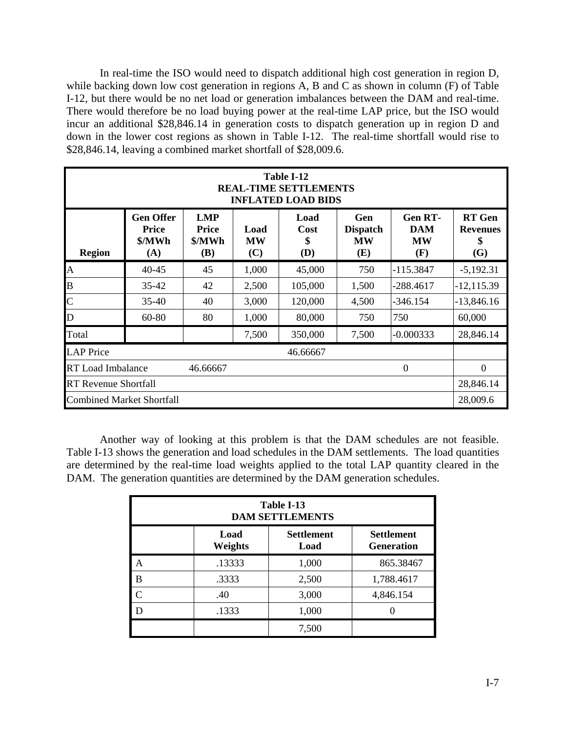In real-time the ISO would need to dispatch additional high cost generation in region D, while backing down low cost generation in regions A, B and C as shown in column (F) of Table I-12, but there would be no net load or generation imbalances between the DAM and real-time. There would therefore be no load buying power at the real-time LAP price, but the ISO would incur an additional \$28,846.14 in generation costs to dispatch generation up in region D and down in the lower cost regions as shown in Table I-12. The real-time shortfall would rise to \$28,846.14, leaving a combined market shortfall of \$28,009.6.

|                                                  | Table I-12<br><b>REAL-TIME SETTLEMENTS</b><br><b>INFLATED LOAD BIDS</b> |                                             |                          |                     |                                            |                                                  |                                               |  |  |  |  |
|--------------------------------------------------|-------------------------------------------------------------------------|---------------------------------------------|--------------------------|---------------------|--------------------------------------------|--------------------------------------------------|-----------------------------------------------|--|--|--|--|
| <b>Region</b>                                    | <b>Gen Offer</b><br><b>Price</b><br>\$/MWh<br>(A)                       | <b>LMP</b><br><b>Price</b><br>\$/MWh<br>(B) | Load<br><b>MW</b><br>(C) | Load<br>Cost<br>(D) | Gen<br><b>Dispatch</b><br><b>MW</b><br>(E) | <b>Gen RT-</b><br><b>DAM</b><br><b>MW</b><br>(F) | <b>RT</b> Gen<br><b>Revenues</b><br>\$<br>(G) |  |  |  |  |
| $\mathbf{A}$                                     | $40 - 45$                                                               | 45                                          | 1,000                    | 45,000              | 750                                        | $-115.3847$                                      | $-5,192.31$                                   |  |  |  |  |
| $\bf{B}$                                         | 35-42                                                                   | 42                                          | 2,500                    | 105,000             | 1,500                                      | -288.4617                                        | $-12, 115.39$                                 |  |  |  |  |
| $\overline{C}$                                   | $35 - 40$                                                               | 40                                          | 3,000                    | 120,000             | 4,500                                      | -346.154                                         | $-13,846.16$                                  |  |  |  |  |
| D                                                | 60-80                                                                   | 80                                          | 1,000                    | 80,000              | 750                                        | 750                                              | 60,000                                        |  |  |  |  |
| Total                                            |                                                                         |                                             | 7,500                    | 350,000             | 7,500                                      | $-0.000333$                                      | 28,846.14                                     |  |  |  |  |
| <b>LAP</b> Price<br>46.66667                     |                                                                         |                                             |                          |                     |                                            |                                                  |                                               |  |  |  |  |
| <b>RT</b> Load Imbalance<br>$\theta$<br>46.66667 |                                                                         |                                             |                          |                     |                                            |                                                  |                                               |  |  |  |  |
| <b>RT</b> Revenue Shortfall                      |                                                                         |                                             |                          |                     |                                            |                                                  |                                               |  |  |  |  |
| <b>Combined Market Shortfall</b>                 |                                                                         |                                             |                          |                     |                                            |                                                  | 28,009.6                                      |  |  |  |  |

 Another way of looking at this problem is that the DAM schedules are not feasible. Table I-13 shows the generation and load schedules in the DAM settlements. The load quantities are determined by the real-time load weights applied to the total LAP quantity cleared in the DAM. The generation quantities are determined by the DAM generation schedules.

| Table I-13<br><b>DAM SETTLEMENTS</b> |                        |                           |                                        |  |  |  |  |  |  |
|--------------------------------------|------------------------|---------------------------|----------------------------------------|--|--|--|--|--|--|
|                                      | Load<br><b>Weights</b> | <b>Settlement</b><br>Load | <b>Settlement</b><br><b>Generation</b> |  |  |  |  |  |  |
| Α                                    | .13333                 | 1,000                     | 865.38467                              |  |  |  |  |  |  |
| B                                    | .3333                  | 2,500                     | 1,788.4617                             |  |  |  |  |  |  |
| $\mathcal{C}$                        | .40                    | 3,000                     | 4,846.154                              |  |  |  |  |  |  |
| D                                    | .1333                  | 1,000                     |                                        |  |  |  |  |  |  |
|                                      |                        | 7,500                     |                                        |  |  |  |  |  |  |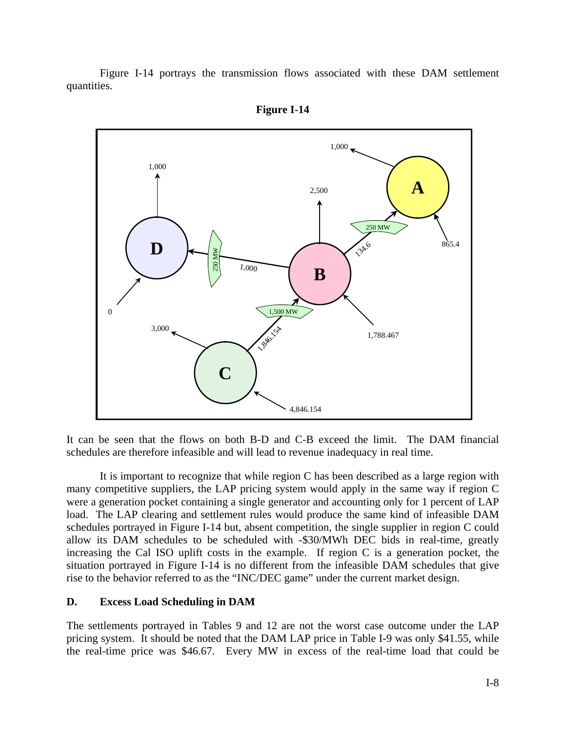Figure I-14 portrays the transmission flows associated with these DAM settlement quantities.





It can be seen that the flows on both B-D and C-B exceed the limit. The DAM financial schedules are therefore infeasible and will lead to revenue inadequacy in real time.

 It is important to recognize that while region C has been described as a large region with many competitive suppliers, the LAP pricing system would apply in the same way if region C were a generation pocket containing a single generator and accounting only for 1 percent of LAP load. The LAP clearing and settlement rules would produce the same kind of infeasible DAM schedules portrayed in Figure I-14 but, absent competition, the single supplier in region C could allow its DAM schedules to be scheduled with -\$30/MWh DEC bids in real-time, greatly increasing the Cal ISO uplift costs in the example. If region C is a generation pocket, the situation portrayed in Figure I-14 is no different from the infeasible DAM schedules that give rise to the behavior referred to as the "INC/DEC game" under the current market design.

#### **D. Excess Load Scheduling in DAM**

The settlements portrayed in Tables 9 and 12 are not the worst case outcome under the LAP pricing system. It should be noted that the DAM LAP price in Table I-9 was only \$41.55, while the real-time price was \$46.67. Every MW in excess of the real-time load that could be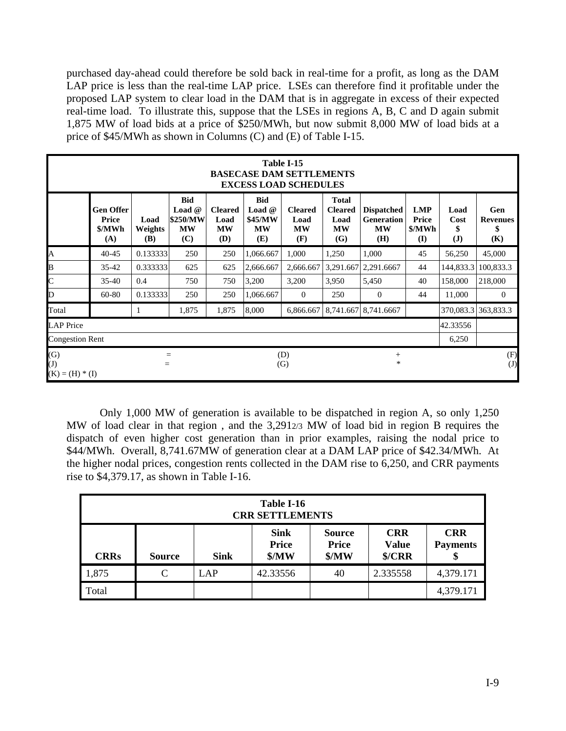purchased day-ahead could therefore be sold back in real-time for a profit, as long as the DAM LAP price is less than the real-time LAP price. LSEs can therefore find it profitable under the proposed LAP system to clear load in the DAM that is in aggregate in excess of their expected real-time load. To illustrate this, suppose that the LSEs in regions A, B, C and D again submit 1,875 MW of load bids at a price of \$250/MWh, but now submit 8,000 MW of load bids at a price of \$45/MWh as shown in Columns (C) and (E) of Table I-15.

|                                            | Table I-15<br><b>BASECASE DAM SETTLEMENTS</b><br><b>EXCESS LOAD SCHEDULES</b> |                               |                                                               |                                            |                                                       |                                            |                                                            |                                                            |                                      |                                    |                                     |  |
|--------------------------------------------|-------------------------------------------------------------------------------|-------------------------------|---------------------------------------------------------------|--------------------------------------------|-------------------------------------------------------|--------------------------------------------|------------------------------------------------------------|------------------------------------------------------------|--------------------------------------|------------------------------------|-------------------------------------|--|
|                                            | <b>Gen Offer</b><br>Price<br>\$/MWh<br>(A)                                    | Load<br><b>Weights</b><br>(B) | <b>Bid</b><br><b>Load</b> $@$<br>\$250/MW<br><b>MW</b><br>(C) | <b>Cleared</b><br>Load<br><b>MW</b><br>(D) | <b>Bid</b><br>Load $@$<br>\$45/MW<br><b>MW</b><br>(E) | <b>Cleared</b><br>Load<br><b>MW</b><br>(F) | <b>Total</b><br><b>Cleared</b><br>Load<br><b>MW</b><br>(G) | <b>Dispatched</b><br><b>Generation</b><br><b>MW</b><br>(H) | <b>LMP</b><br>Price<br>\$/MWh<br>(I) | Load<br>Cost<br>\$<br>( <b>J</b> ) | Gen<br><b>Revenues</b><br>\$<br>(K) |  |
| A                                          | $40 - 45$                                                                     | 0.133333                      | 250                                                           | 250                                        | 1,066.667                                             | 1,000                                      | 1,250                                                      | 1,000                                                      | 45                                   | 56,250                             | 45,000                              |  |
| B                                          | $35 - 42$                                                                     | 0.333333                      | 625                                                           | 625                                        | 2,666.667                                             | 2,666.667                                  | 3,291.667                                                  | 2,291.6667                                                 | 44                                   | 144,833.3                          | 100,833.3                           |  |
| $\overline{C}$                             | $35 - 40$                                                                     | 0.4                           | 750                                                           | 750                                        | 3,200                                                 | 3,200                                      | 3,950                                                      | 5,450                                                      | 40                                   | 158,000                            | 218,000                             |  |
| $\mathbf D$                                | $60 - 80$                                                                     | 0.133333                      | 250                                                           | 250                                        | 1,066.667                                             | $\theta$                                   | 250                                                        | $\theta$                                                   | 44                                   | 11,000                             | $\overline{0}$                      |  |
| Total                                      |                                                                               |                               | 1,875                                                         | 1,875                                      | 8,000                                                 | 6,866.667                                  |                                                            | 8,741.667 8,741.6667                                       |                                      | 370,083.3                          | 363,833.3                           |  |
| <b>LAP</b> Price                           |                                                                               |                               |                                                               |                                            |                                                       |                                            |                                                            |                                                            |                                      | 42.33556                           |                                     |  |
| <b>Congestion Rent</b>                     |                                                                               |                               |                                                               |                                            |                                                       |                                            |                                                            |                                                            |                                      | 6,250                              |                                     |  |
| (G)<br>$(\mathrm{J})$<br>$(K) = (H) * (I)$ | (D)<br>$^{+}$<br>$=$<br>$\ast$<br>(G)<br>$=$                                  |                               |                                                               |                                            |                                                       |                                            |                                                            |                                                            |                                      |                                    | (F)<br>(J)                          |  |

 Only 1,000 MW of generation is available to be dispatched in region A, so only 1,250 MW of load clear in that region , and the 3,2912/3 MW of load bid in region B requires the dispatch of even higher cost generation than in prior examples, raising the nodal price to \$44/MWh. Overall, 8,741.67MW of generation clear at a DAM LAP price of \$42.34/MWh. At the higher nodal prices, congestion rents collected in the DAM rise to 6,250, and CRR payments rise to \$4,379.17, as shown in Table I-16.

|             | Table I-16<br><b>CRR SETTLEMENTS</b>                                                                                                                                              |     |          |    |          |           |  |  |  |  |  |
|-------------|-----------------------------------------------------------------------------------------------------------------------------------------------------------------------------------|-----|----------|----|----------|-----------|--|--|--|--|--|
| <b>CRRs</b> | <b>Sink</b><br><b>CRR</b><br><b>CRR</b><br><b>Source</b><br><b>Price</b><br><b>Price</b><br><b>Value</b><br><b>Payments</b><br>MW<br>\$/CRR<br>MW<br><b>Sink</b><br><b>Source</b> |     |          |    |          |           |  |  |  |  |  |
| 1,875       | $\mathsf{C}$                                                                                                                                                                      | LAP | 42.33556 | 40 | 2.335558 | 4,379.171 |  |  |  |  |  |
| Total       |                                                                                                                                                                                   |     |          |    |          | 4,379.171 |  |  |  |  |  |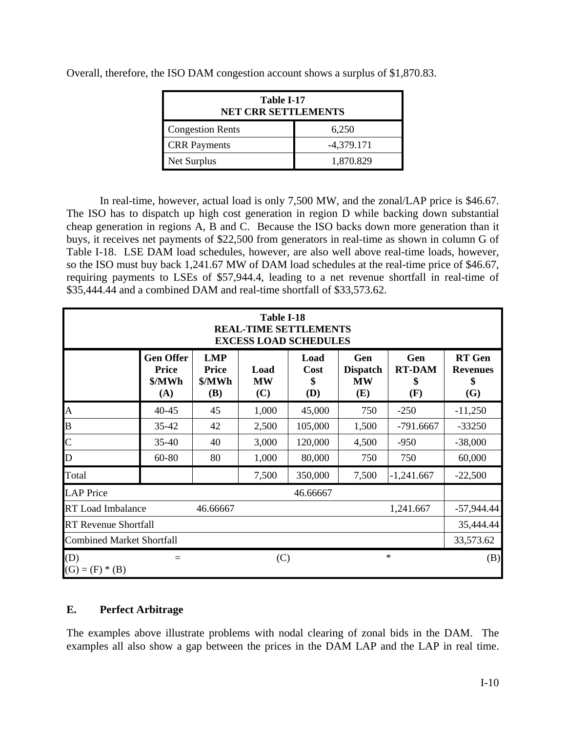| Table I-17<br><b>NET CRR SETTLEMENTS</b> |              |  |  |  |  |  |  |
|------------------------------------------|--------------|--|--|--|--|--|--|
| <b>Congestion Rents</b>                  | 6,250        |  |  |  |  |  |  |
| <b>CRR</b> Payments                      | $-4,379.171$ |  |  |  |  |  |  |
| Net Surplus                              | 1,870.829    |  |  |  |  |  |  |

Overall, therefore, the ISO DAM congestion account shows a surplus of \$1,870.83.

 In real-time, however, actual load is only 7,500 MW, and the zonal/LAP price is \$46.67. The ISO has to dispatch up high cost generation in region D while backing down substantial cheap generation in regions A, B and C. Because the ISO backs down more generation than it buys, it receives net payments of \$22,500 from generators in real-time as shown in column G of Table I-18. LSE DAM load schedules, however, are also well above real-time loads, however, so the ISO must buy back 1,241.67 MW of DAM load schedules at the real-time price of \$46.67, requiring payments to LSEs of \$57,944.4, leading to a net revenue shortfall in real-time of \$35,444.44 and a combined DAM and real-time shortfall of \$33,573.62.

|                                               | Table I-18<br><b>REAL-TIME SETTLEMENTS</b><br><b>EXCESS LOAD SCHEDULES</b> |                                                    |                          |                                  |                                            |                                   |                                                      |  |  |  |  |  |
|-----------------------------------------------|----------------------------------------------------------------------------|----------------------------------------------------|--------------------------|----------------------------------|--------------------------------------------|-----------------------------------|------------------------------------------------------|--|--|--|--|--|
|                                               | <b>Gen Offer</b><br><b>Price</b><br>\$/MWh<br>(A)                          | <b>LMP</b><br><b>Price</b><br>\$/MWh<br><b>(B)</b> | Load<br><b>MW</b><br>(C) | Load<br>Cost<br>\$<br><b>(D)</b> | Gen<br><b>Dispatch</b><br><b>MW</b><br>(E) | Gen<br><b>RT-DAM</b><br>\$<br>(F) | <b>RT</b> Gen<br><b>Revenues</b><br>\$<br><b>(G)</b> |  |  |  |  |  |
| $\mathbf{A}$                                  | $40 - 45$                                                                  | 45                                                 | 1,000                    | 45,000                           | 750                                        | $-250$                            | $-11,250$                                            |  |  |  |  |  |
| B                                             | 35-42                                                                      | 42                                                 | 2,500                    | 105,000                          | 1,500                                      | $-791.6667$                       | $-33250$                                             |  |  |  |  |  |
| $\overline{C}$                                | $35 - 40$                                                                  | 40                                                 | 3,000                    | 120,000                          | 4,500                                      | $-950$                            | $-38,000$                                            |  |  |  |  |  |
| D                                             | 60-80                                                                      | 80                                                 | 1,000                    | 80,000                           | 750                                        | 750                               | 60,000                                               |  |  |  |  |  |
| Total                                         |                                                                            |                                                    | 7,500                    | 350,000                          | 7,500                                      | $-1,241.667$                      | $-22,500$                                            |  |  |  |  |  |
| <b>LAP</b> Price                              |                                                                            |                                                    |                          | 46.66667                         |                                            |                                   |                                                      |  |  |  |  |  |
| <b>RT</b> Load Imbalance                      |                                                                            | 46.66667                                           |                          |                                  |                                            | 1,241.667                         | $-57,944.44$                                         |  |  |  |  |  |
| <b>RT Revenue Shortfall</b>                   |                                                                            |                                                    |                          |                                  |                                            |                                   | 35,444.44                                            |  |  |  |  |  |
| <b>Combined Market Shortfall</b><br>33,573.62 |                                                                            |                                                    |                          |                                  |                                            |                                   |                                                      |  |  |  |  |  |
| (D)<br>$(G) = (F) * (B)$                      | $=$                                                                        |                                                    | (C)                      |                                  |                                            | $\ast$                            | (B)                                                  |  |  |  |  |  |

## **E. Perfect Arbitrage**

The examples above illustrate problems with nodal clearing of zonal bids in the DAM. The examples all also show a gap between the prices in the DAM LAP and the LAP in real time.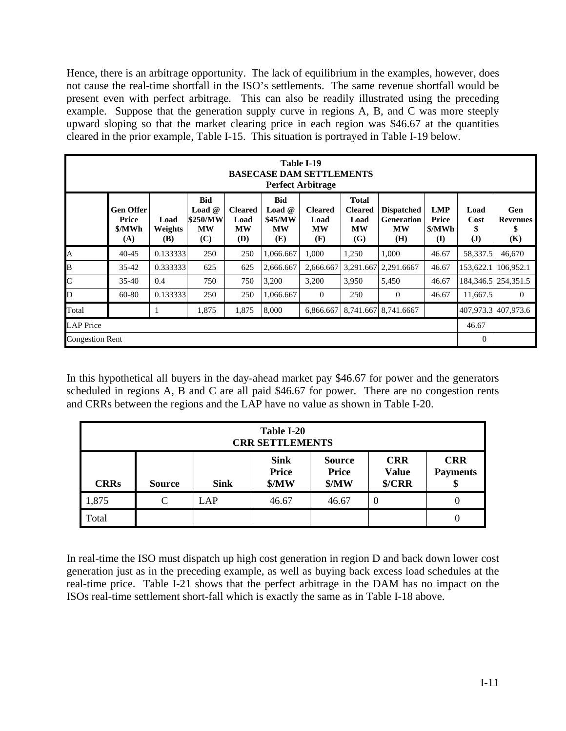Hence, there is an arbitrage opportunity. The lack of equilibrium in the examples, however, does not cause the real-time shortfall in the ISO's settlements. The same revenue shortfall would be present even with perfect arbitrage. This can also be readily illustrated using the preceding example. Suppose that the generation supply curve in regions A, B, and C was more steeply upward sloping so that the market clearing price in each region was \$46.67 at the quantities cleared in the prior example, Table I-15. This situation is portrayed in Table I-19 below.

|                           | Table I-19<br><b>BASECASE DAM SETTLEMENTS</b><br><b>Perfect Arbitrage</b> |                        |                                                        |                                                   |                                                       |                                            |                                                            |                                                     |                                                      |                              |                                     |  |
|---------------------------|---------------------------------------------------------------------------|------------------------|--------------------------------------------------------|---------------------------------------------------|-------------------------------------------------------|--------------------------------------------|------------------------------------------------------------|-----------------------------------------------------|------------------------------------------------------|------------------------------|-------------------------------------|--|
|                           | <b>Gen Offer</b><br>Price<br>\$/MWh<br>(A)                                | Load<br>Weights<br>(B) | <b>Bid</b><br>Load $@$<br>\$250/MW<br><b>MW</b><br>(C) | <b>Cleared</b><br>Load<br><b>MW</b><br><b>(D)</b> | <b>Bid</b><br>Load $@$<br>\$45/MW<br><b>MW</b><br>(E) | <b>Cleared</b><br>Load<br><b>MW</b><br>(F) | <b>Total</b><br><b>Cleared</b><br>Load<br><b>MW</b><br>(G) | <b>Dispatched</b><br>Generation<br><b>MW</b><br>(H) | <b>LMP</b><br><b>Price</b><br>\$/MWh<br>$\mathbf{I}$ | Load<br>Cost<br>$\mathbf{J}$ | Gen<br><b>Revenues</b><br>\$<br>(K) |  |
| A                         | $40 - 45$                                                                 | 0.133333               | 250                                                    | 250                                               | 1,066.667                                             | 1,000                                      | 1,250                                                      | 1,000                                               | 46.67                                                | 58,337.5                     | 46,670                              |  |
| B                         | $35 - 42$                                                                 | 0.333333               | 625                                                    | 625                                               | 2,666.667                                             | 2,666.667                                  |                                                            | 3,291.667 2,291.6667                                | 46.67                                                | 153,622.1                    | 106.952.1                           |  |
| $\overline{\mathsf{C}}$   | $35-40$                                                                   | 0.4                    | 750                                                    | 750                                               | 3,200                                                 | 3,200                                      | 3,950                                                      | 5,450                                               | 46.67                                                |                              | 184, 346.5   254, 351.5             |  |
| D                         | 60-80                                                                     | 0.133333               | 250                                                    | 250                                               | 1,066.667                                             | $\Omega$                                   | 250                                                        | $\Omega$                                            | 46.67                                                | 11,667.5                     | $\mathbf{0}$                        |  |
| Total                     |                                                                           |                        | 1,875                                                  | 1,875                                             | 8,000                                                 | 6.866.667                                  |                                                            | 8.741.667 8.741.6667                                |                                                      |                              | 407.973.31407.973.6                 |  |
| <b>LAP</b> Price<br>46.67 |                                                                           |                        |                                                        |                                                   |                                                       |                                            |                                                            |                                                     |                                                      |                              |                                     |  |
| <b>Congestion Rent</b>    |                                                                           |                        |                                                        |                                                   |                                                       |                                            |                                                            |                                                     |                                                      | $\Omega$                     |                                     |  |

In this hypothetical all buyers in the day-ahead market pay \$46.67 for power and the generators scheduled in regions A, B and C are all paid \$46.67 for power. There are no congestion rents and CRRs between the regions and the LAP have no value as shown in Table I-20.

|                                                                                                                                                                                                       | Table I-20<br><b>CRR SETTLEMENTS</b> |           |       |       |          |   |  |  |  |  |  |
|-------------------------------------------------------------------------------------------------------------------------------------------------------------------------------------------------------|--------------------------------------|-----------|-------|-------|----------|---|--|--|--|--|--|
| <b>CRR</b><br><b>Sink</b><br><b>CRR</b><br><b>Source</b><br><b>Price</b><br><b>Price</b><br><b>Value</b><br><b>Payments</b><br>MW<br>MW<br>\$/CRR<br><b>CRRs</b><br><b>Sink</b><br><b>Source</b><br>Φ |                                      |           |       |       |          |   |  |  |  |  |  |
| 1,875                                                                                                                                                                                                 | C                                    | $\Box$ AP | 46.67 | 46.67 | $\theta$ | 0 |  |  |  |  |  |
| Total                                                                                                                                                                                                 |                                      |           |       |       |          | 0 |  |  |  |  |  |

In real-time the ISO must dispatch up high cost generation in region D and back down lower cost generation just as in the preceding example, as well as buying back excess load schedules at the real-time price. Table I-21 shows that the perfect arbitrage in the DAM has no impact on the ISOs real-time settlement short-fall which is exactly the same as in Table I-18 above.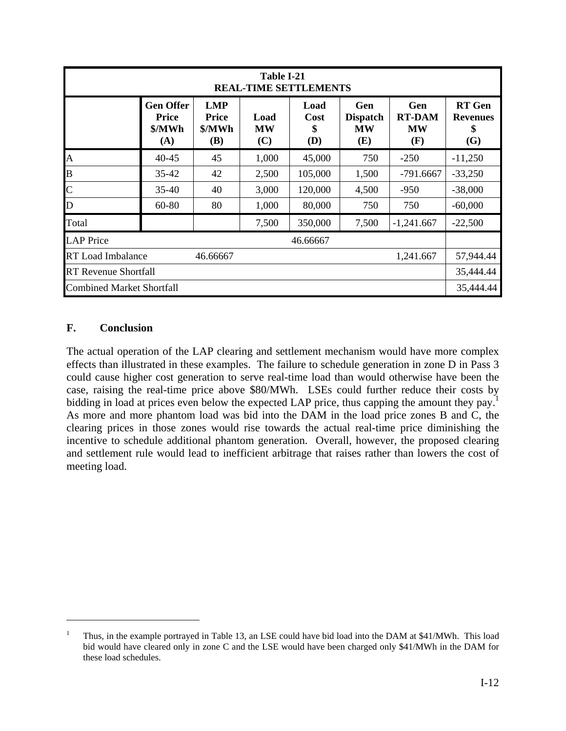|                                                   | Table I-21<br><b>REAL-TIME SETTLEMENTS</b>        |                                             |                          |                           |                                            |                                          |                                               |  |  |  |  |  |
|---------------------------------------------------|---------------------------------------------------|---------------------------------------------|--------------------------|---------------------------|--------------------------------------------|------------------------------------------|-----------------------------------------------|--|--|--|--|--|
|                                                   | <b>Gen Offer</b><br><b>Price</b><br>\$/MWh<br>(A) | <b>LMP</b><br><b>Price</b><br>\$/MWh<br>(B) | Load<br><b>MW</b><br>(C) | Load<br>Cost<br>\$<br>(D) | Gen<br><b>Dispatch</b><br><b>MW</b><br>(E) | Gen<br><b>RT-DAM</b><br><b>MW</b><br>(F) | <b>RT</b> Gen<br><b>Revenues</b><br>\$<br>(G) |  |  |  |  |  |
| A                                                 | $40 - 45$                                         | 45                                          | 1,000                    | 45,000                    | 750                                        | $-250$                                   | $-11,250$                                     |  |  |  |  |  |
| B                                                 | $35 - 42$                                         | 42                                          | 2,500                    | 105,000                   | 1,500                                      | -791.6667                                | $-33,250$                                     |  |  |  |  |  |
| $\overline{C}$                                    | $35-40$                                           | 40                                          | 3,000                    | 120,000                   | 4,500                                      | $-950$                                   | $-38,000$                                     |  |  |  |  |  |
| D                                                 | 60-80                                             | 80                                          | 1,000                    | 80,000                    | 750                                        | 750                                      | $-60,000$                                     |  |  |  |  |  |
| Total                                             |                                                   |                                             | 7,500                    | 350,000                   | 7,500                                      | $-1,241.667$                             | $-22,500$                                     |  |  |  |  |  |
| <b>LAP</b> Price                                  |                                                   |                                             |                          | 46.66667                  |                                            |                                          |                                               |  |  |  |  |  |
| <b>RT</b> Load Imbalance<br>46.66667<br>1,241.667 |                                                   |                                             |                          |                           |                                            |                                          |                                               |  |  |  |  |  |
| <b>RT Revenue Shortfall</b>                       |                                                   |                                             |                          |                           |                                            |                                          |                                               |  |  |  |  |  |
| <b>Combined Market Shortfall</b>                  |                                                   |                                             |                          |                           |                                            |                                          | 35,444.44                                     |  |  |  |  |  |

## **F. Conclusion**

1

The actual operation of the LAP clearing and settlement mechanism would have more complex effects than illustrated in these examples. The failure to schedule generation in zone D in Pass 3 could cause higher cost generation to serve real-time load than would otherwise have been the case, raising the real-time price above \$80/MWh. LSEs could further reduce their costs by bidding in load at prices even below the expected LAP price, thus capping the amount they pay.<sup>1</sup> As more and more phantom load was bid into the DAM in the load price zones B and C, the clearing prices in those zones would rise towards the actual real-time price diminishing the incentive to schedule additional phantom generation. Overall, however, the proposed clearing and settlement rule would lead to inefficient arbitrage that raises rather than lowers the cost of meeting load.

<sup>1</sup> Thus, in the example portrayed in Table 13, an LSE could have bid load into the DAM at \$41/MWh. This load bid would have cleared only in zone C and the LSE would have been charged only \$41/MWh in the DAM for these load schedules.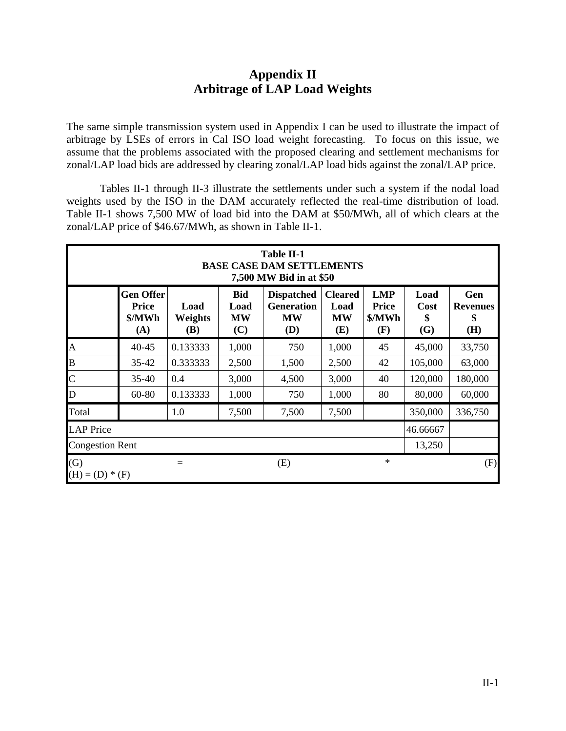# **Appendix II Arbitrage of LAP Load Weights**

The same simple transmission system used in Appendix I can be used to illustrate the impact of arbitrage by LSEs of errors in Cal ISO load weight forecasting. To focus on this issue, we assume that the problems associated with the proposed clearing and settlement mechanisms for zonal/LAP load bids are addressed by clearing zonal/LAP load bids against the zonal/LAP price.

 Tables II-1 through II-3 illustrate the settlements under such a system if the nodal load weights used by the ISO in the DAM accurately reflected the real-time distribution of load. Table II-1 shows 7,500 MW of load bid into the DAM at \$50/MWh, all of which clears at the zonal/LAP price of \$46.67/MWh, as shown in Table II-1.

|                          | <b>Table II-1</b><br><b>BASE CASE DAM SETTLEMENTS</b><br>7,500 MW Bid in at \$50 |                        |                                        |                                                            |                                            |                                             |                           |                                     |  |  |  |  |
|--------------------------|----------------------------------------------------------------------------------|------------------------|----------------------------------------|------------------------------------------------------------|--------------------------------------------|---------------------------------------------|---------------------------|-------------------------------------|--|--|--|--|
|                          | <b>Gen Offer</b><br><b>Price</b><br>\$/MWh<br>(A)                                | Load<br>Weights<br>(B) | <b>Bid</b><br>Load<br><b>MW</b><br>(C) | <b>Dispatched</b><br><b>Generation</b><br><b>MW</b><br>(D) | <b>Cleared</b><br>Load<br><b>MW</b><br>(E) | <b>LMP</b><br><b>Price</b><br>\$/MWh<br>(F) | Load<br>Cost<br>\$<br>(G) | Gen<br><b>Revenues</b><br>\$<br>(H) |  |  |  |  |
| A                        | 40-45                                                                            | 0.133333               | 1,000                                  | 750                                                        | 1,000                                      | 45                                          | 45,000                    | 33,750                              |  |  |  |  |
| $\overline{B}$           | 35-42                                                                            | 0.333333               | 2,500                                  | 1,500                                                      | 2,500                                      | 42                                          | 105,000                   | 63,000                              |  |  |  |  |
| $\overline{C}$           | 35-40                                                                            | 0.4                    | 3,000                                  | 4,500                                                      | 3,000                                      | 40                                          | 120,000                   | 180,000                             |  |  |  |  |
| $\overline{D}$           | 60-80                                                                            | 0.133333               | 1,000                                  | 750                                                        | 1,000                                      | 80                                          | 80,000                    | 60,000                              |  |  |  |  |
| Total                    |                                                                                  | 1.0                    | 7,500                                  | 7,500                                                      | 7,500                                      |                                             | 350,000                   | 336,750                             |  |  |  |  |
| <b>LAP</b> Price         |                                                                                  |                        |                                        |                                                            |                                            |                                             | 46.66667                  |                                     |  |  |  |  |
| <b>Congestion Rent</b>   |                                                                                  |                        |                                        |                                                            |                                            |                                             | 13,250                    |                                     |  |  |  |  |
| (G)<br>$(H) = (D) * (F)$ |                                                                                  |                        |                                        | (E)                                                        |                                            | $\ast$                                      |                           | (F)                                 |  |  |  |  |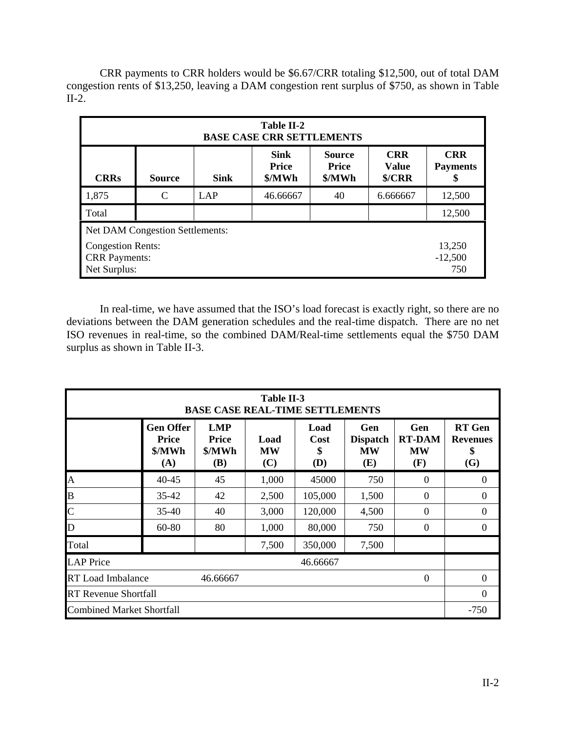CRR payments to CRR holders would be \$6.67/CRR totaling \$12,500, out of total DAM congestion rents of \$13,250, leaving a DAM congestion rent surplus of \$750, as shown in Table II-2.

|                      | Table II-2<br><b>BASE CASE CRR SETTLEMENTS</b>                                                                                                           |     |          |    |          |           |  |  |  |  |  |  |
|----------------------|----------------------------------------------------------------------------------------------------------------------------------------------------------|-----|----------|----|----------|-----------|--|--|--|--|--|--|
| <b>CRRs</b>          | <b>Sink</b><br><b>CRR</b><br><b>Source</b><br><b>Price</b><br><b>Price</b><br><b>Value</b><br>\$/MWh<br>\$/MWh<br>\$/CRR<br><b>Sink</b><br><b>Source</b> |     |          |    |          |           |  |  |  |  |  |  |
| 1,875                | C                                                                                                                                                        | LAP | 46.66667 | 40 | 6.666667 | 12,500    |  |  |  |  |  |  |
| Total                |                                                                                                                                                          |     |          |    |          | 12,500    |  |  |  |  |  |  |
|                      | <b>Net DAM Congestion Settlements:</b>                                                                                                                   |     |          |    |          |           |  |  |  |  |  |  |
|                      | <b>Congestion Rents:</b><br>13,250                                                                                                                       |     |          |    |          |           |  |  |  |  |  |  |
| <b>CRR</b> Payments: |                                                                                                                                                          |     |          |    |          | $-12,500$ |  |  |  |  |  |  |
| Net Surplus:         |                                                                                                                                                          |     |          |    |          | 750       |  |  |  |  |  |  |

 In real-time, we have assumed that the ISO's load forecast is exactly right, so there are no deviations between the DAM generation schedules and the real-time dispatch. There are no net ISO revenues in real-time, so the combined DAM/Real-time settlements equal the \$750 DAM surplus as shown in Table II-3.

|                                  | Table II-3<br><b>BASE CASE REAL-TIME SETTLEMENTS</b> |                                             |                          |                           |                                            |                                          |                                               |  |  |  |  |  |
|----------------------------------|------------------------------------------------------|---------------------------------------------|--------------------------|---------------------------|--------------------------------------------|------------------------------------------|-----------------------------------------------|--|--|--|--|--|
|                                  | <b>Gen Offer</b><br><b>Price</b><br>\$/MWh<br>(A)    | <b>LMP</b><br><b>Price</b><br>\$/MWh<br>(B) | Load<br><b>MW</b><br>(C) | Load<br>Cost<br>\$<br>(D) | Gen<br><b>Dispatch</b><br><b>MW</b><br>(E) | Gen<br><b>RT-DAM</b><br><b>MW</b><br>(F) | <b>RT</b> Gen<br><b>Revenues</b><br>\$<br>(G) |  |  |  |  |  |
| A                                | $40 - 45$                                            | 45                                          | 1,000                    | 45000                     | 750                                        | $\Omega$                                 | $\theta$                                      |  |  |  |  |  |
| $\overline{B}$                   | $35 - 42$                                            | 42                                          | 2,500                    | 105,000                   | 1,500                                      | $\theta$                                 | $\overline{0}$                                |  |  |  |  |  |
| $\overline{C}$                   | $35 - 40$                                            | 40                                          | 3,000                    | 120,000                   | 4,500                                      | $\theta$                                 | $\overline{0}$                                |  |  |  |  |  |
| D                                | $60 - 80$                                            | 80                                          | 1,000                    | 80,000                    | 750                                        | $\Omega$                                 | $\Omega$                                      |  |  |  |  |  |
| Total                            |                                                      |                                             | 7,500                    | 350,000                   | 7,500                                      |                                          |                                               |  |  |  |  |  |
| <b>LAP</b> Price                 |                                                      |                                             |                          | 46.66667                  |                                            |                                          |                                               |  |  |  |  |  |
| <b>RT</b> Load Imbalance         |                                                      | 46.66667                                    |                          |                           |                                            | $\Omega$                                 | $\theta$                                      |  |  |  |  |  |
| <b>RT Revenue Shortfall</b>      |                                                      |                                             |                          |                           |                                            |                                          |                                               |  |  |  |  |  |
| <b>Combined Market Shortfall</b> |                                                      |                                             |                          |                           |                                            |                                          | $-750$                                        |  |  |  |  |  |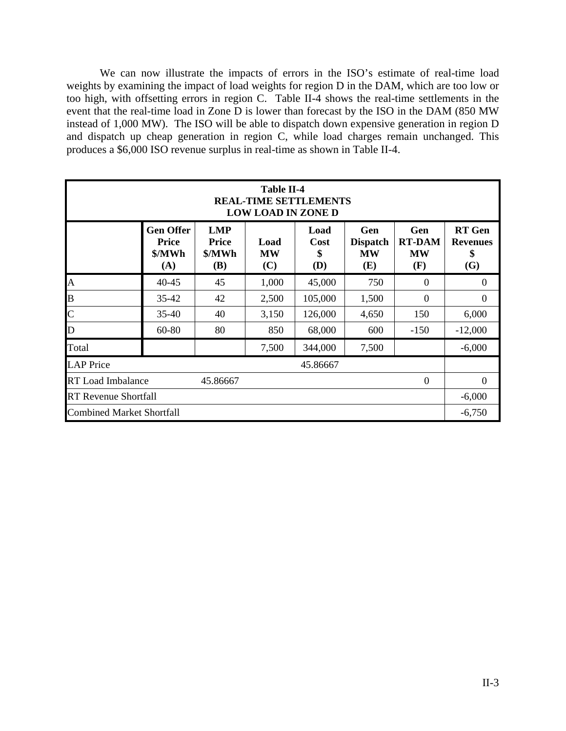We can now illustrate the impacts of errors in the ISO's estimate of real-time load weights by examining the impact of load weights for region D in the DAM, which are too low or too high, with offsetting errors in region C. Table II-4 shows the real-time settlements in the event that the real-time load in Zone D is lower than forecast by the ISO in the DAM (850 MW instead of 1,000 MW). The ISO will be able to dispatch down expensive generation in region D and dispatch up cheap generation in region C, while load charges remain unchanged. This produces a \$6,000 ISO revenue surplus in real-time as shown in Table II-4.

| <b>Table II-4</b><br><b>REAL-TIME SETTLEMENTS</b><br><b>LOW LOAD IN ZONE D</b> |                                                   |                                                    |                          |                           |                                            |                                          |                                               |  |  |  |  |
|--------------------------------------------------------------------------------|---------------------------------------------------|----------------------------------------------------|--------------------------|---------------------------|--------------------------------------------|------------------------------------------|-----------------------------------------------|--|--|--|--|
|                                                                                | <b>Gen Offer</b><br><b>Price</b><br>\$/MWh<br>(A) | <b>LMP</b><br><b>Price</b><br>\$/MWh<br><b>(B)</b> | Load<br><b>MW</b><br>(C) | Load<br>Cost<br>\$<br>(D) | Gen<br><b>Dispatch</b><br><b>MW</b><br>(E) | Gen<br><b>RT-DAM</b><br><b>MW</b><br>(F) | <b>RT</b> Gen<br><b>Revenues</b><br>\$<br>(G) |  |  |  |  |
| A                                                                              | $40 - 45$                                         | 45                                                 | 1,000                    | 45,000                    | 750                                        | $\theta$                                 | $\overline{0}$                                |  |  |  |  |
| B                                                                              | $35 - 42$                                         | 42                                                 | 2,500                    | 105,000                   | 1,500                                      | $\theta$                                 | $\Omega$                                      |  |  |  |  |
| $\mathsf{C}$                                                                   | $35 - 40$                                         | 40                                                 | 3,150                    | 126,000                   | 4,650                                      | 150                                      | 6,000                                         |  |  |  |  |
| D                                                                              | 60-80                                             | 80                                                 | 850                      | 68,000                    | 600                                        | $-150$                                   | $-12,000$                                     |  |  |  |  |
| Total                                                                          |                                                   |                                                    | 7,500                    | 344,000                   | 7,500                                      |                                          | $-6,000$                                      |  |  |  |  |
| <b>LAP</b> Price                                                               |                                                   |                                                    |                          | 45.86667                  |                                            |                                          |                                               |  |  |  |  |
| <b>RT</b> Load Imbalance<br>$\theta$<br>45.86667                               |                                                   |                                                    |                          |                           |                                            |                                          |                                               |  |  |  |  |
| <b>RT Revenue Shortfall</b>                                                    |                                                   |                                                    |                          |                           |                                            |                                          |                                               |  |  |  |  |
| <b>Combined Market Shortfall</b>                                               |                                                   |                                                    |                          |                           |                                            |                                          | $-6,750$                                      |  |  |  |  |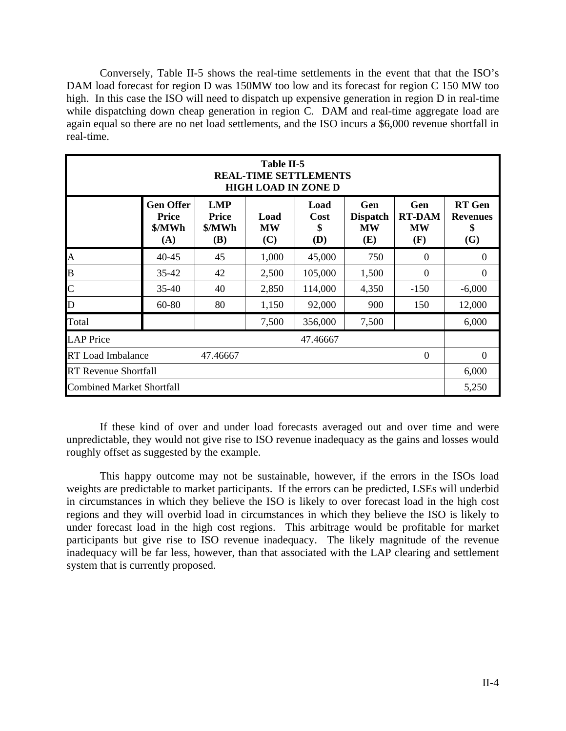Conversely, Table II-5 shows the real-time settlements in the event that that the ISO's DAM load forecast for region D was 150MW too low and its forecast for region C 150 MW too high. In this case the ISO will need to dispatch up expensive generation in region D in real-time while dispatching down cheap generation in region C. DAM and real-time aggregate load are again equal so there are no net load settlements, and the ISO incurs a \$6,000 revenue shortfall in real-time.

| Table II-5<br><b>REAL-TIME SETTLEMENTS</b><br><b>HIGH LOAD IN ZONE D</b> |                                                   |                                             |                          |                           |                                            |                                                 |                                               |  |  |  |  |
|--------------------------------------------------------------------------|---------------------------------------------------|---------------------------------------------|--------------------------|---------------------------|--------------------------------------------|-------------------------------------------------|-----------------------------------------------|--|--|--|--|
|                                                                          | <b>Gen Offer</b><br><b>Price</b><br>\$/MWh<br>(A) | <b>LMP</b><br><b>Price</b><br>\$/MWh<br>(B) | Load<br><b>MW</b><br>(C) | Load<br>Cost<br>\$<br>(D) | Gen<br><b>Dispatch</b><br><b>MW</b><br>(E) | <b>Gen</b><br><b>RT-DAM</b><br><b>MW</b><br>(F) | <b>RT</b> Gen<br><b>Revenues</b><br>\$<br>(G) |  |  |  |  |
| A                                                                        | $40 - 45$                                         | 45                                          | 1,000                    | 45,000                    | 750                                        | $\theta$                                        | $\theta$                                      |  |  |  |  |
| $\overline{B}$                                                           | $35 - 42$                                         | 42                                          | 2,500                    | 105,000                   | 1,500                                      | $\Omega$                                        | $\theta$                                      |  |  |  |  |
| $\overline{C}$                                                           | $35 - 40$                                         | 40                                          | 2,850                    | 114,000                   | 4,350                                      | $-150$                                          | $-6,000$                                      |  |  |  |  |
| D                                                                        | 60-80                                             | 80                                          | 1,150                    | 92,000                    | 900                                        | 150                                             | 12,000                                        |  |  |  |  |
| Total                                                                    |                                                   |                                             | 7,500                    | 356,000                   | 7,500                                      |                                                 | 6,000                                         |  |  |  |  |
| <b>LAP</b> Price                                                         |                                                   |                                             |                          | 47.46667                  |                                            |                                                 |                                               |  |  |  |  |
|                                                                          | <b>RT</b> Load Imbalance<br>47.46667<br>$\theta$  |                                             |                          |                           |                                            |                                                 |                                               |  |  |  |  |
| <b>RT</b> Revenue Shortfall                                              |                                                   |                                             |                          |                           |                                            |                                                 |                                               |  |  |  |  |
| <b>Combined Market Shortfall</b>                                         |                                                   |                                             |                          |                           |                                            |                                                 | 5,250                                         |  |  |  |  |

 If these kind of over and under load forecasts averaged out and over time and were unpredictable, they would not give rise to ISO revenue inadequacy as the gains and losses would roughly offset as suggested by the example.

 This happy outcome may not be sustainable, however, if the errors in the ISOs load weights are predictable to market participants. If the errors can be predicted, LSEs will underbid in circumstances in which they believe the ISO is likely to over forecast load in the high cost regions and they will overbid load in circumstances in which they believe the ISO is likely to under forecast load in the high cost regions. This arbitrage would be profitable for market participants but give rise to ISO revenue inadequacy. The likely magnitude of the revenue inadequacy will be far less, however, than that associated with the LAP clearing and settlement system that is currently proposed.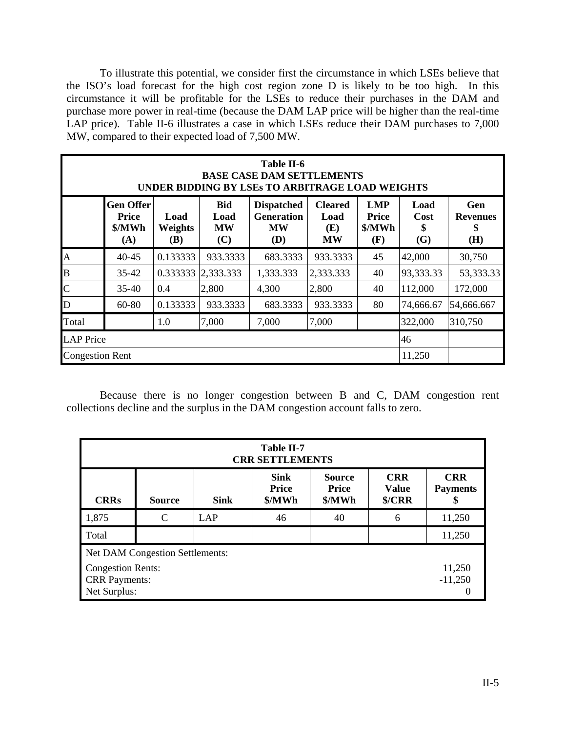To illustrate this potential, we consider first the circumstance in which LSEs believe that the ISO's load forecast for the high cost region zone D is likely to be too high. In this circumstance it will be profitable for the LSEs to reduce their purchases in the DAM and purchase more power in real-time (because the DAM LAP price will be higher than the real-time LAP price). Table II-6 illustrates a case in which LSEs reduce their DAM purchases to 7,000 MW, compared to their expected load of 7,500 MW.

|                | Table II-6<br><b>BASE CASE DAM SETTLEMENTS</b><br>UNDER BIDDING BY LSES TO ARBITRAGE LOAD WEIGHTS                                                                                                                                                                                                                                              |          |           |           |           |    |           |            |  |  |  |  |
|----------------|------------------------------------------------------------------------------------------------------------------------------------------------------------------------------------------------------------------------------------------------------------------------------------------------------------------------------------------------|----------|-----------|-----------|-----------|----|-----------|------------|--|--|--|--|
|                | <b>Gen Offer</b><br><b>Bid</b><br><b>Dispatched</b><br><b>Cleared</b><br><b>LMP</b><br>Gen<br>Load<br><b>Generation</b><br>Price<br>Load<br><b>Price</b><br>Load<br>Cost<br>Load<br><b>Revenues</b><br>\$/MWh<br>\$/MWh<br><b>Weights</b><br><b>MW</b><br>\$<br><b>MW</b><br>(E)<br>(H)<br>(G)<br>(C)<br>(D)<br><b>MW</b><br>(A)<br>(B)<br>(F) |          |           |           |           |    |           |            |  |  |  |  |
| A              | $40 - 45$                                                                                                                                                                                                                                                                                                                                      | 45       | 42,000    | 30,750    |           |    |           |            |  |  |  |  |
| $\overline{B}$ | $35 - 42$                                                                                                                                                                                                                                                                                                                                      | 0.333333 | 2,333.333 | 1,333.333 | 2,333.333 | 40 | 93,333.33 | 53,333.33  |  |  |  |  |
| $\overline{C}$ | $35-40$                                                                                                                                                                                                                                                                                                                                        | 0.4      | 2,800     | 4,300     | 2,800     | 40 | 112,000   | 172,000    |  |  |  |  |
| D              | 60-80                                                                                                                                                                                                                                                                                                                                          | 0.133333 | 933.3333  | 683.3333  | 933.3333  | 80 | 74,666.67 | 54,666.667 |  |  |  |  |
| Total          | 1.0<br>7,000<br>322,000<br>310,750<br>7,000<br>7,000                                                                                                                                                                                                                                                                                           |          |           |           |           |    |           |            |  |  |  |  |
|                | <b>LAP</b> Price<br>46                                                                                                                                                                                                                                                                                                                         |          |           |           |           |    |           |            |  |  |  |  |
|                | 11,250<br><b>Congestion Rent</b>                                                                                                                                                                                                                                                                                                               |          |           |           |           |    |           |            |  |  |  |  |

 Because there is no longer congestion between B and C, DAM congestion rent collections decline and the surplus in the DAM congestion account falls to zero.

|              | Table II-7<br><b>CRR SETTLEMENTS</b>                                                                                                                                                      |  |  |  |  |        |  |  |  |  |  |
|--------------|-------------------------------------------------------------------------------------------------------------------------------------------------------------------------------------------|--|--|--|--|--------|--|--|--|--|--|
| <b>CRRs</b>  | <b>Sink</b><br><b>CRR</b><br><b>CRR</b><br><b>Source</b><br><b>Price</b><br><b>Price</b><br><b>Value</b><br><b>Payments</b><br>\$/MWh<br>\$/CRR<br>\$/MWh<br><b>Sink</b><br><b>Source</b> |  |  |  |  |        |  |  |  |  |  |
| 1,875        | C<br>11,250<br>LAP<br>46<br>40<br>6                                                                                                                                                       |  |  |  |  |        |  |  |  |  |  |
| Total        |                                                                                                                                                                                           |  |  |  |  | 11,250 |  |  |  |  |  |
| Net Surplus: | Net DAM Congestion Settlements:<br><b>Congestion Rents:</b><br>11,250<br>$-11,250$<br><b>CRR</b> Payments:                                                                                |  |  |  |  |        |  |  |  |  |  |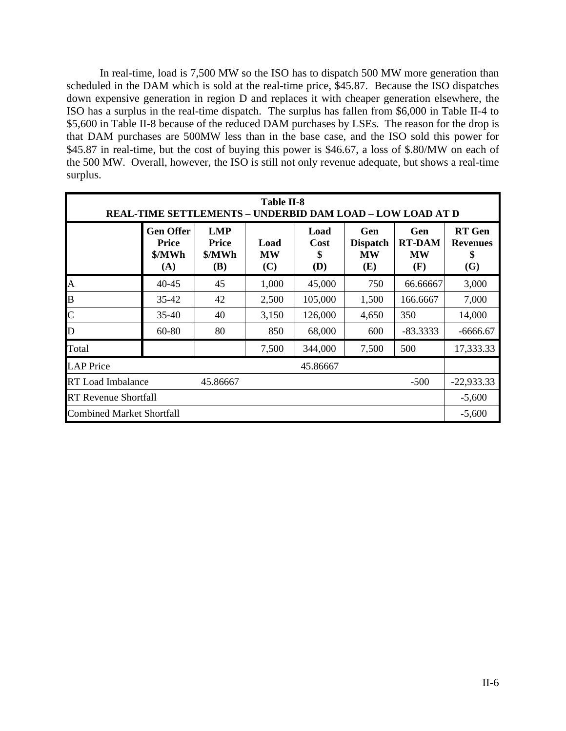In real-time, load is 7,500 MW so the ISO has to dispatch 500 MW more generation than scheduled in the DAM which is sold at the real-time price, \$45.87. Because the ISO dispatches down expensive generation in region D and replaces it with cheaper generation elsewhere, the ISO has a surplus in the real-time dispatch. The surplus has fallen from \$6,000 in Table II-4 to \$5,600 in Table II-8 because of the reduced DAM purchases by LSEs. The reason for the drop is that DAM purchases are 500MW less than in the base case, and the ISO sold this power for \$45.87 in real-time, but the cost of buying this power is \$46.67, a loss of \$.80/MW on each of the 500 MW. Overall, however, the ISO is still not only revenue adequate, but shows a real-time surplus.

| Table II-8<br><b>REAL-TIME SETTLEMENTS - UNDERBID DAM LOAD - LOW LOAD AT D</b> |                                                   |                                             |                          |                                         |                                            |                                          |                                               |  |  |  |
|--------------------------------------------------------------------------------|---------------------------------------------------|---------------------------------------------|--------------------------|-----------------------------------------|--------------------------------------------|------------------------------------------|-----------------------------------------------|--|--|--|
|                                                                                | <b>Gen Offer</b><br><b>Price</b><br>\$/MWh<br>(A) | <b>LMP</b><br><b>Price</b><br>\$/MWh<br>(B) | Load<br><b>MW</b><br>(C) | Load<br><b>Cost</b><br>\$<br><b>(D)</b> | Gen<br><b>Dispatch</b><br><b>MW</b><br>(E) | Gen<br><b>RT-DAM</b><br><b>MW</b><br>(F) | <b>RT</b> Gen<br><b>Revenues</b><br>\$<br>(G) |  |  |  |
| A                                                                              | $40 - 45$                                         | 45                                          | 1,000                    | 45,000                                  | 750                                        | 66.66667                                 | 3,000                                         |  |  |  |
| B                                                                              | $35 - 42$                                         | 42                                          | 2,500                    | 105,000                                 | 1,500                                      | 166.6667                                 | 7,000                                         |  |  |  |
| $\mathsf{C}$                                                                   | $35 - 40$                                         | 40                                          | 3,150                    | 126,000                                 | 4,650                                      | 350                                      | 14,000                                        |  |  |  |
| $\mathbf D$                                                                    | 60-80                                             | 80                                          | 850                      | 68,000                                  | 600                                        | $-83.3333$                               | $-6666.67$                                    |  |  |  |
| Total                                                                          |                                                   |                                             | 7,500                    | 344,000                                 | 7,500                                      | 500                                      | 17,333.33                                     |  |  |  |
| <b>LAP</b> Price                                                               |                                                   |                                             |                          | 45.86667                                |                                            |                                          |                                               |  |  |  |
| <b>RT</b> Load Imbalance<br>45.86667<br>$-500$                                 |                                                   |                                             |                          |                                         |                                            |                                          |                                               |  |  |  |
| <b>RT Revenue Shortfall</b>                                                    |                                                   |                                             |                          |                                         |                                            |                                          |                                               |  |  |  |
| <b>Combined Market Shortfall</b>                                               |                                                   |                                             |                          |                                         |                                            |                                          | $-5,600$                                      |  |  |  |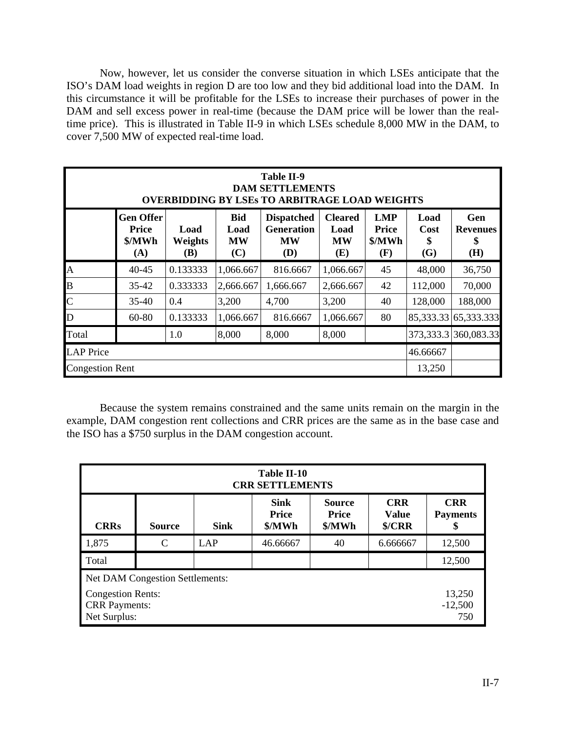Now, however, let us consider the converse situation in which LSEs anticipate that the ISO's DAM load weights in region D are too low and they bid additional load into the DAM. In this circumstance it will be profitable for the LSEs to increase their purchases of power in the DAM and sell excess power in real-time (because the DAM price will be lower than the realtime price). This is illustrated in Table II-9 in which LSEs schedule 8,000 MW in the DAM, to cover 7,500 MW of expected real-time load.

|                  | Table II-9<br><b>DAM SETTLEMENTS</b><br><b>OVERBIDDING BY LSES TO ARBITRAGE LOAD WEIGHTS</b>                                                                                                                                                                                                                                                         |          |           |           |           |    |         |                          |  |  |  |  |
|------------------|------------------------------------------------------------------------------------------------------------------------------------------------------------------------------------------------------------------------------------------------------------------------------------------------------------------------------------------------------|----------|-----------|-----------|-----------|----|---------|--------------------------|--|--|--|--|
|                  | <b>Bid</b><br><b>LMP</b><br><b>Gen Offer</b><br><b>Cleared</b><br>Load<br>Gen<br><b>Dispatched</b><br><b>Generation</b><br><b>Price</b><br>Load<br>Price<br>Load<br>Cost<br>Load<br><b>Revenues</b><br>\$/MWh<br>Weights<br><b>MW</b><br>\$/MWh<br><b>MW</b><br><b>MW</b><br>\$<br>\$<br>(H)<br>(C)<br>(D)<br>(G)<br>(A)<br>(E)<br><b>(B)</b><br>(F) |          |           |           |           |    |         |                          |  |  |  |  |
| $\mathbf{A}$     | 40-45                                                                                                                                                                                                                                                                                                                                                | 0.133333 | 1,066.667 | 816.6667  | 1,066.667 | 45 | 48,000  | 36,750                   |  |  |  |  |
| B                | 35-42                                                                                                                                                                                                                                                                                                                                                | 0.333333 | 2,666.667 | 1,666.667 | 2,666.667 | 42 | 112,000 | 70,000                   |  |  |  |  |
| $\overline{C}$   | $35 - 40$                                                                                                                                                                                                                                                                                                                                            | 0.4      | 3,200     | 4,700     | 3,200     | 40 | 128,000 | 188,000                  |  |  |  |  |
| D                | 60-80                                                                                                                                                                                                                                                                                                                                                | 0.133333 | 1,066.667 | 816.6667  | 1,066.667 | 80 |         | 85, 333. 33 65, 333. 333 |  |  |  |  |
| Total            | 373,333.3 360,083.33<br>8,000<br>8,000<br>8,000<br>1.0                                                                                                                                                                                                                                                                                               |          |           |           |           |    |         |                          |  |  |  |  |
| <b>LAP</b> Price | 46.66667                                                                                                                                                                                                                                                                                                                                             |          |           |           |           |    |         |                          |  |  |  |  |
|                  | 13,250<br><b>Congestion Rent</b>                                                                                                                                                                                                                                                                                                                     |          |           |           |           |    |         |                          |  |  |  |  |

 Because the system remains constrained and the same units remain on the margin in the example, DAM congestion rent collections and CRR prices are the same as in the base case and the ISO has a \$750 surplus in the DAM congestion account.

|                                                                                                                                                                                                                | Table II-10<br><b>CRR SETTLEMENTS</b>  |  |  |  |  |                            |  |  |  |  |  |
|----------------------------------------------------------------------------------------------------------------------------------------------------------------------------------------------------------------|----------------------------------------|--|--|--|--|----------------------------|--|--|--|--|--|
| <b>Sink</b><br><b>CRR</b><br><b>CRR</b><br><b>Source</b><br><b>Price</b><br><b>Price</b><br><b>Value</b><br><b>Payments</b><br><b>CRRs</b><br>\$/MWh<br><b>Sink</b><br>\$/MWh<br>\$/CRR<br><b>Source</b><br>\$ |                                        |  |  |  |  |                            |  |  |  |  |  |
| 1,875<br>12,500<br>C<br>LAP<br>46.66667<br>40<br>6.666667                                                                                                                                                      |                                        |  |  |  |  |                            |  |  |  |  |  |
| Total                                                                                                                                                                                                          |                                        |  |  |  |  | 12,500                     |  |  |  |  |  |
|                                                                                                                                                                                                                | <b>Net DAM Congestion Settlements:</b> |  |  |  |  |                            |  |  |  |  |  |
| <b>Congestion Rents:</b><br><b>CRR</b> Payments:<br>Net Surplus:                                                                                                                                               |                                        |  |  |  |  | 13,250<br>$-12,500$<br>750 |  |  |  |  |  |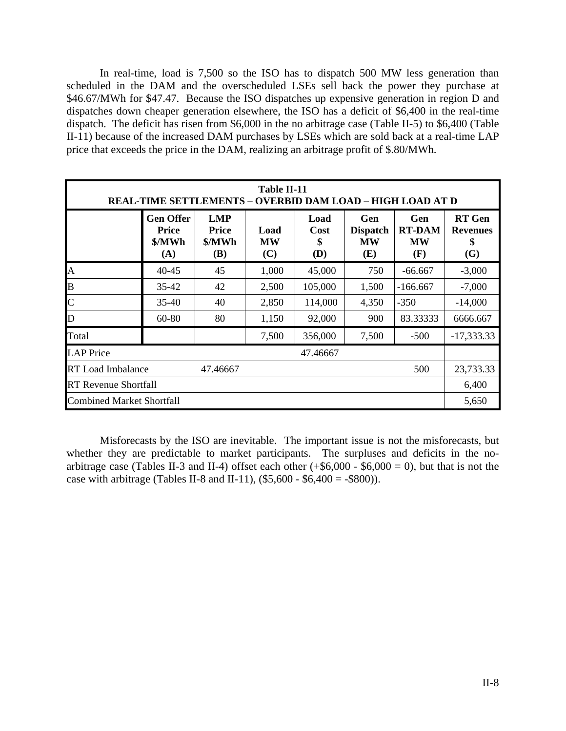In real-time, load is 7,500 so the ISO has to dispatch 500 MW less generation than scheduled in the DAM and the overscheduled LSEs sell back the power they purchase at \$46.67/MWh for \$47.47. Because the ISO dispatches up expensive generation in region D and dispatches down cheaper generation elsewhere, the ISO has a deficit of \$6,400 in the real-time dispatch. The deficit has risen from \$6,000 in the no arbitrage case (Table II-5) to \$6,400 (Table II-11) because of the increased DAM purchases by LSEs which are sold back at a real-time LAP price that exceeds the price in the DAM, realizing an arbitrage profit of \$.80/MWh.

| Table II-11<br><b>REAL-TIME SETTLEMENTS – OVERBID DAM LOAD – HIGH LOAD AT D</b> |                                                   |                                             |                          |                           |                                            |                                          |                                               |  |  |  |
|---------------------------------------------------------------------------------|---------------------------------------------------|---------------------------------------------|--------------------------|---------------------------|--------------------------------------------|------------------------------------------|-----------------------------------------------|--|--|--|
|                                                                                 | <b>Gen Offer</b><br><b>Price</b><br>\$/MWh<br>(A) | <b>LMP</b><br><b>Price</b><br>\$/MWh<br>(B) | Load<br><b>MW</b><br>(C) | Load<br>Cost<br>\$<br>(D) | Gen<br><b>Dispatch</b><br><b>MW</b><br>(E) | Gen<br><b>RT-DAM</b><br><b>MW</b><br>(F) | <b>RT</b> Gen<br><b>Revenues</b><br>\$<br>(G) |  |  |  |
| $\overline{A}$                                                                  | $40 - 45$                                         | 45                                          | 1,000                    | 45,000                    | 750                                        | $-66.667$                                | $-3,000$                                      |  |  |  |
| B                                                                               | 35-42                                             | 42                                          | 2,500                    | 105,000                   | 1,500                                      | $-166.667$                               | $-7,000$                                      |  |  |  |
| $\mathsf{C}$                                                                    | 35-40                                             | 40                                          | 2,850                    | 114,000                   | 4,350                                      | $-350$                                   | $-14,000$                                     |  |  |  |
| D                                                                               | 60-80                                             | 80                                          | 1,150                    | 92,000                    | 900                                        | 83.33333                                 | 6666.667                                      |  |  |  |
| Total                                                                           |                                                   |                                             | 7,500                    | 356,000                   | 7,500                                      | $-500$                                   | $-17,333.33$                                  |  |  |  |
| <b>LAP</b> Price                                                                |                                                   |                                             |                          | 47.46667                  |                                            |                                          |                                               |  |  |  |
| <b>RT</b> Load Imbalance<br>500<br>47.46667                                     |                                                   |                                             |                          |                           |                                            |                                          |                                               |  |  |  |
| <b>RT</b> Revenue Shortfall                                                     |                                                   |                                             |                          |                           |                                            |                                          |                                               |  |  |  |
| <b>Combined Market Shortfall</b>                                                |                                                   |                                             |                          |                           |                                            |                                          | 5,650                                         |  |  |  |

 Misforecasts by the ISO are inevitable. The important issue is not the misforecasts, but whether they are predictable to market participants. The surpluses and deficits in the noarbitrage case (Tables II-3 and II-4) offset each other  $(+\$6,000 - \$6,000 = 0)$ , but that is not the case with arbitrage (Tables II-8 and II-11),  $(\$5,600 - \$6,400 = -\$800)$ ).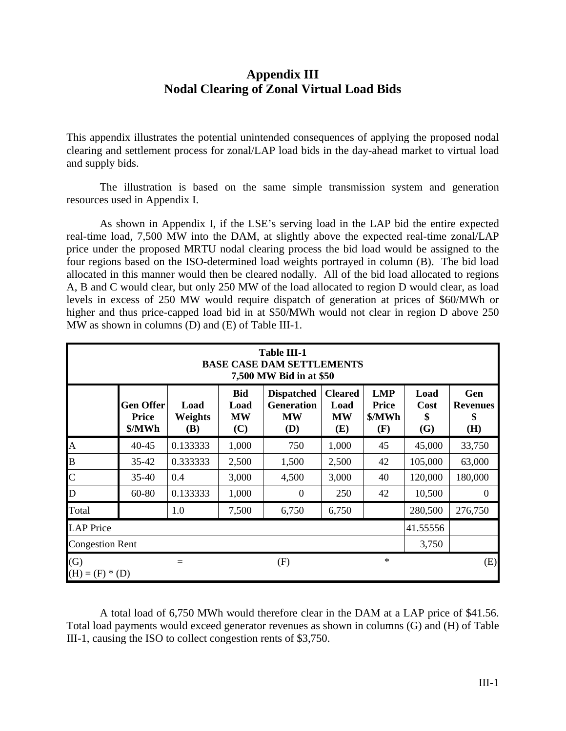# **Appendix III Nodal Clearing of Zonal Virtual Load Bids**

This appendix illustrates the potential unintended consequences of applying the proposed nodal clearing and settlement process for zonal/LAP load bids in the day-ahead market to virtual load and supply bids.

 The illustration is based on the same simple transmission system and generation resources used in Appendix I.

 As shown in Appendix I, if the LSE's serving load in the LAP bid the entire expected real-time load, 7,500 MW into the DAM, at slightly above the expected real-time zonal/LAP price under the proposed MRTU nodal clearing process the bid load would be assigned to the four regions based on the ISO-determined load weights portrayed in column (B). The bid load allocated in this manner would then be cleared nodally. All of the bid load allocated to regions A, B and C would clear, but only 250 MW of the load allocated to region D would clear, as load levels in excess of 250 MW would require dispatch of generation at prices of \$60/MWh or higher and thus price-capped load bid in at \$50/MWh would not clear in region D above 250 MW as shown in columns (D) and (E) of Table III-1.

|                          | <b>Table III-1</b><br><b>BASE CASE DAM SETTLEMENTS</b><br>7,500 MW Bid in at \$50 |                                      |                                        |                                                            |                                            |                                             |                           |                                     |  |  |  |  |
|--------------------------|-----------------------------------------------------------------------------------|--------------------------------------|----------------------------------------|------------------------------------------------------------|--------------------------------------------|---------------------------------------------|---------------------------|-------------------------------------|--|--|--|--|
|                          | <b>Gen Offer</b><br><b>Price</b><br>\$/MWh                                        | Load<br><b>Weights</b><br><b>(B)</b> | <b>Bid</b><br>Load<br><b>MW</b><br>(C) | <b>Dispatched</b><br><b>Generation</b><br><b>MW</b><br>(D) | <b>Cleared</b><br>Load<br><b>MW</b><br>(E) | <b>LMP</b><br><b>Price</b><br>\$/MWh<br>(F) | Load<br>Cost<br>\$<br>(G) | Gen<br><b>Revenues</b><br>\$<br>(H) |  |  |  |  |
| $\mathbf{A}$             | $40 - 45$                                                                         | 0.133333                             | 1,000                                  | 750                                                        | 1,000                                      | 45                                          | 45,000                    | 33,750                              |  |  |  |  |
| B                        | $35 - 42$                                                                         | 0.333333                             | 2,500                                  | 1,500                                                      | 2,500                                      | 42                                          | 105,000                   | 63,000                              |  |  |  |  |
| $\overline{C}$           | $35 - 40$                                                                         | 0.4                                  | 3,000                                  | 4,500                                                      | 3,000                                      | 40                                          | 120,000                   | 180,000                             |  |  |  |  |
| D                        | 60-80                                                                             | 0.133333                             | 1,000                                  | $\theta$                                                   | 250                                        | 42                                          | 10,500                    | $\theta$                            |  |  |  |  |
| Total                    |                                                                                   | 1.0                                  | 7,500                                  | 6,750                                                      | 6,750                                      |                                             | 280,500                   | 276,750                             |  |  |  |  |
| <b>LAP</b> Price         |                                                                                   |                                      |                                        |                                                            |                                            |                                             | 41.55556                  |                                     |  |  |  |  |
|                          | <b>Congestion Rent</b><br>3,750                                                   |                                      |                                        |                                                            |                                            |                                             |                           |                                     |  |  |  |  |
| (G)<br>$(H) = (F) * (D)$ |                                                                                   |                                      |                                        | (F)                                                        |                                            | $\ast$                                      |                           | (E)                                 |  |  |  |  |

 A total load of 6,750 MWh would therefore clear in the DAM at a LAP price of \$41.56. Total load payments would exceed generator revenues as shown in columns (G) and (H) of Table III-1, causing the ISO to collect congestion rents of \$3,750.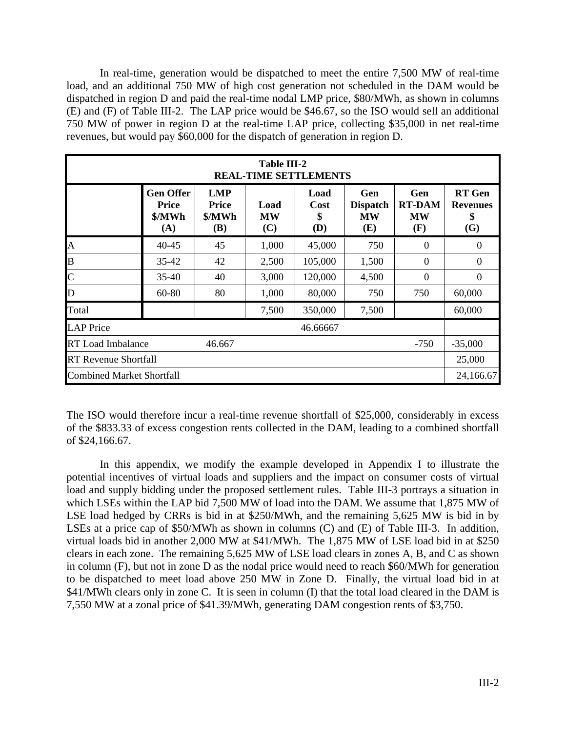In real-time, generation would be dispatched to meet the entire 7,500 MW of real-time load, and an additional 750 MW of high cost generation not scheduled in the DAM would be dispatched in region D and paid the real-time nodal LMP price, \$80/MWh, as shown in columns (E) and (F) of Table III-2. The LAP price would be \$46.67, so the ISO would sell an additional 750 MW of power in region D at the real-time LAP price, collecting \$35,000 in net real-time revenues, but would pay \$60,000 for the dispatch of generation in region D.

|                                                            | <b>Table III-2</b><br><b>REAL-TIME SETTLEMENTS</b> |                                                    |                          |                           |                                            |                                          |                                               |  |  |  |  |  |
|------------------------------------------------------------|----------------------------------------------------|----------------------------------------------------|--------------------------|---------------------------|--------------------------------------------|------------------------------------------|-----------------------------------------------|--|--|--|--|--|
|                                                            | <b>Gen Offer</b><br><b>Price</b><br>\$/MWh<br>(A)  | <b>LMP</b><br><b>Price</b><br>\$/MWh<br><b>(B)</b> | Load<br><b>MW</b><br>(C) | Load<br>Cost<br>\$<br>(D) | Gen<br><b>Dispatch</b><br><b>MW</b><br>(E) | Gen<br><b>RT-DAM</b><br><b>MW</b><br>(F) | <b>RT</b> Gen<br><b>Revenues</b><br>\$<br>(G) |  |  |  |  |  |
| 45,000<br>$40 - 45$<br>45<br>1,000<br>A<br>750<br>$\Omega$ |                                                    |                                                    |                          |                           |                                            |                                          |                                               |  |  |  |  |  |
| B                                                          | $35 - 42$                                          | 42                                                 | 2,500                    | 105,000                   | 1,500                                      | $\Omega$                                 | $\theta$                                      |  |  |  |  |  |
| $\overline{C}$                                             | $35-40$                                            | 40                                                 | 3,000                    | 120,000                   | 4,500                                      | $\theta$                                 | $\Omega$                                      |  |  |  |  |  |
| D                                                          | $60 - 80$                                          | 80                                                 | 1,000                    | 80,000                    | 750                                        | 750                                      | 60,000                                        |  |  |  |  |  |
| Total                                                      |                                                    |                                                    | 7,500                    | 350,000                   | 7,500                                      |                                          | 60,000                                        |  |  |  |  |  |
| <b>LAP</b> Price                                           |                                                    |                                                    |                          | 46.66667                  |                                            |                                          |                                               |  |  |  |  |  |
| <b>RT</b> Load Imbalance<br>46.667<br>$-750$               |                                                    |                                                    |                          |                           |                                            |                                          |                                               |  |  |  |  |  |
| <b>RT Revenue Shortfall</b>                                |                                                    |                                                    |                          |                           |                                            |                                          |                                               |  |  |  |  |  |
| <b>Combined Market Shortfall</b>                           |                                                    |                                                    |                          |                           |                                            |                                          | 24,166.67                                     |  |  |  |  |  |

The ISO would therefore incur a real-time revenue shortfall of \$25,000, considerably in excess of the \$833.33 of excess congestion rents collected in the DAM, leading to a combined shortfall of \$24,166.67.

 In this appendix, we modify the example developed in Appendix I to illustrate the potential incentives of virtual loads and suppliers and the impact on consumer costs of virtual load and supply bidding under the proposed settlement rules. Table III-3 portrays a situation in which LSEs within the LAP bid 7,500 MW of load into the DAM. We assume that 1,875 MW of LSE load hedged by CRRs is bid in at \$250/MWh, and the remaining 5,625 MW is bid in by LSEs at a price cap of \$50/MWh as shown in columns (C) and (E) of Table III-3. In addition, virtual loads bid in another 2,000 MW at \$41/MWh. The 1,875 MW of LSE load bid in at \$250 clears in each zone. The remaining 5,625 MW of LSE load clears in zones A, B, and C as shown in column (F), but not in zone D as the nodal price would need to reach \$60/MWh for generation to be dispatched to meet load above 250 MW in Zone D. Finally, the virtual load bid in at \$41/MWh clears only in zone C. It is seen in column (I) that the total load cleared in the DAM is 7,550 MW at a zonal price of \$41.39/MWh, generating DAM congestion rents of \$3,750.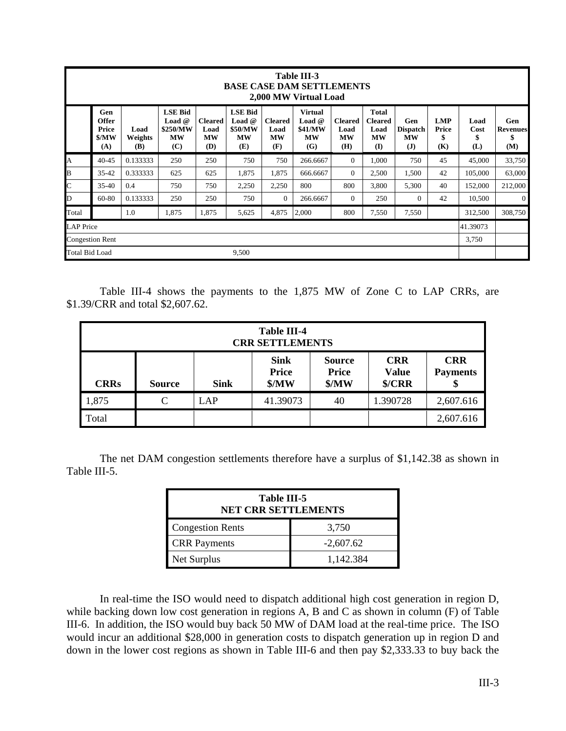|                       | Table III-3<br><b>BASE CASE DAM SETTLEMENTS</b><br>2,000 MW Virtual Load |                        |                                                            |                                            |                                                           |                                            |                                                    |                                            |                                                                 |                                                     |                                  |                           |                                     |
|-----------------------|--------------------------------------------------------------------------|------------------------|------------------------------------------------------------|--------------------------------------------|-----------------------------------------------------------|--------------------------------------------|----------------------------------------------------|--------------------------------------------|-----------------------------------------------------------------|-----------------------------------------------------|----------------------------------|---------------------------|-------------------------------------|
|                       | Gen<br><b>Offer</b><br>Price<br>\$/MW<br>(A)                             | Load<br>Weights<br>(B) | <b>LSE Bid</b><br>Load $@$<br>\$250/MW<br><b>MW</b><br>(C) | <b>Cleared</b><br>Load<br><b>MW</b><br>(D) | <b>LSE Bid</b><br>Load $@$<br>\$50/MW<br><b>MW</b><br>(E) | <b>Cleared</b><br>Load<br><b>MW</b><br>(F) | <b>Virtual</b><br>Load $@$<br>\$41/MW<br>MW<br>(G) | <b>Cleared</b><br>Load<br><b>MW</b><br>(H) | <b>Total</b><br><b>Cleared</b><br>Load<br><b>MW</b><br>$\bf(I)$ | Gen<br><b>Dispatch</b><br><b>MW</b><br>$\mathbf{J}$ | <b>LMP</b><br>Price<br>\$<br>(K) | Load<br>Cost<br>\$<br>(L) | Gen<br><b>Revenues</b><br>\$<br>(M) |
| A                     | $40 - 45$                                                                | 0.133333               | 250                                                        | 250                                        | 750                                                       | 750                                        | 266.6667                                           | $\Omega$                                   | 1,000                                                           | 750                                                 | 45                               | 45,000                    | 33,750                              |
| B                     | $35 - 42$                                                                | 0.333333               | 625                                                        | 625                                        | 1,875                                                     | 1,875                                      | 666.6667                                           | $\mathbf{0}$                               | 2,500                                                           | 1,500                                               | 42                               | 105,000                   | 63,000                              |
| $\mathbf{C}$          | $35 - 40$                                                                | 0.4                    | 750                                                        | 750                                        | 2,250                                                     | 2,250                                      | 800                                                | 800                                        | 3,800                                                           | 5,300                                               | 40                               | 152,000                   | 212,000                             |
| D                     | 60-80                                                                    | 0.133333               | 250                                                        | 250                                        | 750                                                       | $\overline{0}$                             | 266.6667                                           | $\mathbf{0}$                               | 250                                                             | $\Omega$                                            | 42                               | 10,500                    | $\Omega$                            |
| Total                 |                                                                          | 1.0                    | 1,875                                                      | 1,875                                      | 5,625                                                     | 4,875                                      | 2,000                                              | 800                                        | 7,550                                                           | 7,550                                               |                                  | 312,500                   | 308,750                             |
| <b>LAP</b> Price      |                                                                          |                        |                                                            |                                            |                                                           |                                            |                                                    |                                            |                                                                 | 41.39073                                            |                                  |                           |                                     |
|                       | <b>Congestion Rent</b>                                                   |                        |                                                            |                                            |                                                           |                                            |                                                    |                                            |                                                                 | 3,750                                               |                                  |                           |                                     |
| <b>Total Bid Load</b> |                                                                          |                        |                                                            |                                            | 9,500                                                     |                                            |                                                    |                                            |                                                                 |                                                     |                                  |                           |                                     |

 Table III-4 shows the payments to the 1,875 MW of Zone C to LAP CRRs, are \$1.39/CRR and total \$2,607.62.

|             | <b>Table III-4</b><br><b>CRR SETTLEMENTS</b>                                                                                                                               |  |  |  |  |           |  |  |  |  |  |
|-------------|----------------------------------------------------------------------------------------------------------------------------------------------------------------------------|--|--|--|--|-----------|--|--|--|--|--|
| <b>CRRs</b> | <b>Sink</b><br><b>CRR</b><br><b>CRR</b><br><b>Source</b><br><b>Price</b><br><b>Price</b><br><b>Value</b><br><b>Payments</b><br>MW<br>MW<br>\$/CRR<br><b>Sink</b><br>Source |  |  |  |  |           |  |  |  |  |  |
| 1,875       | 41.39073<br>1.390728<br>$\mathsf{C}$<br>LAP<br>40<br>2,607.616                                                                                                             |  |  |  |  |           |  |  |  |  |  |
| Total       |                                                                                                                                                                            |  |  |  |  | 2,607.616 |  |  |  |  |  |

 The net DAM congestion settlements therefore have a surplus of \$1,142.38 as shown in Table III-5.

| Table III-5<br><b>NET CRR SETTLEMENTS</b> |             |  |  |  |  |  |  |
|-------------------------------------------|-------------|--|--|--|--|--|--|
| <b>Congestion Rents</b>                   | 3,750       |  |  |  |  |  |  |
| <b>CRR</b> Payments                       | $-2,607.62$ |  |  |  |  |  |  |
| Net Surplus                               | 1,142.384   |  |  |  |  |  |  |

 In real-time the ISO would need to dispatch additional high cost generation in region D, while backing down low cost generation in regions A, B and C as shown in column (F) of Table III-6. In addition, the ISO would buy back 50 MW of DAM load at the real-time price. The ISO would incur an additional \$28,000 in generation costs to dispatch generation up in region D and down in the lower cost regions as shown in Table III-6 and then pay \$2,333.33 to buy back the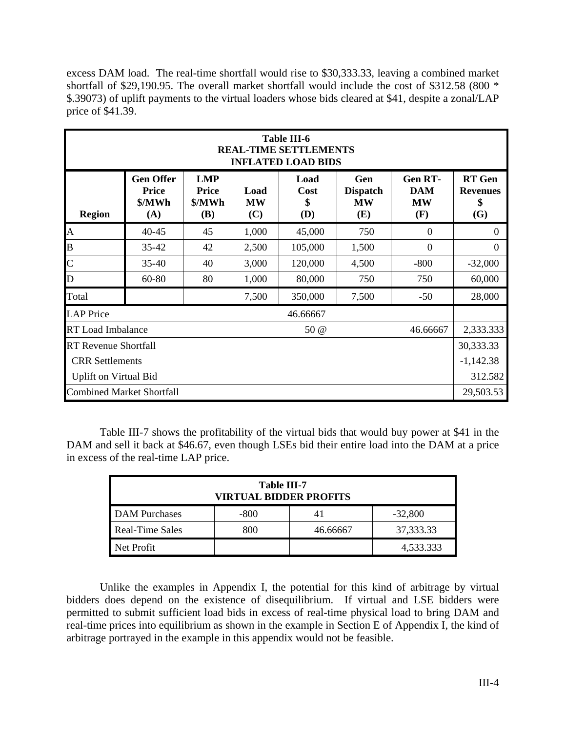excess DAM load. The real-time shortfall would rise to \$30,333.33, leaving a combined market shortfall of \$29,190.95. The overall market shortfall would include the cost of \$312.58 (800 \* \$.39073) of uplift payments to the virtual loaders whose bids cleared at \$41, despite a zonal/LAP price of \$41.39.

|                                                                   | <b>Table III-6</b><br><b>REAL-TIME SETTLEMENTS</b><br><b>INFLATED LOAD BIDS</b>                                                                                                                                                                                    |    |       |          |       |          |           |  |  |  |  |
|-------------------------------------------------------------------|--------------------------------------------------------------------------------------------------------------------------------------------------------------------------------------------------------------------------------------------------------------------|----|-------|----------|-------|----------|-----------|--|--|--|--|
| <b>Region</b>                                                     | <b>Gen Offer</b><br><b>LMP</b><br>Gen<br><b>Gen RT-</b><br>Load<br><b>Price</b><br><b>Price</b><br>Load<br><b>DAM</b><br>Cost<br><b>Dispatch</b><br>\$/MWh<br>\$/MWh<br><b>MW</b><br><b>MW</b><br><b>MW</b><br>\$<br>(C)<br>(E)<br>(F)<br>(A)<br><b>(B)</b><br>(D) |    |       |          |       |          |           |  |  |  |  |
| $\mathbf{A}$<br>1,000<br>45,000<br>40-45<br>750<br>45<br>$\Omega$ |                                                                                                                                                                                                                                                                    |    |       |          |       |          |           |  |  |  |  |
| $\overline{B}$                                                    | 2,500<br>35-42<br>42<br>105,000<br>1,500<br>$\theta$                                                                                                                                                                                                               |    |       |          |       |          |           |  |  |  |  |
| $\mathsf{C}$                                                      | $35 - 40$                                                                                                                                                                                                                                                          | 40 | 3,000 | 120,000  | 4,500 | $-800$   | $-32,000$ |  |  |  |  |
| D                                                                 | 60-80                                                                                                                                                                                                                                                              | 80 | 1,000 | 80,000   | 750   | 750      | 60,000    |  |  |  |  |
| Total                                                             |                                                                                                                                                                                                                                                                    |    | 7,500 | 350,000  | 7,500 | $-50$    | 28,000    |  |  |  |  |
| <b>LAP</b> Price                                                  |                                                                                                                                                                                                                                                                    |    |       | 46.66667 |       |          |           |  |  |  |  |
| <b>RT</b> Load Imbalance                                          |                                                                                                                                                                                                                                                                    |    |       | 50 @     |       | 46.66667 | 2,333.333 |  |  |  |  |
| <b>RT Revenue Shortfall</b>                                       |                                                                                                                                                                                                                                                                    |    |       |          |       |          |           |  |  |  |  |
| <b>CRR</b> Settlements                                            |                                                                                                                                                                                                                                                                    |    |       |          |       |          |           |  |  |  |  |
| <b>Uplift on Virtual Bid</b>                                      |                                                                                                                                                                                                                                                                    |    |       |          |       |          |           |  |  |  |  |
| <b>Combined Market Shortfall</b>                                  |                                                                                                                                                                                                                                                                    |    |       |          |       |          | 29,503.53 |  |  |  |  |

 Table III-7 shows the profitability of the virtual bids that would buy power at \$41 in the DAM and sell it back at \$46.67, even though LSEs bid their entire load into the DAM at a price in excess of the real-time LAP price.

| Table III-7<br><b>VIRTUAL BIDDER PROFITS</b> |      |          |           |  |  |  |  |
|----------------------------------------------|------|----------|-----------|--|--|--|--|
| DAM Purchases                                | -800 |          | $-32,800$ |  |  |  |  |
| <b>Real-Time Sales</b>                       | 800  | 46.66667 | 37,333.33 |  |  |  |  |
| Net Profit                                   |      |          | 4,533.333 |  |  |  |  |

 Unlike the examples in Appendix I, the potential for this kind of arbitrage by virtual bidders does depend on the existence of disequilibrium. If virtual and LSE bidders were permitted to submit sufficient load bids in excess of real-time physical load to bring DAM and real-time prices into equilibrium as shown in the example in Section E of Appendix I, the kind of arbitrage portrayed in the example in this appendix would not be feasible.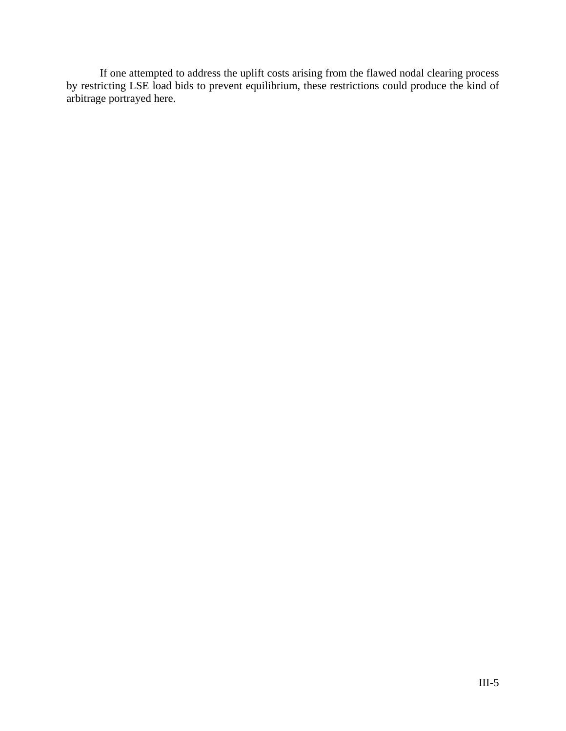If one attempted to address the uplift costs arising from the flawed nodal clearing process by restricting LSE load bids to prevent equilibrium, these restrictions could produce the kind of arbitrage portrayed here.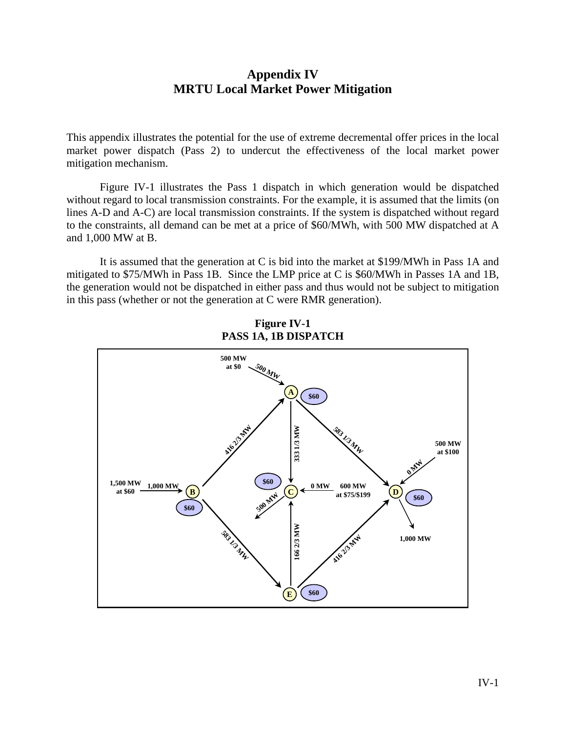# **Appendix IV MRTU Local Market Power Mitigation**

This appendix illustrates the potential for the use of extreme decremental offer prices in the local market power dispatch (Pass 2) to undercut the effectiveness of the local market power mitigation mechanism.

 Figure IV-1 illustrates the Pass 1 dispatch in which generation would be dispatched without regard to local transmission constraints. For the example, it is assumed that the limits (on lines A-D and A-C) are local transmission constraints. If the system is dispatched without regard to the constraints, all demand can be met at a price of \$60/MWh, with 500 MW dispatched at A and 1,000 MW at B.

 It is assumed that the generation at C is bid into the market at \$199/MWh in Pass 1A and mitigated to \$75/MWh in Pass 1B. Since the LMP price at C is \$60/MWh in Passes 1A and 1B, the generation would not be dispatched in either pass and thus would not be subject to mitigation in this pass (whether or not the generation at C were RMR generation).



**Figure IV-1 PASS 1A, 1B DISPATCH**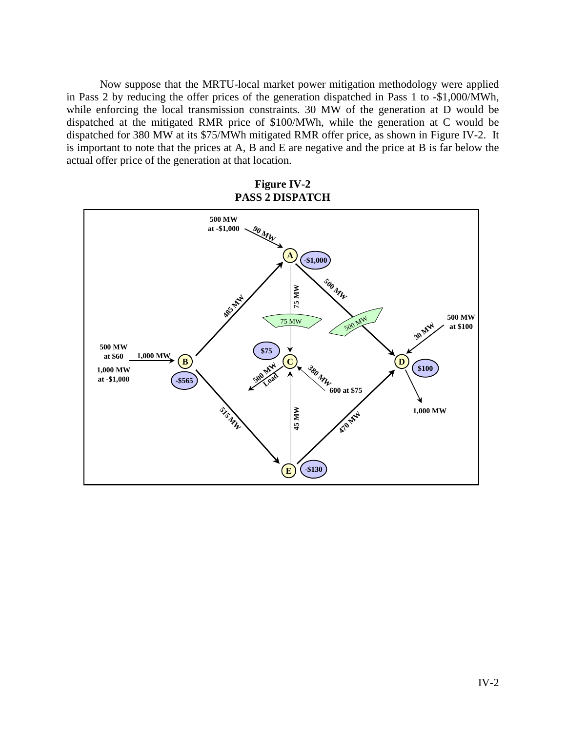Now suppose that the MRTU-local market power mitigation methodology were applied in Pass 2 by reducing the offer prices of the generation dispatched in Pass 1 to -\$1,000/MWh, while enforcing the local transmission constraints. 30 MW of the generation at D would be dispatched at the mitigated RMR price of \$100/MWh, while the generation at C would be dispatched for 380 MW at its \$75/MWh mitigated RMR offer price, as shown in Figure IV-2. It is important to note that the prices at A, B and E are negative and the price at B is far below the actual offer price of the generation at that location.

**Figure IV-2 PASS 2 DISPATCH** 

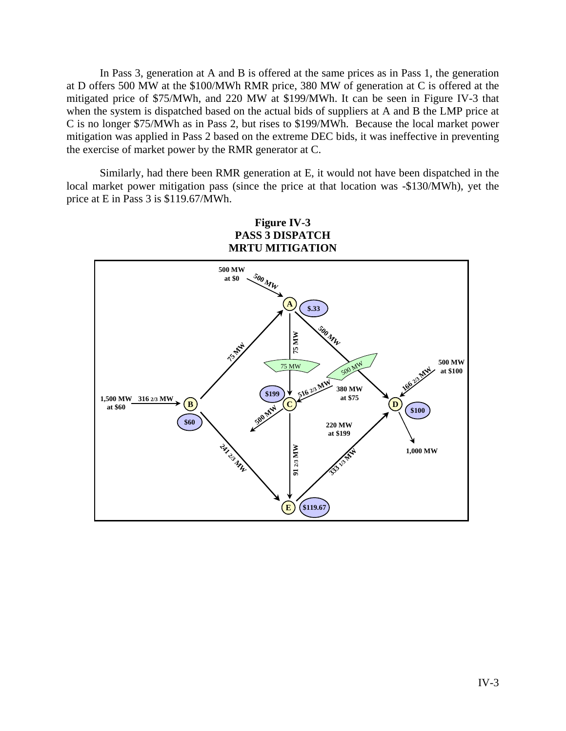In Pass 3, generation at A and B is offered at the same prices as in Pass 1, the generation at D offers 500 MW at the \$100/MWh RMR price, 380 MW of generation at C is offered at the mitigated price of \$75/MWh, and 220 MW at \$199/MWh. It can be seen in Figure IV-3 that when the system is dispatched based on the actual bids of suppliers at A and B the LMP price at C is no longer \$75/MWh as in Pass 2, but rises to \$199/MWh. Because the local market power mitigation was applied in Pass 2 based on the extreme DEC bids, it was ineffective in preventing the exercise of market power by the RMR generator at C.

 Similarly, had there been RMR generation at E, it would not have been dispatched in the local market power mitigation pass (since the price at that location was -\$130/MWh), yet the price at E in Pass 3 is \$119.67/MWh.

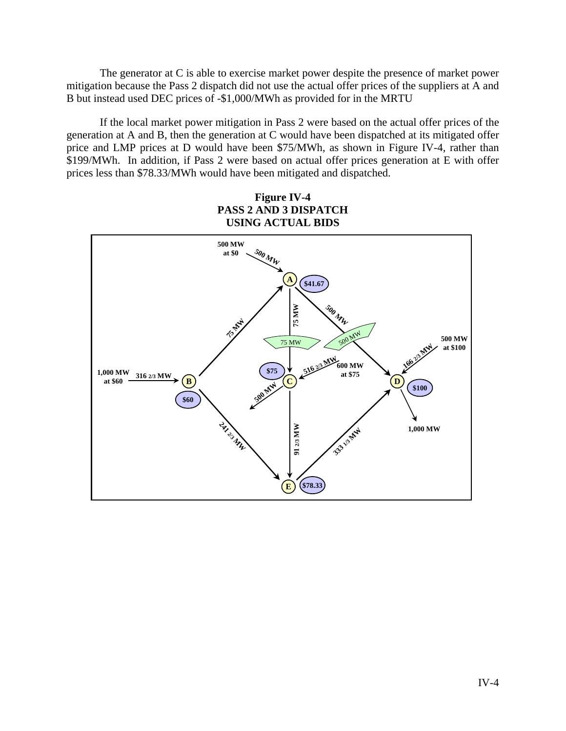The generator at C is able to exercise market power despite the presence of market power mitigation because the Pass 2 dispatch did not use the actual offer prices of the suppliers at A and B but instead used DEC prices of -\$1,000/MWh as provided for in the MRTU

 If the local market power mitigation in Pass 2 were based on the actual offer prices of the generation at A and B, then the generation at C would have been dispatched at its mitigated offer price and LMP prices at D would have been \$75/MWh, as shown in Figure IV-4, rather than \$199/MWh. In addition, if Pass 2 were based on actual offer prices generation at E with offer prices less than \$78.33/MWh would have been mitigated and dispatched.

**Figure IV-4 PASS 2 AND 3 DISPATCH USING ACTUAL BIDS** 

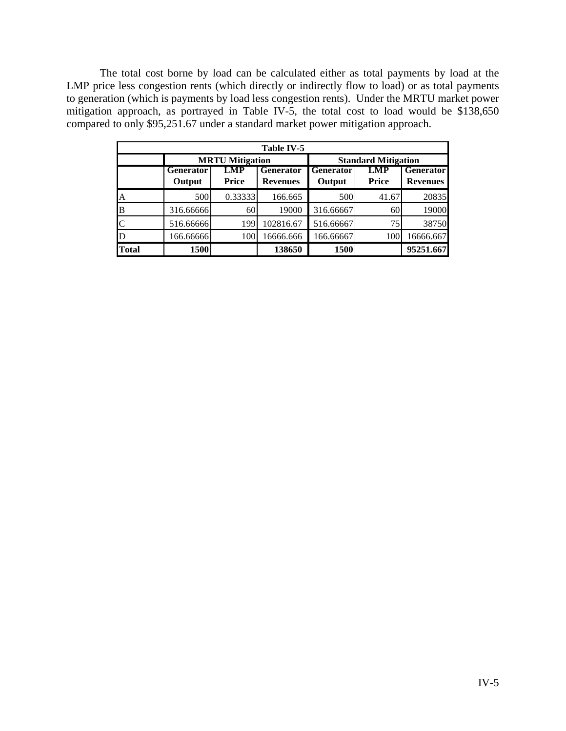The total cost borne by load can be calculated either as total payments by load at the LMP price less congestion rents (which directly or indirectly flow to load) or as total payments to generation (which is payments by load less congestion rents). Under the MRTU market power mitigation approach, as portrayed in Table IV-5, the total cost to load would be \$138,650 compared to only \$95,251.67 under a standard market power mitigation approach.

| Table IV-5   |                        |         |                  |                            |              |                  |  |  |
|--------------|------------------------|---------|------------------|----------------------------|--------------|------------------|--|--|
|              | <b>MRTU Mitigation</b> |         |                  | <b>Standard Mitigation</b> |              |                  |  |  |
|              | <b>Generator</b>       | LMP     | <b>Generator</b> | <b>Generator</b>           | LMP          | <b>Generator</b> |  |  |
|              | Output                 | Price   | <b>Revenues</b>  | Output                     | <b>Price</b> | <b>Revenues</b>  |  |  |
| A            | 500                    | 0.33333 | 166.665          | 500                        | 41.67        | 20835            |  |  |
| B            | 316.66666              | 60      | 19000            | 316.66667                  | 60           | 19000            |  |  |
| C            | 516.66666              | 199     | 102816.67        | 516.66667                  | 75           | 38750            |  |  |
| D            | 166.66666              | 100     | 16666.666        | 166.66667                  | 100          | 16666.667        |  |  |
| <b>Total</b> | 1500                   |         | 138650           | 1500                       |              | 95251.667        |  |  |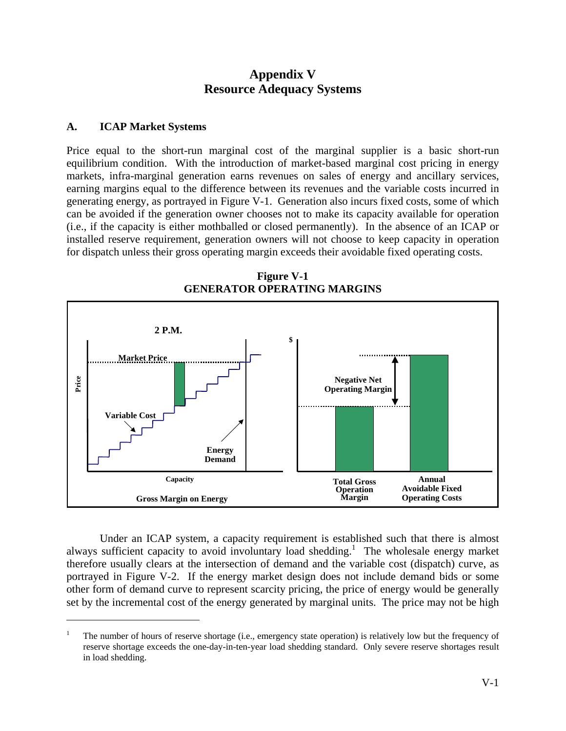# **Appendix V Resource Adequacy Systems**

### **A. ICAP Market Systems**

 $\overline{a}$ 

Price equal to the short-run marginal cost of the marginal supplier is a basic short-run equilibrium condition. With the introduction of market-based marginal cost pricing in energy markets, infra-marginal generation earns revenues on sales of energy and ancillary services, earning margins equal to the difference between its revenues and the variable costs incurred in generating energy, as portrayed in Figure V-1. Generation also incurs fixed costs, some of which can be avoided if the generation owner chooses not to make its capacity available for operation (i.e., if the capacity is either mothballed or closed permanently). In the absence of an ICAP or installed reserve requirement, generation owners will not choose to keep capacity in operation for dispatch unless their gross operating margin exceeds their avoidable fixed operating costs.



**Figure V-1 GENERATOR OPERATING MARGINS** 

 Under an ICAP system, a capacity requirement is established such that there is almost always sufficient capacity to avoid involuntary load shedding.<sup>1</sup> The wholesale energy market therefore usually clears at the intersection of demand and the variable cost (dispatch) curve, as portrayed in Figure V-2. If the energy market design does not include demand bids or some other form of demand curve to represent scarcity pricing, the price of energy would be generally set by the incremental cost of the energy generated by marginal units. The price may not be high

<sup>1</sup> The number of hours of reserve shortage (i.e., emergency state operation) is relatively low but the frequency of reserve shortage exceeds the one-day-in-ten-year load shedding standard. Only severe reserve shortages result in load shedding.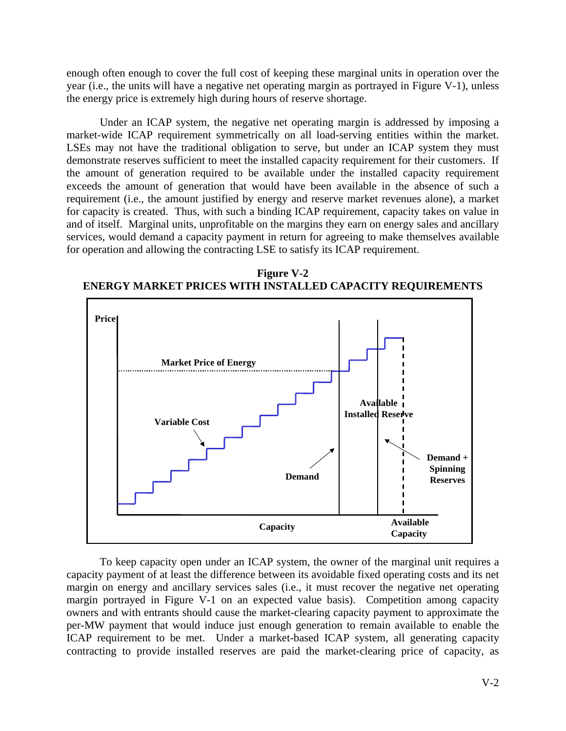enough often enough to cover the full cost of keeping these marginal units in operation over the year (i.e., the units will have a negative net operating margin as portrayed in Figure V-1), unless the energy price is extremely high during hours of reserve shortage.

 Under an ICAP system, the negative net operating margin is addressed by imposing a market-wide ICAP requirement symmetrically on all load-serving entities within the market. LSEs may not have the traditional obligation to serve, but under an ICAP system they must demonstrate reserves sufficient to meet the installed capacity requirement for their customers. If the amount of generation required to be available under the installed capacity requirement exceeds the amount of generation that would have been available in the absence of such a requirement (i.e., the amount justified by energy and reserve market revenues alone), a market for capacity is created. Thus, with such a binding ICAP requirement, capacity takes on value in and of itself. Marginal units, unprofitable on the margins they earn on energy sales and ancillary services, would demand a capacity payment in return for agreeing to make themselves available for operation and allowing the contracting LSE to satisfy its ICAP requirement.

**Figure V-2 ENERGY MARKET PRICES WITH INSTALLED CAPACITY REQUIREMENTS** 



 To keep capacity open under an ICAP system, the owner of the marginal unit requires a capacity payment of at least the difference between its avoidable fixed operating costs and its net margin on energy and ancillary services sales (i.e., it must recover the negative net operating margin portrayed in Figure V-1 on an expected value basis). Competition among capacity owners and with entrants should cause the market-clearing capacity payment to approximate the per-MW payment that would induce just enough generation to remain available to enable the ICAP requirement to be met. Under a market-based ICAP system, all generating capacity contracting to provide installed reserves are paid the market-clearing price of capacity, as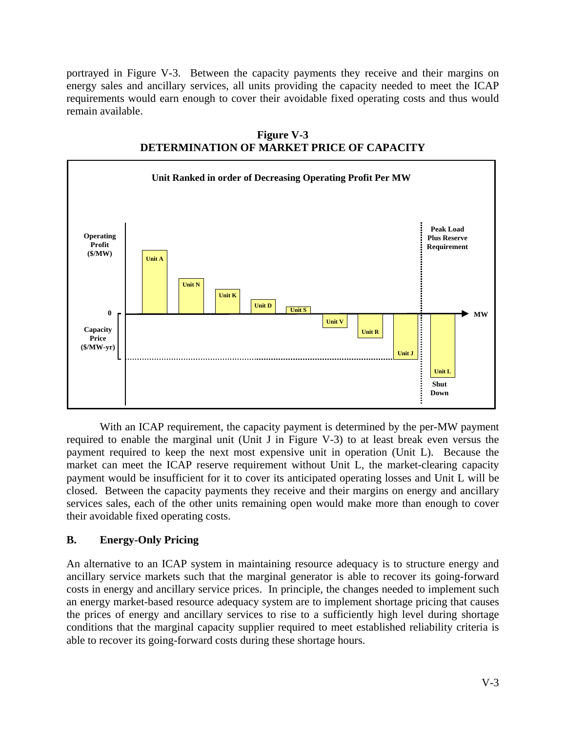portrayed in Figure V-3. Between the capacity payments they receive and their margins on energy sales and ancillary services, all units providing the capacity needed to meet the ICAP requirements would earn enough to cover their avoidable fixed operating costs and thus would remain available.





With an ICAP requirement, the capacity payment is determined by the per-MW payment required to enable the marginal unit (Unit J in Figure V-3) to at least break even versus the payment required to keep the next most expensive unit in operation (Unit L). Because the market can meet the ICAP reserve requirement without Unit L, the market-clearing capacity payment would be insufficient for it to cover its anticipated operating losses and Unit L will be closed. Between the capacity payments they receive and their margins on energy and ancillary services sales, each of the other units remaining open would make more than enough to cover their avoidable fixed operating costs.

## **B. Energy-Only Pricing**

An alternative to an ICAP system in maintaining resource adequacy is to structure energy and ancillary service markets such that the marginal generator is able to recover its going-forward costs in energy and ancillary service prices. In principle, the changes needed to implement such an energy market-based resource adequacy system are to implement shortage pricing that causes the prices of energy and ancillary services to rise to a sufficiently high level during shortage conditions that the marginal capacity supplier required to meet established reliability criteria is able to recover its going-forward costs during these shortage hours.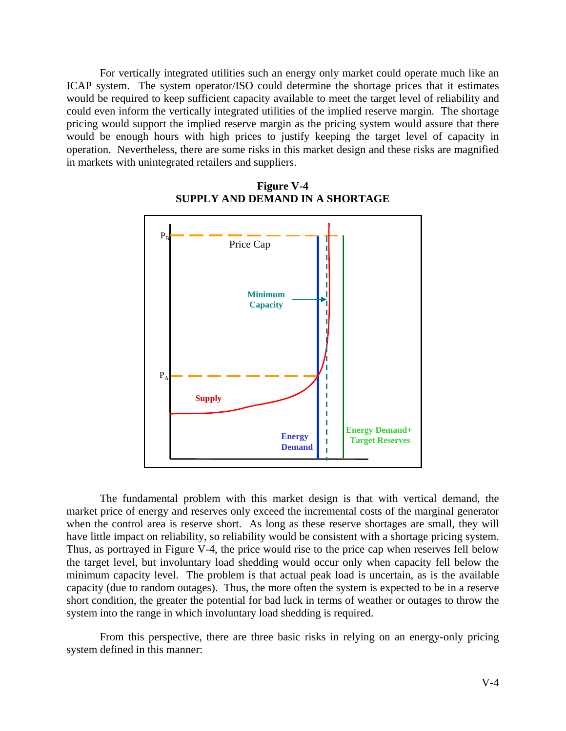For vertically integrated utilities such an energy only market could operate much like an ICAP system. The system operator/ISO could determine the shortage prices that it estimates would be required to keep sufficient capacity available to meet the target level of reliability and could even inform the vertically integrated utilities of the implied reserve margin. The shortage pricing would support the implied reserve margin as the pricing system would assure that there would be enough hours with high prices to justify keeping the target level of capacity in operation. Nevertheless, there are some risks in this market design and these risks are magnified in markets with unintegrated retailers and suppliers.



**Figure V-4 SUPPLY AND DEMAND IN A SHORTAGE** 

 The fundamental problem with this market design is that with vertical demand, the market price of energy and reserves only exceed the incremental costs of the marginal generator when the control area is reserve short. As long as these reserve shortages are small, they will have little impact on reliability, so reliability would be consistent with a shortage pricing system. Thus, as portrayed in Figure V-4, the price would rise to the price cap when reserves fell below the target level, but involuntary load shedding would occur only when capacity fell below the minimum capacity level. The problem is that actual peak load is uncertain, as is the available capacity (due to random outages). Thus, the more often the system is expected to be in a reserve short condition, the greater the potential for bad luck in terms of weather or outages to throw the system into the range in which involuntary load shedding is required.

 From this perspective, there are three basic risks in relying on an energy-only pricing system defined in this manner: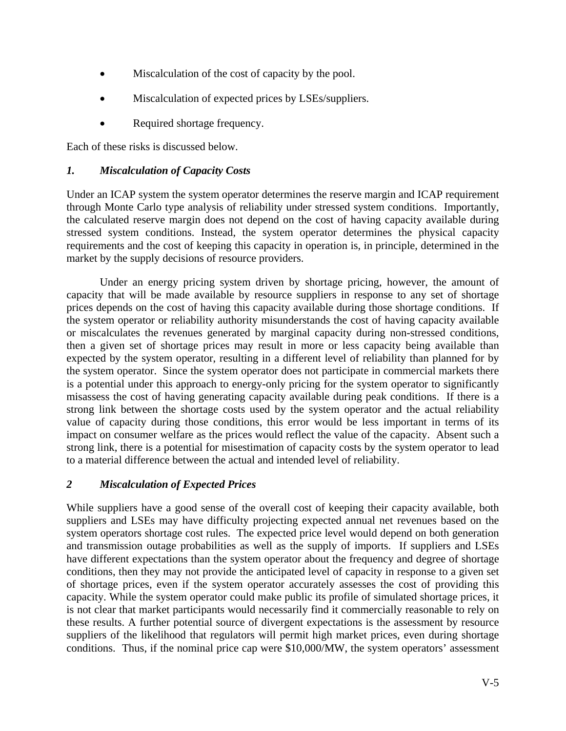- Miscalculation of the cost of capacity by the pool.
- Miscalculation of expected prices by LSEs/suppliers.
- Required shortage frequency.

Each of these risks is discussed below.

### *1. Miscalculation of Capacity Costs*

Under an ICAP system the system operator determines the reserve margin and ICAP requirement through Monte Carlo type analysis of reliability under stressed system conditions. Importantly, the calculated reserve margin does not depend on the cost of having capacity available during stressed system conditions. Instead, the system operator determines the physical capacity requirements and the cost of keeping this capacity in operation is, in principle, determined in the market by the supply decisions of resource providers.

 Under an energy pricing system driven by shortage pricing, however, the amount of capacity that will be made available by resource suppliers in response to any set of shortage prices depends on the cost of having this capacity available during those shortage conditions. If the system operator or reliability authority misunderstands the cost of having capacity available or miscalculates the revenues generated by marginal capacity during non-stressed conditions, then a given set of shortage prices may result in more or less capacity being available than expected by the system operator, resulting in a different level of reliability than planned for by the system operator. Since the system operator does not participate in commercial markets there is a potential under this approach to energy-only pricing for the system operator to significantly misassess the cost of having generating capacity available during peak conditions. If there is a strong link between the shortage costs used by the system operator and the actual reliability value of capacity during those conditions, this error would be less important in terms of its impact on consumer welfare as the prices would reflect the value of the capacity. Absent such a strong link, there is a potential for misestimation of capacity costs by the system operator to lead to a material difference between the actual and intended level of reliability.

## *2 Miscalculation of Expected Prices*

While suppliers have a good sense of the overall cost of keeping their capacity available, both suppliers and LSEs may have difficulty projecting expected annual net revenues based on the system operators shortage cost rules. The expected price level would depend on both generation and transmission outage probabilities as well as the supply of imports. If suppliers and LSEs have different expectations than the system operator about the frequency and degree of shortage conditions, then they may not provide the anticipated level of capacity in response to a given set of shortage prices, even if the system operator accurately assesses the cost of providing this capacity. While the system operator could make public its profile of simulated shortage prices, it is not clear that market participants would necessarily find it commercially reasonable to rely on these results. A further potential source of divergent expectations is the assessment by resource suppliers of the likelihood that regulators will permit high market prices, even during shortage conditions. Thus, if the nominal price cap were \$10,000/MW, the system operators' assessment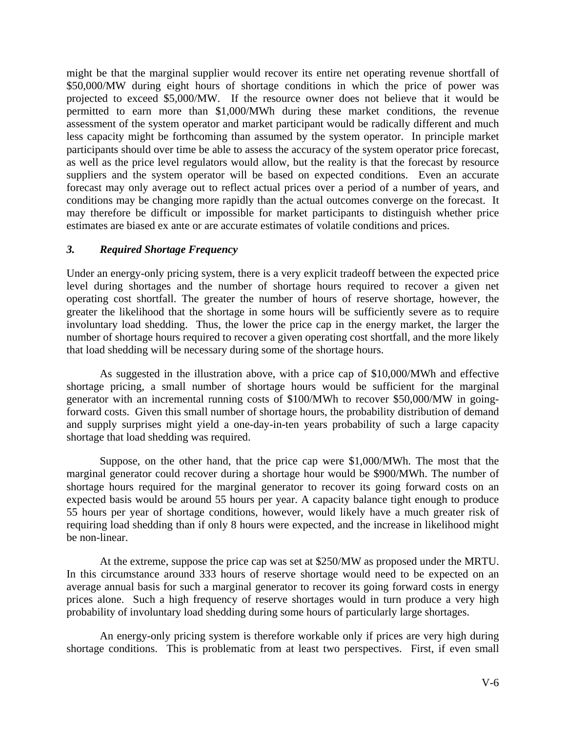might be that the marginal supplier would recover its entire net operating revenue shortfall of \$50,000/MW during eight hours of shortage conditions in which the price of power was projected to exceed \$5,000/MW. If the resource owner does not believe that it would be permitted to earn more than \$1,000/MWh during these market conditions, the revenue assessment of the system operator and market participant would be radically different and much less capacity might be forthcoming than assumed by the system operator. In principle market participants should over time be able to assess the accuracy of the system operator price forecast, as well as the price level regulators would allow, but the reality is that the forecast by resource suppliers and the system operator will be based on expected conditions. Even an accurate forecast may only average out to reflect actual prices over a period of a number of years, and conditions may be changing more rapidly than the actual outcomes converge on the forecast. It may therefore be difficult or impossible for market participants to distinguish whether price estimates are biased ex ante or are accurate estimates of volatile conditions and prices.

#### *3. Required Shortage Frequency*

Under an energy-only pricing system, there is a very explicit tradeoff between the expected price level during shortages and the number of shortage hours required to recover a given net operating cost shortfall. The greater the number of hours of reserve shortage, however, the greater the likelihood that the shortage in some hours will be sufficiently severe as to require involuntary load shedding. Thus, the lower the price cap in the energy market, the larger the number of shortage hours required to recover a given operating cost shortfall, and the more likely that load shedding will be necessary during some of the shortage hours.

 As suggested in the illustration above, with a price cap of \$10,000/MWh and effective shortage pricing, a small number of shortage hours would be sufficient for the marginal generator with an incremental running costs of \$100/MWh to recover \$50,000/MW in goingforward costs. Given this small number of shortage hours, the probability distribution of demand and supply surprises might yield a one-day-in-ten years probability of such a large capacity shortage that load shedding was required.

 Suppose, on the other hand, that the price cap were \$1,000/MWh. The most that the marginal generator could recover during a shortage hour would be \$900/MWh. The number of shortage hours required for the marginal generator to recover its going forward costs on an expected basis would be around 55 hours per year. A capacity balance tight enough to produce 55 hours per year of shortage conditions, however, would likely have a much greater risk of requiring load shedding than if only 8 hours were expected, and the increase in likelihood might be non-linear.

 At the extreme, suppose the price cap was set at \$250/MW as proposed under the MRTU. In this circumstance around 333 hours of reserve shortage would need to be expected on an average annual basis for such a marginal generator to recover its going forward costs in energy prices alone. Such a high frequency of reserve shortages would in turn produce a very high probability of involuntary load shedding during some hours of particularly large shortages.

 An energy-only pricing system is therefore workable only if prices are very high during shortage conditions. This is problematic from at least two perspectives. First, if even small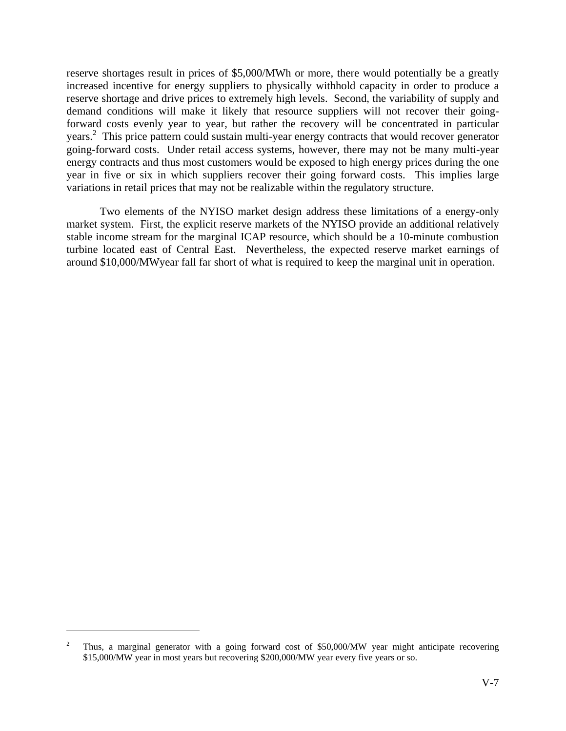reserve shortages result in prices of \$5,000/MWh or more, there would potentially be a greatly increased incentive for energy suppliers to physically withhold capacity in order to produce a reserve shortage and drive prices to extremely high levels. Second, the variability of supply and demand conditions will make it likely that resource suppliers will not recover their goingforward costs evenly year to year, but rather the recovery will be concentrated in particular years. 2 This price pattern could sustain multi-year energy contracts that would recover generator going-forward costs. Under retail access systems, however, there may not be many multi-year energy contracts and thus most customers would be exposed to high energy prices during the one year in five or six in which suppliers recover their going forward costs. This implies large variations in retail prices that may not be realizable within the regulatory structure.

 Two elements of the NYISO market design address these limitations of a energy-only market system. First, the explicit reserve markets of the NYISO provide an additional relatively stable income stream for the marginal ICAP resource, which should be a 10-minute combustion turbine located east of Central East. Nevertheless, the expected reserve market earnings of around \$10,000/MWyear fall far short of what is required to keep the marginal unit in operation.

 $\overline{a}$ 

<sup>2</sup> Thus, a marginal generator with a going forward cost of \$50,000/MW year might anticipate recovering \$15,000/MW year in most years but recovering \$200,000/MW year every five years or so.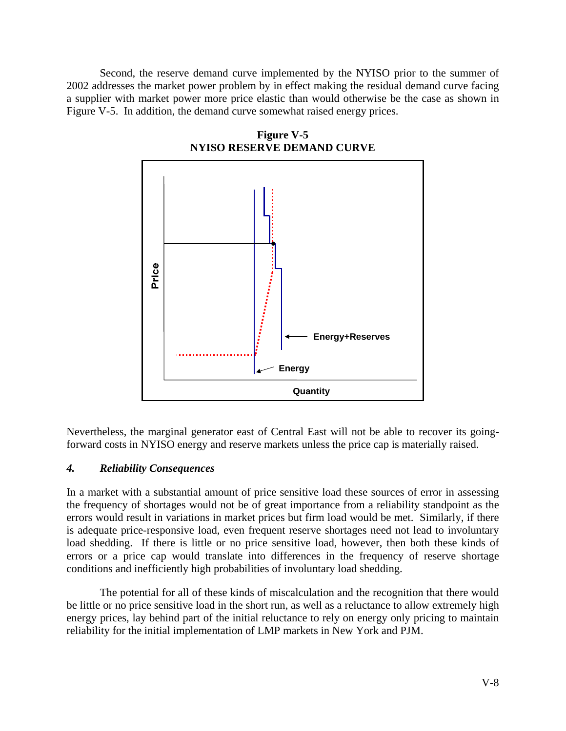Second, the reserve demand curve implemented by the NYISO prior to the summer of 2002 addresses the market power problem by in effect making the residual demand curve facing a supplier with market power more price elastic than would otherwise be the case as shown in Figure V-5. In addition, the demand curve somewhat raised energy prices.



**Figure V-5 NYISO RESERVE DEMAND CURVE** 

Nevertheless, the marginal generator east of Central East will not be able to recover its goingforward costs in NYISO energy and reserve markets unless the price cap is materially raised.

### *4. Reliability Consequences*

In a market with a substantial amount of price sensitive load these sources of error in assessing the frequency of shortages would not be of great importance from a reliability standpoint as the errors would result in variations in market prices but firm load would be met. Similarly, if there is adequate price-responsive load, even frequent reserve shortages need not lead to involuntary load shedding. If there is little or no price sensitive load, however, then both these kinds of errors or a price cap would translate into differences in the frequency of reserve shortage conditions and inefficiently high probabilities of involuntary load shedding.

 The potential for all of these kinds of miscalculation and the recognition that there would be little or no price sensitive load in the short run, as well as a reluctance to allow extremely high energy prices, lay behind part of the initial reluctance to rely on energy only pricing to maintain reliability for the initial implementation of LMP markets in New York and PJM.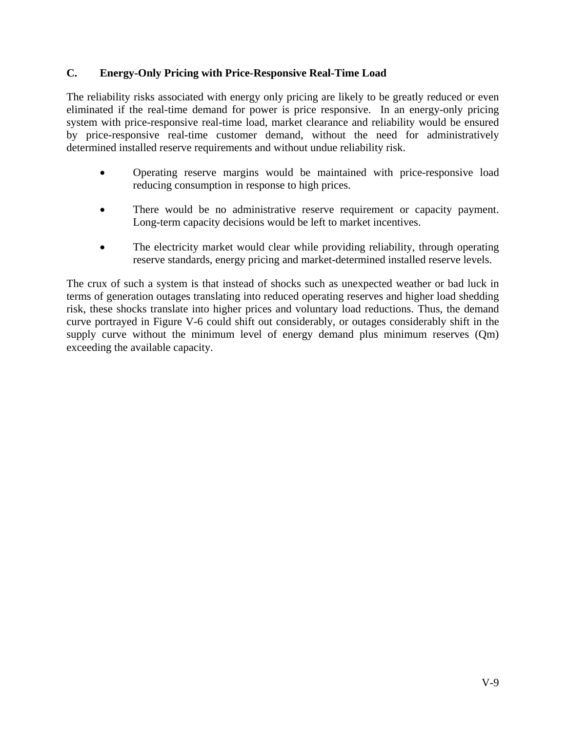#### **C. Energy-Only Pricing with Price-Responsive Real-Time Load**

The reliability risks associated with energy only pricing are likely to be greatly reduced or even eliminated if the real-time demand for power is price responsive. In an energy-only pricing system with price-responsive real-time load, market clearance and reliability would be ensured by price-responsive real-time customer demand, without the need for administratively determined installed reserve requirements and without undue reliability risk.

- Operating reserve margins would be maintained with price-responsive load reducing consumption in response to high prices.
- There would be no administrative reserve requirement or capacity payment. Long-term capacity decisions would be left to market incentives.
- The electricity market would clear while providing reliability, through operating reserve standards, energy pricing and market-determined installed reserve levels.

The crux of such a system is that instead of shocks such as unexpected weather or bad luck in terms of generation outages translating into reduced operating reserves and higher load shedding risk, these shocks translate into higher prices and voluntary load reductions. Thus, the demand curve portrayed in Figure V-6 could shift out considerably, or outages considerably shift in the supply curve without the minimum level of energy demand plus minimum reserves (Qm) exceeding the available capacity.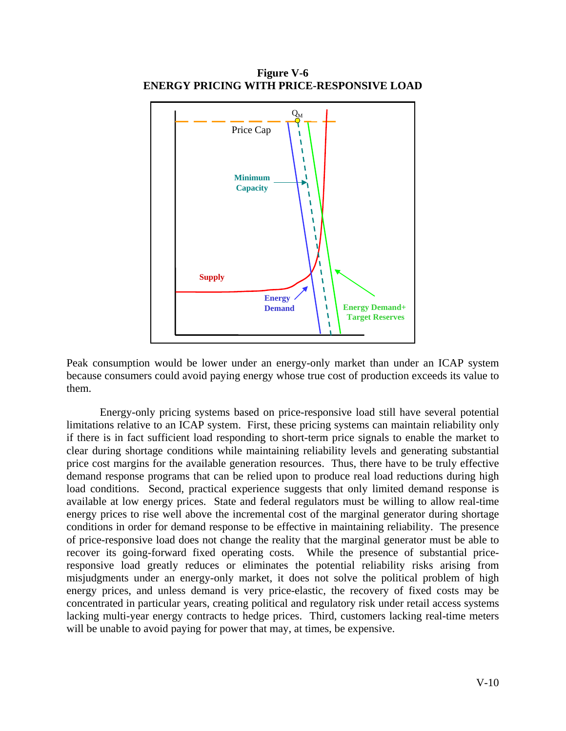**Figure V-6 ENERGY PRICING WITH PRICE-RESPONSIVE LOAD** 



Peak consumption would be lower under an energy-only market than under an ICAP system because consumers could avoid paying energy whose true cost of production exceeds its value to them.

 Energy-only pricing systems based on price-responsive load still have several potential limitations relative to an ICAP system. First, these pricing systems can maintain reliability only if there is in fact sufficient load responding to short-term price signals to enable the market to clear during shortage conditions while maintaining reliability levels and generating substantial price cost margins for the available generation resources. Thus, there have to be truly effective demand response programs that can be relied upon to produce real load reductions during high load conditions. Second, practical experience suggests that only limited demand response is available at low energy prices. State and federal regulators must be willing to allow real-time energy prices to rise well above the incremental cost of the marginal generator during shortage conditions in order for demand response to be effective in maintaining reliability. The presence of price-responsive load does not change the reality that the marginal generator must be able to recover its going-forward fixed operating costs. While the presence of substantial priceresponsive load greatly reduces or eliminates the potential reliability risks arising from misjudgments under an energy-only market, it does not solve the political problem of high energy prices, and unless demand is very price-elastic, the recovery of fixed costs may be concentrated in particular years, creating political and regulatory risk under retail access systems lacking multi-year energy contracts to hedge prices. Third, customers lacking real-time meters will be unable to avoid paying for power that may, at times, be expensive.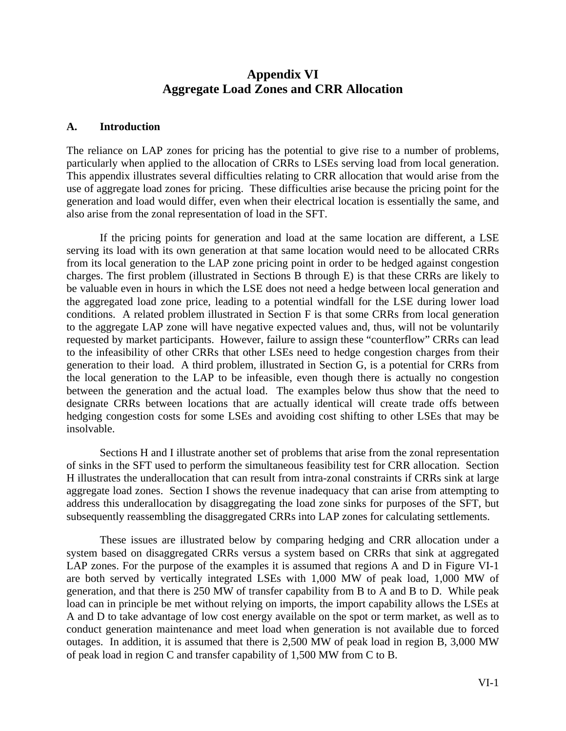# **Appendix VI Aggregate Load Zones and CRR Allocation**

#### **A. Introduction**

The reliance on LAP zones for pricing has the potential to give rise to a number of problems, particularly when applied to the allocation of CRRs to LSEs serving load from local generation. This appendix illustrates several difficulties relating to CRR allocation that would arise from the use of aggregate load zones for pricing. These difficulties arise because the pricing point for the generation and load would differ, even when their electrical location is essentially the same, and also arise from the zonal representation of load in the SFT.

If the pricing points for generation and load at the same location are different, a LSE serving its load with its own generation at that same location would need to be allocated CRRs from its local generation to the LAP zone pricing point in order to be hedged against congestion charges. The first problem (illustrated in Sections B through E) is that these CRRs are likely to be valuable even in hours in which the LSE does not need a hedge between local generation and the aggregated load zone price, leading to a potential windfall for the LSE during lower load conditions. A related problem illustrated in Section F is that some CRRs from local generation to the aggregate LAP zone will have negative expected values and, thus, will not be voluntarily requested by market participants. However, failure to assign these "counterflow" CRRs can lead to the infeasibility of other CRRs that other LSEs need to hedge congestion charges from their generation to their load. A third problem, illustrated in Section G, is a potential for CRRs from the local generation to the LAP to be infeasible, even though there is actually no congestion between the generation and the actual load. The examples below thus show that the need to designate CRRs between locations that are actually identical will create trade offs between hedging congestion costs for some LSEs and avoiding cost shifting to other LSEs that may be insolvable.

 Sections H and I illustrate another set of problems that arise from the zonal representation of sinks in the SFT used to perform the simultaneous feasibility test for CRR allocation. Section H illustrates the underallocation that can result from intra-zonal constraints if CRRs sink at large aggregate load zones. Section I shows the revenue inadequacy that can arise from attempting to address this underallocation by disaggregating the load zone sinks for purposes of the SFT, but subsequently reassembling the disaggregated CRRs into LAP zones for calculating settlements.

 These issues are illustrated below by comparing hedging and CRR allocation under a system based on disaggregated CRRs versus a system based on CRRs that sink at aggregated LAP zones. For the purpose of the examples it is assumed that regions A and D in Figure VI-1 are both served by vertically integrated LSEs with 1,000 MW of peak load, 1,000 MW of generation, and that there is 250 MW of transfer capability from B to A and B to D. While peak load can in principle be met without relying on imports, the import capability allows the LSEs at A and D to take advantage of low cost energy available on the spot or term market, as well as to conduct generation maintenance and meet load when generation is not available due to forced outages. In addition, it is assumed that there is 2,500 MW of peak load in region B, 3,000 MW of peak load in region C and transfer capability of 1,500 MW from C to B.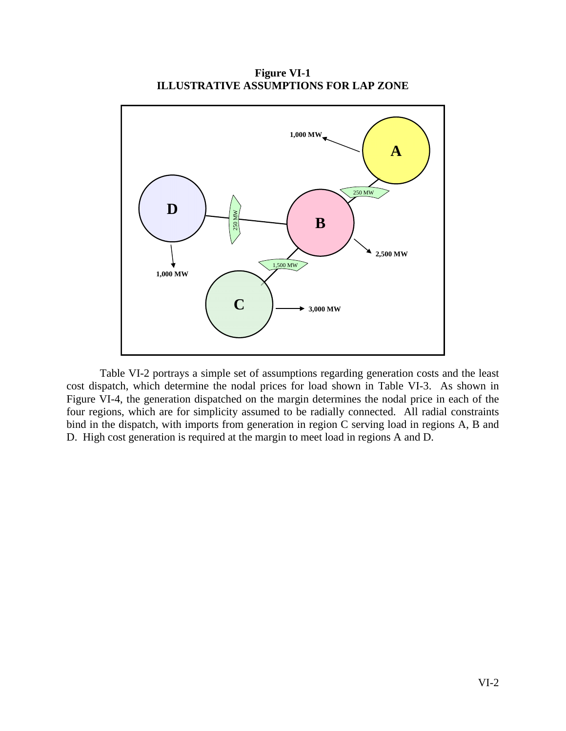

**Figure VI-1 ILLUSTRATIVE ASSUMPTIONS FOR LAP ZONE** 

Table VI-2 portrays a simple set of assumptions regarding generation costs and the least cost dispatch, which determine the nodal prices for load shown in Table VI-3. As shown in Figure VI-4, the generation dispatched on the margin determines the nodal price in each of the four regions, which are for simplicity assumed to be radially connected. All radial constraints bind in the dispatch, with imports from generation in region C serving load in regions A, B and D. High cost generation is required at the margin to meet load in regions A and D.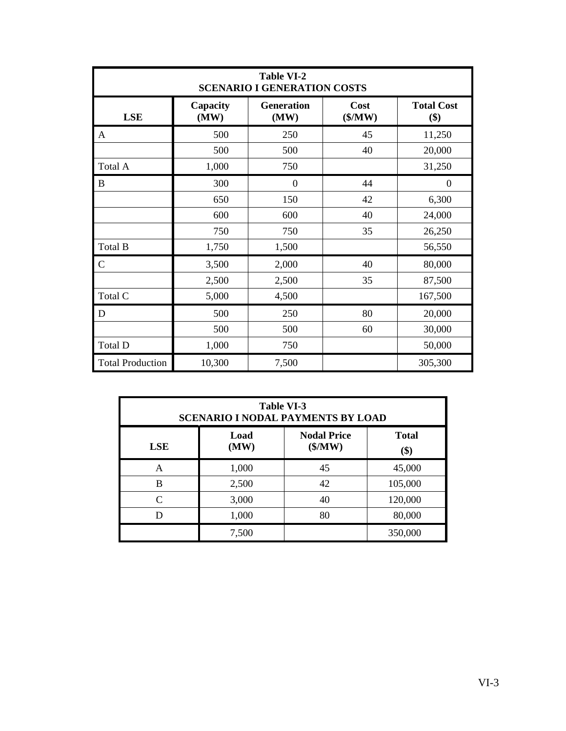| <b>Table VI-2</b><br><b>SCENARIO I GENERATION COSTS</b> |                  |                           |                 |                          |  |
|---------------------------------------------------------|------------------|---------------------------|-----------------|--------------------------|--|
| <b>LSE</b>                                              | Capacity<br>(MW) | <b>Generation</b><br>(MW) | Cost<br>(\$/MW) | <b>Total Cost</b><br>\$) |  |
| A                                                       | 500              | 250                       | 45              | 11,250                   |  |
|                                                         | 500              | 500                       | 40              | 20,000                   |  |
| Total A                                                 | 1,000            | 750                       |                 | 31,250                   |  |
| B                                                       | 300              | $\theta$                  | 44              | $\overline{0}$           |  |
|                                                         | 650              | 150                       | 42              | 6,300                    |  |
|                                                         | 600              | 600                       | 40              | 24,000                   |  |
|                                                         | 750              | 750                       | 35              | 26,250                   |  |
| Total B                                                 | 1,750            | 1,500                     |                 | 56,550                   |  |
| $\mathsf{C}$                                            | 3,500            | 2,000                     | 40              | 80,000                   |  |
|                                                         | 2,500            | 2,500                     | 35              | 87,500                   |  |
| Total C                                                 | 5,000            | 4,500                     |                 | 167,500                  |  |
| D                                                       | 500              | 250                       | 80              | 20,000                   |  |
|                                                         | 500              | 500                       | 60              | 30,000                   |  |
| Total D                                                 | 1,000            | 750                       |                 | 50,000                   |  |
| <b>Total Production</b>                                 | 10,300           | 7,500                     |                 | 305,300                  |  |

| <b>Table VI-3</b><br><b>SCENARIO I NODAL PAYMENTS BY LOAD</b>                      |       |    |         |  |  |
|------------------------------------------------------------------------------------|-------|----|---------|--|--|
| <b>Nodal Price</b><br><b>Total</b><br>Load<br>(\$/MW)<br>(MW)<br><b>LSE</b><br>\$) |       |    |         |  |  |
| A                                                                                  | 1,000 | 45 | 45,000  |  |  |
| B                                                                                  | 2,500 | 42 | 105,000 |  |  |
| $\mathcal{C}_{\mathcal{C}}$                                                        | 3,000 | 40 | 120,000 |  |  |
| D                                                                                  | 1,000 | 80 | 80,000  |  |  |
|                                                                                    | 7,500 |    | 350,000 |  |  |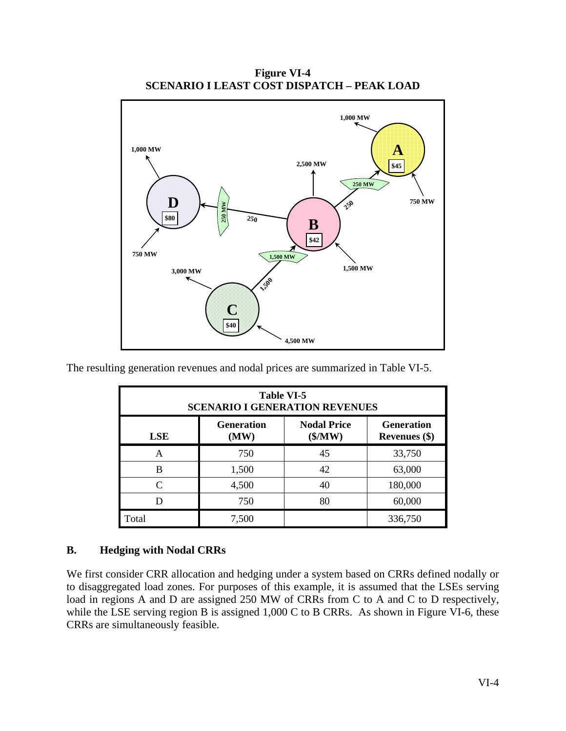**Figure VI-4 SCENARIO I LEAST COST DISPATCH – PEAK LOAD** 



The resulting generation revenues and nodal prices are summarized in Table VI-5.

| <b>Table VI-5</b><br><b>SCENARIO I GENERATION REVENUES</b>                                                     |       |    |         |  |  |
|----------------------------------------------------------------------------------------------------------------|-------|----|---------|--|--|
| <b>Generation</b><br><b>Nodal Price</b><br><b>Generation</b><br>(\$/MW)<br>(MW)<br><b>LSE</b><br>Revenues (\$) |       |    |         |  |  |
| А                                                                                                              | 750   | 45 | 33,750  |  |  |
| B                                                                                                              | 1,500 | 42 | 63,000  |  |  |
| $\subset$                                                                                                      | 4,500 | 40 | 180,000 |  |  |
|                                                                                                                | 750   | 80 | 60,000  |  |  |
| Total                                                                                                          | 7,500 |    | 336,750 |  |  |

#### **B. Hedging with Nodal CRRs**

We first consider CRR allocation and hedging under a system based on CRRs defined nodally or to disaggregated load zones. For purposes of this example, it is assumed that the LSEs serving load in regions A and D are assigned 250 MW of CRRs from C to A and C to D respectively, while the LSE serving region B is assigned 1,000 C to B CRRs. As shown in Figure VI-6, these CRRs are simultaneously feasible.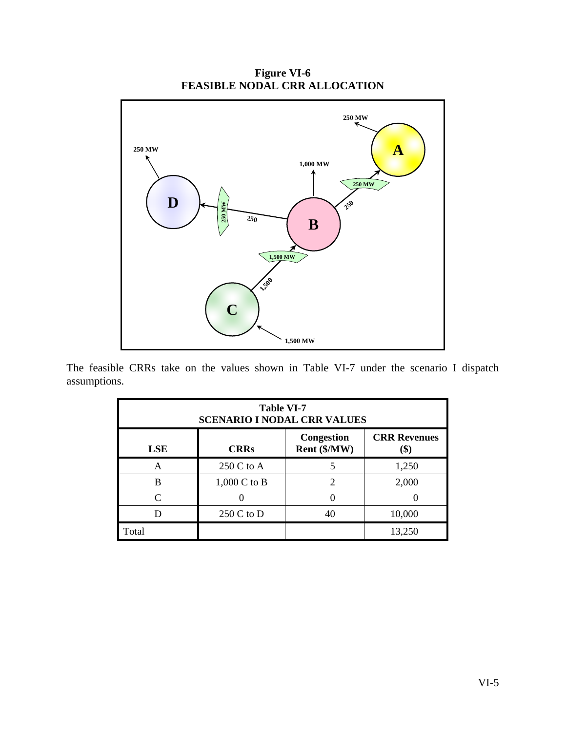**Figure VI-6 FEASIBLE NODAL CRR ALLOCATION** 



The feasible CRRs take on the values shown in Table VI-7 under the scenario I dispatch assumptions.

| <b>Table VI-7</b><br><b>SCENARIO I NODAL CRR VALUES</b>                                       |                |    |        |  |  |
|-----------------------------------------------------------------------------------------------|----------------|----|--------|--|--|
| <b>CRR Revenues</b><br><b>Congestion</b><br>Rent (\$/MW)<br><b>CRRs</b><br><b>LSE</b><br>(\$) |                |    |        |  |  |
| A                                                                                             | 250 C to A     |    | 1,250  |  |  |
| B                                                                                             | $1,000$ C to B | າ  | 2,000  |  |  |
| $\subset$                                                                                     |                |    |        |  |  |
|                                                                                               | 250 C to D     | 40 | 10,000 |  |  |
| Total                                                                                         |                |    | 13,250 |  |  |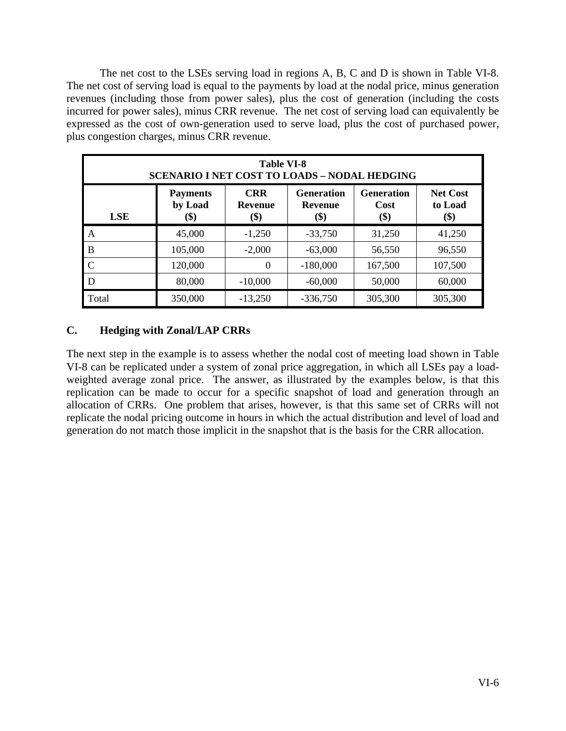The net cost to the LSEs serving load in regions A, B, C and D is shown in Table VI-8. The net cost of serving load is equal to the payments by load at the nodal price, minus generation revenues (including those from power sales), plus the cost of generation (including the costs incurred for power sales), minus CRR revenue. The net cost of serving load can equivalently be expressed as the cost of own-generation used to serve load, plus the cost of purchased power, plus congestion charges, minus CRR revenue.

| <b>Table VI-8</b><br><b>SCENARIO I NET COST TO LOADS - NODAL HEDGING</b> |                                                                                                                                                                                                                         |           |            |         |         |  |  |
|--------------------------------------------------------------------------|-------------------------------------------------------------------------------------------------------------------------------------------------------------------------------------------------------------------------|-----------|------------|---------|---------|--|--|
| <b>LSE</b>                                                               | <b>CRR</b><br><b>Generation</b><br><b>Net Cost</b><br><b>Generation</b><br><b>Payments</b><br>by Load<br><b>Cost</b><br>to Load<br>Revenue<br><b>Revenue</b><br>$\left( \text{\$}\right)$<br>\$)<br>\$)<br>(\$)<br>(\$) |           |            |         |         |  |  |
| A                                                                        | 45,000                                                                                                                                                                                                                  | $-1,250$  | $-33,750$  | 31,250  | 41,250  |  |  |
| B                                                                        | 105,000                                                                                                                                                                                                                 | $-2,000$  | $-63,000$  | 56,550  | 96,550  |  |  |
| $\mathbf C$                                                              | 120,000                                                                                                                                                                                                                 | $\theta$  | $-180,000$ | 167,500 | 107,500 |  |  |
| D                                                                        | 80,000                                                                                                                                                                                                                  | $-10,000$ | $-60,000$  | 50,000  | 60,000  |  |  |
| Total                                                                    | 350,000                                                                                                                                                                                                                 | $-13,250$ | $-336,750$ | 305,300 | 305,300 |  |  |

## **C. Hedging with Zonal/LAP CRRs**

The next step in the example is to assess whether the nodal cost of meeting load shown in Table VI-8 can be replicated under a system of zonal price aggregation, in which all LSEs pay a loadweighted average zonal price. The answer, as illustrated by the examples below, is that this replication can be made to occur for a specific snapshot of load and generation through an allocation of CRRs. One problem that arises, however, is that this same set of CRRs will not replicate the nodal pricing outcome in hours in which the actual distribution and level of load and generation do not match those implicit in the snapshot that is the basis for the CRR allocation.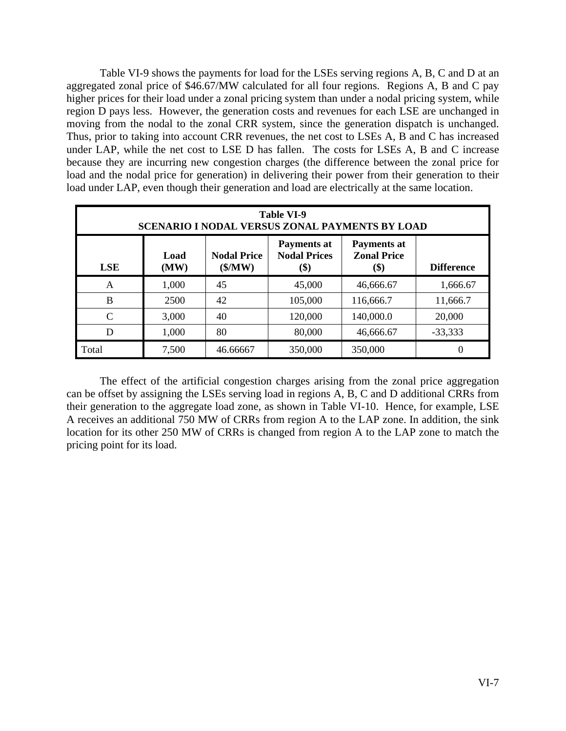Table VI-9 shows the payments for load for the LSEs serving regions A, B, C and D at an aggregated zonal price of \$46.67/MW calculated for all four regions. Regions A, B and C pay higher prices for their load under a zonal pricing system than under a nodal pricing system, while region D pays less. However, the generation costs and revenues for each LSE are unchanged in moving from the nodal to the zonal CRR system, since the generation dispatch is unchanged. Thus, prior to taking into account CRR revenues, the net cost to LSEs A, B and C has increased under LAP, while the net cost to LSE D has fallen. The costs for LSEs A, B and C increase because they are incurring new congestion charges (the difference between the zonal price for load and the nodal price for generation) in delivering their power from their generation to their load under LAP, even though their generation and load are electrically at the same location.

| <b>Table VI-9</b><br>SCENARIO I NODAL VERSUS ZONAL PAYMENTS BY LOAD                                                                                                                                      |       |          |         |           |           |
|----------------------------------------------------------------------------------------------------------------------------------------------------------------------------------------------------------|-------|----------|---------|-----------|-----------|
| <b>Payments at</b><br>Payments at<br><b>Nodal Prices</b><br><b>Zonal Price</b><br><b>Nodal Price</b><br>Load<br><b>LSE</b><br>(MW)<br>$(\frac{\text{S}}{\text{MW}})$<br>\$)<br><b>Difference</b><br>(\$) |       |          |         |           |           |
| A                                                                                                                                                                                                        | 1,000 | 45       | 45,000  | 46,666.67 | 1,666.67  |
| B                                                                                                                                                                                                        | 2500  | 42       | 105,000 | 116,666.7 | 11,666.7  |
| C                                                                                                                                                                                                        | 3,000 | 40       | 120,000 | 140,000.0 | 20,000    |
| D                                                                                                                                                                                                        | 1,000 | 80       | 80,000  | 46,666.67 | $-33,333$ |
| Total                                                                                                                                                                                                    | 7,500 | 46.66667 | 350,000 | 350,000   | 0         |

 The effect of the artificial congestion charges arising from the zonal price aggregation can be offset by assigning the LSEs serving load in regions A, B, C and D additional CRRs from their generation to the aggregate load zone, as shown in Table VI-10. Hence, for example, LSE A receives an additional 750 MW of CRRs from region A to the LAP zone. In addition, the sink location for its other 250 MW of CRRs is changed from region A to the LAP zone to match the pricing point for its load.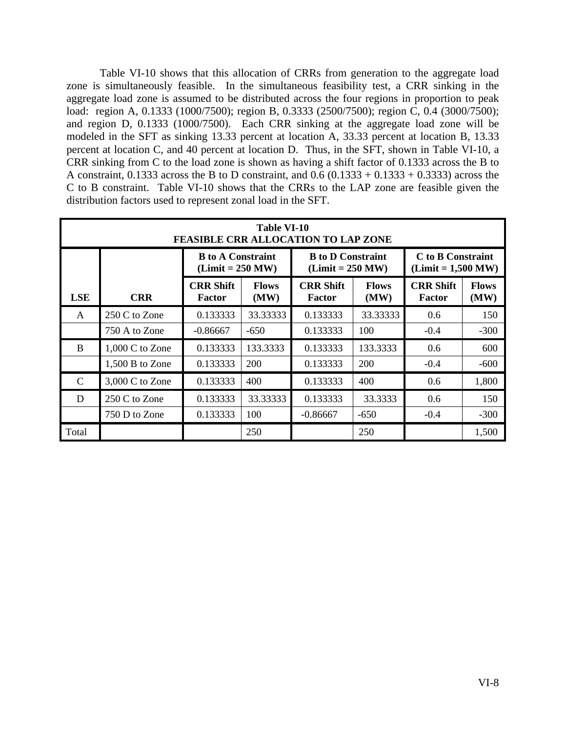Table VI-10 shows that this allocation of CRRs from generation to the aggregate load zone is simultaneously feasible. In the simultaneous feasibility test, a CRR sinking in the aggregate load zone is assumed to be distributed across the four regions in proportion to peak load: region A, 0.1333 (1000/7500); region B, 0.3333 (2500/7500); region C, 0.4 (3000/7500); and region D, 0.1333 (1000/7500). Each CRR sinking at the aggregate load zone will be modeled in the SFT as sinking 13.33 percent at location A, 33.33 percent at location B, 13.33 percent at location C, and 40 percent at location D. Thus, in the SFT, shown in Table VI-10, a CRR sinking from C to the load zone is shown as having a shift factor of 0.1333 across the B to A constraint, 0.1333 across the B to D constraint, and  $0.6$  (0.1333 + 0.1333 + 0.3333) across the C to B constraint. Table VI-10 shows that the CRRs to the LAP zone are feasible given the distribution factors used to represent zonal load in the SFT.

|               | Table VI-10<br><b>FEASIBLE CRR ALLOCATION TO LAP ZONE</b> |                                                |                      |                                                       |                      |                                           |                      |
|---------------|-----------------------------------------------------------|------------------------------------------------|----------------------|-------------------------------------------------------|----------------------|-------------------------------------------|----------------------|
|               |                                                           | <b>B</b> to A Constraint<br>$(Limit = 250 MW)$ |                      | <b>B</b> to <b>D</b> Constraint<br>$(Limit = 250 MW)$ |                      | C to B Constraint<br>$(Limit = 1,500 MW)$ |                      |
| <b>LSE</b>    | <b>CRR</b>                                                | <b>CRR Shift</b><br>Factor                     | <b>Flows</b><br>(MW) | <b>CRR Shift</b><br><b>Factor</b>                     | <b>Flows</b><br>(MW) | <b>CRR Shift</b><br><b>Factor</b>         | <b>Flows</b><br>(MW) |
| A             | 250 C to Zone                                             | 0.133333                                       | 33.33333             | 0.133333                                              | 33.33333             | 0.6                                       | 150                  |
|               | 750 A to Zone                                             | $-0.86667$                                     | $-650$               | 0.133333                                              | 100                  | $-0.4$                                    | $-300$               |
| B             | $1,000$ C to Zone                                         | 0.133333                                       | 133.3333             | 0.133333                                              | 133.3333             | 0.6                                       | 600                  |
|               | 1,500 B to Zone                                           | 0.133333                                       | 200                  | 0.133333                                              | 200                  | $-0.4$                                    | $-600$               |
| $\mathcal{C}$ | $3,000$ C to Zone                                         | 0.133333                                       | 400                  | 0.133333                                              | 400                  | 0.6                                       | 1,800                |
| D             | 250 C to Zone                                             | 0.133333                                       | 33.33333             | 0.133333                                              | 33.3333              | 0.6                                       | 150                  |
|               | 750 D to Zone                                             | 0.133333                                       | 100                  | $-0.86667$                                            | $-650$               | $-0.4$                                    | $-300$               |
| Total         |                                                           |                                                | 250                  |                                                       | 250                  |                                           | 1,500                |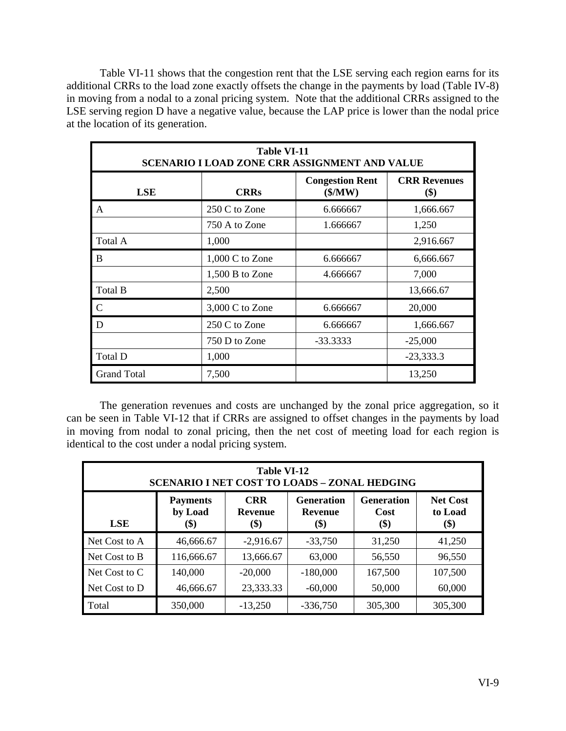Table VI-11 shows that the congestion rent that the LSE serving each region earns for its additional CRRs to the load zone exactly offsets the change in the payments by load (Table IV-8) in moving from a nodal to a zonal pricing system. Note that the additional CRRs assigned to the LSE serving region D have a negative value, because the LAP price is lower than the nodal price at the location of its generation.

| <b>Table VI-11</b><br><b>SCENARIO I LOAD ZONE CRR ASSIGNMENT AND VALUE</b> |                   |                                             |                            |  |
|----------------------------------------------------------------------------|-------------------|---------------------------------------------|----------------------------|--|
| <b>LSE</b>                                                                 | <b>CRRs</b>       | <b>Congestion Rent</b><br>$(\frac{1}{2}MW)$ | <b>CRR</b> Revenues<br>\$) |  |
| A                                                                          | 250 C to Zone     | 6.666667                                    | 1,666.667                  |  |
|                                                                            | 750 A to Zone     | 1.666667                                    | 1,250                      |  |
| Total A                                                                    | 1,000             |                                             | 2,916.667                  |  |
| B                                                                          | $1,000$ C to Zone | 6.666667                                    | 6,666.667                  |  |
|                                                                            | 1,500 B to Zone   | 4.666667                                    | 7,000                      |  |
| Total B                                                                    | 2,500             |                                             | 13,666.67                  |  |
| C                                                                          | 3,000 C to Zone   | 6.666667                                    | 20,000                     |  |
| D                                                                          | 250 C to Zone     | 6.666667                                    | 1,666.667                  |  |
|                                                                            | 750 D to Zone     | $-33.3333$                                  | $-25,000$                  |  |
| Total D                                                                    | 1,000             |                                             | $-23,333.3$                |  |
| <b>Grand Total</b>                                                         | 7,500             |                                             | 13,250                     |  |

 The generation revenues and costs are unchanged by the zonal price aggregation, so it can be seen in Table VI-12 that if CRRs are assigned to offset changes in the payments by load in moving from nodal to zonal pricing, then the net cost of meeting load for each region is identical to the cost under a nodal pricing system.

| Table VI-12<br><b>SCENARIO I NET COST TO LOADS - ZONAL HEDGING</b> |                                                                                                                                                                                                    |             |            |         |         |  |
|--------------------------------------------------------------------|----------------------------------------------------------------------------------------------------------------------------------------------------------------------------------------------------|-------------|------------|---------|---------|--|
| <b>LSE</b>                                                         | <b>CRR</b><br><b>Generation</b><br><b>Generation</b><br><b>Net Cost</b><br><b>Payments</b><br>by Load<br>to Load<br><b>Revenue</b><br><b>Revenue</b><br>Cost<br>\$)<br>(\$)<br>(\$)<br>(\$)<br>\$) |             |            |         |         |  |
| Net Cost to A                                                      | 46,666.67                                                                                                                                                                                          | $-2,916.67$ | $-33,750$  | 31,250  | 41,250  |  |
| Net Cost to B                                                      | 116,666.67                                                                                                                                                                                         | 13,666.67   | 63,000     | 56,550  | 96,550  |  |
| Net Cost to C                                                      | 140,000                                                                                                                                                                                            | $-20,000$   | $-180,000$ | 167,500 | 107,500 |  |
| Net Cost to D                                                      | 46,666.67                                                                                                                                                                                          | 23,333.33   | $-60,000$  | 50,000  | 60,000  |  |
| Total                                                              | 350,000                                                                                                                                                                                            | $-13,250$   | $-336,750$ | 305,300 | 305,300 |  |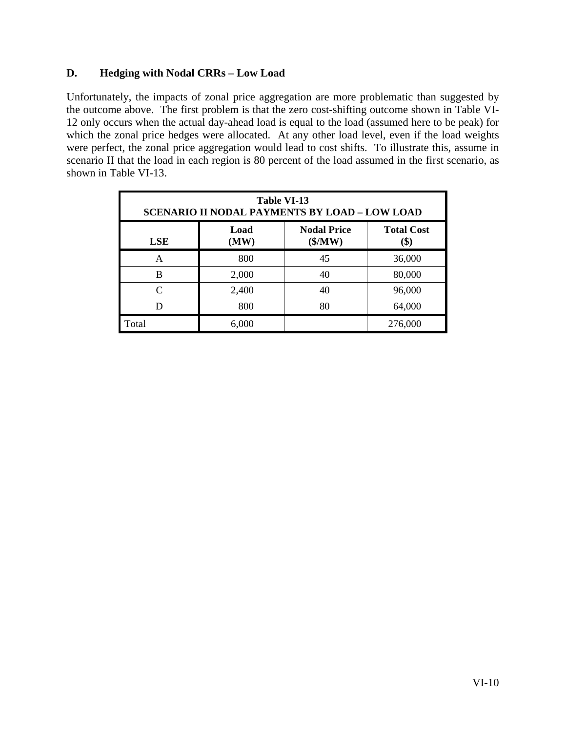### **D. Hedging with Nodal CRRs – Low Load**

Unfortunately, the impacts of zonal price aggregation are more problematic than suggested by the outcome above. The first problem is that the zero cost-shifting outcome shown in Table VI-12 only occurs when the actual day-ahead load is equal to the load (assumed here to be peak) for which the zonal price hedges were allocated. At any other load level, even if the load weights were perfect, the zonal price aggregation would lead to cost shifts. To illustrate this, assume in scenario II that the load in each region is 80 percent of the load assumed in the first scenario, as shown in Table VI-13.

| <b>Table VI-13</b><br><b>SCENARIO II NODAL PAYMENTS BY LOAD - LOW LOAD</b> |                                                                           |    |         |  |  |  |
|----------------------------------------------------------------------------|---------------------------------------------------------------------------|----|---------|--|--|--|
| <b>LSE</b>                                                                 | <b>Nodal Price</b><br>Load<br><b>Total Cost</b><br>(\$/MW)<br>(MW)<br>\$) |    |         |  |  |  |
| A                                                                          | 800                                                                       | 45 | 36,000  |  |  |  |
| B                                                                          | 2,000                                                                     | 40 | 80,000  |  |  |  |
| $\subset$                                                                  | 2,400                                                                     | 40 | 96,000  |  |  |  |
|                                                                            | 800                                                                       | 80 | 64,000  |  |  |  |
| Total                                                                      | 6,000                                                                     |    | 276,000 |  |  |  |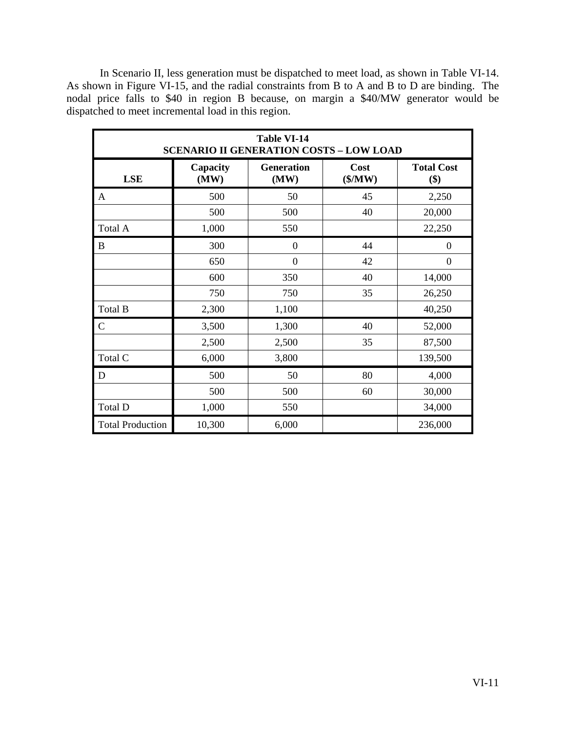In Scenario II, less generation must be dispatched to meet load, as shown in Table VI-14. As shown in Figure VI-15, and the radial constraints from B to A and B to D are binding. The nodal price falls to \$40 in region B because, on margin a \$40/MW generator would be dispatched to meet incremental load in this region.

| <b>Table VI-14</b><br><b>SCENARIO II GENERATION COSTS - LOW LOAD</b> |                  |                           |                 |                          |
|----------------------------------------------------------------------|------------------|---------------------------|-----------------|--------------------------|
| <b>LSE</b>                                                           | Capacity<br>(MW) | <b>Generation</b><br>(MW) | Cost<br>(\$/MW) | <b>Total Cost</b><br>\$) |
| A                                                                    | 500              | 50                        | 45              | 2,250                    |
|                                                                      | 500              | 500                       | 40              | 20,000                   |
| Total A                                                              | 1,000            | 550                       |                 | 22,250                   |
| B                                                                    | 300              | $\overline{0}$            | 44              | $\overline{0}$           |
|                                                                      | 650              | $\overline{0}$            | 42              | $\overline{0}$           |
|                                                                      | 600              | 350                       | 40              | 14,000                   |
|                                                                      | 750              | 750                       | 35              | 26,250                   |
| Total B                                                              | 2,300            | 1,100                     |                 | 40,250                   |
| $\mathbf C$                                                          | 3,500            | 1,300                     | 40              | 52,000                   |
|                                                                      | 2,500            | 2,500                     | 35              | 87,500                   |
| Total C                                                              | 6,000            | 3,800                     |                 | 139,500                  |
| D                                                                    | 500              | 50                        | 80              | 4,000                    |
|                                                                      | 500              | 500                       | 60              | 30,000                   |
| Total D                                                              | 1,000            | 550                       |                 | 34,000                   |
| <b>Total Production</b>                                              | 10,300           | 6,000                     |                 | 236,000                  |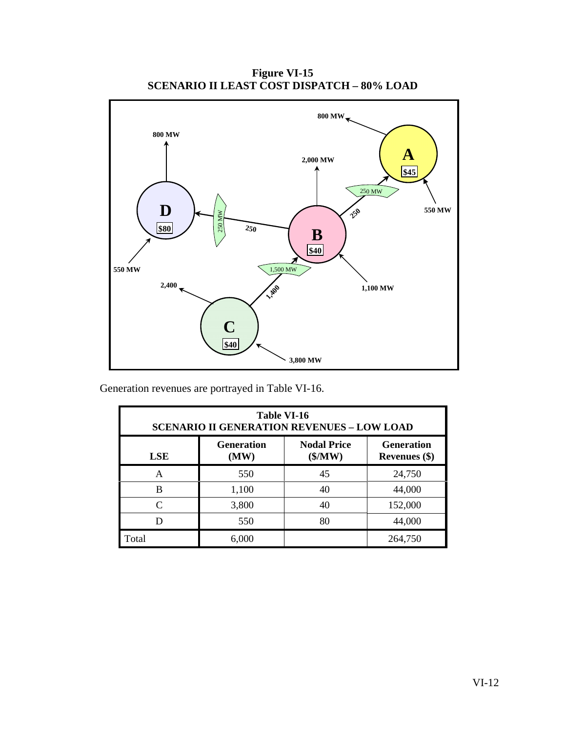**Figure VI-15 SCENARIO II LEAST COST DISPATCH – 80% LOAD** 



Generation revenues are portrayed in Table VI-16.

| Table VI-16<br><b>SCENARIO II GENERATION REVENUES - LOW LOAD</b>                                                        |       |    |         |  |  |
|-------------------------------------------------------------------------------------------------------------------------|-------|----|---------|--|--|
| <b>Nodal Price</b><br><b>Generation</b><br><b>Generation</b><br>$(\frac{5}{MW})$<br>(MW)<br><b>LSE</b><br>Revenues (\$) |       |    |         |  |  |
| A                                                                                                                       | 550   | 45 | 24,750  |  |  |
| B                                                                                                                       | 1,100 | 40 | 44,000  |  |  |
| $\subset$                                                                                                               | 3,800 | 40 | 152,000 |  |  |
|                                                                                                                         | 550   | 80 | 44,000  |  |  |
| Total                                                                                                                   | 6,000 |    | 264,750 |  |  |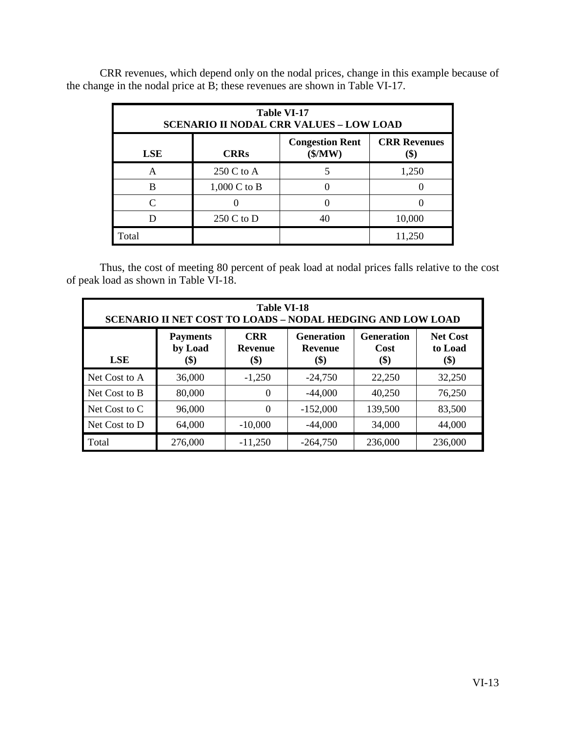| <b>Table VI-17</b><br><b>SCENARIO II NODAL CRR VALUES - LOW LOAD</b>                         |                        |  |        |  |  |  |
|----------------------------------------------------------------------------------------------|------------------------|--|--------|--|--|--|
| <b>CRR Revenues</b><br><b>Congestion Rent</b><br>(\$/MW)<br><b>LSE</b><br><b>CRRs</b><br>\$) |                        |  |        |  |  |  |
| A                                                                                            | 250 C to A             |  | 1,250  |  |  |  |
| в                                                                                            | $1,000 \text{ C}$ to B |  |        |  |  |  |
|                                                                                              |                        |  |        |  |  |  |
|                                                                                              | $250 C$ to D           |  | 10,000 |  |  |  |
| Total                                                                                        |                        |  | 11,250 |  |  |  |

 CRR revenues, which depend only on the nodal prices, change in this example because of the change in the nodal price at B; these revenues are shown in Table VI-17.

 Thus, the cost of meeting 80 percent of peak load at nodal prices falls relative to the cost of peak load as shown in Table VI-18.

| <b>Table VI-18</b><br><b>SCENARIO II NET COST TO LOADS - NODAL HEDGING AND LOW LOAD</b>                                                                                                                        |         |           |            |         |         |  |  |  |
|----------------------------------------------------------------------------------------------------------------------------------------------------------------------------------------------------------------|---------|-----------|------------|---------|---------|--|--|--|
| <b>CRR</b><br><b>Generation</b><br><b>Net Cost</b><br><b>Generation</b><br><b>Payments</b><br>by Load<br>to Load<br><b>Revenue</b><br>Cost<br><b>Revenue</b><br><b>LSE</b><br>\$)<br>\$)<br>\$)<br>\$)<br>(\$) |         |           |            |         |         |  |  |  |
| Net Cost to A                                                                                                                                                                                                  | 36,000  | $-1,250$  | $-24,750$  | 22,250  | 32,250  |  |  |  |
| Net Cost to B                                                                                                                                                                                                  | 80,000  | $\theta$  | $-44,000$  | 40,250  | 76,250  |  |  |  |
| Net Cost to C                                                                                                                                                                                                  | 96,000  | $\theta$  | $-152,000$ | 139,500 | 83,500  |  |  |  |
| Net Cost to D                                                                                                                                                                                                  | 64,000  | $-10,000$ | $-44,000$  | 34,000  | 44,000  |  |  |  |
| Total                                                                                                                                                                                                          | 276,000 | $-11,250$ | $-264,750$ | 236,000 | 236,000 |  |  |  |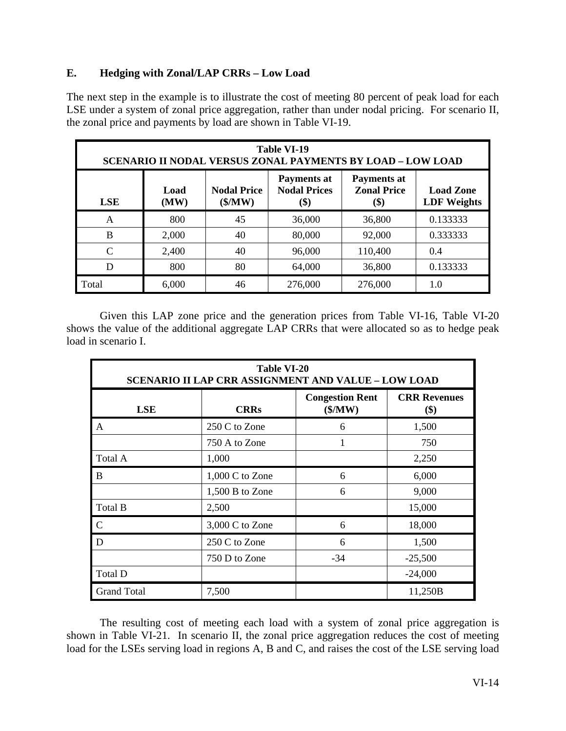### **E. Hedging with Zonal/LAP CRRs – Low Load**

The next step in the example is to illustrate the cost of meeting 80 percent of peak load for each LSE under a system of zonal price aggregation, rather than under nodal pricing. For scenario II, the zonal price and payments by load are shown in Table VI-19.

| Table VI-19<br><b>SCENARIO II NODAL VERSUS ZONAL PAYMENTS BY LOAD - LOW LOAD</b>                                                                                                                                       |       |    |         |         |          |  |  |  |  |
|------------------------------------------------------------------------------------------------------------------------------------------------------------------------------------------------------------------------|-------|----|---------|---------|----------|--|--|--|--|
| <b>Payments at</b><br><b>Payments at</b><br><b>Nodal Prices</b><br><b>Zonal Price</b><br><b>Nodal Price</b><br><b>Load Zone</b><br>Load<br>$(\frac{5}{MW})$<br><b>LDF</b> Weights<br><b>LSE</b><br>(MW)<br>(\$)<br>\$) |       |    |         |         |          |  |  |  |  |
| A                                                                                                                                                                                                                      | 800   | 45 | 36,000  | 36,800  | 0.133333 |  |  |  |  |
| B                                                                                                                                                                                                                      | 2,000 | 40 | 80,000  | 92,000  | 0.333333 |  |  |  |  |
| $\mathcal{C}$                                                                                                                                                                                                          | 2,400 | 40 | 96,000  | 110,400 | 0.4      |  |  |  |  |
| D                                                                                                                                                                                                                      | 800   | 80 | 64,000  | 36,800  | 0.133333 |  |  |  |  |
| Total                                                                                                                                                                                                                  | 6,000 | 46 | 276,000 | 276,000 | 1.0      |  |  |  |  |

 Given this LAP zone price and the generation prices from Table VI-16, Table VI-20 shows the value of the additional aggregate LAP CRRs that were allocated so as to hedge peak load in scenario I.

| <b>Table VI-20</b><br><b>SCENARIO II LAP CRR ASSIGNMENT AND VALUE - LOW LOAD</b> |                   |                                   |                            |  |  |  |  |
|----------------------------------------------------------------------------------|-------------------|-----------------------------------|----------------------------|--|--|--|--|
| <b>LSE</b>                                                                       | <b>CRRs</b>       | <b>Congestion Rent</b><br>(\$/MW) | <b>CRR Revenues</b><br>\$) |  |  |  |  |
| A                                                                                | 250 C to Zone     | 6                                 | 1,500                      |  |  |  |  |
|                                                                                  | 750 A to Zone     |                                   | 750                        |  |  |  |  |
| Total A                                                                          | 1,000             |                                   | 2,250                      |  |  |  |  |
| $\bf{B}$                                                                         | $1,000$ C to Zone | 6                                 | 6,000                      |  |  |  |  |
|                                                                                  | 1,500 B to Zone   | 6                                 | 9,000                      |  |  |  |  |
| Total B                                                                          | 2,500             |                                   | 15,000                     |  |  |  |  |
| $\mathbf C$                                                                      | 3,000 C to Zone   | 6                                 | 18,000                     |  |  |  |  |
| D                                                                                | 250 C to Zone     | 6                                 | 1,500                      |  |  |  |  |
|                                                                                  | 750 D to Zone     | -34                               | $-25,500$                  |  |  |  |  |
| Total D                                                                          |                   |                                   | $-24,000$                  |  |  |  |  |
| <b>Grand Total</b>                                                               | 7,500             |                                   | 11,250B                    |  |  |  |  |

 The resulting cost of meeting each load with a system of zonal price aggregation is shown in Table VI-21. In scenario II, the zonal price aggregation reduces the cost of meeting load for the LSEs serving load in regions A, B and C, and raises the cost of the LSE serving load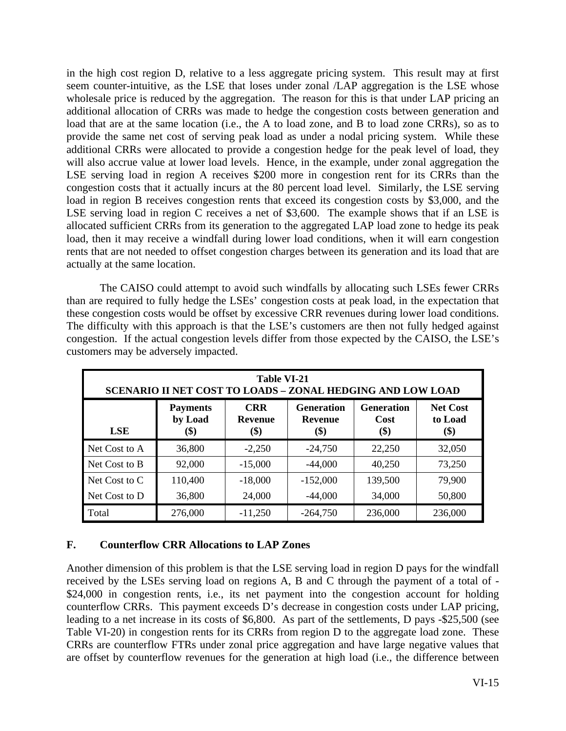in the high cost region D, relative to a less aggregate pricing system. This result may at first seem counter-intuitive, as the LSE that loses under zonal /LAP aggregation is the LSE whose wholesale price is reduced by the aggregation. The reason for this is that under LAP pricing an additional allocation of CRRs was made to hedge the congestion costs between generation and load that are at the same location (i.e., the A to load zone, and B to load zone CRRs), so as to provide the same net cost of serving peak load as under a nodal pricing system. While these additional CRRs were allocated to provide a congestion hedge for the peak level of load, they will also accrue value at lower load levels. Hence, in the example, under zonal aggregation the LSE serving load in region A receives \$200 more in congestion rent for its CRRs than the congestion costs that it actually incurs at the 80 percent load level. Similarly, the LSE serving load in region B receives congestion rents that exceed its congestion costs by \$3,000, and the LSE serving load in region C receives a net of \$3,600. The example shows that if an LSE is allocated sufficient CRRs from its generation to the aggregated LAP load zone to hedge its peak load, then it may receive a windfall during lower load conditions, when it will earn congestion rents that are not needed to offset congestion charges between its generation and its load that are actually at the same location.

 The CAISO could attempt to avoid such windfalls by allocating such LSEs fewer CRRs than are required to fully hedge the LSEs' congestion costs at peak load, in the expectation that these congestion costs would be offset by excessive CRR revenues during lower load conditions. The difficulty with this approach is that the LSE's customers are then not fully hedged against congestion. If the actual congestion levels differ from those expected by the CAISO, the LSE's customers may be adversely impacted.

| Table VI-21<br><b>SCENARIO II NET COST TO LOADS - ZONAL HEDGING AND LOW LOAD</b>                                                                                                                                |         |           |            |         |         |  |  |  |
|-----------------------------------------------------------------------------------------------------------------------------------------------------------------------------------------------------------------|---------|-----------|------------|---------|---------|--|--|--|
| <b>CRR</b><br><b>Generation</b><br><b>Generation</b><br><b>Net Cost</b><br><b>Payments</b><br>by Load<br>to Load<br>Cost<br><b>Revenue</b><br><b>Revenue</b><br><b>LSE</b><br>(\$)<br>\$)<br>\$)<br>\$)<br>(\$) |         |           |            |         |         |  |  |  |
| Net Cost to A                                                                                                                                                                                                   | 36,800  | $-2,250$  | $-24,750$  | 22,250  | 32,050  |  |  |  |
| Net Cost to B                                                                                                                                                                                                   | 92,000  | $-15,000$ | $-44,000$  | 40,250  | 73,250  |  |  |  |
| Net Cost to C                                                                                                                                                                                                   | 110,400 | $-18,000$ | $-152,000$ | 139,500 | 79,900  |  |  |  |
| Net Cost to D                                                                                                                                                                                                   | 36,800  | 24,000    | $-44,000$  | 34,000  | 50,800  |  |  |  |
| Total                                                                                                                                                                                                           | 276,000 | $-11,250$ | $-264,750$ | 236,000 | 236,000 |  |  |  |

### **F. Counterflow CRR Allocations to LAP Zones**

Another dimension of this problem is that the LSE serving load in region D pays for the windfall received by the LSEs serving load on regions A, B and C through the payment of a total of - \$24,000 in congestion rents, i.e., its net payment into the congestion account for holding counterflow CRRs. This payment exceeds D's decrease in congestion costs under LAP pricing, leading to a net increase in its costs of \$6,800. As part of the settlements, D pays -\$25,500 (see Table VI-20) in congestion rents for its CRRs from region D to the aggregate load zone. These CRRs are counterflow FTRs under zonal price aggregation and have large negative values that are offset by counterflow revenues for the generation at high load (i.e., the difference between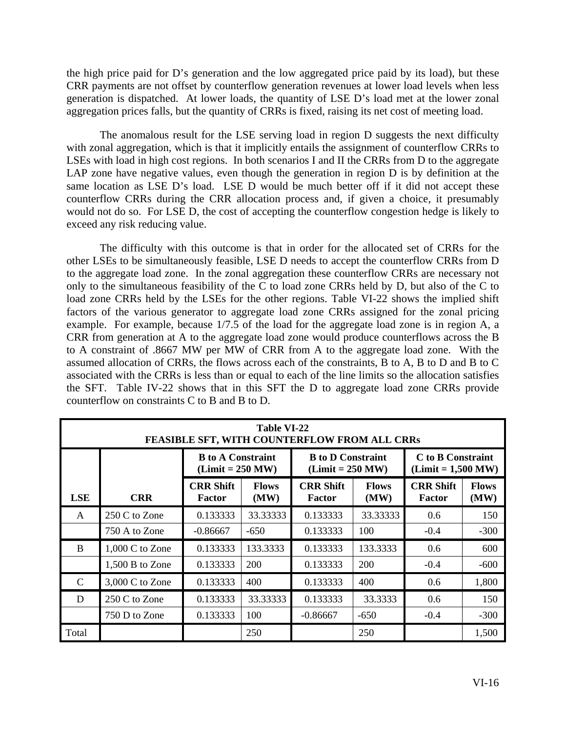the high price paid for D's generation and the low aggregated price paid by its load), but these CRR payments are not offset by counterflow generation revenues at lower load levels when less generation is dispatched. At lower loads, the quantity of LSE D's load met at the lower zonal aggregation prices falls, but the quantity of CRRs is fixed, raising its net cost of meeting load.

 The anomalous result for the LSE serving load in region D suggests the next difficulty with zonal aggregation, which is that it implicitly entails the assignment of counterflow CRRs to LSEs with load in high cost regions. In both scenarios I and II the CRRs from D to the aggregate LAP zone have negative values, even though the generation in region D is by definition at the same location as LSE D's load. LSE D would be much better off if it did not accept these counterflow CRRs during the CRR allocation process and, if given a choice, it presumably would not do so. For LSE D, the cost of accepting the counterflow congestion hedge is likely to exceed any risk reducing value.

 The difficulty with this outcome is that in order for the allocated set of CRRs for the other LSEs to be simultaneously feasible, LSE D needs to accept the counterflow CRRs from D to the aggregate load zone. In the zonal aggregation these counterflow CRRs are necessary not only to the simultaneous feasibility of the C to load zone CRRs held by D, but also of the C to load zone CRRs held by the LSEs for the other regions. Table VI-22 shows the implied shift factors of the various generator to aggregate load zone CRRs assigned for the zonal pricing example. For example, because 1/7.5 of the load for the aggregate load zone is in region A, a CRR from generation at A to the aggregate load zone would produce counterflows across the B to A constraint of .8667 MW per MW of CRR from A to the aggregate load zone. With the assumed allocation of CRRs, the flows across each of the constraints, B to A, B to D and B to C associated with the CRRs is less than or equal to each of the line limits so the allocation satisfies the SFT. Table IV-22 shows that in this SFT the D to aggregate load zone CRRs provide counterflow on constraints C to B and B to D.

|               | Table VI-22<br>FEASIBLE SFT, WITH COUNTERFLOW FROM ALL CRRs |                                                |                      |                                                       |                      |                                           |        |  |  |
|---------------|-------------------------------------------------------------|------------------------------------------------|----------------------|-------------------------------------------------------|----------------------|-------------------------------------------|--------|--|--|
|               |                                                             | <b>B</b> to A Constraint<br>$(Limit = 250 MW)$ |                      | <b>B</b> to <b>D</b> Constraint<br>$(Limit = 250 MW)$ |                      | C to B Constraint<br>$(Limit = 1,500 MW)$ |        |  |  |
| <b>LSE</b>    | <b>CRR</b>                                                  | <b>CRR Shift</b><br>Factor                     | <b>Flows</b><br>(MW) | <b>CRR Shift</b><br>Factor                            | <b>Flows</b><br>(MW) |                                           |        |  |  |
| A             | 250 C to Zone                                               | 0.133333                                       | 33.33333             | 0.133333                                              | 33.33333             | 0.6                                       | 150    |  |  |
|               | 750 A to Zone                                               | $-0.86667$                                     | $-650$               | 0.133333                                              | 100                  | $-0.4$                                    | $-300$ |  |  |
| B             | $1,000$ C to Zone                                           | 0.133333                                       | 133.3333             | 0.133333                                              | 133.3333             | $0.6^{\circ}$                             | 600    |  |  |
|               | 1,500 B to Zone                                             | 0.133333                                       | 200                  | 0.133333                                              | 200                  | $-0.4$                                    | $-600$ |  |  |
| $\mathcal{C}$ | 3,000 C to Zone                                             | 0.133333                                       | 400                  | 0.133333                                              | 400                  | $0.6^{\circ}$                             | 1,800  |  |  |
| D             | 250 C to Zone                                               | 0.133333                                       | 33.33333             | 0.133333                                              | 33.3333              | $0.6^{\circ}$                             | 150    |  |  |
|               | 750 D to Zone                                               | 0.133333                                       | 100                  | $-0.86667$                                            | $-650$               | $-0.4$                                    | $-300$ |  |  |
| Total         |                                                             |                                                | 250                  |                                                       | 250                  |                                           | 1,500  |  |  |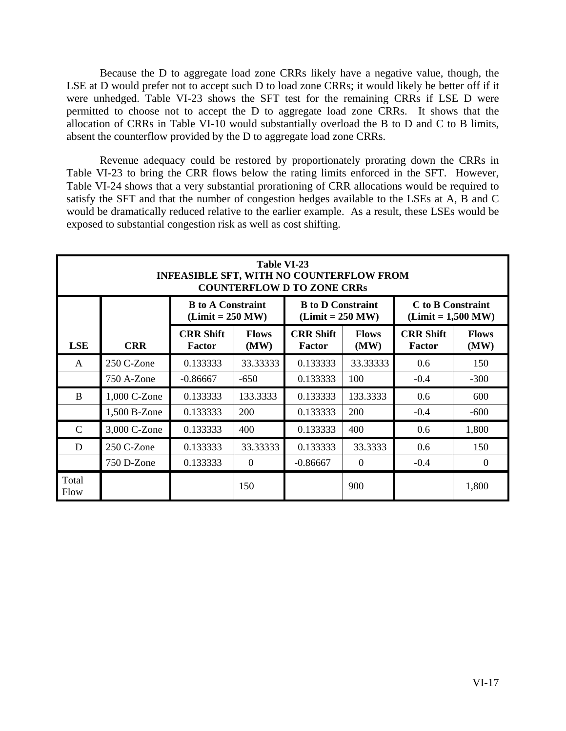Because the D to aggregate load zone CRRs likely have a negative value, though, the LSE at D would prefer not to accept such D to load zone CRRs; it would likely be better off if it were unhedged. Table VI-23 shows the SFT test for the remaining CRRs if LSE D were permitted to choose not to accept the D to aggregate load zone CRRs. It shows that the allocation of CRRs in Table VI-10 would substantially overload the B to D and C to B limits, absent the counterflow provided by the D to aggregate load zone CRRs.

Revenue adequacy could be restored by proportionately prorating down the CRRs in Table VI-23 to bring the CRR flows below the rating limits enforced in the SFT. However, Table VI-24 shows that a very substantial prorationing of CRR allocations would be required to satisfy the SFT and that the number of congestion hedges available to the LSEs at A, B and C would be dramatically reduced relative to the earlier example. As a result, these LSEs would be exposed to substantial congestion risk as well as cost shifting.

|               | Table VI-23<br>INFEASIBLE SFT, WITH NO COUNTERFLOW FROM<br><b>COUNTERFLOW D TO ZONE CRRs</b> |                                                |                      |                                                       |                      |                                           |                      |  |  |
|---------------|----------------------------------------------------------------------------------------------|------------------------------------------------|----------------------|-------------------------------------------------------|----------------------|-------------------------------------------|----------------------|--|--|
|               |                                                                                              | <b>B</b> to A Constraint<br>$(Limit = 250 MW)$ |                      | <b>B</b> to <b>D</b> Constraint<br>$(Limit = 250 MW)$ |                      | C to B Constraint<br>$(Limit = 1,500 MW)$ |                      |  |  |
| <b>LSE</b>    | <b>CRR</b>                                                                                   | <b>CRR Shift</b><br>Factor                     | <b>Flows</b><br>(MW) | <b>CRR Shift</b><br>Factor                            | <b>Flows</b><br>(MW) | <b>CRR Shift</b><br><b>Factor</b>         | <b>Flows</b><br>(MW) |  |  |
| A             | 250 C-Zone                                                                                   | 0.133333                                       | 33.33333             | 0.133333                                              | 33.33333             | 0.6                                       | 150                  |  |  |
|               | 750 A-Zone                                                                                   | $-0.86667$                                     | $-650$               | 0.133333                                              | 100                  | $-0.4$                                    | $-300$               |  |  |
| <sub>B</sub>  | 1,000 C-Zone                                                                                 | 0.133333                                       | 133.3333             | 0.133333                                              | 133.3333             | 0.6                                       | 600                  |  |  |
|               | 1,500 B-Zone                                                                                 | 0.133333                                       | 200                  | 0.133333                                              | 200                  | $-0.4$                                    | $-600$               |  |  |
| $\mathcal{C}$ | 3,000 C-Zone                                                                                 | 0.133333                                       | 400                  | 0.133333                                              | 400                  | 0.6                                       | 1,800                |  |  |
| D             | 250 C-Zone                                                                                   | 0.133333                                       | 33.33333             | 0.133333                                              | 33.3333              | 0.6                                       | 150                  |  |  |
|               | 750 D-Zone                                                                                   | 0.133333                                       | $\theta$             | $-0.86667$                                            | $\Omega$             | $-0.4$                                    | $\theta$             |  |  |
| Total<br>Flow |                                                                                              |                                                | 150                  |                                                       | 900                  |                                           | 1,800                |  |  |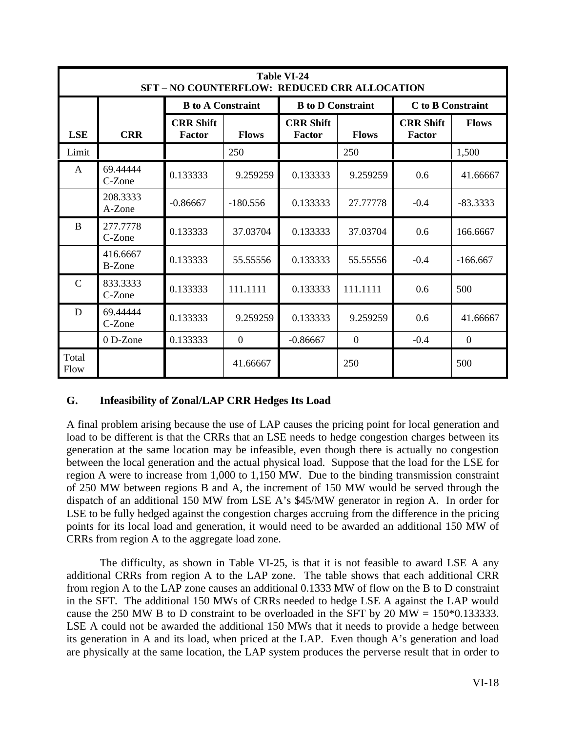|               | <b>Table VI-24</b><br>SFT-NO COUNTERFLOW: REDUCED CRR ALLOCATION |                            |                |                                 |                  |                            |              |  |  |  |
|---------------|------------------------------------------------------------------|----------------------------|----------------|---------------------------------|------------------|----------------------------|--------------|--|--|--|
|               |                                                                  | <b>B</b> to A Constraint   |                | <b>B</b> to <b>D</b> Constraint |                  | C to B Constraint          |              |  |  |  |
| <b>LSE</b>    | <b>CRR</b>                                                       | <b>CRR Shift</b><br>Factor | <b>Flows</b>   | <b>CRR Shift</b><br>Factor      | <b>Flows</b>     | <b>CRR Shift</b><br>Factor | <b>Flows</b> |  |  |  |
| Limit         |                                                                  |                            | 250            |                                 | 250              |                            | 1,500        |  |  |  |
| A             | 69.44444<br>C-Zone                                               | 0.133333                   | 9.259259       | 0.133333                        | 9.259259         | 0.6                        | 41.66667     |  |  |  |
|               | 208.3333<br>A-Zone                                               | $-0.86667$                 | $-180.556$     | 0.133333                        | 27.77778         | $-0.4$                     | $-83.3333$   |  |  |  |
| B             | 277.7778<br>C-Zone                                               | 0.133333                   | 37.03704       | 0.133333                        | 37.03704         | 0.6                        | 166.6667     |  |  |  |
|               | 416.6667<br>B-Zone                                               | 0.133333                   | 55.55556       | 0.133333                        | 55.55556         | $-0.4$                     | $-166.667$   |  |  |  |
| $\mathcal{C}$ | 833.3333<br>C-Zone                                               | 0.133333                   | 111.1111       | 0.133333                        | 111.1111         | 0.6                        | 500          |  |  |  |
| D             | 69.44444<br>C-Zone                                               | 0.133333                   | 9.259259       | 0.133333                        | 9.259259         | 0.6                        | 41.66667     |  |  |  |
|               | 0 D-Zone                                                         | 0.133333                   | $\overline{0}$ | $-0.86667$                      | $\boldsymbol{0}$ | $-0.4$                     | $\mathbf{0}$ |  |  |  |
| Total<br>Flow |                                                                  |                            | 41.66667       |                                 | 250              |                            | 500          |  |  |  |

### **G. Infeasibility of Zonal/LAP CRR Hedges Its Load**

A final problem arising because the use of LAP causes the pricing point for local generation and load to be different is that the CRRs that an LSE needs to hedge congestion charges between its generation at the same location may be infeasible, even though there is actually no congestion between the local generation and the actual physical load. Suppose that the load for the LSE for region A were to increase from 1,000 to 1,150 MW. Due to the binding transmission constraint of 250 MW between regions B and A, the increment of 150 MW would be served through the dispatch of an additional 150 MW from LSE A's \$45/MW generator in region A. In order for LSE to be fully hedged against the congestion charges accruing from the difference in the pricing points for its local load and generation, it would need to be awarded an additional 150 MW of CRRs from region A to the aggregate load zone.

The difficulty, as shown in Table VI-25, is that it is not feasible to award LSE A any additional CRRs from region A to the LAP zone. The table shows that each additional CRR from region A to the LAP zone causes an additional 0.1333 MW of flow on the B to D constraint in the SFT. The additional 150 MWs of CRRs needed to hedge LSE A against the LAP would cause the 250 MW B to D constraint to be overloaded in the SFT by 20 MW =  $150*0.133333$ . LSE A could not be awarded the additional 150 MWs that it needs to provide a hedge between its generation in A and its load, when priced at the LAP. Even though A's generation and load are physically at the same location, the LAP system produces the perverse result that in order to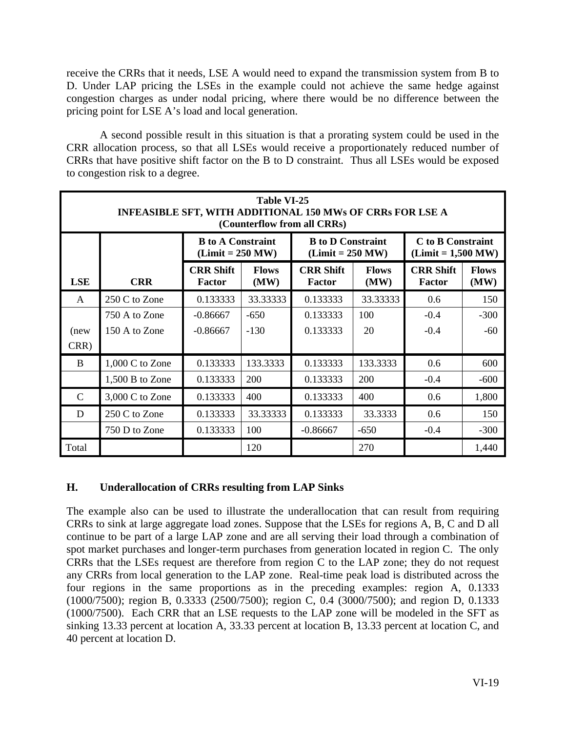receive the CRRs that it needs, LSE A would need to expand the transmission system from B to D. Under LAP pricing the LSEs in the example could not achieve the same hedge against congestion charges as under nodal pricing, where there would be no difference between the pricing point for LSE A's load and local generation.

A second possible result in this situation is that a prorating system could be used in the CRR allocation process, so that all LSEs would receive a proportionately reduced number of CRRs that have positive shift factor on the B to D constraint. Thus all LSEs would be exposed to congestion risk to a degree.

|               | <b>Table VI-25</b><br><b>INFEASIBLE SFT, WITH ADDITIONAL 150 MWs OF CRRs FOR LSE A</b><br>(Counterflow from all CRRs) |                                                |                      |                                                       |                      |                                           |                      |  |
|---------------|-----------------------------------------------------------------------------------------------------------------------|------------------------------------------------|----------------------|-------------------------------------------------------|----------------------|-------------------------------------------|----------------------|--|
|               |                                                                                                                       | <b>B</b> to A Constraint<br>$(Limit = 250 MW)$ |                      | <b>B</b> to <b>D</b> Constraint<br>$(Limit = 250 MW)$ |                      | C to B Constraint<br>$(Limit = 1,500 MW)$ |                      |  |
| <b>LSE</b>    | <b>CRR</b>                                                                                                            | <b>CRR Shift</b><br><b>Factor</b>              | <b>Flows</b><br>(MW) | <b>CRR Shift</b><br>Factor                            | <b>Flows</b><br>(MW) | <b>CRR Shift</b><br><b>Factor</b>         | <b>Flows</b><br>(MW) |  |
| A             | 250 C to Zone                                                                                                         | 0.133333                                       | 33.33333             | 0.133333                                              | 33.33333             | 0.6                                       | 150                  |  |
|               | 750 A to Zone                                                                                                         | $-0.86667$                                     | $-650$               | 0.133333                                              | 100                  | $-0.4$                                    | $-300$               |  |
| (new          | 150 A to Zone                                                                                                         | $-0.86667$                                     | $-130$               | 0.133333                                              | 20                   | $-0.4$                                    | $-60$                |  |
| CRR)          |                                                                                                                       |                                                |                      |                                                       |                      |                                           |                      |  |
| <sub>B</sub>  | $1,000$ C to Zone                                                                                                     | 0.133333                                       | 133.3333             | 0.133333                                              | 133.3333             | 0.6                                       | 600                  |  |
|               | 1,500 B to Zone                                                                                                       | 0.133333                                       | 200                  | 0.133333                                              | 200                  | $-0.4$                                    | $-600$               |  |
| $\mathcal{C}$ | 3,000 C to Zone                                                                                                       | 0.133333                                       | 400                  | 0.133333                                              | 400                  | 0.6                                       | 1,800                |  |
| D             | 250 C to Zone                                                                                                         | 0.133333                                       | 33.33333             | 0.133333                                              | 33.3333              | $0.6^{\circ}$                             | 150                  |  |
|               | 750 D to Zone                                                                                                         | 0.133333                                       | 100                  | $-0.86667$                                            | $-650$               | $-0.4$                                    | $-300$               |  |
| Total         |                                                                                                                       |                                                | 120                  |                                                       | 270                  |                                           | 1,440                |  |

## **H. Underallocation of CRRs resulting from LAP Sinks**

The example also can be used to illustrate the underallocation that can result from requiring CRRs to sink at large aggregate load zones. Suppose that the LSEs for regions A, B, C and D all continue to be part of a large LAP zone and are all serving their load through a combination of spot market purchases and longer-term purchases from generation located in region C. The only CRRs that the LSEs request are therefore from region C to the LAP zone; they do not request any CRRs from local generation to the LAP zone. Real-time peak load is distributed across the four regions in the same proportions as in the preceding examples: region A, 0.1333 (1000/7500); region B, 0.3333 (2500/7500); region C, 0.4 (3000/7500); and region D, 0.1333 (1000/7500). Each CRR that an LSE requests to the LAP zone will be modeled in the SFT as sinking 13.33 percent at location A, 33.33 percent at location B, 13.33 percent at location C, and 40 percent at location D.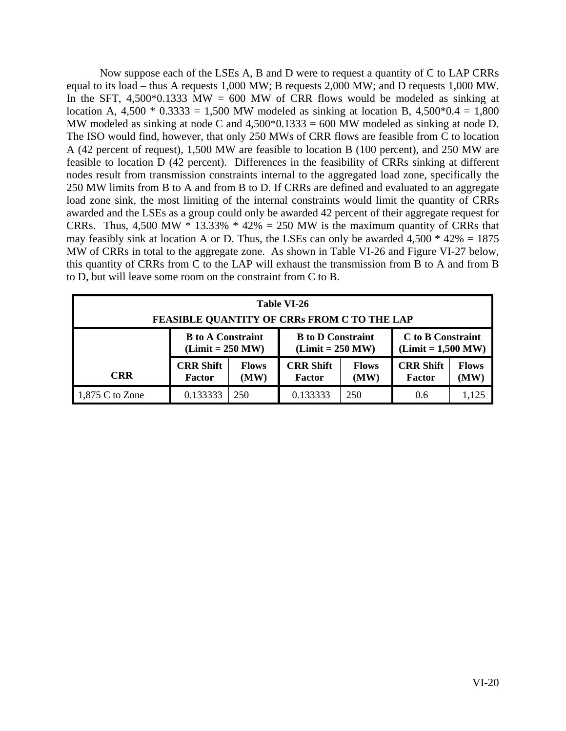Now suppose each of the LSEs A, B and D were to request a quantity of C to LAP CRRs equal to its load – thus A requests 1,000 MW; B requests 2,000 MW; and D requests 1,000 MW. In the SFT, 4,500 $*0.1333$  MW = 600 MW of CRR flows would be modeled as sinking at location A,  $4,500 * 0.3333 = 1,500$  MW modeled as sinking at location B,  $4,500 * 0.4 = 1,800$ MW modeled as sinking at node C and  $4,500*0.1333 = 600$  MW modeled as sinking at node D. The ISO would find, however, that only 250 MWs of CRR flows are feasible from C to location A (42 percent of request), 1,500 MW are feasible to location B (100 percent), and 250 MW are feasible to location D (42 percent). Differences in the feasibility of CRRs sinking at different nodes result from transmission constraints internal to the aggregated load zone, specifically the 250 MW limits from B to A and from B to D. If CRRs are defined and evaluated to an aggregate load zone sink, the most limiting of the internal constraints would limit the quantity of CRRs awarded and the LSEs as a group could only be awarded 42 percent of their aggregate request for CRRs. Thus, 4,500 MW  $*$  13.33%  $*$  42% = 250 MW is the maximum quantity of CRRs that may feasibly sink at location A or D. Thus, the LSEs can only be awarded  $4,500 * 42\% = 1875$ MW of CRRs in total to the aggregate zone. As shown in Table VI-26 and Figure VI-27 below, this quantity of CRRs from C to the LAP will exhaust the transmission from B to A and from B to D, but will leave some room on the constraint from C to B.

| Table VI-26<br><b>FEASIBLE QUANTITY OF CRRs FROM C TO THE LAP</b> |                                                                                                                                                      |                                                                                                                 |          |     |     |                      |
|-------------------------------------------------------------------|------------------------------------------------------------------------------------------------------------------------------------------------------|-----------------------------------------------------------------------------------------------------------------|----------|-----|-----|----------------------|
|                                                                   | C to B Constraint<br><b>B</b> to A Constraint<br><b>B</b> to <b>D</b> Constraint<br>$(Limit = 250 MW)$<br>$(Limit = 250 MW)$<br>$(Limit = 1,500 MW)$ |                                                                                                                 |          |     |     |                      |
| <b>CRR</b>                                                        | <b>CRR Shift</b><br><b>Factor</b>                                                                                                                    | <b>CRR Shift</b><br><b>CRR Shift</b><br><b>Flows</b><br><b>Flows</b><br>(MW)<br>(MW)<br>Factor<br><b>Factor</b> |          |     |     | <b>Flows</b><br>(MW) |
| $1,875$ C to Zone                                                 | 0.133333                                                                                                                                             | 250                                                                                                             | 0.133333 | 250 | 0.6 | 1,125                |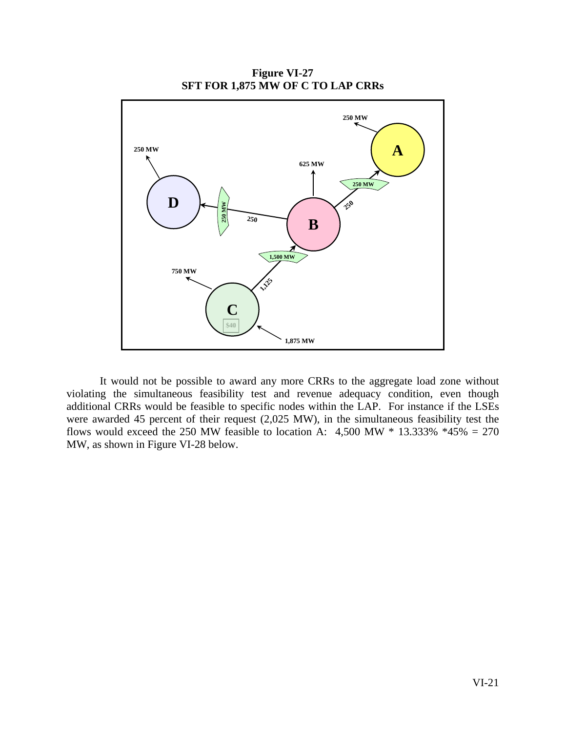**SFT FOR 1,875 MW OF C TO LAP CRRs D B A 250 M W250 MW 1,500 MW 250 MW 250 625 MW 250 250 MW 1,12 750 MW 1,875 MW C**

**Figure VI-27** 

 It would not be possible to award any more CRRs to the aggregate load zone without violating the simultaneous feasibility test and revenue adequacy condition, even though additional CRRs would be feasible to specific nodes within the LAP. For instance if the LSEs were awarded 45 percent of their request (2,025 MW), in the simultaneous feasibility test the flows would exceed the 250 MW feasible to location A:  $4,500$  MW  $*$  13.333%  $*45\% = 270$ MW, as shown in Figure VI-28 below.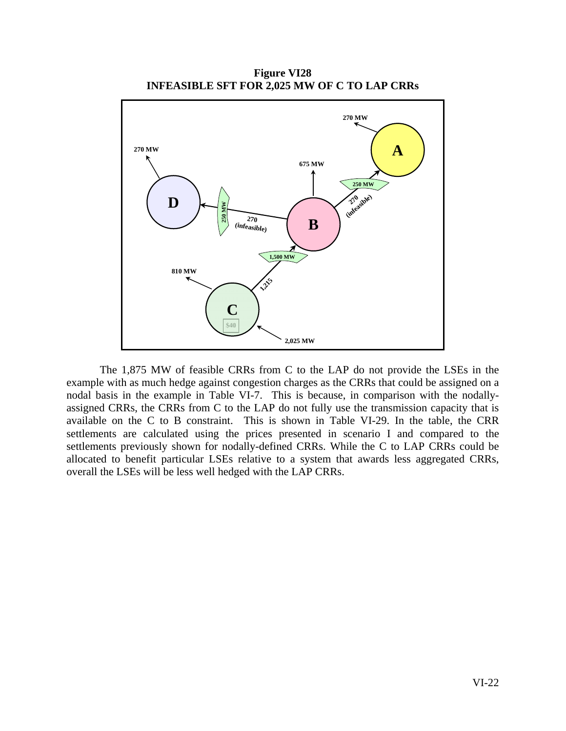**Figure VI28 INFEASIBLE SFT FOR 2,025 MW OF C TO LAP CRRs** 



 The 1,875 MW of feasible CRRs from C to the LAP do not provide the LSEs in the example with as much hedge against congestion charges as the CRRs that could be assigned on a nodal basis in the example in Table VI-7. This is because, in comparison with the nodallyassigned CRRs, the CRRs from C to the LAP do not fully use the transmission capacity that is available on the C to B constraint. This is shown in Table VI-29. In the table, the CRR settlements are calculated using the prices presented in scenario I and compared to the settlements previously shown for nodally-defined CRRs. While the C to LAP CRRs could be allocated to benefit particular LSEs relative to a system that awards less aggregated CRRs, overall the LSEs will be less well hedged with the LAP CRRs.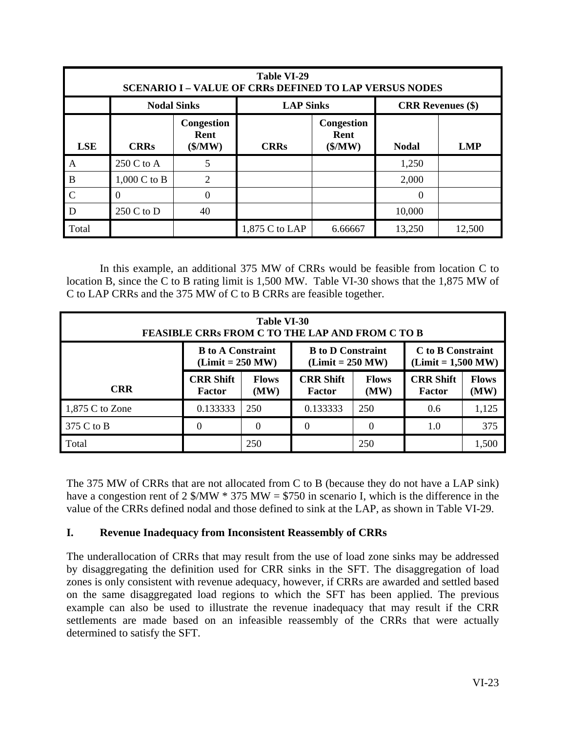|              | <b>Table VI-29</b><br><b>SCENARIO I - VALUE OF CRRs DEFINED TO LAP VERSUS NODES</b> |                                        |                                                             |         |                          |            |  |  |  |
|--------------|-------------------------------------------------------------------------------------|----------------------------------------|-------------------------------------------------------------|---------|--------------------------|------------|--|--|--|
|              | <b>Nodal Sinks</b>                                                                  |                                        | <b>LAP Sinks</b>                                            |         | <b>CRR</b> Revenues (\$) |            |  |  |  |
| <b>LSE</b>   | <b>CRRs</b>                                                                         | Congestion<br>Rent<br>$(\frac{5}{MW})$ | <b>Congestion</b><br>Rent<br>$(\frac{M}{W})$<br><b>CRRs</b> |         | <b>Nodal</b>             | <b>LMP</b> |  |  |  |
| A            | 250 C to A                                                                          | 5                                      |                                                             |         | 1,250                    |            |  |  |  |
| B            | 1,000 C to B                                                                        | 2                                      |                                                             |         | 2,000                    |            |  |  |  |
| $\mathbf C$  |                                                                                     | $\theta$                               |                                                             |         | $\Omega$                 |            |  |  |  |
| $\mathsf{D}$ | $250 C$ to D                                                                        | 40                                     |                                                             |         | 10,000                   |            |  |  |  |
| Total        |                                                                                     |                                        | 1,875 C to LAP                                              | 6.66667 | 13,250                   | 12,500     |  |  |  |

 In this example, an additional 375 MW of CRRs would be feasible from location C to location B, since the C to B rating limit is 1,500 MW. Table VI-30 shows that the 1,875 MW of C to LAP CRRs and the 375 MW of C to B CRRs are feasible together.

| Table VI-30<br><b>FEASIBLE CRRs FROM C TO THE LAP AND FROM C TO B</b> |                                   |                                                                                                         |                                   |                      |                                   |                                           |
|-----------------------------------------------------------------------|-----------------------------------|---------------------------------------------------------------------------------------------------------|-----------------------------------|----------------------|-----------------------------------|-------------------------------------------|
|                                                                       |                                   | <b>B</b> to A Constraint<br><b>B</b> to <b>D</b> Constraint<br>$(Limit = 250 MW)$<br>$(Limit = 250 MW)$ |                                   |                      |                                   | C to B Constraint<br>$(Limit = 1,500 MW)$ |
| <b>CRR</b>                                                            | <b>CRR Shift</b><br><b>Factor</b> | <b>Flows</b><br>(MW)                                                                                    | <b>CRR Shift</b><br><b>Factor</b> | <b>Flows</b><br>(MW) | <b>CRR Shift</b><br><b>Factor</b> | <b>Flows</b><br>(MW)                      |
| $1,875$ C to Zone                                                     | 0.133333                          | 250                                                                                                     | 0.133333                          | 250                  | 0.6                               | 1,125                                     |
| 375 C to B                                                            |                                   | 0                                                                                                       | 0                                 | $\theta$             | 1.0                               | 375                                       |
| Total                                                                 |                                   | 250                                                                                                     |                                   | 250                  |                                   | 1,500                                     |

The 375 MW of CRRs that are not allocated from C to B (because they do not have a LAP sink) have a congestion rent of 2  $\text{\textsterling} / \text{MW} \times 375 \text{MW} = \text{\textsterling} 750$  in scenario I, which is the difference in the value of the CRRs defined nodal and those defined to sink at the LAP, as shown in Table VI-29.

### **I. Revenue Inadequacy from Inconsistent Reassembly of CRRs**

The underallocation of CRRs that may result from the use of load zone sinks may be addressed by disaggregating the definition used for CRR sinks in the SFT. The disaggregation of load zones is only consistent with revenue adequacy, however, if CRRs are awarded and settled based on the same disaggregated load regions to which the SFT has been applied. The previous example can also be used to illustrate the revenue inadequacy that may result if the CRR settlements are made based on an infeasible reassembly of the CRRs that were actually determined to satisfy the SFT.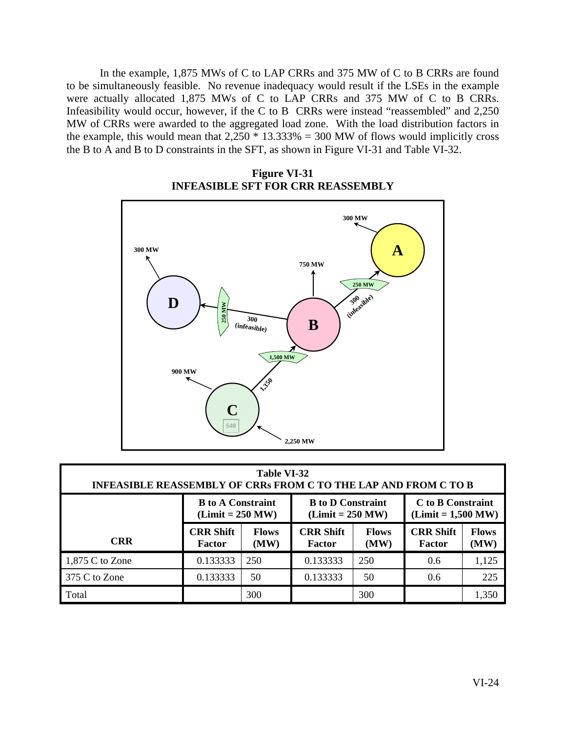In the example, 1,875 MWs of C to LAP CRRs and 375 MW of C to B CRRs are found to be simultaneously feasible. No revenue inadequacy would result if the LSEs in the example were actually allocated 1,875 MWs of C to LAP CRRs and 375 MW of C to B CRRs. Infeasibility would occur, however, if the C to B CRRs were instead "reassembled" and 2,250 MW of CRRs were awarded to the aggregated load zone. With the load distribution factors in the example, this would mean that  $2,250 \times 13.333\% = 300$  MW of flows would implicitly cross the B to A and B to D constraints in the SFT, as shown in Figure VI-31 and Table VI-32.



**Figure VI-31 INFEASIBLE SFT FOR CRR REASSEMBLY** 

| Table VI-32<br><b>INFEASIBLE REASSEMBLY OF CRRs FROM C TO THE LAP AND FROM C TO B</b> |                                                                                                                                                      |                      |                            |                      |                            |                      |  |  |  |
|---------------------------------------------------------------------------------------|------------------------------------------------------------------------------------------------------------------------------------------------------|----------------------|----------------------------|----------------------|----------------------------|----------------------|--|--|--|
|                                                                                       | <b>B</b> to <b>D</b> Constraint<br>C to B Constraint<br><b>B</b> to A Constraint<br>$(Limit = 250 MW)$<br>$(Limit = 1,500 MW)$<br>$(Limit = 250 MW)$ |                      |                            |                      |                            |                      |  |  |  |
| <b>CRR</b>                                                                            | <b>CRR Shift</b><br>Factor                                                                                                                           | <b>Flows</b><br>(MW) | <b>CRR Shift</b><br>Factor | <b>Flows</b><br>(MW) | <b>CRR Shift</b><br>Factor | <b>Flows</b><br>(MW) |  |  |  |
| $1,875$ C to Zone                                                                     | 0.133333                                                                                                                                             | 250                  | 0.133333                   | 250                  | 0.6                        | 1,125                |  |  |  |
| 375 C to Zone                                                                         | 0.133333                                                                                                                                             | 50                   | 0.133333                   | 50                   | $0.6^{\circ}$              | 225                  |  |  |  |
| Total                                                                                 |                                                                                                                                                      | 300                  |                            | 300                  |                            | 1,350                |  |  |  |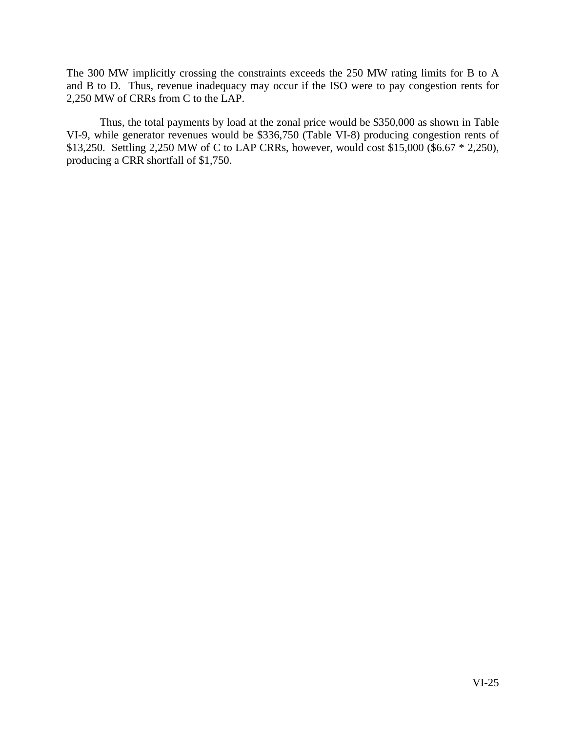The 300 MW implicitly crossing the constraints exceeds the 250 MW rating limits for B to A and B to D. Thus, revenue inadequacy may occur if the ISO were to pay congestion rents for 2,250 MW of CRRs from C to the LAP.

 Thus, the total payments by load at the zonal price would be \$350,000 as shown in Table VI-9, while generator revenues would be \$336,750 (Table VI-8) producing congestion rents of \$13,250. Settling 2,250 MW of C to LAP CRRs, however, would cost \$15,000 (\$6.67 \* 2,250), producing a CRR shortfall of \$1,750.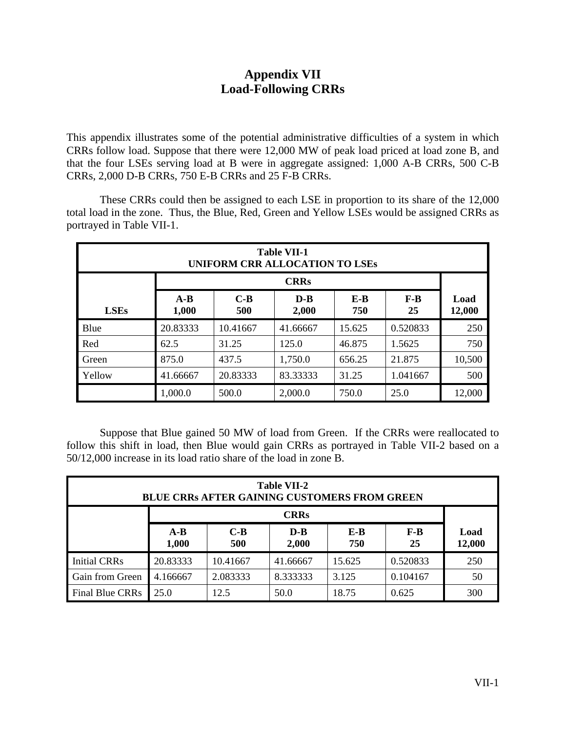# **Appendix VII Load-Following CRRs**

This appendix illustrates some of the potential administrative difficulties of a system in which CRRs follow load. Suppose that there were 12,000 MW of peak load priced at load zone B, and that the four LSEs serving load at B were in aggregate assigned: 1,000 A-B CRRs, 500 C-B CRRs, 2,000 D-B CRRs, 750 E-B CRRs and 25 F-B CRRs.

 These CRRs could then be assigned to each LSE in proportion to its share of the 12,000 total load in the zone. Thus, the Blue, Red, Green and Yellow LSEs would be assigned CRRs as portrayed in Table VII-1.

| <b>Table VII-1</b><br><b>UNIFORM CRR ALLOCATION TO LSES</b> |                |              |                  |              |             |                |  |  |
|-------------------------------------------------------------|----------------|--------------|------------------|--------------|-------------|----------------|--|--|
| <b>CRRs</b>                                                 |                |              |                  |              |             |                |  |  |
| <b>LSEs</b>                                                 | $A-B$<br>1,000 | $C-B$<br>500 | $D - B$<br>2,000 | $E-B$<br>750 | $F-B$<br>25 | Load<br>12,000 |  |  |
| Blue                                                        | 20.83333       | 10.41667     | 41.66667         | 15.625       | 0.520833    | 250            |  |  |
| Red                                                         | 62.5           | 31.25        | 125.0            | 46.875       | 1.5625      | 750            |  |  |
| Green                                                       | 875.0          | 437.5        | 1,750.0          | 656.25       | 21.875      | 10,500         |  |  |
| Yellow                                                      | 41.66667       | 20.83333     | 83.33333         | 31.25        | 1.041667    | 500            |  |  |
|                                                             | 1,000.0        | 500.0        | 2,000.0          | 750.0        | 25.0        | 12,000         |  |  |

 Suppose that Blue gained 50 MW of load from Green. If the CRRs were reallocated to follow this shift in load, then Blue would gain CRRs as portrayed in Table VII-2 based on a 50/12,000 increase in its load ratio share of the load in zone B.

| <b>Table VII-2</b><br><b>BLUE CRRs AFTER GAINING CUSTOMERS FROM GREEN</b> |                |              |                |              |             |                |  |  |
|---------------------------------------------------------------------------|----------------|--------------|----------------|--------------|-------------|----------------|--|--|
| <b>CRRs</b>                                                               |                |              |                |              |             |                |  |  |
|                                                                           | $A-B$<br>1,000 | $C-B$<br>500 | $D-B$<br>2,000 | $E-B$<br>750 | $F-B$<br>25 | Load<br>12,000 |  |  |
| <b>Initial CRRs</b>                                                       | 20.83333       | 10.41667     | 41.66667       | 15.625       | 0.520833    | 250            |  |  |
| Gain from Green                                                           | 4.166667       | 2.083333     | 8.333333       | 3.125        | 0.104167    | 50             |  |  |
| Final Blue CRRs                                                           | 25.0           | 12.5         | 50.0           | 18.75        | 0.625       | 300            |  |  |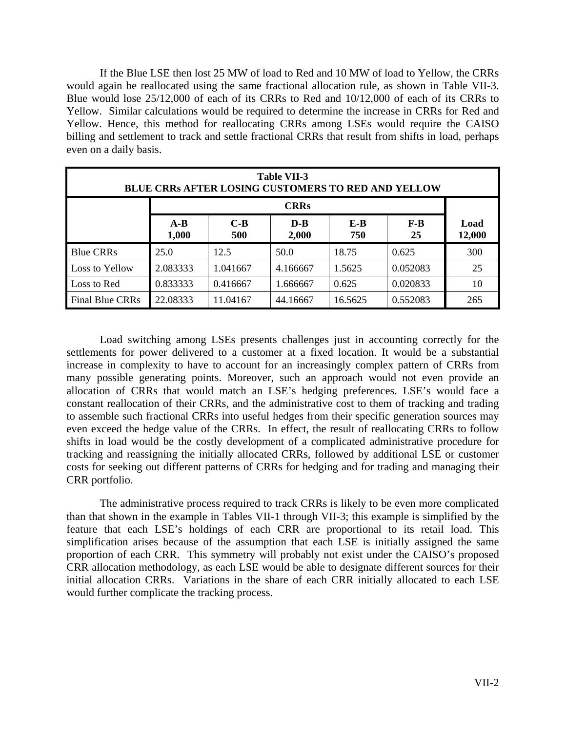If the Blue LSE then lost 25 MW of load to Red and 10 MW of load to Yellow, the CRRs would again be reallocated using the same fractional allocation rule, as shown in Table VII-3. Blue would lose 25/12,000 of each of its CRRs to Red and 10/12,000 of each of its CRRs to Yellow. Similar calculations would be required to determine the increase in CRRs for Red and Yellow. Hence, this method for reallocating CRRs among LSEs would require the CAISO billing and settlement to track and settle fractional CRRs that result from shifts in load, perhaps even on a daily basis.

| <b>Table VII-3</b><br><b>BLUE CRRs AFTER LOSING CUSTOMERS TO RED AND YELLOW</b> |                |              |                |              |             |                |  |  |
|---------------------------------------------------------------------------------|----------------|--------------|----------------|--------------|-------------|----------------|--|--|
| <b>CRRs</b>                                                                     |                |              |                |              |             |                |  |  |
|                                                                                 | $A-B$<br>1,000 | $C-B$<br>500 | $D-B$<br>2,000 | $E-B$<br>750 | $F-B$<br>25 | Load<br>12,000 |  |  |
| <b>Blue CRRs</b>                                                                | 25.0           | 12.5         | 50.0           | 18.75        | 0.625       | 300            |  |  |
| Loss to Yellow                                                                  | 2.083333       | 1.041667     | 4.166667       | 1.5625       | 0.052083    | 25             |  |  |
| Loss to Red                                                                     | 0.833333       | 0.416667     | 1.666667       | 0.625        | 0.020833    | 10             |  |  |
| Final Blue CRRs                                                                 | 22.08333       | 11.04167     | 44.16667       | 16.5625      | 0.552083    | 265            |  |  |

 Load switching among LSEs presents challenges just in accounting correctly for the settlements for power delivered to a customer at a fixed location. It would be a substantial increase in complexity to have to account for an increasingly complex pattern of CRRs from many possible generating points. Moreover, such an approach would not even provide an allocation of CRRs that would match an LSE's hedging preferences. LSE's would face a constant reallocation of their CRRs, and the administrative cost to them of tracking and trading to assemble such fractional CRRs into useful hedges from their specific generation sources may even exceed the hedge value of the CRRs. In effect, the result of reallocating CRRs to follow shifts in load would be the costly development of a complicated administrative procedure for tracking and reassigning the initially allocated CRRs, followed by additional LSE or customer costs for seeking out different patterns of CRRs for hedging and for trading and managing their CRR portfolio.

 The administrative process required to track CRRs is likely to be even more complicated than that shown in the example in Tables VII-1 through VII-3; this example is simplified by the feature that each LSE's holdings of each CRR are proportional to its retail load. This simplification arises because of the assumption that each LSE is initially assigned the same proportion of each CRR. This symmetry will probably not exist under the CAISO's proposed CRR allocation methodology, as each LSE would be able to designate different sources for their initial allocation CRRs. Variations in the share of each CRR initially allocated to each LSE would further complicate the tracking process.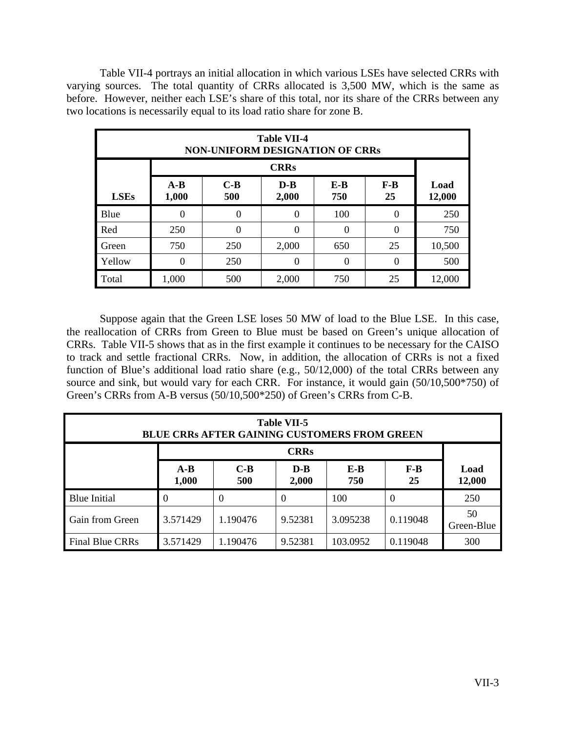Table VII-4 portrays an initial allocation in which various LSEs have selected CRRs with varying sources. The total quantity of CRRs allocated is 3,500 MW, which is the same as before. However, neither each LSE's share of this total, nor its share of the CRRs between any two locations is necessarily equal to its load ratio share for zone B.

| <b>Table VII-4</b><br><b>NON-UNIFORM DESIGNATION OF CRRs</b> |                |              |                |            |             |                |  |  |  |
|--------------------------------------------------------------|----------------|--------------|----------------|------------|-------------|----------------|--|--|--|
| <b>CRRs</b>                                                  |                |              |                |            |             |                |  |  |  |
| <b>LSEs</b>                                                  | $A-B$<br>1,000 | $C-B$<br>500 | $D-B$<br>2,000 | E-B<br>750 | $F-B$<br>25 | Load<br>12,000 |  |  |  |
| Blue                                                         | $\Omega$       | $\theta$     | $\theta$       | 100        | $\theta$    | 250            |  |  |  |
| Red                                                          | 250            | $\Omega$     | $\theta$       | $\Omega$   | $\theta$    | 750            |  |  |  |
| Green                                                        | 750            | 250          | 2,000          | 650        | 25          | 10,500         |  |  |  |
| Yellow                                                       | 0              | 250          | $\theta$       | $\theta$   | $\theta$    | 500            |  |  |  |
| Total                                                        | 1,000          | 500          | 2,000          | 750        | 25          | 12,000         |  |  |  |

 Suppose again that the Green LSE loses 50 MW of load to the Blue LSE. In this case, the reallocation of CRRs from Green to Blue must be based on Green's unique allocation of CRRs. Table VII-5 shows that as in the first example it continues to be necessary for the CAISO to track and settle fractional CRRs. Now, in addition, the allocation of CRRs is not a fixed function of Blue's additional load ratio share (e.g., 50/12,000) of the total CRRs between any source and sink, but would vary for each CRR. For instance, it would gain (50/10,500\*750) of Green's CRRs from A-B versus (50/10,500\*250) of Green's CRRs from C-B.

| <b>Table VII-5</b><br><b>BLUE CRRs AFTER GAINING CUSTOMERS FROM GREEN</b> |                |              |                |            |             |                  |  |
|---------------------------------------------------------------------------|----------------|--------------|----------------|------------|-------------|------------------|--|
| <b>CRRs</b>                                                               |                |              |                |            |             |                  |  |
|                                                                           | $A-B$<br>1,000 | $C-B$<br>500 | $D-B$<br>2,000 | E-B<br>750 | $F-B$<br>25 | Load<br>12,000   |  |
| <b>Blue Initial</b>                                                       | $\Omega$       | $\Omega$     | 0              | 100        | $\Omega$    | 250              |  |
| Gain from Green                                                           | 3.571429       | 1.190476     | 9.52381        | 3.095238   | 0.119048    | 50<br>Green-Blue |  |
| Final Blue CRRs                                                           | 3.571429       | 1.190476     | 9.52381        | 103.0952   | 0.119048    | 300              |  |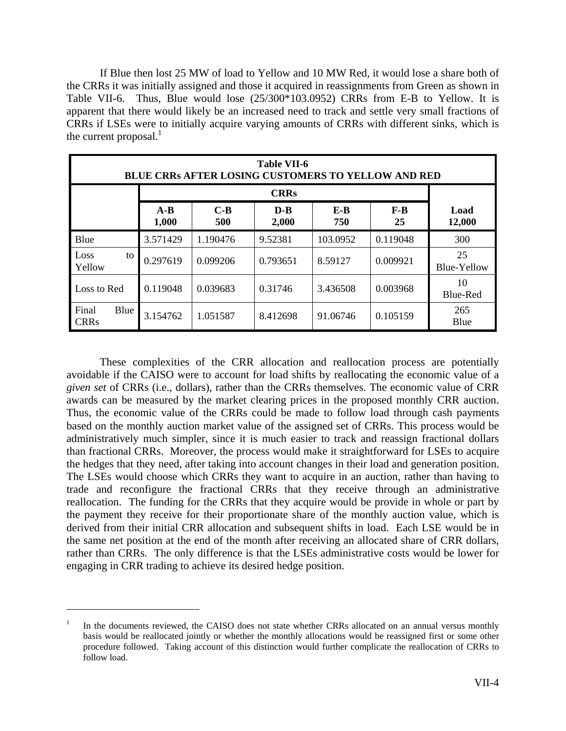If Blue then lost 25 MW of load to Yellow and 10 MW Red, it would lose a share both of the CRRs it was initially assigned and those it acquired in reassignments from Green as shown in Table VII-6. Thus, Blue would lose (25/300\*103.0952) CRRs from E-B to Yellow. It is apparent that there would likely be an increased need to track and settle very small fractions of CRRs if LSEs were to initially acquire varying amounts of CRRs with different sinks, which is the current proposal. $<sup>1</sup>$ </sup>

| <b>Table VII-6</b><br><b>BLUE CRRs AFTER LOSING CUSTOMERS TO YELLOW AND RED</b> |                |              |                |              |             |                   |  |  |
|---------------------------------------------------------------------------------|----------------|--------------|----------------|--------------|-------------|-------------------|--|--|
|                                                                                 |                |              |                |              |             |                   |  |  |
|                                                                                 | $A-B$<br>1,000 | $C-B$<br>500 | $D-B$<br>2,000 | $E-B$<br>750 | $F-B$<br>25 | Load<br>12,000    |  |  |
| Blue                                                                            | 3.571429       | 1.190476     | 9.52381        | 103.0952     | 0.119048    | 300               |  |  |
| Loss<br>to<br>Yellow                                                            | 0.297619       | 0.099206     | 0.793651       | 8.59127      | 0.009921    | 25<br>Blue-Yellow |  |  |
| Loss to Red                                                                     | 0.119048       | 0.039683     | 0.31746        | 3.436508     | 0.003968    | 10<br>Blue-Red    |  |  |
| Final<br>Blue<br><b>CRRs</b>                                                    | 3.154762       | 1.051587     | 8.412698       | 91.06746     | 0.105159    | 265<br>Blue       |  |  |

 These complexities of the CRR allocation and reallocation process are potentially avoidable if the CAISO were to account for load shifts by reallocating the economic value of a *given set* of CRRs (i.e., dollars), rather than the CRRs themselves. The economic value of CRR awards can be measured by the market clearing prices in the proposed monthly CRR auction. Thus, the economic value of the CRRs could be made to follow load through cash payments based on the monthly auction market value of the assigned set of CRRs. This process would be administratively much simpler, since it is much easier to track and reassign fractional dollars than fractional CRRs. Moreover, the process would make it straightforward for LSEs to acquire the hedges that they need, after taking into account changes in their load and generation position. The LSEs would choose which CRRs they want to acquire in an auction, rather than having to trade and reconfigure the fractional CRRs that they receive through an administrative reallocation. The funding for the CRRs that they acquire would be provide in whole or part by the payment they receive for their proportionate share of the monthly auction value, which is derived from their initial CRR allocation and subsequent shifts in load. Each LSE would be in the same net position at the end of the month after receiving an allocated share of CRR dollars, rather than CRRs. The only difference is that the LSEs administrative costs would be lower for engaging in CRR trading to achieve its desired hedge position.

1

<sup>1</sup> In the documents reviewed, the CAISO does not state whether CRRs allocated on an annual versus monthly basis would be reallocated jointly or whether the monthly allocations would be reassigned first or some other procedure followed. Taking account of this distinction would further complicate the reallocation of CRRs to follow load.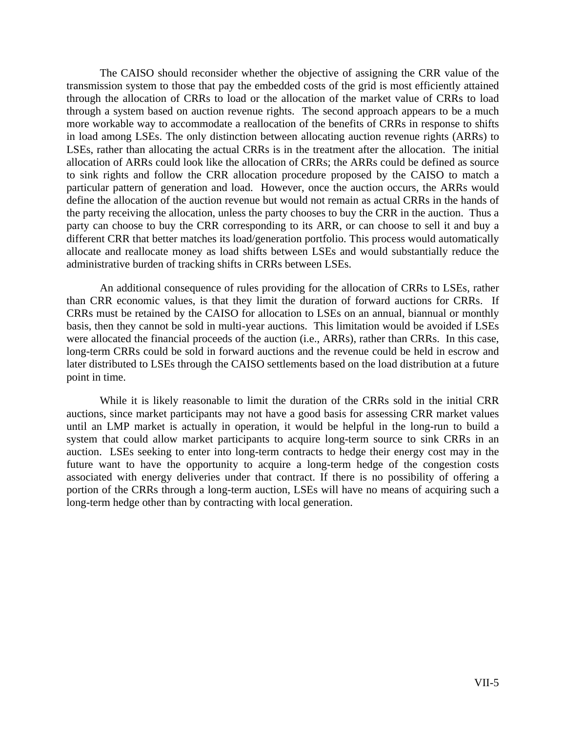The CAISO should reconsider whether the objective of assigning the CRR value of the transmission system to those that pay the embedded costs of the grid is most efficiently attained through the allocation of CRRs to load or the allocation of the market value of CRRs to load through a system based on auction revenue rights. The second approach appears to be a much more workable way to accommodate a reallocation of the benefits of CRRs in response to shifts in load among LSEs. The only distinction between allocating auction revenue rights (ARRs) to LSEs, rather than allocating the actual CRRs is in the treatment after the allocation. The initial allocation of ARRs could look like the allocation of CRRs; the ARRs could be defined as source to sink rights and follow the CRR allocation procedure proposed by the CAISO to match a particular pattern of generation and load. However, once the auction occurs, the ARRs would define the allocation of the auction revenue but would not remain as actual CRRs in the hands of the party receiving the allocation, unless the party chooses to buy the CRR in the auction. Thus a party can choose to buy the CRR corresponding to its ARR, or can choose to sell it and buy a different CRR that better matches its load/generation portfolio. This process would automatically allocate and reallocate money as load shifts between LSEs and would substantially reduce the administrative burden of tracking shifts in CRRs between LSEs.

 An additional consequence of rules providing for the allocation of CRRs to LSEs, rather than CRR economic values, is that they limit the duration of forward auctions for CRRs. If CRRs must be retained by the CAISO for allocation to LSEs on an annual, biannual or monthly basis, then they cannot be sold in multi-year auctions. This limitation would be avoided if LSEs were allocated the financial proceeds of the auction (i.e., ARRs), rather than CRRs. In this case, long-term CRRs could be sold in forward auctions and the revenue could be held in escrow and later distributed to LSEs through the CAISO settlements based on the load distribution at a future point in time.

 While it is likely reasonable to limit the duration of the CRRs sold in the initial CRR auctions, since market participants may not have a good basis for assessing CRR market values until an LMP market is actually in operation, it would be helpful in the long-run to build a system that could allow market participants to acquire long-term source to sink CRRs in an auction. LSEs seeking to enter into long-term contracts to hedge their energy cost may in the future want to have the opportunity to acquire a long-term hedge of the congestion costs associated with energy deliveries under that contract. If there is no possibility of offering a portion of the CRRs through a long-term auction, LSEs will have no means of acquiring such a long-term hedge other than by contracting with local generation.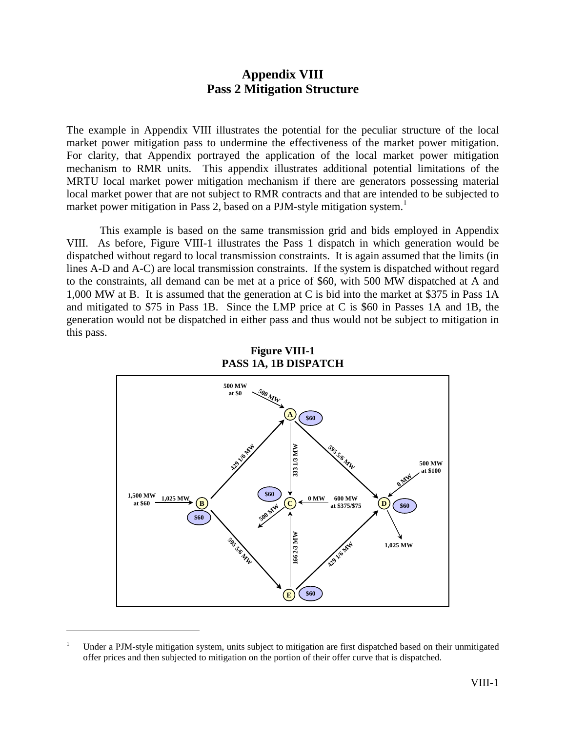# **Appendix VIII Pass 2 Mitigation Structure**

The example in Appendix VIII illustrates the potential for the peculiar structure of the local market power mitigation pass to undermine the effectiveness of the market power mitigation. For clarity, that Appendix portrayed the application of the local market power mitigation mechanism to RMR units. This appendix illustrates additional potential limitations of the MRTU local market power mitigation mechanism if there are generators possessing material local market power that are not subject to RMR contracts and that are intended to be subjected to market power mitigation in Pass 2, based on a PJM-style mitigation system.<sup>1</sup>

 This example is based on the same transmission grid and bids employed in Appendix VIII. As before, Figure VIII-1 illustrates the Pass 1 dispatch in which generation would be dispatched without regard to local transmission constraints. It is again assumed that the limits (in lines A-D and A-C) are local transmission constraints. If the system is dispatched without regard to the constraints, all demand can be met at a price of \$60, with 500 MW dispatched at A and 1,000 MW at B. It is assumed that the generation at C is bid into the market at \$375 in Pass 1A and mitigated to \$75 in Pass 1B. Since the LMP price at C is \$60 in Passes 1A and 1B, the generation would not be dispatched in either pass and thus would not be subject to mitigation in this pass.



**Figure VIII-1 PASS 1A, 1B DISPATCH** 

 $\overline{a}$ 

<sup>1</sup> Under a PJM-style mitigation system, units subject to mitigation are first dispatched based on their unmitigated offer prices and then subjected to mitigation on the portion of their offer curve that is dispatched.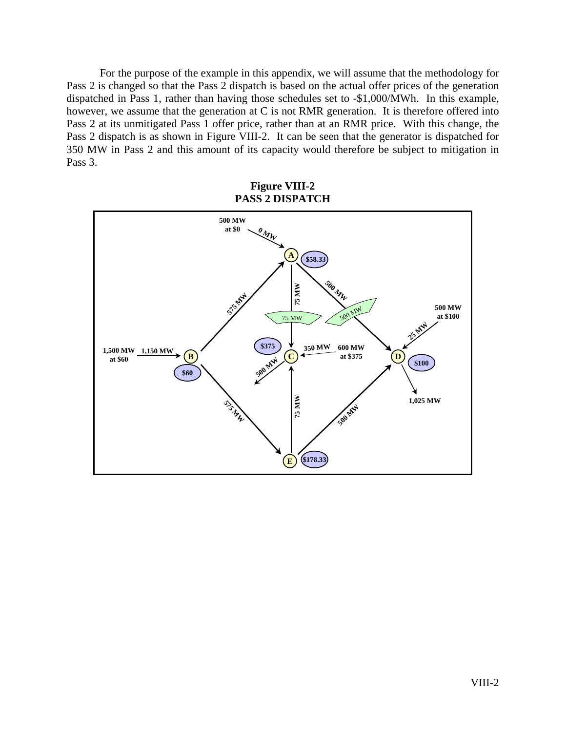For the purpose of the example in this appendix, we will assume that the methodology for Pass 2 is changed so that the Pass 2 dispatch is based on the actual offer prices of the generation dispatched in Pass 1, rather than having those schedules set to -\$1,000/MWh. In this example, however, we assume that the generation at C is not RMR generation. It is therefore offered into Pass 2 at its unmitigated Pass 1 offer price, rather than at an RMR price. With this change, the Pass 2 dispatch is as shown in Figure VIII-2. It can be seen that the generator is dispatched for 350 MW in Pass 2 and this amount of its capacity would therefore be subject to mitigation in Pass 3.

**Figure VIII-2 PASS 2 DISPATCH** 

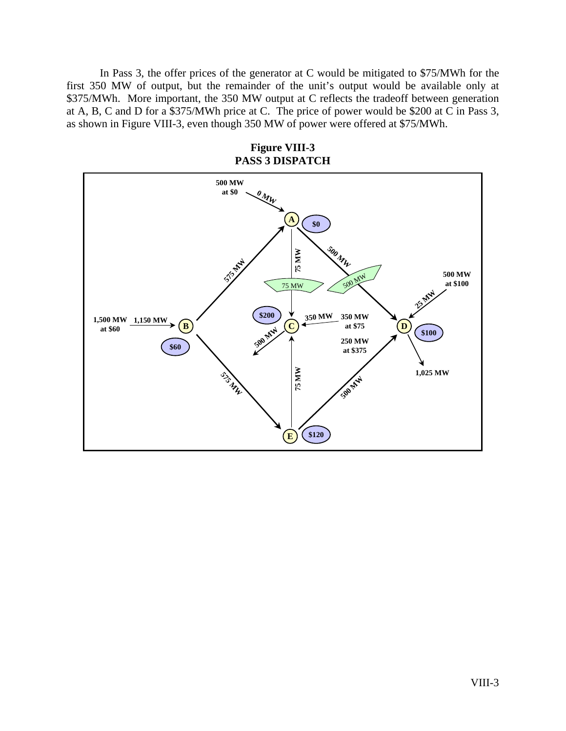In Pass 3, the offer prices of the generator at C would be mitigated to \$75/MWh for the first 350 MW of output, but the remainder of the unit's output would be available only at \$375/MWh. More important, the 350 MW output at C reflects the tradeoff between generation at A, B, C and D for a \$375/MWh price at C. The price of power would be \$200 at C in Pass 3, as shown in Figure VIII-3, even though 350 MW of power were offered at \$75/MWh.